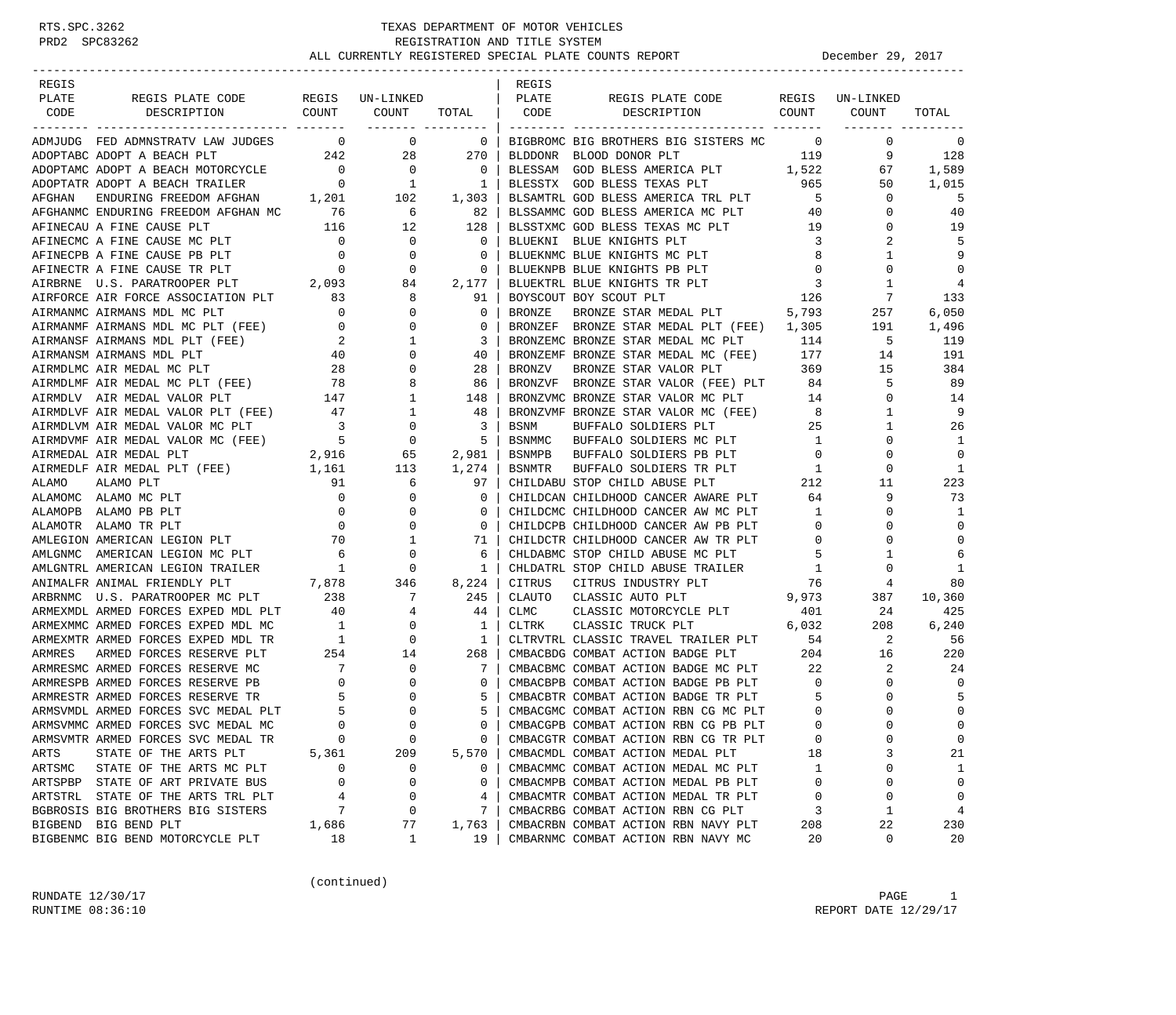| REGIS   |                                                                                                                                                                                                                                          |                                         |                                                                                                      |                          | REGIS        |                                                                                                                                                                                                                                                                                                                                                                                                                                                                              |                                              |                |                |
|---------|------------------------------------------------------------------------------------------------------------------------------------------------------------------------------------------------------------------------------------------|-----------------------------------------|------------------------------------------------------------------------------------------------------|--------------------------|--------------|------------------------------------------------------------------------------------------------------------------------------------------------------------------------------------------------------------------------------------------------------------------------------------------------------------------------------------------------------------------------------------------------------------------------------------------------------------------------------|----------------------------------------------|----------------|----------------|
| PLATE   | REGIS PLATE CODE REGIS UN-LINKED                                                                                                                                                                                                         |                                         |                                                                                                      |                          | PLATE        | REGIS PLATE CODE                                                                                                                                                                                                                                                                                                                                                                                                                                                             | REGIS                                        | UN-LINKED      |                |
| CODE    | DESCRIPTION COUNT                                                                                                                                                                                                                        |                                         | COUNT                                                                                                |                          | TOTAL   CODE | DESCRIPTION COUNT                                                                                                                                                                                                                                                                                                                                                                                                                                                            |                                              | COUNT          | TOTAL          |
|         | ---------------------------- -------<br>ADMJUDG FED ADMNSTRATV LAW JUDGES 0                                                                                                                                                              |                                         | ------- ---------<br>$\sim$ 0                                                                        | $\sim$ 0                 |              | BIGBROMC BIG BROTHERS BIG SISTERS MC 0                                                                                                                                                                                                                                                                                                                                                                                                                                       |                                              | $\mathbf 0$    | 0              |
|         |                                                                                                                                                                                                                                          |                                         |                                                                                                      |                          | BLDDONR      |                                                                                                                                                                                                                                                                                                                                                                                                                                                                              |                                              | 9              | 128            |
|         |                                                                                                                                                                                                                                          |                                         |                                                                                                      |                          | BLESSAM      | BLOOD DONOR PLT 119<br>GOD BLESS AMERICA PLT 1,522                                                                                                                                                                                                                                                                                                                                                                                                                           |                                              | 67             | 1,589          |
|         |                                                                                                                                                                                                                                          |                                         |                                                                                                      |                          |              | BLESSTX GOD BLESS TEXAS PLT 965                                                                                                                                                                                                                                                                                                                                                                                                                                              |                                              | 50             | 1,015          |
|         |                                                                                                                                                                                                                                          |                                         |                                                                                                      |                          |              | BLSAMTRL GOD BLESS AMERICA TRL PLT                                                                                                                                                                                                                                                                                                                                                                                                                                           | $5^{\circ}$                                  | $\mathbf{0}$   | 5              |
|         | AFGHANMC ENDURING FREEDOM AFGHAN MC 76                                                                                                                                                                                                   |                                         | $\overline{6}$                                                                                       | 82                       |              | BLSSAMMC GOD BLESS AMERICA MC PLT 40                                                                                                                                                                                                                                                                                                                                                                                                                                         |                                              | 0              | 40             |
|         |                                                                                                                                                                                                                                          |                                         | 12                                                                                                   | 128                      |              | BLSSTXMC GOD BLESS TEXAS MC PLT 19                                                                                                                                                                                                                                                                                                                                                                                                                                           |                                              | 0              | 19             |
|         | AFINECAU A FINE CAUSE PLT $116$<br>AFINECMC A FINE CAUSE MC PLT $0$                                                                                                                                                                      |                                         | $\overline{0}$                                                                                       | $\overline{0}$           | BLUEKNI      | BLUE KNIGHTS PLT                                                                                                                                                                                                                                                                                                                                                                                                                                                             | $\overline{\mathbf{3}}$                      | 2              | 5              |
|         |                                                                                                                                                                                                                                          |                                         |                                                                                                      | $\mathbf 0$              |              | BLUEKNMC BLUE KNIGHTS MC PLT                                                                                                                                                                                                                                                                                                                                                                                                                                                 | 8                                            | 1              | 9              |
|         |                                                                                                                                                                                                                                          |                                         |                                                                                                      | $\mathbf 0$              |              | BLUEKNPB BLUE KNIGHTS PB PLT                                                                                                                                                                                                                                                                                                                                                                                                                                                 | $\overline{0}$                               | 0              | $\mathbf 0$    |
|         |                                                                                                                                                                                                                                          |                                         |                                                                                                      | 2,177                    |              | BLUEKTRL BLUE KNIGHTS TR PLT                                                                                                                                                                                                                                                                                                                                                                                                                                                 | 3                                            | 1              | 4              |
|         | $\begin{tabular}{lllllllllll} \bf{AIFORCE} & \bf{AIF} & \bf{PORCE} & \bf{ASSOCIATION} & \tt{PLT} & \tt{0} & \tt{0} & \tt{0} \\ \bf{AIFMANMC} & \bf{AIFMANS} & \bf{MDL} & \bf{MC} & \tt{PLT} & \tt{0} & \tt{0} & \tt{0} \\ \end{tabular}$ |                                         |                                                                                                      | 91                       |              | BOYSCOUT BOY SCOUT PLT                                                                                                                                                                                                                                                                                                                                                                                                                                                       |                                              | $\overline{7}$ | 133            |
|         |                                                                                                                                                                                                                                          |                                         |                                                                                                      | $\mathbf 0$              | BRONZE       | BOY SCOUT PLT 126<br>BRONZE STAR MEDAL PLT 5,793                                                                                                                                                                                                                                                                                                                                                                                                                             |                                              | 257            | 6,050          |
|         | AIRFORCE AIR FORCE ADDUCTION-<br>AIRMANMC AIRMANS MDL MC PLT (FEE) 0<br>AIRMANMF AIRMANS MDL MC PLT (FEE) 0<br>COMPUTE AIRMANS MDL PLT (FEE) 2<br>40                                                                                     |                                         | $\mathbf{0}$                                                                                         | 0                        |              | BRONZEF BRONZE STAR MEDAL PLT (FEE) 1,305                                                                                                                                                                                                                                                                                                                                                                                                                                    |                                              | 191            | 1,496          |
|         |                                                                                                                                                                                                                                          |                                         | $\mathbf{1}$                                                                                         | 3                        |              | BRONZEMC BRONZE STAR MEDAL MC PLT 114                                                                                                                                                                                                                                                                                                                                                                                                                                        |                                              | $5^{\circ}$    | 119            |
|         |                                                                                                                                                                                                                                          | $\begin{array}{cc} 2 \\ 40 \end{array}$ | $\mathbf 0$                                                                                          | 40                       |              | BRONZEMF BRONZE STAR MEDAL MC (FEE) 177                                                                                                                                                                                                                                                                                                                                                                                                                                      |                                              | 14             | 191            |
|         | AIRMDLMC AIR MEDAL MC PLT                                                                                                                                                                                                                | 28                                      | $\mathbf 0$                                                                                          | 28                       | BRONZV       |                                                                                                                                                                                                                                                                                                                                                                                                                                                                              |                                              | 15             | 384            |
|         | AIRMOLMC AIR MEDAL MC PLI<br>AIRMDLMF AIR MEDAL MC PLT (FEE) 78                                                                                                                                                                          |                                         | 8                                                                                                    | 86                       | BRONZVF      | BRONZE STAR VALOR PLT 369<br>BRONZE STAR VALOR (FEE) PLT 84                                                                                                                                                                                                                                                                                                                                                                                                                  |                                              | 5              | 89             |
|         | AIRMDLV AIR MEDAL VALOR PLT                                                                                                                                                                                                              | 147                                     | 1                                                                                                    | 148                      |              | BRONZVMC BRONZE STAR VALOR MC PLT 14                                                                                                                                                                                                                                                                                                                                                                                                                                         |                                              | 0              | 14             |
|         |                                                                                                                                                                                                                                          |                                         |                                                                                                      | -48                      |              |                                                                                                                                                                                                                                                                                                                                                                                                                                                                              |                                              | 1              | 9              |
|         |                                                                                                                                                                                                                                          |                                         |                                                                                                      | $\overline{\phantom{a}}$ |              | $\begin{tabular}{lllllllllll} \multicolumn{2}{c}{\textbf{BRONZWMF}} & \multicolumn{2}{c}{\textbf{BRONZWF}} & \multicolumn{2}{c}{\textbf{STab}} & \multicolumn{2}{c}{\textbf{VALOR MC}} & \multicolumn{2}{c}{\textbf{FEE}} & \multicolumn{2}{c}{\textbf{8}} \\ \multicolumn{2}{c}{\textbf{BSNM}} & \multicolumn{2}{c}{\textbf{BUPFFALO}} & \multicolumn{2}{c}{\textbf{SOLDIERS}} & \multicolumn{2}{c}{\textbf{PLT}} & \multicolumn{2}{c}{\textbf{25}} \\ \multicolumn{2}{c}{$ |                                              | 1              | 26             |
|         |                                                                                                                                                                                                                                          |                                         |                                                                                                      |                          | BSNMMC       |                                                                                                                                                                                                                                                                                                                                                                                                                                                                              |                                              | 0              | 1              |
|         | AIRMDVMF AIR MEDAL VALOR MC (FEE) 5<br>AIRMEDAL AIR MEDAL PLT 2,916                                                                                                                                                                      |                                         | $\begin{array}{c}0\\65\end{array}$                                                                   | 5<br>2,981               | BSNMPB       | BUFFALO SOLDIERS MC PLT 1<br>BUFFALO SOLDIERS PB PLT 0                                                                                                                                                                                                                                                                                                                                                                                                                       |                                              | $\Omega$       | $\overline{0}$ |
|         | AIRMEDLF AIR MEDAL PLT (FEE) 1,161                                                                                                                                                                                                       |                                         | 113                                                                                                  | 1,274                    | BSNMTR       | BUFFALO SOLDIERS TR PLT 1<br>THE CTOR CHILD ARUSE PLT 212                                                                                                                                                                                                                                                                                                                                                                                                                    |                                              | 0              | 1              |
| ALAMO   | ALAMO PLT                                                                                                                                                                                                                                | 91                                      | 6                                                                                                    | 97                       |              | CHILDABU STOP CHILD ABUSE PLT                                                                                                                                                                                                                                                                                                                                                                                                                                                |                                              | 11             | 223            |
|         | ALAMOMC ALAMO MC PLT                                                                                                                                                                                                                     | $\mathbf{0}$                            | 0                                                                                                    | 0                        |              | CHILDCAN CHILDHOOD CANCER AWARE PLT 64                                                                                                                                                                                                                                                                                                                                                                                                                                       |                                              | 9              | 73             |
|         | ALAMOPB ALAMO PB PLT                                                                                                                                                                                                                     |                                         | $\mathbf 0$                                                                                          | 0                        |              | CHILDCMC CHILDHOOD CANCER AW MC PLT<br>CHILDCPB CHILDHOOD CANCER AW PB PLT                                                                                                                                                                                                                                                                                                                                                                                                   | $\mathbf{1}$                                 | 0              | 1              |
|         | ALAMOTR ALAMO TR PLT                                                                                                                                                                                                                     | $\begin{array}{c} 0 \\ 0 \end{array}$   | $\mathbf{0}$                                                                                         | $\mathbf 0$              |              | CHILDCPB CHILDHOOD CANCER AW PB PLT                                                                                                                                                                                                                                                                                                                                                                                                                                          | $\overline{0}$                               | $\Omega$       | $\mathbf 0$    |
|         | AMERICAN MERICAN LEGION PLT 70 1<br>AMEGION AMERICAN LEGION MC PLT 6 0<br>AMEGNTRE AMERICAN LEGION TRAILER 1 0                                                                                                                           |                                         |                                                                                                      | 71                       |              | CHILDCTR CHILDHOOD CANCER AW TR PLT                                                                                                                                                                                                                                                                                                                                                                                                                                          | $\overline{0}$                               | 0              | $\Omega$       |
|         |                                                                                                                                                                                                                                          |                                         |                                                                                                      | -6                       |              | CHLDABMC STOP CHILD ABUSE MC PLT                                                                                                                                                                                                                                                                                                                                                                                                                                             | 5                                            |                | 6              |
|         |                                                                                                                                                                                                                                          | $\overline{1}$                          |                                                                                                      | 1                        |              | CHLDATRL STOP CHILD ABUSE TRAILER                                                                                                                                                                                                                                                                                                                                                                                                                                            | <sup>1</sup>                                 | 0              | 1              |
|         |                                                                                                                                                                                                                                          |                                         | 346                                                                                                  | 8,224                    | CITRUS       | CITRUS INDUSTRY PLT                                                                                                                                                                                                                                                                                                                                                                                                                                                          | 76                                           | 4              | 80             |
|         |                                                                                                                                                                                                                                          |                                         | $\overline{7}$                                                                                       | 245                      |              | 9,973<br>CLAUTO CLASSIC AUTO PLT                                                                                                                                                                                                                                                                                                                                                                                                                                             |                                              | 387            | 10,360         |
|         | ARMEXMDL ARMED FORCES EXPED MDL PLT 40 4                                                                                                                                                                                                 |                                         |                                                                                                      | 44                       | CLMC         | CLASSIC MOTORCYCLE PLT 401                                                                                                                                                                                                                                                                                                                                                                                                                                                   |                                              | 24             | 425            |
|         | ARMEXMMC ARMED FORCES EXPED MDL MC                                                                                                                                                                                                       |                                         | $\begin{array}{cccc} 1 & & & 0 \\ & 1 & & & 0 \end{array}$                                           | 1                        |              | CLIRK CLASSIC TRUCK PLT 6,032<br>CLIRVTRL CLASSIC TRAVEL TRAILER PLT 54                                                                                                                                                                                                                                                                                                                                                                                                      |                                              | 208            | 6,240          |
|         | ARMEXMTR ARMED FORCES EXPED MDL TR                                                                                                                                                                                                       |                                         |                                                                                                      | $\mathbf{1}$             |              |                                                                                                                                                                                                                                                                                                                                                                                                                                                                              |                                              | 2              | 56             |
|         | ARMRES ARMED FORCES RESERVE PLT                                                                                                                                                                                                          |                                         | $\begin{array}{ccc} 254 & \quad & 14 \\ 7 & \quad & 0 \\ 0 & \quad & 0 \\ 5 & \quad & 0 \end{array}$ | 268                      |              |                                                                                                                                                                                                                                                                                                                                                                                                                                                                              |                                              |                | 220            |
|         | ARMRESMC ARMED FORCES RESERVE MC                                                                                                                                                                                                         |                                         |                                                                                                      | 7                        |              |                                                                                                                                                                                                                                                                                                                                                                                                                                                                              |                                              |                | 24             |
|         | ARMRESPB ARMED FORCES RESERVE PB                                                                                                                                                                                                         |                                         |                                                                                                      | 0                        |              | CMBACBPB COMBAT ACTION BADGE PB PLT                                                                                                                                                                                                                                                                                                                                                                                                                                          | $\overline{0}$                               | 0              | $\Omega$       |
|         | ARMRESTR ARMED FORCES RESERVE TR                                                                                                                                                                                                         |                                         |                                                                                                      | 5                        |              | CMBACBTR COMBAT ACTION BADGE TR PLT                                                                                                                                                                                                                                                                                                                                                                                                                                          | $\begin{matrix} 1 & 0 \\ 0 & 0 \end{matrix}$ | 0              | 5              |
|         | ARMSVMDL ARMED FORCES SVC MEDAL PLT                                                                                                                                                                                                      | -5                                      | $\Omega$                                                                                             | 5                        |              | CMBACGMC COMBAT ACTION RBN CG MC PLT                                                                                                                                                                                                                                                                                                                                                                                                                                         |                                              | $\Omega$       | $\mathbf 0$    |
|         | ARMSVMMC ARMED FORCES SVC MEDAL MC                                                                                                                                                                                                       | $\Omega$                                | $\Omega$                                                                                             | $\Omega$                 |              | CMBACGPB COMBAT ACTION RBN CG PB PLT                                                                                                                                                                                                                                                                                                                                                                                                                                         | $\Omega$                                     | $\Omega$       | $\Omega$       |
|         | ARMSVMTR ARMED FORCES SVC MEDAL TR                                                                                                                                                                                                       | 0                                       | 0                                                                                                    | 0                        |              | CMBACGTR COMBAT ACTION RBN CG TR PLT                                                                                                                                                                                                                                                                                                                                                                                                                                         | 0                                            | 0              | 0              |
| ARTS    | STATE OF THE ARTS PLT                                                                                                                                                                                                                    | 5,361                                   | 209                                                                                                  | 5,570                    |              | CMBACMDL COMBAT ACTION MEDAL PLT                                                                                                                                                                                                                                                                                                                                                                                                                                             | 18                                           |                | 21             |
| ARTSMC  | STATE OF THE ARTS MC PLT                                                                                                                                                                                                                 | 0                                       | 0                                                                                                    | 0                        |              | CMBACMMC COMBAT ACTION MEDAL MC PLT                                                                                                                                                                                                                                                                                                                                                                                                                                          | 1                                            | 0              | 1              |
|         | ARTSPBP STATE OF ART PRIVATE BUS                                                                                                                                                                                                         | 0                                       | $\Omega$                                                                                             | 0                        |              | CMBACMPB COMBAT ACTION MEDAL PB PLT                                                                                                                                                                                                                                                                                                                                                                                                                                          | 0                                            | 0              | $\mathbf 0$    |
|         | ARTSTRL STATE OF THE ARTS TRL PLT                                                                                                                                                                                                        | 4                                       | 0                                                                                                    | 4                        |              | CMBACMTR COMBAT ACTION MEDAL TR PLT                                                                                                                                                                                                                                                                                                                                                                                                                                          | 0                                            | 0              | 0              |
|         | BGBROSIS BIG BROTHERS BIG SISTERS                                                                                                                                                                                                        | 7                                       | 0                                                                                                    | 7                        |              | CMBACRBG COMBAT ACTION RBN CG PLT                                                                                                                                                                                                                                                                                                                                                                                                                                            | 3                                            | 1              | 4              |
| BIGBEND | BIG BEND PLT                                                                                                                                                                                                                             | 1,686                                   | 77                                                                                                   | 1,763                    |              | CMBACRBN COMBAT ACTION RBN NAVY PLT                                                                                                                                                                                                                                                                                                                                                                                                                                          | 208                                          | 22             | 230            |
|         | BIGBENMC BIG BEND MOTORCYCLE PLT                                                                                                                                                                                                         | 18                                      | 1                                                                                                    | 19                       |              | CMBARNMC COMBAT ACTION RBN NAVY MC                                                                                                                                                                                                                                                                                                                                                                                                                                           | 20                                           | 0              | 20             |

(continued)

RUNDATE  $12/30/17$  PAGE 1 RUNTIME  $08:36:10$  REPORT DATE  $12/29/17$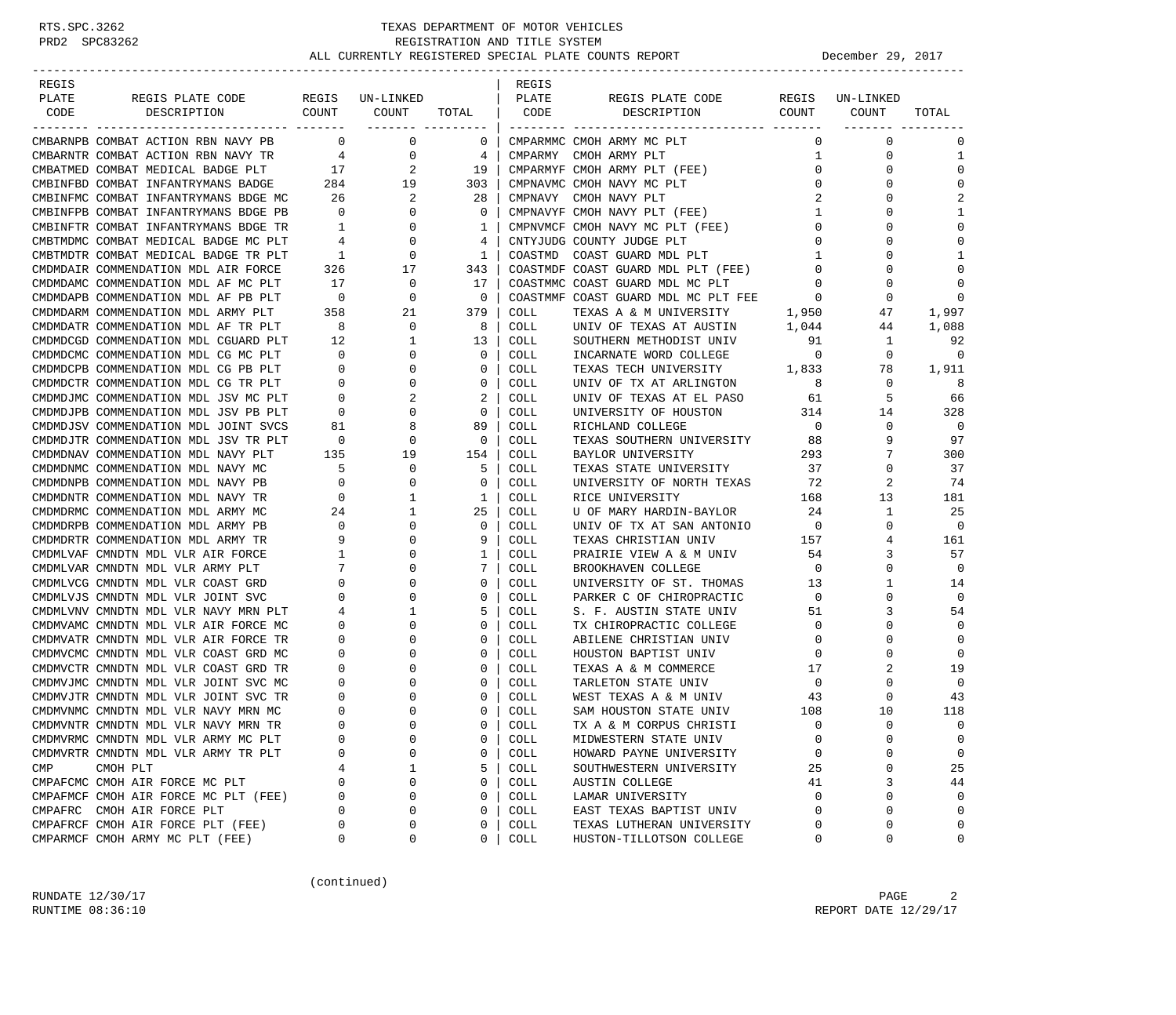| REGIS |                                      |                          |                           |                          | REGIS   |                                     |                |                 |                |
|-------|--------------------------------------|--------------------------|---------------------------|--------------------------|---------|-------------------------------------|----------------|-----------------|----------------|
| PLATE | REGIS PLATE CODE                     |                          | REGIS UN-LINKED           |                          | PLATE   | REGIS PLATE CODE                    |                | REGIS UN-LINKED |                |
| CODE  | DESCRIPTION                          | COUNT                    | COUNT<br>________ _______ | TOTAL                    | CODE    | DESCRIPTION                         | COUNT          | COUNT           | TOTAL          |
|       | CMBARNPB COMBAT ACTION RBN NAVY PB   | $\overline{\phantom{0}}$ | 0                         | $\mathbf 0$              |         | CMPARMMC CMOH ARMY MC PLT           | $\Omega$       | $\mathbf 0$     | $\Omega$       |
|       | CMBARNTR COMBAT ACTION RBN NAVY TR   | 4                        | 0                         | 4                        |         | CMPARMY CMOH ARMY PLT               | 1              | 0               | 1              |
|       | CMBATMED COMBAT MEDICAL BADGE PLT    | 17                       | 2                         | 19                       |         | CMPARMYF CMOH ARMY PLT (FEE)        | $\mathbf 0$    | 0               | $\Omega$       |
|       | CMBINFBD COMBAT INFANTRYMANS BADGE   | 284                      | 19                        | 303                      |         | CMPNAVMC CMOH NAVY MC PLT           | 0              | $\Omega$        | $\Omega$       |
|       | CMBINFMC COMBAT INFANTRYMANS BDGE MC | 26                       | 2                         | -28                      |         | CMPNAVY CMOH NAVY PLT               | 2              | 0               | $\overline{2}$ |
|       | CMBINFPB COMBAT INFANTRYMANS BDGE PB | $\overline{0}$           | $\mathbf 0$               | $\mathbf 0$              |         | CMPNAVYF CMOH NAVY PLT (FEE)        | 1              | $\Omega$        | 1              |
|       | CMBINFTR COMBAT INFANTRYMANS BDGE TR | $\overline{1}$           | 0                         | 1                        |         | CMPNVMCF CMOH NAVY MC PLT (FEE)     | $\mathbf 0$    | 0               | $\Omega$       |
|       | CMBTMDMC COMBAT MEDICAL BADGE MC PLT | $\overline{4}$           | 0                         | 4                        |         | CNTYJUDG COUNTY JUDGE PLT           | $\mathbf 0$    | $\Omega$        | $\Omega$       |
|       | CMBTMDTR COMBAT MEDICAL BADGE TR PLT | $\overline{1}$           | 0                         | 1                        | COASTMD | COAST GUARD MDL PLT                 | 1              | $\Omega$        |                |
|       | CMDMDAIR COMMENDATION MDL AIR FORCE  | 326                      | 17                        | 343                      |         | COASTMDF COAST GUARD MDL PLT (FEE)  | $\overline{0}$ | 0               | $\Omega$       |
|       | CMDMDAMC COMMENDATION MDL AF MC PLT  | 17                       | $\mathbf 0$               | 17                       |         | COASTMMC COAST GUARD MDL MC PLT     | $\Omega$       | $\Omega$        | $\mathbf 0$    |
|       | CMDMDAPB COMMENDATION MDL AF PB PLT  | $\overline{0}$           | 0                         | $\overline{0}$           |         | COASTMMF COAST GUARD MDL MC PLT FEE | $\sim$ 0       | 0               | $\Omega$       |
|       | CMDMDARM COMMENDATION MDL ARMY PLT   | 358                      | 21                        | 379                      | COLL    | TEXAS A & M UNIVERSITY              | 1,950          | 47              | 1,997          |
|       | CMDMDATR COMMENDATION MDL AF TR PLT  | 8                        | 0                         | 8                        | COLL    | UNIV OF TEXAS AT AUSTIN             | 1,044          | 44              | 1,088          |
|       | CMDMDCGD COMMENDATION MDL CGUARD PLT | 12                       | 1                         | 13                       | COLL    | SOUTHERN METHODIST UNIV             | 91             | 1               | 92             |
|       | CMDMDCMC COMMENDATION MDL CG MC PLT  | $\overline{0}$           | 0                         | $\mathbf{0}$             | COLL    | INCARNATE WORD COLLEGE              | $\overline{0}$ | $\mathbf{0}$    | $\mathbf 0$    |
|       | CMDMDCPB COMMENDATION MDL CG PB PLT  | $\overline{\mathbf{0}}$  | $\mathbf 0$               | $\mathbf{0}$             | COLL    | TEXAS TECH UNIVERSITY 1,833         |                | 78              | 1,911          |
|       | CMDMDCTR COMMENDATION MDL CG TR PLT  | $\overline{0}$           | $\mathbf 0$               | $\mathbf{0}$             | COLL    | UNIV OF TX AT ARLINGTON             | - 8            | 0               | 8              |
|       | CMDMDJMC COMMENDATION MDL JSV MC PLT | $\overline{\phantom{0}}$ | 2                         | 2                        | COLL    | UNIV OF TEXAS AT EL PASO            | 61             | 5               | 66             |
|       | CMDMDJPB COMMENDATION MDL JSV PB PLT | $\overline{0}$           | 0                         | $\mathbf 0$              | COLL    | UNIVERSITY OF HOUSTON               | 314            | 14              | 328            |
|       | CMDMDJSV COMMENDATION MDL JOINT SVCS | 81                       | 8                         | 89                       | COLL    | RICHLAND COLLEGE                    | $\overline{0}$ | $\mathbf 0$     | $\overline{0}$ |
|       | CMDMDJTR COMMENDATION MDL JSV TR PLT | $\overline{\phantom{0}}$ | 0                         | $\overline{\phantom{0}}$ | COLL    | TEXAS SOUTHERN UNIVERSITY           | 88             | 9               | 97             |
|       | CMDMDNAV COMMENDATION MDL NAVY PLT   | 135                      | 19                        | 154                      | COLL    | BAYLOR UNIVERSITY                   | 293            | 7               | 300            |
|       | CMDMDNMC COMMENDATION MDL NAVY MC    | 5                        | 0                         | 5                        | COLL    | TEXAS STATE UNIVERSITY              | 37             | $\mathbf 0$     | 37             |
|       | CMDMDNPB COMMENDATION MDL NAVY PB    | $\mathbf{0}$             | 0                         | $\mathbf 0$              | COLL    | UNIVERSITY OF NORTH TEXAS           | 72             | 2               | 74             |
|       | CMDMDNTR COMMENDATION MDL NAVY TR    | $\mathbf{0}$             | 1                         | $\mathbf{1}$             | COLL    | RICE UNIVERSITY                     | 168            | 13              | 181            |
|       | CMDMDRMC COMMENDATION MDL ARMY MC    | 24                       | 1                         | 25                       | COLL    | U OF MARY HARDIN-BAYLOR             | 24             | $\mathbf{1}$    | 25             |
|       | CMDMDRPB COMMENDATION MDL ARMY PB    | $\mathbf 0$              | 0                         | $\mathbf{0}$             | COLL    | UNIV OF TX AT SAN ANTONIO           | $\overline{0}$ | 0               | $\Omega$       |
|       | CMDMDRTR COMMENDATION MDL ARMY TR    | 9                        | 0                         | 9                        | COLL    | TEXAS CHRISTIAN UNIV                | 157            | 4               | 161            |
|       | CMDMLVAF CMNDTN MDL VLR AIR FORCE    | 1                        | 0                         | 1                        | COLL    | PRAIRIE VIEW A & M UNIV             | 54             | 3               | 57             |
|       | CMDMLVAR CMNDTN MDL VLR ARMY PLT     | 7                        | $\Omega$                  | 7                        | COLL    | BROOKHAVEN COLLEGE                  | $\overline{0}$ | $\mathbf 0$     | $\mathbf 0$    |
|       | CMDMLVCG CMNDTN MDL VLR COAST GRD    | 0                        | 0                         | $\mathbf{0}$             | COLL    | UNIVERSITY OF ST. THOMAS            | 13             | $\mathbf{1}$    | 14             |
|       | CMDMLVJS CMNDTN MDL VLR JOINT SVC    | $\mathbf 0$              | 0                         | $\circ$                  | COLL    | PARKER C OF CHIROPRACTIC            | $\overline{0}$ | 0               | $\mathbf 0$    |
|       | CMDMLVNV CMNDTN MDL VLR NAVY MRN PLT | 4                        | 1                         | 5                        | COLL    | S. F. AUSTIN STATE UNIV             | 51             | 3               | 54             |
|       | CMDMVAMC CMNDTN MDL VLR AIR FORCE MC | 0                        | 0                         | $\mathbf 0$              | COLL    | TX CHIROPRACTIC COLLEGE             | $\mathbf 0$    | 0               | $\Omega$       |
|       | CMDMVATR CMNDTN MDL VLR AIR FORCE TR | 0                        | $\Omega$                  | $\mathbf{0}$             | COLL    | ABILENE CHRISTIAN UNIV              | $\overline{0}$ | $\Omega$        | $\mathbf{0}$   |
|       | CMDMVCMC CMNDTN MDL VLR COAST GRD MC | 0                        | 0                         | $\mathbf{0}$             | COLL    | HOUSTON BAPTIST UNIV                | $\mathbf 0$    | 0               | $\Omega$       |
|       | CMDMVCTR CMNDTN MDL VLR COAST GRD TR | 0                        | 0                         | $\mathbf{0}$             | COLL    | TEXAS A & M COMMERCE                | 17             | 2               | 19             |
|       | CMDMVJMC CMNDTN MDL VLR JOINT SVC MC | 0                        | 0                         | $\mathbf{0}$             | COLL    | TARLETON STATE UNIV                 | $\overline{0}$ | 0               | $\Omega$       |
|       | CMDMVJTR CMNDTN MDL VLR JOINT SVC TR | 0                        |                           | $\mathbf 0$              | COLL    | WEST TEXAS A & M UNIV               | 43             | 0               | 43             |
|       | CMDMVNMC CMNDTN MDL VLR NAVY MRN MC  | 0                        | $\Omega$                  | 0                        | COLL    | SAM HOUSTON STATE UNIV              | 108            | 10              | 118            |
|       | CMDMVNTR CMNDTN MDL VLR NAVY MRN TR  | $\Omega$                 | $\Omega$                  | $\Omega$                 | COLL    | TX A & M CORPUS CHRISTI             | $\Omega$       | $\Omega$        | $\Omega$       |
|       | CMDMVRMC CMNDTN MDL VLR ARMY MC PLT  | $\Omega$                 | 0                         | 0                        | COLL    | MIDWESTERN STATE UNIV               | 0              | 0               | $\mathbf 0$    |
|       | CMDMVRTR CMNDTN MDL VLR ARMY TR PLT  | 0                        | 0                         | 0                        | COLL    | HOWARD PAYNE UNIVERSITY             | $\mathbf 0$    | 0               | 0              |
| CMP   | CMOH PLT                             | 4                        | 1                         | 5                        | COLL    | SOUTHWESTERN UNIVERSITY             | 25             | 0               | 25             |
|       | CMPAFCMC CMOH AIR FORCE MC PLT       | $\Omega$                 | 0                         | 0                        | COLL    | AUSTIN COLLEGE                      | 41             | 3               | 44             |
|       | CMPAFMCF CMOH AIR FORCE MC PLT (FEE) | $\Omega$                 | 0                         | $\mathbf 0$              | COLL    | LAMAR UNIVERSITY                    | $\Omega$       | 0               | $\Omega$       |
|       | CMPAFRC CMOH AIR FORCE PLT           | $\Omega$                 | 0                         | 0                        | COLL    | EAST TEXAS BAPTIST UNIV             | $\Omega$       | 0               | $\mathbf{0}$   |
|       | CMPAFRCF CMOH AIR FORCE PLT (FEE)    | $\Omega$                 | 0                         | 0                        | COLL    | TEXAS LUTHERAN UNIVERSITY           | $\Omega$       | 0               | $\mathbf 0$    |
|       | CMPARMCF CMOH ARMY MC PLT (FEE)      | 0                        | 0                         | 0                        | COLL    | HUSTON-TILLOTSON COLLEGE            | 0              | 0               | 0              |

(continued)

RUNDATE  $12/30/17$  PAGE 2 RUNTIME 08:36:10 REPORT DATE 12/29/17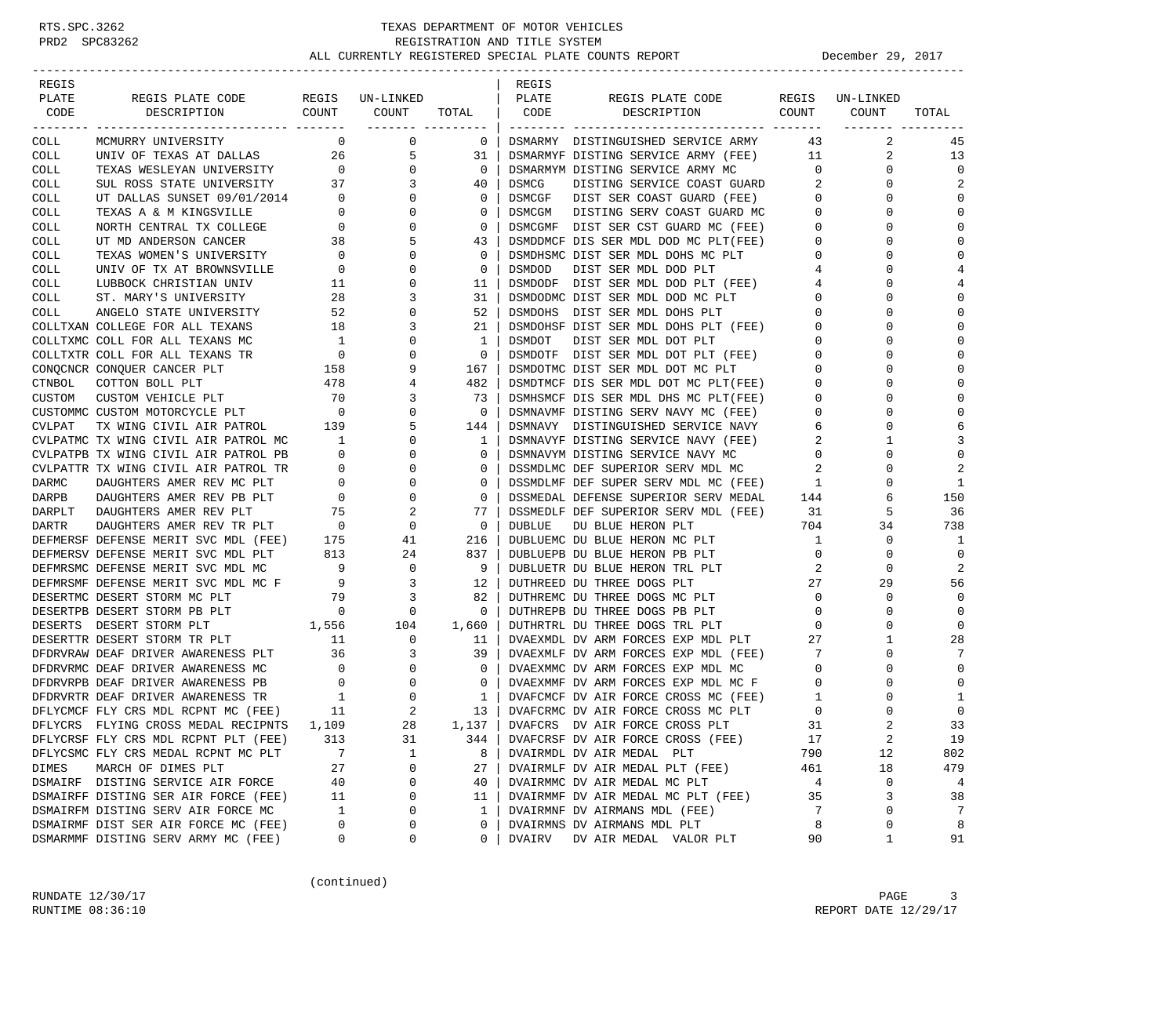| REGIS<br>REGIS                                                                                                                                                    |                |              |                         |
|-------------------------------------------------------------------------------------------------------------------------------------------------------------------|----------------|--------------|-------------------------|
| PLATE<br>REGIS PLATE CODE<br>REGIS UN-LINKED<br>PLATE<br>REGIS PLATE CODE                                                                                         | REGIS          | UN-LINKED    |                         |
| COUNT<br>DESCRIPTION<br>CODE<br>DESCRIPTION<br>COUNT<br>TOTAL<br>CODE                                                                                             | COUNT          | COUNT        | TOTAL                   |
| -------- ---------<br>$\mathbf 0$<br>COLL<br>MCMURRY UNIVERSITY<br>$\mathbf 0$<br>$\overline{0}$<br>DSMARMY DISTINGUISHED SERVICE ARMY                            | 43             | 2            | 45                      |
| COLL<br>UNIV OF TEXAS AT DALLAS<br>26<br>5<br>DSMARMYF DISTING SERVICE ARMY (FEE)<br>31                                                                           | 11             | 2            | 13                      |
| $\overline{0}$<br>TEXAS WESLEYAN UNIVERSITY<br>$\mathbf{0}$<br>$\overline{0}$<br>COLL<br>DSMARMYM DISTING SERVICE ARMY MC                                         | $\overline{0}$ | $\mathbf 0$  | $\Omega$                |
| SUL ROSS STATE UNIVERSITY 37<br>DISTING SERVICE COAST GUARD<br>COLL<br>3<br>40<br>DSMCG                                                                           | 2              | $\Omega$     | 2                       |
| COLL<br>UT DALLAS SUNSET 09/01/2014 0<br>$\mathbf{0}$<br>0<br>DSMCGF<br>DIST SER COAST GUARD (FEE)                                                                | $\mathbf{0}$   | 0            | $\mathbf 0$             |
| 0<br>COLL<br>TEXAS A & M KINGSVILLE<br>$\overline{0}$<br>0<br>DSMCGM<br>DISTING SERV COAST GUARD MC                                                               | $\mathbf{0}$   | 0            | $\mathbf 0$             |
| $\overline{0}$<br>0<br>$\mathbf 0$<br>DIST SER CST GUARD MC (FEE)<br>COLL<br>NORTH CENTRAL TX COLLEGE<br>DSMCGMF                                                  | $\mathbf{0}$   | $\Omega$     | $\mathbf 0$             |
| 5<br>COLL<br>UT MD ANDERSON CANCER<br>38<br>43<br>DSMDDMCF DIS SER MDL DOD MC PLT(FEE)                                                                            | $\mathbf 0$    | U            | $\Omega$                |
| TEXAS WOMEN'S UNIVERSITY<br>$\overline{0}$<br>$\mathbf 0$<br>COLL<br>0<br>DSMDHSMC DIST SER MDL DOHS MC PLT                                                       | 0              | 0            | $\Omega$                |
| COLL<br>UNIV OF TX AT BROWNSVILLE<br>$\overline{0}$<br>0<br>0<br><b>DSMDOD</b><br>DIST SER MDL DOD PLT                                                            | 4              | 0            | $\overline{4}$          |
| $\mathbf 0$<br>COLL<br>LUBBOCK CHRISTIAN UNIV<br>11<br>11<br>DSMDODF<br>DIST SER MDL DOD PLT (FEE)                                                                | 4              | 0            | 4                       |
| 28<br>3<br>31<br>DSMDODMC DIST SER MDL DOD MC PLT<br>COLL<br>ST. MARY'S UNIVERSITY                                                                                | 0              | $\Omega$     | $\mathbf 0$             |
| 52<br>52<br>COLL<br>ANGELO STATE UNIVERSITY<br>0<br>DSMDOHS<br>DIST SER MDL DOHS PLT                                                                              | $\mathbf 0$    | U            | $\Omega$                |
| DSMDOHSF DIST SER MDL DOHS PLT (FEE)<br>COLLTXAN COLLEGE FOR ALL TEXANS<br>18<br>3<br>21                                                                          | 0              | O            | $\Omega$                |
| COLLTXMC COLL FOR ALL TEXANS MC<br>$\overline{1}$<br>0<br>1<br>DSMDOT<br>DIST SER MDL DOT PLT                                                                     | 0              | 0            | $\mathbf 0$             |
| $\Omega$<br>$\mathbf 0$<br>COLLTXTR COLL FOR ALL TEXANS TR<br>$\overline{\phantom{0}}$<br>DSMDOTF DIST SER MDL DOT PLT (FEE)                                      | $\mathbf 0$    | $\Omega$     | $\Omega$                |
| 158<br>CONQCNCR CONQUER CANCER PLT<br>9<br>DSMDOTMC DIST SER MDL DOT MC PLT<br>167                                                                                | 0              | 0            | $\Omega$                |
| CTNBOL<br>478<br>482<br>COTTON BOLL PLT<br>4<br>DSMDTMCF DIS SER MDL DOT MC PLT(FEE)                                                                              | $\mathbf 0$    | U            | $\Omega$                |
| 70<br>CUSTOM<br>CUSTOM VEHICLE PLT<br>3<br>73<br>DSMHSMCF DIS SER MDL DHS MC PLT(FEE)                                                                             | 0              | O            | $\Omega$                |
| $\overline{0}$<br>CUSTOMMC CUSTOM MOTORCYCLE PLT<br>0<br>0<br>DSMNAVMF DISTING SERV NAVY MC (FEE)                                                                 | 0              | 0            | $\Omega$                |
| TX WING CIVIL AIR PATROL 139<br>5<br>CVLPAT<br>144<br>DSMNAVY DISTINGUISHED SERVICE NAVY                                                                          | 6              | 0            | 6                       |
| CVLPATMC TX WING CIVIL AIR PATROL MC<br>DSMNAVYF DISTING SERVICE NAVY (FEE)<br>$\sim$ 1<br>0<br>1                                                                 | 2              | 1            | 3                       |
| $\mathbf 0$<br>CVLPATPB TX WING CIVIL AIR PATROL PB<br>$\overline{0}$<br>0<br>DSMNAVYM DISTING SERVICE NAVY MC                                                    | $\mathbf 0$    | U            | $\Omega$                |
| CVLPATTR TX WING CIVIL AIR PATROL TR<br>$\overline{0}$<br>0<br>0<br>DSSMDLMC DEF SUPERIOR SERV MDL MC                                                             | 2              | 0            | 2                       |
| DARMC<br>DAUGHTERS AMER REV MC PLT<br>$\overline{0}$<br>0<br>0<br>DSSMDLMF DEF SUPER SERV MDL MC (FEE)                                                            | $\mathbf{1}$   | 0            | 1                       |
| $\overline{0}$<br>0<br>$\mathbf 0$<br>DARPB<br>DAUGHTERS AMER REV PB PLT<br>DSSMEDAL DEFENSE SUPERIOR SERV MEDAL                                                  | 144            | 6            | 150                     |
| 75<br>DAUGHTERS AMER REV PLT<br>2<br>77<br>DSSMEDLF DEF SUPERIOR SERV MDL (FEE)<br>DARPLT                                                                         | 31             | 5            | 36                      |
| $\overline{0}$<br>$\mathbf 0$<br>$\overline{0}$<br>DARTR<br>DAUGHTERS AMER REV TR PLT<br>DUBLUE<br>DU BLUE HERON PLT                                              | 704            | 34           | 738                     |
| DEFMERSF DEFENSE MERIT SVC MDL (FEE) 175<br>41<br>216<br>DUBLUEMC DU BLUE HERON MC PLT                                                                            | 1              | 0            | 1                       |
| DEFMERSV DEFENSE MERIT SVC MDL PLT<br>813<br>24<br>837<br>DUBLUEPB DU BLUE HERON PB PLT                                                                           | $\mathbf{0}$   | 0            | $\mathbf 0$             |
| $\overline{9}$<br>$\mathbf{0}$<br>-9<br>DEFMRSMC DEFENSE MERIT SVC MDL MC<br>DUBLUETR DU BLUE HERON TRL PLT                                                       | 2              | $\Omega$     | $\overline{\mathbf{c}}$ |
| DEFMRSMF DEFENSE MERIT SVC MDL MC F<br>3<br>12<br>DUTHREED DU THREE DOGS PLT<br>$\overline{9}$                                                                    | 27             | 29           | 56                      |
| DESERTMC DESERT STORM MC PLT<br>79<br>3<br>82<br>DUTHREMC DU THREE DOGS MC PLT                                                                                    | $\mathbf 0$    | 0            | $\mathbf 0$             |
| $\overline{\phantom{0}}$<br>DESERTPB DESERT STORM PB PLT<br>DUTHREPB DU THREE DOGS PB PLT<br>$\mathbf{0}$<br>$\Omega$                                             | 0              | 0            | $\Omega$                |
| DESERTS DESERT STORM PLT<br>1,556<br>104<br>1,660<br>DUTHRTRL DU THREE DOGS TRL PLT                                                                               | 0              | 0            | $\mathbf 0$             |
| 11<br>0<br>DESERTTR DESERT STORM TR PLT<br>11<br>DVAEXMDL DV ARM FORCES EXP MDL PLT                                                                               | 27             | 1            | 28                      |
| DFDRVRAW DEAF DRIVER AWARENESS PLT<br>36<br>3<br>39<br>DVAEXMLF DV ARM FORCES EXP MDL (FEE)                                                                       | 7              | 0            | 7<br>$\Omega$           |
| $\overline{0}$<br>0<br>$\mathbf 0$<br>DFDRVRMC DEAF DRIVER AWARENESS MC<br>DVAEXMMC DV ARM FORCES EXP MDL MC                                                      | $\mathbf 0$    | 0            | $\Omega$                |
| DFDRVRPB DEAF DRIVER AWARENESS PB<br>$\overline{\phantom{0}}$<br>$\mathbf{0}$<br>0<br>DVAEXMMF DV ARM FORCES EXP MDL MC F<br>DVAFCMCF DV AIR FORCE CROSS MC (FEE) | 0              | 0<br>0       | 1                       |
| DFDRVRTR DEAF DRIVER AWARENESS TR<br>$\overline{1}$<br>$\mathbf 0$<br>$\mathbf{1}$<br>2<br>11                                                                     | 1<br>0         | $\Omega$     | $\mathbf 0$             |
| DFLYCMCF FLY CRS MDL RCPNT MC (FEE)<br>13<br>DVAFCRMC DV AIR FORCE CROSS MC PLT<br>1,109<br>28<br>$1,137$  <br>DVAFCRS DV AIR FORCE CROSS PLT                     | 31             |              | 33                      |
| DFLYCRS FLYING CROSS MEDAL RECIPNTS                                                                                                                               | 17             |              |                         |
| 313<br>31<br>DFLYCRSF FLY CRS MDL RCPNT PLT (FEE)<br>DVAFCRSF DV AIR FORCE CROSS (FEE)<br>344<br>7<br>$\mathbf 1$<br>8                                            | 790            | 2<br>12      | 19<br>802               |
| DFLYCSMC FLY CRS MEDAL RCPNT MC PLT<br>DVAIRMDL DV AIR MEDAL PLT<br>27<br>DIMES<br>MARCH OF DIMES PLT<br>0<br>27<br>DVAIRMLF DV AIR MEDAL PLT (FEE)               | 461            | 18           | 479                     |
| 0<br>DSMAIRF DISTING SERVICE AIR FORCE<br>40<br>40<br>DVAIRMMC DV AIR MEDAL MC PLT                                                                                | $\overline{4}$ | 0            | 4                       |
| DSMAIRFF DISTING SER AIR FORCE (FEE)<br>DVAIRMMF DV AIR MEDAL MC PLT (FEE)<br>0<br>11<br>11                                                                       | 35             | 3            | 38                      |
| DSMAIRFM DISTING SERV AIR FORCE MC<br>1<br>0<br>DVAIRMNF DV AIRMANS MDL (FEE)<br>1                                                                                | 7              | 0            | 7                       |
| DSMAIRMF DIST SER AIR FORCE MC (FEE)<br>0<br>0<br>0<br>DVAIRMNS DV AIRMANS MDL PLT                                                                                | 8              | 0            | 8                       |
| DSMARMMF DISTING SERV ARMY MC (FEE)<br>0<br>0<br>0<br>DVAIRV<br>DV AIR MEDAL VALOR PLT                                                                            | 90             | $\mathbf{1}$ | 91                      |

(continued)

RUNDATE  $12/30/17$  PAGE 3 RUNTIME  $08:36:10$  REPORT DATE  $12/29/17$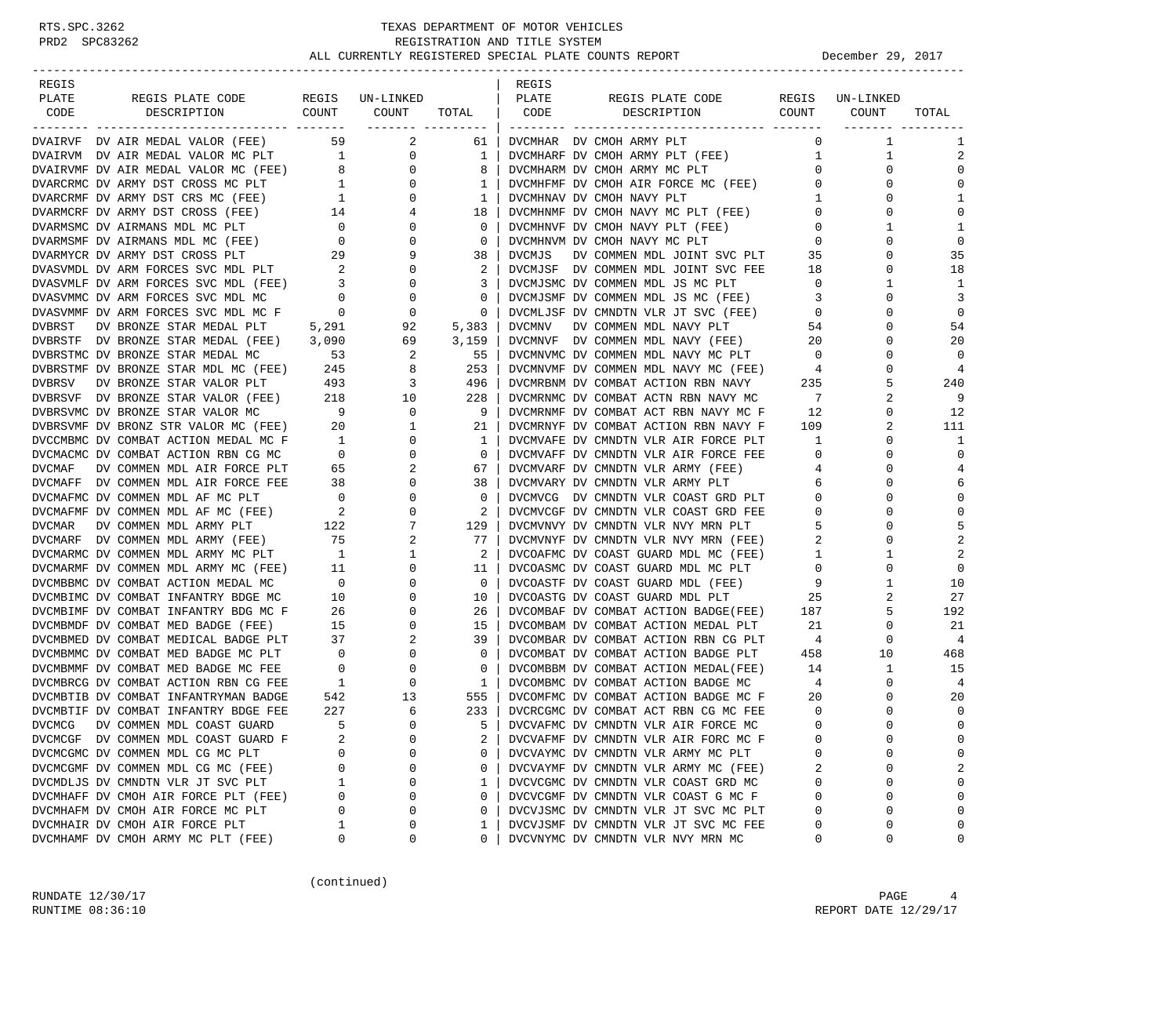| REGIS         |                                                                              |                                       |                                      |             | REGIS         |                                                                             |                   |               |                   |
|---------------|------------------------------------------------------------------------------|---------------------------------------|--------------------------------------|-------------|---------------|-----------------------------------------------------------------------------|-------------------|---------------|-------------------|
| PLATE         | REGIS PLATE CODE                                                             |                                       | REGIS UN-LINKED                      |             | PLATE         | REGIS PLATE CODE                                                            | REGIS             | UN-LINKED     |                   |
| CODE          | COUNT<br>DESCRIPTION                                                         |                                       | COUNT                                | TOTAL       | CODE          | COUNT<br>DESCRIPTION                                                        |                   | COUNT         | TOTAL             |
|               | DVAIRVF DV AIR MEDAL VALOR (FEE)                                             | 59                                    | -------- ---------<br>$\overline{a}$ | 61          |               | DVCMHAR DV CMOH ARMY PLT                                                    | $\Omega$          | 1             | 1                 |
|               | DVAIRVM DV AIR MEDAL VALOR MC PLT 1                                          |                                       | 0                                    | 1           |               | DVCMHARF DV CMOH ARMY PLT (FEE)                                             | $\mathbf{1}$      | 1             | $\overline{2}$    |
|               | DVAIRVMF DV AIR MEDAL VALOR MC (FEE)                                         | 8                                     | 0                                    | 8           |               | DVCMHARM DV CMOH ARMY MC PLT                                                | $\mathbf{0}$      | 0             | $\Omega$          |
|               | DVARCRMC DV ARMY DST CROSS MC PLT                                            |                                       | $1 \qquad \qquad$<br>$\mathbf{0}$    | 1           |               | DVCMHFMF DV CMOH AIR FORCE MC (FEE)                                         | $\mathbf{0}$      | 0             | $\Omega$          |
|               | DVARCRMF DV ARMY DST CRS MC (FEE)                                            | $\frac{1}{2}$                         | 0                                    | 1           |               | DVCMHNAV DV CMOH NAVY PLT                                                   | 1                 | 0             | 1                 |
|               | DVARMCRF DV ARMY DST CROSS (FEE)                                             | 14                                    | 4                                    | 18          |               | DVCMHNMF DV CMOH NAVY MC PLT (FEE)                                          | $\mathbf 0$       | $\Omega$      | $\mathbf 0$       |
|               | DVARMSMC DV AIRMANS MDL MC PLT                                               |                                       | 0                                    | $\mathbf 0$ |               | DVCMHNVF DV CMOH NAVY PLT (FEE)                                             | $\mathbf 0$       | 1             | 1                 |
|               | DVARMSMF DV AIRMANS MDL MC (FEE)                                             | $\begin{array}{c}0\\0\\29\end{array}$ | 0                                    | 0           |               | DVCMHNVM DV CMOH NAVY MC PLT                                                | $\mathbf{0}$      | $\Omega$      | $\mathbf{0}$      |
|               | DVARMYCR DV ARMY DST CROSS PLT                                               |                                       | 9                                    | 38          | DVCMJS        | DV COMMEN MDL JOINT SVC PLT                                                 | 35                | $\Omega$      | 35                |
|               | DVASVMDL DV ARM FORCES SVC MDL PLT 2                                         |                                       | 0                                    | 2           |               | DVCMJSF DV COMMEN MDL JOINT SVC FEE                                         | 18                | 0             | 18                |
|               | DVASVMLF DV ARM FORCES SVC MDL (FEE)                                         | $\overline{\mathbf{3}}$               | 0                                    | 3           |               | DVCMJSMC DV COMMEN MDL JS MC PLT                                            | $\overline{0}$    | 1             | 1                 |
|               | DVASVMMC DV ARM FORCES SVC MDL MC                                            | $\overline{0}$                        | 0                                    | 0           |               | DVCMJSMF DV COMMEN MDL JS MC (FEE)                                          | $\overline{3}$    | 0             | 3                 |
|               | DVASVMMF DV ARM FORCES SVC MDL MC F                                          | $\overline{\phantom{0}}$              | 0                                    | $\mathbf 0$ |               | DVCMLJSF DV CMNDTN VLR JT SVC (FEE)                                         | $\overline{0}$    |               | $\mathbf{0}$      |
| <b>DVBRST</b> | DV BRONZE STAR MEDAL PLT                                                     | 5,291                                 | 92                                   | 5,383       | <b>DVCMNV</b> | DV COMMEN MDL NAVY PLT                                                      | 54                | $\Omega$      | 54                |
|               | DVBRSTF DV BRONZE STAR MEDAL (FEE) 3,090                                     |                                       | 69                                   | 3,159       |               | DVCMNVF DV COMMEN MDL NAVY (FEE)                                            | 20                | 0             | 20                |
|               | DVBRSTMC DV BRONZE STAR MEDAL MC                                             | 53                                    | 2                                    | 55          |               | DVCMNVMC DV COMMEN MDL NAVY MC PLT                                          | $\overline{0}$    | $\Omega$      | $\mathbf 0$       |
|               | DVBRSTMF DV BRONZE STAR MDL MC (FEE) 245                                     |                                       | 8                                    | 253         |               | DVCMNVMF DV COMMEN MDL NAVY MC (FEE)                                        | 4                 | 0             | 4                 |
| DVBRSV        | DV BRONZE STAR VALOR PLT                                                     | 493                                   | 3                                    | 496         |               | DVCMRBNM DV COMBAT ACTION RBN NAVY                                          | 235               | 5             | 240               |
|               | DVBRSVF DV BRONZE STAR VALOR (FEE) 218                                       |                                       | 10                                   | 228         |               | DVCMRNMC DV COMBAT ACTN RBN NAVY MC                                         | -7                | 2             | 9                 |
|               | DVBRSVMC DV BRONZE STAR VALOR MC                                             | 9                                     | 0                                    | 9           |               | DVCMRNMF DV COMBAT ACT RBN NAVY MC F                                        | 12                | 0             | 12                |
|               | DVBRSVMF DV BRONZ STR VALOR MC (FEE)                                         | 20                                    | 1                                    | 21          |               | DVCMRNYF DV COMBAT ACTION RBN NAVY F                                        | 109               | 2             | 111               |
|               | DVCCMBMC DV COMBAT ACTION MEDAL MC F                                         | $\overline{1}$                        | 0                                    | 1           |               | DVCMVAFE DV CMNDTN VLR AIR FORCE PLT                                        | 1                 | 0             | 1                 |
|               | DVCMACMC DV COMBAT ACTION RBN CG MC                                          | $\overline{0}$                        | 0                                    | 0           |               | DVCMVAFF DV CMNDTN VLR AIR FORCE FEE                                        | $\mathbf 0$       | $\Omega$      | $\Omega$          |
| <b>DVCMAF</b> | DV COMMEN MDL AIR FORCE PLT                                                  | 65                                    | 2                                    | 67          |               | DVCMVARF DV CMNDTN VLR ARMY (FEE)                                           | 4                 | $\Omega$      |                   |
|               | DVCMAFF DV COMMEN MDL AIR FORCE FEE                                          | 38                                    | 0                                    | 38          |               | DVCMVARY DV CMNDTN VLR ARMY PLT                                             | 6                 | 0             | 6                 |
|               | DVCMAFMC DV COMMEN MDL AF MC PLT                                             | $\overline{0}$                        | 0                                    | $\mathbf 0$ |               | DVCMVCG DV CMNDTN VLR COAST GRD PLT                                         | $\mathbf{0}$      | $\Omega$      | $\mathbf 0$       |
|               | DVCMAFMF DV COMMEN MDL AF MC (FEE)                                           | $\overline{\phantom{a}}$ 2            | 0                                    | 2           |               | DVCMVCGF DV CMNDTN VLR COAST GRD FEE                                        | $\mathbf{0}$      | $\Omega$      | $\Omega$          |
| DVCMAR        | DV COMMEN MDL ARMY PLT                                                       | 122                                   |                                      | 129         |               | DVCMVNVY DV CMNDTN VLR NVY MRN PLT                                          | 5                 |               |                   |
|               | DVCMARF DV COMMEN MDL ARMY (FEE)                                             | 75                                    | 2                                    | 77          |               | DVCMVNYF DV CMNDTN VLR NVY MRN (FEE)                                        | 2                 | $\Omega$      |                   |
|               | DVCMARMC DV COMMEN MDL ARMY MC PLT                                           | $\overline{1}$                        | 1                                    | 2           |               | DVCOAFMC DV COAST GUARD MDL MC (FEE)                                        | $\mathbf{1}$      | 1             | 2                 |
|               | DVCMARMF DV COMMEN MDL ARMY MC (FEE)                                         | 11                                    | 0                                    | 11          |               | DVCOASMC DV COAST GUARD MDL MC PLT                                          | $\mathbf 0$       | 0             | $\mathbf 0$       |
|               | DVCMBBMC DV COMBAT ACTION MEDAL MC                                           | $\overline{0}$                        | 0                                    | $\mathbf 0$ |               | DVCOASTF DV COAST GUARD MDL (FEE)                                           | - 9               | 1             | 10                |
|               | DVCMBIMC DV COMBAT INFANTRY BDGE MC                                          | 10                                    | 0                                    | 10          |               | DVCOASTG DV COAST GUARD MDL PLT                                             | 25                | 2             | 27                |
|               | DVCMBIMF DV COMBAT INFANTRY BDG MC F                                         | 26                                    | 0                                    | 26          |               | DVCOMBAF DV COMBAT ACTION BADGE(FEE) 187                                    |                   | 5             | 192               |
|               | DVCMBMDF DV COMBAT MED BADGE (FEE)                                           | 15                                    | 0                                    | 15          |               | DVCOMBAM DV COMBAT ACTION MEDAL PLT                                         | 21                | 0             | 21                |
|               | DVCMBMED DV COMBAT MEDICAL BADGE PLT                                         | 37                                    | 2                                    | 39          |               | DVCOMBAR DV COMBAT ACTION RBN CG PLT                                        | $\overline{4}$    | $\mathbf 0$   | $\overline{4}$    |
|               | DVCMBMMC DV COMBAT MED BADGE MC PLT                                          | $\overline{0}$                        | 0                                    | $\mathbf 0$ |               | DVCOMBAT DV COMBAT ACTION BADGE PLT                                         | 458               | 10            | 468               |
|               | DVCMBMMF DV COMBAT MED BADGE MC FEE                                          | $\overline{0}$                        | $\mathbf 0$                          | $\mathbf 0$ |               | DVCOMBBM DV COMBAT ACTION MEDAL(FEE)                                        | 14                | $\mathbf 1$   | 15                |
|               | DVCMBRCG DV COMBAT ACTION RBN CG FEE<br>DVCMBTIB DV COMBAT INFANTRYMAN BADGE | $\mathbf{1}$                          | $\mathbf 0$                          | 1           |               | DVCOMBMC DV COMBAT ACTION BADGE MC                                          | 4                 | 0             | 4                 |
|               | DVCMBTIF DV COMBAT INFANTRY BDGE FEE                                         | 542<br>227                            | 13<br>6                              | 555         |               | DVCOMFMC DV COMBAT ACTION BADGE MC F                                        | 20<br>$\mathbf 0$ | 0<br>$\Omega$ | 20<br>$\mathbf 0$ |
| <b>DVCMCG</b> | DV COMMEN MDL COAST GUARD                                                    | 5                                     | $\Omega$                             | 233<br>5    |               | DVCRCGMC DV COMBAT ACT RBN CG MC FEE<br>DVCVAFMC DV CMNDTN VLR AIR FORCE MC | $\Omega$          | $\cap$        | $\Omega$          |
|               | DVCMCGF DV COMMEN MDL COAST GUARD F                                          | 2                                     | 0                                    | 2           |               |                                                                             |                   | 0             | $\Omega$          |
|               | DVCMCGMC DV COMMEN MDL CG MC PLT                                             | 0                                     | U                                    | 0           |               | DVCVAFMF DV CMNDTN VLR AIR FORC MC F<br>DVCVAYMC DV CMNDTN VLR ARMY MC PLT  | 0                 | U             | $\Omega$          |
|               | DVCMCGMF DV COMMEN MDL CG MC (FEE)                                           | 0                                     | 0                                    | 0           |               | DVCVAYMF DV CMNDTN VLR ARMY MC (FEE)                                        | 2                 | 0             | 2                 |
|               | DVCMDLJS DV CMNDTN VLR JT SVC PLT                                            | 1                                     | 0                                    | 1           |               | DVCVCGMC DV CMNDTN VLR COAST GRD MC                                         | 0                 | 0             | $\Omega$          |
|               | DVCMHAFF DV CMOH AIR FORCE PLT (FEE)                                         | 0                                     | 0                                    | 0           |               | DVCVCGMF DV CMNDTN VLR COAST G MC F                                         | 0                 | 0             | $\Omega$          |
|               | DVCMHAFM DV CMOH AIR FORCE MC PLT                                            | 0                                     | 0                                    | 0           |               | DVCVJSMC DV CMNDTN VLR JT SVC MC PLT                                        | 0                 | 0             | $\Omega$          |
|               | DVCMHAIR DV CMOH AIR FORCE PLT                                               | 1                                     | 0                                    | 1           |               | DVCVJSMF DV CMNDTN VLR JT SVC MC FEE                                        | $\Omega$          | 0             | $\Omega$          |
|               | DVCMHAMF DV CMOH ARMY MC PLT (FEE)                                           | 0                                     | 0                                    | 0           |               | DVCVNYMC DV CMNDTN VLR NVY MRN MC                                           | 0                 | 0             | 0                 |

(continued)

RUNDATE  $12/30/17$  PAGE 4 RUNTIME 08:36:10 REPORT DATE 12/29/17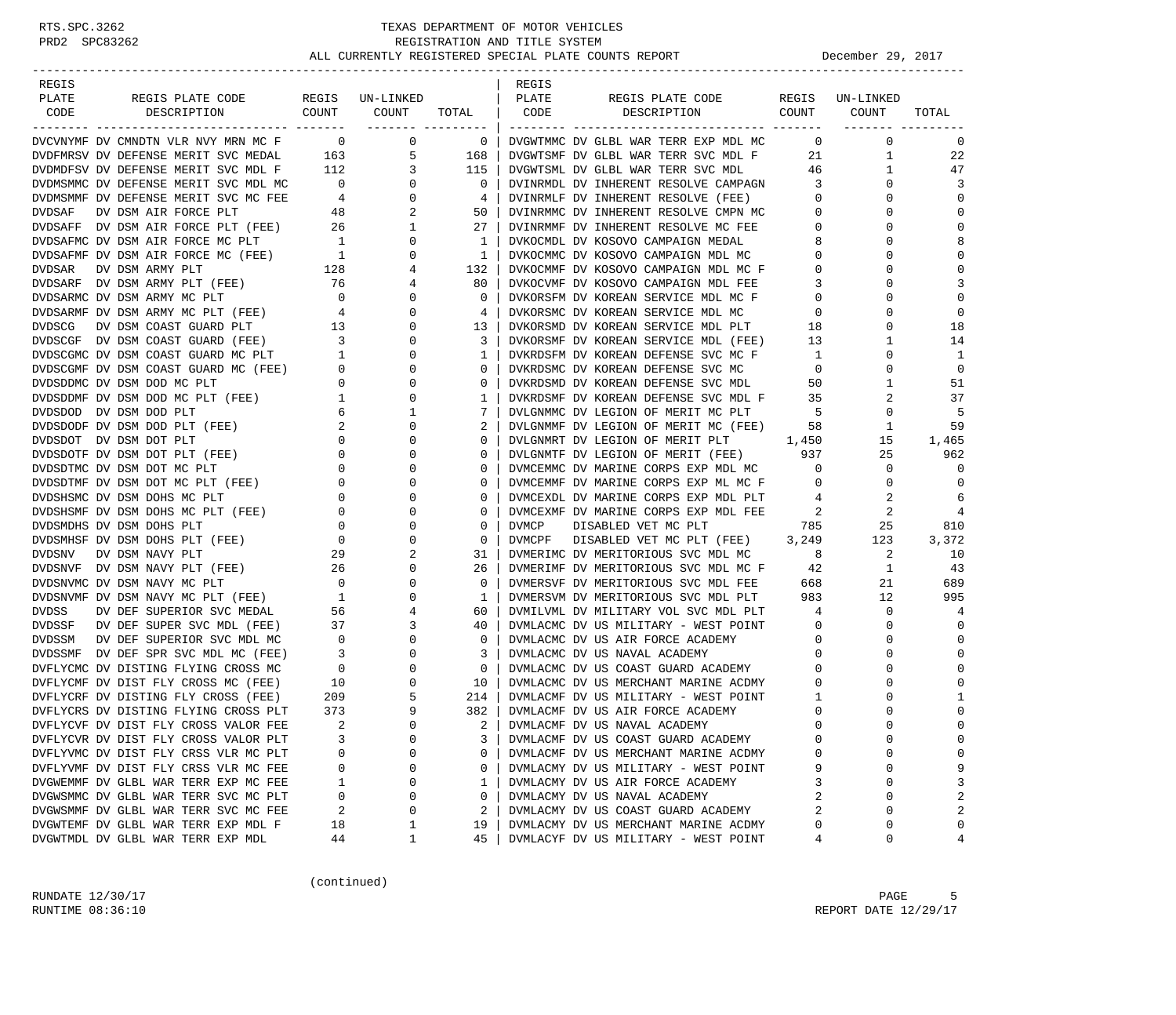| REGIS                                                                                                                                                                                                        |                                             |                                |                | REGIS  |                                                                              |                         |                         |                |
|--------------------------------------------------------------------------------------------------------------------------------------------------------------------------------------------------------------|---------------------------------------------|--------------------------------|----------------|--------|------------------------------------------------------------------------------|-------------------------|-------------------------|----------------|
| PLATE<br>REGIS PLATE CODE                                                                                                                                                                                    |                                             | REGIS UN-LINKED                |                | PLATE  | REGIS PLATE CODE                                                             |                         | REGIS UN-LINKED         |                |
| CODE<br>DESCRIPTION                                                                                                                                                                                          | COUNT                                       | COUNT<br>-------- ---------    | TOTAL          | CODE   | COUNT<br>DESCRIPTION                                                         |                         | COUNT<br>-------- ----- | TOTAL          |
| DVCVNYMF DV CMNDTN VLR NVY PRANT (DVDFMRSV DV DEFENSE MERIT SVC MEDAL 105)<br>DVDMDFSV DV DEFENSE MERIT SVC MDL F 112 3<br>TIMMMC DV DEFENSE MERIT SVC MDL MC 0<br>TIMMC DV DEFENSE MERIT SVC MC FEE 4<br>48 |                                             | $\mathbf 0$                    | $\overline{0}$ |        | DVGWTMMC DV GLBL WAR TERR EXP MDL MC                                         | $\mathbf{0}$            | 0                       | 0              |
|                                                                                                                                                                                                              |                                             | 5                              | 168            |        | DVGWTSMF DV GLBL WAR TERR SVC MDL F                                          | 21                      | $\mathbf{1}$            | 22             |
|                                                                                                                                                                                                              |                                             | $\overline{3}$                 | 115            |        | DVGWTSML DV GLBL WAR TERR SVC MDL                                            | 46                      | $\mathbf{1}$            | 47             |
|                                                                                                                                                                                                              |                                             | $\mathbf{0}$                   | $\mathbf{0}$   |        | DVINRMDL DV INHERENT RESOLVE CAMPAGN                                         | $\overline{\mathbf{3}}$ | $\Omega$                | 3              |
|                                                                                                                                                                                                              |                                             | $\overline{0}$                 | 4              |        | DVINRMLF DV INHERENT RESOLVE (FEE)                                           | $\overline{0}$          | 0                       | $\mathbf 0$    |
|                                                                                                                                                                                                              |                                             | 2                              | 50             |        | DVINRMMC DV INHERENT RESOLVE CMPN MC                                         | $\mathbf{0}$            | $\Omega$                | $\mathbf 0$    |
|                                                                                                                                                                                                              |                                             | $\mathbf{1}$                   | 27             |        | DVINRMMF DV INHERENT RESOLVE MC FEE                                          | $\mathbf{0}$            | 0                       | $\mathbf 0$    |
| DVDSAFF DV DSM AIR FORCE PLT (FEE) 26<br>DVDSAFMC DV DSM AIR FORCE MC PLT 1<br>DVDSAFMF DV DSM AIR FORCE MC (FEE) 1                                                                                          |                                             | 0                              | $\mathbf{1}$   |        | DVKOCMDL DV KOSOVO CAMPAIGN MEDAL                                            | 8                       | $\Omega$                | 8              |
|                                                                                                                                                                                                              |                                             | 0                              | 1              |        | DVKOCMMC DV KOSOVO CAMPAIGN MDL MC                                           | $\mathbf 0$             | $\Omega$                | $\mathbf 0$    |
| <b>DVDSAR</b><br>DV DSM ARMY PLT                                                                                                                                                                             |                                             | 4                              | 132            |        | DVKOCMMF DV KOSOVO CAMPAIGN MDL MC F                                         | $\mathbf 0$             | 0                       | $\mathbf 0$    |
| DVDSARF DV DSM ARMY PLT (FEE)                                                                                                                                                                                | $\frac{128}{76}$<br>76                      | 4                              | 80             |        | DVKOCVMF DV KOSOVO CAMPAIGN MDL FEE                                          | 3                       | $\Omega$                | 3              |
| DVDSARMC DV DSM ARMY MC PLT                                                                                                                                                                                  | $\overline{a}$                              | 0                              | $\mathbf{0}$   |        | DVKORSFM DV KOREAN SERVICE MDL MC F                                          | $\mathbf{0}$            | 0                       | $\mathbf 0$    |
| DVDSARMF DV DSM ARMY MC PLT (FEE)                                                                                                                                                                            | $4\overline{ }$                             | $\mathbf 0$                    | 4              |        | DVKORSMC DV KOREAN SERVICE MDL MC                                            | $\overline{0}$          | $\Omega$                | $\mathbf 0$    |
| <b>DVDSCG</b><br>DV DSM COAST GUARD PLT                                                                                                                                                                      | 13                                          | $\mathbf 0$                    | 13             |        | DVKORSMC DV KOREAN SERVICE MDL MC<br>DVKORSMD DV KOREAN SERVICE MDL PLT      | 18                      | $\Omega$                | 18             |
|                                                                                                                                                                                                              |                                             | $\mathbf 0$                    | 3              |        | DVKORSMF DV KOREAN SERVICE MDL (FEE)                                         | 13                      | 1                       | 14             |
| DVDSCGF DV DSM COAST GUARD (FEE) 3<br>DVDSCGMC DV DSM COAST GUARD MC PLT 1                                                                                                                                   |                                             | $\mathbf 0$                    | 1              |        | DVKRDSFM DV KOREAN DEFENSE SVC MC F                                          | $\mathbf{1}$            | $\Omega$                | <sup>1</sup>   |
| DVDSCGMF DV DSM COAST GUARD MC (FEE) 0                                                                                                                                                                       |                                             | 0                              | $\mathbf{0}$   |        | DVKRDSMC DV KOREAN DEFENSE SVC MC                                            | $\mathbf 0$             | 0                       | $\mathbf 0$    |
|                                                                                                                                                                                                              |                                             | $\mathbf 0$                    | $\circ$        |        | DVKRDSMD DV KOREAN DEFENSE SVC MDL                                           | 50                      | $\mathbf 1$             | 51             |
| DVDSDDMC DV DSM DOD MC PLT (FEE) 0<br>DVDSDDMF DV DSM DOD MC PLT (FEE) 1                                                                                                                                     |                                             | $\mathbf 0$                    | 1              |        | DVKRDSMF DV KOREAN DEFENSE SVC MDL F 35                                      |                         | 2                       | 37             |
| DVDSDOD DV DSM DOD PLT                                                                                                                                                                                       | 6                                           | 1                              | 7              |        |                                                                              | $5^{\circ}$             | 0                       | -5             |
| DVDSDODF DV DSM DOD PLT (FEE)                                                                                                                                                                                | 2                                           | $\mathbf 0$                    | 2              |        | DVLGNMMF DV LEGION OF MERIT MC (FEE)<br>DVLGNMMF DV LEGION OF MERIT MC (FEE) | 58                      | 1                       | 59             |
| DVDSDOT DV DSM DOT PLT                                                                                                                                                                                       | $\overline{0}$                              | 0                              | $\mathbf{0}$   |        | DVLGNMRT DV LEGION OF MERIT PLT 1,450                                        |                         | 15                      | 1,465          |
| DVDSDOTF DV DSM DOT PLT (FEE)                                                                                                                                                                                | $\mathbf{0}$                                | $\mathbf 0$                    | 0              |        | DVLGNMTF DV LEGION OF MERIT (FEE) 937                                        |                         | 25                      | 962            |
| DVDSDTMC DV DSM DOT MC PLT                                                                                                                                                                                   | $\mathbf{0}$                                | $\mathbf 0$                    | 0              |        | DVMCEMMC DV MARINE CORPS EXP MDL MC                                          | $\overline{0}$          | 0                       | 0              |
| DVDSDTMF DV DSM DOT MC PLT (FEE)                                                                                                                                                                             |                                             | $0 \qquad \qquad$<br>0         | 0              |        | DVMCEMMF DV MARINE CORPS EXP ML MC F                                         | $\mathbf{0}$            | $\mathbf{0}$            | $\mathbf 0$    |
| DVDSHSMC DV DSM DOHS MC PLT                                                                                                                                                                                  | $\overline{0}$                              | $\mathbf 0$                    | 0              |        | DVMCEXDL DV MARINE CORPS EXP MDL PLT                                         | 4                       | 2                       | 6              |
| DVDSHSMF DV DSM DOHS MC PLT (FEE)                                                                                                                                                                            | $\overline{0}$                              | $\mathbf 0$                    | $\mathbf{0}$   |        | DVMCEXMF DV MARINE CORPS EXP MDL FEE                                         | 2                       | 2                       | $\overline{4}$ |
| DVDSMDHS DV DSM DOHS PLT                                                                                                                                                                                     | $\mathbf{0}$                                | $\mathbf 0$                    | 0              | DVMCP  | DISABLED VET MC PLT                                                          | 785                     | 25                      | 810            |
| DVDSMHSF DV DSM DOHS PLT (FEE)                                                                                                                                                                               | $\begin{array}{c} 0 \\ 0 \end{array}$       | $\mathbf 0$                    | $\circ$        | DVMCPF | DISABLED VET MC PLT (FEE) 3,249                                              |                         | 123                     | 3,372          |
| DVDSNV<br>DV DSM NAVY PLT                                                                                                                                                                                    |                                             | 2                              | 31             |        | DVMERIMC DV MERITORIOUS SVC MDL MC                                           | 8                       | 2                       | 10             |
| DVDSNVF DV DSM NAVY PLT (FEE)                                                                                                                                                                                | 26                                          | $\frac{29}{26}$<br>$\mathbf 0$ | 26             |        | DVMERIMF DV MERITORIOUS SVC MDL MC F                                         | 42                      | $\mathbf{1}$            | 43             |
| DVDSNVMC DV DSM NAVY MC PLT                                                                                                                                                                                  | $\overline{\phantom{0}}$                    | $\mathbf 0$                    | $\mathbf{0}$   |        | DVMERSVF DV MERITORIOUS SVC MDL FEE                                          | 668                     | 21                      | 689            |
| DVDSNVMF DV DSM NAVY MC PLT (FEE)                                                                                                                                                                            | $\overline{1}$                              | 0                              | 1              |        | DVMERSVM DV MERITORIOUS SVC MDL PLT                                          | 983                     | 12                      | 995            |
| DVDSS<br>DV DEF SUPERIOR SVC MEDAL                                                                                                                                                                           | 56                                          | 4                              | 60             |        | DVMILVML DV MILITARY VOL SVC MDL PLT                                         | 4                       | $\mathbf{0}$            | 4              |
| DVDSSF DV DEF SUPER SVC MDL (FEE)                                                                                                                                                                            | 37                                          | 3                              | 40             |        | DVMLACMC DV US MILITARY - WEST POINT                                         | $\overline{0}$          | 0                       | $\mathbf 0$    |
| DVDSSM DV DEF SUPERIOR SVC MDL MC                                                                                                                                                                            | $\overline{0}$                              | $\mathbf 0$                    | $\mathbf{0}$   |        | DVMLACMC DV US AIR FORCE ACADEMY                                             | $\overline{0}$          | $\Omega$                | 0              |
| DVDSSMF DV DEF SPR SVC MDL MC (FEE)                                                                                                                                                                          | $\overline{\mathbf{3}}$                     | $\mathbf 0$                    | 3              |        | DVMLACMC DV US NAVAL ACADEMY                                                 | $\overline{0}$          | 0                       | $\Omega$       |
| DVFLYCMC DV DISTING FLYING CROSS MC                                                                                                                                                                          | $\begin{array}{c} 3 \\ 0 \\ 10 \end{array}$ | $\mathbf 0$                    | $\mathbf{0}$   |        | DVMLACMC DV US COAST GUARD ACADEMY                                           | $\mathbf 0$             | $\Omega$                | 0              |
| DVFLYCMF DV DIST FLY CROSS MC (FEE)                                                                                                                                                                          |                                             | $\mathbf 0$                    | 10             |        | DVMLACMC DV US MERCHANT MARINE ACDMY                                         | $\mathbf{0}$            | $\Omega$                | $\Omega$       |
| DVFLYCRF DV DISTING FLY CROSS (FEE)                                                                                                                                                                          | 209                                         | 5                              | 214            |        | DVMLACMF DV US MILITARY - WEST POINT                                         | 1                       | 0                       | 1              |
| DVFLYCRS DV DISTING FLYING CROSS PLT                                                                                                                                                                         | 373                                         | 9                              | 382            |        | DVMLACMF DV US AIR FORCE ACADEMY                                             | $\mathbf 0$             | $\Omega$                | $\mathbf 0$    |
| DVFLYCVF DV DIST FLY CROSS VALOR FEE                                                                                                                                                                         | 2                                           | $\Omega$                       | $\overline{2}$ |        | DVMLACMF DV US NAVAL ACADEMY                                                 | $\Omega$                | $\Omega$                | $\Omega$       |
| DVFLYCVR DV DIST FLY CROSS VALOR PLT                                                                                                                                                                         | 3                                           | 0                              | 3              |        | DVMLACMF DV US COAST GUARD ACADEMY                                           | $\mathbf 0$             | 0                       | 0              |
| DVFLYVMC DV DIST FLY CRSS VLR MC PLT                                                                                                                                                                         | $\Omega$                                    | 0                              | 0              |        | DVMLACMF DV US MERCHANT MARINE ACDMY                                         | $\Omega$                | $\Omega$                | 0              |
| DVFLYVMF DV DIST FLY CRSS VLR MC FEE                                                                                                                                                                         | 0                                           | 0                              | 0              |        | DVMLACMY DV US MILITARY - WEST POINT                                         | 9                       | 0                       | 9              |
| DVGWEMMF DV GLBL WAR TERR EXP MC FEE                                                                                                                                                                         | 1                                           | 0                              | 1              |        | DVMLACMY DV US AIR FORCE ACADEMY                                             | 3                       | $\Omega$                | 3              |
| DVGWSMMC DV GLBL WAR TERR SVC MC PLT                                                                                                                                                                         | 0                                           | 0                              | 0              |        | DVMLACMY DV US NAVAL ACADEMY                                                 | 2                       | $\Omega$                | 2              |
| DVGWSMMF DV GLBL WAR TERR SVC MC FEE                                                                                                                                                                         | 2                                           | 0                              | 2              |        | DVMLACMY DV US COAST GUARD ACADEMY                                           | 2                       | $\Omega$                | 2              |
| DVGWTEMF DV GLBL WAR TERR EXP MDL F                                                                                                                                                                          | 18                                          | 1                              | 19             |        | DVMLACMY DV US MERCHANT MARINE ACDMY                                         | 0                       | 0                       | 0              |
| DVGWTMDL DV GLBL WAR TERR EXP MDL                                                                                                                                                                            | 44                                          | 1                              | 45             |        | DVMLACYF DV US MILITARY - WEST POINT                                         | 4                       | 0                       | 4              |

(continued)

RUNDATE  $12/30/17$  PAGE 5 RUNTIME 08:36:10 REPORT DATE 12/29/17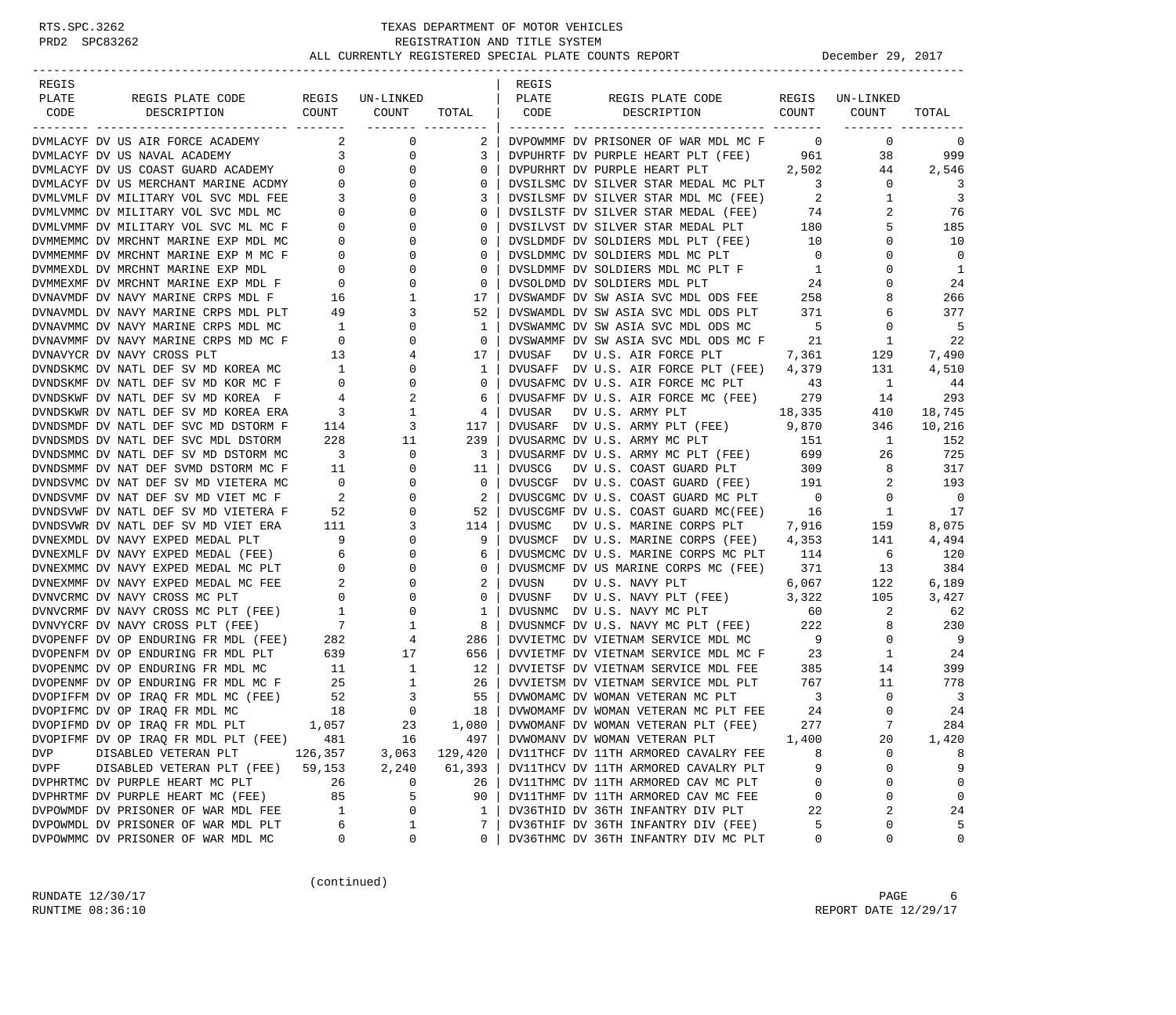| REGIS                                              |                                  |                                   |              | REGIS         |                                        |                         |              |                         |
|----------------------------------------------------|----------------------------------|-----------------------------------|--------------|---------------|----------------------------------------|-------------------------|--------------|-------------------------|
| PLATE<br>REGIS PLATE CODE                          |                                  | REGIS UN-LINKED                   |              | PLATE         | REGIS PLATE CODE                       | REGIS                   | UN-LINKED    |                         |
| CODE<br>DESCRIPTION                                | COUNT                            | COUNT                             | TOTAL        | CODE          | DESCRIPTION                            | COUNT                   | COUNT        | TOTAL                   |
|                                                    |                                  | -------- ---------                |              |               |                                        |                         |              |                         |
| DVMLACYF DV US AIR FORCE ACADEMY                   | 2                                | $\mathbf 0$                       | $2-1$        |               | DVPOWMMF DV PRISONER OF WAR MDL MC F   | $\overline{0}$          | $\mathbf 0$  | 0                       |
| DVMLACYF DV US NAVAL ACADEMY                       | 3 <sup>7</sup>                   | 0                                 | 3            |               | DVPUHRTF DV PURPLE HEART PLT (FEE) 961 |                         | 38           | 999                     |
| DVMLACYF DV US COAST GUARD ACADEMY                 | $\mathbf 0$                      | $\mathbf{0}$                      | $\mathbf{0}$ |               | DVPURHRT DV PURPLE HEART PLT           | 2,502                   | 44           | 2,546                   |
| DVMLACYF DV US MERCHANT MARINE ACDMY               |                                  | $0 \qquad \qquad$<br>$\mathbf{0}$ | $\Omega$     |               | DVSILSMC DV SILVER STAR MEDAL MC PLT   | $\overline{\mathbf{3}}$ | $\mathbf{0}$ | 3                       |
| DVMLVMLF DV MILITARY VOL SVC MDL FEE               | 3                                | $\mathbf{0}$                      | 3            |               | DVSILSMF DV SILVER STAR MDL MC (FEE)   | 2                       | $\mathbf{1}$ | 3                       |
| DVMLVMMC DV MILITARY VOL SVC MDL MC                | $\mathbf{0}$                     | $\mathbf{0}$                      | $\mathbf{0}$ |               | DVSILSTF DV SILVER STAR MEDAL (FEE)    | 74                      | 2            | 76                      |
| DVMLVMMF DV MILITARY VOL SVC ML MC F               | 0                                | $\mathbf{0}$                      | $\mathbf{0}$ |               | DVSILVST DV SILVER STAR MEDAL PLT      | 180                     | 5            | 185                     |
| DVMMEMMC DV MRCHNT MARINE EXP MDL MC               | 0                                | $\mathbf 0$                       | $\mathbf{0}$ |               | DVSLDMDF DV SOLDIERS MDL PLT (FEE)     | 10                      | $\Omega$     | 10                      |
| DVMMEMMF DV MRCHNT MARINE EXP M MC F               | $\mathbf{0}$                     | $\mathbf 0$                       | $\mathbf{0}$ |               | DVSLDMMC DV SOLDIERS MDL MC PLT        | $\overline{0}$          | $\Omega$     | $\Omega$                |
| DVMMEXDL DV MRCHNT MARINE EXP MDL                  | $\mathbf{0}$                     | 0                                 | 0            |               | DVSLDMMF DV SOLDIERS MDL MC PLT F      | $\mathbf{1}$            | 0            | $\mathbf{1}$            |
| DVMMEXMF DV MRCHNT MARINE EXP MDL F                | $\mathbf{0}$                     | $\mathbf 0$                       | $\mathbf{0}$ |               | DVSOLDMD DV SOLDIERS MDL PLT           | 24                      | $\Omega$     | 24                      |
| DVNAVMDF DV NAVY MARINE CRPS MDL F                 | 16                               | 1                                 | 17           |               | DVSWAMDF DV SW ASIA SVC MDL ODS FEE    | 258                     | 8            | 266                     |
| DVNAVMDL DV NAVY MARINE CRPS MDL PLT               | 49                               | 3                                 | 52           |               | DVSWAMDL DV SW ASIA SVC MDL ODS PLT    | 371                     | 6            | 377                     |
| DVNAVMMC DV NAVY MARINE CRPS MDL MC                | $\overline{1}$                   | $\mathbf 0$                       | 1            |               | DVSWAMMC DV SW ASIA SVC MDL ODS MC     | $5^{\circ}$             | 0            | 5                       |
| DVNAVMMF DV NAVY MARINE CRPS MD MC F               | $\overline{0}$                   | $\mathbf 0$                       | $\mathbf{0}$ |               | DVSWAMMF DV SW ASIA SVC MDL ODS MC F   | 21                      | 1            | -22                     |
| DVNAVYCR DV NAVY CROSS PLT                         | 13                               | 4                                 | 17           | DVUSAF        |                                        |                         | 129          |                         |
|                                                    |                                  |                                   |              |               | DV U.S. AIR FORCE PLT                  | 7,361                   |              | 7,490                   |
| DVNDSKMC DV NATL DEF SV MD KOREA MC                | $\overline{1}$<br>$\overline{0}$ | $\mathbf{0}$<br>$\mathbf 0$       | $\mathbf{1}$ |               | DVUSAFF DV U.S. AIR FORCE PLT (FEE)    | 4,379                   | 131          | 4,510                   |
| DVNDSKMF DV NATL DEF SV MD KOR MC F                |                                  |                                   | $\mathbf{0}$ |               | DVUSAFMC DV U.S. AIR FORCE MC PLT      | 43                      | 1            | 44                      |
| DVNDSKWF DV NATL DEF SV MD KOREA F                 | 4                                | 2                                 | 6            |               | DVUSAFMF DV U.S. AIR FORCE MC (FEE)    | 279                     | 14           | 293                     |
| DVNDSKWR DV NATL DEF SV MD KOREA ERA               | 3                                | 1                                 | 4            | DVUSAR        | DV U.S. ARMY PLT                       | 18,335                  | 410          | 18,745                  |
| DVNDSMDF DV NATL DEF SVC MD DSTORM F               | 114                              | 3                                 | 117          |               | DVUSARF DV U.S. ARMY PLT (FEE)         | 9,870                   | 346          | 10,216                  |
| DVNDSMDS DV NATL DEF SVC MDL DSTORM                | 228                              | 11                                | 239          |               | DVUSARMC DV U.S. ARMY MC PLT           | 151                     | 1            | 152                     |
| DVNDSMMC DV NATL DEF SV MD DSTORM MC               | $\overline{\mathbf{3}}$          | $\mathbf 0$                       | 3            |               | DVUSARMF DV U.S. ARMY MC PLT (FEE)     | 699                     | 26           | 725                     |
| DVNDSMMF DV NAT DEF SVMD DSTORM MC F               | 11                               | $\mathbf 0$                       | 11           | <b>DVUSCG</b> | DV U.S. COAST GUARD PLT                | 309                     | 8            | 317                     |
| DVNDSVMC DV NAT DEF SV MD VIETERA MC               | $\overline{0}$                   | 0                                 | $\circ$      |               | DVUSCGF DV U.S. COAST GUARD (FEE)      | 191                     | 2            | 193                     |
| DVNDSVMF DV NAT DEF SV MD VIET MC F                | $\overline{\phantom{a}}$         | $\mathbf 0$                       | 2            |               | DVUSCGMC DV U.S. COAST GUARD MC PLT    | $\overline{0}$          | 0            | $\overline{0}$          |
| DVNDSVWF DV NATL DEF SV MD VIETERA F               | 52                               | 0                                 | 52           |               | DVUSCGMF DV U.S. COAST GUARD MC(FEE)   | 16                      | 1            | 17                      |
| DVNDSVWR DV NATL DEF SV MD VIET ERA                | 111                              | 3                                 | 114          | DVUSMC        | DV U.S. MARINE CORPS PLT               | 7,916                   | 159          | 8,075                   |
| DVNEXMDL DV NAVY EXPED MEDAL PLT                   | 9                                | 0                                 | 9            |               | DVUSMCF DV U.S. MARINE CORPS (FEE)     | 4,353                   | 141          | 4,494                   |
| DVNEXMLF DV NAVY EXPED MEDAL (FEE)                 | 6                                | 0                                 | 6            |               | DVUSMCMC DV U.S. MARINE CORPS MC PLT   | 114                     | 6            | 120                     |
| DVNEXMMC DV NAVY EXPED MEDAL MC PLT                | $\overline{0}$                   | 0                                 | $\mathbf{0}$ |               | DVUSMCMF DV US MARINE CORPS MC (FEE)   | 371                     | 13           | 384                     |
| DVNEXMMF DV NAVY EXPED MEDAL MC FEE                | $\overline{\phantom{a}}$         | $\mathbf{0}$                      | 2            | <b>DVUSN</b>  | DV U.S. NAVY PLT                       | 6,067                   | 122          | 6,189                   |
| DVNVCRMC DV NAVY CROSS MC PLT                      | $\overline{0}$                   | $\mathbf 0$                       | 0            | DVUSNF        | DV U.S. NAVY PLT (FEE)                 | 3,322                   | 105          | 3,427                   |
| DVNVCRMF DV NAVY CROSS MC PLT (FEE)                | $\overline{1}$                   | $\mathbf 0$                       | 1            |               | DVUSNMC DV U.S. NAVY MC PLT            | 60                      | 2            | 62                      |
| DVNVYCRF DV NAVY CROSS PLT (FEE)                   | $7\overline{ }$                  | $\mathbf{1}$                      | 8            |               | DVUSNMCF DV U.S. NAVY MC PLT (FEE)     | 222                     | 8            | 230                     |
| DVOPENFF DV OP ENDURING FR MDL (FEE)               | 282                              | 4                                 | 286          |               | DVVIETMC DV VIETNAM SERVICE MDL MC     | $\overline{9}$          | $\mathbf{0}$ | - 9                     |
| DVOPENFM DV OP ENDURING FR MDL PLT                 | 639                              | 17                                | 656          |               | DVVIETMF DV VIETNAM SERVICE MDL MC F   | 23                      | $\mathbf{1}$ | 24                      |
| DVOPENMC DV OP ENDURING FR MDL MC                  | 11                               | $\mathbf{1}$                      | 12           |               | DVVIETSF DV VIETNAM SERVICE MDL FEE    | 385                     | 14           | 399                     |
| DVOPENMF DV OP ENDURING FR MDL MC F                | 25                               | $\mathbf{1}$                      | 26           |               | DVVIETSM DV VIETNAM SERVICE MDL PLT    | 767                     | 11           | 778                     |
| DVOPIFFM DV OP IRAO FR MDL MC (FEE)                | 52                               | $\overline{3}$                    | 55           |               | DVWOMAMC DV WOMAN VETERAN MC PLT       | $\overline{\mathbf{3}}$ | 0            | $\overline{\mathbf{3}}$ |
| DVOPIFMC DV OP IRAO FR MDL MC                      | 18                               | $\mathbf 0$                       | 18           |               | DVWOMAMF DV WOMAN VETERAN MC PLT FEE   | 24                      | $\mathbf{0}$ | 24                      |
| DVOPIFMD DV OP IRAQ FR MDL PLT                     | 1,057                            | 23                                | $1,080$      |               | DVWOMANF DV WOMAN VETERAN PLT (FEE)    | 277                     | 7            | 284                     |
| DVOPIFMF DV OP IRAQ FR MDL PLT (FEE)               | 481                              | 16                                | 497          |               | DVWOMANV DV WOMAN VETERAN PLT          | 1,400                   | 20           | 1,420                   |
| DVP                                                |                                  |                                   |              |               |                                        |                         | $\mathbf 0$  | 8                       |
| DISABLED VETERAN PLT<br>DISABLED VETERAN PLT (FEE) | 126,357<br>59,153                | 3,063<br>2,240                    | 129,420      |               | DV11THCF DV 11TH ARMORED CAVALRY FEE   | 8<br>9                  | 0            | 9                       |
| DVPF                                               |                                  |                                   | 61,393       |               | DV11THCV DV 11TH ARMORED CAVALRY PLT   |                         |              |                         |
| DVPHRTMC DV PURPLE HEART MC PLT                    | 26                               | 0                                 | 26           |               | DV11THMC DV 11TH ARMORED CAV MC PLT    | 0                       | 0            | 0                       |
| DVPHRTMF DV PURPLE HEART MC (FEE)                  | 85                               | 5                                 | 90           |               | DV11THMF DV 11TH ARMORED CAV MC FEE    | 0                       | 0            | 0                       |
| DVPOWMDF DV PRISONER OF WAR MDL FEE                | $\mathbf{1}$                     | 0                                 | $\mathbf{1}$ |               | DV36THID DV 36TH INFANTRY DIV PLT      | 22                      | 2            | 24                      |
| DVPOWMDL DV PRISONER OF WAR MDL PLT                | 6                                | 1                                 | 7            |               | DV36THIF DV 36TH INFANTRY DIV (FEE)    | 5                       | 0            | 5                       |
| DVPOWMMC DV PRISONER OF WAR MDL MC                 | 0                                | 0                                 | 0            |               | DV36THMC DV 36TH INFANTRY DIV MC PLT   | 0                       | 0            | $\mathbf 0$             |

(continued)

RUNDATE  $12/30/17$  PAGE 6 RUNTIME 08:36:10 REPORT DATE 12/29/17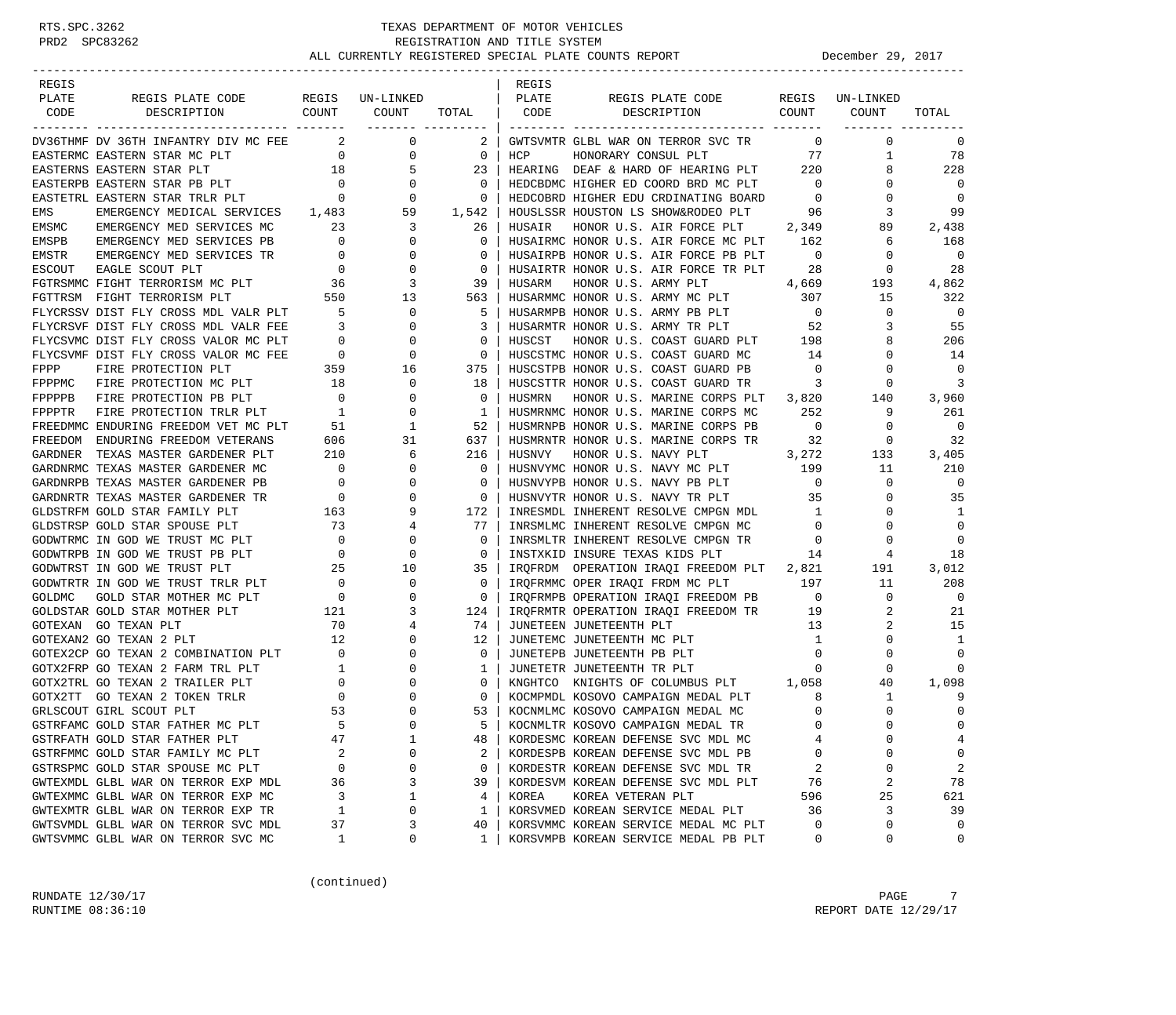| REGIS  |                                                                                                     |                                            |                                                                           |                | REGIS  |                                                                          |                          |                 |                |
|--------|-----------------------------------------------------------------------------------------------------|--------------------------------------------|---------------------------------------------------------------------------|----------------|--------|--------------------------------------------------------------------------|--------------------------|-----------------|----------------|
| PLATE  | REGIS PLATE CODE                                                                                    |                                            | REGIS UN-LINKED                                                           |                | PLATE  | REGIS PLATE CODE                                                         |                          | REGIS UN-LINKED |                |
| CODE   | DESCRIPTION COUNT                                                                                   |                                            | COUNT<br>------- ---------                                                | TOTAL   CODE   |        | DESCRIPTION COUNT                                                        |                          | COUNT           | TOTAL          |
|        | DV36THMF DV 36TH INFANTRY DIV MC FEE 2                                                              |                                            | $\overline{0}$                                                            | 2 <sup>1</sup> |        | GWTSVMTR GLBL WAR ON TERROR SVC TR                                       | $\overline{0}$           | $\mathbf 0$     | 0              |
|        | EASTERMC EASTERN STAR MC PLT                                                                        | $\overline{0}$                             | $\mathbf 0$                                                               | $\overline{0}$ | HCP    | HONORARY CONSUL PLT                                                      | 77                       | $\mathbf{1}$    | 78             |
|        | EASTERNS EASTERN STAR PLT                                                                           | 18                                         | 5                                                                         | 23             |        | HEARING DEAF & HARD OF HEARING PLT 220                                   |                          | 8               | 228            |
|        | EASTERPB EASTERN STAR PB PLT                                                                        |                                            | $\overline{0}$                                                            | $\mathbf 0$    |        | HEDCBDMC HIGHER ED COORD BRD MC PLT 0                                    |                          | 0               | $\Omega$       |
|        | EASTETRL EASTERN STAR TRLR PLT 0                                                                    |                                            | 0                                                                         | 0              |        | HEDCOBRD HIGHER EDU CRDINATING BOARD                                     | $\overline{0}$           | 0               | $\mathbf 0$    |
| EMS    | EMERGENCY MEDICAL SERVICES 1,483                                                                    |                                            | $\begin{array}{ccc}\n & & 0 \\  & & 0 \\  & & 0\n\end{array}$ 1,483<br>59 | 1,542          |        | HOUSLSSR HOUSTON LS SHOW&RODEO PLT 96                                    |                          | 3               | 99             |
| EMSMC  | EMERGENCY MED SERVICES MC                                                                           | 23                                         | 3                                                                         | 26             | HUSAIR | HONOR U.S. AIR FORCE PLT 2,349                                           |                          | 89              | 2,438          |
| EMSPB  | EMERGENCY MED SERVICES PB                                                                           | $\overline{0}$                             | $\mathbf 0$                                                               | $\circ$        |        | HUSAIRMC HONOR U.S. AIR FORCE MC PLT 162                                 |                          | 6               | 168            |
| EMSTR  | EMERGENCY MED SERVICES TR                                                                           | $\overline{0}$                             | 0                                                                         | $\Omega$       |        | HUSAIRPB HONOR U.S. AIR FORCE PB PLT                                     | $\overline{0}$           | $\circ$         | $\mathbf 0$    |
| ESCOUT | EAGLE SCOUT PLT                                                                                     | $\overline{0}$                             | $\mathbf 0$                                                               | 0              |        | HUSAIRTR HONOR U.S. AIR FORCE TR PLT                                     | 28                       | $\mathbf{0}$    | 28             |
|        | FGTRSMMC FIGHT TERRORISM MC PLT                                                                     | 36                                         | 3                                                                         | 39             | HUSARM | 4,669<br>HONOR U.S. ARMY PLT                                             |                          | 193             | 4,862          |
|        | FGTTRSM FIGHT TERRORISM PLT                                                                         | 550                                        | 13                                                                        | 563            |        | HUSARMMC HONOR U.S. ARMY MC PLT 307                                      |                          | 15              | 322            |
|        |                                                                                                     |                                            | $\mathbf 0$                                                               | -5             |        | HUSARMPB HONOR U.S. ARMY PB PLT                                          | $\overline{0}$           | $\circ$         | $\Omega$       |
|        | FLYCRSSV DIST FLY CROSS MDL VALR PLT 5<br>FLYCRSVF DIST FLY CROSS MDL VALR FEE 3                    |                                            | 0                                                                         | 3              |        | HUSARMTR HONOR U.S. ARMY TR PLT 52                                       |                          | 3               | 55             |
|        | FLYCSVMC DIST FLY CROSS VALOR MC PLT                                                                |                                            | 0                                                                         | 0              | HUSCST | HONOR U.S. COAST GUARD PLT                                               | 198                      | 8               | 206            |
|        | FLYCSVMF DIST FLY CROSS VALOR MC FEE                                                                | $\begin{matrix}0\\0\end{matrix}$           | $\mathbf 0$                                                               | $\circ$        |        | HUSCSTMC HONOR U.S. COAST GUARD MC                                       | 14                       | $\Omega$        | 14             |
|        |                                                                                                     |                                            | 16                                                                        | 375            |        | HUSCSTPB HONOR U.S. COAST GUARD PB                                       | $\overline{0}$           | 0               | $\mathbf 0$    |
|        | FPPP FIRE PROTECTION PLT 359<br>FPPPMC FIRE PROTECTION MC PLT 18<br>FPPPPP FIRE PROTECTION PB PLT 0 |                                            | $\mathbf 0$                                                               | 18             |        | HUSCSTTR HONOR U.S. COAST GUARD TR                                       | $\overline{\phantom{a}}$ | 0               | 3              |
|        |                                                                                                     |                                            | 0                                                                         | $\circ$        | HUSMRN | HONOR U.S. MARINE CORPS PLT 3,820                                        |                          | 140             | 3,960          |
|        |                                                                                                     |                                            | 0                                                                         | 1              |        | HUSMRNMC HONOR U.S. MARINE CORPS MC                                      | 252                      | 9               | 261            |
|        | FPPPTR FIRE PROTECTION TRLR PLT 1<br>FREEDMMC ENDURING FREEDOM VET MC PLT 51                        |                                            | 1                                                                         | 52             |        | HUSMRNPB HONOR U.S. MARINE CORPS PB                                      | $\overline{0}$           | $\mathbf{0}$    | $\overline{0}$ |
|        | FREEDOM ENDURING FREEDOM VETERANS                                                                   | 606                                        | 31                                                                        | 637            |        | HUSMRNTR HONOR U.S. MARINE CORPS TR                                      | 32                       | $\mathbf{0}$    | 32             |
|        | GARDNER TEXAS MASTER GARDENER PLT                                                                   | 210                                        | 6                                                                         | 216            | HUSNVY | 3,272<br>HONOR U.S. NAVY PLT                                             |                          | 133             | 3,405          |
|        | GARDNRMC TEXAS MASTER GARDENER MC                                                                   | $\overline{\phantom{0}}$                   | 0                                                                         | $\circ$        |        | HUSNVYMC HONOR U.S. NAVY MC PLT 199                                      |                          | 11              | 210            |
|        | GARDNRPB TEXAS MASTER GARDENER PB                                                                   |                                            | 0                                                                         | 0              |        |                                                                          | $\overline{0}$           | $\mathbf{0}$    | $\mathbf 0$    |
|        | GARDNRTR TEXAS MASTER GARDENER TR                                                                   |                                            | $\Omega$                                                                  | $\mathbf{0}$   |        | HUSNVYPB HONOR U.S. NAVY PB PLT 0<br>THUSNVYPB HONOR U.S. NAVY TR PLT 35 |                          | $\Omega$        | 35             |
|        | GLDSTRFM GOLD STAR FAMILY PLT                                                                       | $\begin{array}{c}0\\0\\163\\73\end{array}$ | 9                                                                         | 172            |        | INRESMDL INHERENT RESOLVE CMPGN MDL                                      | $\overline{1}$           | 0               | 1              |
|        | GLDSTRSP GOLD STAR SPOUSE PLT                                                                       |                                            | 4                                                                         | 77             |        | INRSMLMC INHERENT RESOLVE CMPGN MC                                       | $\overline{0}$           | 0               | $\Omega$       |
|        | GODWTRMC IN GOD WE TRUST MC PLT                                                                     | $\overline{\phantom{0}}$                   | 0                                                                         | 0              |        | INRSMLTR INHERENT RESOLVE CMPGN TR                                       | $\overline{\phantom{0}}$ | 0               | $\Omega$       |
|        | GODWTRPB IN GOD WE TRUST PB PLT                                                                     | $\frac{1}{25}$                             | 0                                                                         | $\circ$        |        | INSTXKID INSURE TEXAS KIDS PLT                                           | 14                       | 4               | 18             |
|        | GODWTRST IN GOD WE TRUST PLT                                                                        |                                            | 10                                                                        | 35             |        | IRQFRDM OPERATION IRAQI FREEDOM PLT 2,821                                |                          | 191             | 3,012          |
|        | GODWTRTR IN GOD WE TRUST TRLR PLT                                                                   | $\sim$ 0                                   | $\mathbf 0$                                                               | $\mathbf{0}$   |        | IRQFRMMC OPER IRAQI FRDM MC PLT                                          | 197                      | 11              | 208            |
| GOLDMC | GOLD STAR MOTHER MC PLT                                                                             | $\overline{\phantom{0}}$                   | 0                                                                         | $\circ$        |        | IRQFRMPB OPERATION IRAQI FREEDOM PB 0                                    |                          | $\mathbf{0}$    | $\Omega$       |
|        | GOLDSTAR GOLD STAR MOTHER PLT                                                                       | 121                                        | 3                                                                         | 124            |        | IRQFRMTR OPERATION IRAQI FREEDOM TR<br>19                                |                          | 2               | 21             |
|        | GOTEXAN GO TEXAN PLT                                                                                | 70                                         | 4                                                                         | 74             |        | JUNETEEN JUNETEENTH PLT                                                  | 13                       | 2               | 15             |
|        | GOTEXAN2 GO TEXAN 2 PLT                                                                             | 12                                         | $\mathbf 0$                                                               | 12             |        | JUNETEMC JUNETEENTH MC PLT                                               | $\overline{1}$           | $\Omega$        | 1              |
|        | GOTEX2CP GO TEXAN 2 COMBINATION PLT 0                                                               |                                            | $\mathbf 0$                                                               | $\mathbf{0}$   |        | JUNETEPB JUNETEENTH PB PLT                                               | $\overline{0}$           | 0               | $\Omega$       |
|        | GOTX2FRP GO TEXAN 2 FARM TRL PLT                                                                    | $\begin{array}{c} 1 \\ 0 \end{array}$      | $\mathbf 0$                                                               | 1              |        | JUNETETR JUNETEENTH TR PLT                                               | $\mathbf{0}$             | 0               | $\Omega$       |
|        | GOTX2TRL GO TEXAN 2 TRAILER PLT                                                                     |                                            | 0                                                                         | 0              |        | KNGHTCO KNIGHTS OF COLUMBUS PLT 1,058                                    |                          | 40              | 1,098          |
|        | GOTX2TT GO TEXAN 2 TOKEN TRLR                                                                       | $\overline{0}$                             | 0                                                                         | $\mathbf{0}$   |        | KOCMPMDL KOSOVO CAMPAIGN MEDAL PLT                                       | 8                        | $\mathbf{1}$    | 9              |
|        | GRLSCOUT GIRL SCOUT PLT                                                                             | 53                                         | $\Omega$                                                                  | 53             |        | KOCNMLMC KOSOVO CAMPAIGN MEDAL MC                                        | $\Omega$                 | $\Omega$        | $\mathbf 0$    |
|        | GSTRFAMC GOLD STAR FATHER MC PLT                                                                    | 5                                          | $\Omega$                                                                  | 5              |        | KOCNMLTR KOSOVO CAMPAIGN MEDAL TR                                        | $\Omega$                 | $\Omega$        | $\Omega$       |
|        | GSTRFATH GOLD STAR FATHER PLT                                                                       | 47                                         | 1                                                                         | 48             |        | KORDESMC KOREAN DEFENSE SVC MDL MC                                       |                          | 0               | 4              |
|        | GSTRFMMC GOLD STAR FAMILY MC PLT                                                                    | 2                                          | 0                                                                         | 2              |        | KORDESPB KOREAN DEFENSE SVC MDL PB                                       | U                        | $\Omega$        | 0              |
|        | GSTRSPMC GOLD STAR SPOUSE MC PLT                                                                    | 0                                          | 0                                                                         | 0              |        | KORDESTR KOREAN DEFENSE SVC MDL TR                                       | 2                        | 0               | $\overline{c}$ |
|        | GWTEXMDL GLBL WAR ON TERROR EXP MDL                                                                 | 36                                         | 3                                                                         | 39             |        | KORDESVM KOREAN DEFENSE SVC MDL PLT                                      | 76                       | 2               | 78             |
|        | GWTEXMMC GLBL WAR ON TERROR EXP MC                                                                  | 3                                          | 1                                                                         | 4              | KOREA  | KOREA VETERAN PLT                                                        | 596                      | 25              | 621            |
|        | GWTEXMTR GLBL WAR ON TERROR EXP TR                                                                  | 1                                          | 0                                                                         | 1              |        | KORSVMED KOREAN SERVICE MEDAL PLT                                        | 36                       | 3               | 39             |
|        | GWTSVMDL GLBL WAR ON TERROR SVC MDL                                                                 | 37                                         | 3                                                                         | 40             |        | KORSVMMC KOREAN SERVICE MEDAL MC PLT                                     | $\Omega$                 | 0               | $\Omega$       |
|        | GWTSVMMC GLBL WAR ON TERROR SVC MC                                                                  | 1                                          | 0                                                                         | 1              |        | KORSVMPB KOREAN SERVICE MEDAL PB PLT                                     | 0                        | 0               | 0              |

(continued)

RUNDATE  $12/30/17$  PAGE 7 RUNTIME  $08:36:10$  REPORT DATE  $12/29/17$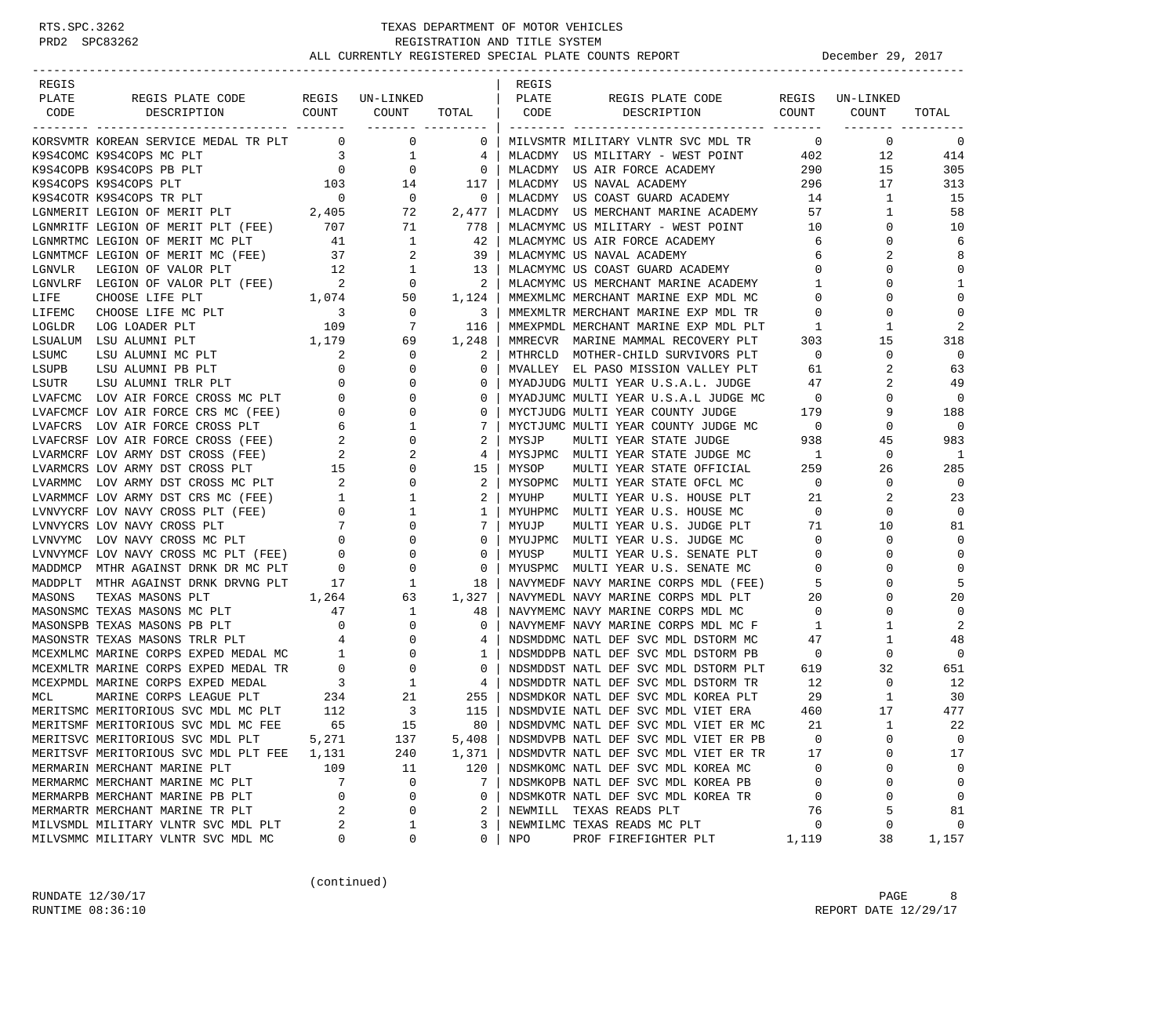| REGIS                                                                                                                                                                                                                                                                                    |                                       |                                                                                    |                | REGIS      |                                                                            |                          |                          |                |
|------------------------------------------------------------------------------------------------------------------------------------------------------------------------------------------------------------------------------------------------------------------------------------------|---------------------------------------|------------------------------------------------------------------------------------|----------------|------------|----------------------------------------------------------------------------|--------------------------|--------------------------|----------------|
| PLATE<br>REGIS PLATE CODE<br>DESCRIPTION COUNT                                                                                                                                                                                                                                           |                                       | REGIS UN-LINKED<br>COUNT                                                           |                | PLATE      | REGIS PLATE CODE<br>DESCRIPTION COUNT                                      |                          | REGIS UN-LINKED          |                |
| CODE                                                                                                                                                                                                                                                                                     |                                       | ------- ---------                                                                  | TOTAL          | CODE       |                                                                            |                          | COUNT                    | TOTAL          |
| KORSVMTR KOREAN SERVICE MEDAL TR PLT 0                                                                                                                                                                                                                                                   |                                       | $\overline{\phantom{0}}$                                                           | $\mathbf 0$    |            | MILVSMTR MILITARY VLNTR SVC MDL TR                                         | $\overline{0}$           | 0                        | $\mathbf 0$    |
| K9S4COMC K9S4COPS MC PLT                                                                                                                                                                                                                                                                 | $\frac{3}{0}$                         | $\mathbf{1}$                                                                       | 4              |            | MLACDMY US MILITARY - WEST POINT 402                                       |                          | 12                       | 414            |
| K9S4COPB K9S4COPS PB PLT                                                                                                                                                                                                                                                                 | $\sim$ 0                              | $\mathbf 0$                                                                        | $\overline{0}$ |            | MLACDMY US AIR FORCE ACADEMY                                               | 290                      | 15                       | 305            |
|                                                                                                                                                                                                                                                                                          |                                       |                                                                                    | 117            |            | MLACDMY US NAVAL ACADEMY                                                   | 296                      | 17                       | 313            |
| $\begin{tabular}{lllllllllll} \texttt{K9S4COPS} & \texttt{R9S4COPS} & \texttt{PLT} & & & & & 103 & & 14 \\ \texttt{K9S4COTR} & \texttt{K9S4COPS} & \texttt{TR} & \texttt{PLT} & & & & 0 & & 0 \\ \texttt{LGMMERIT} & \texttt{LEGION OF MERIT PLT} & & & & 2,405 & & 72 \\ \end{tabular}$ |                                       |                                                                                    | $\mathbf 0$    |            | MLACDMY US COAST GUARD ACADEMY 14<br>MLACDMY US MERCHANT MARINE ACADEMY 57 |                          | 1                        | 15             |
|                                                                                                                                                                                                                                                                                          |                                       |                                                                                    | 2,477          |            |                                                                            |                          | 1                        | 58             |
| $\begin{tabular}{lllllllllll} \textsc{LGNMRTTF} & \textsc{LEGION OF MERT PLT} & (\textsc{FEE}) & \textsc{707} & \textsc{71} \\ \textsc{LGNMRTMC} & \textsc{LEGION OF MERT MC PLT} & \textsc{41} & \textsc{1} \\ \end{tabular}$                                                           |                                       |                                                                                    | 778            |            | MLACMYMC US MILITARY - WEST POINT 10                                       |                          | 0                        | 10             |
|                                                                                                                                                                                                                                                                                          |                                       |                                                                                    | -42            |            | MLACMYMC US AIR FORCE ACADEMY                                              | 6                        | 0                        | 6              |
| LGNMTMCF LEGION OF MERIT MC (FEE) 37<br>LGNWIMCF LEGION OF MERIT FOR ALL THE CANNAL LEGION OF VALOR PLT 12<br>LGNVLRF LEGION OF VALOR PLT (FEE) 2<br>CHANGE LEGION OF VALOR PLT (FEE) 1,074                                                                                              |                                       | 2                                                                                  | 39             |            | MLACMYMC US NAVAL ACADEMY                                                  | 6                        | 2                        | 8              |
|                                                                                                                                                                                                                                                                                          |                                       | $\begin{array}{ccc} 12 & \hspace{1.5cm} & 1 \\ 2 & \hspace{1.5cm} & 0 \end{array}$ | 13             |            | MLACMYMC US COAST GUARD ACADEMY<br>MLACMYMC US MERCHANT MARINE ACADEMY     | $\overline{0}$           | 0                        | $\mathbf 0$    |
|                                                                                                                                                                                                                                                                                          |                                       |                                                                                    | 2              |            |                                                                            | $\mathbf{1}$             | $\Omega$                 | 1              |
|                                                                                                                                                                                                                                                                                          |                                       | 50                                                                                 | 1,124          |            | MMEXMLMC MERCHANT MARINE EXP MDL MC                                        | $\overline{0}$           | 0                        | $\mathbf 0$    |
| CHOOSE LIFE MC PLT<br>LIFEMC                                                                                                                                                                                                                                                             | $\overline{\mathbf{3}}$               | $\mathbf 0$                                                                        | 3              |            | MMEXMLTR MERCHANT MARINE EXP MDL TR                                        | $\mathbf 0$              | 0                        | $\mathbf 0$    |
| LOGLDR<br>LOG LOADER PLT                                                                                                                                                                                                                                                                 | 109                                   | 7                                                                                  | 116            |            | MMEXPMDL MERCHANT MARINE EXP MDL PLT                                       | 1                        | 1                        | 2              |
| $1,179$<br>T 2<br>LSUALUM LSU ALUMNI PLT                                                                                                                                                                                                                                                 |                                       | 69                                                                                 | 1,248          |            | MMRECVR MARINE MAMMAL RECOVERY PLT                                         | 303                      | 15                       | 318            |
| LSUMC                                                                                                                                                                                                                                                                                    |                                       | $\circ$                                                                            | 2              |            | MTHRCLD MOTHER-CHILD SURVIVORS PLT                                         | $\overline{0}$           | $\mathbf 0$              | $\overline{0}$ |
|                                                                                                                                                                                                                                                                                          |                                       | $\mathbf 0$                                                                        | 0              |            | MVALLEY EL PASO MISSION VALLEY PLT                                         | 61                       | 2                        | 63             |
|                                                                                                                                                                                                                                                                                          |                                       | 0                                                                                  | 0              |            | MYADJUDG MULTI YEAR U.S.A.L. JUDGE                                         | 47                       | 2                        | 49             |
|                                                                                                                                                                                                                                                                                          |                                       | $\mathbf 0$                                                                        | 0              |            | MYADJUMC MULTI YEAR U.S.A.L JUDGE MC 0                                     |                          | $\Omega$                 | $\overline{0}$ |
|                                                                                                                                                                                                                                                                                          |                                       | 0                                                                                  | 0              |            | MYCTJUDG MULTI YEAR COUNTY JUDGE                                           | 179                      | 9                        | 188            |
|                                                                                                                                                                                                                                                                                          |                                       | 1                                                                                  | 7              |            | MYCTJUMC MULTI YEAR COUNTY JUDGE MC                                        | $\overline{\phantom{0}}$ | 0                        | $\overline{0}$ |
|                                                                                                                                                                                                                                                                                          |                                       | $\mathbf{0}$                                                                       | 2              | MYSJP      | MULTI YEAR STATE JUDGE                                                     | 938                      | 45                       | 983            |
|                                                                                                                                                                                                                                                                                          |                                       | 2                                                                                  | 4              |            | MYSJPMC MULTI YEAR STATE JUDGE MC                                          | $\overline{1}$           | $\mathbf 0$              | 1              |
| LSUMC LSU ALUMNI MC PLT 0<br>LSUPB LSU ALUMNI PB PLT 0<br>LSUTR LSU ALUMNI TRLR PLT 0<br>LVAFCMC LOV AIR FORCE CROSS MC PLT 0<br>LVAFCMCF LOV AIR FORCE CROSS PLT 6<br>LVAFCRSF LOV AIR FORCE CROSS (FEE) 2<br>LVARMCRF LOV ARMY DST CROSS                                               |                                       | 0                                                                                  | 15             | MYSOP      | MULTI YEAR STATE OFFICIAL                                                  | 259                      | 26                       | 285            |
|                                                                                                                                                                                                                                                                                          |                                       | 0                                                                                  | 2              |            | MYSOPMC MULTI YEAR STATE OFCL MC                                           | $\overline{0}$           | 0                        | $\overline{0}$ |
|                                                                                                                                                                                                                                                                                          |                                       | $\mathbf{1}$                                                                       | 2              | MYUHP      | MULTI YEAR U.S. HOUSE PLT                                                  | 21                       | 2                        | 23             |
| LVARMMC LOV ARMY DST CROSS MC PLT 2<br>LVARMMCF LOV ARMY DST CRS MC (FEE) 1<br>LVNVYCRF LOV NAVY CROSS PLT (FEE) 0<br>LVNVYCRS LOV NAVY CROSS MC PLT 7<br>LVNVYMC LOV NAVY CROSS MC PLT 0                                                                                                |                                       | $\mathbf{1}$                                                                       | 1              |            | MYUHPMC MULTI YEAR U.S. HOUSE MC                                           | $\overline{0}$           | 0                        | $\overline{0}$ |
|                                                                                                                                                                                                                                                                                          |                                       | $\mathbf 0$                                                                        | 7              | MYUJP      | MULTI YEAR U.S. JUDGE PLT                                                  | 71                       | 10                       | 81             |
|                                                                                                                                                                                                                                                                                          |                                       | 0                                                                                  | 0              |            | MYUJPMC MULTI YEAR U.S. JUDGE MC                                           | $\overline{0}$           | 0                        | $\mathbf 0$    |
| LVNVIEW LOV NAVY CROSS MC PLT (FEE) 0<br>CONTYMOR METHOD AGAINST DRNK DR MC PLT 0                                                                                                                                                                                                        |                                       | 0                                                                                  | 0              | MYUSP      | MULTI YEAR U.S. SENATE PLT                                                 | $\mathbf{0}$             | 0                        | $\mathbf 0$    |
|                                                                                                                                                                                                                                                                                          |                                       | $\overline{0}$                                                                     | $\mathbf 0$    |            | MYUSPMC MULTI YEAR U.S. SENATE MC                                          | $\overline{0}$           | $\Omega$                 | 0              |
| MADDPLT MTHR AGAINST DRNK DRVNG PLT                                                                                                                                                                                                                                                      | 17                                    | $\frac{3}{1}$                                                                      | 18             |            | NAVYMEDF NAVY MARINE CORPS MDL (FEE)                                       | $\overline{5}$           | 0                        | 5              |
| TEXAS MASONS PLT<br>1,264<br>MASONS                                                                                                                                                                                                                                                      |                                       | 63                                                                                 | 1,327          |            | NAVYMEDL NAVY MARINE CORPS MDL PLT                                         | 20                       | $\Omega$                 | 20             |
| MASONSMC TEXAS MASONS MC PLT 47                                                                                                                                                                                                                                                          |                                       | $\mathbf{1}$                                                                       | 48             |            | NAVYMEMC NAVY MARINE CORPS MDL MC                                          | $\overline{0}$           | $\Omega$                 | 0              |
| MASONSPB TEXAS MASONS PB PLT                                                                                                                                                                                                                                                             | $\begin{array}{c} 0 \\ 4 \end{array}$ | 0                                                                                  | $\mathbf 0$    |            | NAVYMEMF NAVY MARINE CORPS MDL MC F                                        | $\mathbf{1}$             | 1                        | 2              |
| MASONSTR TEXAS MASONS TRLR PLT                                                                                                                                                                                                                                                           |                                       | $\overline{0}$                                                                     | 4              |            | NDSMDDMC NATL DEF SVC MDL DSTORM MC                                        | 47                       | 1                        | 48             |
|                                                                                                                                                                                                                                                                                          |                                       |                                                                                    | 1              |            | NDSMDDPB NATL DEF SVC MDL DSTORM PB                                        | $\overline{0}$           | 0                        | $\overline{0}$ |
|                                                                                                                                                                                                                                                                                          |                                       |                                                                                    | 0              |            | NDSMDDST NATL DEF SVC MDL DSTORM PLT                                       | 619                      | 32                       | 651            |
|                                                                                                                                                                                                                                                                                          |                                       |                                                                                    | 4              |            | NDSMDDTR NATL DEF SVC MDL DSTORM TR                                        | 12                       | 0                        | 12             |
| MARINE CORPS LEAGUE PLT<br>MCL                                                                                                                                                                                                                                                           | 234                                   | 21                                                                                 | 255            |            | NDSMDKOR NATL DEF SVC MDL KOREA PLT                                        | 29                       | 1                        | 30             |
| MERITSMC MERITORIOUS SVC MDL MC PLT                                                                                                                                                                                                                                                      | 112                                   | $\overline{3}$                                                                     | 115            |            | NDSMDVIE NATL DEF SVC MDL VIET ERA                                         | 460                      | 17                       | 477            |
| MERITSMF MERITORIOUS SVC MDL MC FEE                                                                                                                                                                                                                                                      | 65                                    | 15                                                                                 | 80             |            | NDSMDVMC NATL DEF SVC MDL VIET ER MC                                       | 21                       | $\mathbf{1}$<br>$\Omega$ | 22             |
| MERITSVC MERITORIOUS SVC MDL PLT                                                                                                                                                                                                                                                         | 5,271                                 | 137                                                                                | 5,408          |            | NDSMDVPB NATL DEF SVC MDL VIET ER PB                                       | 0                        |                          | 0              |
| MERITSVF MERITORIOUS SVC MDL PLT FEE                                                                                                                                                                                                                                                     | 1,131                                 | 240                                                                                | 1,371          |            | NDSMDVTR NATL DEF SVC MDL VIET ER TR                                       | 17                       | $\Omega$                 | 17             |
| MERMARIN MERCHANT MARINE PLT                                                                                                                                                                                                                                                             | 109                                   | 11                                                                                 | 120            |            | NDSMKOMC NATL DEF SVC MDL KOREA MC                                         | 0                        | 0<br>$\Omega$            | $\mathbf 0$    |
| MERMARMC MERCHANT MARINE MC PLT                                                                                                                                                                                                                                                          | 7                                     | 0                                                                                  | 7              |            | NDSMKOPB NATL DEF SVC MDL KOREA PB                                         | 0                        |                          | 0              |
| MERMARPB MERCHANT MARINE PB PLT<br>MERMARTR MERCHANT MARINE TR PLT                                                                                                                                                                                                                       | 0<br>2                                | 0<br>0                                                                             | 0<br>2         |            | NDSMKOTR NATL DEF SVC MDL KOREA TR<br>NEWMILL TEXAS READS PLT              | 0<br>76                  | $\Omega$<br>5            | 0<br>81        |
| MILVSMDL MILITARY VLNTR SVC MDL PLT                                                                                                                                                                                                                                                      | 2                                     | 1                                                                                  | 3              |            | NEWMILMC TEXAS READS MC PLT                                                | 0                        | 0                        | 0              |
| MILVSMMC MILITARY VLNTR SVC MDL MC                                                                                                                                                                                                                                                       | 0                                     | 0                                                                                  | 0              | <b>NPO</b> | PROF FIREFIGHTER PLT                                                       | 1,119                    | 38                       | 1,157          |
|                                                                                                                                                                                                                                                                                          |                                       |                                                                                    |                |            |                                                                            |                          |                          |                |

(continued)

RUNDATE  $12/30/17$  PAGE 8 RUNTIME  $08:36:10$  REPORT DATE  $12/29/17$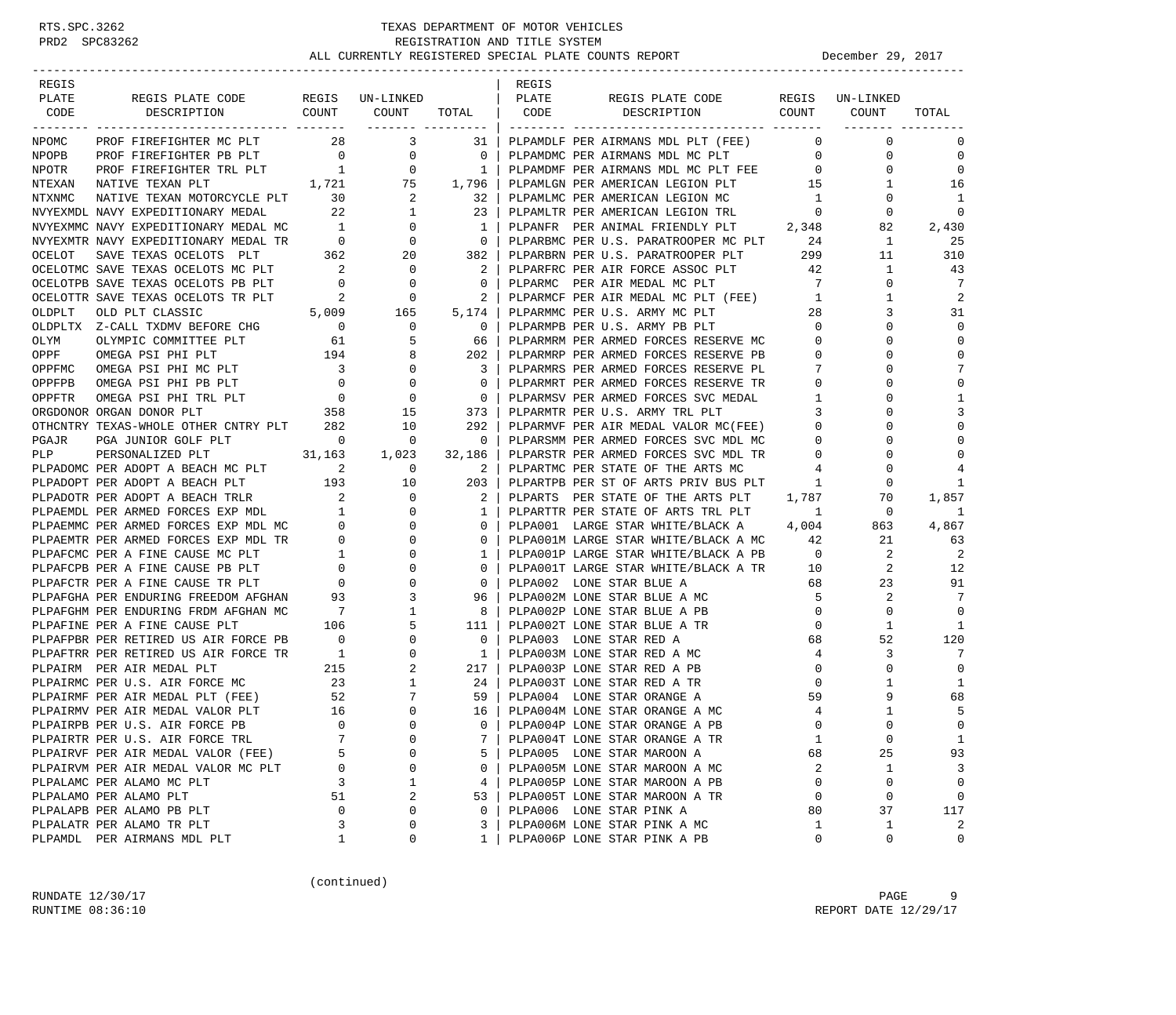| REGIS  |                                                                                                                                                             |                                          |                                  |                               | REGIS |                                                                           |                          |                             |                  |
|--------|-------------------------------------------------------------------------------------------------------------------------------------------------------------|------------------------------------------|----------------------------------|-------------------------------|-------|---------------------------------------------------------------------------|--------------------------|-----------------------------|------------------|
| PLATE  | REGIS PLATE CODE                                                                                                                                            |                                          | REGIS UN-LINKED                  |                               | PLATE | REGIS PLATE CODE                                                          |                          | REGIS UN-LINKED             |                  |
| CODE   | COUNT<br>DESCRIPTION                                                                                                                                        |                                          | COUNT                            | TOTAL                         | CODE  | DESCRIPTION COUNT                                                         |                          | COUNT                       | TOTAL            |
|        |                                                                                                                                                             |                                          |                                  | ------- --------              |       |                                                                           |                          |                             |                  |
| NPOMC  | PROF FIREFIGHTER MC PLT 28 3                                                                                                                                |                                          |                                  | 31                            |       | PLPAMDLF PER AIRMANS MDL PLT (FEE)                                        | $\overline{0}$           | $\mathbf 0$                 | $\Omega$         |
| NPOPB  | PROF FIREFIGHTER PB PLT 0 0 0<br>PROF FIREFIGHTER TRL PLT 1 0<br>NATIVE TEXAN PLT 1 75<br>NATIVE TEXAN MOTORCYCLE PLT 30 2<br>NAVY EXPEDITIONARY MEDAL 22 1 |                                          |                                  | $\mathbf{0}$                  |       | PLPAMDMC PER AIRMANS MDL MC PLT<br>PLPAMDMF PER AIRMANS MDL MC PLT FEE    | $\overline{0}$           | 0                           | $\mathbf 0$      |
| NPOTR  |                                                                                                                                                             |                                          |                                  | 1<br>1,796                    |       |                                                                           | $\overline{0}$<br>15     | 0                           | $\mathbf{0}$     |
| NTEXAN |                                                                                                                                                             |                                          |                                  |                               |       | PLPAMLGN PER AMERICAN LEGION PLT                                          |                          | 1                           | 16               |
| NTXNMC |                                                                                                                                                             |                                          |                                  | 32                            |       | PLPAMLMC PER AMERICAN LEGION MC                                           | $\overline{1}$           | $\mathbf{0}$<br>$\mathbf 0$ | 1<br>$\mathbf 0$ |
|        | NVYEXMDL NAVY EXPEDITIONARY MEDAL                                                                                                                           |                                          |                                  | 23                            |       | PLPAMLTR PER AMERICAN LEGION TRL<br>PLPANFR PER ANIMAL FRIENDLY PLT 2,348 | $\overline{\phantom{0}}$ | 82                          | 2,430            |
|        |                                                                                                                                                             |                                          |                                  | 1<br>$\overline{\phantom{0}}$ |       | PLPARBMC PER U.S. PARATROOPER MC PLT                                      | 24                       | $\mathbf{1}$                | 25               |
|        |                                                                                                                                                             |                                          |                                  | 382                           |       | PLPARBRN PER U.S. PARATROOPER PLT 299                                     |                          | 11                          | 310              |
|        | OCELOTMC SAVE TEXAS OCELOTS MC PLT                                                                                                                          |                                          | $\overline{\phantom{0}}$         | -2                            |       | PLPARFRC PER AIR FORCE ASSOC PLT                                          | 42                       | $\mathbf{1}$                | 43               |
|        | OCELOTPB SAVE TEXAS OCELOTS PB PLT                                                                                                                          | $\begin{array}{c} 2 \\ 0 \end{array}$    | $\overline{0}$                   | $\mathbf{0}$                  |       | PLPARMC PER AIR MEDAL MC PLT                                              | $7\overline{ }$          | $\mathbf 0$                 | 7                |
|        | OCELOTTR SAVE TEXAS OCELOTS TR PLT                                                                                                                          | $\sim$ 2                                 | $\overline{\phantom{a}}$         |                               |       |                                                                           | $\mathbf{1}$             | $\mathbf{1}$                | $\overline{2}$   |
| OLDPLT | OLD PLT CLASSIC                                                                                                                                             |                                          | 5,009 165                        | 5,174                         |       | PLPARMCF PER AIR MEDAL MC PLT (FEE)<br>PLPARMMC PER U.S. ARMY MC PLT      | 28                       | 3                           | 31               |
|        | OLDPLTX Z-CALL TXDMV BEFORE CHG 0                                                                                                                           |                                          |                                  |                               |       |                                                                           | $\overline{0}$           | $\Omega$                    | $\Omega$         |
|        |                                                                                                                                                             |                                          | $\overline{0}$                   | 0                             |       | PLPARMPB PER U.S. ARMY PB PLT                                             | $\circ$                  | 0                           | $\mathbf 0$      |
| OLYM   | OLYMPIC COMMITTEE PLT                                                                                                                                       | $\begin{array}{c} 61 \\ 194 \end{array}$ | -5                               | 66                            |       | PLPARMRM PER ARMED FORCES RESERVE MC                                      |                          |                             |                  |
| OPPF   | OMEGA PSI PHI PLT                                                                                                                                           |                                          | 8                                | 202                           |       | PLPARMRP PER ARMED FORCES RESERVE PB                                      | $\overline{0}$           | $\Omega$                    | $\mathbf{0}$     |
| OPPFMC | OMEGA PSI PHI MC PLT                                                                                                                                        | $\frac{3}{2}$                            | $\mathbf 0$                      | 3                             |       | PLPARMRS PER ARMED FORCES RESERVE PL                                      | $\overline{7}$           | $\Omega$                    | 7                |
| OPPFPB | OMEGA PSI PHI PB PLT                                                                                                                                        | $\overline{0}$                           | $\mathbf 0$                      | 0                             |       | PLPARMRT PER ARMED FORCES RESERVE TR                                      | $\mathbf{0}$             | 0                           | $\mathbf{0}$     |
| OPPFTR | OMEGA PSI PHI TRL PLT                                                                                                                                       |                                          | $\overline{0}$<br>$\overline{0}$ | $\mathbf 0$                   |       | PLPARMSV PER ARMED FORCES SVC MEDAL                                       | $\overline{1}$           | $\Omega$                    | 1                |
|        | ORGDONOR ORGAN DONOR PLT                                                                                                                                    |                                          | $358$ $15$                       | 373                           |       | PLPARMTR PER U.S. ARMY TRL PLT                                            | $\overline{\mathbf{3}}$  | 0                           | 3                |
|        | OTHCNTRY TEXAS-WHOLE OTHER CNTRY PLT 282                                                                                                                    |                                          | 10                               | 292                           |       | PLPARMVF PER AIR MEDAL VALOR MC(FEE)                                      | $\overline{0}$           | $\Omega$                    | $\mathbf{0}$     |
| PGAJR  | T $\begin{array}{ccc} & & 0 & & 0 \\ 31,163 & & 1,023 \end{array}$<br>PGA JUNIOR GOLF PLT                                                                   |                                          |                                  | $\mathbf{0}$                  |       | PLPARSMM PER ARMED FORCES SVC MDL MC                                      | $\overline{0}$           | 0                           | $\Omega$         |
| PLP    | PERSONALIZED PLT<br>PLPADOMC PER ADOPT A BEACH MC PLT 2                                                                                                     |                                          |                                  | 32,186                        |       | PLPARSTR PER ARMED FORCES SVC MDL TR                                      | $\overline{0}$           | 0                           | $\Omega$         |
|        |                                                                                                                                                             |                                          | $\overline{0}$                   | 2                             |       | PLPARTMC PER STATE OF THE ARTS MC                                         | 4                        | 0                           |                  |
|        | PLPADOPT PER ADOPT A BEACH PLT 193 10<br>PLPADOTR PER ADOPT A BEACH TPLP                                                                                    |                                          |                                  | 203                           |       | PLPARTPB PER ST OF ARTS PRIV BUS PLT                                      | $\overline{1}$           | 0                           | 1                |
|        | PLPADOTR PER ADOPT A BEACH TRLR                                                                                                                             | $\overline{2}$                           | $\overline{0}$                   | 2                             |       | PLPARTS PER STATE OF THE ARTS PLT 1,787                                   |                          | 70                          | 1,857            |
|        |                                                                                                                                                             |                                          | $\mathbf 0$                      | 1                             |       | PLPARTTR PER STATE OF ARTS TRL PLT 1                                      |                          | $\mathbf{0}$                | 1                |
|        |                                                                                                                                                             |                                          | $\mathbf 0$                      | 0                             |       | PLPA001 LARGE STAR WHITE/BLACK A 4,004                                    |                          | 863                         | 4,867            |
|        | PLPAEMDL PER ARMED FORCES EXP MDL 1<br>PLPAEMMC PER ARMED FORCES EXP MDL MC 0<br>PLPAEMTR PER ARMED FORCES EXP MDL TR 0                                     |                                          | $\mathbf 0$                      | 0                             |       | PLPA001M LARGE STAR WHITE/BLACK A MC 42                                   |                          | 21                          | 63               |
|        | PLPAFCMC PER A FINE CAUSE MC PLT                                                                                                                            |                                          | 0                                | 1                             |       | PLPA001P LARGE STAR WHITE/BLACK A PB                                      | $\overline{0}$           | 2                           | -2               |
|        | PLPAFCPB PER A FINE CAUSE PB PLT                                                                                                                            |                                          | $\mathbf 0$                      | 0                             |       | PLPA001T LARGE STAR WHITE/BLACK A TR 10                                   |                          | 2                           | 12               |
|        | PLPAFCTR PER A FINE CAUSE TR PLT                                                                                                                            |                                          | $\mathbf 0$                      | $\mathbf{0}$                  |       | PLPA002 LONE STAR BLUE A                                                  | 68                       | 23                          | 91               |
|        | PLPAFGHA PER ENDURING FREEDOM AFGHAN 93                                                                                                                     |                                          | 3                                | 96                            |       | PLPA002M LONE STAR BLUE A MC                                              | $5^{\circ}$              | 2                           | 7                |
|        | PLPAFGHM PER ENDURING FRDM AFGHAN MC                                                                                                                        |                                          | 1                                | 8                             |       | PLPA002P LONE STAR BLUE A PB                                              | $\overline{0}$           | $\mathbf 0$                 | $\Omega$         |
|        | PLPAFINE PER A FINE CAUSE PLT                                                                                                                               | 106                                      | 5                                | 111                           |       | PLPA002T LONE STAR BLUE A TR                                              | $\mathbf{0}$             | 1                           | 1                |
|        | PLPAFPBR PER RETIRED US AIR FORCE PB                                                                                                                        | $\overline{0}$                           | $\mathbf 0$                      | $\mathbf{0}$                  |       | PLPA003 LONE STAR RED A                                                   | 68                       | 52                          | 120              |
|        | PLPAFTRR PER RETIRED US AIR FORCE TR<br>PLPAIRM PER AIR MEDAL PLT 215<br>PLPAIRMC PER U.S. AIR FORCE MC 23                                                  |                                          | $\mathbf 0$                      | $\overline{1}$                |       | PLPA003M LONE STAR RED A MC                                               | $\overline{4}$           | 3                           | 7                |
|        |                                                                                                                                                             |                                          | 2                                | 217                           |       | PLPA003P LONE STAR RED A PB                                               | $\overline{0}$           | 0                           | $\mathbf 0$      |
|        |                                                                                                                                                             |                                          | 1                                | 24                            |       | PLPA003T LONE STAR RED A TR                                               | $\mathbf 0$              | 1                           | 1                |
|        | PLPAIRMF PER AIR MEDAL PLT (FEE) 52<br>PLPAIRMV PER AIR MEDAL VALOR PLT 16                                                                                  |                                          | 7                                | 59                            |       | PLPA004 LONE STAR ORANGE A                                                | 59                       | 9                           | 68               |
|        | PLPAIRMV PER AIR MEDAL VALOR PLT                                                                                                                            |                                          | $\mathbf 0$                      | 16                            |       | PLPA004M LONE STAR ORANGE A MC                                            | $\overline{4}$           | $\mathbf{1}$                | 5                |
|        | PLPAIRPB PER U.S. AIR FORCE PB                                                                                                                              | $\overline{0}$                           | $\Omega$                         | $\Omega$                      |       | PLPA004P LONE STAR ORANGE A PB                                            | $\Omega$                 | $\Omega$                    | $\Omega$         |
|        | PLPAIRTR PER U.S. AIR FORCE TRL                                                                                                                             | 7                                        | 0                                | 7                             |       | PLPA004T LONE STAR ORANGE A TR                                            | 1                        | $\mathsf{O}\xspace$         | $1\,$            |
|        | PLPAIRVF PER AIR MEDAL VALOR (FEE)                                                                                                                          | 5                                        | $\Omega$                         | 5                             |       | PLPA005 LONE STAR MAROON A                                                | 68                       | 25                          | 93               |
|        | PLPAIRVM PER AIR MEDAL VALOR MC PLT                                                                                                                         | 0                                        | 0                                | 0                             |       | PLPA005M LONE STAR MAROON A MC                                            | 2                        | 1                           | 3                |
|        | PLPALAMC PER ALAMO MC PLT                                                                                                                                   | 3                                        | 1                                | 4                             |       | PLPA005P LONE STAR MAROON A PB                                            | 0                        | 0                           | 0                |
|        | PLPALAMO PER ALAMO PLT                                                                                                                                      | 51                                       | 2                                | 53                            |       | PLPA005T LONE STAR MAROON A TR                                            | 0                        | 0                           | 0                |
|        | PLPALAPB PER ALAMO PB PLT                                                                                                                                   | 0                                        | 0                                | 0                             |       | PLPA006 LONE STAR PINK A                                                  | 80                       | 37                          | 117              |
|        | PLPALATR PER ALAMO TR PLT                                                                                                                                   | 3                                        | 0                                | 3                             |       | PLPA006M LONE STAR PINK A MC                                              | 1                        | 1                           | 2                |
|        | PLPAMDL PER AIRMANS MDL PLT                                                                                                                                 | 1                                        | 0                                | 1                             |       | PLPA006P LONE STAR PINK A PB                                              | 0                        | 0                           | 0                |

(continued)

RUNDATE  $12/30/17$  PAGE 9 RUNTIME 08:36:10 REPORT DATE 12/29/17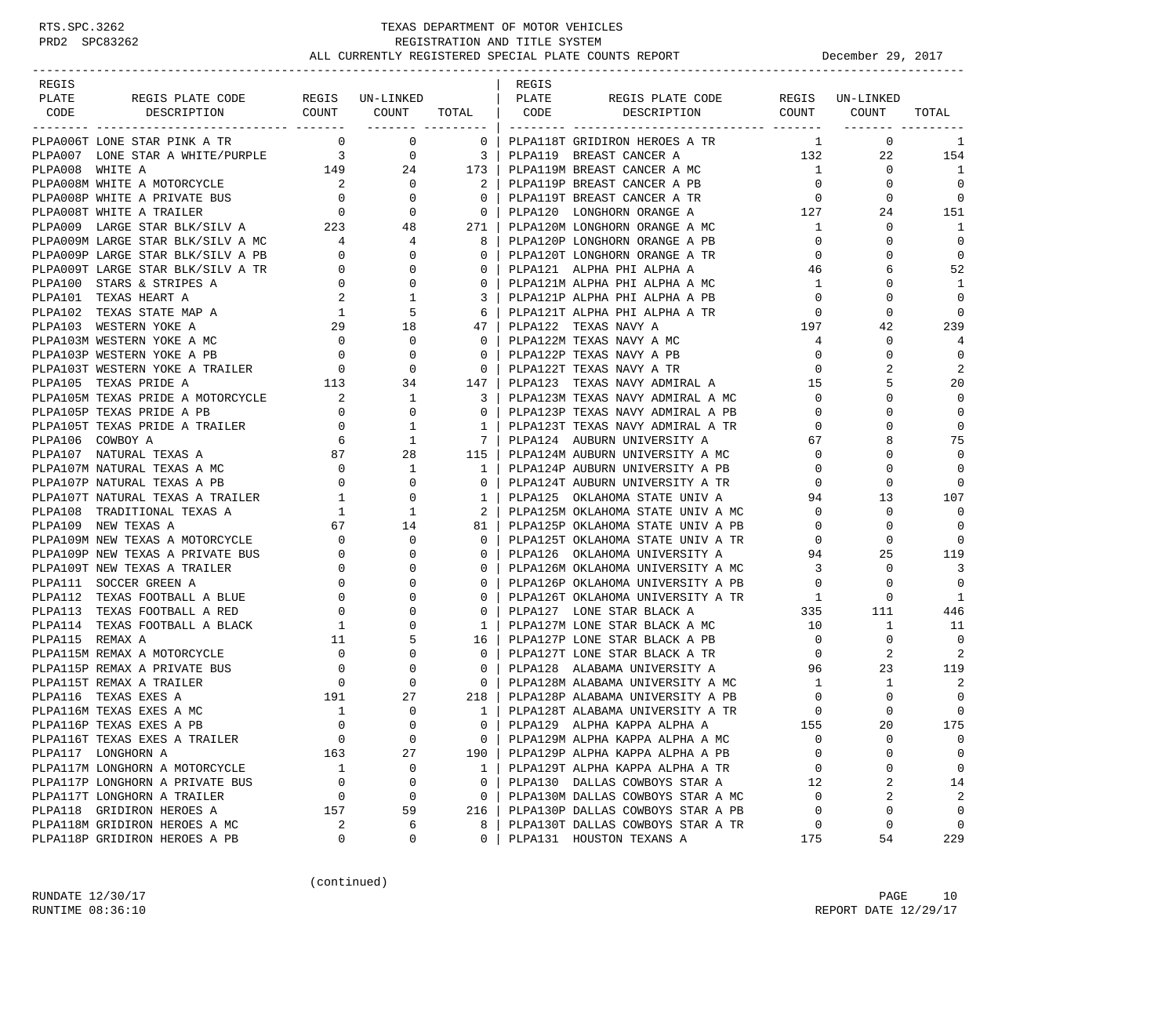| REGIS           |                                                                                                                                                                                                           |                                                                                                                                                                                                                   |                                                                              |                            | REGIS |                                                                                    |                          |                              |                |
|-----------------|-----------------------------------------------------------------------------------------------------------------------------------------------------------------------------------------------------------|-------------------------------------------------------------------------------------------------------------------------------------------------------------------------------------------------------------------|------------------------------------------------------------------------------|----------------------------|-------|------------------------------------------------------------------------------------|--------------------------|------------------------------|----------------|
| PLATE           | REGIS PLATE CODE                                                                                                                                                                                          |                                                                                                                                                                                                                   | REGIS UN-LINKED   PLATE                                                      |                            |       | REGIS PLATE CODE REGIS UN-LINKED<br>COUNT COUNT TOTAL CODE DESCRIPTION COUNT COUNT |                          |                              |                |
| CODE            | DESCRIPTION                                                                                                                                                                                               |                                                                                                                                                                                                                   | ___________________                                                          |                            |       |                                                                                    |                          |                              | TOTAL          |
|                 | PLPA006T LONE STAR PINK A TR                                                                                                                                                                              |                                                                                                                                                                                                                   | $0\qquad \qquad 0$                                                           | $\overline{0}$             |       | PLPA118T GRIDIRON HEROES A TR                                                      |                          | $\mathbf{1}$<br>$\mathbf{0}$ | 1              |
|                 |                                                                                                                                                                                                           |                                                                                                                                                                                                                   |                                                                              |                            |       | PLPA119 BREAST CANCER A 132                                                        |                          | 22                           | 154            |
|                 | PLPA007 LONE STAR A WHITE/PURPLE $\begin{array}{ccc} 3 & 0 & 3 \end{array}$<br>PLPA008 WHITE A $\begin{array}{ccc} 149 & 24 & 173 \end{array}$                                                            |                                                                                                                                                                                                                   |                                                                              |                            |       | PLPA119M BREAST CANCER A MC                                                        | $\sim$ 1                 | $\Omega$                     | 1              |
|                 |                                                                                                                                                                                                           |                                                                                                                                                                                                                   |                                                                              | $\overline{\phantom{a}}$ 2 |       | PLPA119P BREAST CANCER A PB                                                        | $\overline{0}$           | $\Omega$                     | $\Omega$       |
|                 |                                                                                                                                                                                                           |                                                                                                                                                                                                                   |                                                                              | $\overline{0}$             |       |                                                                                    | $\overline{0}$           | 0                            | 0              |
|                 |                                                                                                                                                                                                           |                                                                                                                                                                                                                   |                                                                              | $\overline{0}$             |       | PLPA119T BREAST CANCER A TR<br>PLPA120 LONGHORN ORANGE A 127                       |                          | 24                           | 151            |
|                 |                                                                                                                                                                                                           |                                                                                                                                                                                                                   |                                                                              | 271                        |       | PLPA120M LONGHORN ORANGE A MC                                                      | $1 \quad$                | 0                            | 1              |
|                 |                                                                                                                                                                                                           |                                                                                                                                                                                                                   |                                                                              | 8                          |       | PLPA120P LONGHORN ORANGE A PB                                                      | $\overline{0}$           | $\Omega$                     | $\Omega$       |
|                 | PLPA009M LARGE STAR BLK/SILV A MC $4$ 4<br>PLPA009P LARGE STAR BLK/SILV A PB $0$ 0                                                                                                                        |                                                                                                                                                                                                                   |                                                                              | $\mathbf 0$                |       | PLPA120T LONGHORN ORANGE A TR                                                      | $\Omega$                 | 0                            | $\Omega$       |
|                 | PLPA009T LARGE STAR BLK/SILV A TR                                                                                                                                                                         | $\overline{0}$                                                                                                                                                                                                    | $\mathbf{0}$                                                                 | $\mathbf{0}$               |       | PLPA121 ALPHA PHI ALPHA A                                                          | 46                       | 6                            | 52             |
|                 | PLPA100 STARS & STRIPES A                                                                                                                                                                                 | $\overline{0}$                                                                                                                                                                                                    | $\mathbf{0}$                                                                 | $\mathbf{0}$               |       | PLPA121M ALPHA PHI ALPHA A MC                                                      | 1                        | $\Omega$                     | -1             |
|                 | PLPA101 TEXAS HEART A                                                                                                                                                                                     |                                                                                                                                                                                                                   |                                                                              | 3                          |       | PLPA121P ALPHA PHI ALPHA A PB                                                      | $\overline{0}$           | $\Omega$                     | $\mathbf 0$    |
|                 | PLPA102 TEXAS STATE MAP A                                                                                                                                                                                 |                                                                                                                                                                                                                   |                                                                              | 6                          |       | PLPA121T ALPHA PHI ALPHA A TR                                                      | $\overline{0}$           | $\Omega$                     | $\Omega$       |
|                 | PLPA103 WESTERN YOKE A                                                                                                                                                                                    |                                                                                                                                                                                                                   | $\begin{array}{cccc}\n & 2 & & 1 \\  & 1 & & 5 \\  & 29 & & 18\n\end{array}$ | 47                         |       | PLPA122 TEXAS NAVY A                                                               | 197                      | 42                           | 239            |
|                 |                                                                                                                                                                                                           |                                                                                                                                                                                                                   |                                                                              | $\mathbf{0}$               |       | PLPA122M TEXAS NAVY A MC                                                           | $4\overline{ }$          | 0                            | $\overline{4}$ |
|                 |                                                                                                                                                                                                           |                                                                                                                                                                                                                   |                                                                              | $\mathbf{0}$               |       | PLPA122P TEXAS NAVY A PB                                                           | $\overline{0}$           | $\Omega$                     | $\overline{0}$ |
|                 |                                                                                                                                                                                                           |                                                                                                                                                                                                                   |                                                                              | $\overline{0}$             |       | PLPA122T TEXAS NAVY A TR                                                           | $\overline{0}$           | $\mathfrak{D}$               | 2              |
|                 | PLPA103M WESTERN YOKE A MC 0 0<br>PLPA103P WESTERN YOKE A PB 0 0<br>PLPA103T WESTERN YOKE A TRAILER 0 0 0<br>PLPA105 TEXAS PRIDE A 113 34                                                                 |                                                                                                                                                                                                                   |                                                                              | 147                        |       |                                                                                    |                          | 5                            | 20             |
|                 |                                                                                                                                                                                                           |                                                                                                                                                                                                                   |                                                                              | $\overline{\mathbf{3}}$    |       |                                                                                    |                          | 0                            | $\Omega$       |
|                 |                                                                                                                                                                                                           |                                                                                                                                                                                                                   |                                                                              | $\mathbf{0}$               |       | PLPA123P TEXAS NAVY ADMIRAL A PB                                                   | $\overline{0}$           | 0                            | 0              |
|                 |                                                                                                                                                                                                           |                                                                                                                                                                                                                   |                                                                              | $\mathbf{1}$               |       | PLPA123T TEXAS NAVY ADMIRAL A TR                                                   | $\overline{0}$           |                              | $\mathbf 0$    |
|                 |                                                                                                                                                                                                           |                                                                                                                                                                                                                   |                                                                              | $7\phantom{0}$             |       | PLPA124 AUBURN UNIVERSITY A                                                        | 67                       | 8                            | 75             |
|                 | PLPA105 TEXAS PRIDE A MOTORCYCLE<br>PLPA105M TEXAS PRIDE A MOTORCYCLE 2 1<br>PLPA105P TEXAS PRIDE A PB 0 0<br>PLPA105T TEXAS PRIDE A TRAILER 0 1<br>PLPA106 COWBOY A 6 1<br>PLPA107 NATURAL TEXAS A 87 28 |                                                                                                                                                                                                                   |                                                                              | 115                        |       | PLPA124M AUBURN UNIVERSITY A MC                                                    | $\overline{0}$           | $\Omega$                     | $\Omega$       |
|                 | PLPA107M NATURAL TEXAS A MC 0 1<br>PLPA107P NATURAL TEXAS A PB 0 0 0<br>PLPA107T NATURAL TEXAS A TRAILER 1 0                                                                                              |                                                                                                                                                                                                                   |                                                                              | $\overline{1}$             |       | PLPA124P AUBURN UNIVERSITY A PB                                                    | $\overline{0}$           | 0                            | $\Omega$       |
|                 |                                                                                                                                                                                                           |                                                                                                                                                                                                                   |                                                                              | $\mathbf{0}$               |       | PLPA124T AUBURN UNIVERSITY A TR                                                    | $\mathbf{0}$             | 0                            | $\Omega$       |
|                 |                                                                                                                                                                                                           |                                                                                                                                                                                                                   |                                                                              | $\mathbf{1}$               |       | PLPA125 OKLAHOMA STATE UNIV A                                                      | 94                       | 13                           | 107            |
|                 | PLPA108 TRADITIONAL TEXAS A                                                                                                                                                                               |                                                                                                                                                                                                                   | $\begin{array}{ccc} 1 & 1 \\ 67 & 14 \end{array}$                            | $\overline{2}$             |       | PLPA125M OKLAHOMA STATE UNIV A MC                                                  | $\overline{0}$           | 0                            | $\overline{0}$ |
|                 | PLPA109 NEW TEXAS A                                                                                                                                                                                       |                                                                                                                                                                                                                   |                                                                              | 81                         |       | PLPA125P OKLAHOMA STATE UNIV A PB                                                  | $\overline{0}$           | $\Omega$                     | $\Omega$       |
|                 | PLPA109M NEW TEXAS A MOTORCYCLE                                                                                                                                                                           | $\overline{0}$                                                                                                                                                                                                    | $\Omega$                                                                     | $\Omega$                   |       | PLPA125T OKLAHOMA STATE UNIV A TR 0                                                |                          | $\Omega$                     | $\Omega$       |
|                 | PLPA109P NEW TEXAS A PRIVATE BUS                                                                                                                                                                          | $\begin{array}{ccc} \text{BUS} & & & & & & & \text{O} \\ \text{BUS} & & & & & & \text{O} \\ & & & & & & \text{O} \\ & & & & & & \text{O} \\ \text{E} & & & & & & \text{O} \\ & & & & & & \text{O} \\ \end{array}$ | 0                                                                            | $\mathbf{0}$               |       | PLPA126 OKLAHOMA UNIVERSITY A                                                      | 94                       | 25                           | 119            |
|                 | PLPA109T NEW TEXAS A TRAILER                                                                                                                                                                              |                                                                                                                                                                                                                   |                                                                              | $\Omega$                   |       | PLPA126M OKLAHOMA UNIVERSITY A MC                                                  | $\overline{\phantom{a}}$ | $\Omega$                     | 3              |
|                 | PLPA111 SOCCER GREEN A                                                                                                                                                                                    |                                                                                                                                                                                                                   | $\Omega$                                                                     | $\mathbf{0}$               |       | PLPA126P OKLAHOMA UNIVERSITY A PB                                                  | $\overline{0}$           | $\Omega$                     | $\Omega$       |
|                 | PLPA112 TEXAS FOOTBALL A BLUE                                                                                                                                                                             |                                                                                                                                                                                                                   |                                                                              | $\mathbf{0}$               |       |                                                                                    |                          | $\mathbf 0$                  | 1              |
|                 | PLPA113 TEXAS FOOTBALL A RED                                                                                                                                                                              |                                                                                                                                                                                                                   | $\Omega$                                                                     | $\Omega$                   |       |                                                                                    |                          | 111                          | 446            |
|                 | PLPA114 TEXAS FOOTBALL A BLACK 1                                                                                                                                                                          |                                                                                                                                                                                                                   | 0                                                                            | 1                          |       | PLPA127 LONE STAR BLACK A MC<br>PLPA127M LONE STAR BLACK A MC                      | 10                       | 1                            | -11            |
| PLPA115 REMAX A |                                                                                                                                                                                                           | 11                                                                                                                                                                                                                | 5                                                                            | 16                         |       | PLPA127P LONE STAR BLACK A PB                                                      | $\overline{0}$           | $\mathbf 0$                  | 0              |
|                 | PLPA115M REMAX A MOTORCYCLE                                                                                                                                                                               |                                                                                                                                                                                                                   | $\begin{array}{c} 0 \\ 0 \\ 0 \end{array}$<br>0                              | $\mathbf{0}$               |       | PLPA127T LONE STAR BLACK A TR                                                      | $\overline{0}$           | 2                            | 2              |
|                 | PLPA115P REMAX A PRIVATE BUS                                                                                                                                                                              |                                                                                                                                                                                                                   | 0                                                                            | $\overline{0}$             |       | PLPA128 ALABAMA UNIVERSITY A                                                       | 96                       | 23                           | 119            |
|                 | PLPA115T REMAX A TRAILER                                                                                                                                                                                  |                                                                                                                                                                                                                   | $\Omega$                                                                     | $\overline{0}$             |       | PLPA128M ALABAMA UNIVERSITY A MC 1                                                 |                          | 1                            | 2              |
|                 | PLPA116 TEXAS EXES A                                                                                                                                                                                      | 191                                                                                                                                                                                                               | 27                                                                           | 218                        |       | PLPA128P ALABAMA UNIVERSITY A PB<br>PLPA128T ALABAMA UNIVERSITY A TR               | $\overline{0}$           | 0                            | $\overline{0}$ |
|                 | PLPA116M TEXAS EXES A MC                                                                                                                                                                                  | $\overline{1}$                                                                                                                                                                                                    | 0                                                                            | $\overline{1}$             |       | PLPA128T ALABAMA UNIVERSITY A TR                                                   | $\overline{0}$           | $\Omega$                     | $\mathbf 0$    |
|                 | PLPA116P TEXAS EXES A PB                                                                                                                                                                                  | $\Omega$                                                                                                                                                                                                          | $\cap$                                                                       | $\Omega$                   |       | PLPA129 ALPHA KAPPA ALPHA A                                                        | 155                      | $20^{\circ}$                 | 175            |
|                 | PLPA116T TEXAS EXES A TRAILER                                                                                                                                                                             | 0                                                                                                                                                                                                                 | $\mathbf 0$                                                                  | $\overline{0}$             |       | PLPA129M ALPHA KAPPA ALPHA A MC                                                    | $\mathbf 0$              | 0                            | $\mathbf 0$    |
|                 | PLPA117 LONGHORN A                                                                                                                                                                                        | 163                                                                                                                                                                                                               | 27                                                                           | 190                        |       | PLPA129P ALPHA KAPPA ALPHA A PB                                                    | $\mathbf 0$              | 0                            | 0              |
|                 | PLPA117M LONGHORN A MOTORCYCLE                                                                                                                                                                            | <sup>1</sup>                                                                                                                                                                                                      | 0                                                                            | $\mathbf{1}$               |       | PLPA129T ALPHA KAPPA ALPHA A TR                                                    | 0                        | 0                            | 0              |
|                 | PLPA117P LONGHORN A PRIVATE BUS                                                                                                                                                                           | $\mathbf 0$                                                                                                                                                                                                       | 0                                                                            | $\mathbf{0}$               |       | PLPA130 DALLAS COWBOYS STAR A                                                      | 12                       | 2                            | 14             |
|                 | PLPA117T LONGHORN A TRAILER                                                                                                                                                                               | 0                                                                                                                                                                                                                 | 0                                                                            | $\overline{0}$             |       | PLPA130M DALLAS COWBOYS STAR A MC                                                  | $\mathbf 0$              | 2                            | 2              |
|                 | PLPA118 GRIDIRON HEROES A                                                                                                                                                                                 | 157                                                                                                                                                                                                               | 59                                                                           | 216                        |       | PLPA130P DALLAS COWBOYS STAR A PB                                                  | $\mathbf 0$              | 0                            | $\mathbf 0$    |
|                 | PLPA118M GRIDIRON HEROES A MC                                                                                                                                                                             | 2                                                                                                                                                                                                                 | 6                                                                            | 8                          |       | PLPA130T DALLAS COWBOYS STAR A TR                                                  | 0                        | 0                            | $\overline{0}$ |
|                 | PLPA118P GRIDIRON HEROES A PB                                                                                                                                                                             | 0                                                                                                                                                                                                                 | 0                                                                            | $\mathbf{0}$               |       | PLPA131 HOUSTON TEXANS A                                                           | 175                      | 54                           | 229            |

(continued)

RUNDATE  $12/30/17$  PAGE 10 RUNTIME  $08:36:10$  REPORT DATE  $12/29/17$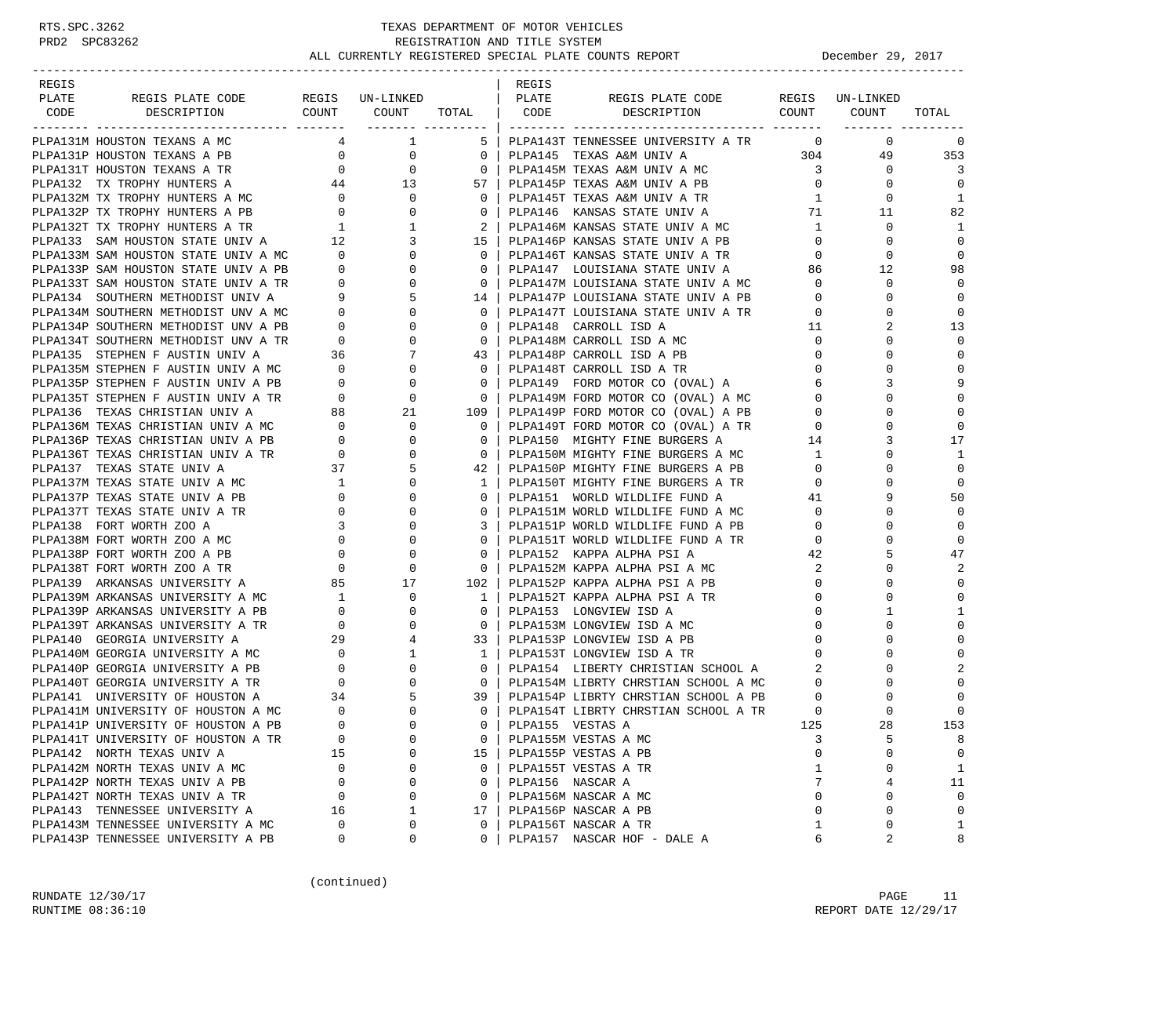| REGIS |                                                                                                                                                                                                                                                                                                                                            |                |                     |                                                     | REGIS                |                                                                                                                                                            |                         |                                            |                |
|-------|--------------------------------------------------------------------------------------------------------------------------------------------------------------------------------------------------------------------------------------------------------------------------------------------------------------------------------------------|----------------|---------------------|-----------------------------------------------------|----------------------|------------------------------------------------------------------------------------------------------------------------------------------------------------|-------------------------|--------------------------------------------|----------------|
| PLATE |                                                                                                                                                                                                                                                                                                                                            |                |                     |                                                     |                      | REGIS PLATE CODE REGIS UN-LINKED                                                                                                                           |                         |                                            |                |
| CODE  |                                                                                                                                                                                                                                                                                                                                            |                |                     |                                                     |                      | DESCRIPTION COUNT COUNT                                                                                                                                    |                         |                                            | TOTAL          |
|       | PLPA131M HOUSTON TEXANS A MC                                                                                                                                                                                                                                                                                                               |                | $4 \qquad \qquad 1$ |                                                     |                      | 5 PLPA143T TENNESSEE UNIVERSITY A TR 0                                                                                                                     |                         | $\overline{0}$                             | 0              |
|       | PLPA131P HOUSTON TEXANS A PB                                                                                                                                                                                                                                                                                                               |                | $\overline{0}$      | $\overline{\phantom{0}}$ 0 $\overline{\phantom{0}}$ |                      | PLPA145 TEXAS A&M UNIV A                                                                                                                                   |                         | 49                                         | 353            |
|       |                                                                                                                                                                                                                                                                                                                                            | $\overline{0}$ |                     |                                                     |                      | 304                                                                                                                                                        | $\overline{\mathbf{3}}$ | $\overline{0}$                             | $\overline{3}$ |
|       | $\begin{tabular}{lllllllllllllllllllll} \hline \texttt{PLPA132} & \texttt{TX TROPHY HUNTERS A} & \texttt{M} & \texttt{0} & \texttt{0} \\ \texttt{PLPA132} & \texttt{TX TROPHY HUNTERS A} & \texttt{M} & \texttt{44} & \texttt{13} \\ \texttt{PLPA132M TX TROPHY HUNTERS A} & \texttt{M} & \texttt{0} & \texttt{0} \\ \hline \end{tabular}$ |                |                     |                                                     |                      | 0   PLPA145M TEXAS A&M UNIV A MC<br>57   PLPA145P TEXAS A&M UNIV A PB                                                                                      | $\overline{0}$          | 0                                          | $\Omega$       |
|       |                                                                                                                                                                                                                                                                                                                                            |                |                     |                                                     |                      |                                                                                                                                                            | 1                       | $\mathbf 0$                                | 1              |
|       |                                                                                                                                                                                                                                                                                                                                            |                |                     |                                                     |                      | 0   PLPA145T TEXAS A&M UNIV A TR<br>0   PLPA146  KANSAS STATE UNIV A                                                                                       | 71                      | 11                                         | 82             |
|       |                                                                                                                                                                                                                                                                                                                                            |                |                     |                                                     |                      |                                                                                                                                                            | $\mathbf{1}$            | 0                                          | 1              |
|       |                                                                                                                                                                                                                                                                                                                                            |                |                     |                                                     |                      | PLPA146M KANSAS STATE UNIV A MC<br>15   PLPA146P KANSAS STATE UNIV A PB                                                                                    | 0                       | $\Omega$                                   | $\mathbf 0$    |
|       |                                                                                                                                                                                                                                                                                                                                            |                |                     |                                                     |                      | PLPA146T KANSAS STATE UNIV A TR                                                                                                                            | $0 \qquad \qquad$       | $\Omega$                                   | $\Omega$       |
|       |                                                                                                                                                                                                                                                                                                                                            |                |                     |                                                     |                      |                                                                                                                                                            | 86                      | 12                                         | 98             |
|       |                                                                                                                                                                                                                                                                                                                                            |                |                     |                                                     |                      | 0   PLPA147  LOUISIANA STATE UNIV A<br>0   PLPA147M LOUISIANA STATE UNIV A MC                                                                              | $\Omega$                | $\mathbf 0$                                | $\overline{0}$ |
|       |                                                                                                                                                                                                                                                                                                                                            |                |                     |                                                     |                      |                                                                                                                                                            | $\circ$                 | 0                                          | $\mathbf 0$    |
|       |                                                                                                                                                                                                                                                                                                                                            |                |                     |                                                     |                      | PLPA147P LOUISIANA STATE UNIV A PB                                                                                                                         | $\overline{0}$          | $\Omega$                                   | $\mathbf 0$    |
|       |                                                                                                                                                                                                                                                                                                                                            |                |                     |                                                     |                      | 14   FLFAITIE LOUISIANA STATE UNIV A TR<br>0   PLPA147T LOUISIANA STATE UNIV A TR<br>0   DIDA148 CARROLL ISD A   11                                        |                         |                                            |                |
|       |                                                                                                                                                                                                                                                                                                                                            |                |                     |                                                     |                      |                                                                                                                                                            | $\mathbf{0}$            | $\Omega$                                   | 13<br>0        |
|       |                                                                                                                                                                                                                                                                                                                                            |                |                     |                                                     |                      | 0   PLPA148M CARROLL ISD A MC                                                                                                                              |                         | $\Omega$                                   | $\mathbf 0$    |
|       |                                                                                                                                                                                                                                                                                                                                            |                |                     |                                                     |                      |                                                                                                                                                            | $\mathbf{0}$            |                                            |                |
|       |                                                                                                                                                                                                                                                                                                                                            |                |                     |                                                     |                      |                                                                                                                                                            | $\mathbf{0}$            | $\Omega$                                   | $\mathbf 0$    |
|       |                                                                                                                                                                                                                                                                                                                                            |                |                     |                                                     |                      | 0   PLPA149  FORD MOTOR CO (OVAL) A<br>0   PLPA149M FORD MOTOR CO (OVAL) A MC                                                                              |                         | $\begin{array}{c} 6 \\ 0 \end{array}$<br>3 | 9              |
|       |                                                                                                                                                                                                                                                                                                                                            |                |                     |                                                     |                      |                                                                                                                                                            |                         |                                            | $\mathbf 0$    |
|       |                                                                                                                                                                                                                                                                                                                                            |                |                     |                                                     |                      |                                                                                                                                                            |                         | $\mathbf 0$                                | 0              |
|       |                                                                                                                                                                                                                                                                                                                                            |                |                     |                                                     |                      |                                                                                                                                                            |                         | $\Omega$                                   | $\mathbf 0$    |
|       |                                                                                                                                                                                                                                                                                                                                            |                |                     |                                                     |                      | PLPA150 MIGHTY FINE BURGERS A 14                                                                                                                           |                         | 3                                          | 17             |
|       | PLANSM IX TROPHY HUNTERS A RP = 0 0 0 0 PLANSM UNIV A TRANSM UNIV A PLANSM UNIV A TRANSM UNIV A TRANSM UNIV A TRANSM STATE UNIV AND DUAL TRANSM STATE UNIV IN THANSM STATE UNIV IN THANSM STATE UNIV IN THANSM STATE UNIV IN                                                                                                               |                |                     |                                                     |                      | 0   PLPA150M MIGHTY FINE BURGERS A MC<br>42   PLPA150P MIGHTY FINE BURGERS A PB<br>1   PLPA150P MIGHTY FINE BURGERS A PB<br>1   PLPA150T MIGHTY FINE DIE D |                         | $\Omega$                                   | 1              |
|       |                                                                                                                                                                                                                                                                                                                                            |                |                     |                                                     |                      |                                                                                                                                                            |                         | $\Omega$                                   | $\mathbf 0$    |
|       |                                                                                                                                                                                                                                                                                                                                            |                |                     |                                                     |                      | 12   LELENS : .<br>1   PLPA150T MIGHTY FINE BURGERS A TR<br>0   DIDA151   WORLD WILDLIFE FUND A   41                                                       |                         | $\Omega$                                   | $\mathbf 0$    |
|       |                                                                                                                                                                                                                                                                                                                                            |                |                     |                                                     |                      |                                                                                                                                                            |                         | 9                                          | 50             |
|       |                                                                                                                                                                                                                                                                                                                                            |                |                     |                                                     |                      | PLPA151M WORLD WILDLIFE FUND A MC                                                                                                                          | $\overline{0}$          | $\Omega$                                   | $\mathbf 0$    |
|       |                                                                                                                                                                                                                                                                                                                                            |                |                     |                                                     |                      | 3   PLPA151P WORLD WILDLIFE FUND A PB<br>PLPA151T WORLD WILDLIFE FUND A TR<br>PLPA152 KAPPA ALDLIFE FUND A TR                                              | $\mathbf{0}$            | $\Omega$                                   | $\Omega$       |
|       |                                                                                                                                                                                                                                                                                                                                            |                |                     |                                                     |                      |                                                                                                                                                            | $\mathbf{0}$            |                                            | $\Omega$       |
|       |                                                                                                                                                                                                                                                                                                                                            |                |                     |                                                     |                      |                                                                                                                                                            | 42                      | 5                                          | 47             |
|       |                                                                                                                                                                                                                                                                                                                                            |                |                     |                                                     |                      | PLPA152M KAPPA ALPHA PSI A MC                                                                                                                              | 2                       | $\Omega$                                   | 2              |
|       |                                                                                                                                                                                                                                                                                                                                            |                |                     |                                                     |                      | PLPA152P KAPPA ALPHA PSI A PB                                                                                                                              | $\mathbf{0}$            | $\Omega$                                   | $\mathbf 0$    |
|       | PLPA139M ARKANSAS UNIVERSITY A MC $1$ 0<br>PLPA139P ARKANSAS UNIVERSITY A PB $0$ 0                                                                                                                                                                                                                                                         |                |                     |                                                     |                      | 1   PLPA152T KAPPA ALPHA PSI A TR                                                                                                                          | $\mathbf{0}$            | $\Omega$                                   | $\mathbf 0$    |
|       |                                                                                                                                                                                                                                                                                                                                            |                |                     | $0-1$                                               |                      | PLPA153 LONGVIEW ISD A                                                                                                                                     | $\Omega$                |                                            | 1              |
|       |                                                                                                                                                                                                                                                                                                                                            |                |                     |                                                     |                      | 0   PLPA153M LONGVIEW ISD A MC                                                                                                                             | $\circ$                 | $\Omega$                                   | $\mathbf 0$    |
|       | PLPA139T ARKANSAS UNIVERSITY A TR<br>PLPA140 GEORGIA UNIVERSITY A TR<br>PLPA140 GEORGIA UNIVERSITY A MC<br>PLPA140M GEORGIA UNIVERSITY A MC<br>PLPA140P GEORGIA UNIVERSITY A PB<br>PLPA140T GEORGIA UNIVERSITY A TR<br>0 0 0<br>PLPA140T GEO                                                                                               |                |                     |                                                     |                      | 33   PLPA153P LONGVIEW ISD A PB                                                                                                                            | $\circ$                 | $\Omega$                                   | $\mathbf 0$    |
|       |                                                                                                                                                                                                                                                                                                                                            |                |                     | $\frac{1}{2}$                                       |                      | PLPA153T LONGVIEW ISD A TR                                                                                                                                 | $\mathbf{0}$            | $\Omega$                                   | $\mathbf 0$    |
|       |                                                                                                                                                                                                                                                                                                                                            |                |                     |                                                     |                      | 0   PLPA154 LIBERTY CHRISTIAN SCHOOL A<br>0   PLPA154M LIBRTY CHRSTIAN SCHOOL A MC                                                                         | $2 \quad \blacksquare$  | $\Omega$                                   | $\overline{2}$ |
|       |                                                                                                                                                                                                                                                                                                                                            |                |                     |                                                     |                      | 0   PLPA154M LIBRTY CHRSTIAN SCHOOL A MC                                                                                                                   | $\mathbf{0}$            | $\Omega$                                   | $\mathbf 0$    |
|       | PLPA141 UNIVERSITY OF HOUSTON A 34<br>PLPA141M UNIVERSITY OF HOUSTON A MC 0                                                                                                                                                                                                                                                                |                | 5                   |                                                     |                      | 39   PLPA154P LIBRTY CHRSTIAN SCHOOL A PB                                                                                                                  | $\overline{0}$          | $\mathbf 0$                                | 0              |
|       |                                                                                                                                                                                                                                                                                                                                            |                | $\Omega$            |                                                     |                      | 0   PLPA154T LIBRTY CHRSTIAN SCHOOL A TR                                                                                                                   | $\overline{0}$          | $\Omega$                                   | $\mathbf 0$    |
|       | PLPA141P UNIVERSITY OF HOUSTON A PB                                                                                                                                                                                                                                                                                                        | $\Omega$       | $\Omega$            |                                                     | 0   PLPA155 VESTAS A |                                                                                                                                                            | 125                     | 28                                         | 153            |
|       | PLPA141T UNIVERSITY OF HOUSTON A TR                                                                                                                                                                                                                                                                                                        | 0              | 0                   | 0                                                   |                      | PLPA155M VESTAS A MC                                                                                                                                       | 3                       | 5                                          | 8              |
|       | PLPA142 NORTH TEXAS UNIV A                                                                                                                                                                                                                                                                                                                 | 15             | 0                   | 15                                                  |                      | PLPA155P VESTAS A PB                                                                                                                                       | $\Omega$                | U                                          | 0              |
|       | PLPA142M NORTH TEXAS UNIV A MC                                                                                                                                                                                                                                                                                                             | $\mathbf{0}$   | 0                   | $\mathbf{0}$                                        |                      | PLPA155T VESTAS A TR                                                                                                                                       | 1                       | 0                                          | 1              |
|       | PLPA142P NORTH TEXAS UNIV A PB                                                                                                                                                                                                                                                                                                             | $\mathbf{0}$   | 0                   | $\Omega$                                            |                      | PLPA156 NASCAR A                                                                                                                                           | 7                       | 4                                          | 11             |
|       | PLPA142T NORTH TEXAS UNIV A TR                                                                                                                                                                                                                                                                                                             | 0              | 0                   | $\Omega$                                            |                      | PLPA156M NASCAR A MC                                                                                                                                       | $\Omega$                | 0                                          | $\mathbf 0$    |
|       | PLPA143 TENNESSEE UNIVERSITY A                                                                                                                                                                                                                                                                                                             | 16             | 1                   | 17                                                  |                      | PLPA156P NASCAR A PB                                                                                                                                       | $\mathbf 0$             | 0                                          | 0              |
|       | PLPA143M TENNESSEE UNIVERSITY A MC                                                                                                                                                                                                                                                                                                         | $\Omega$       | 0                   | $\Omega$                                            |                      | PLPA156T NASCAR A TR                                                                                                                                       | 1                       | 0                                          | $\mathbf{1}$   |
|       | PLPA143P TENNESSEE UNIVERSITY A PB                                                                                                                                                                                                                                                                                                         | 0              | 0                   | $\Omega$                                            |                      | PLPA157 NASCAR HOF - DALE A                                                                                                                                | 6                       | 2                                          | 8              |

(continued)

RUNDATE  $12/30/17$  PAGE 11 RUNTIME  $08:36:10$  REPORT DATE  $12/29/17$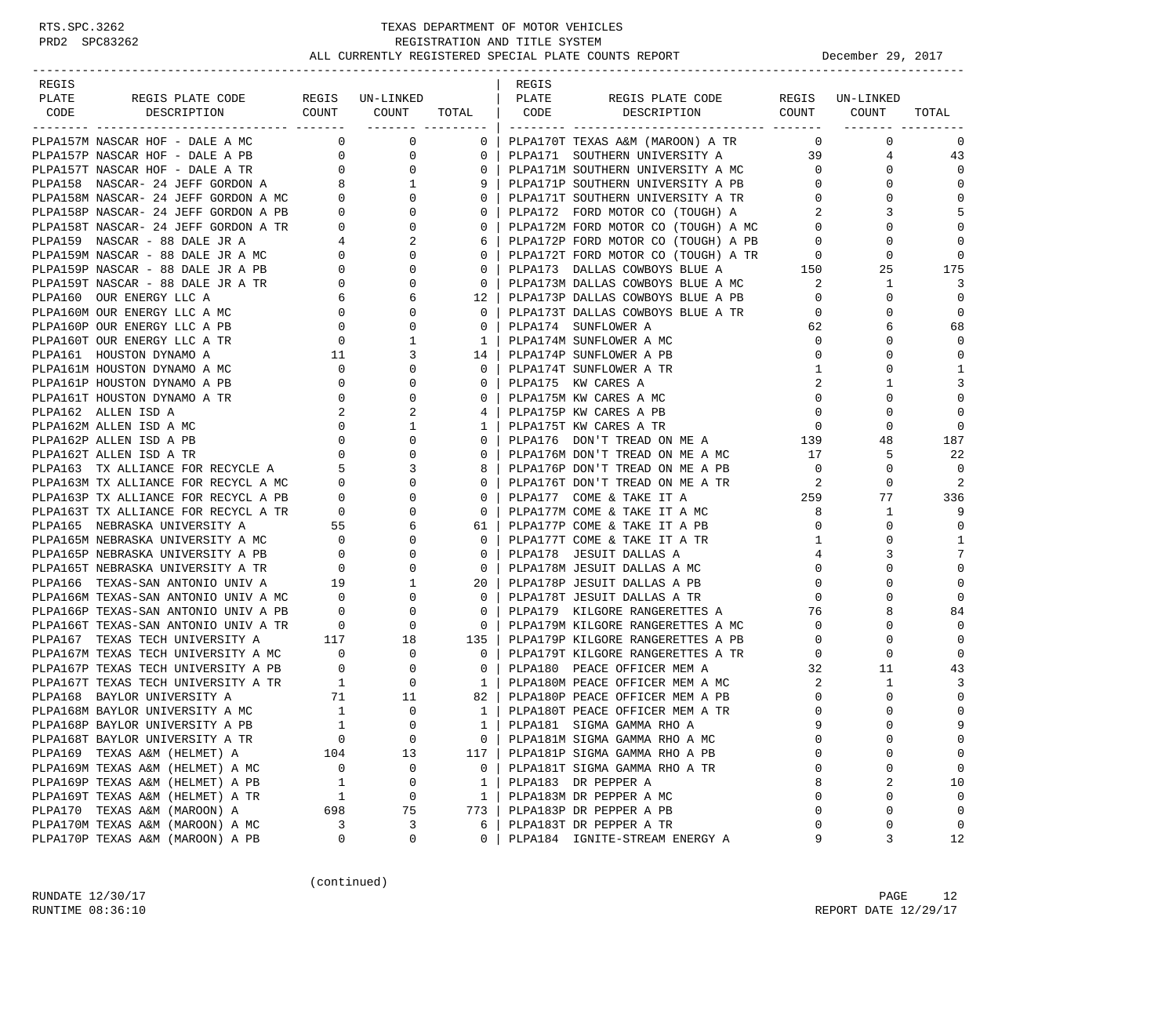| REGIS |                                                                                                                                                                                                                                            |                                        |                          |                                                     | REGIS |                                                                                                                                                                                                                                                                                                                     |                |                                   |                  |
|-------|--------------------------------------------------------------------------------------------------------------------------------------------------------------------------------------------------------------------------------------------|----------------------------------------|--------------------------|-----------------------------------------------------|-------|---------------------------------------------------------------------------------------------------------------------------------------------------------------------------------------------------------------------------------------------------------------------------------------------------------------------|----------------|-----------------------------------|------------------|
| PLATE | REGIS PLATE CODE                                                                                                                                                                                                                           |                                        | REGIS UN-LINKED          |                                                     | PLATE | REGIS PLATE CODE                                                                                                                                                                                                                                                                                                    |                | REGIS UN-LINKED                   |                  |
| CODE  | DESCRIPTION                                                                                                                                                                                                                                |                                        | COUNT COUNT TOTAL   CODE |                                                     |       | DESCRIPTION COUNT COUNT                                                                                                                                                                                                                                                                                             |                |                                   | TOTAL            |
|       |                                                                                                                                                                                                                                            |                                        |                          |                                                     |       |                                                                                                                                                                                                                                                                                                                     |                |                                   |                  |
|       | PLPA157M NASCAR HOF - DALE A MC                                                                                                                                                                                                            |                                        | $\overline{0}$ 0         |                                                     |       | 0   PLPA170T TEXAS A&M (MAROON) A TR                                                                                                                                                                                                                                                                                |                | $0 \qquad \qquad$<br>$\mathbf{0}$ | 0                |
|       |                                                                                                                                                                                                                                            |                                        |                          | $0-1$                                               |       | PLPA171 SOUTHERN UNIVERSITY A                                                                                                                                                                                                                                                                                       |                | 39                                | 43<br>$4\degree$ |
|       |                                                                                                                                                                                                                                            |                                        |                          |                                                     |       | 0   PLPA171M SOUTHERN UNIVERSITY A MC                                                                                                                                                                                                                                                                               |                | $\mathbf{0}$                      | $\mathbf 0$      |
|       |                                                                                                                                                                                                                                            |                                        |                          | 91                                                  |       | PLPA171P SOUTHERN UNIVERSITY A MC 0<br>PLPA171P SOUTHERN UNIVERSITY A PB 0<br>PLPA171T SOUTHERN INTIMATE                                                                                                                                                                                                            | $\overline{0}$ | $\Omega$                          | $\mathbf 0$      |
|       |                                                                                                                                                                                                                                            |                                        |                          | $0-1$                                               |       | PLPAI/IF SOUTHERN UNIVERSITY A TR<br>PLPAI71T SOUTHERN UNIVERSITY A TR                                                                                                                                                                                                                                              |                | 0                                 | $\mathbf 0$      |
|       |                                                                                                                                                                                                                                            |                                        |                          | $\circ$                                             |       | PLPA172 FORD MOTOR CO (TOUGH) A                                                                                                                                                                                                                                                                                     | 2              | 3                                 | 5                |
|       |                                                                                                                                                                                                                                            |                                        |                          |                                                     |       |                                                                                                                                                                                                                                                                                                                     |                | $\Omega$                          | $\mathbf 0$      |
|       |                                                                                                                                                                                                                                            |                                        |                          |                                                     |       | 0   PLPA172M FORD MOTOR CO (TOUGH) A MC $\begin{array}{c c} 0 & 0 & 0 \\ 6 & 0 & 0 \\ 7 & 0 & 0 \\ 8 & 0 & 0 \\ 9 & 1 & 0 \\ 9 & 1 & 0 \\ 1 & 1 & 0 \\ 1 & 1 & 0 \\ 1 & 1 & 0 \\ 1 & 1 & 0 \\ 1 & 1 & 0 \\ 1 & 1 & 0 \\ 1 & 1 & 0 \\ 1 & 1 & 0 \\ 1 & 1 & 0 \\ 1 & 1 & 0 \\ 1 & 1 & 0 \\ 1 & 1 & 0 \\ 1 & 1 & 0 \\$ |                | 0                                 | $\mathbf 0$      |
|       |                                                                                                                                                                                                                                            |                                        |                          |                                                     |       |                                                                                                                                                                                                                                                                                                                     |                | 0                                 | $\Omega$         |
|       |                                                                                                                                                                                                                                            |                                        |                          |                                                     |       |                                                                                                                                                                                                                                                                                                                     |                | 25                                | 175              |
|       |                                                                                                                                                                                                                                            |                                        |                          | 0 <sup>1</sup>                                      |       | PLPA173M DALLAS COWBOYS BLUE A MC                                                                                                                                                                                                                                                                                   | 2              | $\mathbf{1}$                      | 3                |
|       |                                                                                                                                                                                                                                            |                                        |                          | $12-1$                                              |       | PLPA173P DALLAS COWBOYS BLUE A PB 0                                                                                                                                                                                                                                                                                 |                | 0                                 | $\overline{0}$   |
|       |                                                                                                                                                                                                                                            |                                        |                          |                                                     |       | 0   PLPA173T DALLAS COWBOYS BLUE A TR                                                                                                                                                                                                                                                                               | $\overline{0}$ | $\Omega$                          | $\mathbf 0$      |
|       |                                                                                                                                                                                                                                            |                                        |                          | $\Omega$                                            |       | PLPA174 SUNFLOWER A                                                                                                                                                                                                                                                                                                 | 62             | 6                                 | 68               |
|       | PLPA160T OUR ENERGY LLC A TR                                                                                                                                                                                                               |                                        | 1                        |                                                     |       | 1   PLPA174M SUNFLOWER A MC                                                                                                                                                                                                                                                                                         | $\overline{0}$ | 0                                 | $\Omega$         |
|       | PLPA161 HOUSTON DYNAMO A                                                                                                                                                                                                                   | $\begin{array}{c} 0 \\ 11 \end{array}$ | 3                        |                                                     |       | 14   PLPA174P SUNFLOWER A PB                                                                                                                                                                                                                                                                                        | $\mathbf 0$    | $\Omega$                          | $\mathbf 0$      |
|       | PLPA161M HOUSTON DYNAMO A MC                                                                                                                                                                                                               | $\overline{0}$                         | $\mathbf{0}$             | $0-1$                                               |       | PLPA174T SUNFLOWER A TR                                                                                                                                                                                                                                                                                             | $\mathbf{1}$   | 0                                 | 1                |
|       | PLPA161P HOUSTON DYNAMO A PB                                                                                                                                                                                                               |                                        | $\mathbf{0}$             |                                                     |       | 0   PLPA175 KW CARES A                                                                                                                                                                                                                                                                                              | 2              |                                   | 3                |
|       | PLPA161T HOUSTON DYNAMO A TR                                                                                                                                                                                                               | $\begin{array}{c} 0 \\ 0 \end{array}$  | $\Omega$                 | $\Omega$                                            |       | PLPA175M KW CARES A MC                                                                                                                                                                                                                                                                                              | $\mathbf{0}$   | $\Omega$                          | $\mathbf 0$      |
|       |                                                                                                                                                                                                                                            |                                        |                          |                                                     |       | 4   PLPA175P KW CARES A PB                                                                                                                                                                                                                                                                                          | $\overline{0}$ | 0                                 | $\mathbf 0$      |
|       |                                                                                                                                                                                                                                            |                                        |                          | $1 \perp$                                           |       | PLPA175T KW CARES A TR                                                                                                                                                                                                                                                                                              | $\overline{0}$ | $\mathbf 0$                       | $\mathbf 0$      |
|       |                                                                                                                                                                                                                                            |                                        |                          | $\Omega$                                            |       |                                                                                                                                                                                                                                                                                                                     |                | 48                                |                  |
|       |                                                                                                                                                                                                                                            |                                        |                          | 0 <sup>1</sup>                                      |       | PLPA176 DON'T TREAD ON ME A 139<br>PLPA176M DON'T TREAD ON ME A MC                                                                                                                                                                                                                                                  | 17             | 5                                 | 187<br>22        |
|       |                                                                                                                                                                                                                                            |                                        |                          |                                                     |       |                                                                                                                                                                                                                                                                                                                     |                |                                   |                  |
|       |                                                                                                                                                                                                                                            |                                        |                          | 8 I                                                 |       | PLPA176P DON'T TREAD ON ME A PB                                                                                                                                                                                                                                                                                     | $\overline{0}$ | 0                                 | $\mathbf 0$<br>2 |
|       |                                                                                                                                                                                                                                            |                                        |                          | $0-1$                                               |       |                                                                                                                                                                                                                                                                                                                     |                | 0                                 |                  |
|       | PLPA163T TX ALLIANCE FOR RECYCL A TR<br>PLPA165 NEBRASKA UNIVERSITY A 55<br>PLPA165M NEBRASKA UNIVERSITY A MC 0<br>PLPA165P NEBRASKA UNIVERSITY A PB 0<br>PLPA165P NEBRASKA UNIVERSITY A TR 0<br>PLPA165T NEBRASKA UNIVERSITY A TR 0<br>PL |                                        |                          | 0 <sup>1</sup>                                      |       |                                                                                                                                                                                                                                                                                                                     |                | 77                                | 336              |
|       |                                                                                                                                                                                                                                            |                                        | $\mathbf{0}$             | $\overline{\phantom{0}}$ 0 $\overline{\phantom{0}}$ |       | PLPA177M COME & TAKE IT A MC                                                                                                                                                                                                                                                                                        | 8              | $\mathbf{1}$                      | 9                |
|       |                                                                                                                                                                                                                                            |                                        | 6                        |                                                     |       | 61   PLPA177P COME & TAKE IT A PB                                                                                                                                                                                                                                                                                   | $\mathbf{0}$   | 0                                 | $\mathbf 0$      |
|       |                                                                                                                                                                                                                                            |                                        | $\overline{0}$           | $\Omega$                                            |       | PLPA177T COME & TAKE IT A TR                                                                                                                                                                                                                                                                                        | 1              | $\Omega$                          | 1                |
|       |                                                                                                                                                                                                                                            |                                        | $\overline{0}$           | $\circ$                                             |       | PLPA178 JESUIT DALLAS A                                                                                                                                                                                                                                                                                             | $\overline{4}$ | 3                                 | 7                |
|       |                                                                                                                                                                                                                                            |                                        | $\overline{0}$           | $\overline{\phantom{0}}$ 0 $\overline{\phantom{0}}$ |       | PLPA178M JESUIT DALLAS A MC                                                                                                                                                                                                                                                                                         | $\mathbf 0$    |                                   | $\mathbf 0$      |
|       | PLPA166 TEXAS-SAN ANTONIO UNIV A                                                                                                                                                                                                           | 19                                     |                          | $1 \qquad \qquad$<br>20 <sub>1</sub>                |       | PLPA178P JESUIT DALLAS A PB                                                                                                                                                                                                                                                                                         | $\mathbf{0}$   | $\Omega$                          | $\mathbf 0$      |
|       |                                                                                                                                                                                                                                            |                                        |                          | 0 <sup>1</sup>                                      |       | PLPA178T JESUIT DALLAS A TR                                                                                                                                                                                                                                                                                         | $\mathbf{0}$   | $\Omega$                          | $\mathbf 0$      |
|       |                                                                                                                                                                                                                                            |                                        |                          | $\Omega$                                            |       | PLPA179 KILGORE RANGERETTES A                                                                                                                                                                                                                                                                                       | 76             | 8                                 | 84               |
|       |                                                                                                                                                                                                                                            |                                        |                          |                                                     |       | 0   PLPA179M KILGORE RANGERETTES A MC<br>135   PLPA179P KILGORE RANGERETTES A PB                                                                                                                                                                                                                                    | $\mathbf{0}$   | 0                                 | $\Omega$         |
|       |                                                                                                                                                                                                                                            |                                        |                          |                                                     |       |                                                                                                                                                                                                                                                                                                                     | $\circ$        | $\Omega$                          | $\mathbf 0$      |
|       |                                                                                                                                                                                                                                            |                                        |                          | $\overline{\phantom{0}}$ 0 $\overline{\phantom{0}}$ |       | PLPA179T KILGORE RANGERETTES A TR                                                                                                                                                                                                                                                                                   | $\overline{0}$ | 0                                 | $\mathbf 0$      |
|       |                                                                                                                                                                                                                                            |                                        |                          |                                                     |       | 0   PLPA180 PEACE OFFICER MEM A                                                                                                                                                                                                                                                                                     | 32             | 11                                | 43               |
|       |                                                                                                                                                                                                                                            |                                        |                          | $1 \mid$                                            |       | PLPA180M PEACE OFFICER MEM A MC 2                                                                                                                                                                                                                                                                                   |                | $\mathbf{1}$                      | 3                |
|       |                                                                                                                                                                                                                                            |                                        |                          |                                                     |       | 82   PLPA180P PEACE OFFICER MEM A PB                                                                                                                                                                                                                                                                                | $\overline{0}$ | 0                                 | $\mathbf 0$      |
|       |                                                                                                                                                                                                                                            |                                        |                          |                                                     |       | 1   PLPA180T PEACE OFFICER MEM A TR                                                                                                                                                                                                                                                                                 | $\mathbf 0$    | $\Omega$                          | $\mathbf 0$      |
|       | PLPA168P BAYLOR UNIVERSITY A PB                                                                                                                                                                                                            |                                        |                          |                                                     |       | 1   PLPA181 SIGMA GAMMA RHO A                                                                                                                                                                                                                                                                                       | $\mathsf{Q}$   | $\cap$                            | 9                |
|       | PLPA168T BAYLOR UNIVERSITY A TR                                                                                                                                                                                                            | $\mathbf 0$                            | $\mathbf 0$              | 0                                                   |       | PLPA181M SIGMA GAMMA RHO A MC                                                                                                                                                                                                                                                                                       | 0              | 0                                 | 0                |
|       | PLPA169 TEXAS A&M (HELMET) A                                                                                                                                                                                                               | 104                                    | 13                       | 117                                                 |       | PLPA181P SIGMA GAMMA RHO A PB                                                                                                                                                                                                                                                                                       | $\Omega$       | $\Omega$                          | 0                |
|       | PLPA169M TEXAS A&M (HELMET) A MC                                                                                                                                                                                                           | 0                                      | 0                        | $\mathbf{0}$                                        |       | PLPA181T SIGMA GAMMA RHO A TR                                                                                                                                                                                                                                                                                       | 0              | 0                                 | 0                |
|       | PLPA169P TEXAS A&M (HELMET) A PB                                                                                                                                                                                                           | 1                                      | 0                        | $\mathbf{1}$                                        |       | PLPA183 DR PEPPER A                                                                                                                                                                                                                                                                                                 | 8              | 2                                 | 10               |
|       | PLPA169T TEXAS A&M (HELMET) A TR                                                                                                                                                                                                           | 1                                      | 0                        | $\mathbf{1}$                                        |       | PLPA183M DR PEPPER A MC                                                                                                                                                                                                                                                                                             | $\Omega$       | 0                                 | 0                |
|       | PLPA170 TEXAS A&M (MAROON) A                                                                                                                                                                                                               | 698                                    | 75                       | 773                                                 |       | PLPA183P DR PEPPER A PB                                                                                                                                                                                                                                                                                             | $\mathbf 0$    | 0                                 | $\mathbf 0$      |
|       | PLPA170M TEXAS A&M (MAROON) A MC                                                                                                                                                                                                           | 3                                      | 3                        | 6                                                   |       | PLPA183T DR PEPPER A TR                                                                                                                                                                                                                                                                                             | $\Omega$       | 0                                 | 0                |
|       | PLPA170P TEXAS A&M (MAROON) A PB                                                                                                                                                                                                           | 0                                      | 0                        | 0                                                   |       | PLPA184 IGNITE-STREAM ENERGY A                                                                                                                                                                                                                                                                                      | 9              | 3                                 | 12               |

(continued)

RUNDATE 12/30/17 PAGE 12 RUNTIME  $08:36:10$  REPORT DATE  $12/29/17$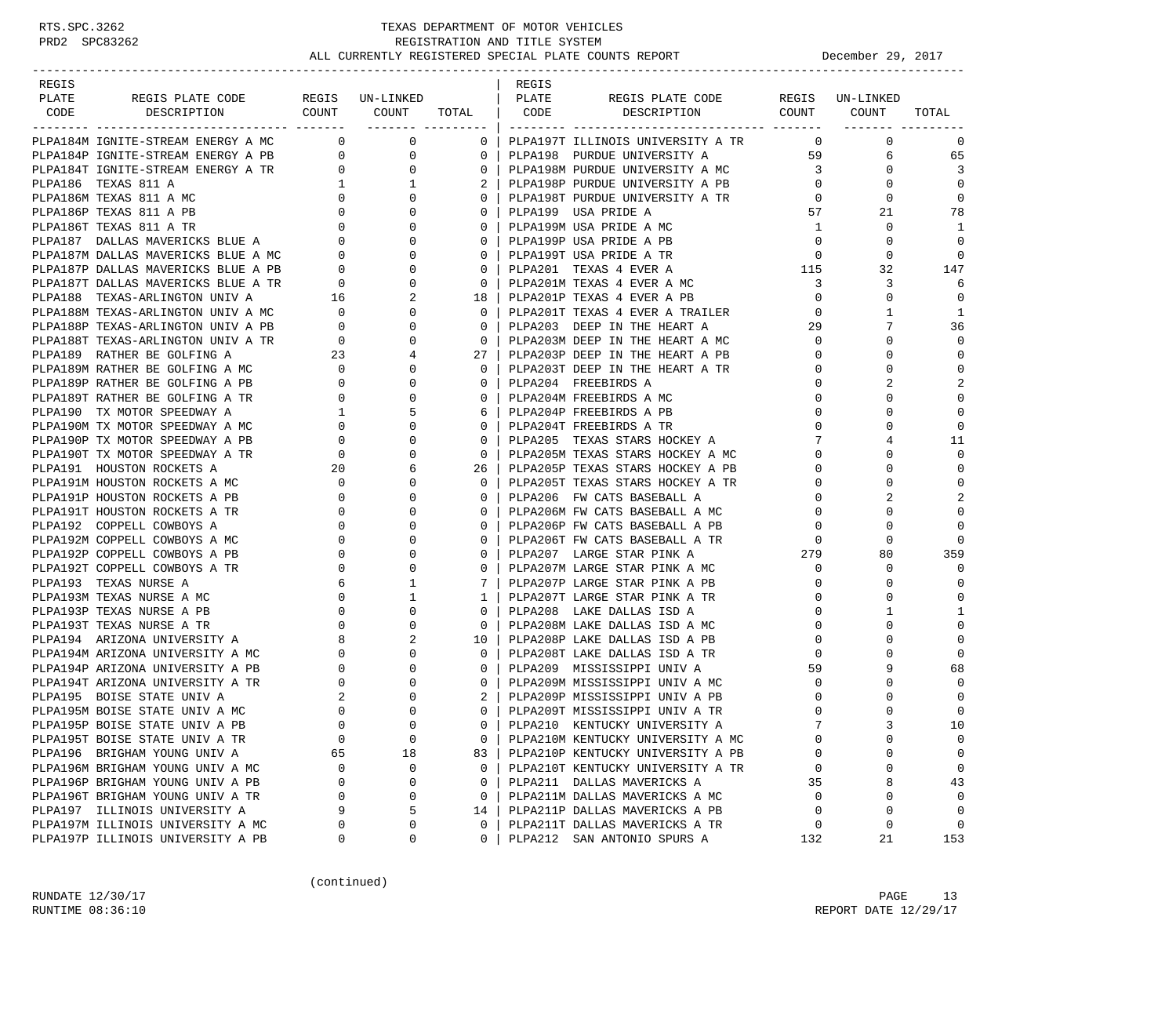| REGIS         |                                                                                                                                                                                                                                                    |                                       |                                                      |                 | REGIS |                                                                   |                         |                     |              |
|---------------|----------------------------------------------------------------------------------------------------------------------------------------------------------------------------------------------------------------------------------------------------|---------------------------------------|------------------------------------------------------|-----------------|-------|-------------------------------------------------------------------|-------------------------|---------------------|--------------|
| PLATE<br>CODE | REGIS PLATE CODE                                                                                                                                                                                                                                   |                                       | REGIS UN-LINKED<br>COUNT COUNT TOTAL   CODE          |                 | PLATE | REGIS PLATE CODE REGIS UN-LINKED<br>DESCRIPTION COUNT COUNT       |                         |                     | TOTAL        |
|               | DESCRIPTION                                                                                                                                                                                                                                        |                                       |                                                      |                 |       |                                                                   |                         |                     |              |
|               | PLPA184M IGNITE-STREAM ENERGY A MC 0                                                                                                                                                                                                               |                                       | $0 \qquad \qquad$                                    |                 |       | 0   PLPA197T ILLINOIS UNIVERSITY A TR                             | $\Omega$                | $\mathbf{0}$        | $\mathbf 0$  |
|               | PLPA184F IGNITE-SIREAR ENERGY A PB<br>PLPA184P IGNITE-STREAM ENERGY A PB<br>PLPA184T IGNITE-STREAM ENERGY A TR<br>0<br>PLPA186 TEXAS 811 A MC<br>0<br>PLPA186P TEXAS 811 A PB<br>0<br>PLPA186T TEXAS 811 A TR<br>0<br>PLPA187 DALLAS MAVERICKS BLU |                                       | $\overline{0}$                                       | 0 <sup>1</sup>  |       | PLPA198 PURDUE UNIVERSITY A                                       |                         | 59 7<br>6           | 65           |
|               |                                                                                                                                                                                                                                                    |                                       | $\mathbf{0}$                                         |                 |       | 0   PLPA198M PURDUE UNIVERSITY A MC                               | $\overline{\mathbf{3}}$ | $\overline{0}$      | 3            |
|               |                                                                                                                                                                                                                                                    |                                       | 1                                                    |                 |       | PLPA198P PURDUE UNIVERSITY A PB                                   | $\overline{0}$          | $\mathbf{0}$        | $\Omega$     |
|               |                                                                                                                                                                                                                                                    |                                       | $\mathbf{0}$                                         | $\mathbf{0}$    |       | PLPA198T PURDUE UNIVERSITY A TR<br>PLP3199 USA PRIPE L            | $\overline{0}$          | $\mathbf 0$         | $\mathbf 0$  |
|               |                                                                                                                                                                                                                                                    |                                       | $\Omega$                                             | $\overline{0}$  |       | PLPA199 USA PRIDE A                                               | 57                      | 21                  | 78           |
|               |                                                                                                                                                                                                                                                    |                                       | $\mathbf 0$                                          | $\mathbf{0}$    |       | PLPA199M USA PRIDE A MC                                           | 1                       | $\mathbf 0$         | 1            |
|               |                                                                                                                                                                                                                                                    |                                       | $\mathbf 0$                                          | 0 <sup>1</sup>  |       | PLPA199P USA PRIDE A PB                                           | $\overline{0}$          | $\mathbf 0$         | $\Omega$     |
|               |                                                                                                                                                                                                                                                    |                                       | $\Omega$                                             | $\overline{0}$  |       | PLPA199T USA PRIDE A TR                                           | $\mathbf 0$             | $\Omega$            | $\Omega$     |
|               | PLPA187P DALLAS MAVERICKS BLUE A PB 0<br>PLPA187T DALLAS MAVERICKS BLUE A TR 0                                                                                                                                                                     |                                       | $\mathbf{0}$                                         | $\mathbf{0}$    |       | $\frac{115}{3}$<br>PLPA201 TEXAS 4 EVER A                         |                         | 32                  | 147          |
|               |                                                                                                                                                                                                                                                    |                                       | $\mathbf{0}$                                         | $\overline{0}$  |       | PLPA201M TEXAS 4 EVER A MC                                        | $\overline{3}$          | 3                   | 6            |
|               |                                                                                                                                                                                                                                                    |                                       | $\overline{a}$                                       | 18 I            |       | PLPA201P TEXAS 4 EVER A PB                                        |                         | $\overline{0}$<br>0 | $\mathbf 0$  |
|               |                                                                                                                                                                                                                                                    |                                       | $\mathbf{0}$                                         | 0 <sup>1</sup>  |       | PLPA201T TEXAS 4 EVER A TRAILER                                   | $\overline{0}$          | 1                   | $\mathbf{1}$ |
|               |                                                                                                                                                                                                                                                    |                                       | $\Omega$                                             | $\Omega$        |       | PLPA203 DEEP IN THE HEART A                                       | 29                      | 7                   | 36           |
|               | PLPA187T DALLAS MAVERICAS DUCE A IR<br>PLPA188 TEXAS-ARLINGTON UNIV A 16<br>PLPA188M TEXAS-ARLINGTON UNIV A MC 0<br>PLPA188P TEXAS-ARLINGTON UNIV A PB 0<br>PLPA188T TEXAS-ARLINGTON UNIV A TR 0<br>PLPA189 RATHER BE GOLFING A 23                 |                                       | 0                                                    | 0 <sup>1</sup>  |       | PLPA203 DEEP IN THE HEART A MC<br>PLPA203M DEEP IN THE HEART A MC | $\overline{0}$          | 0                   | $\mathbf 0$  |
|               |                                                                                                                                                                                                                                                    |                                       | 4                                                    | 27 <sub>1</sub> |       | PLPA203P DEEP IN THE HEART A PB                                   | $\mathbf{0}$            | $\Omega$            | $\mathbf 0$  |
|               | PLPA189M RATHER BE GOLFING A MC                                                                                                                                                                                                                    |                                       | $\mathbf{0}$                                         | $\circ$         |       | PLPA203T DEEP IN THE HEART A TR                                   | $\Omega$                | $\Omega$            | $\mathbf{0}$ |
|               | PLPA189P RATHER BE GOLFING A PB                                                                                                                                                                                                                    |                                       | $\Omega$                                             | $\mathbf{0}$    |       | PLPA204 FREEBIRDS A                                               | $\mathbf{0}$            |                     | 2            |
|               | PLPA189T RATHER BE GOLFING A TR                                                                                                                                                                                                                    |                                       | $\Omega$                                             | $\Omega$        |       | PLPA204M FREEBIRDS A MC                                           | $\Omega$                |                     | $\mathbf 0$  |
|               | PLPA190 TX MOTOR SPEEDWAY A                                                                                                                                                                                                                        |                                       | 5                                                    | 6               |       | PLPA204P FREEBIRDS A PB                                           | $\mathbf{0}$            | $\Omega$            | $\mathbf 0$  |
|               | PLPA190M TX MOTOR SPEEDWAY A MC                                                                                                                                                                                                                    |                                       | $\Omega$                                             | 0 <sup>1</sup>  |       | PLPA204T FREEBIRDS A TR                                           | $\Omega$                | $\Omega$            | $\mathbf 0$  |
|               | PLPA190P TX MOTOR SPEEDWAY A PB                                                                                                                                                                                                                    |                                       | 0                                                    | $\overline{0}$  |       | PLPA205 TEXAS STARS HOCKEY A                                      | 7                       | 4                   | 11           |
|               | PLPA190T TX MOTOR SPEEDWAY A TR                                                                                                                                                                                                                    |                                       | $\Omega$                                             | 0 <sup>1</sup>  |       | PLPA205M TEXAS STARS HOCKEY A MC                                  | $\mathbf 0$             | $\Omega$            | $\mathbf 0$  |
|               | PLPA191 HOUSTON ROCKETS A                                                                                                                                                                                                                          |                                       | 6                                                    | 26 <sub>1</sub> |       | PLPA205P TEXAS STARS HOCKEY A PB                                  | $\Omega$                | $\Omega$            | $\Omega$     |
|               | PLPA191M HOUSTON ROCKETS A MC                                                                                                                                                                                                                      | $\begin{array}{c} 0 \\ 0 \end{array}$ | $\mathbf{0}$                                         | $\Omega$        |       | PLPA205T TEXAS STARS HOCKEY A TR                                  | $\mathbf{0}$            | $\Omega$            | $\mathbf 0$  |
|               | PLPA191P HOUSTON ROCKETS A PB                                                                                                                                                                                                                      |                                       | $\Omega$                                             | $\Omega$        |       | PLPA206 FW CATS BASEBALL A                                        | $\Omega$                | $\overline{a}$      | 2            |
|               | PLPA191T HOUSTON ROCKETS A TR                                                                                                                                                                                                                      | $\overline{0}$                        | $\mathbf 0$                                          | $\mathbf{0}$    |       | PLPA206M FW CATS BASEBALL A MC                                    | $\Omega$                | $\Omega$            | $\mathbf 0$  |
|               | PLPA192 COPPELL COWBOYS A                                                                                                                                                                                                                          | $\overline{0}$                        | 0                                                    | $\Omega$        |       | PLPA206P FW CATS BASEBALL A PB                                    | 0                       | $\Omega$            | $\Omega$     |
|               | PLPA192M COPPELL COWBOYS A MC                                                                                                                                                                                                                      | $\mathbf 0$                           | $\Omega$                                             | $\Omega$        |       | PLPA206T FW CATS BASEBALL A TR                                    | $\Omega$                | $\Omega$            | $\Omega$     |
|               | PLPA192P COPPELL COWBOYS A PB                                                                                                                                                                                                                      | $\overline{0}$                        | $\mathbf{0}$                                         | $\mathbf{0}$    |       | PLPA207 LARGE STAR PINK A                                         | 279                     | 80                  | 359          |
|               | PLPA192T COPPELL COWBOYS A TR                                                                                                                                                                                                                      | $\overline{0}$                        | $\Omega$                                             | $\mathbf 0$     |       | PLPA207M LARGE STAR PINK A MC                                     | $\mathbf 0$             | 0                   | $\mathbf 0$  |
|               | PLPA193 TEXAS NURSE A                                                                                                                                                                                                                              | 6                                     | $\mathbf{1}$                                         | 7               |       | PLPA207P LARGE STAR PINK A PB                                     | $\mathbf 0$             | $\Omega$            | $\Omega$     |
|               | PLPA193M TEXAS NURSE A MC                                                                                                                                                                                                                          |                                       | 1                                                    | $1 \mid$        |       | PLPA207T LARGE STAR PINK A TR                                     | $\mathbf 0$             | $\Omega$            | $\Omega$     |
|               | PLPA193P TEXAS NURSE A PB                                                                                                                                                                                                                          |                                       | $\Omega$                                             | $\Omega$        |       | PLPA208 LAKE DALLAS ISD A                                         | $\Omega$                | 1                   | 1            |
|               |                                                                                                                                                                                                                                                    |                                       | $\mathbf{0}$                                         | $\mathbf{0}$    |       | PLPA208M LAKE DALLAS ISD A MC                                     | $\mathbf{0}$            | $\Omega$            | $\mathbf 0$  |
|               | PLPA193T TEXAS NURSE A TR<br>PLPA194 ARIZONA UNIVERSITY A<br>PLPA194M ARIZONA UNIVERSITY A MC<br>PLPA194P ARIZONA UNIVERSITY A PB<br>PLPA194T ARIZONA UNIVERSITY A TR                                                                              |                                       | $\begin{array}{c} 0 \\ 0 \\ 0 \\ 8 \end{array}$<br>2 | $10-1$          |       | PLPA208P LAKE DALLAS ISD A PB                                     | $\mathbf 0$             | $\Omega$            | $\mathbf 0$  |
|               |                                                                                                                                                                                                                                                    | $\mathbf{0}$                          | $\mathbf{0}$                                         | $\overline{0}$  |       | PLPA208T LAKE DALLAS ISD A TR                                     | $\Omega$                | $\Omega$            | $\mathbf 0$  |
|               |                                                                                                                                                                                                                                                    | $\mathbf{0}$                          | 0                                                    | 0 <sup>1</sup>  |       | PLPA209 MISSISSIPPI UNIV A                                        | 59                      | 9                   | 68           |
|               |                                                                                                                                                                                                                                                    | $\mathbf{0}$                          |                                                      | $\Omega$        |       | PLPA209M MISSISSIPPI UNIV A MC                                    | $\Omega$                |                     | $\Omega$     |
|               | PLPA195 BOISE STATE UNIV A                                                                                                                                                                                                                         | 2                                     | $\mathbf{0}$                                         | 2 <sup>1</sup>  |       | PLPA209P MISSISSIPPI UNIV A PB                                    | $\mathbf{0}$            | 0                   | $\mathbf 0$  |
|               | PLPA195M BOISE STATE UNIV A MC                                                                                                                                                                                                                     | $\mathbf 0$                           | $\Omega$                                             | $\Omega$        |       | PLPA209T MISSISSIPPI UNIV A TR                                    | $\Omega$                |                     | $\mathbf 0$  |
|               | PLPA195P BOISE STATE UNIV A PB                                                                                                                                                                                                                     | $\Omega$                              | $\cap$                                               | $\Omega$        |       | PLPA210 KENTUCKY UNIVERSITY A                                     | $7\phantom{.0}$         |                     | 10           |
|               | PLPA195T BOISE STATE UNIV A TR                                                                                                                                                                                                                     | $\mathbf 0$                           | $\mathbf 0$                                          | 0               |       | PLPA210M KENTUCKY UNIVERSITY A MC                                 | $\mathbf 0$             | 0                   | 0            |
|               | PLPA196 BRIGHAM YOUNG UNIV A                                                                                                                                                                                                                       | 65                                    | 18                                                   | 83              |       | PLPA210P KENTUCKY UNIVERSITY A PB                                 | $\Omega$                | $\Omega$            | 0            |
|               | PLPA196M BRIGHAM YOUNG UNIV A MC                                                                                                                                                                                                                   | 0                                     | 0                                                    | $\mathbf{0}$    |       | PLPA210T KENTUCKY UNIVERSITY A TR                                 | 0                       | 0                   | 0            |
|               | PLPA196P BRIGHAM YOUNG UNIV A PB                                                                                                                                                                                                                   | 0                                     | $\mathbf 0$                                          | $\mathbf{0}$    |       | PLPA211 DALLAS MAVERICKS A                                        | 35                      | 8                   | 43           |
|               | PLPA196T BRIGHAM YOUNG UNIV A TR                                                                                                                                                                                                                   | 0                                     | 0                                                    | $\mathbf{0}$    |       | PLPA211M DALLAS MAVERICKS A MC                                    | $\Omega$                | 0                   | 0            |
|               | PLPA197 ILLINOIS UNIVERSITY A                                                                                                                                                                                                                      | 9                                     | 5                                                    | 14              |       | PLPA211P DALLAS MAVERICKS A PB                                    | $\mathbf 0$             | 0                   | $\mathbf 0$  |
|               | PLPA197M ILLINOIS UNIVERSITY A MC                                                                                                                                                                                                                  | 0                                     | 0                                                    | $\Omega$        |       | PLPA211T DALLAS MAVERICKS A TR                                    | 0                       | 0                   | $\mathbf 0$  |
|               | PLPA197P ILLINOIS UNIVERSITY A PB                                                                                                                                                                                                                  | 0                                     | 0                                                    | $\Omega$        |       | PLPA212 SAN ANTONIO SPURS A                                       | 132                     | 21                  | 153          |

(continued)

RUNDATE  $12/30/17$  PAGE 13 RUNTIME  $08:36:10$  REPORT DATE  $12/29/17$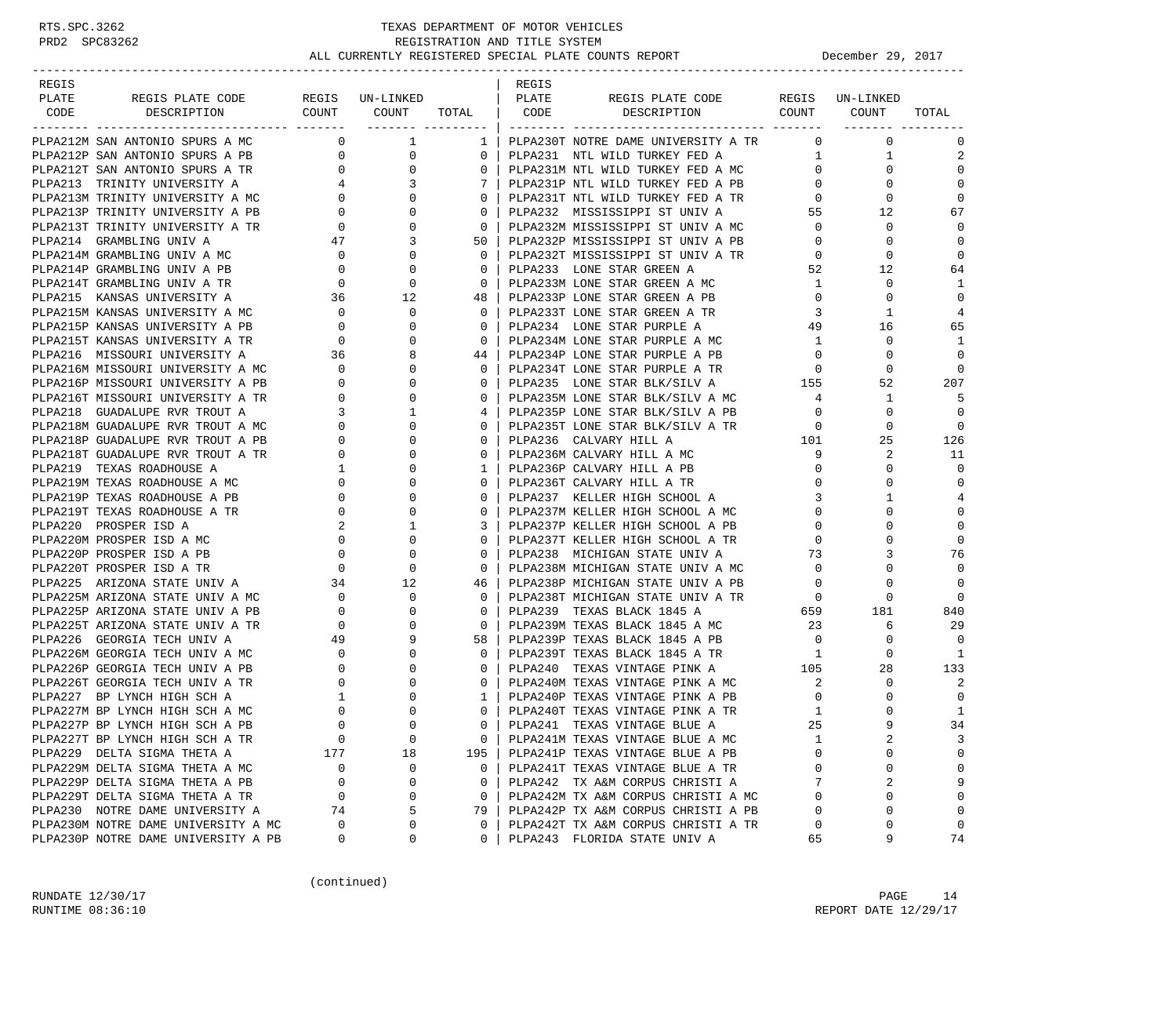| REGIS |                                                                                                                                                                                                                                          |                                                       |                                             |                | REGIS |                                                                                                           |                                        |                                  |                |
|-------|------------------------------------------------------------------------------------------------------------------------------------------------------------------------------------------------------------------------------------------|-------------------------------------------------------|---------------------------------------------|----------------|-------|-----------------------------------------------------------------------------------------------------------|----------------------------------------|----------------------------------|----------------|
| PLATE | REGIS PLATE CODE                                                                                                                                                                                                                         |                                                       | REGIS UN-LINKED<br>COUNT COUNT TOTAL   CODE |                | PLATE | REGIS PLATE CODE REGIS UN-LINKED<br>DESCRIPTION COUNT COUNT                                               |                                        |                                  |                |
| CODE  | DESCRIPTION                                                                                                                                                                                                                              |                                                       | ___________________                         |                |       |                                                                                                           |                                        |                                  | TOTAL          |
|       | CONTROLL AND SPURS A MONDING SPURS A MONDING SPURS A PB<br>PLPA212F SAN ANTONIO SPURS A PB<br>PLPA212T SAN ANTONIO SPURS A TR<br>PLPA213 TRINITY UNIVERSITY A MC<br>PLPA213M TRINITY UNIVERSITY A MC<br>PLPA213M TRINITY UNIVERSITY A PB |                                                       |                                             | 1              |       | PLPA230T NOTRE DAME UNIVERSITY A TR                                                                       | $\mathbf{0}$                           | $\Omega$                         | $\mathbf 0$    |
|       |                                                                                                                                                                                                                                          |                                                       |                                             | $\mathbf{0}$   |       | PLPA231 NTL WILD TURKEY FED A                                                                             |                                        | $1$ $\hfill$<br>$\mathbf{1}$     | 2              |
|       |                                                                                                                                                                                                                                          |                                                       |                                             | $\mathbf{0}$   |       | PLPA231M NTL WILD TURKEY FED A MC                                                                         | $\overline{0}$                         | $\Omega$                         | $\Omega$       |
|       |                                                                                                                                                                                                                                          |                                                       |                                             | 7              |       | PLPA231P NTL WILD TURKEY FED A PB                                                                         | $\mathbf{0}$                           | $\Omega$                         | $\Omega$       |
|       |                                                                                                                                                                                                                                          |                                                       |                                             | $\mathbf{0}$   |       |                                                                                                           | $\mathbf{0}$                           | 0                                | 0              |
|       |                                                                                                                                                                                                                                          |                                                       |                                             | $\mathbf{0}$   |       | PLPA231T NTL WILD TURKEY FED A TR<br>PLPA232 MISSISSIPPI ST UNIV A                                        | 55                                     | 12                               | 67             |
|       |                                                                                                                                                                                                                                          |                                                       |                                             | $\mathbf{0}$   |       | PLPA232M MISSISSIPPI ST UNIV A MC                                                                         | $\overline{0}$                         | 0                                | 0              |
|       |                                                                                                                                                                                                                                          |                                                       |                                             | 50             |       | PLPA232P MISSISSIPPI ST UNIV A PB                                                                         | $\overline{0}$                         | $\Omega$                         | $\Omega$       |
|       | PLPA214 GRAMBLING UNIV A 47<br>PLPA214M GRAMBLING UNIV A MC 0                                                                                                                                                                            |                                                       | $\Omega$                                    | $\Omega$       |       | PLPA232T MISSISSIPPI ST UNIV A TR                                                                         | $\overline{0}$                         | 0                                | $\Omega$       |
|       | PLPA214P GRAMBLING UNIV A PB                                                                                                                                                                                                             |                                                       | 0                                           | $\mathbf{0}$   |       | PLPA233 LONE STAR GREEN A                                                                                 | 52                                     | 12                               | 64             |
|       | PLPA214T GRAMBLING UNIV A TR                                                                                                                                                                                                             | $\begin{array}{c} 0 \\ 0 \end{array}$                 | 0                                           | $\overline{0}$ |       | PLPA233M LONE STAR GREEN A MC                                                                             | 1                                      | $\mathbf 0$                      | 1              |
|       | PLPA215 KANSAS UNIVERSITY A                                                                                                                                                                                                              | 36                                                    | 12                                          | 48             |       | PLPA233P LONE STAR GREEN A PB                                                                             | $\overline{0}$                         | $\mathbf 0$                      | $\mathbf 0$    |
|       | PLPA215M KANSAS UNIVERSITY A MC<br>PLPA215P KANSAS UNIVERSITY A PB<br>0                                                                                                                                                                  |                                                       | 0                                           | $\mathbf{0}$   |       | PLPA233T LONE STAR GREEN A TR                                                                             | $\mathbf{3}$                           | 1                                | $\overline{4}$ |
|       |                                                                                                                                                                                                                                          |                                                       | $\Omega$                                    | $\Omega$       |       | PLPA234 LONE STAR PURPLE A                                                                                | 49                                     | 16                               | 65             |
|       | PLPA215T KANSAS UNIVERSITY A TR                                                                                                                                                                                                          |                                                       | 0                                           | $\mathbf{0}$   |       | PLPA234M LONE STAR PURPLE A MC                                                                            | $\mathbf{1}$                           | 0                                | -1             |
|       | PLPA216 MISSOURI UNIVERSITY A                                                                                                                                                                                                            | $\begin{array}{c}0\\36\end{array}$                    | 8                                           | 44             |       | PLPA234P LONE STAR PURPLE A PB                                                                            | $\overline{0}$                         | $\Omega$                         | $\mathbf 0$    |
|       | PLPA216M MISSOURI UNIVERSITY A MC                                                                                                                                                                                                        |                                                       | 0                                           | $\overline{0}$ |       | PLPA234T LONE STAR PURPLE A TR                                                                            | $\overline{0}$                         | $\mathbf 0$                      | 0              |
|       | PLPA216P MISSOURI UNIVERSITY A PB                                                                                                                                                                                                        | $\begin{bmatrix} 0 \\ 0 \\ 0 \\ 0 \end{bmatrix}$      | 0                                           | $\mathbf{0}$   |       | PLPA235 LONE STAR BLK/SILV A                                                                              | 155                                    | 52                               | 207            |
|       | PLPA216T MISSOURI UNIVERSITY A TR                                                                                                                                                                                                        |                                                       | $\Omega$                                    | $\Omega$       |       | PLPA235M LONE STAR BLK/SILV A MC 4                                                                        |                                        | 1                                | -5             |
|       | PLPA218 GUADALUPE RVR TROUT A                                                                                                                                                                                                            |                                                       | $\begin{array}{c} 3 \\ 0 \end{array}$<br>1  | 4              |       | PLPAZ35M LUNE ULEN LEWIS CONTROLLER<br>PLPAZ35P LONE STAR BLK/SILV A PB<br>- ---- ---- --- PER VSTIV A TR | $\overline{0}$                         | 0                                | $\Omega$       |
|       | PLPA218M GUADALUPE RVR TROUT A MC                                                                                                                                                                                                        |                                                       | $\Omega$                                    | $\mathbf{0}$   |       |                                                                                                           |                                        | $\mathbf 0$                      | $\overline{0}$ |
|       | PLPA218P GUADALUPE RVR TROUT A PB                                                                                                                                                                                                        |                                                       | 0                                           | $\mathbf{0}$   |       | PLPA236 CALVARY HILL A                                                                                    | 101                                    | 25                               | 126            |
|       | PLPA218T GUADALUPE RVR TROUT A TR                                                                                                                                                                                                        |                                                       |                                             | 0              |       | PLPA236M CALVARY HILL A MC                                                                                | $\frac{9}{0}$                          | 2                                | 11             |
|       | PLPA219 TEXAS ROADHOUSE A                                                                                                                                                                                                                | $\begin{array}{c}\n\downarrow \\ 1 \\ 0\n\end{array}$ | $\Omega$                                    | 1              |       | PLPA236P CALVARY HILL A PB                                                                                |                                        | $\Omega$                         | $\Omega$       |
|       | PLPA219M TEXAS ROADHOUSE A MC                                                                                                                                                                                                            |                                                       | $0 \qquad \qquad$<br>0                      | $\mathbf{0}$   |       | PLPA236T CALVARY HILL A TR                                                                                | $\mathbf{0}$                           | 0                                | 0              |
|       | PLPA219P TEXAS ROADHOUSE A PB                                                                                                                                                                                                            | $\mathbf{0}$                                          | $\Omega$                                    | $\Omega$       |       | PLPA237 KELLER HIGH SCHOOL A                                                                              | 3                                      | $\mathbf{1}$                     | 4              |
|       | PLPA219T TEXAS ROADHOUSE A TR                                                                                                                                                                                                            | $\overline{0}$                                        | 0                                           | $\mathbf{0}$   |       | PLPA237M KELLER HIGH SCHOOL A MC                                                                          | $\mathbf{0}$                           | 0                                | $\mathbf 0$    |
|       | PLPA220 PROSPER ISD A                                                                                                                                                                                                                    |                                                       | 1                                           | 3              |       | PLPA237P KELLER HIGH SCHOOL A PB                                                                          | $\mathbf{0}$                           | $\Omega$                         | $\Omega$       |
|       | PLPA220M PROSPER ISD A MC                                                                                                                                                                                                                | $\begin{array}{c} 2 \\ 0 \\ 0 \\ 0 \end{array}$       | 0                                           | $\Omega$       |       | PLPA237T KELLER HIGH SCHOOL A TR                                                                          | $\mathbf{0}$                           | 0                                | $\Omega$       |
|       | PLPA220P PROSPER ISD A PB                                                                                                                                                                                                                |                                                       | 0                                           | $\mathbf{0}$   |       | PLPA238 MICHIGAN STATE UNIV A                                                                             | 73                                     | 3                                | 76             |
|       | PLPA220T PROSPER ISD A TR                                                                                                                                                                                                                |                                                       | $\Omega$                                    | $\mathbf{0}$   |       | PLPA238M MICHIGAN STATE UNIV A MC                                                                         | $\overline{\phantom{0}}$               | $\Omega$                         | $\Omega$       |
|       | PLPA225 ARIZONA STATE UNIV A $34$ 12                                                                                                                                                                                                     |                                                       |                                             | 46             |       | PLPA238P MICHIGAN STATE UNIV A PB                                                                         | $\overline{0}$                         | $\mathbf 0$                      | $\Omega$       |
|       | PLPA225M ARIZONA STATE UNIV A MC                                                                                                                                                                                                         | $\begin{array}{c} 0 \\ 0 \end{array}$                 | $\mathbf 0$                                 | $\mathbf{0}$   |       | PLPA238T MICHIGAN STATE UNIV A TR                                                                         | $\overline{0}$                         | $\mathbf 0$<br>TR 0 0<br>659 181 | $\Omega$       |
|       | PLPA225P ARIZONA STATE UNIV A PB                                                                                                                                                                                                         |                                                       | $\Omega$                                    | $\Omega$       |       | PLPA239 TEXAS BLACK 1845 A                                                                                |                                        |                                  | 840            |
|       | PLPA225T ARIZONA STATE UNIV A TR                                                                                                                                                                                                         | $\begin{array}{c} 0 \\ 4 \, \Omega \end{array}$       | $\Omega$                                    | $\mathbf{0}$   |       | PLPA239M TEXAS BLACK 1845 A MC<br>PLPA239P TEXAS BLACK 1845 A PB                                          | $\begin{array}{c} 23 \\ 0 \end{array}$ | 6                                | 29             |
|       | PLPA226 GEORGIA TECH UNIV A                                                                                                                                                                                                              | 49                                                    |                                             | 58 I           |       |                                                                                                           |                                        | 0                                | $\Omega$       |
|       | PLPA226M GEORGIA TECH UNIV A MC                                                                                                                                                                                                          | $\begin{matrix}0\\0\\0\end{matrix}$                   | $\Omega$                                    | $\mathbf{0}$   |       | PLPA239T TEXAS BLACK 1845 A TR 1                                                                          |                                        | $\mathbf 0$                      | 1              |
|       | PLPA226P GEORGIA TECH UNIV A PB                                                                                                                                                                                                          |                                                       |                                             | $\mathbf{0}$   |       | PLPA240 TEXAS VINTAGE PINK A                                                                              | 105                                    | 28                               | 133            |
|       | PLPA226T GEORGIA TECH UNIV A TR                                                                                                                                                                                                          |                                                       |                                             | $\mathbf{0}$   |       | PLPA240M TEXAS VINTAGE PINK A MC                                                                          | 2                                      | 0                                | 2              |
|       | PLPA227 BP LYNCH HIGH SCH A                                                                                                                                                                                                              | $\mathbf{1}$                                          |                                             | $\mathbf{1}$   |       | PLPA240P TEXAS VINTAGE PINK A PB                                                                          | $\overline{0}$                         | 0                                | $\mathbf 0$    |
|       | PLPA227M BP LYNCH HIGH SCH A MC                                                                                                                                                                                                          | $\mathbf 0$                                           | $\Omega$                                    | $\Omega$       |       | PLPA240T TEXAS VINTAGE PINK A TR                                                                          | 1                                      | $\Omega$                         | $\mathbf{1}$   |
|       | PLPA227P BP LYNCH HIGH SCH A PB                                                                                                                                                                                                          | $\Omega$                                              | $\Omega$                                    | $\Omega$       |       | PLPA241 TEXAS VINTAGE BLUE A                                                                              | 25                                     |                                  | 34             |
|       | PLPA227T BP LYNCH HIGH SCH A TR                                                                                                                                                                                                          | $\mathbf 0$                                           | $\mathbf 0$                                 | 0              |       | PLPA241M TEXAS VINTAGE BLUE A MC                                                                          | 1                                      | 2                                | 3              |
|       | PLPA229 DELTA SIGMA THETA A                                                                                                                                                                                                              | 177                                                   | 18                                          | 195            |       | PLPA241P TEXAS VINTAGE BLUE A PB                                                                          | $\Omega$                               | O                                | $\mathbf 0$    |
|       | PLPA229M DELTA SIGMA THETA A MC                                                                                                                                                                                                          | 0                                                     | 0                                           | $\mathbf{0}$   |       | PLPA241T TEXAS VINTAGE BLUE A TR                                                                          | 0                                      | 0                                | 0              |
|       | PLPA229P DELTA SIGMA THETA A PB                                                                                                                                                                                                          | $\mathbf 0$                                           | $\Omega$                                    | $\mathbf{0}$   |       | PLPA242 TX A&M CORPUS CHRISTI A                                                                           | 7                                      | 2                                | 9              |
|       | PLPA229T DELTA SIGMA THETA A TR                                                                                                                                                                                                          | 0                                                     | 0                                           | $\mathbf{0}$   |       | PLPA242M TX A&M CORPUS CHRISTI A MC                                                                       | $\Omega$                               | $\Omega$                         | $\mathbf 0$    |
|       | PLPA230 NOTRE DAME UNIVERSITY A                                                                                                                                                                                                          | 74                                                    | 5                                           | 79             |       | PLPA242P TX A&M CORPUS CHRISTI A PB                                                                       | 0                                      | $\Omega$                         | $\mathbf 0$    |
|       | PLPA230M NOTRE DAME UNIVERSITY A MC                                                                                                                                                                                                      | $\mathbf 0$                                           | 0                                           | 0              |       | PLPA242T TX A&M CORPUS CHRISTI A TR                                                                       | 0                                      | 0                                | 0              |
|       | PLPA230P NOTRE DAME UNIVERSITY A PB                                                                                                                                                                                                      | 0                                                     | 0                                           | $\Omega$       |       | PLPA243 FLORIDA STATE UNIV A                                                                              | 65                                     | 9                                | 74             |

(continued)

RUNDATE  $12/30/17$  PAGE  $14$ RUNTIME  $08:36:10$  REPORT DATE  $12/29/17$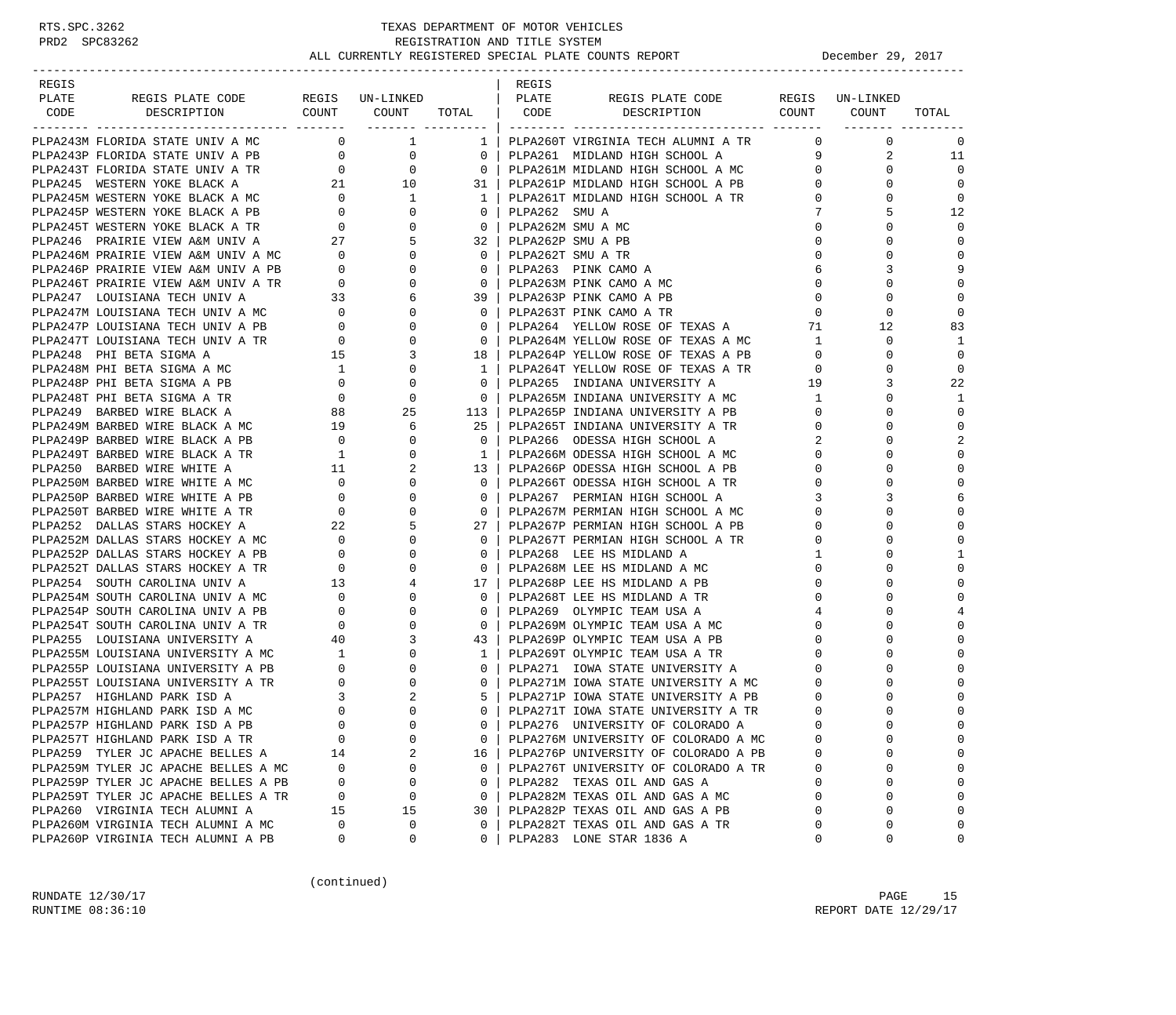| REGIS |                                                                                                                                                                                                                                                                                                                      |             |                                              |              | REGIS |                                        |             |                                         |                                         |
|-------|----------------------------------------------------------------------------------------------------------------------------------------------------------------------------------------------------------------------------------------------------------------------------------------------------------------------|-------------|----------------------------------------------|--------------|-------|----------------------------------------|-------------|-----------------------------------------|-----------------------------------------|
| PLATE | PLATE REGISPLATE CODE REGIS UN-LINKED   PLATE REGISPLATE CODE REGIS UN-LINKED<br>CODE DESCRIPTION COUNT COUNT TOTAL   CODE DESCRIPTION COUNT COUNT                                                                                                                                                                   |             |                                              |              |       |                                        |             |                                         |                                         |
|       |                                                                                                                                                                                                                                                                                                                      |             |                                              |              |       |                                        |             |                                         | TOTAL                                   |
|       | PLPA243M FLORIDA STATE UNIV A MC                                                                                                                                                                                                                                                                                     |             | $\begin{array}{ccc} & & 0 & & 1 \end{array}$ |              |       | 1   PLPA260T VIRGINIA TECH ALUMNI A TR |             | ________ ________<br>$0\qquad \qquad 0$ | $\overline{0}$                          |
|       |                                                                                                                                                                                                                                                                                                                      |             |                                              |              |       |                                        |             |                                         | $\begin{array}{ccc} 2 & 11 \end{array}$ |
|       |                                                                                                                                                                                                                                                                                                                      |             |                                              |              |       |                                        |             | $\mathbf{0}$                            | $\overline{0}$                          |
|       | PLPA243P FLORIDA STATE UNIV A PB<br>PLPA243T FLORIDA STATE UNIV A PB<br>PLPA243T FLORIDA STATE UNIV A TR<br>PLPA245 WESTERN YOKE BLACK A<br>21 10 31   PLPA261P MIDLAND HIGH SCHOOL A MC<br>21 10 31   PLPA261P MIDLAND HIGH SCHOOL A MC                                                                             |             |                                              |              |       |                                        |             | $\Omega$                                | $\mathbf 0$                             |
|       |                                                                                                                                                                                                                                                                                                                      |             |                                              |              |       |                                        |             | $\frac{0}{0}$<br>0                      | $\mathbf 0$                             |
|       |                                                                                                                                                                                                                                                                                                                      |             |                                              |              |       |                                        |             | 5                                       | 12                                      |
|       |                                                                                                                                                                                                                                                                                                                      |             |                                              |              |       |                                        |             | $\Omega$                                | $\mathbf 0$                             |
|       |                                                                                                                                                                                                                                                                                                                      |             |                                              |              |       |                                        |             | $\Omega$                                | $\mathbf 0$                             |
|       |                                                                                                                                                                                                                                                                                                                      |             |                                              |              |       |                                        |             | $\Omega$                                | $\mathbf 0$                             |
|       |                                                                                                                                                                                                                                                                                                                      |             |                                              |              |       |                                        |             | 3                                       | 9                                       |
|       |                                                                                                                                                                                                                                                                                                                      |             |                                              |              |       |                                        |             | $\Omega$                                | $\mathbf 0$                             |
|       |                                                                                                                                                                                                                                                                                                                      |             |                                              |              |       |                                        |             | $\mathbf 0$                             | $\mathbf 0$                             |
|       |                                                                                                                                                                                                                                                                                                                      |             |                                              |              |       |                                        |             | $\mathbf 0$                             | $\mathbf 0$                             |
|       |                                                                                                                                                                                                                                                                                                                      |             |                                              |              |       |                                        |             | 12                                      | 83                                      |
|       |                                                                                                                                                                                                                                                                                                                      |             |                                              |              |       |                                        |             | $\mathbf{0}$                            | 1                                       |
|       |                                                                                                                                                                                                                                                                                                                      |             |                                              |              |       |                                        |             | $\mathbf 0$                             | $\mathbf 0$                             |
|       |                                                                                                                                                                                                                                                                                                                      |             |                                              |              |       |                                        |             |                                         | $\mathbf 0$                             |
|       |                                                                                                                                                                                                                                                                                                                      |             |                                              |              |       |                                        |             | 0<br>3                                  | 22                                      |
|       |                                                                                                                                                                                                                                                                                                                      |             |                                              |              |       |                                        |             |                                         |                                         |
|       |                                                                                                                                                                                                                                                                                                                      |             |                                              |              |       |                                        |             | $\Omega$<br>0                           | 1<br>$\mathbf 0$                        |
|       |                                                                                                                                                                                                                                                                                                                      |             |                                              |              |       |                                        |             | $\Omega$                                |                                         |
|       |                                                                                                                                                                                                                                                                                                                      |             |                                              |              |       |                                        |             |                                         | $\mathbf 0$                             |
|       |                                                                                                                                                                                                                                                                                                                      |             |                                              |              |       |                                        |             | 0<br>$\Omega$                           | 2<br>$\mathbf 0$                        |
|       | APPARAMATERIZATION DENTROYED AND A 19 $\begin{pmatrix} 1 & 0 & 0 \\ 0 & 0 & 1 \\ 0 & 0 & 0 \\ 0 & 0 & 1 \\ 0 & 0 & 0 \\ 0 & 0 & 0 \\ 0 & 0 & 0 \\ 0 & 0 & 0 \\ 0 & 0 & 0 \\ 0 & 0 & 0 \\ 0 & 0 & 0 \\ 0 & 0 & 0 \\ 0 & 0 & 0 \\ 0 & 0 & 0 \\ 0 & 0 & 0 \\ 0 & 0 & 0 \\ 0 & 0 & 0 \\ 0 & 0 & 0 \\ 0 & 0 & 0 \\ 0 & 0$ |             |                                              |              |       |                                        |             | $\Omega$                                | $\mathbf 0$                             |
|       |                                                                                                                                                                                                                                                                                                                      |             |                                              |              |       |                                        |             |                                         | $\mathbf 0$                             |
|       |                                                                                                                                                                                                                                                                                                                      |             |                                              |              |       |                                        |             | 0                                       |                                         |
|       |                                                                                                                                                                                                                                                                                                                      |             |                                              |              |       |                                        |             | 3                                       | 6                                       |
|       |                                                                                                                                                                                                                                                                                                                      |             |                                              |              |       |                                        |             | 0<br>$\Omega$                           | $\mathbf 0$<br>$\mathbf 0$              |
|       |                                                                                                                                                                                                                                                                                                                      |             |                                              |              |       |                                        |             |                                         | $\mathbf 0$                             |
|       |                                                                                                                                                                                                                                                                                                                      |             |                                              |              |       |                                        |             | $\Omega$                                | 1                                       |
|       |                                                                                                                                                                                                                                                                                                                      |             |                                              |              |       |                                        |             | 0<br>$\Omega$                           | $\mathbf 0$                             |
|       |                                                                                                                                                                                                                                                                                                                      |             |                                              |              |       |                                        |             |                                         |                                         |
|       |                                                                                                                                                                                                                                                                                                                      |             |                                              |              |       |                                        |             | $\Omega$<br>$\Omega$                    | 0<br>$\mathbf 0$                        |
|       |                                                                                                                                                                                                                                                                                                                      |             |                                              |              |       |                                        |             |                                         |                                         |
|       |                                                                                                                                                                                                                                                                                                                      |             |                                              |              |       |                                        |             | $\Omega$                                | 0                                       |
|       |                                                                                                                                                                                                                                                                                                                      |             |                                              |              |       |                                        |             | 0<br>$\Omega$                           | $\mathbf 0$                             |
|       |                                                                                                                                                                                                                                                                                                                      |             |                                              |              |       |                                        |             |                                         |                                         |
|       |                                                                                                                                                                                                                                                                                                                      |             |                                              |              |       |                                        |             | $\Omega$                                | 0                                       |
|       |                                                                                                                                                                                                                                                                                                                      |             |                                              |              |       |                                        |             | $\Omega$                                | $\Omega$                                |
|       |                                                                                                                                                                                                                                                                                                                      |             |                                              |              |       |                                        |             | $\Omega$                                | $\Omega$                                |
|       |                                                                                                                                                                                                                                                                                                                      |             |                                              |              |       |                                        |             | 0                                       | 0                                       |
|       |                                                                                                                                                                                                                                                                                                                      |             |                                              |              |       |                                        |             |                                         | $\mathbf 0$                             |
|       |                                                                                                                                                                                                                                                                                                                      |             |                                              |              |       |                                        |             |                                         | $\Omega$                                |
|       | PLPA257T HIGHLAND PARK ISD A TR                                                                                                                                                                                                                                                                                      | $\mathbf 0$ | $\mathbf 0$                                  | 0            |       | PLPA276M UNIVERSITY OF COLORADO A MC   | $\mathbf 0$ | 0                                       | 0                                       |
|       | PLPA259 TYLER JC APACHE BELLES A                                                                                                                                                                                                                                                                                     | 14          | 2                                            | 16           |       | PLPA276P UNIVERSITY OF COLORADO A PB   | 0           | $\Omega$                                | 0                                       |
|       | PLPA259M TYLER JC APACHE BELLES A MC                                                                                                                                                                                                                                                                                 | 0           | 0                                            | $\mathbf{0}$ |       | PLPA276T UNIVERSITY OF COLORADO A TR   | 0           | 0                                       | 0                                       |
|       | PLPA259P TYLER JC APACHE BELLES A PB                                                                                                                                                                                                                                                                                 | 0           | $\mathsf 0$                                  | 0            |       | PLPA282 TEXAS OIL AND GAS A            | $\mathbf 0$ | 0                                       | 0                                       |
|       | PLPA259T TYLER JC APACHE BELLES A TR                                                                                                                                                                                                                                                                                 | 0           | 0                                            | $\mathbf{0}$ |       | PLPA282M TEXAS OIL AND GAS A MC        | $\mathbf 0$ | $\Omega$                                | 0                                       |
|       | PLPA260 VIRGINIA TECH ALUMNI A                                                                                                                                                                                                                                                                                       | 15          | 15                                           | 30           |       | PLPA282P TEXAS OIL AND GAS A PB        | $\mathbf 0$ | $\Omega$                                | 0                                       |
|       | PLPA260M VIRGINIA TECH ALUMNI A MC                                                                                                                                                                                                                                                                                   | $\Omega$    | 0                                            | 0            |       | PLPA282T TEXAS OIL AND GAS A TR        | $\Omega$    | 0                                       | 0                                       |
|       | PLPA260P VIRGINIA TECH ALUMNI A PB                                                                                                                                                                                                                                                                                   | 0           | 0                                            | $\mathbf{0}$ |       | PLPA283 LONE STAR 1836 A               | 0           | 0                                       | 0                                       |

(continued)

RUNDATE  $12/30/17$  PAGE 15 RUNTIME  $08:36:10$  REPORT DATE  $12/29/17$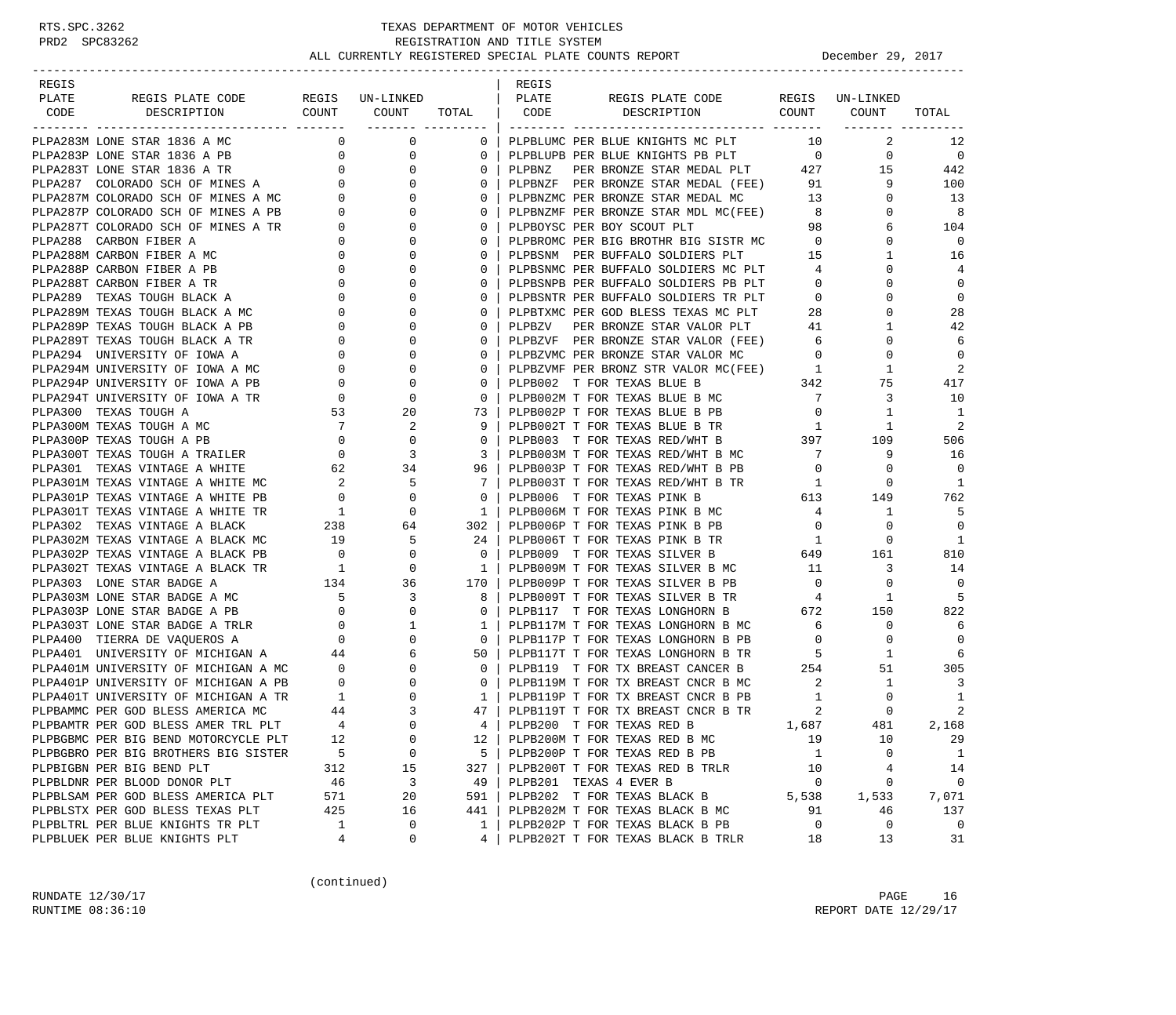| REGIS |                                                                                                                                                                                         |                                                      |                                                          |                         | REGIS  |                                                                                                                |                                                                                                                                                                                                                                                                                                                                                                                     |                |                |
|-------|-----------------------------------------------------------------------------------------------------------------------------------------------------------------------------------------|------------------------------------------------------|----------------------------------------------------------|-------------------------|--------|----------------------------------------------------------------------------------------------------------------|-------------------------------------------------------------------------------------------------------------------------------------------------------------------------------------------------------------------------------------------------------------------------------------------------------------------------------------------------------------------------------------|----------------|----------------|
| PLATE | REGIS PLATE CODE                                                                                                                                                                        |                                                      | REGIS UN-LINKED                                          |                         | PLATE  | REGIS PLATE CODE REGIS UN-LINKED                                                                               |                                                                                                                                                                                                                                                                                                                                                                                     |                |                |
|       | CODE DESCRIPTION                                                                                                                                                                        | COUNT                                                | COUNT TOTAL   CODE                                       |                         |        | DESCRIPTION COUNT COUNT                                                                                        |                                                                                                                                                                                                                                                                                                                                                                                     |                | TOTAL          |
|       | PLPA283M LONE STAR 1836 A MC                                                                                                                                                            |                                                      | $0 \qquad \qquad$<br>$\mathsf{O}$                        | 0 <sup>1</sup>          |        | PLPBLUMC PER BLUE KNIGHTS MC PLT                                                                               | <b>10</b>                                                                                                                                                                                                                                                                                                                                                                           | 2              | 12             |
|       | PLPA283P LONE STAR 1836 A PB 0<br>PLPA283T LONE STAR 1836 A TR 0<br>PLPA287 COLORADO SCH OF MINES A 0<br>PLPA287M COLORADO SCH OF MINES A MC 0<br>PLPA287P COLORADO SCH OF MINES A PB 0 |                                                      | 0                                                        | $\mathbf{0}$            |        | PLPBLUPB PER BLUE KNIGHTS PB PLT 0                                                                             |                                                                                                                                                                                                                                                                                                                                                                                     | $\overline{0}$ | $\overline{0}$ |
|       |                                                                                                                                                                                         |                                                      | 0                                                        | $\mathbf 0$             | PLPBNZ | PER BRONZE STAR MEDAL PLT 427 15                                                                               |                                                                                                                                                                                                                                                                                                                                                                                     |                | 442            |
|       |                                                                                                                                                                                         |                                                      | $\Omega$                                                 | $\mathbf 0$             |        | PLPBNZF PER BRONZE STAR MEDAL (FEE) 91                                                                         |                                                                                                                                                                                                                                                                                                                                                                                     | 9              | 100            |
|       |                                                                                                                                                                                         |                                                      | $\mathbf{0}$                                             | $\mathbf 0$             |        |                                                                                                                |                                                                                                                                                                                                                                                                                                                                                                                     | 0              | 13             |
|       |                                                                                                                                                                                         |                                                      | $\Omega$                                                 | $\mathbf 0$             |        |                                                                                                                |                                                                                                                                                                                                                                                                                                                                                                                     | $\Omega$       | 8              |
|       | PLPA287T COLORADO SCH OF MINES A TR                                                                                                                                                     | $\overline{0}$                                       | 0                                                        | $\mathbf 0$             |        |                                                                                                                |                                                                                                                                                                                                                                                                                                                                                                                     | 6              | 104            |
|       | PLPA288 CARBON FIBER A                                                                                                                                                                  |                                                      | 0                                                        | $\mathbf 0$             |        |                                                                                                                |                                                                                                                                                                                                                                                                                                                                                                                     | $\Omega$       | 0              |
|       | $\begin{bmatrix} 0 \\ 0 \end{bmatrix}$<br>PLPA288M CARBON FIBER A MC                                                                                                                    |                                                      | $\Omega$                                                 | $\mathbf 0$             |        | PLPBOYSC PER BOY SCOUT PLT 98<br>PLPBROMC PER BIG BROTHR BIG SISTR MC 0<br>PLPBSNM PER BUFFALO SOLDIERS PLT 15 |                                                                                                                                                                                                                                                                                                                                                                                     | 1              | 16             |
|       | PLPA288P CARBON FIBER A PB                                                                                                                                                              | $\overline{0}$                                       | 0                                                        | $\mathbf 0$             |        |                                                                                                                |                                                                                                                                                                                                                                                                                                                                                                                     | 0              | $\overline{4}$ |
|       | PLPA288T CARBON FIBER A TR                                                                                                                                                              | $\overline{0}$                                       | $\Omega$                                                 | $\mathbf 0$             |        | PLPBSNMC PER BUFFALO SOLDIERS MC PLT 4<br>PLPBSNPB PER BUFFALO SOLDIERS PB PLT 0                               |                                                                                                                                                                                                                                                                                                                                                                                     | $\Omega$       | $\mathbf 0$    |
|       | PLPA289 TEXAS TOUGH BLACK A                                                                                                                                                             | $\mathbf{0}$                                         | 0                                                        | $\mathbf 0$             |        | PLPBSNTR PER BUFFALO SOLDIERS TR PLT                                                                           | $\overline{0}$                                                                                                                                                                                                                                                                                                                                                                      | $\Omega$       | $\mathbf 0$    |
|       | PLPA289M TEXAS TOUGH BLACK A MC                                                                                                                                                         |                                                      | 0                                                        | $\mathbf 0$             |        |                                                                                                                |                                                                                                                                                                                                                                                                                                                                                                                     | 0              | 28             |
|       | PLPA289P TEXAS TOUGH BLACK A PB                                                                                                                                                         | $\begin{array}{c} 0 \\ 0 \end{array}$                | $\Omega$                                                 | $\mathbf 0$             |        | PLPBTXMC PER GOD BLESS TEXAS MC PLT 28<br>PLPBZV PER BRONZE STAR VALOR PLT 41                                  |                                                                                                                                                                                                                                                                                                                                                                                     | 1              | 42             |
|       | PLPA289T TEXAS TOUGH BLACK A TR                                                                                                                                                         |                                                      | 0                                                        | $\mathbf 0$             |        |                                                                                                                |                                                                                                                                                                                                                                                                                                                                                                                     | 0              | 6              |
|       | PLPA294 UNIVERSITY OF IOWA A                                                                                                                                                            |                                                      | 0                                                        | $\mathbf 0$             |        | PLPBZVF PER BRONZE STAR VALOR (FEE) 6<br>PLPBZVMC PER BRONZE STAR VALOR MC 0                                   |                                                                                                                                                                                                                                                                                                                                                                                     | $\mathbf 0$    | $\overline{0}$ |
|       | PLPA294M UNIVERSITY OF IOWA A MC                                                                                                                                                        | $\begin{array}{c} 0 \\ 0 \\ 0 \\ 0 \\ 0 \end{array}$ | $\mathbf{0}$                                             | $\circ$                 |        | PLPBZVMF PER BRONZ STR VALOR MC(FEE) 1                                                                         |                                                                                                                                                                                                                                                                                                                                                                                     | 1              | 2              |
|       | PLPA294P UNIVERSITY OF IOWA A PB                                                                                                                                                        |                                                      | $\mathbf 0$                                              | $\mathbf 0$             |        | PLPB002 T FOR TEXAS BLUE B                                                                                     | 342                                                                                                                                                                                                                                                                                                                                                                                 | 75             | 417            |
|       | PLPA294T UNIVERSITY OF IOWA A TR                                                                                                                                                        |                                                      | $\mathbf{0}$                                             | $\overline{0}$          |        | PLPB002M T FOR TEXAS BLUE B MC 7                                                                               |                                                                                                                                                                                                                                                                                                                                                                                     | 3              | 10             |
|       | PLPA300 TEXAS TOUGH A                                                                                                                                                                   | 53                                                   | 20                                                       | 73                      |        | PLPB002P T FOR TEXAS BLUE B PB                                                                                 | $\overline{0}$                                                                                                                                                                                                                                                                                                                                                                      | 1              | $\mathbf{1}$   |
|       | PLPA300M TEXAS TOUGH A MC                                                                                                                                                               | $7\phantom{0}$                                       | 2                                                        | 9                       |        | PLPB002T T FOR TEXAS BLUE B TR                                                                                 | $\overline{1}$                                                                                                                                                                                                                                                                                                                                                                      | 1              | 2              |
|       | PLPA300P TEXAS TOUGH A PB                                                                                                                                                               |                                                      | $\mathbf{0}$                                             | $\circ$                 |        | PLPB003 T FOR TEXAS RED/WHT B                                                                                  | 397                                                                                                                                                                                                                                                                                                                                                                                 | 109            | 506            |
|       | PLPA300T TEXAS TOUGH A TRAILER                                                                                                                                                          |                                                      | 3                                                        | 3                       |        | PLPB003M T FOR TEXAS RED/WHT B MC                                                                              | $7\overline{ }$                                                                                                                                                                                                                                                                                                                                                                     | 9              | 16             |
|       | PLPA301 TEXAS VINTAGE A WHITE                                                                                                                                                           |                                                      | 34                                                       | 96                      |        | PLPB003P T FOR TEXAS RED/WHT B PB                                                                              | $\overline{0}$                                                                                                                                                                                                                                                                                                                                                                      | 0              | $\Omega$       |
|       | PLPA301M TEXAS VINTAGE A WHITE MC                                                                                                                                                       | $\begin{array}{c} 2 \\ 0 \end{array}$                | 5                                                        | 7                       |        | PLPB003T T FOR TEXAS RED/WHT B TR 1<br>PLPB006 T FOR TEXAS PINK B 613                                          | $\overline{1}$                                                                                                                                                                                                                                                                                                                                                                      | $\mathbf 0$    | -1             |
|       | PLPA301P TEXAS VINTAGE A WHITE PB                                                                                                                                                       |                                                      | $\mathbf{0}$                                             | $\overline{0}$          |        |                                                                                                                |                                                                                                                                                                                                                                                                                                                                                                                     | 149            | 762            |
|       | PLPA301T TEXAS VINTAGE A WHITE TR                                                                                                                                                       |                                                      | $\mathbf{0}$                                             | $\overline{1}$          |        | PLPB006M T FOR TEXAS PINK B MC                                                                                 | $4\overline{ }$                                                                                                                                                                                                                                                                                                                                                                     | 1              | -5             |
|       | PLPA302 TEXAS VINTAGE A BLACK                                                                                                                                                           |                                                      | 64                                                       | 302 l                   |        | PLPB006P T FOR TEXAS PINK B PB                                                                                 | $\overline{0}$                                                                                                                                                                                                                                                                                                                                                                      | 0              | $\Omega$       |
|       | PLPA302M TEXAS VINTAGE A BLACK MC                                                                                                                                                       | $\begin{array}{c}\n1 \\ 238 \\ 19\n\end{array}$      | 5                                                        | 24                      |        | PLPB006T T FOR TEXAS PINK B TR 1                                                                               |                                                                                                                                                                                                                                                                                                                                                                                     | 0              | -1             |
|       |                                                                                                                                                                                         |                                                      |                                                          | $\overline{0}$          |        | PLPB009 T FOR TEXAS SILVER B 649<br>PLPB009M T FOR TEXAS SILVER B MC 11                                        |                                                                                                                                                                                                                                                                                                                                                                                     | 161            | 810            |
|       |                                                                                                                                                                                         |                                                      |                                                          | $\mathbf{1}$            |        |                                                                                                                |                                                                                                                                                                                                                                                                                                                                                                                     | 3              | 14             |
|       |                                                                                                                                                                                         |                                                      |                                                          | 170                     |        | PLPB009P T FOR TEXAS SILVER B PB                                                                               | $\overline{0}$                                                                                                                                                                                                                                                                                                                                                                      | $\mathbf 0$    | $\overline{0}$ |
|       |                                                                                                                                                                                         |                                                      |                                                          | 8                       |        | PLPB009T T FOR TEXAS SILVER B TR                                                                               | $4\phantom{.0000}\phantom{.0000}\phantom{.0000}\phantom{.0000}\phantom{.0000}\phantom{.0000}\phantom{.0000}\phantom{.0000}\phantom{.0000}\phantom{.0000}\phantom{.0000}\phantom{.0000}\phantom{.0000}\phantom{.0000}\phantom{.0000}\phantom{.0000}\phantom{.0000}\phantom{.0000}\phantom{.0000}\phantom{.0000}\phantom{.0000}\phantom{.0000}\phantom{.0000}\phantom{.0000}\phantom$ | 1              | -5             |
|       |                                                                                                                                                                                         |                                                      |                                                          | $\Omega$                |        | PLPB117 T FOR TEXAS LONGHORN B 672                                                                             |                                                                                                                                                                                                                                                                                                                                                                                     | 150            | 822            |
|       | PLPA303T LONE STAR BADGE A TRLR 0<br>PLPA400 TIERRA DE VAQUEROS A 0                                                                                                                     |                                                      | $\mathbf{1}$                                             | 1                       |        | PLPB117M T FOR TEXAS LONGHORN B MC                                                                             | $6\overline{6}$                                                                                                                                                                                                                                                                                                                                                                     | 0              | 6              |
|       |                                                                                                                                                                                         |                                                      | $\mathbf 0$                                              | 0 <sup>1</sup>          |        | PLPB117P T FOR TEXAS LONGHORN B PB                                                                             | $\overline{0}$                                                                                                                                                                                                                                                                                                                                                                      | $\circ$        | 0              |
|       | PLPA401 UNIVERSITY OF MICHIGAN A 44                                                                                                                                                     |                                                      | 6                                                        | 50                      |        | PLPB117T T FOR TEXAS LONGHORN B TR 5                                                                           |                                                                                                                                                                                                                                                                                                                                                                                     | 1              | 6              |
|       | PLEASE CALLER OF MICHIGAN A MC 0<br>PLEA401P UNIVERSITY OF MICHIGAN A PB 0                                                                                                              |                                                      | $\mathbf{0}$                                             | $\mathbf{0}$            |        | PLPB119 T FOR TX BREAST CANCER B 254                                                                           |                                                                                                                                                                                                                                                                                                                                                                                     | 51             | 305            |
|       |                                                                                                                                                                                         |                                                      | $\mathbf{0}$                                             | $\overline{\mathbf{0}}$ |        | PLPB119M T FOR TX BREAST CNCR B MC 2                                                                           |                                                                                                                                                                                                                                                                                                                                                                                     | $\mathbf{1}$   | 3              |
|       | PLPA401T UNIVERSITY OF MICHIGAN A TR                                                                                                                                                    |                                                      | $\begin{array}{c} 1 \\ 44 \end{array}$<br>$\overline{0}$ | $\mathbf{1}$            |        | PLPB119P T FOR TX BREAST CNCR B PB<br>plps114t t for tx breast CNCR B TR                                       | 1                                                                                                                                                                                                                                                                                                                                                                                   | 0              | -1             |
|       | PLPBAMMC PER GOD BLESS AMERICA MC                                                                                                                                                       |                                                      | 3                                                        | 47                      |        | PLPB119T T FOR TX BREAST CNCR B TR                                                                             | 2                                                                                                                                                                                                                                                                                                                                                                                   | $\Omega$       | 2              |
|       | PLPBAMTR PER GOD BLESS AMER TRL PLT                                                                                                                                                     | $\overline{4}$                                       | $\Omega$                                                 | $4 \mid$                |        | PLPB200 T FOR TEXAS RED B                                                                                      | 1,687                                                                                                                                                                                                                                                                                                                                                                               | 481            | 2,168          |
|       | PLPBGBMC PER BIG BEND MOTORCYCLE PLT                                                                                                                                                    | 12                                                   | 0                                                        | 12                      |        | PLPB200M T FOR TEXAS RED B MC                                                                                  | 19                                                                                                                                                                                                                                                                                                                                                                                  | 10             | 29             |
|       | PLPBGBRO PER BIG BROTHERS BIG SISTER                                                                                                                                                    | 5                                                    | 0                                                        | 5                       |        | PLPB200P T FOR TEXAS RED B PB                                                                                  | -1                                                                                                                                                                                                                                                                                                                                                                                  | 0              | 1              |
|       | PLPBIGBN PER BIG BEND PLT                                                                                                                                                               | 312                                                  | 15                                                       | 327                     |        | PLPB200T T FOR TEXAS RED B TRLR                                                                                | 10                                                                                                                                                                                                                                                                                                                                                                                  | 4              | 14             |
|       | PLPBLDNR PER BLOOD DONOR PLT                                                                                                                                                            | 46                                                   | 3                                                        | 49                      |        | PLPB201 TEXAS 4 EVER B                                                                                         | 0                                                                                                                                                                                                                                                                                                                                                                                   | 0              | 0              |
|       | PLPBLSAM PER GOD BLESS AMERICA PLT                                                                                                                                                      | 571                                                  | 20                                                       | 591                     |        | PLPB202 T FOR TEXAS BLACK B                                                                                    | 5,538                                                                                                                                                                                                                                                                                                                                                                               | 1,533          | 7,071          |
|       | PLPBLSTX PER GOD BLESS TEXAS PLT                                                                                                                                                        | 425                                                  | 16                                                       | 441                     |        | PLPB202M T FOR TEXAS BLACK B MC                                                                                | 91                                                                                                                                                                                                                                                                                                                                                                                  | 46             | 137            |
|       | PLPBLTRL PER BLUE KNIGHTS TR PLT                                                                                                                                                        | 1                                                    | 0                                                        | 1                       |        | PLPB202P T FOR TEXAS BLACK B PB                                                                                | 0                                                                                                                                                                                                                                                                                                                                                                                   | 0              | $\mathbf 0$    |
|       | PLPBLUEK PER BLUE KNIGHTS PLT                                                                                                                                                           | 4                                                    | 0                                                        | 4                       |        | PLPB202T T FOR TEXAS BLACK B TRLR                                                                              | 18                                                                                                                                                                                                                                                                                                                                                                                  | 13             | 31             |

(continued)

RUNDATE 12/30/17 PAGE 16 RUNTIME  $08:36:10$  REPORT DATE  $12/29/17$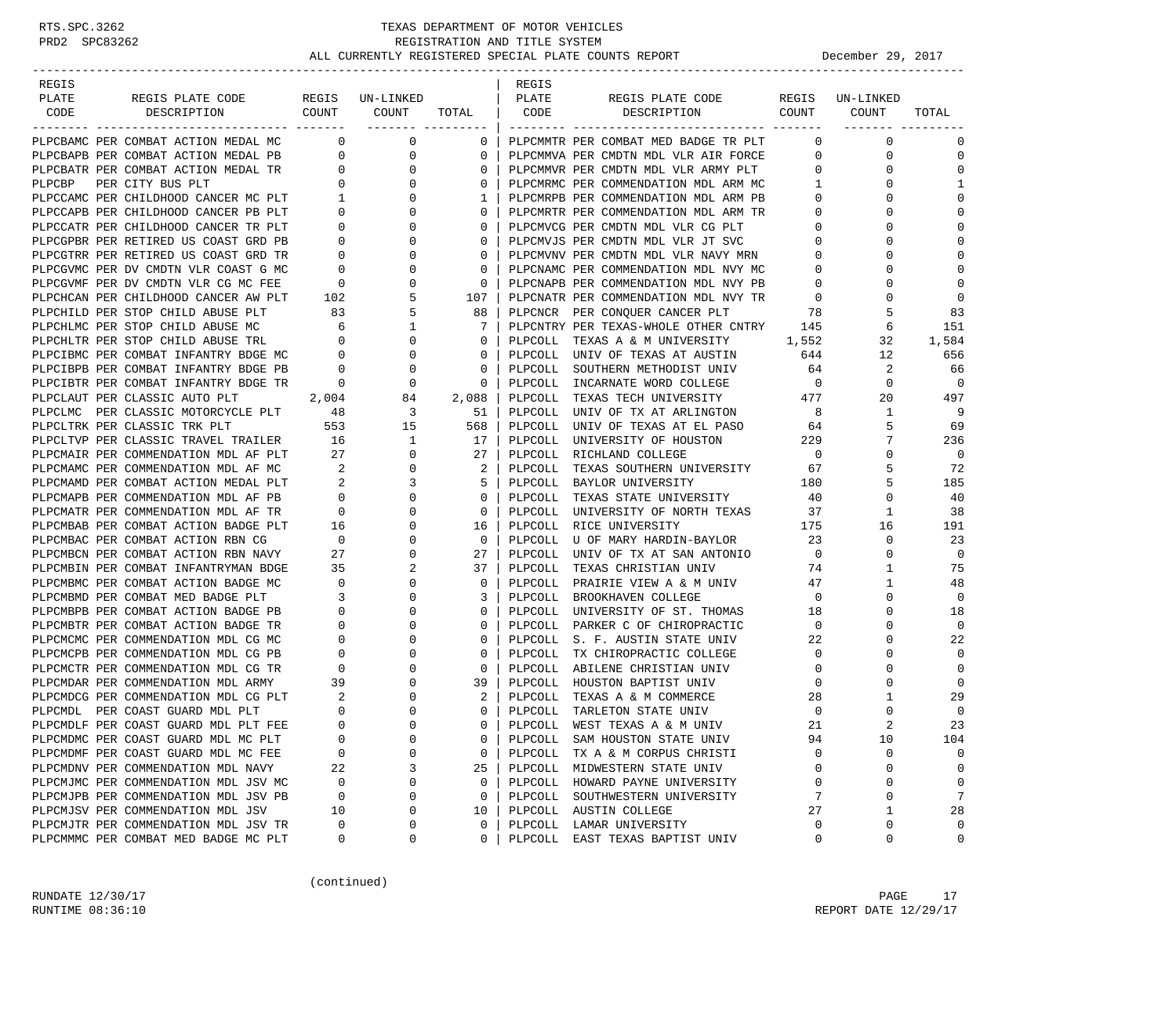| REGIS |                                                                                                                  |                                      |                                                      |                                          | REGIS   |                                                                             |                                  |                  |                         |
|-------|------------------------------------------------------------------------------------------------------------------|--------------------------------------|------------------------------------------------------|------------------------------------------|---------|-----------------------------------------------------------------------------|----------------------------------|------------------|-------------------------|
| PLATE | REGIS PLATE CODE                                                                                                 |                                      | REGIS UN-LINKED                                      |                                          | PLATE   | REGIS PLATE CODE                                                            |                                  | REGIS UN-LINKED  |                         |
| CODE  | DESCRIPTION                                                                                                      | COUNT                                | COUNT                                                | TOTAL                                    | CODE    | COUNT<br>DESCRIPTION                                                        |                                  | COUNT            | TOTAL                   |
|       | PLPCBAMC PER COMBAT ACTION MEDAL MC 0                                                                            |                                      | ________ _________<br>0                              |                                          |         |                                                                             | $\Omega$                         | $\mathbf 0$      | $\mathbf 0$             |
|       | PLPCBAPB PER COMBAT ACTION MEDAL PB 0                                                                            |                                      |                                                      | $\mathbf 0$                              |         | PLPCMMTR PER COMBAT MED BADGE TR PLT                                        |                                  |                  |                         |
|       |                                                                                                                  |                                      | 0<br>$\mathbf 0$                                     | $\circ$                                  |         | PLPCMMVA PER CMDTN MDL VLR AIR FORCE                                        | $\overline{0}$<br>$\overline{0}$ | 0<br>$\mathbf 0$ | $\mathbf 0$<br>$\Omega$ |
|       | PLECEATR PER COMBAT ACTION MEDAL TR 0<br>PLECEATR PER COMBAT ACTION MEDAL TR 0<br>PLECEATR PER CITY RIIS PLT 0   |                                      |                                                      | 0                                        |         | PLPCMMVR PER CMDTN MDL VLR ARMY PLT<br>PLPCMRMC PER COMMENDATION MDL ARM MC |                                  |                  |                         |
|       |                                                                                                                  |                                      | $\circ$                                              | $\circ$                                  |         |                                                                             | $\overline{1}$                   | $\Omega$         | 1<br>$\Omega$           |
|       | PLPCCAMC PER CHILDHOOD CANCER MC PLT                                                                             | $\frac{1}{2}$                        | 0                                                    | 1                                        |         | PLPCMRPB PER COMMENDATION MDL ARM PB                                        | $\mathbf{0}$                     | 0                |                         |
|       | PLPCCAPB PER CHILDHOOD CANCER PB PLT                                                                             | $\overline{0}$                       | $\mathbf{0}$                                         | $\circ$                                  |         | PLPCMRTR PER COMMENDATION MDL ARM TR                                        | $\overline{0}$                   | $\Omega$         | $\Omega$                |
|       | PLPCCATR PER CHILDHOOD CANCER TR PLT                                                                             | $\overline{\phantom{0}}$             | $\mathbf{0}$                                         | $\circ$                                  |         | PLPCMVCG PER CMDTN MDL VLR CG PLT                                           | $\overline{0}$                   | 0                | $\Omega$<br>$\Omega$    |
|       | PLPCGPBR PER RETIRED US COAST GRD PB                                                                             | $\overline{0}$<br>$\overline{0}$     | $\mathbf 0$                                          | $\circ$                                  |         | PLPCMVJS PER CMDTN MDL VLR JT SVC                                           | $\overline{0}$                   | $\Omega$         |                         |
|       | PLPCGTRR PER RETIRED US COAST GRD TR                                                                             |                                      | 0                                                    | $\circ$                                  |         | PLPCMVNV PER CMDTN MDL VLR NAVY MRN                                         | $\overline{0}$                   | $\Omega$         | $\Omega$                |
|       | PLPCGVMC PER DV CMDTN VLR COAST G MC                                                                             | $\begin{matrix} 0 \\ 0 \end{matrix}$ | 0                                                    | 0                                        |         | PLPCNAMC PER COMMENDATION MDL NVY MC                                        | $\overline{0}$                   | 0                | $\Omega$                |
|       | PLPCGVMF PER DV CMDTN VLR CG MC FEE                                                                              |                                      | $\mathbf 0$                                          | $\mathbf 0$                              |         | PLPCNAPB PER COMMENDATION MDL NVY PB                                        | $\overline{0}$                   | $\Omega$         | $\mathbf{0}$            |
|       | PLPCHCAN PER CHILDHOOD CANCER AW PLT                                                                             | 102                                  | 5                                                    | 107                                      |         | PLPCNATR PER COMMENDATION MDL NVY TR                                        | $\overline{0}$                   | 0                | $\mathbf 0$             |
|       | PLPCHILD PER STOP CHILD ABUSE PLT                                                                                | 83                                   | 5                                                    | 88                                       |         | PLPCNCR PER CONQUER CANCER PLT                                              | 78                               | 5                | 83                      |
|       | PLPCHLMC PER STOP CHILD ABUSE MC                                                                                 | $6\overline{6}$                      | $\mathbf{1}$                                         | 7                                        |         | PLPCNTRY PER TEXAS-WHOLE OTHER CNTRY 145                                    |                                  | 6                | 151                     |
|       | PLPCHLTR PER STOP CHILD ABUSE TRL 0<br>PLPCIBMC PER COMBAT INFANTRY BDGE MC 0                                    |                                      | 0                                                    | 0                                        |         | PLPCOLL TEXAS A & M UNIVERSITY                                              | 1,552                            | 32               | 1,584                   |
|       |                                                                                                                  |                                      | $\mathsf{O}$                                         | $\circ$                                  |         | PLPCOLL UNIV OF TEXAS AT AUSTIN                                             | 644                              | 12               | 656                     |
|       | PLPCIBPB PER COMBAT INFANTRY BDGE PB                                                                             | $\overline{0}$                       | $\overline{0}$                                       | $\mathbf{0}$                             |         | PLPCOLL SOUTHERN METHODIST UNIV                                             | 64                               | 2                | 66                      |
|       | PLPCIBTR PER COMBAT INFANTRY BDGE TR                                                                             | $\mathbf{0}$                         | $\mathbf 0$                                          | $\mathbf 0$                              |         | PLPCOLL INCARNATE WORD COLLEGE                                              | $\overline{0}$                   | $\mathbf 0$      | $\mathbf 0$             |
|       | PLPCLAUT PER CLASSIC AUTO PLT<br>PLPCLAUT FER CLASSIC MOTORCYCLE PLT 48<br>PLPCLMC PER CLASSIC MOTORCYCLE PLT 48 | 2,004                                | 84                                                   | 2,088                                    |         | PLPCOLL TEXAS TECH UNIVERSITY 477                                           |                                  | 20               | 497                     |
|       |                                                                                                                  |                                      | $\begin{array}{c} 3 \\ 15 \end{array}$               | $\begin{array}{c} 51 \\ 568 \end{array}$ |         | PLPCOLL UNIV OF TX AT ARLINGTON                                             | 8                                | $\mathbf{1}$     | 9                       |
|       |                                                                                                                  |                                      |                                                      |                                          |         | PLPCOLL UNIV OF TEXAS AT EL PASO                                            | 64                               | 5                | 69                      |
|       | PLPCLTVP PER CLASSIC TRAVEL TRAILER 16                                                                           |                                      |                                                      | 17                                       |         | PLPCOLL UNIVERSITY OF HOUSTON                                               | 229                              | 7                | 236                     |
|       | PLPCMAIR PER COMMENDATION MDL AF PLT                                                                             | 27                                   |                                                      | 27                                       |         | PLPCOLL RICHLAND COLLEGE                                                    | $\overline{0}$                   | $\mathbf 0$      | $\mathbf 0$             |
|       | PLPCMAMC PER COMMENDATION MDL AF MC                                                                              | $\overline{\phantom{a}}$ 2           | $\begin{array}{c} 1 \\ 0 \\ 0 \\ 3 \\ 0 \end{array}$ | 2                                        |         | PLPCOLL TEXAS SOUTHERN UNIVERSITY 67                                        |                                  | 5                | 72                      |
|       | PLPCMAMD PER COMBAT ACTION MEDAL PLT                                                                             | $\overline{\mathbf{c}}$              |                                                      | -5                                       |         | PLPCOLL BAYLOR UNIVERSITY                                                   | 180                              | 5                | 185                     |
|       | PLPCMAPB PER COMMENDATION MDL AF PB                                                                              | $\overline{0}$                       |                                                      | $\circ$                                  |         | PLPCOLL TEXAS STATE UNIVERSITY                                              | 40                               | $\mathbf 0$      | 40                      |
|       | PLPCMATR PER COMMENDATION MDL AF TR                                                                              | $\overline{0}$                       | 0                                                    | $\mathbf{0}$                             |         | PLPCOLL UNIVERSITY OF NORTH TEXAS                                           | 37                               | $\mathbf{1}$     | 38                      |
|       | PLPCMBAB PER COMBAT ACTION BADGE PLT                                                                             | 16                                   | $\mathbf 0$                                          | 16                                       |         | PLPCOLL RICE UNIVERSITY                                                     | 175                              | 16               | 191                     |
|       | PLPCMBAC PER COMBAT ACTION RBN CG                                                                                | $\overline{0}$                       | 0                                                    | $\overline{\phantom{0}}$                 |         | PLPCOLL U OF MARY HARDIN-BAYLOR 23                                          |                                  | $\mathbf 0$      | 23                      |
|       | PLPCMBCN PER COMBAT ACTION RBN NAVY                                                                              | 27                                   | 0                                                    | 27                                       |         | PLPCOLL UNIV OF TX AT SAN ANTONIO<br>PLPCOLL TEXAS CHRISTIAN UNIV           | $\overline{0}$                   | $\mathbf{0}$     | $\mathbf 0$             |
|       | PLPCMBIN PER COMBAT INFANTRYMAN BDGE                                                                             | 35                                   | 2                                                    | 37                                       |         | PLPCOLL TEXAS CHRISTIAN UNIV                                                | 74                               | $\mathbf{1}$     | 75                      |
|       | PLPCMBMC PER COMBAT ACTION BADGE MC                                                                              | $\overline{0}$                       | $\mathbf 0$                                          | $\mathbf{0}$                             |         | PLPCOLL PRAIRIE VIEW A & M UNIV                                             | 47                               | $\mathbf{1}$     | 48                      |
|       | PLPCMBMD PER COMBAT MED BADGE PLT                                                                                | $\overline{\phantom{a}}$             | $\mathbf 0$                                          | 3                                        |         | PLPCOLL BROOKHAVEN COLLEGE                                                  | $\overline{0}$                   | $\mathbf 0$      | $\mathbf 0$             |
|       | PLPCMBPB PER COMBAT ACTION BADGE PB                                                                              | $\overline{\phantom{0}}$             | 0                                                    | $\circ$                                  |         | PLPCOLL UNIVERSITY OF ST. THOMAS                                            | 18                               | $\mathbf 0$      | 18                      |
|       | PLPCMBTR PER COMBAT ACTION BADGE TR                                                                              | $\overline{0}$                       | 0                                                    | $\circ$                                  |         | PLPCOLL PARKER C OF CHIROPRACTIC                                            | $\overline{0}$                   | 0                | $\mathbf 0$             |
|       | PLPCMCMC PER COMMENDATION MDL CG MC                                                                              | $\overline{0}$                       | $\mathbf 0$                                          | $\circ$                                  |         | PLPCOLL S. F. AUSTIN STATE UNIV                                             | 22                               | 0                | 22                      |
|       | PLPCMCPB PER COMMENDATION MDL CG PB                                                                              | $\overline{0}$                       | 0                                                    | $\circ$                                  |         | PLPCOLL TX CHIROPRACTIC COLLEGE                                             | $\overline{0}$                   | 0                | $\mathbf 0$             |
|       | PLPCMCTR PER COMMENDATION MDL CG TR                                                                              | $\overline{0}$                       | $\mathbf 0$                                          | $\mathbf 0$                              |         | PLPCOLL ABILENE CHRISTIAN UNIV                                              | $\overline{0}$                   | 0                | $\mathbf{0}$            |
|       | PLPCMDAR PER COMMENDATION MDL ARMY                                                                               | 39                                   | 0                                                    | 39                                       |         | PLPCOLL HOUSTON BAPTIST UNIV                                                | $\mathbf 0$                      | $\Omega$         | $\Omega$                |
|       | PLPCMDCG PER COMMENDATION MDL CG PLT 2<br>PLPCMDL PER COAST GUARD MDL PLT 0                                      |                                      | 0                                                    | 2                                        | PLPCOLL | TEXAS A & M COMMERCE                                                        | 28                               | 1                | 29                      |
|       |                                                                                                                  |                                      | $\mathbf 0$                                          | $\Omega$                                 | PLPCOLL | TARLETON STATE UNIV                                                         | $\mathbf 0$                      | $\mathbf 0$      | $\mathbf 0$             |
|       | PLPCMDLF PER COAST GUARD MDL PLT FEE                                                                             | $\Omega$                             | $\Omega$                                             | $\Omega$                                 | PLPCOLL | WEST TEXAS A & M UNIV                                                       | 21                               |                  | 23                      |
|       | PLPCMDMC PER COAST GUARD MDL MC PLT                                                                              | 0                                    | $\Omega$                                             | 0                                        |         | PLPCOLL SAM HOUSTON STATE UNIV                                              | 94                               | 10               | 104                     |
|       | PLPCMDMF PER COAST GUARD MDL MC FEE                                                                              | 0                                    | $\Omega$                                             | 0                                        |         | PLPCOLL TX A & M CORPUS CHRISTI                                             | $\Omega$                         | 0                | 0                       |
|       | PLPCMDNV PER COMMENDATION MDL NAVY                                                                               | 22                                   | 3                                                    | 25                                       | PLPCOLL | MIDWESTERN STATE UNIV                                                       | 0                                | 0                | 0                       |
|       | PLPCMJMC PER COMMENDATION MDL JSV MC                                                                             | 0                                    | 0                                                    | 0                                        |         | PLPCOLL HOWARD PAYNE UNIVERSITY                                             | 0                                | 0                | $\mathbf 0$             |
|       | PLPCMJPB PER COMMENDATION MDL JSV PB                                                                             | 0                                    | 0                                                    | 0                                        | PLPCOLL | SOUTHWESTERN UNIVERSITY                                                     | 7                                | 0                | 7                       |
|       | PLPCMJSV PER COMMENDATION MDL JSV                                                                                | 10                                   | 0                                                    | 10                                       |         | PLPCOLL AUSTIN COLLEGE                                                      | 27                               | 1                | 28                      |
|       | PLPCMJTR PER COMMENDATION MDL JSV TR                                                                             | $\Omega$                             | 0                                                    | 0                                        |         | PLPCOLL LAMAR UNIVERSITY                                                    | 0                                | 0                | 0                       |
|       | PLPCMMMC PER COMBAT MED BADGE MC PLT                                                                             | 0                                    | 0                                                    | 0                                        | PLPCOLL | EAST TEXAS BAPTIST UNIV                                                     | 0                                | 0                | 0                       |

(continued)

RUNDATE 12/30/17 PAGE 17 RUNTIME  $08:36:10$  REPORT DATE  $12/29/17$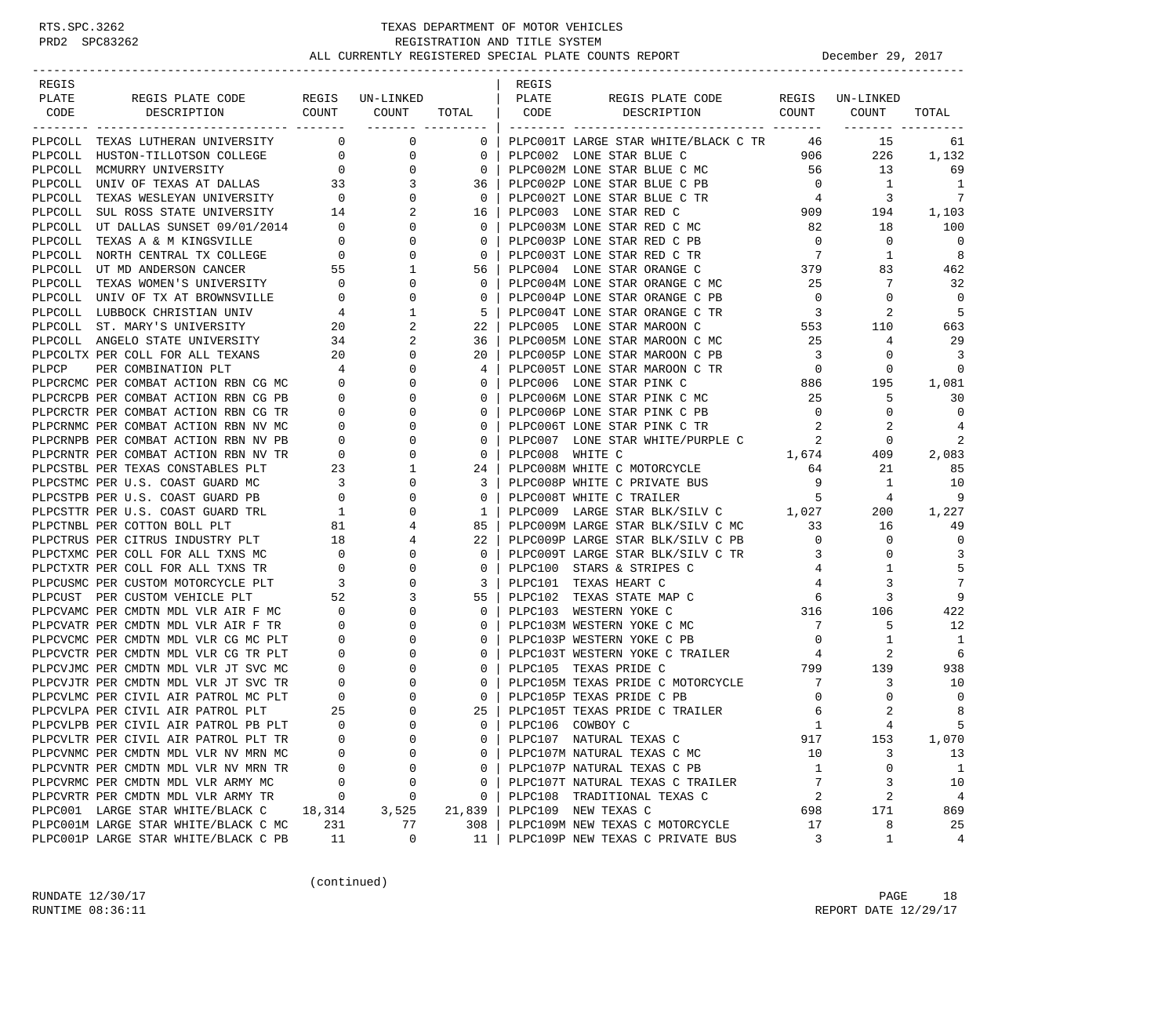| PLATE<br>REGIS PLATE CODE<br>REGIS UN-LINKED<br>PLATE<br>REGIS PLATE CODE<br>REGIS<br>UN-LINKED<br>DESCRIPTION COUNT<br><b>COUNT</b><br>CODE<br>COUNT<br>CODE<br>DESCRIPTION<br>COUNT<br>TOTAL<br>TOTAL<br>PLPCOLL TEXAS LUTHERAN UNIVERSITY<br>$\mathbf{0}$<br>$\mathbf 0$<br>PLPC001T LARGE STAR WHITE/BLACK C TR 46<br>15<br>$\mathbf{0}$<br>61<br>$\mathbf{0}$<br>906<br>PLPCOLL HUSTON-TILLOTSON COLLEGE 0<br>PLPC002 LONE STAR BLUE C<br>226<br>1,132<br>0<br>$\overline{0}$<br>0<br>PLPCOLL MCMURRY UNIVERSITY<br>$\mathbf 0$<br>PLPC002M LONE STAR BLUE C MC<br>56<br>13<br>69<br>PLPCOLL UNIV OF TEXAS AT DALLAS 33<br>PLPC002P LONE STAR BLUE C PB<br>$\overline{0}$<br>1<br>3<br>36<br>1<br>$\overline{0}$<br>7<br>PLPCOLL TEXAS WESLEYAN UNIVERSITY<br>0<br>$\overline{0}$<br>PLPC002T LONE STAR BLUE C TR<br>$4\overline{4}$<br>3<br>PLPCOLL SUL ROSS STATE UNIVERSITY 14<br>909<br>2<br>16<br>PLPC003 LONE STAR RED C<br>194<br>1,103<br>100<br>PLPCOLL UT DALLAS SUNSET 09/01/2014 0<br>$\mathbf{0}$<br>0<br>PLPC003M LONE STAR RED C MC<br>82<br>18<br>$\Omega$<br>$\overline{0}$<br>$\mathbf 0$<br>$\overline{0}$<br>PLPCOLL TEXAS A & M KINGSVILLE<br>$\overline{0}$<br>$\circ$<br>PLPC003P LONE STAR RED C PB<br>PLPCOLL NORTH CENTRAL TX COLLEGE 0<br>$\overline{7}$<br>PLPC003T LONE STAR RED C TR<br>1<br>8<br>0<br>$\mathbf 0$<br>83<br>PLPCOLL UT MD ANDERSON CANCER<br>55<br>1<br>56<br>PLPC004 LONE STAR ORANGE C<br>379<br>462<br>PLPCOLL TEXAS WOMEN'S UNIVERSITY<br>0<br>25<br>7<br>32<br>$\overline{0}$<br>$\circ$<br>PLPC004M LONE STAR ORANGE C MC<br>$\mathbf{0}$<br>PLPC004P LONE STAR ORANGE C PB<br>$\overline{0}$<br>$\overline{0}$<br>PLPCOLL UNIV OF TX AT BROWNSVILLE<br>$\overline{0}$<br>0<br>0<br>- 5<br>1<br>-5<br>$\overline{\mathbf{3}}$<br>2<br>PLPCOLL LUBBOCK CHRISTIAN UNIV<br>4<br>PLPC004T LONE STAR ORANGE C TR<br>20<br>2<br>22<br>PLPC005 LONE STAR MAROON C<br>553<br>PLPCOLL ST. MARY'S UNIVERSITY<br>110<br>663<br>34<br>2<br>25<br>29<br>PLPCOLL ANGELO STATE UNIVERSITY<br>36<br>PLPC005M LONE STAR MAROON C MC<br>4<br>3<br>PLPCOLTX PER COLL FOR ALL TEXANS<br>20<br>0<br>20<br>PLPC005P LONE STAR MAROON C PB<br>$\overline{\mathbf{3}}$<br>0<br>PER COMBINATION PLT<br>4<br>0<br>PLPC005T LONE STAR MAROON C TR<br>0<br>$\Omega$<br>PLPCP<br>4<br>$\begin{array}{c} 886 \\ 25 \end{array}$<br>PLPCRCMC PER COMBAT ACTION RBN CG MC<br>$\mathbf 0$<br>$\Omega$<br>$\circ$<br>PLPC006 LONE STAR PINK C<br>195<br>1,081<br>PLPCRCPB PER COMBAT ACTION RBN CG PB<br>PLPC006M LONE STAR PINK C MC<br>25<br>$\overline{0}$<br>0<br>0<br>5<br>30<br>$\overline{0}$<br>$\mathbf{0}$<br>$\overline{0}$<br>PLPCRCTR PER COMBAT ACTION RBN CG TR<br>0<br>0<br>PLPC006P LONE STAR PINK C PB<br>0<br>PLPCRNMC PER COMBAT ACTION RBN NV MC<br>$\overline{0}$<br>$\Omega$<br>0<br>PLPC006T LONE STAR PINK C TR<br>2<br>4<br>PLPC007 LONE STAR WHITE/PURPLE C<br>$\overline{2}$<br>2<br>PLPCRNPB PER COMBAT ACTION RBN NV PB<br>0<br>0<br>0<br>$\begin{matrix}0\\0\end{matrix}$<br>2,083<br>PLPCRNTR PER COMBAT ACTION RBN NV TR<br>0<br>$\mathbf 0$<br>PLPC008 WHITE C<br>1,674<br>409<br>PLPCSTBL PER TEXAS CONSTABLES PLT<br>23<br>PLPC008M WHITE C MOTORCYCLE<br>1<br>24<br>64<br>21<br>85<br>$\begin{array}{c} 3 \\ 0 \end{array}$<br>9<br>10<br>PLPCSTMC PER U.S. COAST GUARD MC<br>0<br>3<br>PLPC008P WHITE C PRIVATE BUS<br>1<br>PLPCSTPB PER U.S. COAST GUARD PB<br>PLPC008T WHITE C TRAILER<br>9<br>0<br>$\circ$<br>5<br>4<br>PLPC009 LARGE STAR BLK/SILV C 1,027<br>PLPC009M LARGE STAR BLK/SILV C MC 33<br>PLPCSTTR PER U.S. COAST GUARD TRL<br>200<br>1,227<br>$\frac{1}{2}$<br>0<br>1<br>PLPCTNBL PER COTTON BOLL PLT<br>81<br>4<br>85<br>16<br>49<br>PLPCTRUS PER CITRUS INDUSTRY PLT<br>$\overline{0}$<br>$\mathbf 0$<br>18<br>22<br>PLPC009P LARGE STAR BLK/SILV C PB<br>0<br>4<br>$\mathbf{0}$<br>3<br>PLPCTXMC PER COLL FOR ALL TXNS MC<br>0<br>0<br>PLPC009T LARGE STAR BLK/SILV C TR<br>3<br>0<br>PLPCTXTR PER COLL FOR ALL TXNS TR<br>5<br>$\mathbf 0$<br>0<br>0<br>PLPC100 STARS & STRIPES C<br>1<br>4<br>7<br>PLPC101 TEXAS HEART C<br>3<br>PLPCUSMC PER CUSTOM MOTORCYCLE PLT<br>$\overline{\mathbf{3}}$<br>0<br>3<br>4<br>9<br>55<br>3<br>PLPCUST PER CUSTOM VEHICLE PLT<br>52<br>3<br>PLPC102 TEXAS STATE MAP C<br>6<br>PLPCVAMC PER CMDTN MDL VLR AIR F MC<br>PLPC103 WESTERN YOKE C<br>316<br>422<br>$\overline{0}$<br>0<br>$\circ$<br>106<br>7<br>5<br>12<br>PLPCVATR PER CMDTN MDL VLR AIR F TR<br>$\mathbf{0}$<br>0<br>0<br>PLPC103M WESTERN YOKE C MC<br>PLPC103P WESTERN YOKE C PB<br>$\mathbf{0}$<br>PLPCVCMC PER CMDTN MDL VLR CG MC PLT<br>$\overline{0}$<br>$\Omega$<br>$\mathbf 0$<br>1<br>-1<br>2<br>6<br>PLPCVCTR PER CMDTN MDL VLR CG TR PLT<br>$\overline{0}$<br>0<br>$\mathbf 0$<br>PLPC103T WESTERN YOKE C TRAILER<br>4<br>$799$ 139<br>$\mathbf{0}$<br>938<br>PLPCVJMC PER CMDTN MDL VLR JT SVC MC<br>$\Omega$<br>$\circ$<br>PLPC105 TEXAS PRIDE C<br>PLPCVJTR PER CMDTN MDL VLR JT SVC TR<br>PLPC105M TEXAS PRIDE C MOTORCYCLE<br>7<br>10<br>$\overline{0}$<br>$\circ$<br>3<br>0<br>$\overline{0}$<br>$\mathbf 0$<br>$\mathbf 0$<br>PLPCVLMC PER CIVIL AIR PATROL MC PLT<br>$\Omega$<br>$\circ$<br>PLPC105P TEXAS PRIDE C PB<br>0<br>25<br>$\Omega$<br>2<br>8<br>PLPCVLPA PER CIVIL AIR PATROL PLT<br>25<br>PLPC105T TEXAS PRIDE C TRAILER<br>6<br>PLPC106 COWBOY C<br>$\mathbf{1}$<br>5<br>PLPCVLPB PER CIVIL AIR PATROL PB PLT<br>$\Omega$<br>$\Omega$<br>$\Omega$<br>$\overline{A}$<br>1,070<br>PLPCVLTR PER CIVIL AIR PATROL PLT TR<br>0<br>0<br>PLPC107 NATURAL TEXAS C<br>917<br>153<br>0<br>PLPCVNMC PER CMDTN MDL VLR NV MRN MC<br>0<br>PLPC107M NATURAL TEXAS C MC<br>10<br>3<br>13<br>$\Omega$<br>0<br>0<br>0<br>PLPC107P NATURAL TEXAS C PB<br>1<br>0<br>1<br>PLPCVNTR PER CMDTN MDL VLR NV MRN TR<br>$\Omega$<br>7<br>3<br>PLPCVRMC PER CMDTN MDL VLR ARMY MC<br>0<br>PLPC107T NATURAL TEXAS C TRAILER<br>10<br>0<br>0<br>2<br>$\overline{a}$<br>PLPCVRTR PER CMDTN MDL VLR ARMY TR<br>PLPC108 TRADITIONAL TEXAS C<br>4<br>0<br>0<br>0<br>PLPC001 LARGE STAR WHITE/BLACK C<br>PLPC109 NEW TEXAS C<br>171<br>869<br>18,314<br>3,525<br>21,839<br>698<br>PLPC001M LARGE STAR WHITE/BLACK C MC<br>231<br>PLPC109M NEW TEXAS C MOTORCYCLE<br>17<br>8<br>25<br>77<br>308<br>PLPC001P LARGE STAR WHITE/BLACK C PB<br>3<br>0<br>PLPC109P NEW TEXAS C PRIVATE BUS<br>4<br>11 | REGIS |    |  | REGIS |  |       |  |
|---------------------------------------------------------------------------------------------------------------------------------------------------------------------------------------------------------------------------------------------------------------------------------------------------------------------------------------------------------------------------------------------------------------------------------------------------------------------------------------------------------------------------------------------------------------------------------------------------------------------------------------------------------------------------------------------------------------------------------------------------------------------------------------------------------------------------------------------------------------------------------------------------------------------------------------------------------------------------------------------------------------------------------------------------------------------------------------------------------------------------------------------------------------------------------------------------------------------------------------------------------------------------------------------------------------------------------------------------------------------------------------------------------------------------------------------------------------------------------------------------------------------------------------------------------------------------------------------------------------------------------------------------------------------------------------------------------------------------------------------------------------------------------------------------------------------------------------------------------------------------------------------------------------------------------------------------------------------------------------------------------------------------------------------------------------------------------------------------------------------------------------------------------------------------------------------------------------------------------------------------------------------------------------------------------------------------------------------------------------------------------------------------------------------------------------------------------------------------------------------------------------------------------------------------------------------------------------------------------------------------------------------------------------------------------------------------------------------------------------------------------------------------------------------------------------------------------------------------------------------------------------------------------------------------------------------------------------------------------------------------------------------------------------------------------------------------------------------------------------------------------------------------------------------------------------------------------------------------------------------------------------------------------------------------------------------------------------------------------------------------------------------------------------------------------------------------------------------------------------------------------------------------------------------------------------------------------------------------------------------------------------------------------------------------------------------------------------------------------------------------------------------------------------------------------------------------------------------------------------------------------------------------------------------------------------------------------------------------------------------------------------------------------------------------------------------------------------------------------------------------------------------------------------------------------------------------------------------------------------------------------------------------------------------------------------------------------------------------------------------------------------------------------------------------------------------------------------------------------------------------------------------------------------------------------------------------------------------------------------------------------------------------------------------------------------------------------------------------------------------------------------------------------------------------------------------------------------------------------------------------------------------------------------------------------------------------------------------------------------------------------------------------------------------------------------------------------------------------------------------------------------------------------------------------------------------------------------------------------------------------------------------------------------------------------------------------------------------------------------------------------------------------------------------------------------------------------------------------------------------------------------------------------------------------------------------------------------------------------------------------------------------------------------------------------------------------------------------------------------------------------------------------------------------------------------------------------------------------------------------------------------------------------------------------------------------------------------------------------------------------------------------------------------------------------------------------------------------------------------------------------------------------------------------------------------------------------------------------------------------------------------------------------------------------------------------------------------------------------------------------------|-------|----|--|-------|--|-------|--|
|                                                                                                                                                                                                                                                                                                                                                                                                                                                                                                                                                                                                                                                                                                                                                                                                                                                                                                                                                                                                                                                                                                                                                                                                                                                                                                                                                                                                                                                                                                                                                                                                                                                                                                                                                                                                                                                                                                                                                                                                                                                                                                                                                                                                                                                                                                                                                                                                                                                                                                                                                                                                                                                                                                                                                                                                                                                                                                                                                                                                                                                                                                                                                                                                                                                                                                                                                                                                                                                                                                                                                                                                                                                                                                                                                                                                                                                                                                                                                                                                                                                                                                                                                                                                                                                                                                                                                                                                                                                                                                                                                                                                                                                                                                                                                                                                                                                                                                                                                                                                                                                                                                                                                                                                                                                                                                                                                                                                                                                                                                                                                                                                                                                                                                                                                                                                                                                                                                                                                                                                                                                                                                                                                                                                                                                                                                                                                                                 |       |    |  |       |  |       |  |
|                                                                                                                                                                                                                                                                                                                                                                                                                                                                                                                                                                                                                                                                                                                                                                                                                                                                                                                                                                                                                                                                                                                                                                                                                                                                                                                                                                                                                                                                                                                                                                                                                                                                                                                                                                                                                                                                                                                                                                                                                                                                                                                                                                                                                                                                                                                                                                                                                                                                                                                                                                                                                                                                                                                                                                                                                                                                                                                                                                                                                                                                                                                                                                                                                                                                                                                                                                                                                                                                                                                                                                                                                                                                                                                                                                                                                                                                                                                                                                                                                                                                                                                                                                                                                                                                                                                                                                                                                                                                                                                                                                                                                                                                                                                                                                                                                                                                                                                                                                                                                                                                                                                                                                                                                                                                                                                                                                                                                                                                                                                                                                                                                                                                                                                                                                                                                                                                                                                                                                                                                                                                                                                                                                                                                                                                                                                                                                                 |       |    |  |       |  |       |  |
|                                                                                                                                                                                                                                                                                                                                                                                                                                                                                                                                                                                                                                                                                                                                                                                                                                                                                                                                                                                                                                                                                                                                                                                                                                                                                                                                                                                                                                                                                                                                                                                                                                                                                                                                                                                                                                                                                                                                                                                                                                                                                                                                                                                                                                                                                                                                                                                                                                                                                                                                                                                                                                                                                                                                                                                                                                                                                                                                                                                                                                                                                                                                                                                                                                                                                                                                                                                                                                                                                                                                                                                                                                                                                                                                                                                                                                                                                                                                                                                                                                                                                                                                                                                                                                                                                                                                                                                                                                                                                                                                                                                                                                                                                                                                                                                                                                                                                                                                                                                                                                                                                                                                                                                                                                                                                                                                                                                                                                                                                                                                                                                                                                                                                                                                                                                                                                                                                                                                                                                                                                                                                                                                                                                                                                                                                                                                                                                 |       |    |  |       |  |       |  |
|                                                                                                                                                                                                                                                                                                                                                                                                                                                                                                                                                                                                                                                                                                                                                                                                                                                                                                                                                                                                                                                                                                                                                                                                                                                                                                                                                                                                                                                                                                                                                                                                                                                                                                                                                                                                                                                                                                                                                                                                                                                                                                                                                                                                                                                                                                                                                                                                                                                                                                                                                                                                                                                                                                                                                                                                                                                                                                                                                                                                                                                                                                                                                                                                                                                                                                                                                                                                                                                                                                                                                                                                                                                                                                                                                                                                                                                                                                                                                                                                                                                                                                                                                                                                                                                                                                                                                                                                                                                                                                                                                                                                                                                                                                                                                                                                                                                                                                                                                                                                                                                                                                                                                                                                                                                                                                                                                                                                                                                                                                                                                                                                                                                                                                                                                                                                                                                                                                                                                                                                                                                                                                                                                                                                                                                                                                                                                                                 |       |    |  |       |  |       |  |
|                                                                                                                                                                                                                                                                                                                                                                                                                                                                                                                                                                                                                                                                                                                                                                                                                                                                                                                                                                                                                                                                                                                                                                                                                                                                                                                                                                                                                                                                                                                                                                                                                                                                                                                                                                                                                                                                                                                                                                                                                                                                                                                                                                                                                                                                                                                                                                                                                                                                                                                                                                                                                                                                                                                                                                                                                                                                                                                                                                                                                                                                                                                                                                                                                                                                                                                                                                                                                                                                                                                                                                                                                                                                                                                                                                                                                                                                                                                                                                                                                                                                                                                                                                                                                                                                                                                                                                                                                                                                                                                                                                                                                                                                                                                                                                                                                                                                                                                                                                                                                                                                                                                                                                                                                                                                                                                                                                                                                                                                                                                                                                                                                                                                                                                                                                                                                                                                                                                                                                                                                                                                                                                                                                                                                                                                                                                                                                                 |       |    |  |       |  |       |  |
|                                                                                                                                                                                                                                                                                                                                                                                                                                                                                                                                                                                                                                                                                                                                                                                                                                                                                                                                                                                                                                                                                                                                                                                                                                                                                                                                                                                                                                                                                                                                                                                                                                                                                                                                                                                                                                                                                                                                                                                                                                                                                                                                                                                                                                                                                                                                                                                                                                                                                                                                                                                                                                                                                                                                                                                                                                                                                                                                                                                                                                                                                                                                                                                                                                                                                                                                                                                                                                                                                                                                                                                                                                                                                                                                                                                                                                                                                                                                                                                                                                                                                                                                                                                                                                                                                                                                                                                                                                                                                                                                                                                                                                                                                                                                                                                                                                                                                                                                                                                                                                                                                                                                                                                                                                                                                                                                                                                                                                                                                                                                                                                                                                                                                                                                                                                                                                                                                                                                                                                                                                                                                                                                                                                                                                                                                                                                                                                 |       |    |  |       |  |       |  |
|                                                                                                                                                                                                                                                                                                                                                                                                                                                                                                                                                                                                                                                                                                                                                                                                                                                                                                                                                                                                                                                                                                                                                                                                                                                                                                                                                                                                                                                                                                                                                                                                                                                                                                                                                                                                                                                                                                                                                                                                                                                                                                                                                                                                                                                                                                                                                                                                                                                                                                                                                                                                                                                                                                                                                                                                                                                                                                                                                                                                                                                                                                                                                                                                                                                                                                                                                                                                                                                                                                                                                                                                                                                                                                                                                                                                                                                                                                                                                                                                                                                                                                                                                                                                                                                                                                                                                                                                                                                                                                                                                                                                                                                                                                                                                                                                                                                                                                                                                                                                                                                                                                                                                                                                                                                                                                                                                                                                                                                                                                                                                                                                                                                                                                                                                                                                                                                                                                                                                                                                                                                                                                                                                                                                                                                                                                                                                                                 |       |    |  |       |  |       |  |
|                                                                                                                                                                                                                                                                                                                                                                                                                                                                                                                                                                                                                                                                                                                                                                                                                                                                                                                                                                                                                                                                                                                                                                                                                                                                                                                                                                                                                                                                                                                                                                                                                                                                                                                                                                                                                                                                                                                                                                                                                                                                                                                                                                                                                                                                                                                                                                                                                                                                                                                                                                                                                                                                                                                                                                                                                                                                                                                                                                                                                                                                                                                                                                                                                                                                                                                                                                                                                                                                                                                                                                                                                                                                                                                                                                                                                                                                                                                                                                                                                                                                                                                                                                                                                                                                                                                                                                                                                                                                                                                                                                                                                                                                                                                                                                                                                                                                                                                                                                                                                                                                                                                                                                                                                                                                                                                                                                                                                                                                                                                                                                                                                                                                                                                                                                                                                                                                                                                                                                                                                                                                                                                                                                                                                                                                                                                                                                                 |       |    |  |       |  |       |  |
|                                                                                                                                                                                                                                                                                                                                                                                                                                                                                                                                                                                                                                                                                                                                                                                                                                                                                                                                                                                                                                                                                                                                                                                                                                                                                                                                                                                                                                                                                                                                                                                                                                                                                                                                                                                                                                                                                                                                                                                                                                                                                                                                                                                                                                                                                                                                                                                                                                                                                                                                                                                                                                                                                                                                                                                                                                                                                                                                                                                                                                                                                                                                                                                                                                                                                                                                                                                                                                                                                                                                                                                                                                                                                                                                                                                                                                                                                                                                                                                                                                                                                                                                                                                                                                                                                                                                                                                                                                                                                                                                                                                                                                                                                                                                                                                                                                                                                                                                                                                                                                                                                                                                                                                                                                                                                                                                                                                                                                                                                                                                                                                                                                                                                                                                                                                                                                                                                                                                                                                                                                                                                                                                                                                                                                                                                                                                                                                 |       |    |  |       |  |       |  |
|                                                                                                                                                                                                                                                                                                                                                                                                                                                                                                                                                                                                                                                                                                                                                                                                                                                                                                                                                                                                                                                                                                                                                                                                                                                                                                                                                                                                                                                                                                                                                                                                                                                                                                                                                                                                                                                                                                                                                                                                                                                                                                                                                                                                                                                                                                                                                                                                                                                                                                                                                                                                                                                                                                                                                                                                                                                                                                                                                                                                                                                                                                                                                                                                                                                                                                                                                                                                                                                                                                                                                                                                                                                                                                                                                                                                                                                                                                                                                                                                                                                                                                                                                                                                                                                                                                                                                                                                                                                                                                                                                                                                                                                                                                                                                                                                                                                                                                                                                                                                                                                                                                                                                                                                                                                                                                                                                                                                                                                                                                                                                                                                                                                                                                                                                                                                                                                                                                                                                                                                                                                                                                                                                                                                                                                                                                                                                                                 |       |    |  |       |  |       |  |
|                                                                                                                                                                                                                                                                                                                                                                                                                                                                                                                                                                                                                                                                                                                                                                                                                                                                                                                                                                                                                                                                                                                                                                                                                                                                                                                                                                                                                                                                                                                                                                                                                                                                                                                                                                                                                                                                                                                                                                                                                                                                                                                                                                                                                                                                                                                                                                                                                                                                                                                                                                                                                                                                                                                                                                                                                                                                                                                                                                                                                                                                                                                                                                                                                                                                                                                                                                                                                                                                                                                                                                                                                                                                                                                                                                                                                                                                                                                                                                                                                                                                                                                                                                                                                                                                                                                                                                                                                                                                                                                                                                                                                                                                                                                                                                                                                                                                                                                                                                                                                                                                                                                                                                                                                                                                                                                                                                                                                                                                                                                                                                                                                                                                                                                                                                                                                                                                                                                                                                                                                                                                                                                                                                                                                                                                                                                                                                                 |       |    |  |       |  |       |  |
|                                                                                                                                                                                                                                                                                                                                                                                                                                                                                                                                                                                                                                                                                                                                                                                                                                                                                                                                                                                                                                                                                                                                                                                                                                                                                                                                                                                                                                                                                                                                                                                                                                                                                                                                                                                                                                                                                                                                                                                                                                                                                                                                                                                                                                                                                                                                                                                                                                                                                                                                                                                                                                                                                                                                                                                                                                                                                                                                                                                                                                                                                                                                                                                                                                                                                                                                                                                                                                                                                                                                                                                                                                                                                                                                                                                                                                                                                                                                                                                                                                                                                                                                                                                                                                                                                                                                                                                                                                                                                                                                                                                                                                                                                                                                                                                                                                                                                                                                                                                                                                                                                                                                                                                                                                                                                                                                                                                                                                                                                                                                                                                                                                                                                                                                                                                                                                                                                                                                                                                                                                                                                                                                                                                                                                                                                                                                                                                 |       |    |  |       |  |       |  |
|                                                                                                                                                                                                                                                                                                                                                                                                                                                                                                                                                                                                                                                                                                                                                                                                                                                                                                                                                                                                                                                                                                                                                                                                                                                                                                                                                                                                                                                                                                                                                                                                                                                                                                                                                                                                                                                                                                                                                                                                                                                                                                                                                                                                                                                                                                                                                                                                                                                                                                                                                                                                                                                                                                                                                                                                                                                                                                                                                                                                                                                                                                                                                                                                                                                                                                                                                                                                                                                                                                                                                                                                                                                                                                                                                                                                                                                                                                                                                                                                                                                                                                                                                                                                                                                                                                                                                                                                                                                                                                                                                                                                                                                                                                                                                                                                                                                                                                                                                                                                                                                                                                                                                                                                                                                                                                                                                                                                                                                                                                                                                                                                                                                                                                                                                                                                                                                                                                                                                                                                                                                                                                                                                                                                                                                                                                                                                                                 |       |    |  |       |  |       |  |
|                                                                                                                                                                                                                                                                                                                                                                                                                                                                                                                                                                                                                                                                                                                                                                                                                                                                                                                                                                                                                                                                                                                                                                                                                                                                                                                                                                                                                                                                                                                                                                                                                                                                                                                                                                                                                                                                                                                                                                                                                                                                                                                                                                                                                                                                                                                                                                                                                                                                                                                                                                                                                                                                                                                                                                                                                                                                                                                                                                                                                                                                                                                                                                                                                                                                                                                                                                                                                                                                                                                                                                                                                                                                                                                                                                                                                                                                                                                                                                                                                                                                                                                                                                                                                                                                                                                                                                                                                                                                                                                                                                                                                                                                                                                                                                                                                                                                                                                                                                                                                                                                                                                                                                                                                                                                                                                                                                                                                                                                                                                                                                                                                                                                                                                                                                                                                                                                                                                                                                                                                                                                                                                                                                                                                                                                                                                                                                                 |       |    |  |       |  |       |  |
|                                                                                                                                                                                                                                                                                                                                                                                                                                                                                                                                                                                                                                                                                                                                                                                                                                                                                                                                                                                                                                                                                                                                                                                                                                                                                                                                                                                                                                                                                                                                                                                                                                                                                                                                                                                                                                                                                                                                                                                                                                                                                                                                                                                                                                                                                                                                                                                                                                                                                                                                                                                                                                                                                                                                                                                                                                                                                                                                                                                                                                                                                                                                                                                                                                                                                                                                                                                                                                                                                                                                                                                                                                                                                                                                                                                                                                                                                                                                                                                                                                                                                                                                                                                                                                                                                                                                                                                                                                                                                                                                                                                                                                                                                                                                                                                                                                                                                                                                                                                                                                                                                                                                                                                                                                                                                                                                                                                                                                                                                                                                                                                                                                                                                                                                                                                                                                                                                                                                                                                                                                                                                                                                                                                                                                                                                                                                                                                 |       |    |  |       |  |       |  |
|                                                                                                                                                                                                                                                                                                                                                                                                                                                                                                                                                                                                                                                                                                                                                                                                                                                                                                                                                                                                                                                                                                                                                                                                                                                                                                                                                                                                                                                                                                                                                                                                                                                                                                                                                                                                                                                                                                                                                                                                                                                                                                                                                                                                                                                                                                                                                                                                                                                                                                                                                                                                                                                                                                                                                                                                                                                                                                                                                                                                                                                                                                                                                                                                                                                                                                                                                                                                                                                                                                                                                                                                                                                                                                                                                                                                                                                                                                                                                                                                                                                                                                                                                                                                                                                                                                                                                                                                                                                                                                                                                                                                                                                                                                                                                                                                                                                                                                                                                                                                                                                                                                                                                                                                                                                                                                                                                                                                                                                                                                                                                                                                                                                                                                                                                                                                                                                                                                                                                                                                                                                                                                                                                                                                                                                                                                                                                                                 |       |    |  |       |  |       |  |
|                                                                                                                                                                                                                                                                                                                                                                                                                                                                                                                                                                                                                                                                                                                                                                                                                                                                                                                                                                                                                                                                                                                                                                                                                                                                                                                                                                                                                                                                                                                                                                                                                                                                                                                                                                                                                                                                                                                                                                                                                                                                                                                                                                                                                                                                                                                                                                                                                                                                                                                                                                                                                                                                                                                                                                                                                                                                                                                                                                                                                                                                                                                                                                                                                                                                                                                                                                                                                                                                                                                                                                                                                                                                                                                                                                                                                                                                                                                                                                                                                                                                                                                                                                                                                                                                                                                                                                                                                                                                                                                                                                                                                                                                                                                                                                                                                                                                                                                                                                                                                                                                                                                                                                                                                                                                                                                                                                                                                                                                                                                                                                                                                                                                                                                                                                                                                                                                                                                                                                                                                                                                                                                                                                                                                                                                                                                                                                                 |       |    |  |       |  |       |  |
|                                                                                                                                                                                                                                                                                                                                                                                                                                                                                                                                                                                                                                                                                                                                                                                                                                                                                                                                                                                                                                                                                                                                                                                                                                                                                                                                                                                                                                                                                                                                                                                                                                                                                                                                                                                                                                                                                                                                                                                                                                                                                                                                                                                                                                                                                                                                                                                                                                                                                                                                                                                                                                                                                                                                                                                                                                                                                                                                                                                                                                                                                                                                                                                                                                                                                                                                                                                                                                                                                                                                                                                                                                                                                                                                                                                                                                                                                                                                                                                                                                                                                                                                                                                                                                                                                                                                                                                                                                                                                                                                                                                                                                                                                                                                                                                                                                                                                                                                                                                                                                                                                                                                                                                                                                                                                                                                                                                                                                                                                                                                                                                                                                                                                                                                                                                                                                                                                                                                                                                                                                                                                                                                                                                                                                                                                                                                                                                 |       |    |  |       |  |       |  |
|                                                                                                                                                                                                                                                                                                                                                                                                                                                                                                                                                                                                                                                                                                                                                                                                                                                                                                                                                                                                                                                                                                                                                                                                                                                                                                                                                                                                                                                                                                                                                                                                                                                                                                                                                                                                                                                                                                                                                                                                                                                                                                                                                                                                                                                                                                                                                                                                                                                                                                                                                                                                                                                                                                                                                                                                                                                                                                                                                                                                                                                                                                                                                                                                                                                                                                                                                                                                                                                                                                                                                                                                                                                                                                                                                                                                                                                                                                                                                                                                                                                                                                                                                                                                                                                                                                                                                                                                                                                                                                                                                                                                                                                                                                                                                                                                                                                                                                                                                                                                                                                                                                                                                                                                                                                                                                                                                                                                                                                                                                                                                                                                                                                                                                                                                                                                                                                                                                                                                                                                                                                                                                                                                                                                                                                                                                                                                                                 |       |    |  |       |  |       |  |
|                                                                                                                                                                                                                                                                                                                                                                                                                                                                                                                                                                                                                                                                                                                                                                                                                                                                                                                                                                                                                                                                                                                                                                                                                                                                                                                                                                                                                                                                                                                                                                                                                                                                                                                                                                                                                                                                                                                                                                                                                                                                                                                                                                                                                                                                                                                                                                                                                                                                                                                                                                                                                                                                                                                                                                                                                                                                                                                                                                                                                                                                                                                                                                                                                                                                                                                                                                                                                                                                                                                                                                                                                                                                                                                                                                                                                                                                                                                                                                                                                                                                                                                                                                                                                                                                                                                                                                                                                                                                                                                                                                                                                                                                                                                                                                                                                                                                                                                                                                                                                                                                                                                                                                                                                                                                                                                                                                                                                                                                                                                                                                                                                                                                                                                                                                                                                                                                                                                                                                                                                                                                                                                                                                                                                                                                                                                                                                                 |       |    |  |       |  |       |  |
|                                                                                                                                                                                                                                                                                                                                                                                                                                                                                                                                                                                                                                                                                                                                                                                                                                                                                                                                                                                                                                                                                                                                                                                                                                                                                                                                                                                                                                                                                                                                                                                                                                                                                                                                                                                                                                                                                                                                                                                                                                                                                                                                                                                                                                                                                                                                                                                                                                                                                                                                                                                                                                                                                                                                                                                                                                                                                                                                                                                                                                                                                                                                                                                                                                                                                                                                                                                                                                                                                                                                                                                                                                                                                                                                                                                                                                                                                                                                                                                                                                                                                                                                                                                                                                                                                                                                                                                                                                                                                                                                                                                                                                                                                                                                                                                                                                                                                                                                                                                                                                                                                                                                                                                                                                                                                                                                                                                                                                                                                                                                                                                                                                                                                                                                                                                                                                                                                                                                                                                                                                                                                                                                                                                                                                                                                                                                                                                 |       |    |  |       |  |       |  |
|                                                                                                                                                                                                                                                                                                                                                                                                                                                                                                                                                                                                                                                                                                                                                                                                                                                                                                                                                                                                                                                                                                                                                                                                                                                                                                                                                                                                                                                                                                                                                                                                                                                                                                                                                                                                                                                                                                                                                                                                                                                                                                                                                                                                                                                                                                                                                                                                                                                                                                                                                                                                                                                                                                                                                                                                                                                                                                                                                                                                                                                                                                                                                                                                                                                                                                                                                                                                                                                                                                                                                                                                                                                                                                                                                                                                                                                                                                                                                                                                                                                                                                                                                                                                                                                                                                                                                                                                                                                                                                                                                                                                                                                                                                                                                                                                                                                                                                                                                                                                                                                                                                                                                                                                                                                                                                                                                                                                                                                                                                                                                                                                                                                                                                                                                                                                                                                                                                                                                                                                                                                                                                                                                                                                                                                                                                                                                                                 |       |    |  |       |  |       |  |
|                                                                                                                                                                                                                                                                                                                                                                                                                                                                                                                                                                                                                                                                                                                                                                                                                                                                                                                                                                                                                                                                                                                                                                                                                                                                                                                                                                                                                                                                                                                                                                                                                                                                                                                                                                                                                                                                                                                                                                                                                                                                                                                                                                                                                                                                                                                                                                                                                                                                                                                                                                                                                                                                                                                                                                                                                                                                                                                                                                                                                                                                                                                                                                                                                                                                                                                                                                                                                                                                                                                                                                                                                                                                                                                                                                                                                                                                                                                                                                                                                                                                                                                                                                                                                                                                                                                                                                                                                                                                                                                                                                                                                                                                                                                                                                                                                                                                                                                                                                                                                                                                                                                                                                                                                                                                                                                                                                                                                                                                                                                                                                                                                                                                                                                                                                                                                                                                                                                                                                                                                                                                                                                                                                                                                                                                                                                                                                                 |       |    |  |       |  |       |  |
|                                                                                                                                                                                                                                                                                                                                                                                                                                                                                                                                                                                                                                                                                                                                                                                                                                                                                                                                                                                                                                                                                                                                                                                                                                                                                                                                                                                                                                                                                                                                                                                                                                                                                                                                                                                                                                                                                                                                                                                                                                                                                                                                                                                                                                                                                                                                                                                                                                                                                                                                                                                                                                                                                                                                                                                                                                                                                                                                                                                                                                                                                                                                                                                                                                                                                                                                                                                                                                                                                                                                                                                                                                                                                                                                                                                                                                                                                                                                                                                                                                                                                                                                                                                                                                                                                                                                                                                                                                                                                                                                                                                                                                                                                                                                                                                                                                                                                                                                                                                                                                                                                                                                                                                                                                                                                                                                                                                                                                                                                                                                                                                                                                                                                                                                                                                                                                                                                                                                                                                                                                                                                                                                                                                                                                                                                                                                                                                 |       |    |  |       |  |       |  |
|                                                                                                                                                                                                                                                                                                                                                                                                                                                                                                                                                                                                                                                                                                                                                                                                                                                                                                                                                                                                                                                                                                                                                                                                                                                                                                                                                                                                                                                                                                                                                                                                                                                                                                                                                                                                                                                                                                                                                                                                                                                                                                                                                                                                                                                                                                                                                                                                                                                                                                                                                                                                                                                                                                                                                                                                                                                                                                                                                                                                                                                                                                                                                                                                                                                                                                                                                                                                                                                                                                                                                                                                                                                                                                                                                                                                                                                                                                                                                                                                                                                                                                                                                                                                                                                                                                                                                                                                                                                                                                                                                                                                                                                                                                                                                                                                                                                                                                                                                                                                                                                                                                                                                                                                                                                                                                                                                                                                                                                                                                                                                                                                                                                                                                                                                                                                                                                                                                                                                                                                                                                                                                                                                                                                                                                                                                                                                                                 |       |    |  |       |  |       |  |
|                                                                                                                                                                                                                                                                                                                                                                                                                                                                                                                                                                                                                                                                                                                                                                                                                                                                                                                                                                                                                                                                                                                                                                                                                                                                                                                                                                                                                                                                                                                                                                                                                                                                                                                                                                                                                                                                                                                                                                                                                                                                                                                                                                                                                                                                                                                                                                                                                                                                                                                                                                                                                                                                                                                                                                                                                                                                                                                                                                                                                                                                                                                                                                                                                                                                                                                                                                                                                                                                                                                                                                                                                                                                                                                                                                                                                                                                                                                                                                                                                                                                                                                                                                                                                                                                                                                                                                                                                                                                                                                                                                                                                                                                                                                                                                                                                                                                                                                                                                                                                                                                                                                                                                                                                                                                                                                                                                                                                                                                                                                                                                                                                                                                                                                                                                                                                                                                                                                                                                                                                                                                                                                                                                                                                                                                                                                                                                                 |       |    |  |       |  |       |  |
|                                                                                                                                                                                                                                                                                                                                                                                                                                                                                                                                                                                                                                                                                                                                                                                                                                                                                                                                                                                                                                                                                                                                                                                                                                                                                                                                                                                                                                                                                                                                                                                                                                                                                                                                                                                                                                                                                                                                                                                                                                                                                                                                                                                                                                                                                                                                                                                                                                                                                                                                                                                                                                                                                                                                                                                                                                                                                                                                                                                                                                                                                                                                                                                                                                                                                                                                                                                                                                                                                                                                                                                                                                                                                                                                                                                                                                                                                                                                                                                                                                                                                                                                                                                                                                                                                                                                                                                                                                                                                                                                                                                                                                                                                                                                                                                                                                                                                                                                                                                                                                                                                                                                                                                                                                                                                                                                                                                                                                                                                                                                                                                                                                                                                                                                                                                                                                                                                                                                                                                                                                                                                                                                                                                                                                                                                                                                                                                 |       |    |  |       |  |       |  |
|                                                                                                                                                                                                                                                                                                                                                                                                                                                                                                                                                                                                                                                                                                                                                                                                                                                                                                                                                                                                                                                                                                                                                                                                                                                                                                                                                                                                                                                                                                                                                                                                                                                                                                                                                                                                                                                                                                                                                                                                                                                                                                                                                                                                                                                                                                                                                                                                                                                                                                                                                                                                                                                                                                                                                                                                                                                                                                                                                                                                                                                                                                                                                                                                                                                                                                                                                                                                                                                                                                                                                                                                                                                                                                                                                                                                                                                                                                                                                                                                                                                                                                                                                                                                                                                                                                                                                                                                                                                                                                                                                                                                                                                                                                                                                                                                                                                                                                                                                                                                                                                                                                                                                                                                                                                                                                                                                                                                                                                                                                                                                                                                                                                                                                                                                                                                                                                                                                                                                                                                                                                                                                                                                                                                                                                                                                                                                                                 |       |    |  |       |  |       |  |
|                                                                                                                                                                                                                                                                                                                                                                                                                                                                                                                                                                                                                                                                                                                                                                                                                                                                                                                                                                                                                                                                                                                                                                                                                                                                                                                                                                                                                                                                                                                                                                                                                                                                                                                                                                                                                                                                                                                                                                                                                                                                                                                                                                                                                                                                                                                                                                                                                                                                                                                                                                                                                                                                                                                                                                                                                                                                                                                                                                                                                                                                                                                                                                                                                                                                                                                                                                                                                                                                                                                                                                                                                                                                                                                                                                                                                                                                                                                                                                                                                                                                                                                                                                                                                                                                                                                                                                                                                                                                                                                                                                                                                                                                                                                                                                                                                                                                                                                                                                                                                                                                                                                                                                                                                                                                                                                                                                                                                                                                                                                                                                                                                                                                                                                                                                                                                                                                                                                                                                                                                                                                                                                                                                                                                                                                                                                                                                                 |       |    |  |       |  |       |  |
|                                                                                                                                                                                                                                                                                                                                                                                                                                                                                                                                                                                                                                                                                                                                                                                                                                                                                                                                                                                                                                                                                                                                                                                                                                                                                                                                                                                                                                                                                                                                                                                                                                                                                                                                                                                                                                                                                                                                                                                                                                                                                                                                                                                                                                                                                                                                                                                                                                                                                                                                                                                                                                                                                                                                                                                                                                                                                                                                                                                                                                                                                                                                                                                                                                                                                                                                                                                                                                                                                                                                                                                                                                                                                                                                                                                                                                                                                                                                                                                                                                                                                                                                                                                                                                                                                                                                                                                                                                                                                                                                                                                                                                                                                                                                                                                                                                                                                                                                                                                                                                                                                                                                                                                                                                                                                                                                                                                                                                                                                                                                                                                                                                                                                                                                                                                                                                                                                                                                                                                                                                                                                                                                                                                                                                                                                                                                                                                 |       |    |  |       |  |       |  |
|                                                                                                                                                                                                                                                                                                                                                                                                                                                                                                                                                                                                                                                                                                                                                                                                                                                                                                                                                                                                                                                                                                                                                                                                                                                                                                                                                                                                                                                                                                                                                                                                                                                                                                                                                                                                                                                                                                                                                                                                                                                                                                                                                                                                                                                                                                                                                                                                                                                                                                                                                                                                                                                                                                                                                                                                                                                                                                                                                                                                                                                                                                                                                                                                                                                                                                                                                                                                                                                                                                                                                                                                                                                                                                                                                                                                                                                                                                                                                                                                                                                                                                                                                                                                                                                                                                                                                                                                                                                                                                                                                                                                                                                                                                                                                                                                                                                                                                                                                                                                                                                                                                                                                                                                                                                                                                                                                                                                                                                                                                                                                                                                                                                                                                                                                                                                                                                                                                                                                                                                                                                                                                                                                                                                                                                                                                                                                                                 |       |    |  |       |  |       |  |
|                                                                                                                                                                                                                                                                                                                                                                                                                                                                                                                                                                                                                                                                                                                                                                                                                                                                                                                                                                                                                                                                                                                                                                                                                                                                                                                                                                                                                                                                                                                                                                                                                                                                                                                                                                                                                                                                                                                                                                                                                                                                                                                                                                                                                                                                                                                                                                                                                                                                                                                                                                                                                                                                                                                                                                                                                                                                                                                                                                                                                                                                                                                                                                                                                                                                                                                                                                                                                                                                                                                                                                                                                                                                                                                                                                                                                                                                                                                                                                                                                                                                                                                                                                                                                                                                                                                                                                                                                                                                                                                                                                                                                                                                                                                                                                                                                                                                                                                                                                                                                                                                                                                                                                                                                                                                                                                                                                                                                                                                                                                                                                                                                                                                                                                                                                                                                                                                                                                                                                                                                                                                                                                                                                                                                                                                                                                                                                                 |       |    |  |       |  |       |  |
|                                                                                                                                                                                                                                                                                                                                                                                                                                                                                                                                                                                                                                                                                                                                                                                                                                                                                                                                                                                                                                                                                                                                                                                                                                                                                                                                                                                                                                                                                                                                                                                                                                                                                                                                                                                                                                                                                                                                                                                                                                                                                                                                                                                                                                                                                                                                                                                                                                                                                                                                                                                                                                                                                                                                                                                                                                                                                                                                                                                                                                                                                                                                                                                                                                                                                                                                                                                                                                                                                                                                                                                                                                                                                                                                                                                                                                                                                                                                                                                                                                                                                                                                                                                                                                                                                                                                                                                                                                                                                                                                                                                                                                                                                                                                                                                                                                                                                                                                                                                                                                                                                                                                                                                                                                                                                                                                                                                                                                                                                                                                                                                                                                                                                                                                                                                                                                                                                                                                                                                                                                                                                                                                                                                                                                                                                                                                                                                 |       |    |  |       |  |       |  |
|                                                                                                                                                                                                                                                                                                                                                                                                                                                                                                                                                                                                                                                                                                                                                                                                                                                                                                                                                                                                                                                                                                                                                                                                                                                                                                                                                                                                                                                                                                                                                                                                                                                                                                                                                                                                                                                                                                                                                                                                                                                                                                                                                                                                                                                                                                                                                                                                                                                                                                                                                                                                                                                                                                                                                                                                                                                                                                                                                                                                                                                                                                                                                                                                                                                                                                                                                                                                                                                                                                                                                                                                                                                                                                                                                                                                                                                                                                                                                                                                                                                                                                                                                                                                                                                                                                                                                                                                                                                                                                                                                                                                                                                                                                                                                                                                                                                                                                                                                                                                                                                                                                                                                                                                                                                                                                                                                                                                                                                                                                                                                                                                                                                                                                                                                                                                                                                                                                                                                                                                                                                                                                                                                                                                                                                                                                                                                                                 |       |    |  |       |  |       |  |
|                                                                                                                                                                                                                                                                                                                                                                                                                                                                                                                                                                                                                                                                                                                                                                                                                                                                                                                                                                                                                                                                                                                                                                                                                                                                                                                                                                                                                                                                                                                                                                                                                                                                                                                                                                                                                                                                                                                                                                                                                                                                                                                                                                                                                                                                                                                                                                                                                                                                                                                                                                                                                                                                                                                                                                                                                                                                                                                                                                                                                                                                                                                                                                                                                                                                                                                                                                                                                                                                                                                                                                                                                                                                                                                                                                                                                                                                                                                                                                                                                                                                                                                                                                                                                                                                                                                                                                                                                                                                                                                                                                                                                                                                                                                                                                                                                                                                                                                                                                                                                                                                                                                                                                                                                                                                                                                                                                                                                                                                                                                                                                                                                                                                                                                                                                                                                                                                                                                                                                                                                                                                                                                                                                                                                                                                                                                                                                                 |       |    |  |       |  |       |  |
|                                                                                                                                                                                                                                                                                                                                                                                                                                                                                                                                                                                                                                                                                                                                                                                                                                                                                                                                                                                                                                                                                                                                                                                                                                                                                                                                                                                                                                                                                                                                                                                                                                                                                                                                                                                                                                                                                                                                                                                                                                                                                                                                                                                                                                                                                                                                                                                                                                                                                                                                                                                                                                                                                                                                                                                                                                                                                                                                                                                                                                                                                                                                                                                                                                                                                                                                                                                                                                                                                                                                                                                                                                                                                                                                                                                                                                                                                                                                                                                                                                                                                                                                                                                                                                                                                                                                                                                                                                                                                                                                                                                                                                                                                                                                                                                                                                                                                                                                                                                                                                                                                                                                                                                                                                                                                                                                                                                                                                                                                                                                                                                                                                                                                                                                                                                                                                                                                                                                                                                                                                                                                                                                                                                                                                                                                                                                                                                 |       |    |  |       |  |       |  |
|                                                                                                                                                                                                                                                                                                                                                                                                                                                                                                                                                                                                                                                                                                                                                                                                                                                                                                                                                                                                                                                                                                                                                                                                                                                                                                                                                                                                                                                                                                                                                                                                                                                                                                                                                                                                                                                                                                                                                                                                                                                                                                                                                                                                                                                                                                                                                                                                                                                                                                                                                                                                                                                                                                                                                                                                                                                                                                                                                                                                                                                                                                                                                                                                                                                                                                                                                                                                                                                                                                                                                                                                                                                                                                                                                                                                                                                                                                                                                                                                                                                                                                                                                                                                                                                                                                                                                                                                                                                                                                                                                                                                                                                                                                                                                                                                                                                                                                                                                                                                                                                                                                                                                                                                                                                                                                                                                                                                                                                                                                                                                                                                                                                                                                                                                                                                                                                                                                                                                                                                                                                                                                                                                                                                                                                                                                                                                                                 |       |    |  |       |  |       |  |
|                                                                                                                                                                                                                                                                                                                                                                                                                                                                                                                                                                                                                                                                                                                                                                                                                                                                                                                                                                                                                                                                                                                                                                                                                                                                                                                                                                                                                                                                                                                                                                                                                                                                                                                                                                                                                                                                                                                                                                                                                                                                                                                                                                                                                                                                                                                                                                                                                                                                                                                                                                                                                                                                                                                                                                                                                                                                                                                                                                                                                                                                                                                                                                                                                                                                                                                                                                                                                                                                                                                                                                                                                                                                                                                                                                                                                                                                                                                                                                                                                                                                                                                                                                                                                                                                                                                                                                                                                                                                                                                                                                                                                                                                                                                                                                                                                                                                                                                                                                                                                                                                                                                                                                                                                                                                                                                                                                                                                                                                                                                                                                                                                                                                                                                                                                                                                                                                                                                                                                                                                                                                                                                                                                                                                                                                                                                                                                                 |       |    |  |       |  |       |  |
|                                                                                                                                                                                                                                                                                                                                                                                                                                                                                                                                                                                                                                                                                                                                                                                                                                                                                                                                                                                                                                                                                                                                                                                                                                                                                                                                                                                                                                                                                                                                                                                                                                                                                                                                                                                                                                                                                                                                                                                                                                                                                                                                                                                                                                                                                                                                                                                                                                                                                                                                                                                                                                                                                                                                                                                                                                                                                                                                                                                                                                                                                                                                                                                                                                                                                                                                                                                                                                                                                                                                                                                                                                                                                                                                                                                                                                                                                                                                                                                                                                                                                                                                                                                                                                                                                                                                                                                                                                                                                                                                                                                                                                                                                                                                                                                                                                                                                                                                                                                                                                                                                                                                                                                                                                                                                                                                                                                                                                                                                                                                                                                                                                                                                                                                                                                                                                                                                                                                                                                                                                                                                                                                                                                                                                                                                                                                                                                 |       |    |  |       |  |       |  |
|                                                                                                                                                                                                                                                                                                                                                                                                                                                                                                                                                                                                                                                                                                                                                                                                                                                                                                                                                                                                                                                                                                                                                                                                                                                                                                                                                                                                                                                                                                                                                                                                                                                                                                                                                                                                                                                                                                                                                                                                                                                                                                                                                                                                                                                                                                                                                                                                                                                                                                                                                                                                                                                                                                                                                                                                                                                                                                                                                                                                                                                                                                                                                                                                                                                                                                                                                                                                                                                                                                                                                                                                                                                                                                                                                                                                                                                                                                                                                                                                                                                                                                                                                                                                                                                                                                                                                                                                                                                                                                                                                                                                                                                                                                                                                                                                                                                                                                                                                                                                                                                                                                                                                                                                                                                                                                                                                                                                                                                                                                                                                                                                                                                                                                                                                                                                                                                                                                                                                                                                                                                                                                                                                                                                                                                                                                                                                                                 |       |    |  |       |  |       |  |
|                                                                                                                                                                                                                                                                                                                                                                                                                                                                                                                                                                                                                                                                                                                                                                                                                                                                                                                                                                                                                                                                                                                                                                                                                                                                                                                                                                                                                                                                                                                                                                                                                                                                                                                                                                                                                                                                                                                                                                                                                                                                                                                                                                                                                                                                                                                                                                                                                                                                                                                                                                                                                                                                                                                                                                                                                                                                                                                                                                                                                                                                                                                                                                                                                                                                                                                                                                                                                                                                                                                                                                                                                                                                                                                                                                                                                                                                                                                                                                                                                                                                                                                                                                                                                                                                                                                                                                                                                                                                                                                                                                                                                                                                                                                                                                                                                                                                                                                                                                                                                                                                                                                                                                                                                                                                                                                                                                                                                                                                                                                                                                                                                                                                                                                                                                                                                                                                                                                                                                                                                                                                                                                                                                                                                                                                                                                                                                                 |       |    |  |       |  |       |  |
|                                                                                                                                                                                                                                                                                                                                                                                                                                                                                                                                                                                                                                                                                                                                                                                                                                                                                                                                                                                                                                                                                                                                                                                                                                                                                                                                                                                                                                                                                                                                                                                                                                                                                                                                                                                                                                                                                                                                                                                                                                                                                                                                                                                                                                                                                                                                                                                                                                                                                                                                                                                                                                                                                                                                                                                                                                                                                                                                                                                                                                                                                                                                                                                                                                                                                                                                                                                                                                                                                                                                                                                                                                                                                                                                                                                                                                                                                                                                                                                                                                                                                                                                                                                                                                                                                                                                                                                                                                                                                                                                                                                                                                                                                                                                                                                                                                                                                                                                                                                                                                                                                                                                                                                                                                                                                                                                                                                                                                                                                                                                                                                                                                                                                                                                                                                                                                                                                                                                                                                                                                                                                                                                                                                                                                                                                                                                                                                 |       |    |  |       |  |       |  |
|                                                                                                                                                                                                                                                                                                                                                                                                                                                                                                                                                                                                                                                                                                                                                                                                                                                                                                                                                                                                                                                                                                                                                                                                                                                                                                                                                                                                                                                                                                                                                                                                                                                                                                                                                                                                                                                                                                                                                                                                                                                                                                                                                                                                                                                                                                                                                                                                                                                                                                                                                                                                                                                                                                                                                                                                                                                                                                                                                                                                                                                                                                                                                                                                                                                                                                                                                                                                                                                                                                                                                                                                                                                                                                                                                                                                                                                                                                                                                                                                                                                                                                                                                                                                                                                                                                                                                                                                                                                                                                                                                                                                                                                                                                                                                                                                                                                                                                                                                                                                                                                                                                                                                                                                                                                                                                                                                                                                                                                                                                                                                                                                                                                                                                                                                                                                                                                                                                                                                                                                                                                                                                                                                                                                                                                                                                                                                                                 |       |    |  |       |  |       |  |
|                                                                                                                                                                                                                                                                                                                                                                                                                                                                                                                                                                                                                                                                                                                                                                                                                                                                                                                                                                                                                                                                                                                                                                                                                                                                                                                                                                                                                                                                                                                                                                                                                                                                                                                                                                                                                                                                                                                                                                                                                                                                                                                                                                                                                                                                                                                                                                                                                                                                                                                                                                                                                                                                                                                                                                                                                                                                                                                                                                                                                                                                                                                                                                                                                                                                                                                                                                                                                                                                                                                                                                                                                                                                                                                                                                                                                                                                                                                                                                                                                                                                                                                                                                                                                                                                                                                                                                                                                                                                                                                                                                                                                                                                                                                                                                                                                                                                                                                                                                                                                                                                                                                                                                                                                                                                                                                                                                                                                                                                                                                                                                                                                                                                                                                                                                                                                                                                                                                                                                                                                                                                                                                                                                                                                                                                                                                                                                                 |       |    |  |       |  |       |  |
|                                                                                                                                                                                                                                                                                                                                                                                                                                                                                                                                                                                                                                                                                                                                                                                                                                                                                                                                                                                                                                                                                                                                                                                                                                                                                                                                                                                                                                                                                                                                                                                                                                                                                                                                                                                                                                                                                                                                                                                                                                                                                                                                                                                                                                                                                                                                                                                                                                                                                                                                                                                                                                                                                                                                                                                                                                                                                                                                                                                                                                                                                                                                                                                                                                                                                                                                                                                                                                                                                                                                                                                                                                                                                                                                                                                                                                                                                                                                                                                                                                                                                                                                                                                                                                                                                                                                                                                                                                                                                                                                                                                                                                                                                                                                                                                                                                                                                                                                                                                                                                                                                                                                                                                                                                                                                                                                                                                                                                                                                                                                                                                                                                                                                                                                                                                                                                                                                                                                                                                                                                                                                                                                                                                                                                                                                                                                                                                 |       |    |  |       |  |       |  |
|                                                                                                                                                                                                                                                                                                                                                                                                                                                                                                                                                                                                                                                                                                                                                                                                                                                                                                                                                                                                                                                                                                                                                                                                                                                                                                                                                                                                                                                                                                                                                                                                                                                                                                                                                                                                                                                                                                                                                                                                                                                                                                                                                                                                                                                                                                                                                                                                                                                                                                                                                                                                                                                                                                                                                                                                                                                                                                                                                                                                                                                                                                                                                                                                                                                                                                                                                                                                                                                                                                                                                                                                                                                                                                                                                                                                                                                                                                                                                                                                                                                                                                                                                                                                                                                                                                                                                                                                                                                                                                                                                                                                                                                                                                                                                                                                                                                                                                                                                                                                                                                                                                                                                                                                                                                                                                                                                                                                                                                                                                                                                                                                                                                                                                                                                                                                                                                                                                                                                                                                                                                                                                                                                                                                                                                                                                                                                                                 |       |    |  |       |  |       |  |
|                                                                                                                                                                                                                                                                                                                                                                                                                                                                                                                                                                                                                                                                                                                                                                                                                                                                                                                                                                                                                                                                                                                                                                                                                                                                                                                                                                                                                                                                                                                                                                                                                                                                                                                                                                                                                                                                                                                                                                                                                                                                                                                                                                                                                                                                                                                                                                                                                                                                                                                                                                                                                                                                                                                                                                                                                                                                                                                                                                                                                                                                                                                                                                                                                                                                                                                                                                                                                                                                                                                                                                                                                                                                                                                                                                                                                                                                                                                                                                                                                                                                                                                                                                                                                                                                                                                                                                                                                                                                                                                                                                                                                                                                                                                                                                                                                                                                                                                                                                                                                                                                                                                                                                                                                                                                                                                                                                                                                                                                                                                                                                                                                                                                                                                                                                                                                                                                                                                                                                                                                                                                                                                                                                                                                                                                                                                                                                                 |       |    |  |       |  |       |  |
|                                                                                                                                                                                                                                                                                                                                                                                                                                                                                                                                                                                                                                                                                                                                                                                                                                                                                                                                                                                                                                                                                                                                                                                                                                                                                                                                                                                                                                                                                                                                                                                                                                                                                                                                                                                                                                                                                                                                                                                                                                                                                                                                                                                                                                                                                                                                                                                                                                                                                                                                                                                                                                                                                                                                                                                                                                                                                                                                                                                                                                                                                                                                                                                                                                                                                                                                                                                                                                                                                                                                                                                                                                                                                                                                                                                                                                                                                                                                                                                                                                                                                                                                                                                                                                                                                                                                                                                                                                                                                                                                                                                                                                                                                                                                                                                                                                                                                                                                                                                                                                                                                                                                                                                                                                                                                                                                                                                                                                                                                                                                                                                                                                                                                                                                                                                                                                                                                                                                                                                                                                                                                                                                                                                                                                                                                                                                                                                 |       |    |  |       |  |       |  |
|                                                                                                                                                                                                                                                                                                                                                                                                                                                                                                                                                                                                                                                                                                                                                                                                                                                                                                                                                                                                                                                                                                                                                                                                                                                                                                                                                                                                                                                                                                                                                                                                                                                                                                                                                                                                                                                                                                                                                                                                                                                                                                                                                                                                                                                                                                                                                                                                                                                                                                                                                                                                                                                                                                                                                                                                                                                                                                                                                                                                                                                                                                                                                                                                                                                                                                                                                                                                                                                                                                                                                                                                                                                                                                                                                                                                                                                                                                                                                                                                                                                                                                                                                                                                                                                                                                                                                                                                                                                                                                                                                                                                                                                                                                                                                                                                                                                                                                                                                                                                                                                                                                                                                                                                                                                                                                                                                                                                                                                                                                                                                                                                                                                                                                                                                                                                                                                                                                                                                                                                                                                                                                                                                                                                                                                                                                                                                                                 |       |    |  |       |  |       |  |
|                                                                                                                                                                                                                                                                                                                                                                                                                                                                                                                                                                                                                                                                                                                                                                                                                                                                                                                                                                                                                                                                                                                                                                                                                                                                                                                                                                                                                                                                                                                                                                                                                                                                                                                                                                                                                                                                                                                                                                                                                                                                                                                                                                                                                                                                                                                                                                                                                                                                                                                                                                                                                                                                                                                                                                                                                                                                                                                                                                                                                                                                                                                                                                                                                                                                                                                                                                                                                                                                                                                                                                                                                                                                                                                                                                                                                                                                                                                                                                                                                                                                                                                                                                                                                                                                                                                                                                                                                                                                                                                                                                                                                                                                                                                                                                                                                                                                                                                                                                                                                                                                                                                                                                                                                                                                                                                                                                                                                                                                                                                                                                                                                                                                                                                                                                                                                                                                                                                                                                                                                                                                                                                                                                                                                                                                                                                                                                                 |       |    |  |       |  |       |  |
|                                                                                                                                                                                                                                                                                                                                                                                                                                                                                                                                                                                                                                                                                                                                                                                                                                                                                                                                                                                                                                                                                                                                                                                                                                                                                                                                                                                                                                                                                                                                                                                                                                                                                                                                                                                                                                                                                                                                                                                                                                                                                                                                                                                                                                                                                                                                                                                                                                                                                                                                                                                                                                                                                                                                                                                                                                                                                                                                                                                                                                                                                                                                                                                                                                                                                                                                                                                                                                                                                                                                                                                                                                                                                                                                                                                                                                                                                                                                                                                                                                                                                                                                                                                                                                                                                                                                                                                                                                                                                                                                                                                                                                                                                                                                                                                                                                                                                                                                                                                                                                                                                                                                                                                                                                                                                                                                                                                                                                                                                                                                                                                                                                                                                                                                                                                                                                                                                                                                                                                                                                                                                                                                                                                                                                                                                                                                                                                 |       |    |  |       |  |       |  |
|                                                                                                                                                                                                                                                                                                                                                                                                                                                                                                                                                                                                                                                                                                                                                                                                                                                                                                                                                                                                                                                                                                                                                                                                                                                                                                                                                                                                                                                                                                                                                                                                                                                                                                                                                                                                                                                                                                                                                                                                                                                                                                                                                                                                                                                                                                                                                                                                                                                                                                                                                                                                                                                                                                                                                                                                                                                                                                                                                                                                                                                                                                                                                                                                                                                                                                                                                                                                                                                                                                                                                                                                                                                                                                                                                                                                                                                                                                                                                                                                                                                                                                                                                                                                                                                                                                                                                                                                                                                                                                                                                                                                                                                                                                                                                                                                                                                                                                                                                                                                                                                                                                                                                                                                                                                                                                                                                                                                                                                                                                                                                                                                                                                                                                                                                                                                                                                                                                                                                                                                                                                                                                                                                                                                                                                                                                                                                                                 |       |    |  |       |  |       |  |
|                                                                                                                                                                                                                                                                                                                                                                                                                                                                                                                                                                                                                                                                                                                                                                                                                                                                                                                                                                                                                                                                                                                                                                                                                                                                                                                                                                                                                                                                                                                                                                                                                                                                                                                                                                                                                                                                                                                                                                                                                                                                                                                                                                                                                                                                                                                                                                                                                                                                                                                                                                                                                                                                                                                                                                                                                                                                                                                                                                                                                                                                                                                                                                                                                                                                                                                                                                                                                                                                                                                                                                                                                                                                                                                                                                                                                                                                                                                                                                                                                                                                                                                                                                                                                                                                                                                                                                                                                                                                                                                                                                                                                                                                                                                                                                                                                                                                                                                                                                                                                                                                                                                                                                                                                                                                                                                                                                                                                                                                                                                                                                                                                                                                                                                                                                                                                                                                                                                                                                                                                                                                                                                                                                                                                                                                                                                                                                                 |       | 11 |  |       |  | $1\,$ |  |

(continued)

RUNDATE  $12/30/17$  PAGE 18 RUNTIME 08:36:11 REPORT DATE 12/29/17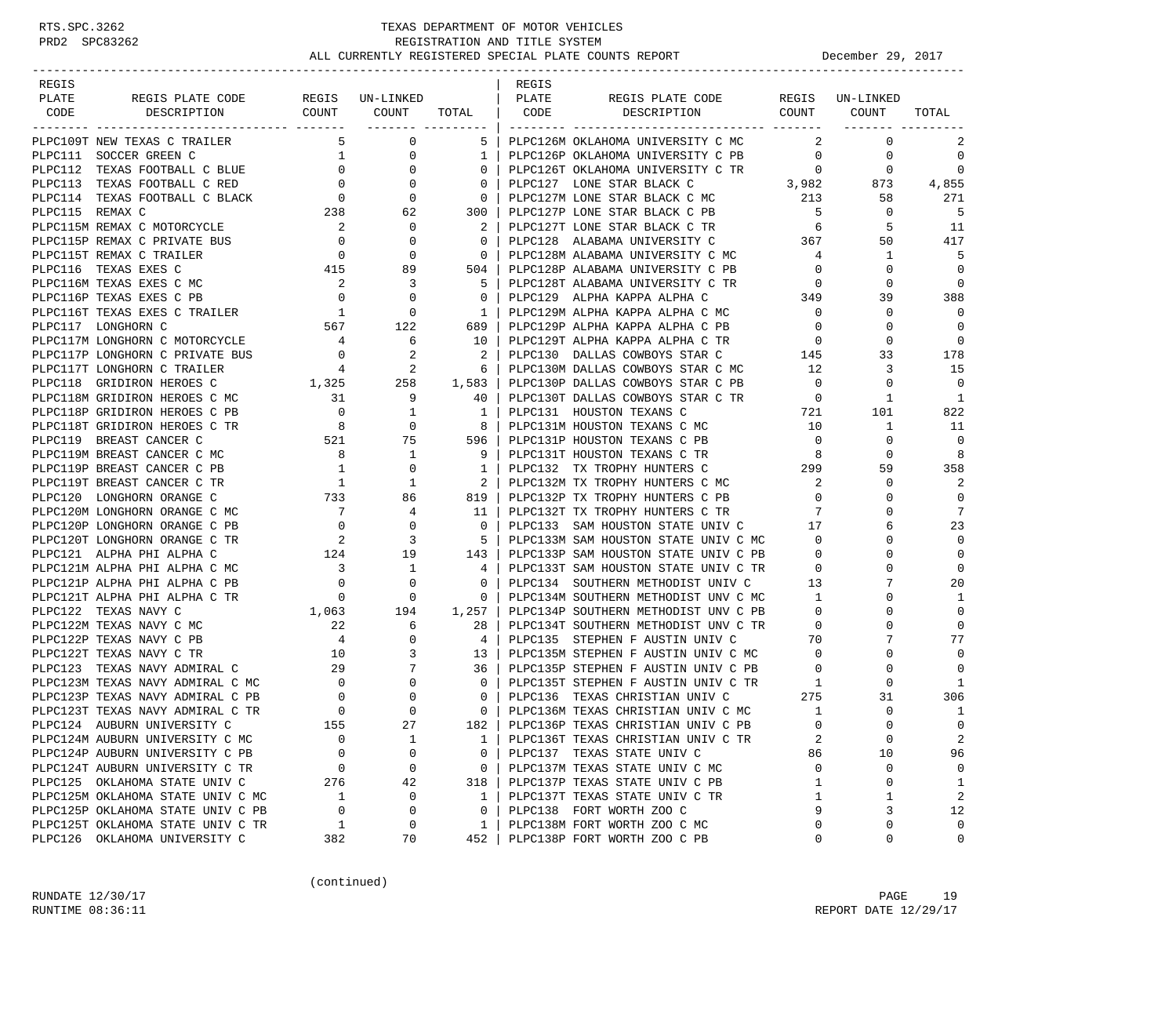| REGIS |                                                                |                                                                        |                                                                                                                                                                                                                       |                                        | REGIS |                                                                                                                       |                                                       |                 |                   |
|-------|----------------------------------------------------------------|------------------------------------------------------------------------|-----------------------------------------------------------------------------------------------------------------------------------------------------------------------------------------------------------------------|----------------------------------------|-------|-----------------------------------------------------------------------------------------------------------------------|-------------------------------------------------------|-----------------|-------------------|
| PLATE | REGIS PLATE CODE                                               |                                                                        | REGIS UN-LINKED                                                                                                                                                                                                       |                                        | PLATE | REGIS PLATE CODE                                                                                                      |                                                       | REGIS UN-LINKED |                   |
| CODE  | DESCRIPTION                                                    |                                                                        | COUNT COUNT TOTAL   CODE                                                                                                                                                                                              |                                        |       | DESCRIPTION                                                                                                           |                                                       | COUNT COUNT     | TOTAL             |
|       | PLPC109T NEW TEXAS C TRAILER                                   |                                                                        | 5 <sup>1</sup><br>$\overline{0}$                                                                                                                                                                                      | 51                                     |       | PLPC126M OKLAHOMA UNIVERSITY C MC                                                                                     | 2                                                     | $\mathbf 0$     | 2                 |
|       |                                                                |                                                                        |                                                                                                                                                                                                                       | 1                                      |       | PLPC126P OKLAHOMA UNIVERSITY C PB                                                                                     | $\overline{0}$                                        | $\mathbf{0}$    | $\mathbf 0$       |
|       |                                                                |                                                                        |                                                                                                                                                                                                                       | 0 <sup>1</sup>                         |       | PLPC126T OKLAHOMA UNIVERSITY C TR                                                                                     |                                                       | R<br>3,982 873  | $\mathbf 0$       |
|       |                                                                |                                                                        |                                                                                                                                                                                                                       | $\overline{0}$                         |       | PLPC127 LONE STAR BLACK C                                                                                             |                                                       |                 | 4,855             |
|       |                                                                |                                                                        |                                                                                                                                                                                                                       | $\overline{\phantom{0}}$               |       | PLPC127M LONE STAR BLACK C MC 213<br>plpc127p lone star black c pr 5                                                  |                                                       | 58              | 271               |
|       |                                                                |                                                                        |                                                                                                                                                                                                                       | 300                                    |       | PLPC127P LONE STAR BLACK C PB                                                                                         | $5^{\circ}$                                           | $\mathbf{0}$    | - 5               |
|       | PLPC115M REMAX C MOTORCYCLE                                    |                                                                        |                                                                                                                                                                                                                       | $\overline{2}$                         |       | PLPC127T LONE STAR BLACK C TR                                                                                         | $\begin{array}{c} 6 \\ 367 \end{array}$               | 5               | - 11              |
|       | PLPC115P REMAX C PRIVATE BUS                                   |                                                                        | $\begin{array}{ccc} 2 & & & 0 \\ 0 & & & 0 \\ 0 & & & 0 \end{array}$                                                                                                                                                  | $\overline{0}$                         |       | PLPC128 ALABAMA UNIVERSITY C                                                                                          |                                                       | 50              | 417               |
|       | PLPC115T REMAX C TRAILER                                       |                                                                        |                                                                                                                                                                                                                       | $\begin{array}{ccc} & 0 & \end{array}$ |       | PLPC128M ALABAMA UNIVERSITY C MC                                                                                      | $4\overline{4}$                                       | $\mathbf{1}$    | 5                 |
|       | PLPC116 TEXAS EXES C                                           |                                                                        | 415 89                                                                                                                                                                                                                | 504 l                                  |       | PLPC128P ALABAMA UNIVERSITY C PB                                                                                      | $\overline{0}$                                        | $\mathbf{0}$    | $\Omega$          |
|       | PLPC116M TEXAS EXES C MC                                       | $\overline{\mathbf{c}}$                                                | 3                                                                                                                                                                                                                     | - 5 1                                  |       | PLPC128T ALABAMA UNIVERSITY C TR                                                                                      | $\overline{0}$                                        | $\Omega$        | 0                 |
|       | PLPC116P TEXAS EXES C PB                                       |                                                                        |                                                                                                                                                                                                                       | $\overline{0}$                         |       | PLPC129 ALPHA KAPPA ALPHA C                                                                                           | 349                                                   | 39              | 388               |
|       | PLPC116T TEXAS EXES C TRAILER                                  | $\begin{array}{ccc} & 0 & & 0 \\ & 1 & & 0 \\ 567 & & 122 \end{array}$ |                                                                                                                                                                                                                       | $1 \quad$                              |       | PLPC129M ALPHA KAPPA ALPHA C MC                                                                                       | $\overline{0}$                                        | 0               | $\Omega$          |
|       | PLPC117 LONGHORN C                                             |                                                                        |                                                                                                                                                                                                                       | 689                                    |       | PLPC129P ALPHA KAPPA ALPHA C PB                                                                                       | $\overline{0}$                                        | 0               | $\Omega$          |
|       | PLPC117M LONGHORN C MOTORCYCLE                                 |                                                                        | $\begin{array}{ccc} 4 & & 6 \\ 0 & & 2 \end{array}$                                                                                                                                                                   | 10 <sup>1</sup>                        |       | PLPC129T ALPHA KAPPA ALPHA C TR                                                                                       | $\begin{array}{c}0\\145\end{array}$<br>$\overline{0}$ | 0               | 0                 |
|       | PLPC117P LONGHORN C PRIVATE BUS                                |                                                                        |                                                                                                                                                                                                                       | $\overline{\phantom{0}}$ 2             |       | PLPC130 DALLAS COWBOYS STAR C                                                                                         |                                                       | 33              | 178               |
|       | PLPC117T LONGHORN C TRAILER                                    |                                                                        | $\frac{4}{1,325}$ 258                                                                                                                                                                                                 | 6 <sup>6</sup>                         |       | PLPC130M DALLAS COWBOYS STAR C MC 12                                                                                  |                                                       | 3               | 15                |
|       | PLPC118 GRIDIRON HEROES C                                      |                                                                        |                                                                                                                                                                                                                       | 1,583                                  |       | PLPC130P DALLAS COWBOYS STAR C PB                                                                                     | $\overline{0}$                                        | 0               | $\Omega$          |
|       | PLPC118M GRIDIRON HEROES C MC                                  | 31                                                                     | 9                                                                                                                                                                                                                     | 40                                     |       | PLPC130T DALLAS COWBOYS STAR C TR 0                                                                                   |                                                       | 1               | 1                 |
|       | PLPC118P GRIDIRON HEROES C PB                                  |                                                                        |                                                                                                                                                                                                                       |                                        |       | PLPC131 HOUSTON TEXANS C                                                                                              | $\frac{1}{721}$                                       | 101             | 822               |
|       | PLPC118T GRIDIRON HEROES C TR                                  |                                                                        |                                                                                                                                                                                                                       |                                        |       | PLPC131M HOUSTON TEXANS C MC                                                                                          | 10                                                    | $\mathbf{1}$    | -11               |
|       | PLPC119 BREAST CANCER C                                        |                                                                        |                                                                                                                                                                                                                       |                                        |       | PLPC131P HOUSTON TEXANS C PB                                                                                          | $\overline{0}$                                        | 0               | $\mathbf 0$       |
|       | PLPC119M BREAST CANCER C MC                                    |                                                                        |                                                                                                                                                                                                                       |                                        |       | PLPC131T HOUSTON TEXANS C TR                                                                                          | 8                                                     | $\Omega$        | 8                 |
|       | PLPC119P BREAST CANCER C PB                                    |                                                                        |                                                                                                                                                                                                                       |                                        |       | PLPC132 TX TROPHY HUNTERS C 299                                                                                       |                                                       | 59              | 358               |
|       | PLPC119T BREAST CANCER C TR                                    |                                                                        | $\begin{array}{ccc} & 1 & & 1 \\ 733 & & 86 \end{array}$                                                                                                                                                              | $\overline{2}$                         |       | PLPC132M TX TROPHY HUNTERS C MC                                                                                       | $\overline{\mathbf{2}}$                               | 0               | 2                 |
|       | PLPC120 LONGHORN ORANGE C                                      |                                                                        |                                                                                                                                                                                                                       | 819                                    |       | PLPC132P TX TROPHY HUNTERS C PB                                                                                       | $\overline{0}$                                        | $\Omega$        | $\mathbf 0$       |
|       | PLPC120M LONGHORN ORANGE C MC                                  |                                                                        | $\begin{array}{ccc} 7 & \phantom{00} & 4 \\ 0 & \phantom{0} & 0 \\ 2 & \phantom{0} & 3 \end{array}$                                                                                                                   | - 11                                   |       | PLPC132T TX TROPHY HUNTERS C TR 7                                                                                     |                                                       | $\Omega$        | 7                 |
|       | PLPC120P LONGHORN ORANGE C PB                                  |                                                                        |                                                                                                                                                                                                                       | $\overline{0}$                         |       | PLPC133 SAM HOUSTON STATE UNIV C 17                                                                                   |                                                       | 6               | 23                |
|       | PLPC120T LONGHORN ORANGE C TR                                  |                                                                        |                                                                                                                                                                                                                       | 5 <sub>1</sub>                         |       | PLPC133M SAM HOUSTON STATE UNIV C MC 0                                                                                |                                                       | $\Omega$        | $\Omega$          |
|       | PLPC121 ALPHA PHI ALPHA C                                      | $124 \qquad \qquad 19$                                                 |                                                                                                                                                                                                                       | 143                                    |       | PLPC133P SAM HOUSTON STATE UNIV C PB 0<br>PLPC133T SAM HOUSTON STATE UNIV C TR 0                                      |                                                       | 0               | $\mathbf 0$       |
|       | PLPC121M ALPHA PHI ALPHA C MC                                  | $\overline{\mathbf{3}}$                                                | $\overline{\phantom{a}}$                                                                                                                                                                                              | $4 \vert$                              |       |                                                                                                                       |                                                       | $\Omega$        | $\mathbf 0$       |
|       | PLPC121P ALPHA PHI ALPHA C PB                                  |                                                                        |                                                                                                                                                                                                                       | $\overline{0}$                         |       | PLPC134 SOUTHERN METHODIST UNIV C 13                                                                                  |                                                       | 7               | 20                |
|       | PLPC121T ALPHA PHI ALPHA C TR                                  |                                                                        | $\begin{array}{ccc} & & & & & \text{\color{red}{0}}\ & & & & & \text{\color{red}{0}}\ & & & & & \text{\color{red}{0}}\ 0 && & & & \text{\color{red}{0}}\ & & & & \text{\color{red}{0}}\ 1,063 && & & 194 \end{array}$ | $\overline{0}$                         |       | PLPC134M SOUTHERN METHODIST UNV C MC 1                                                                                |                                                       | $\Omega$        | 1                 |
|       | PLPC122 TEXAS NAVY C                                           |                                                                        |                                                                                                                                                                                                                       | 1,257                                  |       | PLPC134P SOUTHERN METHODIST UNV C PB                                                                                  | $\overline{0}$                                        | $\Omega$        | $\mathbf 0$       |
|       | PLPC122M TEXAS NAVY C MC                                       |                                                                        | $\begin{array}{c} 22 \\ 4 \end{array}$<br>6                                                                                                                                                                           | 28                                     |       | PLPC134T SOUTHERN METHODIST UNV C TR                                                                                  | $\overline{0}$<br>$2 TR$ 0<br>70                      | 0               | $\Omega$          |
|       | PLPC122P TEXAS NAVY C PB                                       |                                                                        | $\mathbf{0}$                                                                                                                                                                                                          | 4 <sub>1</sub>                         |       | PLPC135 STEPHEN F AUSTIN UNIV C                                                                                       |                                                       | 7               | 77                |
|       |                                                                |                                                                        |                                                                                                                                                                                                                       |                                        |       |                                                                                                                       |                                                       | $\Omega$        | $\Omega$          |
|       |                                                                |                                                                        |                                                                                                                                                                                                                       |                                        |       | PLPC135M STEPHEN F AUSTIN UNIV C MC<br>PLPC135P STEPHEN F AUSTIN UNIV C PB 0<br>PLPC135T STEPHEN F AUSTIN UNIV C TR 1 |                                                       |                 | $\Omega$          |
|       |                                                                |                                                                        |                                                                                                                                                                                                                       |                                        |       |                                                                                                                       |                                                       | $\Omega$        | 1                 |
|       |                                                                |                                                                        |                                                                                                                                                                                                                       |                                        |       | PLPC136 TEXAS CHRISTIAN UNIV C 275<br>PLPC136M TEXAS CHRISTIAN UNIV C MC 1                                            |                                                       | 31<br>$\Omega$  | 306               |
|       |                                                                | 155                                                                    | 27                                                                                                                                                                                                                    | 182                                    |       | PLPC136P TEXAS CHRISTIAN UNIV C PB                                                                                    | $\Omega$                                              | $\cap$          | 1<br>$\Omega$     |
|       | PLPC124 AUBURN UNIVERSITY C<br>PLPC124M AUBURN UNIVERSITY C MC | 0                                                                      |                                                                                                                                                                                                                       |                                        |       | PLPC136T TEXAS CHRISTIAN UNIV C TR                                                                                    | 2                                                     | $\mathbf 0$     | 2                 |
|       | PLPC124P AUBURN UNIVERSITY C PB                                | $\Omega$                                                               | 1<br>0                                                                                                                                                                                                                | 1<br>0                                 |       |                                                                                                                       |                                                       | 10              |                   |
|       | PLPC124T AUBURN UNIVERSITY C TR                                | 0                                                                      | 0                                                                                                                                                                                                                     |                                        |       | PLPC137 TEXAS STATE UNIV C<br>PLPC137M TEXAS STATE UNIV C MC                                                          | 86<br>0                                               | 0               | 96<br>$\mathbf 0$ |
|       | PLPC125 OKLAHOMA STATE UNIV C                                  | 276                                                                    | 42                                                                                                                                                                                                                    | 0<br>318                               |       | PLPC137P TEXAS STATE UNIV C PB                                                                                        | 1                                                     | $\mathbf 0$     | 1                 |
|       | PLPC125M OKLAHOMA STATE UNIV C MC                              | 1                                                                      | 0                                                                                                                                                                                                                     | 1                                      |       | PLPC137T TEXAS STATE UNIV C TR                                                                                        | 1                                                     | 1               | 2                 |
|       | PLPC125P OKLAHOMA STATE UNIV C PB                              | 0                                                                      | 0                                                                                                                                                                                                                     | $\mathbf 0$                            |       | PLPC138 FORT WORTH ZOO C                                                                                              | 9                                                     | 3               | 12                |
|       | PLPC125T OKLAHOMA STATE UNIV C TR                              | 1                                                                      | 0                                                                                                                                                                                                                     | 1                                      |       | PLPC138M FORT WORTH ZOO C MC                                                                                          | 0                                                     | 0               | $\Omega$          |
|       | PLPC126 OKLAHOMA UNIVERSITY C                                  | 382                                                                    | 70                                                                                                                                                                                                                    | 452                                    |       | PLPC138P FORT WORTH ZOO C PB                                                                                          | 0                                                     | 0               | 0                 |
|       |                                                                |                                                                        |                                                                                                                                                                                                                       |                                        |       |                                                                                                                       |                                                       |                 |                   |

(continued)

RUNDATE  $12/30/17$  PAGE 19 RUNTIME 08:36:11 REPORT DATE 12/29/17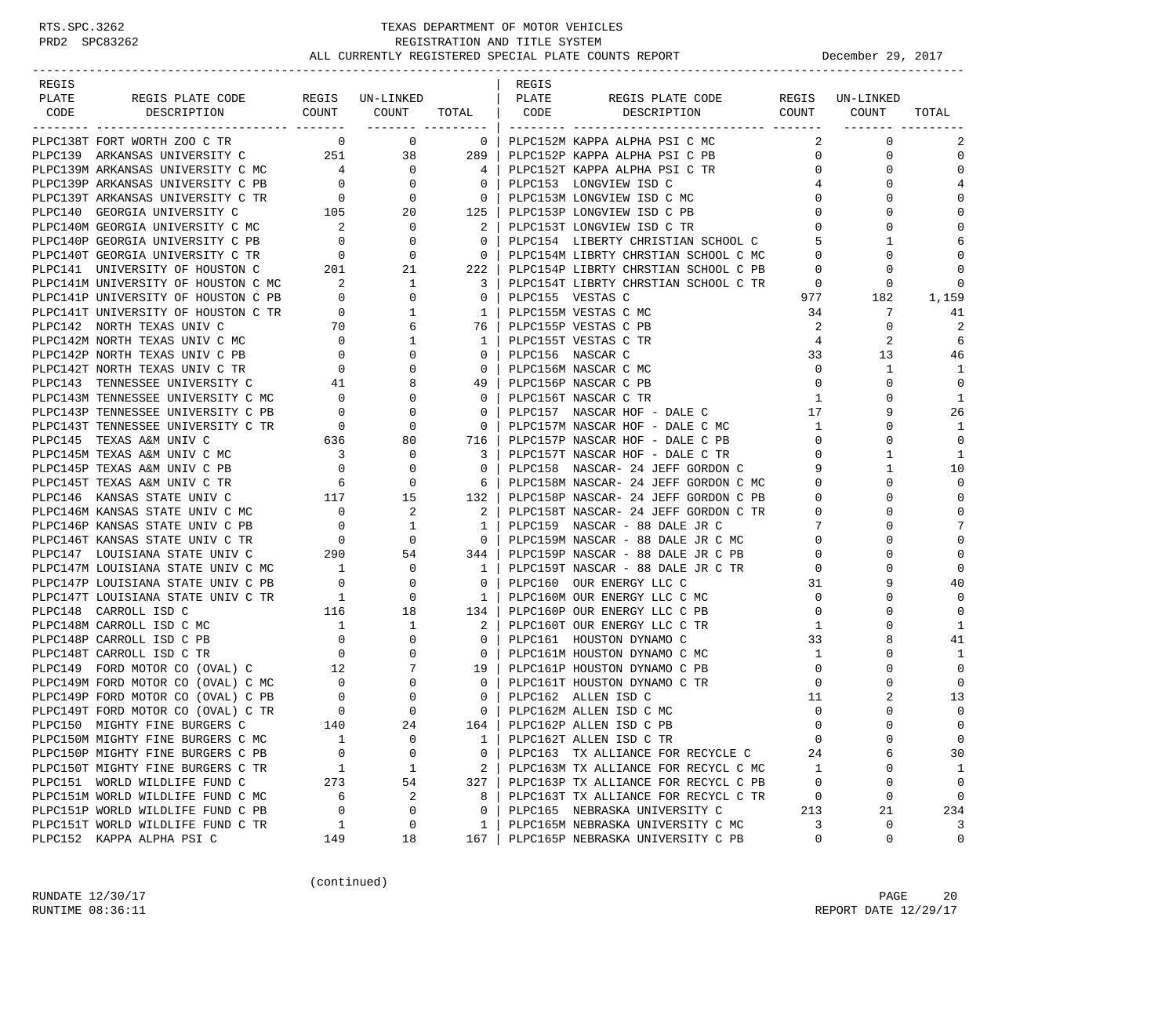| REGIS |                                                                                                                                                                                                                                                                                                                                                                                                                                                                                                                        |                |                                                                            |                                                     | REGIS        |                                                                      |                 |               |             |
|-------|------------------------------------------------------------------------------------------------------------------------------------------------------------------------------------------------------------------------------------------------------------------------------------------------------------------------------------------------------------------------------------------------------------------------------------------------------------------------------------------------------------------------|----------------|----------------------------------------------------------------------------|-----------------------------------------------------|--------------|----------------------------------------------------------------------|-----------------|---------------|-------------|
| PLATE | REGIS PLATE CODE REGIS UN-LINKED                                                                                                                                                                                                                                                                                                                                                                                                                                                                                       |                |                                                                            |                                                     | <b>PLATE</b> | REGIS PLATE CODE REGIS UN-LINKED                                     |                 |               |             |
| CODE  | DESCRIPTION                                                                                                                                                                                                                                                                                                                                                                                                                                                                                                            |                |                                                                            |                                                     |              | -- ------- -------<br>COUNT COUNT TOTAL CODE DESCRIPTION COUNT COUNT |                 |               | TOTAL       |
|       |                                                                                                                                                                                                                                                                                                                                                                                                                                                                                                                        |                | _______ __________                                                         |                                                     |              |                                                                      |                 |               |             |
|       | PLPC138T FORT WORTH ZOO C TR                                                                                                                                                                                                                                                                                                                                                                                                                                                                                           |                | $0\qquad \qquad 0$                                                         | $\overline{\mathbf{0}}$                             |              | PLPC152M KAPPA ALPHA PSI C MC                                        | 2               | $\mathbf 0$   | 2           |
|       | PLPC139 ARKANSAS UNIVERSITY C 251 38 289                                                                                                                                                                                                                                                                                                                                                                                                                                                                               |                |                                                                            |                                                     |              | PLPC152P KAPPA ALPHA PSI C PB                                        | $\overline{0}$  | $\mathbf 0$   | $\mathbf 0$ |
|       |                                                                                                                                                                                                                                                                                                                                                                                                                                                                                                                        |                |                                                                            | $4 \vert$                                           |              | PLPC152T KAPPA ALPHA PSI C TR                                        | $\overline{0}$  | 0             | $\Omega$    |
|       |                                                                                                                                                                                                                                                                                                                                                                                                                                                                                                                        |                |                                                                            | $\overline{0}$                                      |              | PLPC153 LONGVIEW ISD C                                               | 4               | $\Omega$      | 4           |
|       |                                                                                                                                                                                                                                                                                                                                                                                                                                                                                                                        |                |                                                                            |                                                     |              | 0   PLPC153M LONGVIEW ISD C MC                                       | $\mathbf{0}$    | 0             | $\mathbf 0$ |
|       | PLPC139M ARKANSAS UNIVERSITY C MC $\begin{array}{ccc} 4 & 0 \\ 9 \text{LPC139P} \text{ARKANSAS} & \text{UNIVERSITY} & \text{C PB} & 0 \\ 9 \text{LPC139T} \text{ARKANSAS} & \text{UNIVERSITY} & \text{C TR} & 0 \\ 9 \text{LPC140} & \text{GEORGIA} & \text{UNIVERSITY} & \text{C} & 105 \\ 20 & 0 & 0 & 0 \\ 105 & 0 & 0 & 0 \\ 0 & 0 & 0 & 0 \\ 0 & 0 & 0 & 0 \\ 0 & $                                                                                                                                               |                |                                                                            | 125                                                 |              | PLPC153P LONGVIEW ISD C PB                                           | $\mathbf{0}$    |               | $\Omega$    |
|       | PLPC140M GEORGIA UNIVERSITY C MC $2$ 0<br>PLPC140P GEORGIA UNIVERSITY C PB 0 0<br>PLPC140T GEORGIA UNIVERSITY C TR 0 0 0                                                                                                                                                                                                                                                                                                                                                                                               |                |                                                                            | $\overline{\phantom{a}}^2$                          |              | PLPC153T LONGVIEW ISD C TR                                           | $\mathbf{0}$    | $\Omega$      | $\Omega$    |
|       |                                                                                                                                                                                                                                                                                                                                                                                                                                                                                                                        |                |                                                                            | $\mathbf{0}$                                        |              | PLPC154 LIBERTY CHRISTIAN SCHOOL C                                   | 5               | $\mathbf{1}$  | 6           |
|       |                                                                                                                                                                                                                                                                                                                                                                                                                                                                                                                        |                |                                                                            | $\overline{0}$                                      |              | PLPC154M LIBRTY CHRSTIAN SCHOOL C MC                                 | $\overline{0}$  | $\Omega$      | $\Omega$    |
|       |                                                                                                                                                                                                                                                                                                                                                                                                                                                                                                                        |                |                                                                            | $222$                                               |              | PLPC154P LIBRTY CHRSTIAN SCHOOL C PB                                 | $\overline{0}$  | 0             | $\Omega$    |
|       |                                                                                                                                                                                                                                                                                                                                                                                                                                                                                                                        |                |                                                                            | $\overline{\phantom{a}3}$                           |              | PLPC154T LIBRTY CHRSTIAN SCHOOL C TR                                 | $\overline{0}$  | 0             | 0           |
|       |                                                                                                                                                                                                                                                                                                                                                                                                                                                                                                                        |                |                                                                            | $\overline{0}$                                      |              | PLPC155 VESTAS C                                                     |                 | 977<br>182    | 1,159       |
|       |                                                                                                                                                                                                                                                                                                                                                                                                                                                                                                                        |                | 1                                                                          | $1 \mid$                                            |              | PLPC155M VESTAS C MC                                                 | 34              | 7             | 41          |
|       | PLPC141T UNIVERSITY OF HOUSTON C TR 0<br>PLPC142 NORTH TEXAS UNIV C 70                                                                                                                                                                                                                                                                                                                                                                                                                                                 |                | 6                                                                          | 76 I                                                |              | PLPC155P VESTAS C PB                                                 | 2               | $\Omega$      | 2           |
|       |                                                                                                                                                                                                                                                                                                                                                                                                                                                                                                                        |                | 1                                                                          | 1 <sup>1</sup>                                      |              | PLPC155T VESTAS C TR                                                 | 4               | 2             | 6           |
|       |                                                                                                                                                                                                                                                                                                                                                                                                                                                                                                                        |                | $\mathbf{0}$                                                               | $\overline{0}$                                      |              | PLPC156 NASCAR C                                                     | 33              | 13            | 46          |
|       |                                                                                                                                                                                                                                                                                                                                                                                                                                                                                                                        |                | $\mathbf{0}$                                                               | $\overline{0}$                                      |              | PLPC156M NASCAR C MC                                                 | $\overline{0}$  | 1             | 1           |
|       | PLPC142 NORTH TEXAS UNIV C MC<br>PLPC142P NORTH TEXAS UNIV C MC<br>PLPC142P NORTH TEXAS UNIV C PB<br>PLPC142T NORTH TEXAS UNIV C TR<br>PLPC143 TENNESSEE UNIVERSITY C MC<br>PLPC143M TENNESSEE UNIVERSITY C MC<br>0                                                                                                                                                                                                                                                                                                    |                | 8                                                                          | 49                                                  |              | PLPC156P NASCAR C PB                                                 | $\circ$         | $\Omega$      | $\mathbf 0$ |
|       |                                                                                                                                                                                                                                                                                                                                                                                                                                                                                                                        |                | $\mathbf{0}$                                                               | $\overline{0}$                                      |              | PLPC156T NASCAR C TR                                                 | 1               | <sup>0</sup>  | 1           |
|       |                                                                                                                                                                                                                                                                                                                                                                                                                                                                                                                        |                |                                                                            | $\mathbf{0}$                                        |              | PLPC157 NASCAR HOF - DALE C                                          | 17              | 9             | 26          |
|       |                                                                                                                                                                                                                                                                                                                                                                                                                                                                                                                        |                |                                                                            | $\overline{0}$                                      |              | PLPC157M NASCAR HOF - DALE C MC                                      | $\mathbf{1}$    | $\Omega$      | -1          |
|       |                                                                                                                                                                                                                                                                                                                                                                                                                                                                                                                        |                |                                                                            |                                                     |              | PLPC157P NASCAR HOF - DALE C PB                                      | $\overline{0}$  | $\Omega$      | 0           |
|       |                                                                                                                                                                                                                                                                                                                                                                                                                                                                                                                        |                | $\mathbf{0}$                                                               | 716<br>3 I                                          |              | PLPC157T NASCAR HOF - DALE C TR                                      | $\mathbf{0}$    | 1             | 1           |
|       | PLPC145P TEXAS A&M UNIV C PB<br>PLPC145T TEXAS A&M UNIV C PB<br>PLPC145T TEXAS A&M UNIV C TP                                                                                                                                                                                                                                                                                                                                                                                                                           |                |                                                                            | $\bigcirc$                                          |              | PLPC158 NASCAR- 24 JEFF GORDON C                                     | 9               | 1             |             |
|       |                                                                                                                                                                                                                                                                                                                                                                                                                                                                                                                        |                | 0                                                                          |                                                     |              |                                                                      |                 |               | 10<br>0     |
|       |                                                                                                                                                                                                                                                                                                                                                                                                                                                                                                                        |                | $\begin{array}{ccc} & 6 & & 0 \\ 117 & & 15 \end{array}$                   | 61                                                  |              | PLPC158M NASCAR- 24 JEFF GORDON C MC                                 | $\overline{0}$  | 0<br>$\Omega$ |             |
|       | PLPC146 KANSAS STATE UNIV C                                                                                                                                                                                                                                                                                                                                                                                                                                                                                            |                |                                                                            | 132                                                 |              | PLPC158P NASCAR- 24 JEFF GORDON C PB                                 | $\overline{0}$  |               | 0           |
|       | PLPC146M KANSAS STATE UNIV C MC                                                                                                                                                                                                                                                                                                                                                                                                                                                                                        |                |                                                                            | 2                                                   |              | PLPC158T NASCAR- 24 JEFF GORDON C TR                                 | $\overline{0}$  | $\Omega$      | $\mathbf 0$ |
|       | PLPC146P KANSAS STATE UNIV C PB                                                                                                                                                                                                                                                                                                                                                                                                                                                                                        |                | $\begin{matrix}0&&&2\\0&&&1\\0&&&0\end{matrix}$                            | $1 \mid$                                            |              | PLPC159 NASCAR - 88 DALE JR C<br>PLPC159M NASCAR - 88 DALE JR C MC 0 | $7\overline{ }$ |               | 7           |
|       | PLPC146T KANSAS STATE UNIV C TR<br>$\begin{tabular}{lllllllll} \multicolumn{2}{c}{\multicolumn{2}{c}{\multicolumn{2}{c}{\multicolumn{2}{c}{\multicolumn{2}{c}{\multicolumn{2}{c}{\multicolumn{2}{c}{\multicolumn{2}{c}{\multicolumn{2}{c}{\multicolumn{2}{c}{\multicolumn{2}{c}{\multicolumn{2}{c}{\multicolumn{2}{c}{\multicolumn{2}{c}{\multicolumn{2}{c}{\multicolumn{2}{c}{\multicolumn{2}{c}{\multicolumn{2}{c}{\multicolumn{2}{c}{\multicolumn{2}{c}{\multicolumn{2}{c}{\multicolumn{2}{c}{\multicolumn{2}{c}{\$ |                |                                                                            | $\overline{\phantom{0}}$ 0 $\overline{\phantom{0}}$ |              |                                                                      |                 | 0             | $\Omega$    |
|       |                                                                                                                                                                                                                                                                                                                                                                                                                                                                                                                        |                |                                                                            | 344                                                 |              | PLPC159P NASCAR - 88 DALE JR C PB                                    | $\mathbf{0}$    | 0             | 0           |
|       |                                                                                                                                                                                                                                                                                                                                                                                                                                                                                                                        |                |                                                                            | $1\quad$                                            |              | PLPC159T NASCAR - 88 DALE JR C TR                                    | $\overline{0}$  |               | $\mathbf 0$ |
|       |                                                                                                                                                                                                                                                                                                                                                                                                                                                                                                                        | $\overline{0}$ |                                                                            | $\overline{0}$                                      |              | PLPC160 OUR ENERGY LLC C                                             | 31              | 9             | 40          |
|       | PLPC147T LOUISIANA STATE UNIV C TR                                                                                                                                                                                                                                                                                                                                                                                                                                                                                     | 1              | $\overline{0}$<br>$\begin{array}{ccc} & 1 & & 0 \\ 116 & & 18 \end{array}$ | $1 \vert$                                           |              | PLPC160M OUR ENERGY LLC C MC                                         | $\overline{0}$  |               | $\Omega$    |
|       | PLPC148 CARROLL ISD C                                                                                                                                                                                                                                                                                                                                                                                                                                                                                                  |                |                                                                            | 134                                                 |              | PLPC160P OUR ENERGY LLC C PB                                         | $\mathbf 0$     | 0             | $\Omega$    |
|       |                                                                                                                                                                                                                                                                                                                                                                                                                                                                                                                        |                |                                                                            | 2                                                   |              | PLPC160T OUR ENERGY LLC C TR                                         | 1               | 0             | 1           |
|       | PLPC148M CARROLL ISD C MC<br>PLPC148P CARROLL ISD C PB<br>PLPC148T CARROLL ISD C TR<br>PLPC149 FORD MOTOR CO (OVAL) C 12<br>PLPC149M FORD MOTOR CO (OVAL) C MC 0 0<br>PLPC149P FORD MOTOR CO (OVAL) C PB<br>PLPC149T FORD MOTOR CO (OVAL)                                                                                                                                                                                                                                                                              |                |                                                                            | $\overline{0}$                                      |              | PLPC161 HOUSTON DYNAMO C                                             | 33              | 8             | 41          |
|       |                                                                                                                                                                                                                                                                                                                                                                                                                                                                                                                        |                |                                                                            | $\overline{0}$                                      |              | PLPC161M HOUSTON DYNAMO C MC                                         | $\mathbf{1}$    | 0             | 1           |
|       |                                                                                                                                                                                                                                                                                                                                                                                                                                                                                                                        |                |                                                                            |                                                     |              | 19   PLPC161P HOUSTON DYNAMO C PB                                    | $\overline{0}$  |               | $\Omega$    |
|       |                                                                                                                                                                                                                                                                                                                                                                                                                                                                                                                        |                |                                                                            | $\overline{\phantom{0}}$ 0 $\overline{\phantom{0}}$ |              | PLPC161T HOUSTON DYNAMO C TR                                         | $\overline{0}$  | <sup>0</sup>  | $\Omega$    |
|       |                                                                                                                                                                                                                                                                                                                                                                                                                                                                                                                        |                |                                                                            | $\overline{\phantom{0}}$ 0 $\overline{\phantom{0}}$ |              | PLPC162 ALLEN ISD C                                                  | 11              | 2             | 13          |
|       |                                                                                                                                                                                                                                                                                                                                                                                                                                                                                                                        |                |                                                                            | $\overline{\phantom{0}}$ 0 $\overline{\phantom{0}}$ |              | PLPC162M ALLEN ISD C MC                                              | 0               | $\Omega$      | $\mathbf 0$ |
|       | PLPC150 MIGHTY FINE BURGERS C                                                                                                                                                                                                                                                                                                                                                                                                                                                                                          | 140            | 24                                                                         |                                                     |              | 164   PLPC162P ALLEN ISD C PB                                        | $\Omega$        | $\cap$        | $\Omega$    |
|       | PLPC150M MIGHTY FINE BURGERS C MC                                                                                                                                                                                                                                                                                                                                                                                                                                                                                      | $\mathbf{1}$   | 0                                                                          | 1                                                   |              | PLPC162T ALLEN ISD C TR                                              | $\mathbf 0$     | $\Omega$      | 0           |
|       | PLPC150P MIGHTY FINE BURGERS C PB                                                                                                                                                                                                                                                                                                                                                                                                                                                                                      | $\Omega$       | 0                                                                          | 0                                                   |              | PLPC163 TX ALLIANCE FOR RECYCLE C                                    | 24              | 6             | 30          |
|       | PLPC150T MIGHTY FINE BURGERS C TR                                                                                                                                                                                                                                                                                                                                                                                                                                                                                      | 1              | 1                                                                          | 2                                                   |              | PLPC163M TX ALLIANCE FOR RECYCL C MC                                 | 1               | 0             | 1           |
|       | PLPC151 WORLD WILDLIFE FUND C                                                                                                                                                                                                                                                                                                                                                                                                                                                                                          | 273            | 54                                                                         | 327                                                 |              | PLPC163P TX ALLIANCE FOR RECYCL C PB                                 | $\mathbf 0$     | $\mathbf 0$   | $\mathbf 0$ |
|       | PLPC151M WORLD WILDLIFE FUND C MC                                                                                                                                                                                                                                                                                                                                                                                                                                                                                      | 6              | 2                                                                          | 8                                                   |              | PLPC163T TX ALLIANCE FOR RECYCL C TR                                 | 0               | $\mathbf 0$   | $\mathbf 0$ |
|       | PLPC151P WORLD WILDLIFE FUND C PB                                                                                                                                                                                                                                                                                                                                                                                                                                                                                      | $\mathbf 0$    | 0                                                                          | 0                                                   |              | PLPC165 NEBRASKA UNIVERSITY C                                        | 213             | 21            | 234         |
|       | PLPC151T WORLD WILDLIFE FUND C TR                                                                                                                                                                                                                                                                                                                                                                                                                                                                                      | $\mathbf{1}$   | 0                                                                          | 1                                                   |              | PLPC165M NEBRASKA UNIVERSITY C MC                                    | 3               | 0             | 3           |
|       | PLPC152 KAPPA ALPHA PSI C                                                                                                                                                                                                                                                                                                                                                                                                                                                                                              | 149            | 18                                                                         | 167                                                 |              | PLPC165P NEBRASKA UNIVERSITY C PB                                    | 0               | 0             | 0           |

(continued)

RUNDATE  $12/30/17$  PAGE 20 RUNTIME 08:36:11 REPORT DATE 12/29/17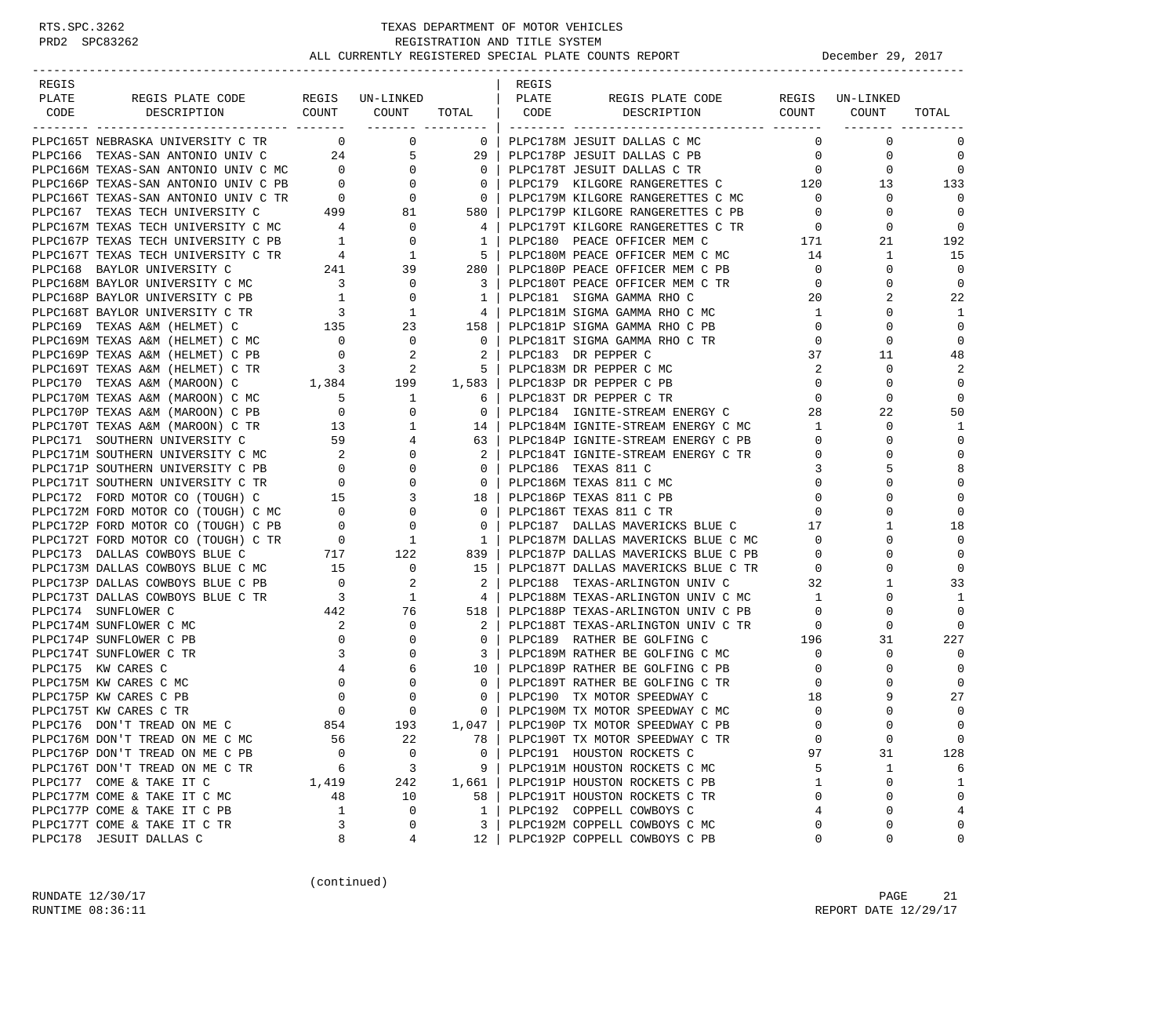### RTS.SPC.3262 TEXAS DEPARTMENT OF MOTOR VEHICLES<br>PRD2 SPC83262 REGISTRATION AND TITLE SYSTEM REGISTRATION AND TITLE SYSTEM ALL CURRENTLY REGISTERED SPECIAL PLATE COUNTS REPORT **DECEMBER 29, 2017**

| REGIS |                                                                                                                                                                                                                                                                                                                                                                                                           |              |                                                                                                                                                            |                | REGIS |                                                                                      |                                        |              |                |
|-------|-----------------------------------------------------------------------------------------------------------------------------------------------------------------------------------------------------------------------------------------------------------------------------------------------------------------------------------------------------------------------------------------------------------|--------------|------------------------------------------------------------------------------------------------------------------------------------------------------------|----------------|-------|--------------------------------------------------------------------------------------|----------------------------------------|--------------|----------------|
| PLATE |                                                                                                                                                                                                                                                                                                                                                                                                           |              |                                                                                                                                                            |                |       | REGIS PLATE CODE REGIS UN-LINKED                                                     |                                        |              |                |
| CODE  |                                                                                                                                                                                                                                                                                                                                                                                                           |              |                                                                                                                                                            |                |       |                                                                                      |                                        |              | TOTAL          |
|       |                                                                                                                                                                                                                                                                                                                                                                                                           |              |                                                                                                                                                            |                |       |                                                                                      |                                        |              |                |
|       | PLPC165T NEBRASKA UNIVERSITY C TR 0 0 0                                                                                                                                                                                                                                                                                                                                                                   |              |                                                                                                                                                            |                |       | 0   PLPC178M JESUIT DALLAS C MC                                                      | $\Omega$                               | $\mathbf 0$  | 0              |
|       |                                                                                                                                                                                                                                                                                                                                                                                                           |              |                                                                                                                                                            |                |       |                                                                                      |                                        | $\mathbf{0}$ | $\mathbf 0$    |
|       |                                                                                                                                                                                                                                                                                                                                                                                                           |              |                                                                                                                                                            |                |       |                                                                                      |                                        | $\mathbf{0}$ | $\overline{0}$ |
|       |                                                                                                                                                                                                                                                                                                                                                                                                           |              |                                                                                                                                                            |                |       | PLPC179 KILGORE RANGERETTES C 120                                                    |                                        | 13           | 133            |
|       |                                                                                                                                                                                                                                                                                                                                                                                                           |              |                                                                                                                                                            |                |       |                                                                                      |                                        | $\mathbf{0}$ | $\Omega$       |
|       |                                                                                                                                                                                                                                                                                                                                                                                                           |              |                                                                                                                                                            |                |       |                                                                                      | $\overline{0}$                         | $\Omega$     | $\overline{0}$ |
|       |                                                                                                                                                                                                                                                                                                                                                                                                           |              |                                                                                                                                                            |                |       | PLPC179T KILGORE RANGERETTES C TR 0                                                  |                                        | 0            | $\overline{0}$ |
|       | $\begin{tabular}{l c c c c c} \multicolumn{1}{c}{\textbf{PLPC167} \hspace*{0.5cm} \textbf{TEXAS} \hspace*{0.5cm} \textbf{TECH} \hspace*{0.5cm} \textbf{UNIVERSITY} \hspace*{0.5cm} & \textbf{299} & \textbf{81} & \textbf{580} \hspace*{0.5cm}   \\ \multicolumn{1}{c}{\textbf{PLPC167P} \hspace*{0.5cm} \textbf{TEXAS} \hspace*{0.5cm} \textbf{TECH} \hspace*{0.5cm} \textbf{UNIVERSITY} \hspace*{0.5cm$ |              |                                                                                                                                                            |                |       | PLPC180 PEACE OFFICER MEM C                                                          | 171                                    | 21           | 192            |
|       |                                                                                                                                                                                                                                                                                                                                                                                                           |              |                                                                                                                                                            |                |       | PLPC180M PEACE OFFICER MEM C MC 14                                                   |                                        | $\mathbf{1}$ | 15             |
|       |                                                                                                                                                                                                                                                                                                                                                                                                           |              |                                                                                                                                                            |                |       | PLPC180P PEACE OFFICER MEM C PB                                                      | $\overline{0}$                         | $\mathbf{0}$ | $\overline{0}$ |
|       |                                                                                                                                                                                                                                                                                                                                                                                                           |              |                                                                                                                                                            |                |       | PLPC180T PEACE OFFICER MEM C TR                                                      | $\overline{0}$                         | 0            | $\mathbf 0$    |
|       |                                                                                                                                                                                                                                                                                                                                                                                                           |              |                                                                                                                                                            |                |       | PLPC181 SIGMA GAMMA RHO C                                                            | 20                                     | 2            | 22             |
|       |                                                                                                                                                                                                                                                                                                                                                                                                           |              |                                                                                                                                                            |                |       | PLPC181M SIGMA GAMMA RHO C MC                                                        | $\mathbf{1}$                           | $\Omega$     | 1              |
|       |                                                                                                                                                                                                                                                                                                                                                                                                           |              |                                                                                                                                                            |                |       | PLPC181P SIGMA GAMMA RHO C PB                                                        | $\overline{0}$                         | $\Omega$     | $\mathbf 0$    |
|       |                                                                                                                                                                                                                                                                                                                                                                                                           |              |                                                                                                                                                            |                |       | PLPC181T SIGMA GAMMA RHO C TR                                                        | $\circ$                                | 0            | $\mathbf 0$    |
|       |                                                                                                                                                                                                                                                                                                                                                                                                           |              |                                                                                                                                                            |                |       |                                                                                      | 37                                     | 11           | 48             |
|       |                                                                                                                                                                                                                                                                                                                                                                                                           |              |                                                                                                                                                            |                |       |                                                                                      | 2                                      | $\mathbf 0$  | 2              |
|       |                                                                                                                                                                                                                                                                                                                                                                                                           |              |                                                                                                                                                            |                |       |                                                                                      | $\overline{0}$                         | $\Omega$     | $\mathbf 0$    |
|       |                                                                                                                                                                                                                                                                                                                                                                                                           |              |                                                                                                                                                            |                |       |                                                                                      | $\overline{0}$                         | $\Omega$     | $\mathbf 0$    |
|       |                                                                                                                                                                                                                                                                                                                                                                                                           |              |                                                                                                                                                            |                |       |                                                                                      | 28                                     | 22           | 50             |
|       |                                                                                                                                                                                                                                                                                                                                                                                                           |              |                                                                                                                                                            |                |       | PLPC184 IGNITE-STREAM ENERGY C<br>PLPC184M IGNITE-STREAM ENERGY C MC                 | $\mathbf{1}$                           | $\mathbf 0$  | 1              |
|       |                                                                                                                                                                                                                                                                                                                                                                                                           |              |                                                                                                                                                            |                |       | PLPC184P IGNITE-STREAM ENERGY C PB                                                   | $\mathbf{0}$                           | 0            | $\mathbf 0$    |
|       |                                                                                                                                                                                                                                                                                                                                                                                                           |              |                                                                                                                                                            |                |       | PLPC184T IGNITE-STREAM ENERGY C TR                                                   | $\overline{0}$                         | $\Omega$     | $\mathbf 0$    |
|       |                                                                                                                                                                                                                                                                                                                                                                                                           |              |                                                                                                                                                            |                |       |                                                                                      | 3                                      | 5            | 8              |
|       |                                                                                                                                                                                                                                                                                                                                                                                                           |              |                                                                                                                                                            |                |       | PLPC186M TEXAS 811 C MC                                                              | $\mathbf 0$                            | $\Omega$     | $\mathbf 0$    |
|       |                                                                                                                                                                                                                                                                                                                                                                                                           |              |                                                                                                                                                            |                |       | PLPC186P TEXAS 811 C PB                                                              | $\mathbf 0$                            | $\Omega$     | $\mathbf 0$    |
|       |                                                                                                                                                                                                                                                                                                                                                                                                           |              |                                                                                                                                                            |                |       | PLPC186T TEXAS 811 C TR                                                              | $\mathbf{0}$                           | $\Omega$     | $\mathbf 0$    |
|       |                                                                                                                                                                                                                                                                                                                                                                                                           |              |                                                                                                                                                            |                |       | PLPC187 DALLAS MAVERICKS BLUE C                                                      | $\begin{array}{c} 0 \\ 17 \end{array}$ | 1            | 18             |
|       |                                                                                                                                                                                                                                                                                                                                                                                                           |              |                                                                                                                                                            |                |       | PLPC187M DALLAS MAVERICKS BLUE C MC 0                                                |                                        | $\Omega$     | $\mathbf 0$    |
|       |                                                                                                                                                                                                                                                                                                                                                                                                           |              |                                                                                                                                                            |                |       |                                                                                      | $\mathbf{0}$                           | 0            | $\mathbf 0$    |
|       |                                                                                                                                                                                                                                                                                                                                                                                                           |              |                                                                                                                                                            |                |       | PLPC187P DALLAS MAVERICKS BLUE C PB<br>PLPC187T DALLAS MAVERICKS BLUE C TR           |                                        | $\Omega$     |                |
|       |                                                                                                                                                                                                                                                                                                                                                                                                           |              |                                                                                                                                                            |                |       |                                                                                      | $\mathbf{0}$                           |              | $\mathbf 0$    |
|       |                                                                                                                                                                                                                                                                                                                                                                                                           |              |                                                                                                                                                            |                |       | PLPC188 TEXAS-ARLINGTON UNIV C                                                       | 32                                     | $\mathbf{1}$ | 33             |
|       |                                                                                                                                                                                                                                                                                                                                                                                                           |              |                                                                                                                                                            |                |       | 4   PLPC188M TEXAS-ARLINGTON UNIV C MC<br>PLPC188P TEXAS-ARLINGTON UNIV C PB         | $\sim$ 1                               | $\Omega$     | 1              |
|       |                                                                                                                                                                                                                                                                                                                                                                                                           |              |                                                                                                                                                            |                |       |                                                                                      | $\overline{0}$                         | $\Omega$     | $\Omega$       |
|       |                                                                                                                                                                                                                                                                                                                                                                                                           |              |                                                                                                                                                            |                |       | PLPC188T TEXAS-ARLINGTON UNIV C TR<br>PLPC189 RATHER BE GOLFING C 196                | $\overline{0}$                         | 0            | $\Omega$       |
|       |                                                                                                                                                                                                                                                                                                                                                                                                           |              | $\begin{array}{ccccc} 2 & & & 0 & \ & 0 & & & 0 \ 3 & & & 0 & & \ & 3 & & 0 & \ & 4 & & 6 & \ & 0 & & & 0 & \ & 0 & & & 0 & \ & 0 & & & 0 & \ \end{array}$ |                |       |                                                                                      |                                        | 31           | 227            |
|       |                                                                                                                                                                                                                                                                                                                                                                                                           |              |                                                                                                                                                            |                |       | PLPC189M RATHER BE GOLFING C MC                                                      | $\overline{0}$                         | 0            | $\mathbf 0$    |
|       | PLPC175 KW CARES C                                                                                                                                                                                                                                                                                                                                                                                        |              |                                                                                                                                                            | $10-1$         |       | PLPC189P RATHER BE GOLFING C PB                                                      | $\overline{0}$                         | $\Omega$     | $\mathbf 0$    |
|       | PLPC175M KW CARES C MC                                                                                                                                                                                                                                                                                                                                                                                    |              |                                                                                                                                                            | $\overline{0}$ |       | PLPC189T RATHER BE GOLFING C TR                                                      | $\overline{0}$                         | $\Omega$     | $\mathbf 0$    |
|       | PLPC175P KW CARES C PB                                                                                                                                                                                                                                                                                                                                                                                    |              |                                                                                                                                                            | $\overline{0}$ |       | PLPC190M TX MOTOR SPEEDWAY C<br>PLPC190M TX MOTOR SPEEDWAY C MC<br>PLPC190D TY MOTOT | 18                                     | 9            | 27             |
|       | PLPC175T KW CARES C TR                                                                                                                                                                                                                                                                                                                                                                                    |              |                                                                                                                                                            | 0 <sup>1</sup> |       |                                                                                      | $\mathbf 0$                            |              | $\mathbf 0$    |
|       | PLPC176 DON'T TREAD ON ME C                                                                                                                                                                                                                                                                                                                                                                               | 854          | 193                                                                                                                                                        |                |       | 1,047   PLPC190P TX MOTOR SPEEDWAY C PB                                              | $\Omega$                               | $\Omega$     | $\Omega$       |
|       | PLPC176M DON'T TREAD ON ME C MC                                                                                                                                                                                                                                                                                                                                                                           | 56           | 22                                                                                                                                                         | 78             |       | PLPC190T TX MOTOR SPEEDWAY C TR                                                      | 0                                      | $\mathsf 0$  | $\mathbf 0$    |
|       | PLPC176P DON'T TREAD ON ME C PB                                                                                                                                                                                                                                                                                                                                                                           | $\Omega$     | $\mathbf 0$                                                                                                                                                | $\mathbf{0}$   |       | PLPC191 HOUSTON ROCKETS C                                                            | 97                                     | 31           | 128            |
|       | PLPC176T DON'T TREAD ON ME C TR                                                                                                                                                                                                                                                                                                                                                                           | 6            | 3                                                                                                                                                          | 9              |       | PLPC191M HOUSTON ROCKETS C MC                                                        | 5                                      | 1            | 6              |
|       | PLPC177 COME & TAKE IT C                                                                                                                                                                                                                                                                                                                                                                                  | 1,419        | 242                                                                                                                                                        | 1,661          |       | PLPC191P HOUSTON ROCKETS C PB                                                        | 1                                      | 0            | $\mathbf{1}$   |
|       | PLPC177M COME & TAKE IT C MC                                                                                                                                                                                                                                                                                                                                                                              | 48           | 10                                                                                                                                                         | 58             |       | PLPC191T HOUSTON ROCKETS C TR                                                        | $\Omega$                               | 0            | $\mathbf 0$    |
|       | PLPC177P COME & TAKE IT C PB                                                                                                                                                                                                                                                                                                                                                                              | $\mathbf{1}$ | 0                                                                                                                                                          | $\mathbf{1}$   |       | PLPC192 COPPELL COWBOYS C                                                            | 4                                      | 0            | 4              |
|       | PLPC177T COME & TAKE IT C TR                                                                                                                                                                                                                                                                                                                                                                              | 3            | 0                                                                                                                                                          | 3              |       | PLPC192M COPPELL COWBOYS C MC                                                        | 0                                      | 0            | 0              |
|       | PLPC178 JESUIT DALLAS C                                                                                                                                                                                                                                                                                                                                                                                   | 8            | 4                                                                                                                                                          | 12             |       | PLPC192P COPPELL COWBOYS C PB                                                        | $\mathbf 0$                            | 0            | 0              |

(continued)

RUNDATE  $12/30/17$  PAGE 21 RUNTIME 08:36:11 REPORT DATE 12/29/17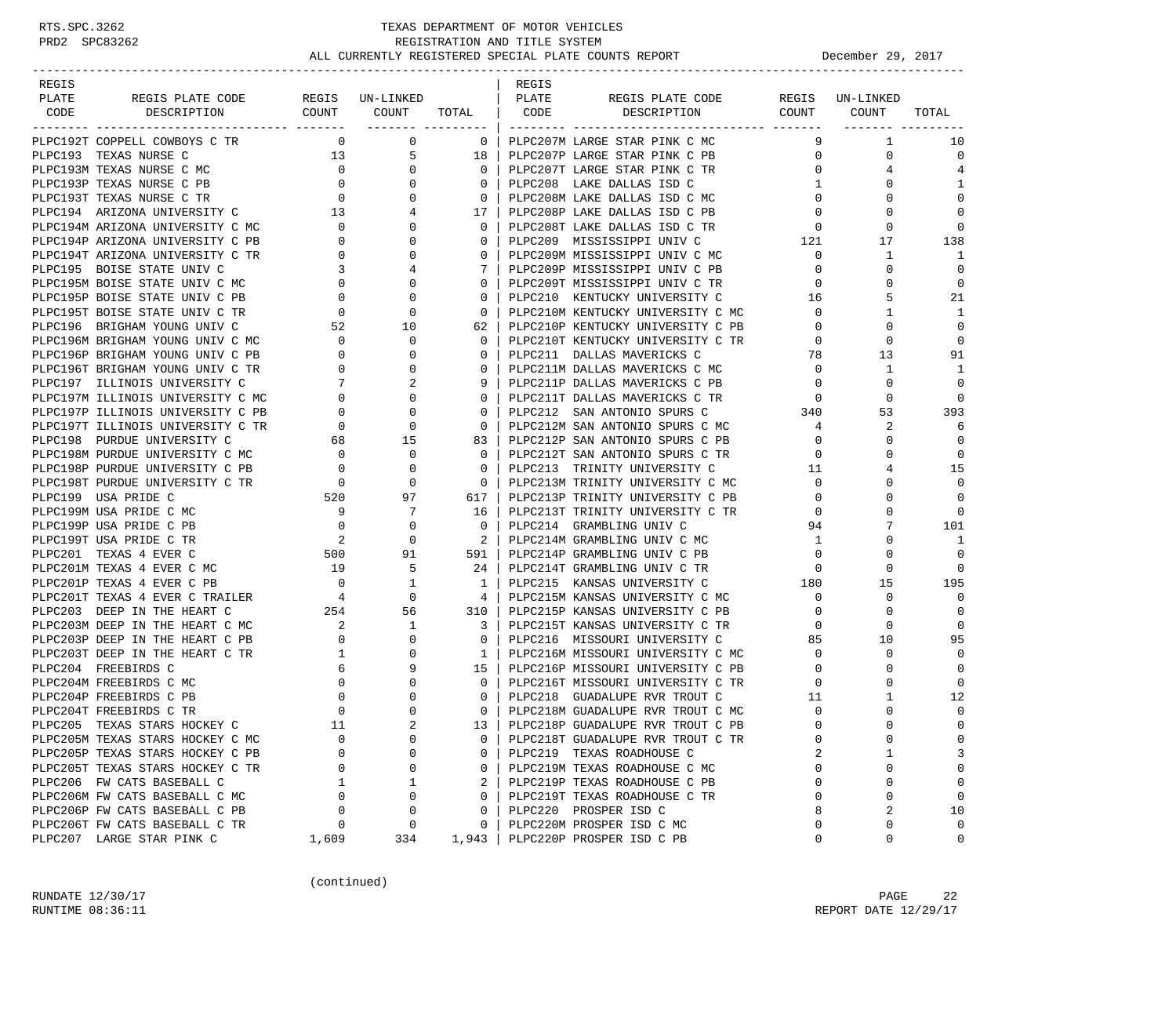| REGIS |                                                                                                                                                            |                                          |                              |                 | REGIS |                                   |                |                 |             |
|-------|------------------------------------------------------------------------------------------------------------------------------------------------------------|------------------------------------------|------------------------------|-----------------|-------|-----------------------------------|----------------|-----------------|-------------|
| PLATE | REGIS PLATE CODE                                                                                                                                           |                                          | REGIS UN-LINKED              |                 | PLATE | REGIS PLATE CODE                  |                | REGIS UN-LINKED |             |
| CODE  | DESCRIPTION                                                                                                                                                | COUNT                                    | COUNT<br>_______ ___________ | TOTAL           | CODE  | DESCRIPTION                       | COUNT          | COUNT           | TOTAL       |
|       | PLPC192T COPPELL COWBOYS C TR                                                                                                                              | $\overline{0}$                           | $\mathbf 0$                  | $\overline{0}$  |       | PLPC207M LARGE STAR PINK C MC     | 9              | $\mathbf{1}$    | 10          |
|       | PLPC193 TEXAS NURSE C                                                                                                                                      |                                          | 13<br>5                      | 18              |       | PLPC207P LARGE STAR PINK C PB     | $\overline{0}$ | 0               | $\mathbf 0$ |
|       |                                                                                                                                                            |                                          | $\mathbf{0}$                 | $\mathbf 0$     |       | PLPC207T LARGE STAR PINK C TR     | $\overline{0}$ | 4               | 4           |
|       |                                                                                                                                                            |                                          | $\overline{0}$               | $\Omega$        |       | PLPC208 LAKE DALLAS ISD C         | $\mathbf{1}$   | $\Omega$        | 1           |
|       |                                                                                                                                                            |                                          | $\mathbf{0}$                 | $\mathbf{0}$    |       | PLPC208M LAKE DALLAS ISD C MC     | $\overline{0}$ | 0               | $\Omega$    |
|       | PLPC193M TEXAS NURSE C MC<br>PLPC193P TEXAS NURSE C PB<br>PLPC193T TEXAS NURSE C TR<br>PLPC194 ARIZONA UNIVERSITY C 13<br>PLPC194M ARIZONA INIVERSITY C 13 |                                          | 4                            | 17 <sup>1</sup> |       | PLPC208P LAKE DALLAS ISD C PB     | $\overline{0}$ | $\Omega$        | $\mathbf 0$ |
|       | PLPC194M ARIZONA UNIVERSITY C MC                                                                                                                           | $\overline{a}$                           | $\mathbf{0}$                 | $\mathbf{0}$    |       | PLPC208T LAKE DALLAS ISD C TR     | $\mathbf{0}$   | $\mathbf 0$     | $\Omega$    |
|       | PLPC194P ARIZONA UNIVERSITY C PB                                                                                                                           | $\overline{0}$                           | $\Omega$                     | 0               |       | PLPC209 MISSISSIPPI UNIV C        | 121            | 17              | 138         |
|       | PLPC194T ARIZONA UNIVERSITY C TR                                                                                                                           | $\overline{0}$                           | $\Omega$                     | $\Omega$        |       | PLPC209M MISSISSIPPI UNIV C MC    | $\mathbf{0}$   | 1               | 1           |
|       | PLPC195 BOISE STATE UNIV C                                                                                                                                 | $\overline{3}$                           | 4                            | 7               |       | PLPC209P MISSISSIPPI UNIV C PB    | $\mathbf{0}$   | 0               | $\mathbf 0$ |
|       | PLPC195M BOISE STATE UNIV C MC                                                                                                                             | $\overline{0}$                           | $\Omega$                     | $\mathbf{0}$    |       | PLPC209T MISSISSIPPI UNIV C TR    | $\mathbf{0}$   | $\Omega$        | $\mathbf 0$ |
|       | PLPC195P BOISE STATE UNIV C PB                                                                                                                             | $\mathbf{0}$                             | 0                            | $\mathbf{0}$    |       | PLPC210 KENTUCKY UNIVERSITY C     | 16             | 5               | 21          |
|       | PLPC195T BOISE STATE UNIV C TR                                                                                                                             | $\overline{0}$                           | 0                            | 0               |       | PLPC210M KENTUCKY UNIVERSITY C MC | $\mathbf{0}$   | 1               | 1           |
|       | PLPC196 BRIGHAM YOUNG UNIV C                                                                                                                               | 52                                       | 10                           | 62              |       | PLPC210P KENTUCKY UNIVERSITY C PB | $\mathbf 0$    | $\Omega$        | $\Omega$    |
|       | PLPC196M BRIGHAM YOUNG UNIV C MC                                                                                                                           | $\overline{0}$                           | 0                            | $\mathbf{0}$    |       | PLPC210T KENTUCKY UNIVERSITY C TR | $\circ$        | 0               | $\mathbf 0$ |
|       | PLPC196P BRIGHAM YOUNG UNIV C PB                                                                                                                           | $\overline{0}$                           | $\Omega$                     | $\mathbf{0}$    |       | PLPC211 DALLAS MAVERICKS C        | 78             | 13              | 91          |
|       | PLPC196T BRIGHAM YOUNG UNIV C TR                                                                                                                           | $\overline{0}$                           | 0                            | $\mathbf{0}$    |       | PLPC211M DALLAS MAVERICKS C MC    | $\overline{0}$ | 1               | 1           |
|       | PLPC197 ILLINOIS UNIVERSITY C                                                                                                                              | $7\overline{ }$                          | 2                            | 9               |       | PLPC211P DALLAS MAVERICKS C PB    | $\mathbf{0}$   | $\Omega$        | $\Omega$    |
|       | PLPC197M ILLINOIS UNIVERSITY C MC                                                                                                                          | $\overline{0}$                           | $\Omega$                     | $\Omega$        |       | PLPC211T DALLAS MAVERICKS C TR    | $\overline{0}$ | $\Omega$        | $\Omega$    |
|       | PLPC197P ILLINOIS UNIVERSITY C PB                                                                                                                          | $\mathbf{0}$                             | 0                            | $\mathbf{0}$    |       | PLPC212 SAN ANTONIO SPURS C       | 340            | 53              | 393         |
|       | PLPC197T ILLINOIS UNIVERSITY C TR                                                                                                                          | $\overline{0}$                           | $\mathbf 0$                  | $\mathbf 0$     |       | PLPC212M SAN ANTONIO SPURS C MC   | $\overline{4}$ | 2               | 6           |
|       | PLPC198 PURDUE UNIVERSITY C                                                                                                                                | 68                                       | 15                           | 83              |       | PLPC212P SAN ANTONIO SPURS C PB   | $\mathbf{0}$   | 0               | $\mathbf 0$ |
|       | PLPC198M PURDUE UNIVERSITY C MC                                                                                                                            | $\overline{0}$                           | $\mathbf 0$                  | 0               |       | PLPC212T SAN ANTONIO SPURS C TR   | $\mathbf{0}$   |                 | $\mathbf 0$ |
|       | PLPC198P PURDUE UNIVERSITY C PB                                                                                                                            | $\overline{0}$                           | $\mathbf 0$                  | $\Omega$        |       | PLPC213 TRINITY UNIVERSITY C      | 11             |                 | 15          |
|       | PLPC198T PURDUE UNIVERSITY C TR                                                                                                                            |                                          | $\circ$                      | $\mathbf{0}$    |       | PLPC213M TRINITY UNIVERSITY C MC  | $\mathbf{0}$   | 0               | $\Omega$    |
|       | PLPC199 USA PRIDE C                                                                                                                                        | $\begin{array}{c} 0 \\ 520 \end{array}$  | 97                           | 617 I           |       | PLPC213P TRINITY UNIVERSITY C PB  | $\mathbf{0}$   | $\Omega$        | $\mathbf 0$ |
|       | PLPC199M USA PRIDE C MC                                                                                                                                    | 9                                        | 7                            | 16              |       | PLPC213T TRINITY UNIVERSITY C TR  | $\mathbf 0$    | $\Omega$        | $\Omega$    |
|       | PLPC199P USA PRIDE C PB                                                                                                                                    | $\overline{0}$                           | $\mathbf 0$                  | $\mathbf{0}$    |       | PLPC214 GRAMBLING UNIV C          | 94             |                 | 101         |
|       | PLPC199T USA PRIDE C TR                                                                                                                                    | $\overline{a}$                           | $\mathbf 0$                  | $2-1$           |       | PLPC214M GRAMBLING UNIV C MC      | 1              | $\Omega$        | 1           |
|       | PLPC201 TEXAS 4 EVER C                                                                                                                                     | $\begin{array}{c} 500 \\ 19 \end{array}$ | 91                           | 591 l           |       | PLPC214P GRAMBLING UNIV C PB      | $\mathbf{0}$   | 0               | $\Omega$    |
|       | PLPC201M TEXAS 4 EVER C MC                                                                                                                                 |                                          | 5                            | 24 I            |       | PLPC214T GRAMBLING UNIV C TR      | $\mathbf 0$    | $\Omega$        | $\mathbf 0$ |
|       | PLPC201P TEXAS 4 EVER C PB                                                                                                                                 | $\overline{\phantom{0}}$                 | 1                            | $\mathbf{1}$    |       | PLPC215 KANSAS UNIVERSITY C       | 180            | 15              | 195         |
|       | PLPC201T TEXAS 4 EVER C TRAILER                                                                                                                            | $\overline{4}$                           | $\circ$                      | 4               |       | PLPC215M KANSAS UNIVERSITY C MC   | $\mathbf{0}$   | $\mathbf 0$     | $\Omega$    |
|       | PLPC203 DEEP IN THE HEART C                                                                                                                                | 254                                      | 56                           | 310 l           |       | PLPC215P KANSAS UNIVERSITY C PB   | $\mathbf{0}$   | 0               | $\mathbf 0$ |
|       | PLPC203M DEEP IN THE HEART C MC                                                                                                                            | $\overline{\phantom{a}}$                 | 1                            | 3               |       | PLPC215T KANSAS UNIVERSITY C TR   | $\mathbf{0}$   | 0               | $\mathbf 0$ |
|       | PLPC203P DEEP IN THE HEART C PB                                                                                                                            | $\overline{0}$                           | 0                            | $\mathbf{0}$    |       | PLPC216 MISSOURI UNIVERSITY C     | 85             | 10              | 95          |
|       | PLPC203T DEEP IN THE HEART C TR                                                                                                                            | $\mathbf{1}$                             | 0                            | 1 <sup>1</sup>  |       | PLPC216M MISSOURI UNIVERSITY C MC | $\mathbf{0}$   | $\mathbf 0$     | $\Omega$    |
|       | PLPC204 FREEBIRDS C                                                                                                                                        |                                          | $6\overline{}$<br>9          | 15 <sub>1</sub> |       | PLPC216P MISSOURI UNIVERSITY C PB | $\mathbf{0}$   | $\Omega$        | $\Omega$    |
|       | PLPC204M FREEBIRDS C MC                                                                                                                                    | $\overline{0}$                           | $\Omega$                     | $\Omega$        |       | PLPC216T MISSOURI UNIVERSITY C TR | $\mathbf 0$    | $\Omega$        | $\Omega$    |
|       | PLPC204P FREEBIRDS C PB                                                                                                                                    | $\overline{0}$                           | $\mathbf{0}$                 | $\mathbf{0}$    |       | PLPC218 GUADALUPE RVR TROUT C     | 11             | 1               | 12          |
|       | PLPC204T FREEBIRDS C TR                                                                                                                                    | $\overline{0}$                           | $\Omega$                     | $\Omega$        |       | PLPC218M GUADALUPE RVR TROUT C MC | $\mathbf 0$    |                 | $\mathbf 0$ |
|       | PLPC205 TEXAS STARS HOCKEY C                                                                                                                               | 11                                       |                              | $13-1$          |       | PLPC218P GUADALUPE RVR TROUT C PB | $\Omega$       | $\Omega$        | $\Omega$    |
|       | PLPC205M TEXAS STARS HOCKEY C MC                                                                                                                           | $\Omega$                                 | $\mathbf 0$                  | 0               |       | PLPC218T GUADALUPE RVR TROUT C TR | $\mathbf 0$    | 0               | 0           |
|       | PLPC205P TEXAS STARS HOCKEY C PB                                                                                                                           | $\Omega$                                 | $\mathbf 0$                  | 0               |       | PLPC219 TEXAS ROADHOUSE C         | 2              | 1               | 3           |
|       | PLPC205T TEXAS STARS HOCKEY C TR                                                                                                                           | 0                                        | 0                            | 0               |       | PLPC219M TEXAS ROADHOUSE C MC     | $\mathbf 0$    | 0               | $\mathbf 0$ |
|       | PLPC206 FW CATS BASEBALL C                                                                                                                                 | 1                                        | 1                            | 2               |       | PLPC219P TEXAS ROADHOUSE C PB     | $\mathbf 0$    | 0               | 0           |
|       | PLPC206M FW CATS BASEBALL C MC                                                                                                                             | $\Omega$                                 | 0                            | 0               |       | PLPC219T TEXAS ROADHOUSE C TR     | $\Omega$       | 0               | $\mathbf 0$ |
|       | PLPC206P FW CATS BASEBALL C PB                                                                                                                             | 0                                        | 0                            | 0               |       | PLPC220 PROSPER ISD C             | 8              | 2               | 10          |
|       | PLPC206T FW CATS BASEBALL C TR                                                                                                                             | 0                                        | 0                            | 0               |       | PLPC220M PROSPER ISD C MC         | 0              | 0               | $\mathbf 0$ |
|       | PLPC207 LARGE STAR PINK C                                                                                                                                  | 1,609                                    | 334                          | 1,943           |       | PLPC220P PROSPER ISD C PB         | $\mathbf 0$    | 0               | 0           |

(continued)

RUNDATE 12/30/17 PAGE 22 RUNTIME 08:36:11 REPORT DATE 12/29/17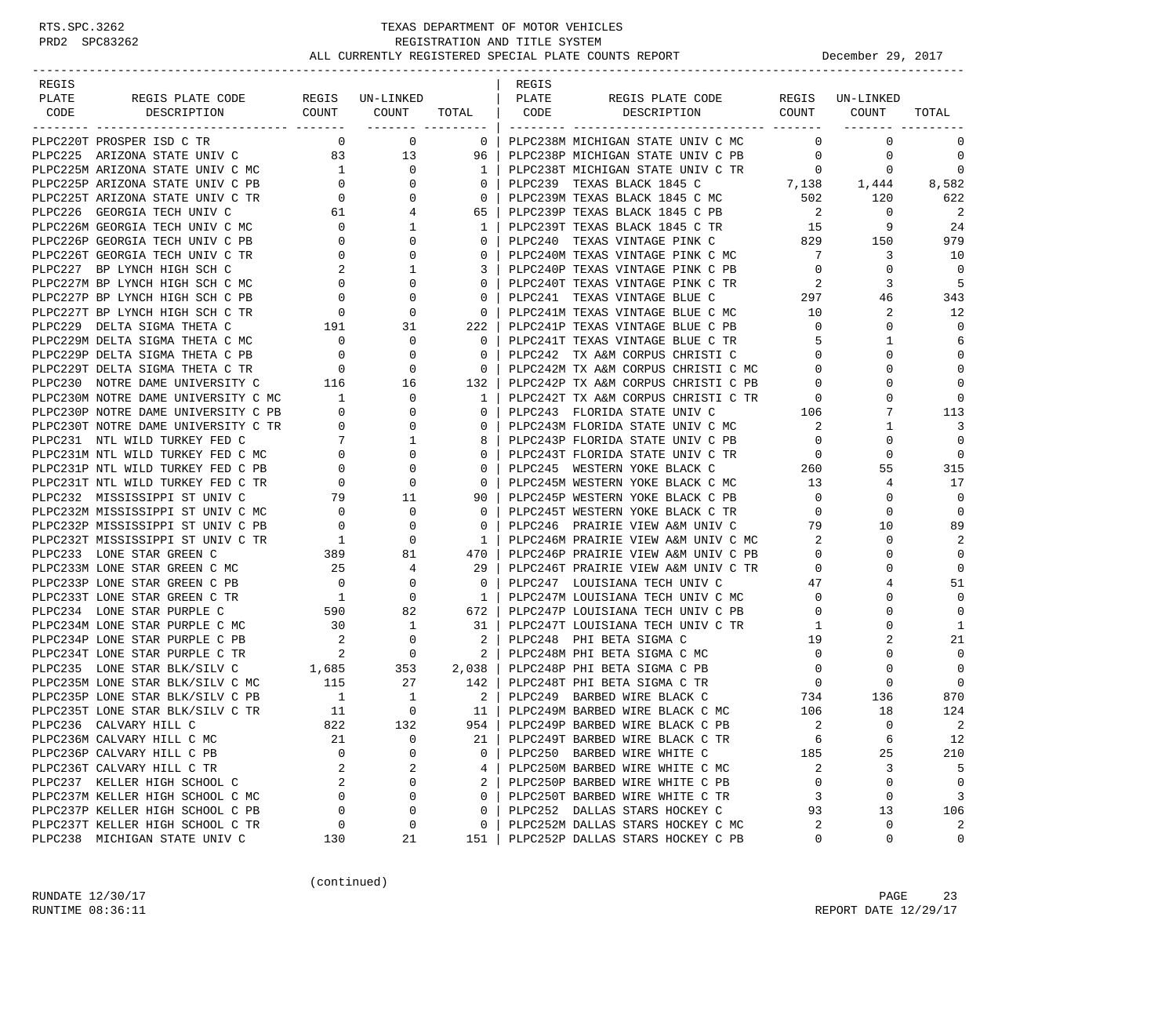### RTS.SPC.3262 TEXAS DEPARTMENT OF MOTOR VEHICLES<br>PRD2 SPC83262 REGISTRATION AND TITLE SYSTEM<br>ALL CURRENTLY PROTOTION AND TITLE SYSTEM REGISTRATION AND TITLE SYSTEM ALL CURRENTLY REGISTERED SPECIAL PLATE COUNTS REPORT **DECEMBER 29, 2017**

| REGIS |                                                                                                                                                                                       |                                        |                                                                                                                                                                    |                                                     | REGIS |                                                                                                                                                                       |                                                                            |                   |                            |
|-------|---------------------------------------------------------------------------------------------------------------------------------------------------------------------------------------|----------------------------------------|--------------------------------------------------------------------------------------------------------------------------------------------------------------------|-----------------------------------------------------|-------|-----------------------------------------------------------------------------------------------------------------------------------------------------------------------|----------------------------------------------------------------------------|-------------------|----------------------------|
| PLATE | REGIS PLATE CODE REGIS UN-LINKED                                                                                                                                                      |                                        |                                                                                                                                                                    |                                                     | PLATE | REGIS PLATE CODE                                                                                                                                                      |                                                                            | REGIS UN-LINKED   |                            |
| CODE  | DESCRIPTION                                                                                                                                                                           |                                        | COUNT COUNT                                                                                                                                                        |                                                     |       | TOTAL   CODE DESCRIPTION COUNT COUNT                                                                                                                                  |                                                                            |                   | TOTAL                      |
|       |                                                                                                                                                                                       |                                        |                                                                                                                                                                    |                                                     |       |                                                                                                                                                                       |                                                                            |                   |                            |
|       | PLPC220T PROSPER ISD C TR                                                                                                                                                             |                                        | $\begin{matrix} 0 & 0 \\ 0 & 0 \end{matrix}$                                                                                                                       | $\overline{\phantom{0}}$ 0 $\overline{\phantom{0}}$ |       | PLPC238M MICHIGAN STATE UNIV C MC                                                                                                                                     | $\overline{0}$                                                             | $\mathbf{0}$      | 0                          |
|       | PLPC225 ARIZONA STATE UNIV C 83 13                                                                                                                                                    |                                        |                                                                                                                                                                    | 96                                                  |       | PLPC238P MICHIGAN STATE UNIV C PB 0                                                                                                                                   |                                                                            | $\mathbf{0}$      | $\mathbf 0$                |
|       |                                                                                                                                                                                       |                                        |                                                                                                                                                                    | 1 <sup>1</sup>                                      |       | PLPC238T MICHIGAN STATE UNIV C TR $0$ 0<br>PLPC239 TEXAS BLACK 1845 C $0$ 7,138 1,444<br>PLPC239M TEXAS BLACK 1845 C MC 502 120<br>PLPC239P TEXAS BLACK 1845 C PB 2 0 |                                                                            |                   | $\mathbf 0$                |
|       |                                                                                                                                                                                       |                                        |                                                                                                                                                                    | $\mathbf{0}$                                        |       |                                                                                                                                                                       |                                                                            |                   | 8,582                      |
|       | PLPC225T ARIZONA STATE UNIV C TR                                                                                                                                                      |                                        |                                                                                                                                                                    | $\overline{0}$                                      |       |                                                                                                                                                                       |                                                                            |                   | 622                        |
|       | PLPC226 GEORGIA TECH UNIV C                                                                                                                                                           |                                        |                                                                                                                                                                    | 65                                                  |       |                                                                                                                                                                       |                                                                            |                   | $\overline{\phantom{0}}^2$ |
|       | PLPC226M GEORGIA TECH UNIV C MC                                                                                                                                                       |                                        |                                                                                                                                                                    | 1                                                   |       |                                                                                                                                                                       |                                                                            |                   | -24                        |
|       | PLPC226P GEORGIA TECH UNIV C PB                                                                                                                                                       |                                        |                                                                                                                                                                    | $\mathbf{0}$                                        |       |                                                                                                                                                                       |                                                                            |                   | 979                        |
|       | PLPC226T GEORGIA TECH UNIV C TR                                                                                                                                                       |                                        |                                                                                                                                                                    | $\Omega$                                            |       | PLPC240M TEXAS VINTAGE PINK C MC 7                                                                                                                                    |                                                                            | 3                 | 10                         |
|       | PLPC227 BP LYNCH HIGH SCH C                                                                                                                                                           |                                        |                                                                                                                                                                    | 3                                                   |       | PLPC240M TEXAS VINIOUS ---<br>PLPC240P TEXAS VINTAGE PINK C PB                                                                                                        | $\overline{0}$                                                             | $\mathbf{0}$      | $\Omega$                   |
|       | PLPC227M BP LYNCH HIGH SCH C MC                                                                                                                                                       |                                        |                                                                                                                                                                    | $\Omega$                                            |       |                                                                                                                                                                       | $\overline{2}$                                                             | 3                 | - 5                        |
|       |                                                                                                                                                                                       |                                        | $\overline{0}$                                                                                                                                                     | $\mathbf{0}$                                        |       | PLPC241 TEXAS VINTAGE BLUE C                                                                                                                                          | 297                                                                        | 46                | 343                        |
|       |                                                                                                                                                                                       |                                        | $\overline{0}$                                                                                                                                                     | $\overline{\phantom{0}}$ 0 $\overline{\phantom{0}}$ |       |                                                                                                                                                                       |                                                                            | 2                 | 12                         |
|       |                                                                                                                                                                                       |                                        |                                                                                                                                                                    |                                                     |       |                                                                                                                                                                       |                                                                            | 0                 | $\Omega$                   |
|       | PLPC227P BP LYNCH HIGH SCH C PB 0<br>PLPC227T BP LYNCH HIGH SCH C TR 0<br>PLPC229 DELTA SIGMA THETA C 191 3<br>PLPC229M DELTA SIGMA THETA C MC 0<br>PLPC229P DELTA SIGMA THETA C PB 0 |                                        | 31                                                                                                                                                                 | 222                                                 |       |                                                                                                                                                                       |                                                                            |                   |                            |
|       |                                                                                                                                                                                       |                                        | $\overline{0}$                                                                                                                                                     | $\overline{0}$                                      |       | PLPC241T TEXAS VINTAGE BLUE C TR                                                                                                                                      | $5^{\circ}$                                                                | 1                 | 6                          |
|       |                                                                                                                                                                                       |                                        | $\overline{0}$                                                                                                                                                     | $\overline{\phantom{0}}$ 0 $\overline{\phantom{0}}$ |       | PLPC242 TX A&M CORPUS CHRISTI C                                                                                                                                       | $\overline{0}$                                                             | $\Omega$          | $\mathbf 0$                |
|       | PLPC229T DELTA SIGMA THETA C TR                                                                                                                                                       |                                        | $\begin{array}{ccc} & 0 & & 0 \\ 116 & & 16 \end{array}$                                                                                                           | $\overline{0}$                                      |       | PLPC242M TX A&M CORPUS CHRISTI C MC                                                                                                                                   | $\overline{0}$                                                             | $\Omega$          | $\mathbf 0$                |
|       | PLPC230 NOTRE DAME UNIVERSITY C                                                                                                                                                       |                                        |                                                                                                                                                                    | 132                                                 |       | PLPC242P TX A&M CORPUS CHRISTI C PB 0<br>PLPC242T TX A&M CORPUS CHRISTI C TR 0                                                                                        |                                                                            | $\Omega$          | $\Omega$                   |
|       | PLPC230M NOTRE DAME UNIVERSITY C MC 1                                                                                                                                                 |                                        |                                                                                                                                                                    | $\overline{1}$                                      |       |                                                                                                                                                                       |                                                                            | $\Omega$          | $\Omega$                   |
|       | PLPC230P NOTRE DAME UNIVERSITY C PB 0                                                                                                                                                 |                                        |                                                                                                                                                                    | $\mathbf{0}$                                        |       |                                                                                                                                                                       |                                                                            | 7                 | 113                        |
|       | PLPC230T NOTRE DAME UNIVERSITY C TR                                                                                                                                                   |                                        |                                                                                                                                                                    | 0 <sup>1</sup>                                      |       | PLPC243 FLORIDA STATE UNIV C 106<br>PLPC243M FLORIDA STATE UNIV C MC 2                                                                                                | $\overline{\phantom{a}}$ 2                                                 | 1                 | 3                          |
|       | PLPC231 NTL WILD TURKEY FED C                                                                                                                                                         |                                        |                                                                                                                                                                    | 8                                                   |       | PLPC243P FLORIDA STATE UNIV C PB                                                                                                                                      | $\overline{0}$                                                             | 0                 | $\Omega$                   |
|       | PLPC231M NTL WILD TURKEY FED C MC                                                                                                                                                     |                                        |                                                                                                                                                                    | $0-1$                                               |       | PLPC243T FLORIDA STATE UNIV C TR                                                                                                                                      | $\begin{array}{ccc} \text{TR} & \hspace{1.5cm} & 0 \\ & & 260 \end{array}$ | 0                 | $\Omega$                   |
|       | PLPC231P NTL WILD TURKEY FED C PB                                                                                                                                                     |                                        |                                                                                                                                                                    | $\mathbf{0}$                                        |       | PLPC245 WESTERN YOKE BLACK C                                                                                                                                          |                                                                            | 55                | 315                        |
|       | PLPC231T NTL WILD TURKEY FED C TR                                                                                                                                                     |                                        |                                                                                                                                                                    | $\mathbf{0}$                                        |       | PLPC245M WESTERN YOKE BLACK C MC 13<br>PLPC245P WESTERN YOKE BLACK C PB 0                                                                                             |                                                                            | 4                 | 17                         |
|       | PLPC232 MISSISSIPPI ST UNIV C                                                                                                                                                         |                                        |                                                                                                                                                                    | 90                                                  |       | PLPC245P WESTERN YOKE BLACK C PB                                                                                                                                      | $\overline{0}$                                                             | $\Omega$          | $\mathbf 0$                |
|       | PLPC232M MISSISSIPPI ST UNIV C MC                                                                                                                                                     | $\begin{array}{c} 0 \\ 0 \end{array}$  | $\overline{0}$                                                                                                                                                     | $\overline{0}$                                      |       | PLPC245T WESTERN YOKE BLACK C TR                                                                                                                                      | $\overline{0}$                                                             | 0                 | $\mathbf 0$                |
|       | PLPC232P MISSISSIPPI ST UNIV C PB                                                                                                                                                     |                                        | $\mathbf 0$                                                                                                                                                        | 0 <sup>1</sup>                                      |       | PLPC246 PRAIRIE VIEW A&M UNIV C                                                                                                                                       | 79                                                                         | 10                | 89                         |
|       | PLPC232T MISSISSIPPI ST UNIV C TR                                                                                                                                                     | $\overline{1}$                         | 0                                                                                                                                                                  | $1 \quad$                                           |       | PLPC246M PRAIRIE VIEW A&M UNIV C MC 2                                                                                                                                 |                                                                            | 0                 | $\overline{2}$             |
|       | PLPC233 LONE STAR GREEN C                                                                                                                                                             |                                        | $\begin{array}{ccc} 389 & & 81 \\ 25 & & 4 \end{array}$                                                                                                            | 470                                                 |       | PLPC246P PRAIRIE VIEW A&M UNIV C PB                                                                                                                                   | $\overline{0}$                                                             | 0                 | $\mathbf 0$                |
|       | PLPC233M LONE STAR GREEN C MC                                                                                                                                                         |                                        | $4\overline{ }$                                                                                                                                                    | 29                                                  |       |                                                                                                                                                                       | $\overline{0}$                                                             | $\Omega$          | $\mathbf 0$                |
|       | PLPC233P LONE STAR GREEN C PB                                                                                                                                                         |                                        |                                                                                                                                                                    | $\overline{\mathbf{0}}$                             |       | PLPC246T PRAIRIE VIEW A&M UNIV C TR<br>PLPC247 LOUISIANA TECH UNIV C                                                                                                  | 47                                                                         | 4                 | 51                         |
|       | PLPC233T LONE STAR GREEN C TR                                                                                                                                                         |                                        | $\begin{array}{ccccccccc}\n\mathbf{B} & & & & 0 & & & 0 \\ \mathbf{R} & & & & 1 & & 0 \\ \mathbf{B} & & & & 1 & & 0 \\ \mathbf{B} & & & & 590 & & 82\n\end{array}$ | $1 \quad$                                           |       | PLPC247M LOUISIANA TECH UNIV C MC                                                                                                                                     | $\overline{0}$                                                             | $\Omega$          | $\Omega$                   |
|       | PLPC234 LONE STAR PURPLE C                                                                                                                                                            |                                        |                                                                                                                                                                    | 672                                                 |       | PLPC247P LOUISIANA TECH UNIV C PB                                                                                                                                     | $\overline{0}$                                                             | $\Omega$          | $\Omega$                   |
|       |                                                                                                                                                                                       | 30                                     |                                                                                                                                                                    |                                                     |       |                                                                                                                                                                       | $\overline{1}$                                                             | 0                 | 1                          |
|       | PLPC234M LONE STAR PURPLE C MC 30 1 31  <br>PLPC234P LONE STAR PURPLE C PB 2 0 2  <br>PLPC234T LONE STAR PURPLE C TR 2 0 2  <br>PLPC235 LONE STAR BLK/SILV C 1,685 353 2,038          |                                        |                                                                                                                                                                    |                                                     |       | PLPC247T LOUISIANA TECH UNIV C TR<br>PLPC248 PHI BETA SIGMA C<br>PLPC248 PHI BETA SIGMA C                                                                             | 19                                                                         | 2                 | 21                         |
|       |                                                                                                                                                                                       |                                        |                                                                                                                                                                    |                                                     |       | PLPC248M PHI BETA SIGMA C MC                                                                                                                                          | $\overline{0}$                                                             | 0                 | $\Omega$                   |
|       |                                                                                                                                                                                       |                                        |                                                                                                                                                                    |                                                     |       | PLPC248P PHI BETA SIGMA C PB                                                                                                                                          | $\overline{0}$                                                             | 0                 | $\Omega$                   |
|       | PLPC235M LONE STAR BLK/SILV C MC 115                                                                                                                                                  |                                        | 27 142                                                                                                                                                             |                                                     |       | PLPC248T PHI BETA SIGMA C TR 0                                                                                                                                        |                                                                            | $\circ$           | $\Omega$                   |
|       | PLPC235P LONE STAR BLK/SILV C PB                                                                                                                                                      |                                        |                                                                                                                                                                    |                                                     |       | PLPC249 BARBED WIRE BLACK C                                                                                                                                           |                                                                            |                   | 870                        |
|       | PLPC235T LONE STAR BLK/SILV C TR                                                                                                                                                      | $\begin{array}{c} 1 \\ 11 \end{array}$ |                                                                                                                                                                    | $\begin{array}{ccc} 1 & 2 \ 0 & 11 \end{array}$     |       | PLPC249 BARBED WIRE BLACK C<br>PLPC249M BARBED WIRE BLACK C MC                                                                                                        |                                                                            | 734 136<br>106 18 | 124                        |
|       | PLPC236 CALVARY HILL C                                                                                                                                                                | 822                                    | 132                                                                                                                                                                | 954 l                                               |       | PLPC249P BARBED WIRE BLACK C PB                                                                                                                                       | 2                                                                          | $\Omega$          | 2                          |
|       | PLPC236M CALVARY HILL C MC                                                                                                                                                            | 21                                     | 0                                                                                                                                                                  | 21                                                  |       | PLPC249T BARBED WIRE BLACK C TR                                                                                                                                       | 6                                                                          | 6                 | 12                         |
|       |                                                                                                                                                                                       | $\Omega$                               | 0                                                                                                                                                                  |                                                     |       |                                                                                                                                                                       |                                                                            |                   |                            |
|       | PLPC236P CALVARY HILL C PB<br>PLPC236T CALVARY HILL C TR                                                                                                                              | 2                                      |                                                                                                                                                                    | 0                                                   |       | PLPC250 BARBED WIRE WHITE C                                                                                                                                           | 185                                                                        | 25<br>3           | 210<br>5                   |
|       |                                                                                                                                                                                       |                                        | 2                                                                                                                                                                  | 4                                                   |       | PLPC250M BARBED WIRE WHITE C MC                                                                                                                                       | 2                                                                          | $\mathbf 0$       |                            |
|       | PLPC237 KELLER HIGH SCHOOL C                                                                                                                                                          | 2                                      | 0                                                                                                                                                                  | 2                                                   |       | PLPC250P BARBED WIRE WHITE C PB                                                                                                                                       | $\mathbf 0$                                                                |                   | $\mathbf 0$                |
|       | PLPC237M KELLER HIGH SCHOOL C MC                                                                                                                                                      | 0                                      | 0                                                                                                                                                                  | $\Omega$                                            |       | PLPC250T BARBED WIRE WHITE C TR                                                                                                                                       | 3                                                                          | 0                 | 3                          |
|       | PLPC237P KELLER HIGH SCHOOL C PB                                                                                                                                                      | 0                                      | 0                                                                                                                                                                  | 0                                                   |       | PLPC252 DALLAS STARS HOCKEY C                                                                                                                                         | 93                                                                         | 13                | 106                        |
|       | PLPC237T KELLER HIGH SCHOOL C TR                                                                                                                                                      | 0                                      | 0                                                                                                                                                                  | 0                                                   |       | PLPC252M DALLAS STARS HOCKEY C MC                                                                                                                                     | 2                                                                          | 0                 | 2                          |
|       | PLPC238 MICHIGAN STATE UNIV C                                                                                                                                                         | 130                                    | 21                                                                                                                                                                 | 151                                                 |       | PLPC252P DALLAS STARS HOCKEY C PB                                                                                                                                     | 0                                                                          | 0                 | 0                          |

(continued)

RUNDATE  $12/30/17$  PAGE 23 RUNTIME 08:36:11 REPORT DATE 12/29/17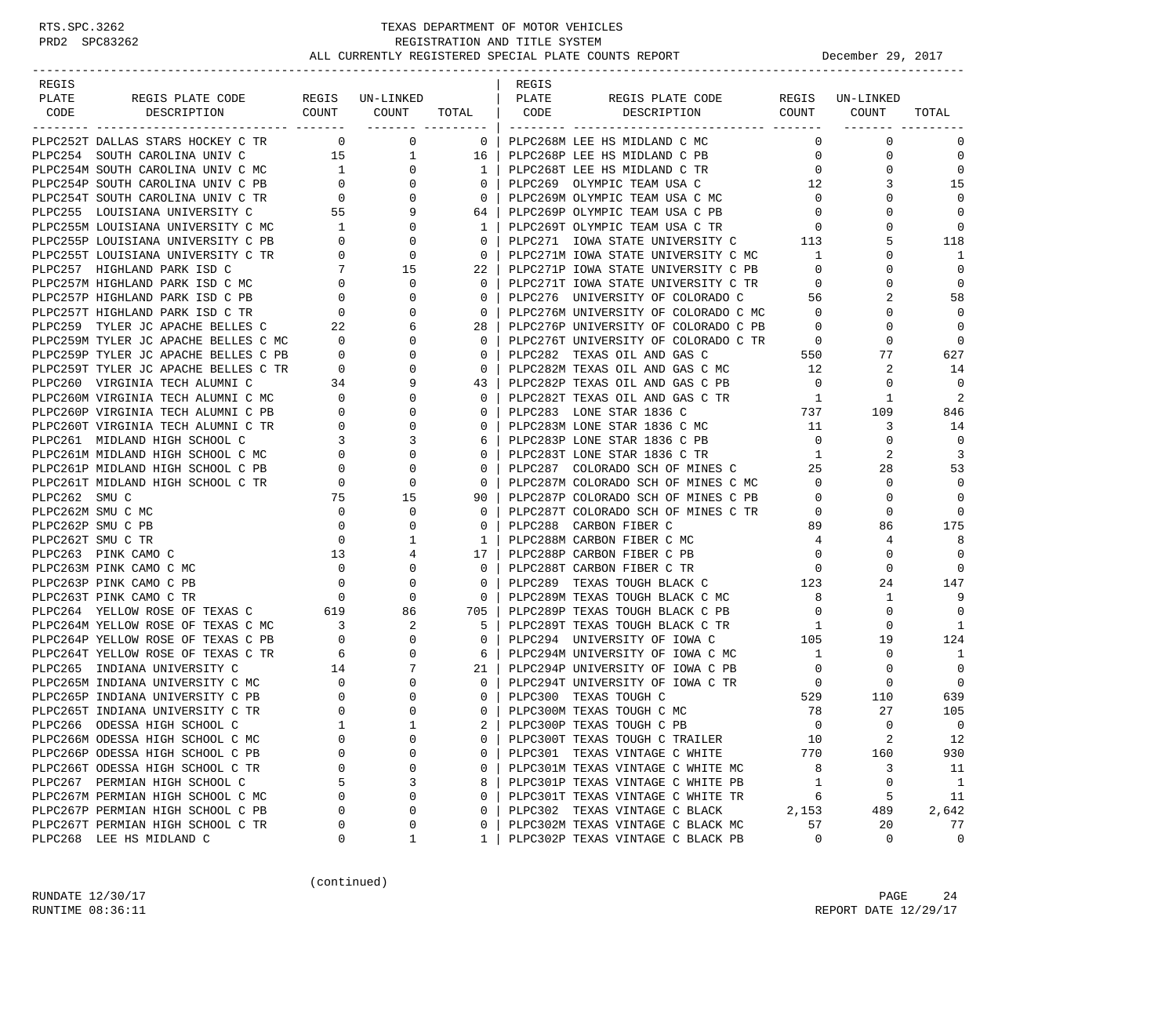| REGIS        |                                                                                  |                                                                                 |                                                                                                                                                   |                                     | REGIS |                                       |                                                                                  |                 |              |
|--------------|----------------------------------------------------------------------------------|---------------------------------------------------------------------------------|---------------------------------------------------------------------------------------------------------------------------------------------------|-------------------------------------|-------|---------------------------------------|----------------------------------------------------------------------------------|-----------------|--------------|
| PLATE        | REGIS PLATE CODE                                                                 |                                                                                 | REGIS UN-LINKED<br>$\begin{array}{ccc} \text{COUNT} & \text{COUNT} & \text{TOTAL} & \end{array}$ $\begin{array}{ccc} & \text{CODE} & \end{array}$ |                                     | PLATE | REGIS PLATE CODE<br>DESCRIPTION COUNT |                                                                                  | REGIS UN-LINKED |              |
| CODE         | DESCRIPTION                                                                      |                                                                                 |                                                                                                                                                   |                                     |       |                                       |                                                                                  | COUNT           | TOTAL        |
|              | PLPC252T DALLAS STARS HOCKEY C TR                                                |                                                                                 | $\overline{0}$<br>$\overline{0}$                                                                                                                  | $\begin{array}{cc} 0 & \end{array}$ |       | PLPC268M LEE HS MIDLAND C MC          | $\Omega$                                                                         | $\mathbf 0$     | 0            |
|              | PLPC254 SOUTH CAROLINA UNIV C                                                    | 15                                                                              | $\mathbf{1}$                                                                                                                                      | 16                                  |       | PLPC268P LEE HS MIDLAND C PB          | $\mathbf{0}$                                                                     | $\mathbf 0$     | $\mathbf 0$  |
|              | PLPC254M SOUTH CAROLINA UNIV C MC                                                |                                                                                 | $\mathbf{0}$                                                                                                                                      | 1 <sup>1</sup>                      |       | PLPC268T LEE HS MIDLAND C TR          | $\mathbf{0}$                                                                     | 0               | $\mathbf 0$  |
|              | PLPC254P SOUTH CAROLINA UNIV C PB                                                | $\begin{array}{c} 1 \\ 0 \end{array}$                                           | $\mathbf{0}$                                                                                                                                      | $\overline{0}$                      |       | PLPC269 OLYMPIC TEAM USA C            | 12                                                                               |                 | 15           |
|              | PLPC254T SOUTH CAROLINA UNIV C TR                                                |                                                                                 | $\mathbf{0}$                                                                                                                                      | $\overline{0}$                      |       | PLPC269M OLYMPIC TEAM USA C MC        | $\mathbf 0$                                                                      | $\Omega$        | $\Omega$     |
|              | PLPC255 LOUISIANA UNIVERSITY C                                                   | $\begin{array}{ccc} 2 & 0 \\ 55 & \end{array}$                                  | 9                                                                                                                                                 | 64                                  |       | PLPC269P OLYMPIC TEAM USA C PB        | $\overline{0}$                                                                   | $\Omega$        | $\mathbf 0$  |
|              | PLPC255M LOUISIANA UNIVERSITY C MC 1                                             |                                                                                 | $\mathbf{0}$                                                                                                                                      | $\mathbf{1}$                        |       | PLPC269T OLYMPIC TEAM USA C TR        | $\overline{0}$                                                                   | $\Omega$        | $\mathbf 0$  |
|              | PLPC255P LOUISIANA UNIVERSITY C PB                                               | $\overline{0}$                                                                  | 0                                                                                                                                                 | $\overline{0}$                      |       | PLPC271 IOWA STATE UNIVERSITY C       | 113                                                                              | 5               | 118          |
|              | PLPC255T LOUISIANA UNIVERSITY C TR                                               | $\overline{0}$                                                                  | 0                                                                                                                                                 | $\overline{0}$                      |       | PLPC271M IOWA STATE UNIVERSITY C MC   | $\overline{1}$                                                                   | $\Omega$        | 1            |
|              | PLPC257 HIGHLAND PARK ISD C                                                      |                                                                                 |                                                                                                                                                   | 22                                  |       | PLPC271P IOWA STATE UNIVERSITY C PB   | $\mathbf{0}$                                                                     | 0               | $\mathbf 0$  |
|              | PLPC257M HIGHLAND PARK ISD C MC                                                  | $\overline{0}$                                                                  | $\begin{array}{ccc} 7 & \hspace{1.5cm} 15 \\ 0 & \hspace{1.5cm} 0 \end{array}$                                                                    | $\Omega$                            |       | PLPC271T IOWA STATE UNIVERSITY C TR   | $\mathbf 0$                                                                      | $\Omega$        | $\mathbf 0$  |
|              | PLPC257P HIGHLAND PARK ISD C PB                                                  | $\begin{array}{ccc} & & & & 0 & \ & & & & 0 & \ 0 & & & & & 22 & \ \end{array}$ | 0                                                                                                                                                 | $\circ$                             |       | PLPC276 UNIVERSITY OF COLORADO C      | 56                                                                               |                 | 58           |
|              | PLPC257T HIGHLAND PARK ISD C TR                                                  |                                                                                 | 0                                                                                                                                                 | $\mathbf{0}$                        |       | PLPC276M UNIVERSITY OF COLORADO C MC  | $\overline{0}$                                                                   | $\Omega$        | $\Omega$     |
|              | PLPC259 TYLER JC APACHE BELLES C                                                 |                                                                                 | 6                                                                                                                                                 | 28                                  |       | PLPC276P UNIVERSITY OF COLORADO C PB  | $\overline{0}$                                                                   | $\Omega$        | $\Omega$     |
|              |                                                                                  |                                                                                 | 0                                                                                                                                                 | $\circ$                             |       | PLPC276T UNIVERSITY OF COLORADO C TR  |                                                                                  | 0               | $\mathbf 0$  |
|              | PLPC259M TYLER JC APACHE BELLES C MC 0<br>PLPC259P TYLER JC APACHE BELLES C PB 0 |                                                                                 | $\Omega$                                                                                                                                          | $\overline{0}$                      |       | PLPC282 TEXAS OIL AND GAS C           | $\begin{array}{ccc}\n\text{C} & \text{TR} & \text{O} \\ \text{550}\n\end{array}$ | 77              | 627          |
|              | PLPC259T TYLER JC APACHE BELLES C TR                                             | $\overline{0}$                                                                  | 0                                                                                                                                                 | $\overline{0}$                      |       | PLPC282M TEXAS OIL AND GAS C MC 12    |                                                                                  | 2               | 14           |
|              |                                                                                  |                                                                                 | 9                                                                                                                                                 | 43                                  |       | PLPC282P TEXAS OIL AND GAS C PB       | $\overline{0}$                                                                   | 0               | $\Omega$     |
|              | PLPC260 VIRGINIA TECH ALUMNI C 34<br>PLPC260M VIRGINIA TECH ALUMNI C MC 0        |                                                                                 | $\Omega$                                                                                                                                          | $\Omega$                            |       | PLPC282T TEXAS OIL AND GAS C TR       | $\overline{1}$                                                                   | -1              | 2            |
|              | PLPC260P VIRGINIA TECH ALUMNI C PB                                               |                                                                                 | $\mathbf{0}$                                                                                                                                      | $\mathbf{0}$                        |       | PLPC283 LONE STAR 1836 C              | 737                                                                              | 109             | 846          |
|              | PLPC260T VIRGINIA TECH ALUMNI C TR                                               |                                                                                 | $\Omega$                                                                                                                                          | $\circ$                             |       | PLPC283M LONE STAR 1836 C MC          | 11                                                                               | 3               | 14           |
|              | PLPC261 MIDLAND HIGH SCHOOL C                                                    |                                                                                 | 3                                                                                                                                                 | 6                                   |       | PLPC283P LONE STAR 1836 C PB          | $\overline{0}$                                                                   | $\mathbf 0$     | 0            |
|              | PLPC261M MIDLAND HIGH SCHOOL C MC                                                |                                                                                 | 0                                                                                                                                                 | $\mathbf 0$                         |       | PLPC283T LONE STAR 1836 C TR          | $\mathbf{1}$                                                                     | 2               | 3            |
|              | PLPC261P MIDLAND HIGH SCHOOL C PB                                                |                                                                                 | 0                                                                                                                                                 | $\overline{0}$                      |       | PLPC287 COLORADO SCH OF MINES C       | 25                                                                               | 28              | 53           |
|              | PLPC261T MIDLAND HIGH SCHOOL C TR                                                | $\overline{a}$                                                                  | 0                                                                                                                                                 | $\overline{0}$                      |       | PLECZ87M COLORADO SCH OF MINES C MC   | $\overline{0}$                                                                   | 0               | $\Omega$     |
| PLPC262 SMUC |                                                                                  | 75                                                                              | 15                                                                                                                                                | 90                                  |       | PLPC287P COLORADO SCH OF MINES C PB   | $\overline{0}$                                                                   | $\Omega$        | $\mathbf 0$  |
|              | PLPC262M SMU C MC                                                                | $\overline{0}$                                                                  | 0                                                                                                                                                 | $\circ$                             |       | PLPC287T COLORADO SCH OF MINES C TR   | $\overline{0}$                                                                   | 0               | $\mathbf 0$  |
|              | PLPC262P SMU C PB                                                                | $\overline{\phantom{0}}$                                                        | 0                                                                                                                                                 | $\circ$                             |       | PLPC288 CARBON FIBER C                | 89                                                                               | 86              | 175          |
|              | PLPC262T SMU C TR                                                                | $\overline{0}$                                                                  | 1                                                                                                                                                 | $\mathbf{1}$                        |       | PLPC288M CARBON FIBER C MC            | $\overline{4}$                                                                   | 4               | 8            |
|              | PLPC263 PINK CAMO C                                                              | 13                                                                              | 4                                                                                                                                                 | 17                                  |       | PLPC288P CARBON FIBER C PB            | $\mathbf 0$                                                                      | 0               | $\mathbf 0$  |
|              | PLPC263M PINK CAMO C MC                                                          | $\overline{0}$                                                                  | 0                                                                                                                                                 | $\circ$                             |       | PLPC288T CARBON FIBER C TR            | $\overline{\phantom{0}}$                                                         | $\Omega$        | 0            |
|              | PLPC263P PINK CAMO C PB                                                          |                                                                                 | 0                                                                                                                                                 | $\circ$                             |       | PLPC289 TEXAS TOUGH BLACK C 123       |                                                                                  | 24              | 147          |
|              | PLPC263T PINK CAMO C TR                                                          | $\begin{matrix}0\\0\end{matrix}$                                                | 0                                                                                                                                                 | $\overline{0}$                      |       | PLPC289M TEXAS TOUGH BLACK C MC       | $\overline{\phantom{0}}$ 8                                                       | $\mathbf{1}$    | 9            |
|              | PLPC264 YELLOW ROSE OF TEXAS C 619                                               |                                                                                 | 86                                                                                                                                                | 705 I                               |       | PLPC289P TEXAS TOUGH BLACK C PB       | $\overline{\phantom{0}}$                                                         | 0               | $\Omega$     |
|              | PLPC264M YELLOW ROSE OF TEXAS C MC                                               |                                                                                 | 2                                                                                                                                                 | 5                                   |       | PLPC289T TEXAS TOUGH BLACK C TR       | $\overline{1}$                                                                   | 0               | 1            |
|              | PLPC264P YELLOW ROSE OF TEXAS C PB                                               | $\begin{array}{c} 3 \\ 0 \end{array}$                                           | 0                                                                                                                                                 | $\circ$                             |       | PLPC294 UNIVERSITY OF IOWA C          | $\begin{array}{c}\n1 \\ 105\n\end{array}$                                        | 19              | 124          |
|              | PLPC264T YELLOW ROSE OF TEXAS C TR                                               | $\overline{6}$                                                                  | $\mathbf{0}$                                                                                                                                      | 6                                   |       | PLPC294M UNIVERSITY OF IOWA C MC      | 1                                                                                | $\mathbf 0$     | 1            |
|              |                                                                                  |                                                                                 | 7                                                                                                                                                 | $21 \quad$                          |       | PLPC294P UNIVERSITY OF IOWA C PB      | $\overline{0}$                                                                   | 0               | $\Omega$     |
|              | PLPC265 INDIANA UNIVERSITY C 14<br>PLPC265M INDIANA UNIVERSITY C MC 0            |                                                                                 | $\Omega$                                                                                                                                          | $\mathbf{0}$                        |       | PLPC294T UNIVERSITY OF IOWA C TR      | $\overline{\phantom{0}}$                                                         | 0               | $\Omega$     |
|              | PLPC265P INDIANA UNIVERSITY C PB                                                 |                                                                                 | 0                                                                                                                                                 | $\overline{0}$                      |       | PLPC300 TEXAS TOUGH C                 | 529                                                                              | 110             | 639          |
|              | PLPC265T INDIANA UNIVERSITY C TR                                                 | $\begin{array}{c} 0 \\ 0 \end{array}$                                           | $\Omega$                                                                                                                                          | $\Omega$                            |       | PLPC300M TEXAS TOUGH C MC             | 78                                                                               | 27              | 105          |
|              | PLPC266 ODESSA HIGH SCHOOL C                                                     | 1                                                                               | $\mathbf{1}$                                                                                                                                      | $\overline{2}$                      |       | PLPC300P TEXAS TOUGH C PB             | $\Omega$                                                                         | $\Omega$        | $\Omega$     |
|              | PLPC266M ODESSA HIGH SCHOOL C MC                                                 |                                                                                 | 0                                                                                                                                                 | 0                                   |       | PLPC300T TEXAS TOUGH C TRAILER        | 10                                                                               | 2               | 12           |
|              | PLPC266P ODESSA HIGH SCHOOL C PB                                                 | O                                                                               | $\Omega$                                                                                                                                          | 0                                   |       | PLPC301 TEXAS VINTAGE C WHITE         | 770                                                                              | 160             | 930          |
|              | PLPC266T ODESSA HIGH SCHOOL C TR                                                 | 0                                                                               | 0                                                                                                                                                 | 0                                   |       | PLPC301M TEXAS VINTAGE C WHITE MC     | 8                                                                                | 3               | 11           |
|              | PLPC267 PERMIAN HIGH SCHOOL C                                                    | 5                                                                               | 3                                                                                                                                                 | 8                                   |       | PLPC301P TEXAS VINTAGE C WHITE PB     | 1                                                                                | 0               | $\mathbf{1}$ |
|              | PLPC267M PERMIAN HIGH SCHOOL C MC                                                | O                                                                               | $\Omega$                                                                                                                                          | 0                                   |       | PLPC301T TEXAS VINTAGE C WHITE TR     | 6                                                                                | 5               | 11           |
|              | PLPC267P PERMIAN HIGH SCHOOL C PB                                                | 0                                                                               | 0                                                                                                                                                 | 0                                   |       | PLPC302 TEXAS VINTAGE C BLACK         | 2,153                                                                            | 489             | 2,642        |
|              | PLPC267T PERMIAN HIGH SCHOOL C TR                                                | 0                                                                               | 0                                                                                                                                                 | 0                                   |       | PLPC302M TEXAS VINTAGE C BLACK MC     | 57                                                                               | 20              | 77           |
|              | PLPC268 LEE HS MIDLAND C                                                         | 0                                                                               | 1                                                                                                                                                 | 1                                   |       | PLPC302P TEXAS VINTAGE C BLACK PB     | 0                                                                                | $\mathbf 0$     | $\mathbf{0}$ |

(continued)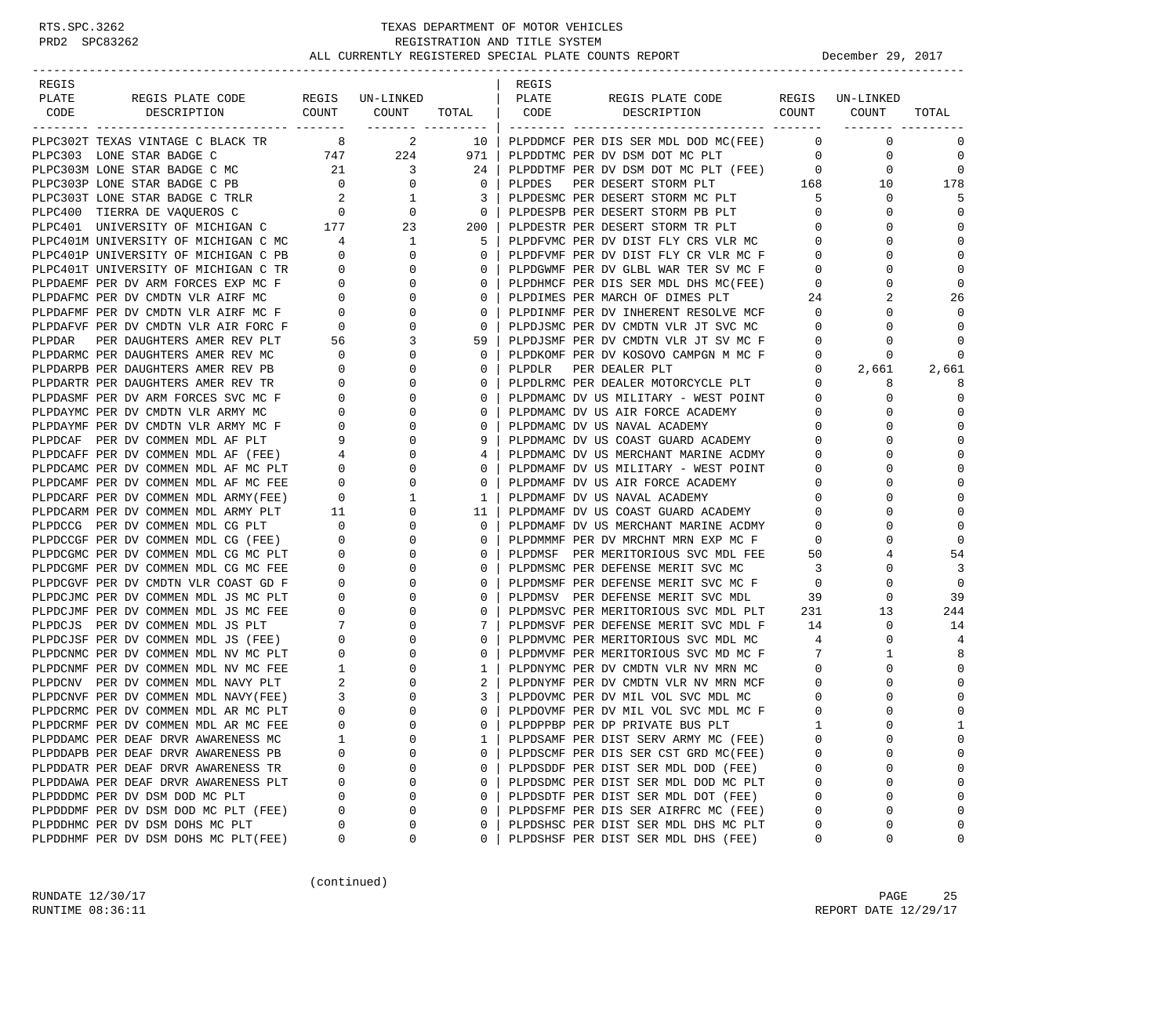| REGIS                                                                                                                                                                        |                                       |                                                                                             |              | REGIS  |                                           |                         |                     |              |
|------------------------------------------------------------------------------------------------------------------------------------------------------------------------------|---------------------------------------|---------------------------------------------------------------------------------------------|--------------|--------|-------------------------------------------|-------------------------|---------------------|--------------|
| PLATE<br>REGIS PLATE CODE REGIS UN-LINKED                                                                                                                                    |                                       |                                                                                             |              | PLATE  | REGIS PLATE CODE                          |                         | REGIS UN-LINKED     |              |
| DESCRIPTION COUNT COUNT<br>CODE                                                                                                                                              |                                       |                                                                                             | TOTAL   CODE |        | DESCRIPTION COUNT COUNT                   |                         |                     | TOTAL        |
| PLPC302T TEXAS VINTAGE C BLACK TR                                                                                                                                            |                                       | $8 \t 2$                                                                                    |              |        | 10   PLPDDMCF PER DIS SER MDL DOD MC(FEE) | $\overline{0}$          | $\mathbf 0$         | 0            |
| PLPC303 LONE STAR BADGE C                                                                                                                                                    |                                       | 747 224                                                                                     | 971          |        | PLPDDTMC PER DV DSM DOT MC PLT            |                         | $\overline{0}$<br>0 | $\mathbf 0$  |
| PLPC303M LONE STAR BADGE C MC                                                                                                                                                |                                       |                                                                                             | 24           |        | PLPDDTMF PER DV DSM DOT MC PLT (FEE)      | $\overline{0}$          | 0                   | $\mathbf 0$  |
| PLPC303P LONE STAR BADGE C PB                                                                                                                                                |                                       | $\begin{array}{ccc} 21 & \hspace{1.5cm} 3 \\ \hspace{.5cm} 0 & \hspace{.5cm} 0 \end{array}$ | $\circ$      | PLPDES | PER DESERT STORM PLT                      | 168                     | 10                  | 178          |
|                                                                                                                                                                              |                                       |                                                                                             | 3            |        | PLPDESMC PER DESERT STORM MC PLT          | $5^{\circ}$             | 0                   | 5            |
| PLPC303T LONE STAR BADGE C TRLR $2$ 1<br>PLPC400 TIERRA DE VAQUEROS C 0 0 0                                                                                                  |                                       |                                                                                             | $\mathbf{0}$ |        | PLPDESPB PER DESERT STORM PB PLT          | $\overline{0}$          | 0                   | $\mathbf 0$  |
| PLPC401 UNIVERSITY OF MICHIGAN C 177                                                                                                                                         |                                       | 23                                                                                          | 200          |        | PLPDESTR PER DESERT STORM TR PLT          | $\circ$                 | 0                   | $\Omega$     |
|                                                                                                                                                                              |                                       |                                                                                             | 5            |        | PLPDFVMC PER DV DIST FLY CRS VLR MC       | $\overline{0}$          | 0                   | $\Omega$     |
| PLPC401P UNIVERSITY OF MICHIGAN C PB $\begin{array}{ccc} 4 & 1 \\ 0 & 0 \end{array}$<br>PLPC401T UNIVERSITY OF MICHIGAN C PB $\begin{array}{ccc} 0 & 0 \\ 0 & 0 \end{array}$ |                                       |                                                                                             | $\mathbf{0}$ |        | PLPDFVMF PER DV DIST FLY CR VLR MC F      | $\circ$                 | $\Omega$            | $\Omega$     |
|                                                                                                                                                                              |                                       |                                                                                             | $\mathbf{0}$ |        | PLPDGWMF PER DV GLBL WAR TER SV MC F      | $\mathbf{0}$            | 0                   | $\Omega$     |
| PLPDAEMF PER DV ARM FORCES EXP MC F                                                                                                                                          |                                       | $\begin{matrix}0\\0\end{matrix}$<br>$\overline{0}$                                          | $\mathbf{0}$ |        | PLPDHMCF PER DIS SER MDL DHS MC(FEE)      | $\overline{\mathbf{0}}$ | 0                   | $\mathbf 0$  |
| PLPDAFMC PER DV CMDTN VLR AIRF MC                                                                                                                                            |                                       | $\overline{0}$                                                                              | $\mathbf{0}$ |        | PLPDIMES PER MARCH OF DIMES PLT           | 24                      | 2                   | 26           |
| PLPDAFMF PER DV CMDTN VLR AIRF MC F                                                                                                                                          |                                       | $\mathbf 0$                                                                                 | 0            |        | PLPDINMF PER DV INHERENT RESOLVE MCF      | $\overline{0}$          | 0                   | $\Omega$     |
| PLPDAFVF PER DV CMDTN VLR AIR FORC F                                                                                                                                         |                                       | $\begin{array}{c} 0 \\ 0 \\ 0 \end{array}$<br>$\mathbf{0}$                                  | $\mathbf{0}$ |        | PLPDJSMC PER DV CMDTN VLR JT SVC MC       | $\mathbf 0$             | $\Omega$            | $\Omega$     |
| PLPDAR PER DAUGHTERS AMER REV PLT                                                                                                                                            | 56                                    | 3                                                                                           | 59           |        | PLPDJSMF PER DV CMDTN VLR JT SV MC F      | $\mathbf 0$             | 0                   | $\Omega$     |
| PLPDARMC PER DAUGHTERS AMER REV MC                                                                                                                                           | $\mathbf{0}$                          | $\mathbf 0$                                                                                 | $\mathbf{0}$ |        | PLPDKOMF PER DV KOSOVO CAMPGN M MC F      | 0                       | 0                   | $\mathbf 0$  |
| PLPDARPB PER DAUGHTERS AMER REV PB                                                                                                                                           | $\overline{0}$                        | $\mathbf{0}$                                                                                | $\mathbf{0}$ | PLPDLR | PER DEALER PLT                            | $\mathbf{0}$            | 2,661               | 2,661        |
| PLPDARTR PER DAUGHTERS AMER REV TR                                                                                                                                           | $\overline{0}$                        | $\mathbf 0$                                                                                 | 0            |        | PLPDLRMC PER DEALER MOTORCYCLE PLT        | $\mathbf{0}$            | 8                   | 8            |
| PLPDASMF PER DV ARM FORCES SVC MC F                                                                                                                                          | $\mathbf{0}$                          | 0                                                                                           | 0            |        | PLPDMAMC DV US MILITARY - WEST POINT      | $\mathbf 0$             | 0                   | $\mathbf 0$  |
| PLPDAYMC PER DV CMDTN VLR ARMY MC                                                                                                                                            | $\mathbf{0}$                          | 0                                                                                           | $\mathbf{0}$ |        | PLPDMAMC DV US AIR FORCE ACADEMY          | $\mathbf 0$             | 0                   | $\Omega$     |
| PLPDAYMF PER DV CMDTN VLR ARMY MC F                                                                                                                                          | $\overline{\phantom{0}}$              | $\mathbf 0$                                                                                 | $\mathbf{0}$ |        | PLPDMAMC DV US NAVAL ACADEMY              | $\mathbf{0}$            | $\Omega$            | $\mathbf 0$  |
| PLPDCAF PER DV COMMEN MDL AF PLT                                                                                                                                             | 9                                     | $\mathbf{0}$                                                                                | 9            |        | PLPDMAMC DV US COAST GUARD ACADEMY        | $\overline{0}$          | $\Omega$            | $\Omega$     |
| PLPDCAFF PER DV COMMEN MDL AF (FEE)                                                                                                                                          |                                       | $\mathbf 0$                                                                                 | 4            |        | PLPDMAMC DV US MERCHANT MARINE ACDMY      | $\mathbf{0}$            | $\Omega$            | $\Omega$     |
| PLPDCAMC PER DV COMMEN MDL AF MC PLT                                                                                                                                         | $\begin{array}{c} 4 \\ 0 \end{array}$ | $\mathbf 0$                                                                                 | 0            |        | PLPDMAMF DV US MILITARY - WEST POINT      | $\mathbf 0$             | $\Omega$            | $\Omega$     |
| PLPDCAMF PER DV COMMEN MDL AF MC FEE                                                                                                                                         | $\overline{\phantom{0}}$              | 0                                                                                           | $\mathbf{0}$ |        | PLPDMAMF DV US AIR FORCE ACADEMY          | 0                       | 0                   | $\Omega$     |
| PLPDCARF PER DV COMMEN MDL ARMY(FEE)                                                                                                                                         | $\overline{\phantom{0}}$              | 1                                                                                           | $\mathbf{1}$ |        | PLPDMAMF DV US NAVAL ACADEMY              | $\overline{0}$          | $\Omega$            | $\Omega$     |
| PLPDCARM PER DV COMMEN MDL ARMY PLT                                                                                                                                          | 11                                    | $\mathbf{0}$                                                                                | 11           |        | PLPDMAMF DV US COAST GUARD ACADEMY        | $\mathbf{0}$            | $\Omega$            | $\mathbf 0$  |
| PLPDCCG PER DV COMMEN MDL CG PLT                                                                                                                                             | $\overline{0}$                        | $\mathbf 0$                                                                                 | $\mathbf{0}$ |        | PLPDMAMF DV US MERCHANT MARINE ACDMY      | 0                       | $\Omega$            | $\Omega$     |
| PLPDCCGF PER DV COMMEN MDL CG (FEE)                                                                                                                                          | $\mathbf 0$                           | 0                                                                                           | 0            |        | PLPDMMMF PER DV MRCHNT MRN EXP MC F       | 0                       | $\Omega$            | $\Omega$     |
| PLPDCGMC PER DV COMMEN MDL CG MC PLT                                                                                                                                         | $\mathbf{0}$                          | 0                                                                                           | $\mathbf{0}$ |        | PLPDMSF PER MERITORIOUS SVC MDL FEE       | 50                      | 4                   | 54           |
| PLPDCGMF PER DV COMMEN MDL CG MC FEE                                                                                                                                         | $\mathbf{0}$                          | $\mathbf 0$                                                                                 | 0            |        | PLPDMSMC PER DEFENSE MERIT SVC MC         | $\overline{\mathbf{3}}$ | $\Omega$            | 3            |
| PLPDCGVF PER DV CMDTN VLR COAST GD F                                                                                                                                         | 0                                     | $\mathbf{0}$                                                                                | $\mathbf{0}$ |        | PLPDMSMF PER DEFENSE MERIT SVC MC F       | $\overline{0}$          | 0                   | $\Omega$     |
| PLPDCJMC PER DV COMMEN MDL JS MC PLT                                                                                                                                         | 0                                     | $\mathbf 0$                                                                                 | 0            |        | PLPDMSV PER DEFENSE MERIT SVC MDL         | 39                      | 0                   | 39           |
| PLPDCJMF PER DV COMMEN MDL JS MC FEE                                                                                                                                         | $\mathbf{0}$                          | $\mathbf 0$                                                                                 | 0            |        | PLPDMSVC PER MERITORIOUS SVC MDL PLT      | 231                     | 13                  | 244          |
| PLPDCJS PER DV COMMEN MDL JS PLT                                                                                                                                             | $7\degree$                            | $\mathbf 0$                                                                                 | 7            |        | PLPDMSVF PER DEFENSE MERIT SVC MDL F      | 14                      | 0                   | 14           |
| PLPDCJSF PER DV COMMEN MDL JS (FEE)                                                                                                                                          | $\overline{\phantom{0}}$              | $\mathbf 0$                                                                                 | $\mathbf{0}$ |        | PLPDMVMC PER MERITORIOUS SVC MDL MC       | 4                       | $\mathbf 0$         | 4            |
| PLPDCNMC PER DV COMMEN MDL NV MC PLT                                                                                                                                         | $\mathbf 0$                           | $\mathbf{0}$                                                                                | $\mathbf{0}$ |        | PLPDMVMF PER MERITORIOUS SVC MD MC F      | $\overline{7}$          | 1                   | 8            |
| PLPDCNMF PER DV COMMEN MDL NV MC FEE                                                                                                                                         | $\mathbf{1}$                          | $\mathbf 0$                                                                                 | $\mathbf{1}$ |        | PLPDNYMC PER DV CMDTN VLR NV MRN MC       | $\overline{0}$          | 0                   | $\Omega$     |
| PLPDCNV PER DV COMMEN MDL NAVY PLT                                                                                                                                           | 2                                     | 0                                                                                           | 2            |        | PLPDNYMF PER DV CMDTN VLR NV MRN MCF      | $\mathbf 0$             | $\Omega$            | $\Omega$     |
| PLPDCNVF PER DV COMMEN MDL NAVY(FEE)                                                                                                                                         | 3                                     | 0                                                                                           | 3            |        | PLPDOVMC PER DV MIL VOL SVC MDL MC        | 0                       | 0                   | $\Omega$     |
| PLPDCRMC PER DV COMMEN MDL AR MC PLT                                                                                                                                         | $\overline{0}$                        | $\mathbf 0$                                                                                 | $\mathbf{0}$ |        | PLPDOVMF PER DV MIL VOL SVC MDL MC F      | $\mathbf 0$             | $\Omega$            | $\mathbf{0}$ |
| PLPDCRMF PER DV COMMEN MDL AR MC FEE                                                                                                                                         | $\Omega$                              | $\Omega$                                                                                    |              |        | 0   PLPDPPBP PER DP PRIVATE BUS PLT       | $\overline{1}$          | $\cap$              | $\mathbf{1}$ |
| PLPDDAMC PER DEAF DRVR AWARENESS MC                                                                                                                                          | 1                                     | 0                                                                                           | 1            |        | PLPDSAMF PER DIST SERV ARMY MC (FEE)      | 0                       | 0                   | $\Omega$     |
| PLPDDAPB PER DEAF DRVR AWARENESS PB                                                                                                                                          | O                                     | 0                                                                                           | 0            |        | PLPDSCMF PER DIS SER CST GRD MC(FEE)      | 0                       | $\Omega$            | $\Omega$     |
| PLPDDATR PER DEAF DRVR AWARENESS TR                                                                                                                                          | 0                                     | 0                                                                                           | 0            |        | PLPDSDDF PER DIST SER MDL DOD (FEE)       | 0                       | 0                   | $\Omega$     |
| PLPDDAWA PER DEAF DRVR AWARENESS PLT                                                                                                                                         | 0                                     | 0                                                                                           | 0            |        | PLPDSDMC PER DIST SER MDL DOD MC PLT      | 0                       | 0                   | $\Omega$     |
| PLPDDDMC PER DV DSM DOD MC PLT                                                                                                                                               | 0                                     | 0                                                                                           | 0            |        | PLPDSDTF PER DIST SER MDL DOT (FEE)       | $\Omega$                | 0                   | $\Omega$     |
| PLPDDDMF PER DV DSM DOD MC PLT (FEE)                                                                                                                                         | 0                                     | 0                                                                                           | 0            |        | PLPDSFMF PER DIS SER AIRFRC MC (FEE)      | $\Omega$                | $\Omega$            | $\Omega$     |
| PLPDDHMC PER DV DSM DOHS MC PLT                                                                                                                                              | O                                     | 0                                                                                           | 0            |        | PLPDSHSC PER DIST SER MDL DHS MC PLT      | 0                       | 0                   | $\Omega$     |
| PLPDDHMF PER DV DSM DOHS MC PLT(FEE)                                                                                                                                         | 0                                     | 0                                                                                           | 0            |        | PLPDSHSF PER DIST SER MDL DHS (FEE)       | 0                       | 0                   | 0            |

(continued)

RUNDATE  $12/30/17$  PAGE 25 RUNTIME 08:36:11 REPORT DATE 12/29/17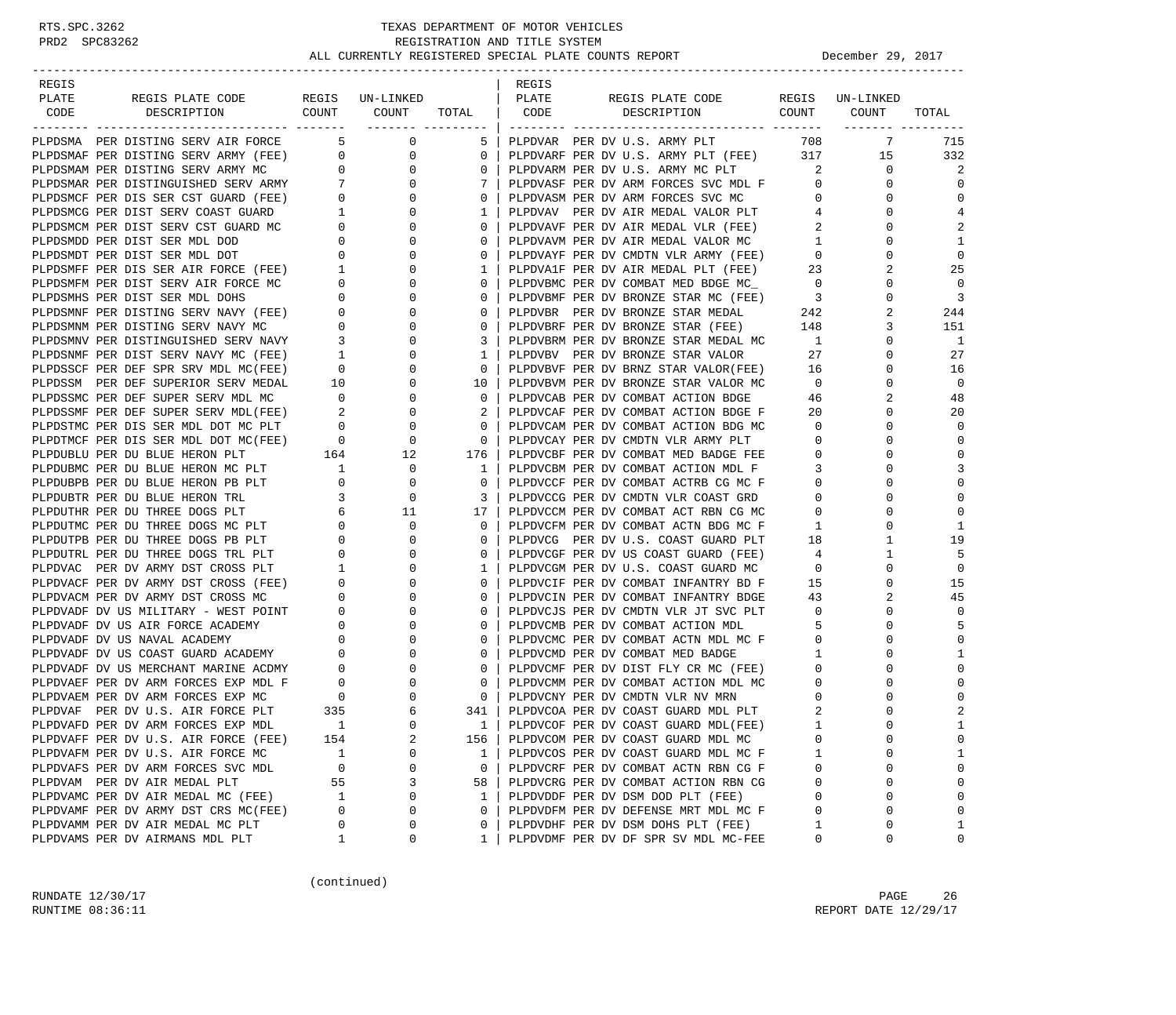| REGIS                                                                                                                                                                                                                                      |                |                                                                                                                        |                   | REGIS |                                                                            |                          |                      |                |
|--------------------------------------------------------------------------------------------------------------------------------------------------------------------------------------------------------------------------------------------|----------------|------------------------------------------------------------------------------------------------------------------------|-------------------|-------|----------------------------------------------------------------------------|--------------------------|----------------------|----------------|
| PLATE<br>REGIS PLATE CODE REGIS UN-LINKED<br>CODE DESCRIPTION COUNT COUNT                                                                                                                                                                  |                |                                                                                                                        |                   | PLATE | REGIS PLATE CODE<br>TOTAL   CODE DESCRIPTION COUNT COUNT                   |                          | REGIS UN-LINKED      |                |
|                                                                                                                                                                                                                                            |                |                                                                                                                        |                   |       |                                                                            |                          |                      | TOTAL          |
| PLPDSMA PER DISTING SERV AIR FORCE 5 0                                                                                                                                                                                                     |                |                                                                                                                        |                   |       | 5   PLPDVAR PER DV U.S. ARMY PLT 708                                       |                          | 7                    | 715            |
|                                                                                                                                                                                                                                            |                |                                                                                                                        | $\overline{0}$    |       | PLPDVARF PER DV U.S. ARMY PLT (FEE) 317                                    |                          | 15                   | 332            |
|                                                                                                                                                                                                                                            |                |                                                                                                                        | 0                 |       | PLPDVARM PER DV U.S. ARMY MC PLT                                           | $\overline{2}$           | 0                    | 2              |
|                                                                                                                                                                                                                                            |                |                                                                                                                        | $7\phantom{0}$    |       | PLPDVASF PER DV ARM FORCES SVC MDL F 0                                     |                          | 0                    | U              |
| PLEDSMAF PER DISTING SERV ATR FORCE<br>PLEDSMAF PER DISTING SERV ARMY (FEE) 0 0 0<br>PLEDSMAM PER DISTING SERV ARMY MC 0 0 0<br>PLEDSMAR PER DISTINGUISHED SERV ARMY 7 0<br>PLEDSMAR PER DISTINGUISHED SERV ARMY 7 0<br>PLEDSMAR PER DIS   |                |                                                                                                                        | $\circ$           |       | PLPDVASM PER DV ARM FORCES SVC MC<br>PLPDVAV PER DV AIR MEDAL VALOR PLT    | $\overline{0}$           | 0                    | $\Omega$       |
|                                                                                                                                                                                                                                            |                |                                                                                                                        | $1 \mid$          |       |                                                                            | 4                        | $\mathbf 0$          | 4              |
|                                                                                                                                                                                                                                            |                |                                                                                                                        | $\mathbf{0}$      |       | PLPDVAVF PER DV AIR MEDAL VLR (FEE)                                        | $\overline{2}$           | $\mathbf 0$          | 2              |
|                                                                                                                                                                                                                                            |                |                                                                                                                        | $\mathbf{0}$      |       | PLPDVAVM PER DV AIR MEDAL VALOR MC                                         | $\mathbf{1}$             | 0                    | 1              |
|                                                                                                                                                                                                                                            |                |                                                                                                                        | $\mathbf 0$       |       | PLPDVAYF PER DV CMDTN VLR ARMY (FEE)                                       | $\overline{0}$           | $\mathbf 0$          | $\Omega$       |
| PLPDSMDT PER DIST SER MDL DOT<br>PLPDSMFF PER DIST SER AIR FORCE (FEE) 1<br>PLPDSMFM PER DIST SERV AIR FORCE MC 0<br>PLPDSMMS PER DIST SERV ANY (FEE) 0<br>PLPDSMNF PER DISTING SERV NAVY MC 0<br>PLPDSMNY PER DISTINGUISHED SERV NAVY 3   |                | 0                                                                                                                      | $\mathbf{1}$      |       | PLPDVA1F PER DV AIR MEDAL PLT (FEE) 23                                     |                          | 2                    | 25             |
|                                                                                                                                                                                                                                            |                | 0                                                                                                                      | $\mathbf{0}$      |       | PLPDVBMC PER DV COMBAT MED BDGE MC_                                        | $\overline{0}$           | $\mathbf 0$          | $\mathbf 0$    |
|                                                                                                                                                                                                                                            |                | $\mathbf{0}$                                                                                                           | $\mathbf{0}$      |       | PLPDVBMF PER DV BRONZE STAR MC (FEE) 3                                     |                          | $\mathbf 0$          | 3              |
|                                                                                                                                                                                                                                            |                | $\mathbf 0$                                                                                                            | 0                 |       | PLPDVBR PER DV BRONZE STAR MEDAL 242                                       |                          | 2                    | 244            |
|                                                                                                                                                                                                                                            |                | $\mathbf{0}$                                                                                                           | $\mathbf 0$       |       | PLPDVBRF PER DV BRONZE STAR (FEE) 148                                      |                          | 3                    | 151            |
|                                                                                                                                                                                                                                            |                | 0                                                                                                                      | 3                 |       | PLPDVBRM PER DV BRONZE STAR MEDAL MC                                       | $\mathbf{1}$             | $\mathbf 0$          | 1              |
|                                                                                                                                                                                                                                            |                | 0                                                                                                                      | $1 \vert$         |       | PLPDVBV PER DV BRONZE STAR VALOR                                           | 27                       | $\mathbf 0$          | 27             |
|                                                                                                                                                                                                                                            |                | 0                                                                                                                      | $\mathbf{0}$      |       | PLPDVBVF PER DV BRNZ STAR VALOR(FEE) 16                                    |                          | $\mathbf 0$          | 16             |
|                                                                                                                                                                                                                                            |                | $\mathbf 0$                                                                                                            | 10 <sub>1</sub>   |       | PLPDVBVM PER DV BRONZE STAR VALOR MC                                       | $\overline{0}$           | 0                    | $\mathbf 0$    |
|                                                                                                                                                                                                                                            |                | $\overline{0}$                                                                                                         | $\circ$           |       | PLPDVCAB PER DV COMBAT ACTION BDGE                                         | -46                      | 2                    | 48             |
|                                                                                                                                                                                                                                            |                | 0<br>$\mathbf 0$                                                                                                       | 2<br>$\mathbf{0}$ |       | PLPDVCAF PER DV COMBAT ACTION BDGE F                                       | - 20<br>$\overline{0}$   | 0<br>$\mathbf 0$     | 20<br>$\Omega$ |
|                                                                                                                                                                                                                                            |                |                                                                                                                        | $\overline{0}$    |       | PLPDVCAM PER DV COMBAT ACTION BDG MC<br>PLPDVCAY PER DV CMDTN VLR ARMY PLT | $\overline{0}$           | $\mathbf 0$          | $\Omega$       |
|                                                                                                                                                                                                                                            |                |                                                                                                                        | $176$             |       | PLPDVCBF PER DV COMBAT MED BADGE FEE                                       | $\overline{0}$           | $\Omega$             | $\Omega$       |
|                                                                                                                                                                                                                                            |                |                                                                                                                        | 1                 |       | PLPDVCBM PER DV COMBAT ACTION MDL F                                        | 3                        | $\Omega$             |                |
| PLPDUBPB PER DU BLUE HERON PB PLT                                                                                                                                                                                                          |                |                                                                                                                        | $\overline{0}$    |       | PLPDVCCF PER DV COMBAT ACTRB CG MC F                                       | $\overline{0}$           | 0                    | $\Omega$       |
| PLPDUBTR PER DU BLUE HERON TRL                                                                                                                                                                                                             |                | $\begin{matrix}0&&&0\\&3&&&0\end{matrix}$                                                                              | 3                 |       | PLPDVCCG PER DV CMDTN VLR COAST GRD                                        | $\overline{0}$           | 0                    | $\Omega$       |
| PLPDUTHR PER DU THREE DOGS PLT                                                                                                                                                                                                             |                |                                                                                                                        | 17                |       | PLPDVCCM PER DV COMBAT ACT RBN CG MC                                       | $\mathbf{0}$             | $\Omega$             | $\Omega$       |
| PLPDUTMC PER DU THREE DOGS MC PLT                                                                                                                                                                                                          |                | $\begin{array}{ccccccc}\n & & & & 6 & & 11 \\  & & & & 0 & & 0 \\  & & & & & 0 & & 0 \\  & & & & & & & 0\n\end{array}$ | $\mathbf{0}$      |       | PLPDVCFM PER DV COMBAT ACTN BDG MC F                                       | 1                        | 0                    | $\mathbf{1}$   |
| PLPDUTPB PER DU THREE DOGS PB PLT                                                                                                                                                                                                          |                |                                                                                                                        | 0                 |       | PLPDVCG PER DV U.S. COAST GUARD PLT                                        | 18                       | 1                    | 19             |
| PLPDUTRL PER DU THREE DOGS TRL PLT<br>PLPDUTRL PER DU THREE DOGS TRL PLT<br>PLPDVAC PER DV ARMY DST CROSS PLT 1<br>PLPDVACF PER DV ARMY DST CROSS (FEE) 0<br>PLPDVACM PER DV ARMY DST CROSS MC 0<br>PLPDVADF DV US MILITARY - WEST POINT 0 |                | $\overline{0}$                                                                                                         | 0                 |       | PLPDVCGF PER DV US COAST GUARD (FEE)                                       | $\overline{4}$           | 1                    | 5              |
|                                                                                                                                                                                                                                            |                | $\mathbf 0$                                                                                                            | $1 \mid$          |       | PLPDVCGM PER DV U.S. COAST GUARD MC                                        | $\overline{0}$           | $\mathbf 0$          | $\mathbf 0$    |
|                                                                                                                                                                                                                                            |                | $\mathbf{0}$                                                                                                           | $\mathbf{0}$      |       | PLPDVCIF PER DV COMBAT INFANTRY BD F                                       | 15                       | $\mathbf 0$          | 15             |
|                                                                                                                                                                                                                                            |                | $\mathbf 0$                                                                                                            | $\mathbf{0}$      |       | PLPDVCIN PER DV COMBAT INFANTRY BDGE                                       | 43                       | 2                    | 45             |
|                                                                                                                                                                                                                                            |                | 0                                                                                                                      | 0                 |       | PLPDVCJS PER DV CMDTN VLR JT SVC PLT                                       | $\overline{0}$           | $\Omega$             | 0              |
| PLPDVADF DV US AIR FORCE ACADEMY                                                                                                                                                                                                           | $\overline{0}$ | 0                                                                                                                      | 0                 |       | PLPDVCMB PER DV COMBAT ACTION MDL                                          | 5                        | $\mathbf 0$          | 5              |
| PLPDVADF DV US NAVAL ACADEMY                                                                                                                                                                                                               |                | $\frac{0}{0}$<br>$\mathbf{0}$                                                                                          | $\circ$           |       | PLPDVCMC PER DV COMBAT ACTN MDL MC F                                       | $\overline{0}$           | $\mathbf 0$          | $\Omega$       |
| PLPDVADF DV US NAVAL ACADEMY 0<br>PLPDVADF DV US COAST GUARD ACADEMY 0<br>PLPDVADF DV US MERCHANT MARINE ACDMY 0<br>PLPDVAEF PER DV ARM FORCES EXP MDL F 0<br>PLPDVAEM PER DV ARM FORCES EXP MC 0<br>PLPDVAF PER DV U.S. AIR FORCE PLT 3   |                | $\mathbf{0}$                                                                                                           | $\mathbf{0}$      |       | PLPDVCMD PER DV COMBAT MED BADGE                                           |                          | $\mathbf 0$          | -1             |
|                                                                                                                                                                                                                                            |                | $\mathbf 0$                                                                                                            | 0                 |       | PLPDVCMF PER DV DIST FLY CR MC (FEE)                                       | $\mathbf{0}$             | 0                    | U              |
|                                                                                                                                                                                                                                            |                | 0                                                                                                                      | $\mathbf{0}$      |       | PLPDVCMM PER DV COMBAT ACTION MDL MC                                       | $\overline{\phantom{0}}$ | $\Omega$             |                |
|                                                                                                                                                                                                                                            |                | 0                                                                                                                      | $\mathbf{0}$      |       | PLPDVCNY PER DV CMDTN VLR NV MRN                                           | $\overline{0}$           | $\mathbf 0$          |                |
|                                                                                                                                                                                                                                            |                | 6                                                                                                                      | 341               |       | PLPDVCOA PER DV COAST GUARD MDL PLT                                        | 2                        | $\Omega$             | 2              |
| PLPDVAFD PER DV ARM FORCES EXP MDL                                                                                                                                                                                                         | $\overline{1}$ | $\Omega$                                                                                                               | $1 \mid$          |       | PLPDVCOF PER DV COAST GUARD MDL(FEE)                                       | $\mathbf{1}$             | $\Omega$             | $\mathbf{1}$   |
| PLPDVAFF PER DV U.S. AIR FORCE (FEE)                                                                                                                                                                                                       | 154            | 2                                                                                                                      | 156               |       | PLPDVCOM PER DV COAST GUARD MDL MC                                         | 0                        | $\Omega$             |                |
| PLPDVAFM PER DV U.S. AIR FORCE MC                                                                                                                                                                                                          | 1              | $\Omega$                                                                                                               | 1                 |       | PLPDVCOS PER DV COAST GUARD MDL MC F                                       |                          | $\Omega$             | -1             |
| PLPDVAFS PER DV ARM FORCES SVC MDL                                                                                                                                                                                                         | 0              | 0                                                                                                                      | 0                 |       | PLPDVCRF PER DV COMBAT ACTN RBN CG F                                       | 0                        | 0                    | n              |
| PLPDVAM PER DV AIR MEDAL PLT                                                                                                                                                                                                               | 55             | 3                                                                                                                      | 58                |       | PLPDVCRG PER DV COMBAT ACTION RBN CG                                       | 0                        | $\Omega$             |                |
| PLPDVAMC PER DV AIR MEDAL MC (FEE)                                                                                                                                                                                                         | 1              | 0<br>$\Omega$                                                                                                          | 1                 |       | PLPDVDDF PER DV DSM DOD PLT (FEE)                                          | $\Omega$                 | $\Omega$<br>$\Omega$ |                |
| PLPDVAMF PER DV ARMY DST CRS MC(FEE)                                                                                                                                                                                                       | 0              | $\Omega$                                                                                                               | 0                 |       | PLPDVDFM PER DV DEFENSE MRT MDL MC F                                       | 0                        | $\Omega$             |                |
| PLPDVAMM PER DV AIR MEDAL MC PLT                                                                                                                                                                                                           | 0<br>1         | 0                                                                                                                      | 0                 |       | PLPDVDHF PER DV DSM DOHS PLT (FEE)                                         | ı<br>0                   | 0                    | л.<br>0        |
| PLPDVAMS PER DV AIRMANS MDL PLT                                                                                                                                                                                                            |                |                                                                                                                        | 1                 |       | PLPDVDMF PER DV DF SPR SV MDL MC-FEE                                       |                          |                      |                |

(continued)

RUNDATE  $12/30/17$  PAGE 26 RUNTIME  $08:36:11$  REPORT DATE  $12/29/17$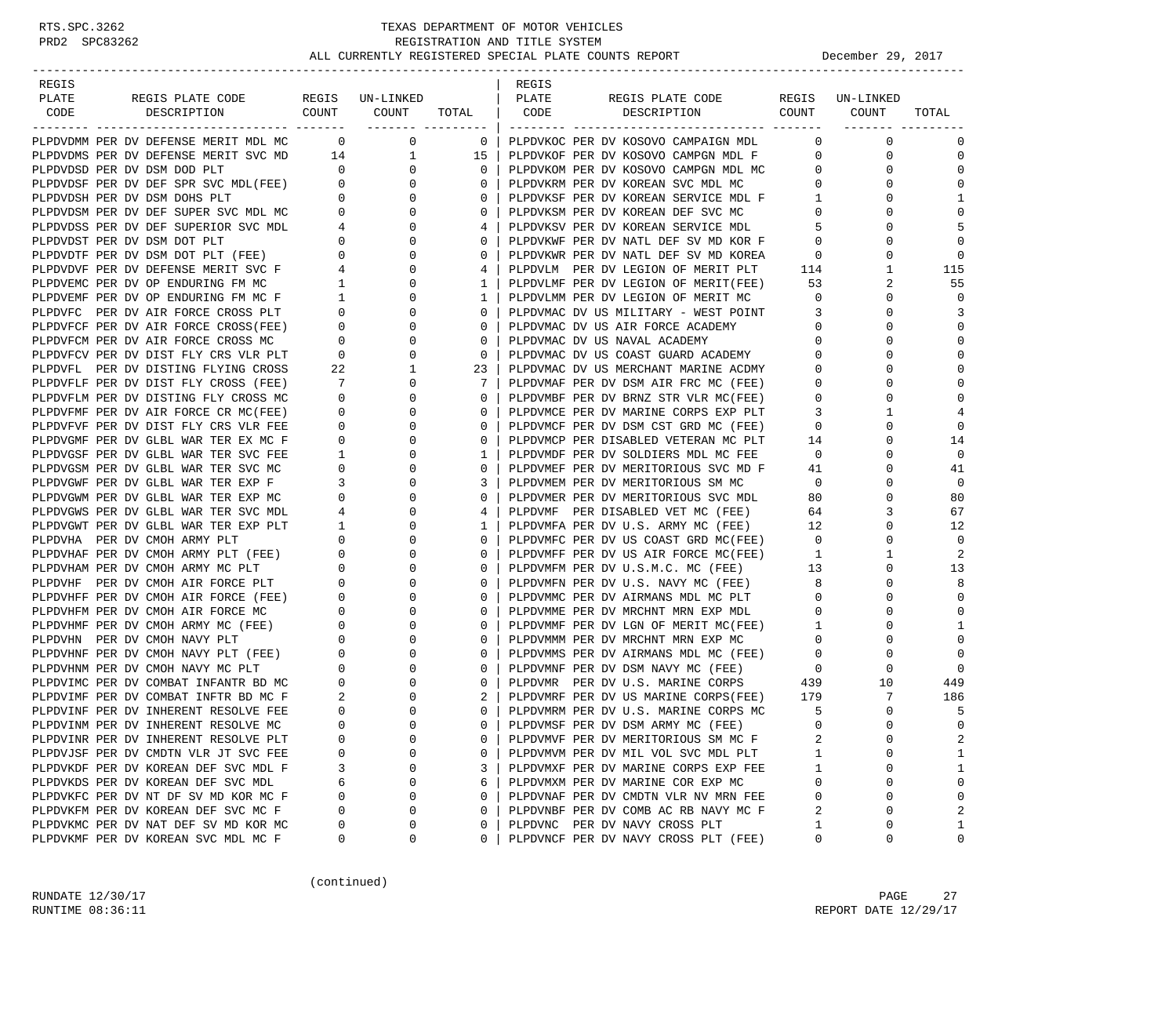| REGIS                                                                                                              |                          |                                  |                   | REGIS |                                                                                                                                                                                                                                                                                                                                                                                                                                                                  |                               |                 |             |
|--------------------------------------------------------------------------------------------------------------------|--------------------------|----------------------------------|-------------------|-------|------------------------------------------------------------------------------------------------------------------------------------------------------------------------------------------------------------------------------------------------------------------------------------------------------------------------------------------------------------------------------------------------------------------------------------------------------------------|-------------------------------|-----------------|-------------|
| PLATE<br>REGIS PLATE CODE<br>COUNT                                                                                 |                          | REGIS UN-LINKED                  |                   | PLATE | REGIS PLATE CODE<br>COUNT                                                                                                                                                                                                                                                                                                                                                                                                                                        |                               | REGIS UN-LINKED |             |
| CODE<br>DESCRIPTION                                                                                                |                          | COUNT                            | TOTAL             | CODE  | DESCRIPTION                                                                                                                                                                                                                                                                                                                                                                                                                                                      |                               | COUNT           | TOTAL       |
| PLPDVDMM PER DV DEFENSE MERIT MDL MC                                                                               |                          | $\overline{0}$<br>$\overline{0}$ |                   |       | 0   PLPDVKOC PER DV KOSOVO CAMPAIGN MDL                                                                                                                                                                                                                                                                                                                                                                                                                          | $\mathbf{0}$                  | 0               | 0           |
| PLPDVDMS PER DV DEFENSE MERIT SVC MD 14                                                                            |                          | $\mathbf{1}$                     | 15                |       | PLPDVKOF PER DV KOSOVO CAMPGN MDL F                                                                                                                                                                                                                                                                                                                                                                                                                              | $\mathbf{0}$                  | 0               | $\mathbf 0$ |
| PLPDVDSD PER DV DSM DOD PLT                                                                                        | $\overline{0}$           | $\mathbf{0}$                     | $\mathbf{0}$      |       | PLPDVKOM PER DV KOSOVO CAMPGN MDL MC                                                                                                                                                                                                                                                                                                                                                                                                                             | $\mathbf{0}$                  | 0               | 0           |
| PLPDVDSF PER DV DEF SPR SVC MDL(FEE) 0<br>PLPDVDSH PER DV DSM DOHS PLT 0<br>PLPDVDSM PER DV DEF SUPER SVC MDL MC 0 |                          | $\mathbf{0}$                     | $\mathbf{0}$      |       | PLPDVKRM PER DV KOREAN SVC MDL MC                                                                                                                                                                                                                                                                                                                                                                                                                                | 0                             | 0               | $\Omega$    |
|                                                                                                                    |                          | $\overline{0}$                   | $\mathbf{0}$      |       | PLPDVKSF PER DV KOREAN SERVICE MDL F                                                                                                                                                                                                                                                                                                                                                                                                                             | $\mathbf{1}$                  | 0               | 1           |
|                                                                                                                    |                          | $\mathbf{0}$                     | $\mathbf{0}$      |       | PLPDVKSM PER DV KOREAN DEF SVC MC                                                                                                                                                                                                                                                                                                                                                                                                                                | $\mathbf 0$                   |                 | $\mathbf 0$ |
| PLPDVDSS PER DV DEF SUPERIOR SVC MDL                                                                               |                          | $4\overline{)}$<br>$\mathbf{0}$  | 4                 |       | PLPDVKSV PER DV KOREAN SERVICE MDL                                                                                                                                                                                                                                                                                                                                                                                                                               | -5                            | 0               | 5           |
|                                                                                                                    |                          | $0 \qquad \qquad$<br>0           | $\mathbf{0}$      |       |                                                                                                                                                                                                                                                                                                                                                                                                                                                                  | $\mathbf 0$                   |                 | $\Omega$    |
| PLPDVDST PER DV DSM DOT PLT<br>PLPDVDTF PER DV DSM DOT PLT (FEE)                                                   |                          | $\overline{0}$<br>0              | $\mathbf{0}$      |       | PLPDVKWF PER DV NATL DEF SV MD KOR F<br>PLPDVKWR PER DV NATL DEF SV MD KOREA                                                                                                                                                                                                                                                                                                                                                                                     | $\overline{0}$                | 0               | $\Omega$    |
|                                                                                                                    |                          | 0                                | 4                 |       | PLPDVLM PER DV LEGION OF MERIT PLT                                                                                                                                                                                                                                                                                                                                                                                                                               | 114                           | 1               | 115         |
|                                                                                                                    |                          | 0                                | $\mathbf{1}$      |       | PLPDVLMF PER DV LEGION OF MERIT(FEE)                                                                                                                                                                                                                                                                                                                                                                                                                             | 53                            | 2               | 55          |
| PLPDVEMF PER DV OP ENDURING FM MC F                                                                                | $\overline{1}$           | $\mathbf 0$                      | $\mathbf{1}$      |       | PLPDVLMM PER DV LEGION OF MERIT MC                                                                                                                                                                                                                                                                                                                                                                                                                               | $\overline{0}$                | 0               | $\mathbf 0$ |
| PLPDVFC PER DV AIR FORCE CROSS PLT                                                                                 |                          | $0 \qquad \qquad$<br>$\mathbf 0$ | $\mathbf{0}$      |       | PLPDVMAC DV US MILITARY - WEST POINT                                                                                                                                                                                                                                                                                                                                                                                                                             | $\overline{\mathbf{3}}$       | 0               | 3           |
| PLPDVFCF PER DV AIR FORCE CROSS(FEE)                                                                               |                          | $\overline{0}$<br>0              | $\mathbf{0}$      |       | PLPDVMAC DV US AIR FORCE ACADEMY                                                                                                                                                                                                                                                                                                                                                                                                                                 | 0                             | <sup>0</sup>    | 0           |
| PLPDVFCM PER DV AIR FORCE CROSS MC                                                                                 | $\overline{0}$           | 0                                | 0                 |       | PLPDVMAC DV US NAVAL ACADEMY                                                                                                                                                                                                                                                                                                                                                                                                                                     | $\mathbf 0$                   | 0               | $\Omega$    |
| PLPDVFCV PER DV DIST FLY CRS VLR PLT                                                                               | $\overline{\phantom{0}}$ | $\mathbf 0$                      | $\circ$           |       | PLPDVMAC DV US COAST GUARD ACADEMY                                                                                                                                                                                                                                                                                                                                                                                                                               | $\overline{0}$                |                 | $\mathbf 0$ |
| PLPDVFL PER DV DISTING FLYING CROSS                                                                                | 22                       | $\mathbf{1}$                     | 23                |       | PLPDVMAC DV US MERCHANT MARINE ACDMY                                                                                                                                                                                                                                                                                                                                                                                                                             | $\mathbf{0}$                  | 0               | $\Omega$    |
| PLPDVFLF PER DV DIST FLY CROSS (FEE)                                                                               | 7                        | 0                                | $7\phantom{0}$    |       | PLPDVMAF PER DV DSM AIR FRC MC (FEE)                                                                                                                                                                                                                                                                                                                                                                                                                             | $\overline{0}$                |                 | $\Omega$    |
| PLPDVFLM PER DV DISTING FLY CROSS MC                                                                               | $\mathbf{0}$             | $\mathbf 0$                      | $\mathbf{0}$      |       | PLPDVMBF PER DV BRNZ STR VLR MC(FEE)                                                                                                                                                                                                                                                                                                                                                                                                                             | $\mathbf 0$                   | <sup>0</sup>    | $\Omega$    |
| PLPDVFMF PER DV AIR FORCE CR MC(FEE)                                                                               | $\mathbf 0$              | 0                                | $\mathbf{0}$      |       | PLPDVMCE PER DV MARINE CORPS EXP PLT                                                                                                                                                                                                                                                                                                                                                                                                                             | 3                             | 1               | 4           |
| PLPDVFVF PER DV DIST FLY CRS VLR FEE                                                                               | 0                        | 0                                | $\mathbf{0}$      |       | PLPDVMCF PER DV DSM CST GRD MC (FEE)                                                                                                                                                                                                                                                                                                                                                                                                                             | $\overline{0}$                | 0               | $\mathbf 0$ |
| PLPDVGMF PER DV GLBL WAR TER EX MC F                                                                               | 0                        | $\mathbf 0$                      | $\mathbf{0}$      |       | PLPDVMCP PER DISABLED VETERAN MC PLT                                                                                                                                                                                                                                                                                                                                                                                                                             | 14                            | 0               | 14          |
| PLPDVGSF PER DV GLBL WAR TER SVC FEE                                                                               | $\mathbf{1}$             | $\mathbf 0$                      | $\mathbf{1}$      |       | PLPDVMDF PER DV SOLDIERS MDL MC FEE                                                                                                                                                                                                                                                                                                                                                                                                                              | $\overline{0}$                |                 | $\mathbf 0$ |
| PLPDVGSM PER DV GLBL WAR TER SVC MC                                                                                | 0                        | 0                                | $\mathbf{0}$      |       | PLPDVMEF PER DV MERITORIOUS SVC MD F                                                                                                                                                                                                                                                                                                                                                                                                                             | 41                            | 0               | 41          |
| PLPDVGWF PER DV GLBL WAR TER EXP F                                                                                 | 3                        | 0                                | 3                 |       | PLPDVMEM PER DV MERITORIOUS SM MC                                                                                                                                                                                                                                                                                                                                                                                                                                | $\overline{0}$                | 0               | $\mathbf 0$ |
| PLPDVGWM PER DV GLBL WAR TER EXP MC                                                                                | $\overline{0}$           | 0                                | $\mathbf{0}$      |       | PLPDVMER PER DV MERITORIOUS SVC MDL                                                                                                                                                                                                                                                                                                                                                                                                                              | 80                            | $\Omega$        | 80          |
| PLPDVGWS PER DV GLBL WAR TER SVC MDL                                                                               | $\overline{4}$           | $\mathbf 0$                      | 4                 |       | PLPDVMF PER DISABLED VET MC (FEE)                                                                                                                                                                                                                                                                                                                                                                                                                                | 64                            | 3               | 67          |
| PLPDVGWT PER DV GLBL WAR TER EXP PLT                                                                               | $\mathbf{1}$             | $\mathbf 0$                      | $\mathbf{1}$      |       | PLPDVMFA PER DV U.S. ARMY MC (FEE)                                                                                                                                                                                                                                                                                                                                                                                                                               | 12                            |                 | 12          |
| PLPDVHA PER DV CMOH ARMY PLT                                                                                       | $\mathbf{0}$             | 0                                | 0                 |       | PLPDVMFC PER DV US COAST GRD MC(FEE)                                                                                                                                                                                                                                                                                                                                                                                                                             | $\overline{\mathbf{0}}$       | 0               | $\mathbf 0$ |
|                                                                                                                    |                          | $0 \qquad \qquad$<br>0           | $\mathbf{0}$      |       |                                                                                                                                                                                                                                                                                                                                                                                                                                                                  | $\mathbf{1}$                  | 1<br>$\Omega$   | 2           |
| PLPDVHAM PER DV CMOH ARMY MC PLT<br>PLPDVHF PER DV CMOH AIR FORCE PLT                                              | $\overline{0}$           | $\mathbf 0$<br>0                 | $\mathbf{0}$      |       | $\begin{tabular}{lllllllllll} & & $\cdots$ & $\cdots$ & $\cdots$ & $\cdots$ & $\texttt{min} $ \texttt{r} \cup \texttt{RCE} $ \texttt{MC} $ \texttt{M} \texttt{C} $ \texttt{F} \texttt{EE} $ \texttt{)}$ \\ \texttt{PLPDVMFM PMR PER D} & $\cdots$ & $\cdots$ & $\cdots$ & $\cdots$ & $\cdots$ \\ \texttt{D} \texttt{T}, \texttt{D} \texttt{N} \texttt{M} \texttt{D} \texttt{N} $ \texttt{D} \texttt{B} \texttt{P} $ \texttt{D} \texttt{Y}$ & $\cdots$ & $\cdots$ | 13                            |                 | 13<br>8     |
|                                                                                                                    | $\overline{0}$<br>0      | $\mathbf 0$                      | $\mathbf{0}$<br>0 |       | PLPDVMFN PER DV U.S. NAVY MC (FEE)                                                                                                                                                                                                                                                                                                                                                                                                                               | 8 <sup>8</sup><br>$\mathbf 0$ | 0               | 0           |
| PLPDVHFF PER DV CMOH AIR FORCE (FEE)<br>PLPDVHUM PER DV GMOH AIR FORGE MG<br>PLPDVHFM PER DV CMOH AIR FORCE MC     | $\mathbf{0}$             | $\mathbf 0$                      | 0                 |       | PLPDVMMC PER DV AIRMANS MDL MC PLT                                                                                                                                                                                                                                                                                                                                                                                                                               | 0                             |                 | 0           |
| PLPDVHMF PER DV CMOH ARMY MC (FEE)                                                                                 | $\overline{0}$           | 0                                | $\mathbf{0}$      |       | PLPDVMME PER DV MRCHNT MRN EXP MDL                                                                                                                                                                                                                                                                                                                                                                                                                               | $\overline{1}$                | 0               | 1           |
| PLPDVHN PER DV CMOH NAVY PLT                                                                                       | 0                        | $\mathbf 0$                      | $\mathbf{0}$      |       | PLPDVMMF PER DV LGN OF MERIT MC(FEE)<br>PLPDVMMM PER DV MRCHNT MRN EXP MC<br>PLPDVMMM PER DV MRCHNT MRN EXP MC                                                                                                                                                                                                                                                                                                                                                   | $\overline{0}$                | 0               | $\mathbf 0$ |
| PLPDVHNF PER DV CMOH NAVY PLT (FEE)                                                                                | $\overline{0}$           | 0                                | $\mathbf{0}$      |       | PLPDVMMS PER DV AIRMANS MDL MC (FEE)                                                                                                                                                                                                                                                                                                                                                                                                                             | $\overline{0}$                | 0               | $\mathbf 0$ |
| PLPDVHNM PER DV CMOH NAVY MC PLT                                                                                   | $\mathbf{0}$             | $\mathbf 0$                      | 0                 |       |                                                                                                                                                                                                                                                                                                                                                                                                                                                                  |                               | 0               | $\Omega$    |
| PLPDVIMC PER DV COMBAT INFANTR BD MC                                                                               | $\mathbf 0$              | 0                                | $\circ$           |       | PLPDVMNF PER DV DSM NAVY MC (FEE) 0<br>PLPDVMR PER DV U.S. MARINE CORPS 439                                                                                                                                                                                                                                                                                                                                                                                      |                               | 10              | 449         |
| PLPDVIMF PER DV COMBAT INFTR BD MC F                                                                               | 2                        | 0                                | 2                 |       | PLPDVMRF PER DV US MARINE CORPS(FEE)                                                                                                                                                                                                                                                                                                                                                                                                                             | 179                           | 7               | 186         |
| PLPDVINF PER DV INHERENT RESOLVE FEE                                                                               | $\mathbf{0}$             | $\Omega$                         | $\mathbf{0}$      |       | PLPDVMRM PER DV U.S. MARINE CORPS MC                                                                                                                                                                                                                                                                                                                                                                                                                             | -5                            | $\Omega$        | 5           |
| PLPDVINM PER DV INHERENT RESOLVE MC                                                                                | $\Omega$                 | $\Omega$                         |                   |       | 0   PLPDVMSF PER DV DSM ARMY MC (FEE)                                                                                                                                                                                                                                                                                                                                                                                                                            | $\Omega$                      | $\Omega$        | $\Omega$    |
| PLPDVINR PER DV INHERENT RESOLVE PLT                                                                               | $\Omega$                 | 0                                | 0                 |       | PLPDVMVF PER DV MERITORIOUS SM MC F                                                                                                                                                                                                                                                                                                                                                                                                                              | 2                             | 0               | 2           |
| PLPDVJSF PER DV CMDTN VLR JT SVC FEE                                                                               | 0                        | $\Omega$                         | 0                 |       | PLPDVMVM PER DV MIL VOL SVC MDL PLT                                                                                                                                                                                                                                                                                                                                                                                                                              | 1                             | U               | 1           |
| PLPDVKDF PER DV KOREAN DEF SVC MDL F                                                                               | 3                        | 0                                | 3                 |       | PLPDVMXF PER DV MARINE CORPS EXP FEE                                                                                                                                                                                                                                                                                                                                                                                                                             | 1                             | 0               | 1           |
| PLPDVKDS PER DV KOREAN DEF SVC MDL                                                                                 | 6                        | $\Omega$                         | 6                 |       | PLPDVMXM PER DV MARINE COR EXP MC                                                                                                                                                                                                                                                                                                                                                                                                                                | 0                             | $\Omega$        | 0           |
| PLPDVKFC PER DV NT DF SV MD KOR MC F                                                                               | 0                        | $\Omega$                         | $\mathbf 0$       |       | PLPDVNAF PER DV CMDTN VLR NV MRN FEE                                                                                                                                                                                                                                                                                                                                                                                                                             | 0                             | U               | 0           |
| PLPDVKFM PER DV KOREAN DEF SVC MC F                                                                                | $\Omega$                 | $\Omega$                         | 0                 |       | PLPDVNBF PER DV COMB AC RB NAVY MC F                                                                                                                                                                                                                                                                                                                                                                                                                             | 2                             | 0               | 2           |
| PLPDVKMC PER DV NAT DEF SV MD KOR MC                                                                               | 0                        | 0                                | 0                 |       | PLPDVNC PER DV NAVY CROSS PLT                                                                                                                                                                                                                                                                                                                                                                                                                                    | 1                             | 0               | 1           |
| PLPDVKMF PER DV KOREAN SVC MDL MC F                                                                                | 0                        | 0                                | 0                 |       | PLPDVNCF PER DV NAVY CROSS PLT (FEE)                                                                                                                                                                                                                                                                                                                                                                                                                             | 0                             | 0               | 0           |

(continued)

RUNDATE 12/30/17 PAGE 27 RUNTIME 08:36:11 REPORT DATE 12/29/17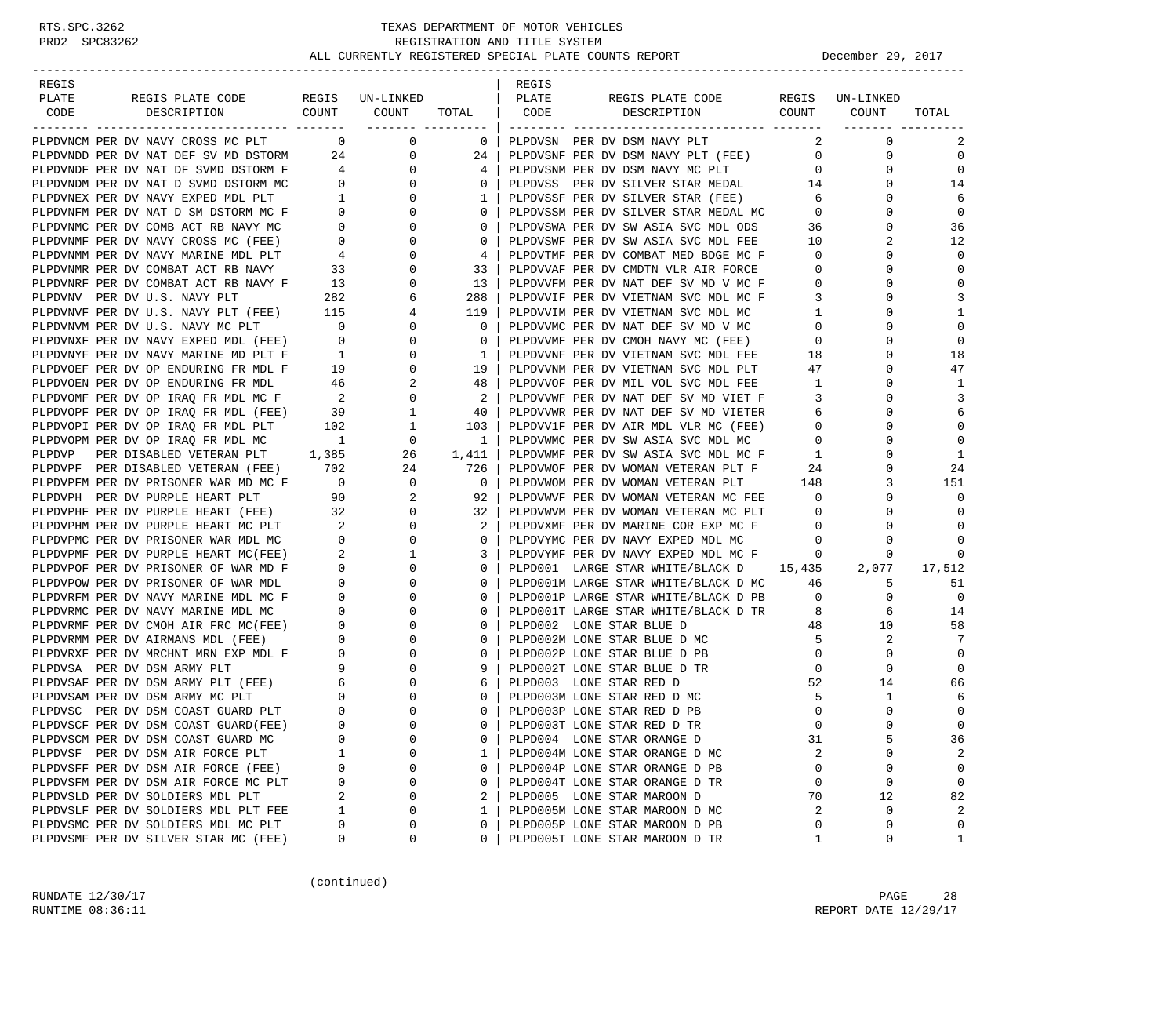| REGIS                                                                                                                                                                                                                                    |                                  |                                       |                            | REGIS |                                                                             |                            |                         |                   |
|------------------------------------------------------------------------------------------------------------------------------------------------------------------------------------------------------------------------------------------|----------------------------------|---------------------------------------|----------------------------|-------|-----------------------------------------------------------------------------|----------------------------|-------------------------|-------------------|
| REGIS PLATE CODE REGIS UN-LINKED<br>PLATE                                                                                                                                                                                                |                                  |                                       |                            | PLATE | REGIS PLATE CODE                                                            |                            | REGIS UN-LINKED         |                   |
| CODE<br>DESCRIPTION                                                                                                                                                                                                                      |                                  | COUNT COUNT                           | TOTAL                      | CODE  | DESCRIPTION                                                                 |                            | COUNT COUNT             | TOTAL             |
|                                                                                                                                                                                                                                          | $\sim$ 0                         | ____________________                  |                            |       |                                                                             |                            | $\mathbf 0$             |                   |
| PLPDVNCM PER DV NAVY CROSS MC PLT<br>PLPDVNDD PER DV NAT DEF SV MD DSTORM 24                                                                                                                                                             |                                  | $\overline{0}$                        | $\overline{0}$             |       | PLPDVSN PER DV DSM NAVY PLT                                                 | 2<br>$\overline{0}$        | 0                       | 2<br>$\mathbf 0$  |
|                                                                                                                                                                                                                                          |                                  |                                       | $\overline{0}$<br>24<br>4  |       | PLPDVSNF PER DV DSM NAVY PLT (FEE)<br>PLPDVSNM PER DV DSM NAVY MC PLT       | $\overline{0}$             | $\mathbf 0$             | $\mathbf 0$       |
| PLPDVNDF PER DV NAT DF SVMD DSTORM F<br>PLPDVNDM PER DV NAT D SVMD DSTORM MC<br>PLPDVNEX PER DV NAVY EXPED MDL PLT 1<br>PLPDVNFM PER DV NAT D SM DSTORM MC F                                                                             |                                  | $\begin{array}{c} 0 \\ 0 \end{array}$ | $\mathbf{0}$               |       | PLPDVSS PER DV SILVER STAR MEDAL 14                                         |                            | $\Omega$                | 14                |
|                                                                                                                                                                                                                                          |                                  |                                       |                            |       |                                                                             | $6\overline{6}$            | 0                       | 6                 |
|                                                                                                                                                                                                                                          |                                  | $\overline{0}$<br>$\mathbf{0}$        | 1<br>$\overline{0}$        |       | PLPDVSSF PER DV SILVER STAR (FEE)<br>PLPDVSSM PER DV SILVER STAR MEDAL MC   | $\overline{0}$             | $\Omega$                | $\mathbf 0$       |
|                                                                                                                                                                                                                                          |                                  | $\mathbf{0}$                          | $\mathbf{0}$               |       |                                                                             |                            | 0                       |                   |
| PLPDVNMC PER DV COMB ACT RB NAVY MC 0<br>PLPDVNMF PER DV NAVY CROSS MC (FEE) 0<br>PLPDVNMM PER DV NAVY MARINE MDL PLT 4<br>PLPDVNMR PER DV COMBAT ACT RB NAVY 33<br>PLPDVNRF PER DV COMBAT ACT RB NAVY F 13                              |                                  | $\mathbf 0$                           | $\mathbf{0}$               |       | PLPDVSWA PER DV SW ASIA SVC MDL ODS                                         | 36<br>10                   | 2                       | 36<br>12          |
|                                                                                                                                                                                                                                          |                                  |                                       |                            |       | PLPDVSWF PER DV SW ASIA SVC MDL FEE<br>PLPDVTMF PER DV COMBAT MED BDGE MC F |                            | $\Omega$                | $\Omega$          |
|                                                                                                                                                                                                                                          |                                  | 0                                     | 4                          |       |                                                                             | $\overline{0}$             | 0                       | $\mathbf 0$       |
|                                                                                                                                                                                                                                          |                                  | $\mathbf 0$                           | 33                         |       | PLPDVVAF PER DV CMDTN VLR AIR FORCE                                         | $\overline{0}$             | $\Omega$                | $\mathbf 0$       |
|                                                                                                                                                                                                                                          |                                  | $\mathbf 0$                           | 13                         |       | PLPDVVFM PER DV NAT DEF SV MD V MC F                                        | $\overline{0}$             |                         |                   |
|                                                                                                                                                                                                                                          |                                  | 6                                     | 288                        |       | PLPDVVIF PER DV VIETNAM SVC MDL MC F                                        | 3                          | 0<br>$\Omega$           | 3<br>$\mathbf{1}$ |
|                                                                                                                                                                                                                                          |                                  | $\overline{4}$                        | 119                        |       | PLPDVVIM PER DV VIETNAM SVC MDL MC                                          | $\mathbf{1}$               |                         |                   |
|                                                                                                                                                                                                                                          |                                  | $\mathbf{0}$                          | $\mathbf{0}$               |       | PLPDVVMC PER DV NAT DEF SV MD V MC                                          | $\circ$                    | $\Omega$                | $\mathbf 0$       |
| PLPDVNKF FER DV U.S. NAVY PLT 282<br>PLPDVNVF PER DV U.S. NAVY PLT (FEE) 115<br>PLPDVNVF PER DV U.S. NAVY MC PLT 0<br>PLPDVNXF PER DV NAVY EXPED MDL (FEE) 0<br>PLPDVNXF PER DV NAVY EXPED MDL (FEE) 0<br>PLPDVNYF PER DV NAVY MARINE MD |                                  | $\mathbf 0$                           | $\overline{0}$             |       | PLPDVVMF PER DV CMOH NAVY MC (FEE)<br>PLPDVVNF PER DV VIETNAM SVC MDL FEE   | $\overline{0}$             | 0                       | $\mathbf 0$       |
|                                                                                                                                                                                                                                          |                                  | $\mathbf{0}$                          | 1                          |       |                                                                             | 18                         | $\Omega$                | 18                |
| PLPDVOEF PER DV OP ENDURING FR MDL F<br>PLPDVOEN PER DV OP ENDURING FR MDL<br>PLPDVOMF PER DV OP IRAQ FR MDL MC F<br>PLPDVOPF PER DV OP IRAQ FR MDL (FEE)<br>PLPDVOPI PER DV OP IRAQ FR MDL PLT<br>102 1                                 |                                  |                                       | 19                         |       | PLPDVVNM PER DV VIETNAM SVC MDL PLT                                         | 47                         | 0                       | 47                |
|                                                                                                                                                                                                                                          |                                  |                                       | 48                         |       | PLPDVVOF PER DV MIL VOL SVC MDL FEE                                         | $\overline{1}$             | 0                       | 1                 |
|                                                                                                                                                                                                                                          |                                  |                                       | $\overline{\phantom{a}}^2$ |       | PLPDVVWF PER DV NAT DEF SV MD VIET F                                        | 3                          | $\Omega$                | 3                 |
|                                                                                                                                                                                                                                          |                                  |                                       | - 40                       |       | PLPDVVWR PER DV NAT DEF SV MD VIETER                                        | 6                          | 0                       | 6                 |
|                                                                                                                                                                                                                                          |                                  |                                       | 103                        |       | PLPDVV1F PER DV AIR MDL VLR MC (FEE)                                        | $\overline{0}$             | $\Omega$                | $\mathbf 0$       |
| PLPDVOPM PER DV OP IRAQ FR MDL MC 1                                                                                                                                                                                                      |                                  | $\begin{array}{c}0\\26\end{array}$    | $\overline{1}$             |       | PLPDVWMC PER DV SW ASIA SVC MDL MC                                          | $\overline{0}$             | 0                       | $\mathbf 0$       |
| PLPDVP PER DISABLED VETERAN PLT 1,385                                                                                                                                                                                                    |                                  | 26                                    | 1,411                      |       | PLPDVWMF PER DV SW ASIA SVC MDL MC F                                        | $\mathbf{1}$               | $\Omega$                | $\mathbf{1}$      |
| PLPDVPF PER DISABLED VETERAN (FEE) 702 24<br>PLPDVPFM PER DV PRISONER WAR MD MC F 0 0 0<br>PLPDVPH PER DV PURPLE HEART PLT 90 2                                                                                                          |                                  | 24 and $\sim$                         | 726                        |       | PLPDVWOF PER DV WOMAN VETERAN PLT F                                         | 24                         | $\Omega$                | 24                |
|                                                                                                                                                                                                                                          |                                  |                                       | $\overline{\mathbf{0}}$    |       | PLPDVWOM PER DV WOMAN VETERAN PLT 148                                       |                            | 3                       | 151               |
|                                                                                                                                                                                                                                          |                                  |                                       | 92                         |       | PLPDVWVF PER DV WOMAN VETERAN MC FEE                                        | $\overline{0}$             | 0                       | $\mathbf 0$       |
| PLPDVPHF PER DV PURPLE HEART (FEE) 32                                                                                                                                                                                                    |                                  | $\overline{0}$                        | 32                         |       | PLPDVWVM PER DV WOMAN VETERAN MC PLT                                        | $\overline{0}$             | 0                       | $\Omega$          |
| PLPDVPHM PER DV PURPLE HEART MC PLT                                                                                                                                                                                                      | $\sim$ 2                         | $\mathbf{0}$                          | 2                          |       | PLPDVXMF PER DV MARINE COR EXP MC F                                         | $\overline{0}$             | $\Omega$                | $\Omega$          |
| PLPDVPMC PER DV PRISONER WAR MDL MC                                                                                                                                                                                                      |                                  | $\mathbf{0}$                          | $\mathbf{0}$               |       | PLPDVYMC PER DV NAVY EXPED MDL MC                                           | $\overline{0}$             | 0                       | $\Omega$          |
| PLPDVPMF PER DV PURPLE HEART MC(FEE)                                                                                                                                                                                                     |                                  | 1                                     | 3                          |       | PLPDVYMF PER DV NAVY EXPED MDL MC F                                         | $\overline{0}$             | 0                       | $\Omega$          |
| PLPDVPOF PER DV PRISONER OF WAR MD F                                                                                                                                                                                                     |                                  | $\mathbf 0$                           | $\overline{0}$             |       | PLPD001 LARGE STAR WHITE/BLACK D 15,435                                     |                            | 2,077                   | 17,512            |
| PLPDVPOW PER DV PRISONER OF WAR MDL                                                                                                                                                                                                      | $\begin{matrix}0\\0\end{matrix}$ | $\mathbf{0}$                          | $\overline{0}$             |       | PLPD001M LARGE STAR WHITE/BLACK D MC                                        | 46                         | 5                       | 51                |
| PLPDVRFM PER DV NAVY MARINE MDL MC F                                                                                                                                                                                                     | $\sim$ 0                         | $\mathbf{0}$                          | $\circ$                    |       | PLPD001P LARGE STAR WHITE/BLACK D PB                                        | $\overline{0}$             | $\mathbf 0$             | $\overline{0}$    |
| PLPDVRMC PER DV NAVY MARINE MDL MC                                                                                                                                                                                                       | $\overline{0}$                   | 0                                     | $\mathbf{0}$               |       | PLPD001T LARGE STAR WHITE/BLACK D TR                                        | 8                          | 6                       | 14                |
| PLPDVRMF PER DV CMOH AIR FRC MC(FEE) 0<br>PLPDVRMM PER DV AIRMANS MDL (FEE) 0                                                                                                                                                            |                                  | 0                                     | $\mathbf{0}$               |       | PLPD002 LONE STAR BLUE D                                                    | 48                         | 10                      | 58                |
|                                                                                                                                                                                                                                          |                                  | 0                                     | $\mathbf{0}$               |       | PLPD002M LONE STAR BLUE D MC                                                | -5                         | 2                       | -7                |
|                                                                                                                                                                                                                                          |                                  | $\mathbf{0}$                          | $\overline{0}$             |       | PLPD002P LONE STAR BLUE D PB                                                | $\circ$                    | $\mathbf 0$             | $\mathbf 0$       |
| PLPDVSA PER DV DSM ARMY PLT (FEE) 9<br>PLPDVSAF PER DV DSM ARMY PLT (FEE) 6                                                                                                                                                              |                                  | $\mathbf 0$                           | 9                          |       | PLPD002T LONE STAR BLUE D TR                                                | $\circ$                    | $\mathbf 0$             | $\mathbf 0$       |
|                                                                                                                                                                                                                                          |                                  | $\mathbf{0}$                          | 6                          |       | PLPD003 LONE STAR RED D                                                     | 52                         | 14                      | 66                |
| PLPDVSAM PER DV DSM ARMY MC PLT<br>PLPDVSC PER DV DSM COAST GUARD PLT 0                                                                                                                                                                  | $\overline{0}$                   | $\mathbf 0$                           | $\overline{0}$             |       | PLPD003M LONE STAR RED D MC                                                 | 5                          | 1                       | 6                 |
|                                                                                                                                                                                                                                          |                                  | $\mathbf 0$<br>$\cap$                 | $0-1$<br>$\Omega$          |       | PLPD003P LONE STAR RED D PB                                                 | $\overline{0}$<br>$\Omega$ | $\mathbf 0$<br>$\Omega$ | $\mathbf 0$       |
| PLPDVSCF PER DV DSM COAST GUARD(FEE)                                                                                                                                                                                                     | $\Omega$                         |                                       |                            |       | PLPD003T LONE STAR RED D TR                                                 |                            |                         | $\Omega$          |
| PLPDVSCM PER DV DSM COAST GUARD MC                                                                                                                                                                                                       | 0                                | $\mathbf 0$                           | 0                          |       | PLPD004 LONE STAR ORANGE D                                                  | 31                         | 5                       | 36                |
| PLPDVSF PER DV DSM AIR FORCE PLT                                                                                                                                                                                                         | 1                                | O                                     | 1                          |       | PLPD004M LONE STAR ORANGE D MC                                              | 2                          | 0                       | 2                 |
| PLPDVSFF PER DV DSM AIR FORCE (FEE)                                                                                                                                                                                                      | 0                                | 0                                     | 0                          |       | PLPD004P LONE STAR ORANGE D PB                                              | 0                          | 0                       | 0                 |
| PLPDVSFM PER DV DSM AIR FORCE MC PLT                                                                                                                                                                                                     | 0                                | $\mathbf 0$                           | 0                          |       | PLPD004T LONE STAR ORANGE D TR                                              | 0                          | 0                       | $\mathsf 0$       |
| PLPDVSLD PER DV SOLDIERS MDL PLT                                                                                                                                                                                                         | 2                                | $\mathbf 0$                           | 2                          |       | PLPD005 LONE STAR MAROON D                                                  | 70                         | 12                      | 82                |
| PLPDVSLF PER DV SOLDIERS MDL PLT FEE                                                                                                                                                                                                     | 1                                | $\mathbf 0$                           | 1                          |       | PLPD005M LONE STAR MAROON D MC                                              | 2                          | 0                       | 2                 |
| PLPDVSMC PER DV SOLDIERS MDL MC PLT                                                                                                                                                                                                      | 0                                | 0                                     | 0                          |       | PLPD005P LONE STAR MAROON D PB                                              | 0                          | 0                       | $\mathbf 0$       |
| PLPDVSMF PER DV SILVER STAR MC (FEE)                                                                                                                                                                                                     | 0                                | 0                                     | 0                          |       | PLPD005T LONE STAR MAROON D TR                                              | 1                          | 0                       | 1                 |

(continued)

RUNDATE  $12/30/17$  PAGE 28 RUNTIME 08:36:11 REPORT DATE 12/29/17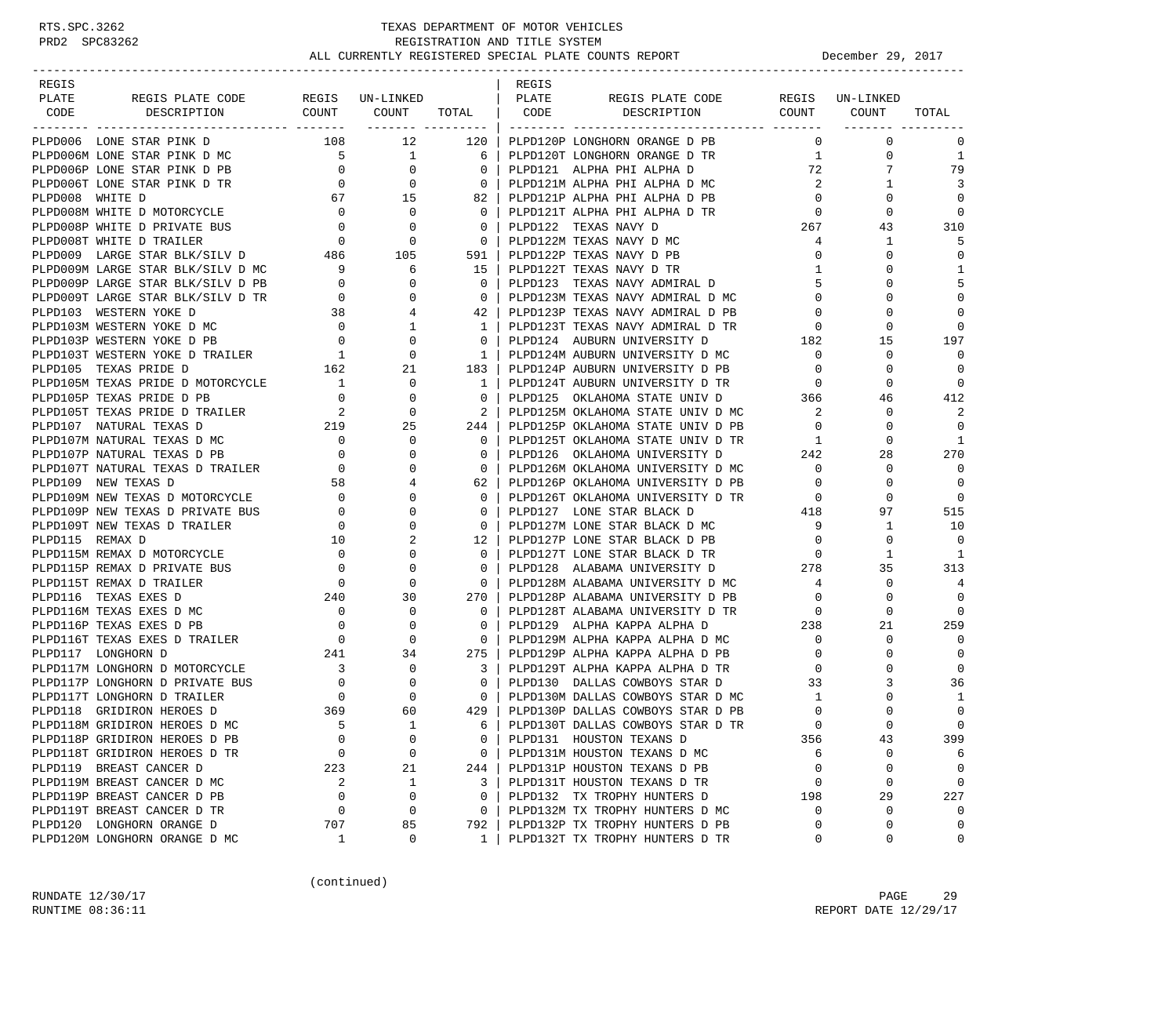| REGIS           |                                                                                                                                                                                                                                                                                                                                                                                                                  |                                                                                                                                                                                                                                                                                                                                                                                                                                                                            |                                                                           |                                        | REGIS |                                                                                                                                                                                                                                                                                                                                                                                                                                                                                         |                                     |                                  |                         |
|-----------------|------------------------------------------------------------------------------------------------------------------------------------------------------------------------------------------------------------------------------------------------------------------------------------------------------------------------------------------------------------------------------------------------------------------|----------------------------------------------------------------------------------------------------------------------------------------------------------------------------------------------------------------------------------------------------------------------------------------------------------------------------------------------------------------------------------------------------------------------------------------------------------------------------|---------------------------------------------------------------------------|----------------------------------------|-------|-----------------------------------------------------------------------------------------------------------------------------------------------------------------------------------------------------------------------------------------------------------------------------------------------------------------------------------------------------------------------------------------------------------------------------------------------------------------------------------------|-------------------------------------|----------------------------------|-------------------------|
| PLATE           | REGIS PLATE CODE                                                                                                                                                                                                                                                                                                                                                                                                 |                                                                                                                                                                                                                                                                                                                                                                                                                                                                            | REGIS UN-LINKED                                                           |                                        | PLATE | REGIS PLATE CODE                                                                                                                                                                                                                                                                                                                                                                                                                                                                        |                                     | REGIS UN-LINKED                  |                         |
| CODE            | DESCRIPTION                                                                                                                                                                                                                                                                                                                                                                                                      |                                                                                                                                                                                                                                                                                                                                                                                                                                                                            |                                                                           |                                        |       | COUNT COUNT TOTAL   CODE DESCRIPTION COUNT COUNT                                                                                                                                                                                                                                                                                                                                                                                                                                        |                                     |                                  | TOTAL                   |
|                 | PLPD006 LONE STAR PINK D                                                                                                                                                                                                                                                                                                                                                                                         | 108                                                                                                                                                                                                                                                                                                                                                                                                                                                                        | 12                                                                        | 120                                    |       | PLPD120P LONGHORN ORANGE D PB                                                                                                                                                                                                                                                                                                                                                                                                                                                           |                                     | $0 \qquad \qquad$<br>$\mathbf 0$ | $\mathbf 0$             |
|                 | PLPD006M LONE STAR PINK D MC                                                                                                                                                                                                                                                                                                                                                                                     |                                                                                                                                                                                                                                                                                                                                                                                                                                                                            | $\begin{bmatrix} 5 & 1 & 6 \\ 0 & 0 & 0 \\ 0 & 0 & 0 \end{bmatrix}$       |                                        |       | PLPD120T LONGHORN ORANGE D TR                                                                                                                                                                                                                                                                                                                                                                                                                                                           | 1                                   | 0                                | 1                       |
|                 | PLPD006P LONE STAR PINK D PB                                                                                                                                                                                                                                                                                                                                                                                     |                                                                                                                                                                                                                                                                                                                                                                                                                                                                            |                                                                           |                                        |       | PLPD121 ALPHA PHI ALPHA D                                                                                                                                                                                                                                                                                                                                                                                                                                                               | 72                                  |                                  | 79                      |
|                 | PLPD006T LONE STAR PINK D TR                                                                                                                                                                                                                                                                                                                                                                                     |                                                                                                                                                                                                                                                                                                                                                                                                                                                                            |                                                                           |                                        |       | PLPD121M ALPHA PHI ALPHA D MC                                                                                                                                                                                                                                                                                                                                                                                                                                                           | $\overline{2}$                      | 1                                | 3                       |
| PLPD008 WHITE D |                                                                                                                                                                                                                                                                                                                                                                                                                  |                                                                                                                                                                                                                                                                                                                                                                                                                                                                            |                                                                           | 82                                     |       | PLPD121P ALPHA PHI ALPHA D PB                                                                                                                                                                                                                                                                                                                                                                                                                                                           | $\overline{0}$                      | 0                                | $\Omega$                |
|                 | PLPD008M WHITE D MOTORCYCLE                                                                                                                                                                                                                                                                                                                                                                                      | $\begin{array}{ccc} 67 & \hspace{1.5cm} 15 \\ \hspace{1.5cm} 0 & \hspace{1.5cm} 0 \end{array}$                                                                                                                                                                                                                                                                                                                                                                             |                                                                           | $\overline{0}$                         |       | PLPD121T ALPHA PHI ALPHA D TR                                                                                                                                                                                                                                                                                                                                                                                                                                                           | $\overline{0}$                      | $\Omega$                         | $\mathbf 0$             |
|                 |                                                                                                                                                                                                                                                                                                                                                                                                                  |                                                                                                                                                                                                                                                                                                                                                                                                                                                                            |                                                                           | $\overline{0}$                         |       | PLPD122 TEXAS NAVY D                                                                                                                                                                                                                                                                                                                                                                                                                                                                    | 267                                 | 43                               | 310                     |
|                 |                                                                                                                                                                                                                                                                                                                                                                                                                  |                                                                                                                                                                                                                                                                                                                                                                                                                                                                            |                                                                           | $\overline{0}$                         |       | PLPD122M TEXAS NAVY D MC                                                                                                                                                                                                                                                                                                                                                                                                                                                                | 4                                   | $\mathbf{1}$                     | 5                       |
|                 | PLPD008P WHITE D PRIVATE BUS<br>PLPD008T WHITE D TRAILER<br>PLPD009 LARGE STAR BLK/SILV D<br>PLPD009M LABGE STAR BLK/SILV D<br>PLPD009M LABGE STAR BLK/SILV D<br>PLPD009M LABGE STAR BLK/SILV D                                                                                                                                                                                                                  |                                                                                                                                                                                                                                                                                                                                                                                                                                                                            |                                                                           | 591                                    |       | PLPD122P TEXAS NAVY D PB                                                                                                                                                                                                                                                                                                                                                                                                                                                                | $\overline{0}$                      | $\Omega$                         | $\mathbf 0$             |
|                 | PLPD009M LARGE STAR BLK/SILV D MC 9<br>PLPD009P LARGE STAR BLK/SILV D PB 0                                                                                                                                                                                                                                                                                                                                       |                                                                                                                                                                                                                                                                                                                                                                                                                                                                            | 6                                                                         | 15                                     |       | PLPD122T TEXAS NAVY D TR                                                                                                                                                                                                                                                                                                                                                                                                                                                                | $\mathbf{1}$                        | 0                                | 1                       |
|                 |                                                                                                                                                                                                                                                                                                                                                                                                                  |                                                                                                                                                                                                                                                                                                                                                                                                                                                                            | $\mathbf 0$                                                               | $\overline{0}$                         |       | PLPD123 TEXAS NAVY ADMIRAL D                                                                                                                                                                                                                                                                                                                                                                                                                                                            | 5                                   | O                                | 5                       |
|                 | PLPD009T LARGE STAR BLK/SILV D TR                                                                                                                                                                                                                                                                                                                                                                                |                                                                                                                                                                                                                                                                                                                                                                                                                                                                            |                                                                           | $\overline{0}$                         |       | PLPD123M TEXAS NAVY ADMIRAL D MC                                                                                                                                                                                                                                                                                                                                                                                                                                                        | $\overline{0}$                      | $\Omega$                         | $\mathbf 0$             |
|                 | PLPD103 WESTERN YOKE D                                                                                                                                                                                                                                                                                                                                                                                           |                                                                                                                                                                                                                                                                                                                                                                                                                                                                            |                                                                           | 42                                     |       | PLPD123P TEXAS NAVY ADMIRAL D PB                                                                                                                                                                                                                                                                                                                                                                                                                                                        | $\mathbf{0}$                        |                                  | $\Omega$                |
|                 | PLPD103M WESTERN YOKE D MC                                                                                                                                                                                                                                                                                                                                                                                       |                                                                                                                                                                                                                                                                                                                                                                                                                                                                            |                                                                           | 1                                      |       | PLPD123T TEXAS NAVY ADMIRAL D TR                                                                                                                                                                                                                                                                                                                                                                                                                                                        | $\circ$                             | $\Omega$                         | $\Omega$                |
|                 | PLPD103P WESTERN YOKE D PB                                                                                                                                                                                                                                                                                                                                                                                       |                                                                                                                                                                                                                                                                                                                                                                                                                                                                            |                                                                           | $\Omega$                               |       | PLPD124 AUBURN UNIVERSITY D                                                                                                                                                                                                                                                                                                                                                                                                                                                             | $\frac{182}{1}$                     | 15                               | 197                     |
|                 | PLPD103T WESTERN YOKE D TRAILER                                                                                                                                                                                                                                                                                                                                                                                  |                                                                                                                                                                                                                                                                                                                                                                                                                                                                            |                                                                           | $\mathbf{1}$                           |       | PLPD124M AUBURN UNIVERSITY D MC                                                                                                                                                                                                                                                                                                                                                                                                                                                         | $\overline{0}$                      | 0                                | $\Omega$                |
|                 | SILV D PB<br>SILV D TR<br>$\begin{array}{ccccccc}\n\text{SILV} & \text{D} & \text{PB} & & & 0 & & 0 \\ & & & & & & & 0 & & 0 \\ & & & & & & & 0 & & 0 \\ \text{MC} & & & & & & 0 & & 0 \\ & & & & & & & 0 & & 0 \\ \text{PB} & & & & & & 0 & & 0 \\ & & & & & & & 1 & & 0 \\ \text{TRAILER} & & & & & 1 & & 0 \\ & & & & & & 1 & & 0 & & 0 \\ & & & & & & & 1 & & 0 & & 0\n\end{array}$<br>PLPD105 TEXAS PRIDE D |                                                                                                                                                                                                                                                                                                                                                                                                                                                                            |                                                                           | 183                                    |       | PLPD124P AUBURN UNIVERSITY D PB                                                                                                                                                                                                                                                                                                                                                                                                                                                         | $\overline{0}$                      | 0                                | $\Omega$                |
|                 |                                                                                                                                                                                                                                                                                                                                                                                                                  |                                                                                                                                                                                                                                                                                                                                                                                                                                                                            |                                                                           | 1                                      |       | PLPD124T AUBURN UNIVERSITY D TR                                                                                                                                                                                                                                                                                                                                                                                                                                                         | $\overline{0}$                      | 0                                | $\Omega$                |
|                 |                                                                                                                                                                                                                                                                                                                                                                                                                  |                                                                                                                                                                                                                                                                                                                                                                                                                                                                            |                                                                           | $\bigcirc$                             |       | PLPD125 OKLAHOMA STATE UNIV D 366                                                                                                                                                                                                                                                                                                                                                                                                                                                       |                                     | 46                               | 412                     |
|                 |                                                                                                                                                                                                                                                                                                                                                                                                                  |                                                                                                                                                                                                                                                                                                                                                                                                                                                                            |                                                                           | $\begin{array}{ccc} & 2 & \end{array}$ |       | PLPD125M OKLAHOMA STATE UNIV D MC<br>PLPD125P OKLAHOMA STATE UNIV D PB                                                                                                                                                                                                                                                                                                                                                                                                                  | $\overline{\phantom{a}}$            | 0                                | 2                       |
|                 | PLPD105M TEXAS PRIDE D MOTORCYCLE 1<br>PLPD105P TEXAS PRIDE D PB 0 0 0<br>PLPD105T TEXAS PRIDE D TRAILER 2 0<br>PLPD107 NATURAL TEXAS D 219 25                                                                                                                                                                                                                                                                   |                                                                                                                                                                                                                                                                                                                                                                                                                                                                            |                                                                           | 244                                    |       |                                                                                                                                                                                                                                                                                                                                                                                                                                                                                         | $\overline{0}$                      | $\Omega$                         | $\mathbf 0$             |
|                 | PLPD107M NATURAL TEXAS D MC                                                                                                                                                                                                                                                                                                                                                                                      |                                                                                                                                                                                                                                                                                                                                                                                                                                                                            | $\mathbf{0}$                                                              | $\overline{\mathbf{0}}$                |       |                                                                                                                                                                                                                                                                                                                                                                                                                                                                                         |                                     | 0                                | 1                       |
|                 | PLPD107P NATURAL TEXAS D PB                                                                                                                                                                                                                                                                                                                                                                                      | $\begin{array}{ccc} & & & \multicolumn{2}{c}{\begin{array}{ccc} \multicolumn{2}{c}{\begin{array}{c} \multicolumn{2}{c}{\text{1}} & \multicolumn{2}{c}{\text{1}} & \multicolumn{2}{c}{\text{1}} & \multicolumn{2}{c}{\text{1}} \\ \multicolumn{2}{c}{\text{1}} & & & 0 \\ & & & 0 \\ & & & 0 \\ \multicolumn{2}{c}{\text{1}} & & 0 \\ & & & 58 \\ \multicolumn{2}{c}{\text{2}} & & 0 \\ & & & 58 \\ \multicolumn{2}{c}{\text{NIE}} & & 0 \\ & & & \multicolumn{2}{c}{\text$ | $\mathbf 0$                                                               | $\mathbf{0}$                           |       |                                                                                                                                                                                                                                                                                                                                                                                                                                                                                         |                                     | 28                               | 270                     |
|                 | PLPD107T NATURAL TEXAS D TRAILER                                                                                                                                                                                                                                                                                                                                                                                 |                                                                                                                                                                                                                                                                                                                                                                                                                                                                            | $\Omega$                                                                  | $\Omega$                               |       |                                                                                                                                                                                                                                                                                                                                                                                                                                                                                         |                                     | $\Omega$                         | $\Omega$                |
|                 | PLPD109 NEW TEXAS D                                                                                                                                                                                                                                                                                                                                                                                              |                                                                                                                                                                                                                                                                                                                                                                                                                                                                            | 4                                                                         | 62                                     |       |                                                                                                                                                                                                                                                                                                                                                                                                                                                                                         | $\overline{0}$                      | 0                                | $\Omega$                |
|                 | PLPD109M NEW TEXAS D MOTORCYCLE                                                                                                                                                                                                                                                                                                                                                                                  |                                                                                                                                                                                                                                                                                                                                                                                                                                                                            | $\Omega$                                                                  | $\Omega$                               |       | PLPD126P OKLAHOMA UNIVERSITY D PB<br>PLPD126T OKLAHOMA UNIVERSITY D TR<br>PLPD127 LONE STAR BLACK D 418                                                                                                                                                                                                                                                                                                                                                                                 |                                     | $\Omega$                         | $\mathbf 0$             |
|                 | PLPD109P NEW TEXAS D PRIVATE BUS                                                                                                                                                                                                                                                                                                                                                                                 |                                                                                                                                                                                                                                                                                                                                                                                                                                                                            | 0                                                                         | $\mathbf 0$                            |       |                                                                                                                                                                                                                                                                                                                                                                                                                                                                                         |                                     | 97                               | 515                     |
|                 | PLPD109T NEW TEXAS D TRAILER                                                                                                                                                                                                                                                                                                                                                                                     |                                                                                                                                                                                                                                                                                                                                                                                                                                                                            | $\mathbf 0$                                                               | $\overline{0}$                         |       | PLPD127M LONE STAR BLACK D MC                                                                                                                                                                                                                                                                                                                                                                                                                                                           | 9                                   | $\mathbf{1}$                     | 10                      |
| PLPD115 REMAX D |                                                                                                                                                                                                                                                                                                                                                                                                                  | $\begin{array}{c} 0 \\ 0 \\ 0 \\ 10 \end{array}$                                                                                                                                                                                                                                                                                                                                                                                                                           | 2                                                                         | 12 l                                   |       | PLPD127P LONE STAR BLACK D PB 0                                                                                                                                                                                                                                                                                                                                                                                                                                                         |                                     | $\Omega$                         | $\Omega$                |
|                 | PLPD115M REMAX D MOTORCYCLE                                                                                                                                                                                                                                                                                                                                                                                      |                                                                                                                                                                                                                                                                                                                                                                                                                                                                            | $\begin{array}{c} 0 \\ 0 \\ 0 \end{array}$<br>0                           | $\Omega$                               |       | PLPD127T LONE STAR BLACK D TR                                                                                                                                                                                                                                                                                                                                                                                                                                                           | $\begin{array}{c}0\\278\end{array}$ | 1                                | $\overline{1}$          |
|                 | PLPD115P REMAX D PRIVATE BUS                                                                                                                                                                                                                                                                                                                                                                                     |                                                                                                                                                                                                                                                                                                                                                                                                                                                                            | $\mathbf 0$                                                               | $\Omega$                               |       | PLPD128 ALABAMA UNIVERSITY D                                                                                                                                                                                                                                                                                                                                                                                                                                                            |                                     | 35                               | 313                     |
|                 | PLPD115T REMAX D TRAILER                                                                                                                                                                                                                                                                                                                                                                                         | $\overline{0}$                                                                                                                                                                                                                                                                                                                                                                                                                                                             | $\mathbf 0$                                                               | $\overline{0}$                         |       | PLPD128M ALABAMA UNIVERSITY D MC 4                                                                                                                                                                                                                                                                                                                                                                                                                                                      |                                     | 0                                | 4                       |
|                 | PLPD116 TEXAS EXES D                                                                                                                                                                                                                                                                                                                                                                                             | 240                                                                                                                                                                                                                                                                                                                                                                                                                                                                        | 30                                                                        | 270                                    |       | PLPD128P ALABAMA UNIVERSITY D PB                                                                                                                                                                                                                                                                                                                                                                                                                                                        | $\overline{0}$                      | $\Omega$                         | $\Omega$                |
|                 | PLPD116M TEXAS EXES D MC                                                                                                                                                                                                                                                                                                                                                                                         | $\overline{\phantom{0}}$                                                                                                                                                                                                                                                                                                                                                                                                                                                   | $\mathbf{0}$                                                              | $\Omega$                               |       | PLPD128T ALABAMA UNIVERSITY D TR                                                                                                                                                                                                                                                                                                                                                                                                                                                        | $\overline{0}$                      | $\Omega$                         | $\Omega$                |
|                 | PLPD116P TEXAS EXES D PB                                                                                                                                                                                                                                                                                                                                                                                         |                                                                                                                                                                                                                                                                                                                                                                                                                                                                            |                                                                           | $\mathbf 0$                            |       |                                                                                                                                                                                                                                                                                                                                                                                                                                                                                         |                                     | 21                               | 259                     |
|                 | PLPD116T TEXAS EXES D TRAILER<br>in The Company of the Company<br>The Company of the Company of the Company of the Company of the Company of the Company of the Company of the C<br>The Company of the Company of the Company of the Company of the Company of the Co                                                                                                                                            |                                                                                                                                                                                                                                                                                                                                                                                                                                                                            | $\begin{array}{ccc} 0 & 0 \ 0 & 0 \ 241 & 34 \ 3 & 0 \ 0 & 0 \end{array}$ | $\overline{0}$                         |       | $\begin{tabular}{lllllllll} \multicolumn{2}{c}{\begin{tabular}{l} \multicolumn{2}{c}{\multicolumn{2}{c}{\multicolumn{2}{c}{\multicolumn{2}{c}{\multicolumn{2}{c}{\multicolumn{2}{c}{\multicolumn{2}{c}{\multicolumn{2}{c}{\multicolumn{2}{c}{\multicolumn{2}{c}{\multicolumn{2}{c}{\multicolumn{2}{c}{\multicolumn{2}{c}{\multicolumn{2}{c}{\multicolumn{2}{c}{\multicolumn{2}{c}{\multicolumn{2}{c}{\multicolumn{2}{c}{\multicolumn{2}{c}{\multicolumn{2}{c}{\multicolumn{2}{c}{\mult$ |                                     | $\Omega$                         | $\Omega$                |
|                 | PLPD117 LONGHORN D                                                                                                                                                                                                                                                                                                                                                                                               |                                                                                                                                                                                                                                                                                                                                                                                                                                                                            |                                                                           | 275                                    |       | PLPD129P ALPHA KAPPA ALPHA D PB                                                                                                                                                                                                                                                                                                                                                                                                                                                         |                                     | 0                                | $\mathbf 0$             |
|                 | PLPD117M LONGHORN D MOTORCYCLE                                                                                                                                                                                                                                                                                                                                                                                   |                                                                                                                                                                                                                                                                                                                                                                                                                                                                            |                                                                           | 3                                      |       | PLPD129T ALPHA KAPPA ALPHA D TR                                                                                                                                                                                                                                                                                                                                                                                                                                                         | $\overline{0}$                      |                                  | $\Omega$                |
|                 | PLPD117P LONGHORN D PRIVATE BUS                                                                                                                                                                                                                                                                                                                                                                                  |                                                                                                                                                                                                                                                                                                                                                                                                                                                                            |                                                                           | $\overline{0}$                         |       | PLPD130 DALLAS COWBOYS STAR D                                                                                                                                                                                                                                                                                                                                                                                                                                                           | 33                                  | 3                                | 36                      |
|                 | PLPD117T LONGHORN D TRAILER                                                                                                                                                                                                                                                                                                                                                                                      | $\begin{array}{c}0\\369\end{array}$                                                                                                                                                                                                                                                                                                                                                                                                                                        | $\mathbf{0}$                                                              | $\overline{0}$                         |       | PLPD130M DALLAS COWBOYS STAR D MC<br>PLPD130P DALLAS COWBOYS STAR D PB                                                                                                                                                                                                                                                                                                                                                                                                                  | 1                                   | 0                                | 1                       |
|                 | PLPD118 GRIDIRON HEROES D                                                                                                                                                                                                                                                                                                                                                                                        | 5                                                                                                                                                                                                                                                                                                                                                                                                                                                                          | 60<br>$\overline{1}$                                                      | 429                                    |       | PLPD130P DALLAS COWBOYS STAR D PB                                                                                                                                                                                                                                                                                                                                                                                                                                                       | $\mathbf 0$<br>$\Omega$             | $\Omega$                         | $\mathbf 0$<br>$\Omega$ |
|                 | PLPD118M GRIDIRON HEROES D MC                                                                                                                                                                                                                                                                                                                                                                                    | $\mathbf 0$                                                                                                                                                                                                                                                                                                                                                                                                                                                                | 0                                                                         | 6<br>0                                 |       | PLPD130T DALLAS COWBOYS STAR D TR                                                                                                                                                                                                                                                                                                                                                                                                                                                       | 356                                 | 43                               | 399                     |
|                 | PLPD118P GRIDIRON HEROES D PB                                                                                                                                                                                                                                                                                                                                                                                    | 0                                                                                                                                                                                                                                                                                                                                                                                                                                                                          | $\mathbf 0$                                                               | 0                                      |       | PLPD131 HOUSTON TEXANS D                                                                                                                                                                                                                                                                                                                                                                                                                                                                |                                     | $\mathbf 0$                      | 6                       |
|                 | PLPD118T GRIDIRON HEROES D TR<br>PLPD119 BREAST CANCER D                                                                                                                                                                                                                                                                                                                                                         | 223                                                                                                                                                                                                                                                                                                                                                                                                                                                                        | 21                                                                        | 244                                    |       | PLPD131M HOUSTON TEXANS D MC<br>PLPD131P HOUSTON TEXANS D PB                                                                                                                                                                                                                                                                                                                                                                                                                            | 6<br>0                              | 0                                | $\mathbf 0$             |
|                 | PLPD119M BREAST CANCER D MC                                                                                                                                                                                                                                                                                                                                                                                      | 2                                                                                                                                                                                                                                                                                                                                                                                                                                                                          | 1                                                                         | 3                                      |       | PLPD131T HOUSTON TEXANS D TR                                                                                                                                                                                                                                                                                                                                                                                                                                                            | $\mathbf 0$                         | $\mathbf 0$                      | $\mathbf 0$             |
|                 | PLPD119P BREAST CANCER D PB                                                                                                                                                                                                                                                                                                                                                                                      | 0                                                                                                                                                                                                                                                                                                                                                                                                                                                                          | 0                                                                         | 0                                      |       | PLPD132 TX TROPHY HUNTERS D                                                                                                                                                                                                                                                                                                                                                                                                                                                             | 198                                 | 29                               | 227                     |
|                 | PLPD119T BREAST CANCER D TR                                                                                                                                                                                                                                                                                                                                                                                      | 0                                                                                                                                                                                                                                                                                                                                                                                                                                                                          | 0                                                                         | 0                                      |       | PLPD132M TX TROPHY HUNTERS D MC                                                                                                                                                                                                                                                                                                                                                                                                                                                         | 0                                   | $\mathbf 0$                      | $\mathbf 0$             |
|                 | PLPD120 LONGHORN ORANGE D                                                                                                                                                                                                                                                                                                                                                                                        | 707                                                                                                                                                                                                                                                                                                                                                                                                                                                                        | 85                                                                        | 792                                    |       | PLPD132P TX TROPHY HUNTERS D PB                                                                                                                                                                                                                                                                                                                                                                                                                                                         | $\Omega$                            | $\mathbf 0$                      | 0                       |
|                 | PLPD120M LONGHORN ORANGE D MC                                                                                                                                                                                                                                                                                                                                                                                    | 1                                                                                                                                                                                                                                                                                                                                                                                                                                                                          | 0                                                                         | $\mathbf{1}$                           |       | PLPD132T TX TROPHY HUNTERS D TR                                                                                                                                                                                                                                                                                                                                                                                                                                                         | 0                                   | 0                                | 0                       |
|                 |                                                                                                                                                                                                                                                                                                                                                                                                                  |                                                                                                                                                                                                                                                                                                                                                                                                                                                                            |                                                                           |                                        |       |                                                                                                                                                                                                                                                                                                                                                                                                                                                                                         |                                     |                                  |                         |

(continued)

RUNDATE 12/30/17 PAGE 29 RUNTIME 08:36:11 REPORT DATE 12/29/17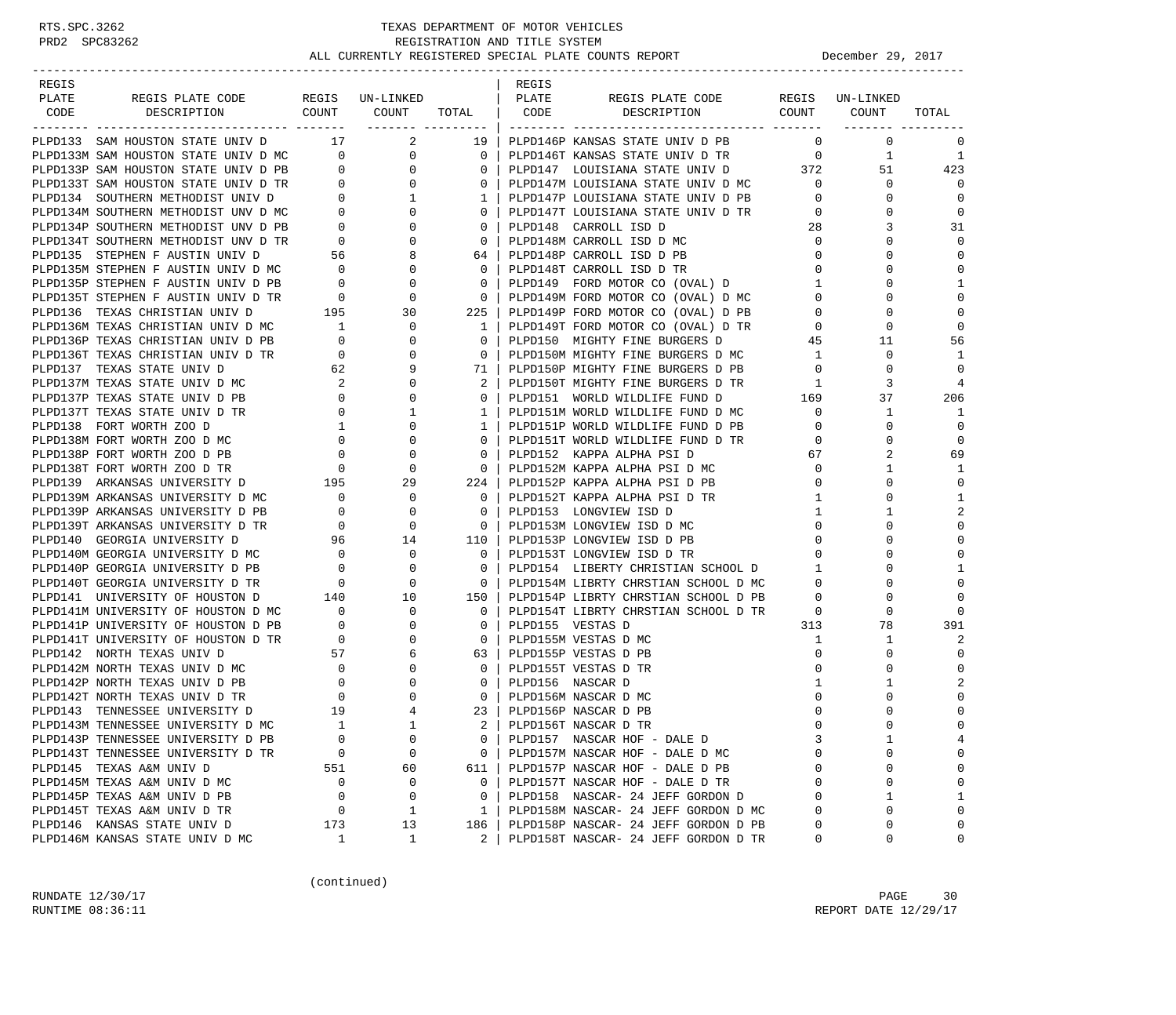| REGIS PLATE CODE REGIS UN-LINKED<br>  PLATE<br>PLATE<br>REGIS PLATE CODE<br>REGIS UN-LINKED<br>COUNT COUNT<br>DESCRIPTION COUNT COUNT<br>TOTAL   CODE<br>TOTAL<br>CODE<br>DESCRIPTION<br>.cccccc coordinary   continue coordinated coordinated coordina<br>---------- -------<br>----------------<br>PLPD133 SAM HOUSTON STATE UNIV D 17 2 19   PLPD146P KANSAS STATE UNIV D PB<br>$\mathbf{0}$<br>$\Omega$<br>0<br>PLPD133 SAM HOUSTON STATE UNIV D $17$<br>PLPD133 SAM HOUSTON STATE UNIV D PL $0$<br>PLPD133P SAM HOUSTON STATE UNIV D PB $0$<br>PLPD133P SAM HOUSTON STATE UNIV D PB $0$<br>PLPD133P SAM HOUSTON STATE UNIV D PB $0$<br>PLPD133P SAM HO<br>$\mathbf{1}$<br>- 1<br>51<br>423<br>$\mathbf{0}$<br>$\Omega$<br>$\mathbf 0$<br>0<br>$\mathbf 0$<br><sup>0</sup><br>31<br>3<br>$\mathbf 0$<br>$\Omega$<br>$\mathbf 0$<br>0<br>1<br>$\Omega$<br>$\Omega$<br>$\mathbf 0$<br>$\Omega$<br>PLPD136 TEXAS CHRISTIAN UNIV D<br>PLPD136M TEXAS CHRISTIAN UNIV D<br>PLPD136M TEXAS CHRISTIAN UNIV D<br>PLPD136P TEXAS CHRISTIAN UNIV D<br>PLPD136T TEXAS CHRISTIAN UNIV D<br>TED136T TEXAS CHRISTIAN UNIV D<br>TED137T TEXAS STATE UNIV D<br>$\overline{0}$<br>1   PLPD149T FORD MOTOR CO (OVAL) D TR<br>$\Omega$<br>0<br>0   PLPD150 MIGHTY FINE BURGERS D<br>56<br>45<br>11<br>0   PLPD150M MIGHTY FINE BURGERS D MC<br>$\overline{1}$<br>$\Omega$<br>1<br>$\Omega$<br>$\frac{1}{9}$<br>0   PLPD150P MIGHTY FINE BURGERS D PB<br>2   PLPD150P MIGHTY FINE BURGERS D TR<br>2   PLPD150T MIGHTY FINE BURGERS D TR<br>0   PLPD151 WORLD WILDLIFE FUND D MC<br>1   PLPD151M WORLD WILDLIFE FUND D MC<br>0<br>0<br>4<br>3<br>37<br>206<br>$\mathbf{1}$<br>1<br>PLPD151P WORLD WILDLIFE FUND D PB<br>$\mathbf 0$<br>1 <sup>1</sup><br>$\overline{0}$<br>$\Omega$<br>$\mathbf 0$<br>$\overline{0}$<br>0   PLPD151T WORLD WILDLIFE FUND D TR<br>0   PLPD152 KAPPA ALPHA PSI D<br>0<br>$\overline{0}$<br>69<br>2<br>0   PLPD152 KAPPA ALPHA PSI D<br>67<br>0   PLPD152M KAPPA ALPHA PSI D MC<br>1<br>$\mathbf 0$<br>1<br>$\mathbf 0$<br>224   PLPD152P KAPPA ALPHA PSI D PB<br>$\mathbf{0}$<br>0   PLPD152T KAPPA ALPHA PSI D TR<br>1<br>1<br>∩<br>$\overline{2}$<br>PLPD139P ARKANSAS UNIVERSITY D PB<br>$\begin{matrix} 0 & & & 0 \\ 0 & & & 0 \end{matrix}$<br>$\mathbf{1}$<br>0   PLPD153 LONGVIEW ISD D<br>1<br>$\mathbf 0$<br>$\overline{0}$<br>PLPD139T ARKANSAS UNIVERSITY D TR<br>0   PLPD153M LONGVIEW ISD D MC<br>$\Omega$<br>96 14<br>110   PLPD153P LONGVIEW ISD D PB<br>PLPD140 GEORGIA UNIVERSITY D<br>$\overline{0}$<br>$\Omega$<br>0<br>$\begin{matrix} & & & & 0 & & & & & \\ & & & & & & 0 & & & & \\ & & & & & & & 0 & & & \\ & & & & & & & 0 & & & \\ & & & & & & & 0 & & & \\ & & & & & & 140 & & & & 10 & & \\ \end{matrix}$<br>0   PLPD153T LONGVIEW ISD D TR<br>$\mathbf{0}$<br>0<br>PLPD140M GEORGIA UNIVERSITY D MC<br>0   PLPD154 LIBERTY CHRISTIAN SCHOOL D 1<br>PLPD140P GEORGIA UNIVERSITY D PB<br>1<br>$\Omega$<br>PLPD140T GEORGIA UNIVERSITY D TR<br>0   PLPD154M LIBRTY CHRSTIAN SCHOOL D MC<br>150   PLPD154P LIBRTY CHRSTIAN SCHOOL D PB<br>O   PLPD154M LIBRTY CHRSTIAN SCHOOL D PB<br>150   PLPD154P LIBRTY CHRSTIAN SCHOOL D PB<br>$\overline{0}$<br>$\Omega$<br>$\Omega$<br>PLPD141 UNIVERSITY OF HOUSTON D<br>$\overline{\phantom{0}}$<br>U<br>PLPD141M UNIVERSITY OF HOUSTON D MC 0<br>PLPD141M UNIVERSITY OF HOUSTON D MC 0<br>PLPD141P UNIVERSITY OF HOUSTON D PB 0<br>PLPD141T UNIVERSITY OF HOUSTON D TR 0<br>$\overline{0}$<br>0   PLPD154T LIBRTY CHRSTIAN SCHOOL D TR<br>$\overline{0}$<br>$\Omega$<br>$\Omega$<br>$\mathbf 0$<br>0   PLPD155 VESTAS D<br>78<br>391<br>313<br>$\mathbf{0}$<br>0   PLPD155M VESTAS D MC<br>$\mathbf{1}$<br>2<br>1<br>$\begin{bmatrix} 57 \\ 57 \\ 0 \\ 0 \\ 0 \\ 19 \\ \end{bmatrix}$<br>$\frac{6}{6}$<br>63   PLPD155P VESTAS D PB<br>$\overline{0}$<br>$\Omega$<br>PLPD142 NORTH TEXAS UNIV D<br>0<br>$\circ$<br>$\mathbf 0$<br>$\mathbf 0$<br>PLPD142M NORTH TEXAS UNIV D MC<br>0   PLPD155T VESTAS D TR<br>PLPD142P NORTH TEXAS UNIV D PB<br>$\overline{0}$<br>0   PLPD156 NASCAR D<br>2<br>1<br>1<br>0   PLPD156M NASCAR D MC<br>$\mathbf 0$<br>PLPD142T NORTH TEXAS UNIV D TR<br>$\overline{0}$<br>$\mathbf 0$<br>$\overline{4}$<br>$\mathbf 0$<br>PLPD143 TENNESSEE UNIVERSITY D<br>23   PLPD156P NASCAR D PB<br>$\Omega$<br>PLPD143M TENNESSEE UNIVERSITY D MC<br>1<br>$\Omega$<br>$\Omega$<br>$\overline{1}$<br>$2 \mid$<br>PLPD156T NASCAR D TR<br>$\Omega$<br>0<br>PLPD143P TENNESSEE UNIVERSITY D PB<br>0<br>PLPD157 NASCAR HOF - DALE D<br>3<br>1<br>4<br>0<br>PLPD143T TENNESSEE UNIVERSITY D TR<br>0<br>PLPD157M NASCAR HOF - DALE D MC<br>$\Omega$<br>0<br>0<br>O<br>$\mathbf{0}$<br>PLPD145 TEXAS A&M UNIV D<br>PLPD157P NASCAR HOF - DALE D PB<br>$\Omega$<br>0<br>551<br>60<br>611<br>0<br>PLPD145M TEXAS A&M UNIV D MC<br>0<br>PLPD157T NASCAR HOF - DALE D TR<br>$\Omega$<br>0<br>0<br>0<br>O<br>PLPD158 NASCAR- 24 JEFF GORDON D<br>PLPD145P TEXAS A&M UNIV D PB<br>0<br>0<br>$\mathbf 0$<br>O<br>1<br>1<br>$\mathbf{1}$<br>PLPD145T TEXAS A&M UNIV D TR<br>0<br>PLPD158M NASCAR- 24 JEFF GORDON D MC<br>$\Omega$<br>0<br>$\mathbf{1}$<br>0<br>PLPD146 KANSAS STATE UNIV D<br>173<br>13<br>PLPD158P NASCAR- 24 JEFF GORDON D PB<br>0<br>0<br>186<br>0<br>$\mathbf 0$<br>PLPD146M KANSAS STATE UNIV D MC<br>PLPD158T NASCAR- 24 JEFF GORDON D TR<br>0<br>2<br>0 |       |              |              |       |  |  |
|---------------------------------------------------------------------------------------------------------------------------------------------------------------------------------------------------------------------------------------------------------------------------------------------------------------------------------------------------------------------------------------------------------------------------------------------------------------------------------------------------------------------------------------------------------------------------------------------------------------------------------------------------------------------------------------------------------------------------------------------------------------------------------------------------------------------------------------------------------------------------------------------------------------------------------------------------------------------------------------------------------------------------------------------------------------------------------------------------------------------------------------------------------------------------------------------------------------------------------------------------------------------------------------------------------------------------------------------------------------------------------------------------------------------------------------------------------------------------------------------------------------------------------------------------------------------------------------------------------------------------------------------------------------------------------------------------------------------------------------------------------------------------------------------------------------------------------------------------------------------------------------------------------------------------------------------------------------------------------------------------------------------------------------------------------------------------------------------------------------------------------------------------------------------------------------------------------------------------------------------------------------------------------------------------------------------------------------------------------------------------------------------------------------------------------------------------------------------------------------------------------------------------------------------------------------------------------------------------------------------------------------------------------------------------------------------------------------------------------------------------------------------------------------------------------------------------------------------------------------------------------------------------------------------------------------------------------------------------------------------------------------------------------------------------------------------------------------------------------------------------------------------------------------------------------------------------------------------------------------------------------------------------------------------------------------------------------------------------------------------------------------------------------------------------------------------------------------------------------------------------------------------------------------------------------------------------------------------------------------------------------------------------------------------------------------------------------------------------------------------------------------------------------------------------------------------------------------------------------------------------------------------------------------------------------------------------------------------------------------------------------------------------------------------------------------------------------------------------------------------------------------------------------------------------------------------------------------------------------------------------------------------------------------------------------------------------------------------------------------------------------------------------------------------------------------------------------------------------------------------------------------------------------------------------------------------------------------------------------------------------------------------------------------------------------------------------------------------------------------------------------------------------------------------------------------------------------------------------------------------------------------------------------------------------------------------------------------------------------------------------------------------------------------------------------------------------------------------------------------------------------------------------------------------------------------------------------------------------------------------------------------------------------------------------------------------------------------------------------------------|-------|--------------|--------------|-------|--|--|
|                                                                                                                                                                                                                                                                                                                                                                                                                                                                                                                                                                                                                                                                                                                                                                                                                                                                                                                                                                                                                                                                                                                                                                                                                                                                                                                                                                                                                                                                                                                                                                                                                                                                                                                                                                                                                                                                                                                                                                                                                                                                                                                                                                                                                                                                                                                                                                                                                                                                                                                                                                                                                                                                                                                                                                                                                                                                                                                                                                                                                                                                                                                                                                                                                                                                                                                                                                                                                                                                                                                                                                                                                                                                                                                                                                                                                                                                                                                                                                                                                                                                                                                                                                                                                                                                                                                                                                                                                                                                                                                                                                                                                                                                                                                                                                                                                                                                                                                                                                                                                                                                                                                                                                                                                                                                                                                                                                     | REGIS |              |              | REGIS |  |  |
|                                                                                                                                                                                                                                                                                                                                                                                                                                                                                                                                                                                                                                                                                                                                                                                                                                                                                                                                                                                                                                                                                                                                                                                                                                                                                                                                                                                                                                                                                                                                                                                                                                                                                                                                                                                                                                                                                                                                                                                                                                                                                                                                                                                                                                                                                                                                                                                                                                                                                                                                                                                                                                                                                                                                                                                                                                                                                                                                                                                                                                                                                                                                                                                                                                                                                                                                                                                                                                                                                                                                                                                                                                                                                                                                                                                                                                                                                                                                                                                                                                                                                                                                                                                                                                                                                                                                                                                                                                                                                                                                                                                                                                                                                                                                                                                                                                                                                                                                                                                                                                                                                                                                                                                                                                                                                                                                                                     |       |              |              |       |  |  |
|                                                                                                                                                                                                                                                                                                                                                                                                                                                                                                                                                                                                                                                                                                                                                                                                                                                                                                                                                                                                                                                                                                                                                                                                                                                                                                                                                                                                                                                                                                                                                                                                                                                                                                                                                                                                                                                                                                                                                                                                                                                                                                                                                                                                                                                                                                                                                                                                                                                                                                                                                                                                                                                                                                                                                                                                                                                                                                                                                                                                                                                                                                                                                                                                                                                                                                                                                                                                                                                                                                                                                                                                                                                                                                                                                                                                                                                                                                                                                                                                                                                                                                                                                                                                                                                                                                                                                                                                                                                                                                                                                                                                                                                                                                                                                                                                                                                                                                                                                                                                                                                                                                                                                                                                                                                                                                                                                                     |       |              |              |       |  |  |
|                                                                                                                                                                                                                                                                                                                                                                                                                                                                                                                                                                                                                                                                                                                                                                                                                                                                                                                                                                                                                                                                                                                                                                                                                                                                                                                                                                                                                                                                                                                                                                                                                                                                                                                                                                                                                                                                                                                                                                                                                                                                                                                                                                                                                                                                                                                                                                                                                                                                                                                                                                                                                                                                                                                                                                                                                                                                                                                                                                                                                                                                                                                                                                                                                                                                                                                                                                                                                                                                                                                                                                                                                                                                                                                                                                                                                                                                                                                                                                                                                                                                                                                                                                                                                                                                                                                                                                                                                                                                                                                                                                                                                                                                                                                                                                                                                                                                                                                                                                                                                                                                                                                                                                                                                                                                                                                                                                     |       |              |              |       |  |  |
|                                                                                                                                                                                                                                                                                                                                                                                                                                                                                                                                                                                                                                                                                                                                                                                                                                                                                                                                                                                                                                                                                                                                                                                                                                                                                                                                                                                                                                                                                                                                                                                                                                                                                                                                                                                                                                                                                                                                                                                                                                                                                                                                                                                                                                                                                                                                                                                                                                                                                                                                                                                                                                                                                                                                                                                                                                                                                                                                                                                                                                                                                                                                                                                                                                                                                                                                                                                                                                                                                                                                                                                                                                                                                                                                                                                                                                                                                                                                                                                                                                                                                                                                                                                                                                                                                                                                                                                                                                                                                                                                                                                                                                                                                                                                                                                                                                                                                                                                                                                                                                                                                                                                                                                                                                                                                                                                                                     |       |              |              |       |  |  |
|                                                                                                                                                                                                                                                                                                                                                                                                                                                                                                                                                                                                                                                                                                                                                                                                                                                                                                                                                                                                                                                                                                                                                                                                                                                                                                                                                                                                                                                                                                                                                                                                                                                                                                                                                                                                                                                                                                                                                                                                                                                                                                                                                                                                                                                                                                                                                                                                                                                                                                                                                                                                                                                                                                                                                                                                                                                                                                                                                                                                                                                                                                                                                                                                                                                                                                                                                                                                                                                                                                                                                                                                                                                                                                                                                                                                                                                                                                                                                                                                                                                                                                                                                                                                                                                                                                                                                                                                                                                                                                                                                                                                                                                                                                                                                                                                                                                                                                                                                                                                                                                                                                                                                                                                                                                                                                                                                                     |       |              |              |       |  |  |
|                                                                                                                                                                                                                                                                                                                                                                                                                                                                                                                                                                                                                                                                                                                                                                                                                                                                                                                                                                                                                                                                                                                                                                                                                                                                                                                                                                                                                                                                                                                                                                                                                                                                                                                                                                                                                                                                                                                                                                                                                                                                                                                                                                                                                                                                                                                                                                                                                                                                                                                                                                                                                                                                                                                                                                                                                                                                                                                                                                                                                                                                                                                                                                                                                                                                                                                                                                                                                                                                                                                                                                                                                                                                                                                                                                                                                                                                                                                                                                                                                                                                                                                                                                                                                                                                                                                                                                                                                                                                                                                                                                                                                                                                                                                                                                                                                                                                                                                                                                                                                                                                                                                                                                                                                                                                                                                                                                     |       |              |              |       |  |  |
|                                                                                                                                                                                                                                                                                                                                                                                                                                                                                                                                                                                                                                                                                                                                                                                                                                                                                                                                                                                                                                                                                                                                                                                                                                                                                                                                                                                                                                                                                                                                                                                                                                                                                                                                                                                                                                                                                                                                                                                                                                                                                                                                                                                                                                                                                                                                                                                                                                                                                                                                                                                                                                                                                                                                                                                                                                                                                                                                                                                                                                                                                                                                                                                                                                                                                                                                                                                                                                                                                                                                                                                                                                                                                                                                                                                                                                                                                                                                                                                                                                                                                                                                                                                                                                                                                                                                                                                                                                                                                                                                                                                                                                                                                                                                                                                                                                                                                                                                                                                                                                                                                                                                                                                                                                                                                                                                                                     |       |              |              |       |  |  |
|                                                                                                                                                                                                                                                                                                                                                                                                                                                                                                                                                                                                                                                                                                                                                                                                                                                                                                                                                                                                                                                                                                                                                                                                                                                                                                                                                                                                                                                                                                                                                                                                                                                                                                                                                                                                                                                                                                                                                                                                                                                                                                                                                                                                                                                                                                                                                                                                                                                                                                                                                                                                                                                                                                                                                                                                                                                                                                                                                                                                                                                                                                                                                                                                                                                                                                                                                                                                                                                                                                                                                                                                                                                                                                                                                                                                                                                                                                                                                                                                                                                                                                                                                                                                                                                                                                                                                                                                                                                                                                                                                                                                                                                                                                                                                                                                                                                                                                                                                                                                                                                                                                                                                                                                                                                                                                                                                                     |       |              |              |       |  |  |
|                                                                                                                                                                                                                                                                                                                                                                                                                                                                                                                                                                                                                                                                                                                                                                                                                                                                                                                                                                                                                                                                                                                                                                                                                                                                                                                                                                                                                                                                                                                                                                                                                                                                                                                                                                                                                                                                                                                                                                                                                                                                                                                                                                                                                                                                                                                                                                                                                                                                                                                                                                                                                                                                                                                                                                                                                                                                                                                                                                                                                                                                                                                                                                                                                                                                                                                                                                                                                                                                                                                                                                                                                                                                                                                                                                                                                                                                                                                                                                                                                                                                                                                                                                                                                                                                                                                                                                                                                                                                                                                                                                                                                                                                                                                                                                                                                                                                                                                                                                                                                                                                                                                                                                                                                                                                                                                                                                     |       |              |              |       |  |  |
|                                                                                                                                                                                                                                                                                                                                                                                                                                                                                                                                                                                                                                                                                                                                                                                                                                                                                                                                                                                                                                                                                                                                                                                                                                                                                                                                                                                                                                                                                                                                                                                                                                                                                                                                                                                                                                                                                                                                                                                                                                                                                                                                                                                                                                                                                                                                                                                                                                                                                                                                                                                                                                                                                                                                                                                                                                                                                                                                                                                                                                                                                                                                                                                                                                                                                                                                                                                                                                                                                                                                                                                                                                                                                                                                                                                                                                                                                                                                                                                                                                                                                                                                                                                                                                                                                                                                                                                                                                                                                                                                                                                                                                                                                                                                                                                                                                                                                                                                                                                                                                                                                                                                                                                                                                                                                                                                                                     |       |              |              |       |  |  |
|                                                                                                                                                                                                                                                                                                                                                                                                                                                                                                                                                                                                                                                                                                                                                                                                                                                                                                                                                                                                                                                                                                                                                                                                                                                                                                                                                                                                                                                                                                                                                                                                                                                                                                                                                                                                                                                                                                                                                                                                                                                                                                                                                                                                                                                                                                                                                                                                                                                                                                                                                                                                                                                                                                                                                                                                                                                                                                                                                                                                                                                                                                                                                                                                                                                                                                                                                                                                                                                                                                                                                                                                                                                                                                                                                                                                                                                                                                                                                                                                                                                                                                                                                                                                                                                                                                                                                                                                                                                                                                                                                                                                                                                                                                                                                                                                                                                                                                                                                                                                                                                                                                                                                                                                                                                                                                                                                                     |       |              |              |       |  |  |
|                                                                                                                                                                                                                                                                                                                                                                                                                                                                                                                                                                                                                                                                                                                                                                                                                                                                                                                                                                                                                                                                                                                                                                                                                                                                                                                                                                                                                                                                                                                                                                                                                                                                                                                                                                                                                                                                                                                                                                                                                                                                                                                                                                                                                                                                                                                                                                                                                                                                                                                                                                                                                                                                                                                                                                                                                                                                                                                                                                                                                                                                                                                                                                                                                                                                                                                                                                                                                                                                                                                                                                                                                                                                                                                                                                                                                                                                                                                                                                                                                                                                                                                                                                                                                                                                                                                                                                                                                                                                                                                                                                                                                                                                                                                                                                                                                                                                                                                                                                                                                                                                                                                                                                                                                                                                                                                                                                     |       |              |              |       |  |  |
|                                                                                                                                                                                                                                                                                                                                                                                                                                                                                                                                                                                                                                                                                                                                                                                                                                                                                                                                                                                                                                                                                                                                                                                                                                                                                                                                                                                                                                                                                                                                                                                                                                                                                                                                                                                                                                                                                                                                                                                                                                                                                                                                                                                                                                                                                                                                                                                                                                                                                                                                                                                                                                                                                                                                                                                                                                                                                                                                                                                                                                                                                                                                                                                                                                                                                                                                                                                                                                                                                                                                                                                                                                                                                                                                                                                                                                                                                                                                                                                                                                                                                                                                                                                                                                                                                                                                                                                                                                                                                                                                                                                                                                                                                                                                                                                                                                                                                                                                                                                                                                                                                                                                                                                                                                                                                                                                                                     |       |              |              |       |  |  |
|                                                                                                                                                                                                                                                                                                                                                                                                                                                                                                                                                                                                                                                                                                                                                                                                                                                                                                                                                                                                                                                                                                                                                                                                                                                                                                                                                                                                                                                                                                                                                                                                                                                                                                                                                                                                                                                                                                                                                                                                                                                                                                                                                                                                                                                                                                                                                                                                                                                                                                                                                                                                                                                                                                                                                                                                                                                                                                                                                                                                                                                                                                                                                                                                                                                                                                                                                                                                                                                                                                                                                                                                                                                                                                                                                                                                                                                                                                                                                                                                                                                                                                                                                                                                                                                                                                                                                                                                                                                                                                                                                                                                                                                                                                                                                                                                                                                                                                                                                                                                                                                                                                                                                                                                                                                                                                                                                                     |       |              |              |       |  |  |
|                                                                                                                                                                                                                                                                                                                                                                                                                                                                                                                                                                                                                                                                                                                                                                                                                                                                                                                                                                                                                                                                                                                                                                                                                                                                                                                                                                                                                                                                                                                                                                                                                                                                                                                                                                                                                                                                                                                                                                                                                                                                                                                                                                                                                                                                                                                                                                                                                                                                                                                                                                                                                                                                                                                                                                                                                                                                                                                                                                                                                                                                                                                                                                                                                                                                                                                                                                                                                                                                                                                                                                                                                                                                                                                                                                                                                                                                                                                                                                                                                                                                                                                                                                                                                                                                                                                                                                                                                                                                                                                                                                                                                                                                                                                                                                                                                                                                                                                                                                                                                                                                                                                                                                                                                                                                                                                                                                     |       |              |              |       |  |  |
|                                                                                                                                                                                                                                                                                                                                                                                                                                                                                                                                                                                                                                                                                                                                                                                                                                                                                                                                                                                                                                                                                                                                                                                                                                                                                                                                                                                                                                                                                                                                                                                                                                                                                                                                                                                                                                                                                                                                                                                                                                                                                                                                                                                                                                                                                                                                                                                                                                                                                                                                                                                                                                                                                                                                                                                                                                                                                                                                                                                                                                                                                                                                                                                                                                                                                                                                                                                                                                                                                                                                                                                                                                                                                                                                                                                                                                                                                                                                                                                                                                                                                                                                                                                                                                                                                                                                                                                                                                                                                                                                                                                                                                                                                                                                                                                                                                                                                                                                                                                                                                                                                                                                                                                                                                                                                                                                                                     |       |              |              |       |  |  |
|                                                                                                                                                                                                                                                                                                                                                                                                                                                                                                                                                                                                                                                                                                                                                                                                                                                                                                                                                                                                                                                                                                                                                                                                                                                                                                                                                                                                                                                                                                                                                                                                                                                                                                                                                                                                                                                                                                                                                                                                                                                                                                                                                                                                                                                                                                                                                                                                                                                                                                                                                                                                                                                                                                                                                                                                                                                                                                                                                                                                                                                                                                                                                                                                                                                                                                                                                                                                                                                                                                                                                                                                                                                                                                                                                                                                                                                                                                                                                                                                                                                                                                                                                                                                                                                                                                                                                                                                                                                                                                                                                                                                                                                                                                                                                                                                                                                                                                                                                                                                                                                                                                                                                                                                                                                                                                                                                                     |       |              |              |       |  |  |
|                                                                                                                                                                                                                                                                                                                                                                                                                                                                                                                                                                                                                                                                                                                                                                                                                                                                                                                                                                                                                                                                                                                                                                                                                                                                                                                                                                                                                                                                                                                                                                                                                                                                                                                                                                                                                                                                                                                                                                                                                                                                                                                                                                                                                                                                                                                                                                                                                                                                                                                                                                                                                                                                                                                                                                                                                                                                                                                                                                                                                                                                                                                                                                                                                                                                                                                                                                                                                                                                                                                                                                                                                                                                                                                                                                                                                                                                                                                                                                                                                                                                                                                                                                                                                                                                                                                                                                                                                                                                                                                                                                                                                                                                                                                                                                                                                                                                                                                                                                                                                                                                                                                                                                                                                                                                                                                                                                     |       |              |              |       |  |  |
|                                                                                                                                                                                                                                                                                                                                                                                                                                                                                                                                                                                                                                                                                                                                                                                                                                                                                                                                                                                                                                                                                                                                                                                                                                                                                                                                                                                                                                                                                                                                                                                                                                                                                                                                                                                                                                                                                                                                                                                                                                                                                                                                                                                                                                                                                                                                                                                                                                                                                                                                                                                                                                                                                                                                                                                                                                                                                                                                                                                                                                                                                                                                                                                                                                                                                                                                                                                                                                                                                                                                                                                                                                                                                                                                                                                                                                                                                                                                                                                                                                                                                                                                                                                                                                                                                                                                                                                                                                                                                                                                                                                                                                                                                                                                                                                                                                                                                                                                                                                                                                                                                                                                                                                                                                                                                                                                                                     |       |              |              |       |  |  |
|                                                                                                                                                                                                                                                                                                                                                                                                                                                                                                                                                                                                                                                                                                                                                                                                                                                                                                                                                                                                                                                                                                                                                                                                                                                                                                                                                                                                                                                                                                                                                                                                                                                                                                                                                                                                                                                                                                                                                                                                                                                                                                                                                                                                                                                                                                                                                                                                                                                                                                                                                                                                                                                                                                                                                                                                                                                                                                                                                                                                                                                                                                                                                                                                                                                                                                                                                                                                                                                                                                                                                                                                                                                                                                                                                                                                                                                                                                                                                                                                                                                                                                                                                                                                                                                                                                                                                                                                                                                                                                                                                                                                                                                                                                                                                                                                                                                                                                                                                                                                                                                                                                                                                                                                                                                                                                                                                                     |       |              |              |       |  |  |
|                                                                                                                                                                                                                                                                                                                                                                                                                                                                                                                                                                                                                                                                                                                                                                                                                                                                                                                                                                                                                                                                                                                                                                                                                                                                                                                                                                                                                                                                                                                                                                                                                                                                                                                                                                                                                                                                                                                                                                                                                                                                                                                                                                                                                                                                                                                                                                                                                                                                                                                                                                                                                                                                                                                                                                                                                                                                                                                                                                                                                                                                                                                                                                                                                                                                                                                                                                                                                                                                                                                                                                                                                                                                                                                                                                                                                                                                                                                                                                                                                                                                                                                                                                                                                                                                                                                                                                                                                                                                                                                                                                                                                                                                                                                                                                                                                                                                                                                                                                                                                                                                                                                                                                                                                                                                                                                                                                     |       |              |              |       |  |  |
|                                                                                                                                                                                                                                                                                                                                                                                                                                                                                                                                                                                                                                                                                                                                                                                                                                                                                                                                                                                                                                                                                                                                                                                                                                                                                                                                                                                                                                                                                                                                                                                                                                                                                                                                                                                                                                                                                                                                                                                                                                                                                                                                                                                                                                                                                                                                                                                                                                                                                                                                                                                                                                                                                                                                                                                                                                                                                                                                                                                                                                                                                                                                                                                                                                                                                                                                                                                                                                                                                                                                                                                                                                                                                                                                                                                                                                                                                                                                                                                                                                                                                                                                                                                                                                                                                                                                                                                                                                                                                                                                                                                                                                                                                                                                                                                                                                                                                                                                                                                                                                                                                                                                                                                                                                                                                                                                                                     |       |              |              |       |  |  |
|                                                                                                                                                                                                                                                                                                                                                                                                                                                                                                                                                                                                                                                                                                                                                                                                                                                                                                                                                                                                                                                                                                                                                                                                                                                                                                                                                                                                                                                                                                                                                                                                                                                                                                                                                                                                                                                                                                                                                                                                                                                                                                                                                                                                                                                                                                                                                                                                                                                                                                                                                                                                                                                                                                                                                                                                                                                                                                                                                                                                                                                                                                                                                                                                                                                                                                                                                                                                                                                                                                                                                                                                                                                                                                                                                                                                                                                                                                                                                                                                                                                                                                                                                                                                                                                                                                                                                                                                                                                                                                                                                                                                                                                                                                                                                                                                                                                                                                                                                                                                                                                                                                                                                                                                                                                                                                                                                                     |       |              |              |       |  |  |
|                                                                                                                                                                                                                                                                                                                                                                                                                                                                                                                                                                                                                                                                                                                                                                                                                                                                                                                                                                                                                                                                                                                                                                                                                                                                                                                                                                                                                                                                                                                                                                                                                                                                                                                                                                                                                                                                                                                                                                                                                                                                                                                                                                                                                                                                                                                                                                                                                                                                                                                                                                                                                                                                                                                                                                                                                                                                                                                                                                                                                                                                                                                                                                                                                                                                                                                                                                                                                                                                                                                                                                                                                                                                                                                                                                                                                                                                                                                                                                                                                                                                                                                                                                                                                                                                                                                                                                                                                                                                                                                                                                                                                                                                                                                                                                                                                                                                                                                                                                                                                                                                                                                                                                                                                                                                                                                                                                     |       |              |              |       |  |  |
|                                                                                                                                                                                                                                                                                                                                                                                                                                                                                                                                                                                                                                                                                                                                                                                                                                                                                                                                                                                                                                                                                                                                                                                                                                                                                                                                                                                                                                                                                                                                                                                                                                                                                                                                                                                                                                                                                                                                                                                                                                                                                                                                                                                                                                                                                                                                                                                                                                                                                                                                                                                                                                                                                                                                                                                                                                                                                                                                                                                                                                                                                                                                                                                                                                                                                                                                                                                                                                                                                                                                                                                                                                                                                                                                                                                                                                                                                                                                                                                                                                                                                                                                                                                                                                                                                                                                                                                                                                                                                                                                                                                                                                                                                                                                                                                                                                                                                                                                                                                                                                                                                                                                                                                                                                                                                                                                                                     |       |              |              |       |  |  |
|                                                                                                                                                                                                                                                                                                                                                                                                                                                                                                                                                                                                                                                                                                                                                                                                                                                                                                                                                                                                                                                                                                                                                                                                                                                                                                                                                                                                                                                                                                                                                                                                                                                                                                                                                                                                                                                                                                                                                                                                                                                                                                                                                                                                                                                                                                                                                                                                                                                                                                                                                                                                                                                                                                                                                                                                                                                                                                                                                                                                                                                                                                                                                                                                                                                                                                                                                                                                                                                                                                                                                                                                                                                                                                                                                                                                                                                                                                                                                                                                                                                                                                                                                                                                                                                                                                                                                                                                                                                                                                                                                                                                                                                                                                                                                                                                                                                                                                                                                                                                                                                                                                                                                                                                                                                                                                                                                                     |       |              |              |       |  |  |
|                                                                                                                                                                                                                                                                                                                                                                                                                                                                                                                                                                                                                                                                                                                                                                                                                                                                                                                                                                                                                                                                                                                                                                                                                                                                                                                                                                                                                                                                                                                                                                                                                                                                                                                                                                                                                                                                                                                                                                                                                                                                                                                                                                                                                                                                                                                                                                                                                                                                                                                                                                                                                                                                                                                                                                                                                                                                                                                                                                                                                                                                                                                                                                                                                                                                                                                                                                                                                                                                                                                                                                                                                                                                                                                                                                                                                                                                                                                                                                                                                                                                                                                                                                                                                                                                                                                                                                                                                                                                                                                                                                                                                                                                                                                                                                                                                                                                                                                                                                                                                                                                                                                                                                                                                                                                                                                                                                     |       |              |              |       |  |  |
|                                                                                                                                                                                                                                                                                                                                                                                                                                                                                                                                                                                                                                                                                                                                                                                                                                                                                                                                                                                                                                                                                                                                                                                                                                                                                                                                                                                                                                                                                                                                                                                                                                                                                                                                                                                                                                                                                                                                                                                                                                                                                                                                                                                                                                                                                                                                                                                                                                                                                                                                                                                                                                                                                                                                                                                                                                                                                                                                                                                                                                                                                                                                                                                                                                                                                                                                                                                                                                                                                                                                                                                                                                                                                                                                                                                                                                                                                                                                                                                                                                                                                                                                                                                                                                                                                                                                                                                                                                                                                                                                                                                                                                                                                                                                                                                                                                                                                                                                                                                                                                                                                                                                                                                                                                                                                                                                                                     |       |              |              |       |  |  |
|                                                                                                                                                                                                                                                                                                                                                                                                                                                                                                                                                                                                                                                                                                                                                                                                                                                                                                                                                                                                                                                                                                                                                                                                                                                                                                                                                                                                                                                                                                                                                                                                                                                                                                                                                                                                                                                                                                                                                                                                                                                                                                                                                                                                                                                                                                                                                                                                                                                                                                                                                                                                                                                                                                                                                                                                                                                                                                                                                                                                                                                                                                                                                                                                                                                                                                                                                                                                                                                                                                                                                                                                                                                                                                                                                                                                                                                                                                                                                                                                                                                                                                                                                                                                                                                                                                                                                                                                                                                                                                                                                                                                                                                                                                                                                                                                                                                                                                                                                                                                                                                                                                                                                                                                                                                                                                                                                                     |       |              |              |       |  |  |
|                                                                                                                                                                                                                                                                                                                                                                                                                                                                                                                                                                                                                                                                                                                                                                                                                                                                                                                                                                                                                                                                                                                                                                                                                                                                                                                                                                                                                                                                                                                                                                                                                                                                                                                                                                                                                                                                                                                                                                                                                                                                                                                                                                                                                                                                                                                                                                                                                                                                                                                                                                                                                                                                                                                                                                                                                                                                                                                                                                                                                                                                                                                                                                                                                                                                                                                                                                                                                                                                                                                                                                                                                                                                                                                                                                                                                                                                                                                                                                                                                                                                                                                                                                                                                                                                                                                                                                                                                                                                                                                                                                                                                                                                                                                                                                                                                                                                                                                                                                                                                                                                                                                                                                                                                                                                                                                                                                     |       |              |              |       |  |  |
|                                                                                                                                                                                                                                                                                                                                                                                                                                                                                                                                                                                                                                                                                                                                                                                                                                                                                                                                                                                                                                                                                                                                                                                                                                                                                                                                                                                                                                                                                                                                                                                                                                                                                                                                                                                                                                                                                                                                                                                                                                                                                                                                                                                                                                                                                                                                                                                                                                                                                                                                                                                                                                                                                                                                                                                                                                                                                                                                                                                                                                                                                                                                                                                                                                                                                                                                                                                                                                                                                                                                                                                                                                                                                                                                                                                                                                                                                                                                                                                                                                                                                                                                                                                                                                                                                                                                                                                                                                                                                                                                                                                                                                                                                                                                                                                                                                                                                                                                                                                                                                                                                                                                                                                                                                                                                                                                                                     |       |              |              |       |  |  |
|                                                                                                                                                                                                                                                                                                                                                                                                                                                                                                                                                                                                                                                                                                                                                                                                                                                                                                                                                                                                                                                                                                                                                                                                                                                                                                                                                                                                                                                                                                                                                                                                                                                                                                                                                                                                                                                                                                                                                                                                                                                                                                                                                                                                                                                                                                                                                                                                                                                                                                                                                                                                                                                                                                                                                                                                                                                                                                                                                                                                                                                                                                                                                                                                                                                                                                                                                                                                                                                                                                                                                                                                                                                                                                                                                                                                                                                                                                                                                                                                                                                                                                                                                                                                                                                                                                                                                                                                                                                                                                                                                                                                                                                                                                                                                                                                                                                                                                                                                                                                                                                                                                                                                                                                                                                                                                                                                                     |       |              |              |       |  |  |
|                                                                                                                                                                                                                                                                                                                                                                                                                                                                                                                                                                                                                                                                                                                                                                                                                                                                                                                                                                                                                                                                                                                                                                                                                                                                                                                                                                                                                                                                                                                                                                                                                                                                                                                                                                                                                                                                                                                                                                                                                                                                                                                                                                                                                                                                                                                                                                                                                                                                                                                                                                                                                                                                                                                                                                                                                                                                                                                                                                                                                                                                                                                                                                                                                                                                                                                                                                                                                                                                                                                                                                                                                                                                                                                                                                                                                                                                                                                                                                                                                                                                                                                                                                                                                                                                                                                                                                                                                                                                                                                                                                                                                                                                                                                                                                                                                                                                                                                                                                                                                                                                                                                                                                                                                                                                                                                                                                     |       |              |              |       |  |  |
|                                                                                                                                                                                                                                                                                                                                                                                                                                                                                                                                                                                                                                                                                                                                                                                                                                                                                                                                                                                                                                                                                                                                                                                                                                                                                                                                                                                                                                                                                                                                                                                                                                                                                                                                                                                                                                                                                                                                                                                                                                                                                                                                                                                                                                                                                                                                                                                                                                                                                                                                                                                                                                                                                                                                                                                                                                                                                                                                                                                                                                                                                                                                                                                                                                                                                                                                                                                                                                                                                                                                                                                                                                                                                                                                                                                                                                                                                                                                                                                                                                                                                                                                                                                                                                                                                                                                                                                                                                                                                                                                                                                                                                                                                                                                                                                                                                                                                                                                                                                                                                                                                                                                                                                                                                                                                                                                                                     |       |              |              |       |  |  |
|                                                                                                                                                                                                                                                                                                                                                                                                                                                                                                                                                                                                                                                                                                                                                                                                                                                                                                                                                                                                                                                                                                                                                                                                                                                                                                                                                                                                                                                                                                                                                                                                                                                                                                                                                                                                                                                                                                                                                                                                                                                                                                                                                                                                                                                                                                                                                                                                                                                                                                                                                                                                                                                                                                                                                                                                                                                                                                                                                                                                                                                                                                                                                                                                                                                                                                                                                                                                                                                                                                                                                                                                                                                                                                                                                                                                                                                                                                                                                                                                                                                                                                                                                                                                                                                                                                                                                                                                                                                                                                                                                                                                                                                                                                                                                                                                                                                                                                                                                                                                                                                                                                                                                                                                                                                                                                                                                                     |       |              |              |       |  |  |
|                                                                                                                                                                                                                                                                                                                                                                                                                                                                                                                                                                                                                                                                                                                                                                                                                                                                                                                                                                                                                                                                                                                                                                                                                                                                                                                                                                                                                                                                                                                                                                                                                                                                                                                                                                                                                                                                                                                                                                                                                                                                                                                                                                                                                                                                                                                                                                                                                                                                                                                                                                                                                                                                                                                                                                                                                                                                                                                                                                                                                                                                                                                                                                                                                                                                                                                                                                                                                                                                                                                                                                                                                                                                                                                                                                                                                                                                                                                                                                                                                                                                                                                                                                                                                                                                                                                                                                                                                                                                                                                                                                                                                                                                                                                                                                                                                                                                                                                                                                                                                                                                                                                                                                                                                                                                                                                                                                     |       |              |              |       |  |  |
|                                                                                                                                                                                                                                                                                                                                                                                                                                                                                                                                                                                                                                                                                                                                                                                                                                                                                                                                                                                                                                                                                                                                                                                                                                                                                                                                                                                                                                                                                                                                                                                                                                                                                                                                                                                                                                                                                                                                                                                                                                                                                                                                                                                                                                                                                                                                                                                                                                                                                                                                                                                                                                                                                                                                                                                                                                                                                                                                                                                                                                                                                                                                                                                                                                                                                                                                                                                                                                                                                                                                                                                                                                                                                                                                                                                                                                                                                                                                                                                                                                                                                                                                                                                                                                                                                                                                                                                                                                                                                                                                                                                                                                                                                                                                                                                                                                                                                                                                                                                                                                                                                                                                                                                                                                                                                                                                                                     |       |              |              |       |  |  |
|                                                                                                                                                                                                                                                                                                                                                                                                                                                                                                                                                                                                                                                                                                                                                                                                                                                                                                                                                                                                                                                                                                                                                                                                                                                                                                                                                                                                                                                                                                                                                                                                                                                                                                                                                                                                                                                                                                                                                                                                                                                                                                                                                                                                                                                                                                                                                                                                                                                                                                                                                                                                                                                                                                                                                                                                                                                                                                                                                                                                                                                                                                                                                                                                                                                                                                                                                                                                                                                                                                                                                                                                                                                                                                                                                                                                                                                                                                                                                                                                                                                                                                                                                                                                                                                                                                                                                                                                                                                                                                                                                                                                                                                                                                                                                                                                                                                                                                                                                                                                                                                                                                                                                                                                                                                                                                                                                                     |       |              |              |       |  |  |
|                                                                                                                                                                                                                                                                                                                                                                                                                                                                                                                                                                                                                                                                                                                                                                                                                                                                                                                                                                                                                                                                                                                                                                                                                                                                                                                                                                                                                                                                                                                                                                                                                                                                                                                                                                                                                                                                                                                                                                                                                                                                                                                                                                                                                                                                                                                                                                                                                                                                                                                                                                                                                                                                                                                                                                                                                                                                                                                                                                                                                                                                                                                                                                                                                                                                                                                                                                                                                                                                                                                                                                                                                                                                                                                                                                                                                                                                                                                                                                                                                                                                                                                                                                                                                                                                                                                                                                                                                                                                                                                                                                                                                                                                                                                                                                                                                                                                                                                                                                                                                                                                                                                                                                                                                                                                                                                                                                     |       |              |              |       |  |  |
|                                                                                                                                                                                                                                                                                                                                                                                                                                                                                                                                                                                                                                                                                                                                                                                                                                                                                                                                                                                                                                                                                                                                                                                                                                                                                                                                                                                                                                                                                                                                                                                                                                                                                                                                                                                                                                                                                                                                                                                                                                                                                                                                                                                                                                                                                                                                                                                                                                                                                                                                                                                                                                                                                                                                                                                                                                                                                                                                                                                                                                                                                                                                                                                                                                                                                                                                                                                                                                                                                                                                                                                                                                                                                                                                                                                                                                                                                                                                                                                                                                                                                                                                                                                                                                                                                                                                                                                                                                                                                                                                                                                                                                                                                                                                                                                                                                                                                                                                                                                                                                                                                                                                                                                                                                                                                                                                                                     |       |              |              |       |  |  |
|                                                                                                                                                                                                                                                                                                                                                                                                                                                                                                                                                                                                                                                                                                                                                                                                                                                                                                                                                                                                                                                                                                                                                                                                                                                                                                                                                                                                                                                                                                                                                                                                                                                                                                                                                                                                                                                                                                                                                                                                                                                                                                                                                                                                                                                                                                                                                                                                                                                                                                                                                                                                                                                                                                                                                                                                                                                                                                                                                                                                                                                                                                                                                                                                                                                                                                                                                                                                                                                                                                                                                                                                                                                                                                                                                                                                                                                                                                                                                                                                                                                                                                                                                                                                                                                                                                                                                                                                                                                                                                                                                                                                                                                                                                                                                                                                                                                                                                                                                                                                                                                                                                                                                                                                                                                                                                                                                                     |       |              |              |       |  |  |
|                                                                                                                                                                                                                                                                                                                                                                                                                                                                                                                                                                                                                                                                                                                                                                                                                                                                                                                                                                                                                                                                                                                                                                                                                                                                                                                                                                                                                                                                                                                                                                                                                                                                                                                                                                                                                                                                                                                                                                                                                                                                                                                                                                                                                                                                                                                                                                                                                                                                                                                                                                                                                                                                                                                                                                                                                                                                                                                                                                                                                                                                                                                                                                                                                                                                                                                                                                                                                                                                                                                                                                                                                                                                                                                                                                                                                                                                                                                                                                                                                                                                                                                                                                                                                                                                                                                                                                                                                                                                                                                                                                                                                                                                                                                                                                                                                                                                                                                                                                                                                                                                                                                                                                                                                                                                                                                                                                     |       |              |              |       |  |  |
|                                                                                                                                                                                                                                                                                                                                                                                                                                                                                                                                                                                                                                                                                                                                                                                                                                                                                                                                                                                                                                                                                                                                                                                                                                                                                                                                                                                                                                                                                                                                                                                                                                                                                                                                                                                                                                                                                                                                                                                                                                                                                                                                                                                                                                                                                                                                                                                                                                                                                                                                                                                                                                                                                                                                                                                                                                                                                                                                                                                                                                                                                                                                                                                                                                                                                                                                                                                                                                                                                                                                                                                                                                                                                                                                                                                                                                                                                                                                                                                                                                                                                                                                                                                                                                                                                                                                                                                                                                                                                                                                                                                                                                                                                                                                                                                                                                                                                                                                                                                                                                                                                                                                                                                                                                                                                                                                                                     |       |              |              |       |  |  |
|                                                                                                                                                                                                                                                                                                                                                                                                                                                                                                                                                                                                                                                                                                                                                                                                                                                                                                                                                                                                                                                                                                                                                                                                                                                                                                                                                                                                                                                                                                                                                                                                                                                                                                                                                                                                                                                                                                                                                                                                                                                                                                                                                                                                                                                                                                                                                                                                                                                                                                                                                                                                                                                                                                                                                                                                                                                                                                                                                                                                                                                                                                                                                                                                                                                                                                                                                                                                                                                                                                                                                                                                                                                                                                                                                                                                                                                                                                                                                                                                                                                                                                                                                                                                                                                                                                                                                                                                                                                                                                                                                                                                                                                                                                                                                                                                                                                                                                                                                                                                                                                                                                                                                                                                                                                                                                                                                                     |       |              |              |       |  |  |
|                                                                                                                                                                                                                                                                                                                                                                                                                                                                                                                                                                                                                                                                                                                                                                                                                                                                                                                                                                                                                                                                                                                                                                                                                                                                                                                                                                                                                                                                                                                                                                                                                                                                                                                                                                                                                                                                                                                                                                                                                                                                                                                                                                                                                                                                                                                                                                                                                                                                                                                                                                                                                                                                                                                                                                                                                                                                                                                                                                                                                                                                                                                                                                                                                                                                                                                                                                                                                                                                                                                                                                                                                                                                                                                                                                                                                                                                                                                                                                                                                                                                                                                                                                                                                                                                                                                                                                                                                                                                                                                                                                                                                                                                                                                                                                                                                                                                                                                                                                                                                                                                                                                                                                                                                                                                                                                                                                     |       |              |              |       |  |  |
|                                                                                                                                                                                                                                                                                                                                                                                                                                                                                                                                                                                                                                                                                                                                                                                                                                                                                                                                                                                                                                                                                                                                                                                                                                                                                                                                                                                                                                                                                                                                                                                                                                                                                                                                                                                                                                                                                                                                                                                                                                                                                                                                                                                                                                                                                                                                                                                                                                                                                                                                                                                                                                                                                                                                                                                                                                                                                                                                                                                                                                                                                                                                                                                                                                                                                                                                                                                                                                                                                                                                                                                                                                                                                                                                                                                                                                                                                                                                                                                                                                                                                                                                                                                                                                                                                                                                                                                                                                                                                                                                                                                                                                                                                                                                                                                                                                                                                                                                                                                                                                                                                                                                                                                                                                                                                                                                                                     |       |              |              |       |  |  |
|                                                                                                                                                                                                                                                                                                                                                                                                                                                                                                                                                                                                                                                                                                                                                                                                                                                                                                                                                                                                                                                                                                                                                                                                                                                                                                                                                                                                                                                                                                                                                                                                                                                                                                                                                                                                                                                                                                                                                                                                                                                                                                                                                                                                                                                                                                                                                                                                                                                                                                                                                                                                                                                                                                                                                                                                                                                                                                                                                                                                                                                                                                                                                                                                                                                                                                                                                                                                                                                                                                                                                                                                                                                                                                                                                                                                                                                                                                                                                                                                                                                                                                                                                                                                                                                                                                                                                                                                                                                                                                                                                                                                                                                                                                                                                                                                                                                                                                                                                                                                                                                                                                                                                                                                                                                                                                                                                                     |       |              |              |       |  |  |
|                                                                                                                                                                                                                                                                                                                                                                                                                                                                                                                                                                                                                                                                                                                                                                                                                                                                                                                                                                                                                                                                                                                                                                                                                                                                                                                                                                                                                                                                                                                                                                                                                                                                                                                                                                                                                                                                                                                                                                                                                                                                                                                                                                                                                                                                                                                                                                                                                                                                                                                                                                                                                                                                                                                                                                                                                                                                                                                                                                                                                                                                                                                                                                                                                                                                                                                                                                                                                                                                                                                                                                                                                                                                                                                                                                                                                                                                                                                                                                                                                                                                                                                                                                                                                                                                                                                                                                                                                                                                                                                                                                                                                                                                                                                                                                                                                                                                                                                                                                                                                                                                                                                                                                                                                                                                                                                                                                     |       |              |              |       |  |  |
|                                                                                                                                                                                                                                                                                                                                                                                                                                                                                                                                                                                                                                                                                                                                                                                                                                                                                                                                                                                                                                                                                                                                                                                                                                                                                                                                                                                                                                                                                                                                                                                                                                                                                                                                                                                                                                                                                                                                                                                                                                                                                                                                                                                                                                                                                                                                                                                                                                                                                                                                                                                                                                                                                                                                                                                                                                                                                                                                                                                                                                                                                                                                                                                                                                                                                                                                                                                                                                                                                                                                                                                                                                                                                                                                                                                                                                                                                                                                                                                                                                                                                                                                                                                                                                                                                                                                                                                                                                                                                                                                                                                                                                                                                                                                                                                                                                                                                                                                                                                                                                                                                                                                                                                                                                                                                                                                                                     |       |              |              |       |  |  |
|                                                                                                                                                                                                                                                                                                                                                                                                                                                                                                                                                                                                                                                                                                                                                                                                                                                                                                                                                                                                                                                                                                                                                                                                                                                                                                                                                                                                                                                                                                                                                                                                                                                                                                                                                                                                                                                                                                                                                                                                                                                                                                                                                                                                                                                                                                                                                                                                                                                                                                                                                                                                                                                                                                                                                                                                                                                                                                                                                                                                                                                                                                                                                                                                                                                                                                                                                                                                                                                                                                                                                                                                                                                                                                                                                                                                                                                                                                                                                                                                                                                                                                                                                                                                                                                                                                                                                                                                                                                                                                                                                                                                                                                                                                                                                                                                                                                                                                                                                                                                                                                                                                                                                                                                                                                                                                                                                                     |       |              |              |       |  |  |
|                                                                                                                                                                                                                                                                                                                                                                                                                                                                                                                                                                                                                                                                                                                                                                                                                                                                                                                                                                                                                                                                                                                                                                                                                                                                                                                                                                                                                                                                                                                                                                                                                                                                                                                                                                                                                                                                                                                                                                                                                                                                                                                                                                                                                                                                                                                                                                                                                                                                                                                                                                                                                                                                                                                                                                                                                                                                                                                                                                                                                                                                                                                                                                                                                                                                                                                                                                                                                                                                                                                                                                                                                                                                                                                                                                                                                                                                                                                                                                                                                                                                                                                                                                                                                                                                                                                                                                                                                                                                                                                                                                                                                                                                                                                                                                                                                                                                                                                                                                                                                                                                                                                                                                                                                                                                                                                                                                     |       |              |              |       |  |  |
|                                                                                                                                                                                                                                                                                                                                                                                                                                                                                                                                                                                                                                                                                                                                                                                                                                                                                                                                                                                                                                                                                                                                                                                                                                                                                                                                                                                                                                                                                                                                                                                                                                                                                                                                                                                                                                                                                                                                                                                                                                                                                                                                                                                                                                                                                                                                                                                                                                                                                                                                                                                                                                                                                                                                                                                                                                                                                                                                                                                                                                                                                                                                                                                                                                                                                                                                                                                                                                                                                                                                                                                                                                                                                                                                                                                                                                                                                                                                                                                                                                                                                                                                                                                                                                                                                                                                                                                                                                                                                                                                                                                                                                                                                                                                                                                                                                                                                                                                                                                                                                                                                                                                                                                                                                                                                                                                                                     |       | $\mathbf{1}$ | $\mathbf{1}$ |       |  |  |

(continued)

RUNDATE  $12/30/17$  PAGE 30 RUNTIME 08:36:11 REPORT DATE 12/29/17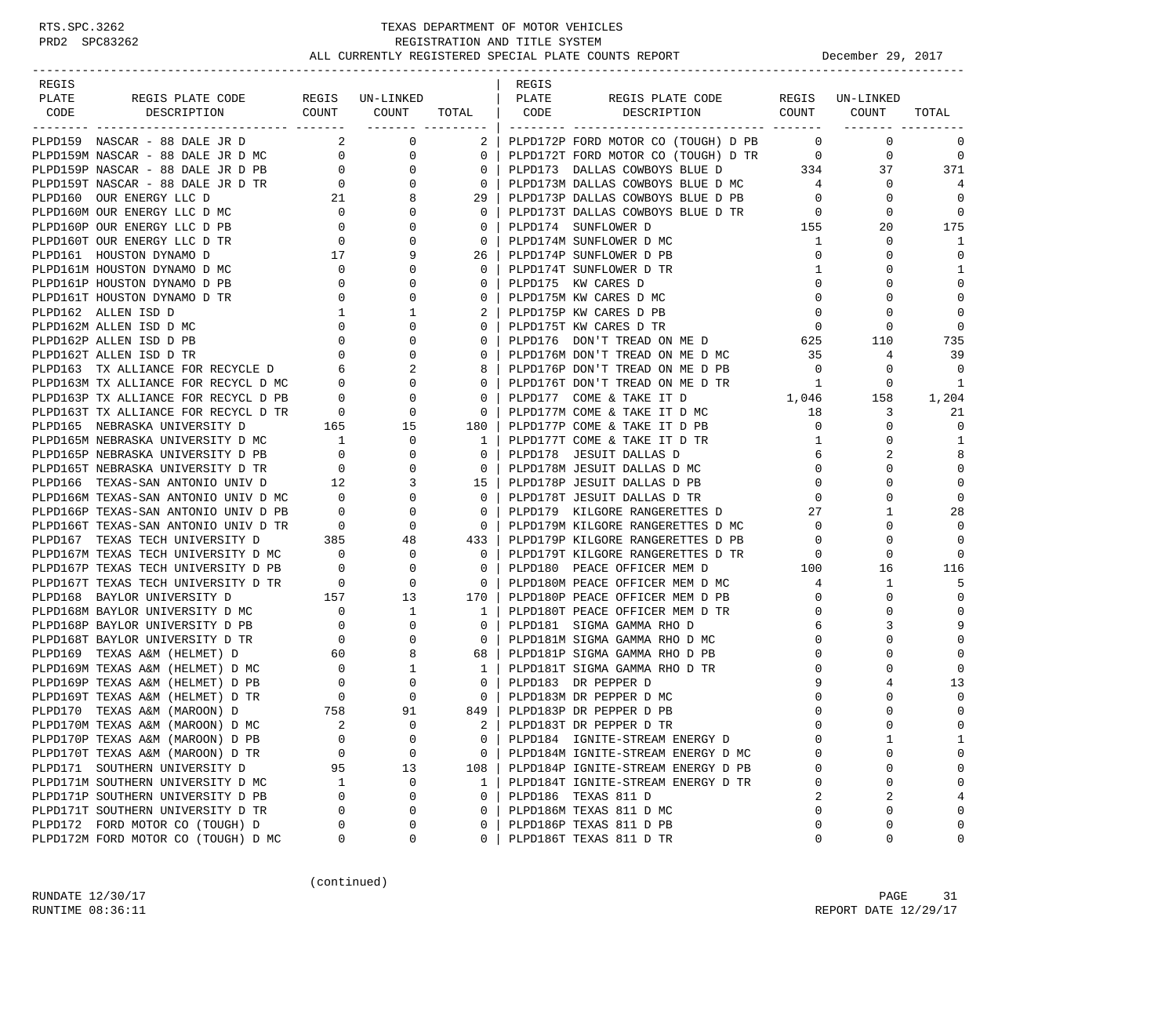| REGIS                                                                                                                                                                                                                                        |                            |                                                                             |                                                     | REGIS |                                                                        |                |                               |                |
|----------------------------------------------------------------------------------------------------------------------------------------------------------------------------------------------------------------------------------------------|----------------------------|-----------------------------------------------------------------------------|-----------------------------------------------------|-------|------------------------------------------------------------------------|----------------|-------------------------------|----------------|
| PLATE<br>REGIS PLATE CODE REGIS UN-LINKED                                                                                                                                                                                                    |                            |                                                                             |                                                     | PLATE | REGIS PLATE CODE REGIS UN-LINKED                                       |                |                               |                |
| CODE<br>DESCRIPTION                                                                                                                                                                                                                          |                            | $\begin{array}{ccc} \text{COUNT} & \text{COUNT} & \text{TOTAL} \end{array}$ |                                                     | CODE  | DESCRIPTION COUNT COUNT                                                |                |                               | TOTAL          |
|                                                                                                                                                                                                                                              |                            |                                                                             | ___________________                                 |       |                                                                        |                | -------- ----                 |                |
| PLPD159 NASCAR - 88 DALE JR D                                                                                                                                                                                                                |                            | $2 \left( \frac{1}{2} \right)$<br>$\mathbf{0}$                              | $2 \mid$                                            |       | PLPD172P FORD MOTOR CO (TOUGH) D PB                                    | $\overline{0}$ | $\circ$                       | 0              |
|                                                                                                                                                                                                                                              |                            |                                                                             | $\overline{0}$                                      |       | PLPD172T FORD MOTOR CO (TOUGH) D TR 0                                  |                | $\mathbf 0$                   | $\mathbf 0$    |
|                                                                                                                                                                                                                                              |                            | $\begin{array}{c} 0 \\ 0 \end{array}$                                       | 0 <sup>1</sup>                                      |       |                                                                        |                | 37                            | 371            |
| PLPD159 NASCAR - 88 DALE JR D MC<br>PLPD159M NASCAR - 88 DALE JR D MC<br>PLPD159P NASCAR - 88 DALE JR D PB<br>PLPD159T NASCAR - 88 DALE JR D TR<br>PLPD159T NASCAR - 88 DALE JR D TR<br>PLPD160 OUR ENERGY LLC D MC<br>PLPD160P OUR ENERGY   |                            |                                                                             | $\overline{0}$                                      |       |                                                                        |                | $\mathbf{0}$                  | 4              |
|                                                                                                                                                                                                                                              |                            |                                                                             | 29                                                  |       | PLPD173P DALLAS COWBOYS BLUE D PB<br>PLPD173T DALLAS COWBOYS BLUE D TR | $\overline{0}$ | $\mathbf 0$                   | $\Omega$       |
|                                                                                                                                                                                                                                              |                            |                                                                             | 0 <sup>1</sup>                                      |       |                                                                        |                | $\overline{0}$<br>$\mathbf 0$ | $\mathbf 0$    |
|                                                                                                                                                                                                                                              |                            |                                                                             | $\mathbf{0}$                                        |       | PLPD174 SUNFLOWER D                                                    | 155            | 20                            | 175            |
|                                                                                                                                                                                                                                              |                            |                                                                             | 0 <sup>1</sup>                                      |       | PLPD174M SUNFLOWER D MC                                                | $\mathbf{1}$   | $\mathbf 0$                   | 1              |
|                                                                                                                                                                                                                                              |                            |                                                                             | 26                                                  |       | PLPD174P SUNFLOWER D PB                                                | $\overline{0}$ | $\mathbf 0$                   | $\mathbf 0$    |
|                                                                                                                                                                                                                                              |                            |                                                                             |                                                     |       | PLPD174T SUNFLOWER D TR                                                | $\mathbf{1}$   | 0                             | 1              |
|                                                                                                                                                                                                                                              |                            |                                                                             |                                                     |       | PLPD175 KW CARES D                                                     | $\mathbf{0}$   | 0                             | $\mathbf 0$    |
|                                                                                                                                                                                                                                              |                            |                                                                             |                                                     |       | PLPD175M KW CARES D MC                                                 | $\mathbf{0}$   | $\mathbf 0$                   | $\mathbf 0$    |
|                                                                                                                                                                                                                                              |                            |                                                                             |                                                     |       | PLPD175P KW CARES D PB                                                 | $\overline{0}$ | $\mathbf 0$                   | $\Omega$       |
|                                                                                                                                                                                                                                              |                            |                                                                             |                                                     |       | PLPD175T KW CARES D TR                                                 | $\overline{0}$ | 0                             | $\Omega$       |
|                                                                                                                                                                                                                                              |                            |                                                                             |                                                     |       | PLPD176 DON'T TREAD ON ME D<br>PLPD176M DON'T TREAD ON ME D            |                | 110                           | 735            |
|                                                                                                                                                                                                                                              |                            |                                                                             |                                                     |       | PLPD176M DON'T TREAD ON ME D MC                                        | 35             | $\overline{4}$                | 39             |
|                                                                                                                                                                                                                                              |                            |                                                                             |                                                     |       | PLPD176P DON'T TREAD ON ME D PB                                        | $\overline{0}$ | $\circ$                       | $\mathbf 0$    |
|                                                                                                                                                                                                                                              |                            |                                                                             |                                                     |       | PLPD176T DON'T TREAD ON ME D TR                                        | $\overline{1}$ | $\mathbf 0$                   | 1              |
|                                                                                                                                                                                                                                              |                            |                                                                             |                                                     |       | PLPD177 COME & TAKE IT D                                               | 1,046          | 158                           | 1,204          |
|                                                                                                                                                                                                                                              |                            |                                                                             |                                                     |       | PLPD177M COME & TAKE IT D MC<br>PLPD177M COME & TAKE IT D MC           | 18             | 3                             | 21             |
|                                                                                                                                                                                                                                              |                            |                                                                             |                                                     |       | PLPD177P COME & TAKE IT D PB                                           | $\overline{0}$ | $\circ$                       | $\mathbf 0$    |
|                                                                                                                                                                                                                                              |                            |                                                                             | $\overline{1}$                                      |       | PLPD177T COME & TAKE IT D TR                                           | $\mathbf{1}$   | 0                             | 1              |
|                                                                                                                                                                                                                                              |                            |                                                                             | 0 <sup>1</sup>                                      |       | PLPD178 JESUIT DALLAS D                                                | 6              | 2                             | 8              |
| PLPD165M NEBRASKA UNIVERSITY D MC<br>PLPD165P NEBRASKA UNIVERSITY D PB 0 0 0<br>PLPD165T NEBRASKA UNIVERSITY D TR 0 0 0<br>PLPD166 TEXAS-SAN ANTONIO UNIV D 12 3<br>PLPD166M TEXAS-SAN ANTONIO UNIV D MC 0 0                                 |                            |                                                                             | $\overline{0}$                                      |       | PLPD178M JESUIT DALLAS D MC                                            | $\overline{0}$ | $\Omega$                      | $\mathbf 0$    |
|                                                                                                                                                                                                                                              |                            |                                                                             | $15 \vert$                                          |       | PLPD178P JESUIT DALLAS D PB                                            |                | $\overline{0}$<br>0           | $\mathbf 0$    |
|                                                                                                                                                                                                                                              |                            |                                                                             | $\overline{0}$                                      |       | PLPD178T JESUIT DALLAS D TR                                            | $\overline{0}$ | $\mathbf 0$                   | $\mathbf 0$    |
|                                                                                                                                                                                                                                              |                            |                                                                             | $\overline{0}$                                      |       |                                                                        |                | 27 — 27<br>$\mathbf{1}$       | 28             |
|                                                                                                                                                                                                                                              |                            |                                                                             | $\overline{\phantom{0}}$ 0 $\overline{\phantom{0}}$ |       | PLPD179 KILGORE RANGERETTES D                                          | $\overline{0}$ | $\mathbf 0$                   | $\Omega$       |
| PLPD166P TEXAS-SAN ANTONIO UNIV D PB 0 0 0<br>PLPD166T TEXAS-SAN ANTONIO UNIV D TR 0 0 0<br>PLPD167 TEXAS TECH UNIVERSITY D 385 48                                                                                                           |                            |                                                                             | 433                                                 |       | PLPD179M KILGORE RANGERETTES D MC<br>PLPD179P KILGORE RANGERETTES D PB |                | $\mathbf 0$                   | $\Omega$       |
|                                                                                                                                                                                                                                              |                            |                                                                             |                                                     |       |                                                                        | $\overline{0}$ |                               | $\Omega$       |
|                                                                                                                                                                                                                                              |                            |                                                                             | $\overline{\phantom{0}}$ 0 $\overline{\phantom{0}}$ |       |                                                                        |                | 0                             |                |
|                                                                                                                                                                                                                                              |                            |                                                                             | $\overline{\phantom{0}}$ 0 $\overline{\phantom{0}}$ |       |                                                                        |                | 16                            | 116            |
|                                                                                                                                                                                                                                              |                            |                                                                             | $\sim$ 0                                            |       | PLPD180M PEACE OFFICER MEM D MC 4                                      |                | $\mathbf{1}$                  | 5              |
|                                                                                                                                                                                                                                              |                            |                                                                             | 170                                                 |       | PLPD180P PEACE OFFICER MEM D PB                                        | $\overline{0}$ | $\mathbf 0$                   | $\mathbf 0$    |
|                                                                                                                                                                                                                                              |                            |                                                                             | $\overline{1}$                                      |       | PLPD180T PEACE OFFICER MEM D TR                                        | $\mathbf 0$    | $\mathbf 0$                   | $\Omega$       |
|                                                                                                                                                                                                                                              |                            |                                                                             | $\overline{0}$                                      |       | PLPD181 SIGMA GAMMA RHO D                                              | 6              | 3                             | 9              |
| PLPD167 TEXAS TECH UNIVERSITY D<br>PLPD167 TEXAS TECH UNIVERSITY D MC<br>PLPD167 TEXAS TECH UNIVERSITY D MC<br>PLPD167 TEXAS TECH UNIVERSITY D PB<br>0 0 0<br>PLPD1667 TEXAS TECH UNIVERSITY D TR<br>PLPD168 BAYLOR UNIVERSITY D MC<br>PLPD1 |                            |                                                                             | $\overline{0}$                                      |       | PLPD181M SIGMA GAMMA RHO D MC                                          | $\mathbf{0}$   | $\mathbf 0$                   | $\Omega$       |
|                                                                                                                                                                                                                                              |                            |                                                                             | 68                                                  |       | PLPD181P SIGMA GAMMA RHO D PB                                          | $\mathbf{0}$   | 0                             | $\Omega$       |
|                                                                                                                                                                                                                                              |                            |                                                                             | $1 \mid$                                            |       | PLPD181T SIGMA GAMMA RHO D TR                                          | $\mathbf 0$    | 0                             | $\Omega$       |
|                                                                                                                                                                                                                                              |                            |                                                                             | $\overline{0}$                                      |       | PLPD183 DR PEPPER D                                                    | 9              | 4                             | 13             |
|                                                                                                                                                                                                                                              |                            |                                                                             | $\begin{array}{ccc} & 0 & \end{array}$              |       | PLPD183M DR PEPPER D MC                                                | 0              | 0                             | $\mathbf 0$    |
|                                                                                                                                                                                                                                              |                            |                                                                             | 849                                                 |       | PLPD183P DR PEPPER D PB                                                | $\mathbf 0$    | $\Omega$                      | $\mathbf 0$    |
| PLPD170M TEXAS A&M (MAROON) D MC                                                                                                                                                                                                             | $\overline{\phantom{0}}^2$ | $\overline{0}$                                                              | 2 <sup>1</sup>                                      |       | PLPD183T DR PEPPER D TR                                                | $\Omega$       | $\Omega$                      | $\Omega$       |
| PLPD170P TEXAS A&M (MAROON) D PB                                                                                                                                                                                                             | 0                          | $\mathbf 0$                                                                 | 0                                                   |       | PLPD184 IGNITE-STREAM ENERGY D                                         | $\Omega$       | 1                             | 1              |
| PLPD170T TEXAS A&M (MAROON) D TR                                                                                                                                                                                                             | 0                          | $\mathbf 0$                                                                 | 0                                                   |       | PLPD184M IGNITE-STREAM ENERGY D MC                                     |                | 0                             | $\mathbf 0$    |
| PLPD171 SOUTHERN UNIVERSITY D                                                                                                                                                                                                                | 95                         | 13                                                                          | 108                                                 |       | PLPD184P IGNITE-STREAM ENERGY D PB                                     | 0              | 0                             | $\mathbf 0$    |
| PLPD171M SOUTHERN UNIVERSITY D MC                                                                                                                                                                                                            | 1                          | $\mathbf 0$                                                                 | 1                                                   |       | PLPD184T IGNITE-STREAM ENERGY D TR                                     | 0              | 0                             | $\mathbf 0$    |
| PLPD171P SOUTHERN UNIVERSITY D PB                                                                                                                                                                                                            | 0                          | $\mathbf 0$                                                                 | 0                                                   |       | PLPD186 TEXAS 811 D                                                    |                | 2                             | $\overline{4}$ |
| PLPD171T SOUTHERN UNIVERSITY D TR                                                                                                                                                                                                            | 0                          | $\mathbf 0$                                                                 | 0                                                   |       | PLPD186M TEXAS 811 D MC                                                | 0              | $\mathbf 0$                   | $\mathbf{0}$   |
| PLPD172 FORD MOTOR CO (TOUGH) D                                                                                                                                                                                                              | 0                          | $\mathbf 0$                                                                 | 0                                                   |       | PLPD186P TEXAS 811 D PB                                                | $\Omega$       | 0                             | $\mathbf 0$    |
| PLPD172M FORD MOTOR CO (TOUGH) D MC                                                                                                                                                                                                          | 0                          | 0                                                                           | 0                                                   |       | PLPD186T TEXAS 811 D TR                                                | 0              | 0                             | 0              |

(continued)

RUNDATE 12/30/17 PAGE 31 RUNTIME  $08:36:11$  REPORT DATE  $12/29/17$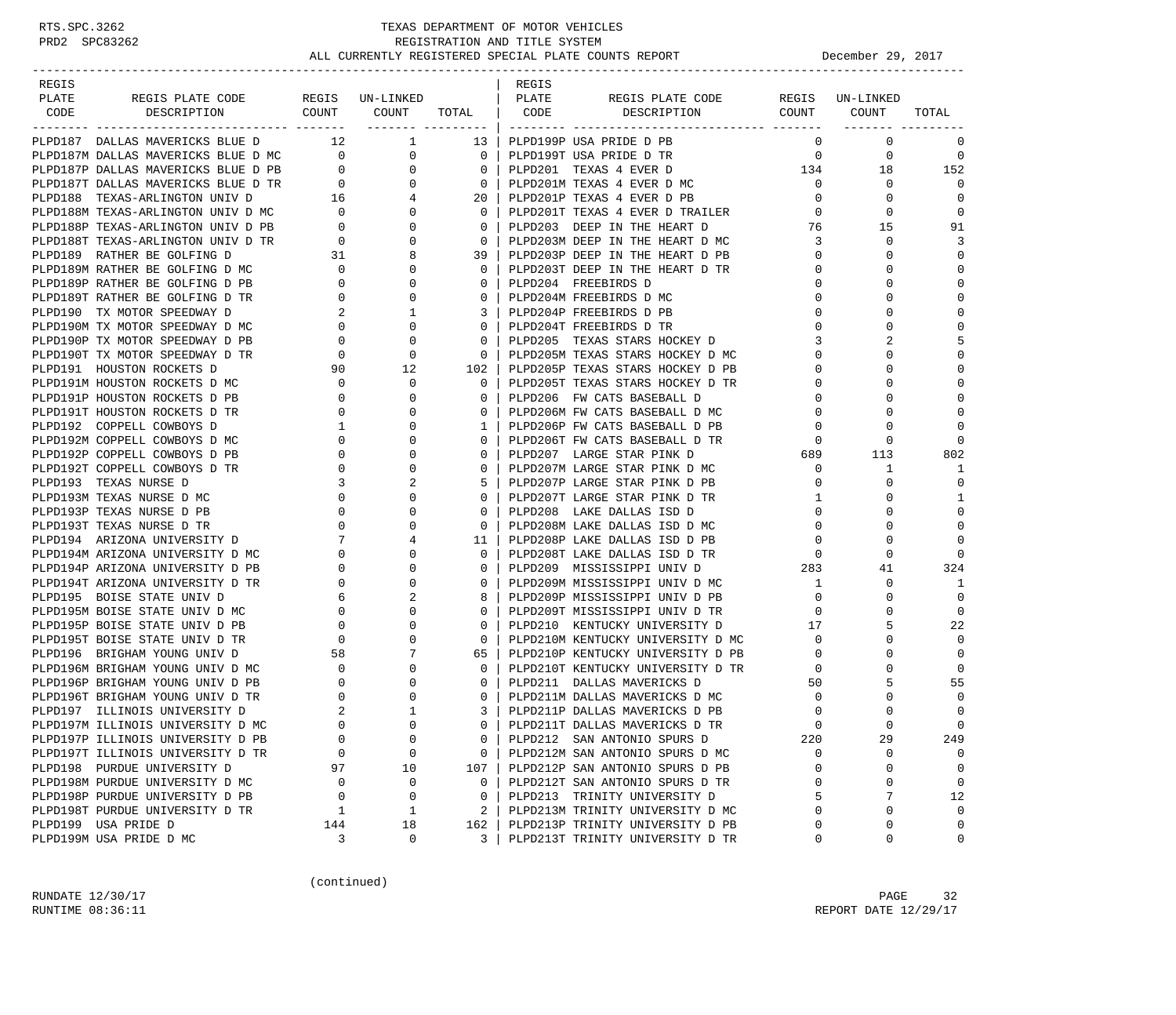| REGIS |                                                                                                                  |                                            |                                                                                                                                                                                                                                                                                                                                                    |                                                     | REGIS |                                       |                                     |                 |             |
|-------|------------------------------------------------------------------------------------------------------------------|--------------------------------------------|----------------------------------------------------------------------------------------------------------------------------------------------------------------------------------------------------------------------------------------------------------------------------------------------------------------------------------------------------|-----------------------------------------------------|-------|---------------------------------------|-------------------------------------|-----------------|-------------|
| PLATE | REGIS PLATE CODE                                                                                                 |                                            | REGIS UN-LINKED                                                                                                                                                                                                                                                                                                                                    |                                                     | PLATE | REGIS PLATE CODE                      |                                     | REGIS UN-LINKED |             |
| CODE  | COUNT<br>DESCRIPTION<br>---------------                                                                          |                                            | COUNT                                                                                                                                                                                                                                                                                                                                              | TOTAL   CODE                                        |       | DESCRIPTION<br>_________ ____________ | COUNT                               | COUNT           | TOTAL       |
|       | PLPD187 DALLAS MAVERICKS BLUE D 12 1                                                                             |                                            |                                                                                                                                                                                                                                                                                                                                                    | 13 <sup>1</sup>                                     |       | PLPD199P USA PRIDE D PB               | $\Omega$                            | $\mathbf 0$     | 0           |
|       |                                                                                                                  |                                            |                                                                                                                                                                                                                                                                                                                                                    | $\overline{\phantom{0}}$ 0 $\overline{\phantom{0}}$ |       | PLPD199T USA PRIDE D TR               | $\mathbf{0}$                        | $\overline{0}$  | 0           |
|       | PLPD187M DALLAS MAVERICKS BLUE D MC 0<br>PLPD187P DALLAS MAVERICKS BLUE D PB 0                                   |                                            | $\begin{array}{c} 0 \\ 0 \end{array}$                                                                                                                                                                                                                                                                                                              |                                                     |       | 0   PLPD201 TEXAS 4 EVER D            | $\frac{0}{134}$                     | 18              | 152         |
|       |                                                                                                                  |                                            | $\overline{0}$                                                                                                                                                                                                                                                                                                                                     | $\overline{\phantom{0}}$ 0 $\overline{\phantom{0}}$ |       | PLPD201M TEXAS 4 EVER D MC            | $\mathbf{0}$                        | $\mathbf 0$     | $\Omega$    |
|       |                                                                                                                  |                                            | $\overline{4}$                                                                                                                                                                                                                                                                                                                                     | 20 <sub>1</sub>                                     |       | PLPD201P TEXAS 4 EVER D PB            | $\mathbf 0$                         | $\mathbf 0$     | 0           |
|       | PLPD187T DALLAS MAVERICKS BLUE D TR<br>PLPD188 TEXAS-ARLINGTON UNIV D 16<br>PLPD188M TEXAS-ARLINGTON UNIV D MC 0 |                                            | $\overline{0}$                                                                                                                                                                                                                                                                                                                                     | $\Omega$                                            |       | PLPD201T TEXAS 4 EVER D TRAILER       | $\Omega$                            | 0               | 0           |
|       |                                                                                                                  |                                            | $\overline{0}$                                                                                                                                                                                                                                                                                                                                     | $\mathbf{0}$                                        |       | PLPD203 DEEP IN THE HEART D           | 76                                  | 15              | 91          |
|       | PLPD188P TEXAS-ARLINGTON UNIV D PB<br>PLPD188T TEXAS-ARLINGTON UNIV D TR<br>0                                    |                                            | $\mathbf 0$                                                                                                                                                                                                                                                                                                                                        | $\overline{\mathbf{0}}$                             |       | PLPD203M DEEP IN THE HEART D MC       | $\overline{3}$                      | $\Omega$        | 3           |
|       | PLPD189 RATHER BE GOLFING D                                                                                      | 31                                         | 8                                                                                                                                                                                                                                                                                                                                                  | 39 I                                                |       | PLPD203P DEEP IN THE HEART D PB       | $\overline{0}$                      | $\Omega$        | $\mathbf 0$ |
|       | PLPD189M RATHER BE GOLFING D MC                                                                                  |                                            | $\mathbf 0$                                                                                                                                                                                                                                                                                                                                        | $0-1$                                               |       | PLPD203T DEEP IN THE HEART D TR       | $\mathbf{0}$                        | $\Omega$        | $\mathbf 0$ |
|       | PLPD189P RATHER BE GOLFING D PB                                                                                  | $\begin{array}{c} 0 \\ 0 \end{array}$      | $\mathbf{0}$                                                                                                                                                                                                                                                                                                                                       |                                                     |       | PLPD204 FREEBIRDS D                   | $\Omega$                            | $\Omega$        | $\Omega$    |
|       | PLPD189T RATHER BE GOLFING D TR                                                                                  |                                            | $\mathbf{0}$                                                                                                                                                                                                                                                                                                                                       | $\mathbf{0}$                                        |       | PLPD204M FREEBIRDS D MC               | $\mathbf{0}$                        | $\Omega$        | $\mathbf 0$ |
|       | PLPD190 TX MOTOR SPEEDWAY D                                                                                      | $\begin{array}{c} 0 \\ 2 \end{array}$      | 1                                                                                                                                                                                                                                                                                                                                                  |                                                     |       | 3   PLPD204P FREEBIRDS D PB           | $\mathbf 0$                         | $\Omega$        | $\Omega$    |
|       | PLPD190M TX MOTOR SPEEDWAY D MC                                                                                  |                                            | $\overline{0}$<br>$\mathbf 0$                                                                                                                                                                                                                                                                                                                      | $0-1$                                               |       | PLPD204T FREEBIRDS D TR               | $\Omega$                            | $\Omega$        | $\Omega$    |
|       | PLPD190P TX MOTOR SPEEDWAY D PB                                                                                  | $\overline{0}$                             | $\mathbf 0$                                                                                                                                                                                                                                                                                                                                        |                                                     |       | 0   PLPD205 TEXAS STARS HOCKEY D      | 3                                   |                 | 5           |
|       | PLPD190T TX MOTOR SPEEDWAY D TR                                                                                  | $\overline{0}$                             | 0                                                                                                                                                                                                                                                                                                                                                  | $\mathbf{0}$                                        |       | PLPD205M TEXAS STARS HOCKEY D MC      | $\Omega$                            | $\Omega$        | $\Omega$    |
|       | PLPD191 HOUSTON ROCKETS D                                                                                        |                                            | $90$ 12                                                                                                                                                                                                                                                                                                                                            | 102 l                                               |       | PLPD205P TEXAS STARS HOCKEY D PB      | 0                                   | $\Omega$        | $\Omega$    |
|       | PLPD191M HOUSTON ROCKETS D MC                                                                                    | $\overline{0}$                             | $\mathbf 0$                                                                                                                                                                                                                                                                                                                                        | $\Omega$                                            |       | PLPD205T TEXAS STARS HOCKEY D TR      | 0                                   |                 | $\Omega$    |
|       | PLPD191P HOUSTON ROCKETS D PB                                                                                    | $\sim$ 0                                   | $\mathbf 0$                                                                                                                                                                                                                                                                                                                                        | $\Omega$                                            |       | PLPD206 FW CATS BASEBALL D            | 0                                   | $\Omega$        | $\Omega$    |
|       | PLPD191T HOUSTON ROCKETS D TR                                                                                    | $\overline{0}$                             | $\mathbf 0$                                                                                                                                                                                                                                                                                                                                        | $0-1$                                               |       | PLPD206M FW CATS BASEBALL D MC        | 0                                   | $\Omega$        | $\Omega$    |
|       | PLPD192 COPPELL COWBOYS D                                                                                        | $\mathbf{1}$                               | $\Omega$                                                                                                                                                                                                                                                                                                                                           | 1 <sup>1</sup>                                      |       | PLPD206P FW CATS BASEBALL D PB        | 0                                   | $\Omega$        | $\Omega$    |
|       | PLPD192M COPPELL COWBOYS D MC                                                                                    |                                            | $\mathbf 0$                                                                                                                                                                                                                                                                                                                                        | $\mathbf{0}$                                        |       | PLPD206T FW CATS BASEBALL D TR        | $\mathbf 0$                         | $\mathbf 0$     | $\Omega$    |
|       | PLPD192P COPPELL COWBOYS D PB                                                                                    |                                            | $\mathbf 0$                                                                                                                                                                                                                                                                                                                                        | $\Omega$                                            |       | PLPD207 LARGE STAR PINK D             | $\begin{array}{c}0\\689\end{array}$ | 113             | 802         |
|       | PLPD192T COPPELL COWBOYS D TR                                                                                    | $\overline{0}$                             | $\begin{bmatrix} 0 & 0 & 0 \\ 0 & 0 & 0 \\ 0 & 3 & 0 \\ 0 & 0 & 0 \\ 0 & 0 & 0 \\ 0 & 0 & 0 \\ 0 & 0 & 0 \\ 0 & 0 & 0 \\ 0 & 0 & 0 \\ 0 & 0 & 0 \\ 0 & 0 & 0 \\ 0 & 0 & 0 \\ 0 & 0 & 0 \\ 0 & 0 & 0 \\ 0 & 0 & 0 \\ 0 & 0 & 0 \\ 0 & 0 & 0 & 0 \\ 0 & 0 & 0 & 0 \\ 0 & 0 & 0 & 0 \\ 0 & 0 & 0 & 0 \\ 0 & 0 & 0 & 0 \\ 0 & 0 & 0 & $<br>$\mathbf 0$ | $\Omega$                                            |       | PLPD207M LARGE STAR PINK D MC         | $\mathbf{0}$                        | 1               | 1           |
|       | PLPD193 TEXAS NURSE D                                                                                            |                                            | 2                                                                                                                                                                                                                                                                                                                                                  |                                                     |       | PLPD207P LARGE STAR PINK D PB         | $\mathbf 0$                         | 0               | $\mathbf 0$ |
|       | PLPD193M TEXAS NURSE D MC                                                                                        |                                            | $\mathbf 0$                                                                                                                                                                                                                                                                                                                                        |                                                     |       | PLPD207T LARGE STAR PINK D TR         | 1                                   | $\Omega$        | 1           |
|       | PLPD193P TEXAS NURSE D PB                                                                                        |                                            | $\mathbf 0$                                                                                                                                                                                                                                                                                                                                        | $\mathbf{0}$                                        |       | PLPD208 LAKE DALLAS ISD D             | $\mathbf{0}$                        | $\Omega$        | $\mathbf 0$ |
|       | PLPD193T TEXAS NURSE D TR                                                                                        |                                            | $\mathbf 0$                                                                                                                                                                                                                                                                                                                                        | $0-1$                                               |       | PLPD208M LAKE DALLAS ISD D MC         | $\mathbf{0}$                        | $\Omega$        | $\mathbf 0$ |
|       | $MC$ PB<br>PLPD194 ARIZONA UNIVERSITY D                                                                          |                                            | $\begin{array}{c} 0 \\ 0 \\ 7 \\ 0 \\ 0 \end{array}$<br>4                                                                                                                                                                                                                                                                                          | 11 <sub>1</sub>                                     |       | PLPD208P LAKE DALLAS ISD D PB         | $\mathbf 0$                         | $\Omega$        | $\Omega$    |
|       | PLPD194M ARIZONA UNIVERSITY D MC                                                                                 |                                            | $\Omega$                                                                                                                                                                                                                                                                                                                                           | 0 <sup>1</sup>                                      |       | PLPD208T LAKE DALLAS ISD D TR         | $\mathbf 0$                         | 0               | $\Omega$    |
|       | PLPD194P ARIZONA UNIVERSITY D PB                                                                                 |                                            | $\mathbf 0$                                                                                                                                                                                                                                                                                                                                        |                                                     |       | PLPD209 MISSISSIPPI UNIV D            | 283                                 | 41              | 324         |
|       | PLPD194T ARIZONA UNIVERSITY D TR                                                                                 | $\overline{0}$                             | $\mathbf 0$                                                                                                                                                                                                                                                                                                                                        | $\mathbf{0}$                                        |       | PLPD209M MISSISSIPPI UNIV D MC        | 1                                   | $\mathbf 0$     | 1           |
|       | PLPD195 BOISE STATE UNIV D                                                                                       | 6                                          | 2                                                                                                                                                                                                                                                                                                                                                  |                                                     |       | 8   PLPD209P MISSISSIPPI UNIV D PB    | $\mathbf{0}$                        | $\Omega$        | $\Omega$    |
|       | PLPD195M BOISE STATE UNIV D MC                                                                                   | $\overline{0}$                             | $\mathbf 0$                                                                                                                                                                                                                                                                                                                                        | $0-1$                                               |       | PLPD209T MISSISSIPPI UNIV D TR        | $\mathbf 0$                         | $\Omega$        | $\Omega$    |
|       | PLPD195P BOISE STATE UNIV D PB                                                                                   | $\mathbf{0}$                               | $\mathbf 0$                                                                                                                                                                                                                                                                                                                                        | 0 <sup>1</sup>                                      |       | PLPD210 KENTUCKY UNIVERSITY D         | 17                                  | 5               | 22          |
|       | PLPD195T BOISE STATE UNIV D TR                                                                                   | $\overline{0}$                             | $\mathbf 0$                                                                                                                                                                                                                                                                                                                                        | $\mathbf{0}$                                        |       | PLPD210M KENTUCKY UNIVERSITY D MC     | $\mathbf 0$                         | $\Omega$        | $\Omega$    |
|       | PLPD196 BRIGHAM YOUNG UNIV D                                                                                     |                                            | $7\overline{ }$                                                                                                                                                                                                                                                                                                                                    | 65                                                  |       | PLPD210P KENTUCKY UNIVERSITY D PB     | $\overline{0}$                      | $\Omega$        | $\Omega$    |
|       | PLPD196M BRIGHAM YOUNG UNIV D MC                                                                                 | $\begin{array}{c} 58 \\ 0 \end{array}$     | $\Omega$                                                                                                                                                                                                                                                                                                                                           | $\Omega$                                            |       | PLPD210T KENTUCKY UNIVERSITY D TR     | $\overline{0}$                      |                 | $\Omega$    |
|       | PLPD196P BRIGHAM YOUNG UNIV D PB                                                                                 | $\mathbf{0}$                               | 0                                                                                                                                                                                                                                                                                                                                                  | $\Omega$                                            |       | PLPD211 DALLAS MAVERICKS D            | 50                                  | 5               | 55          |
|       | PLPD196T BRIGHAM YOUNG UNIV D TR                                                                                 |                                            | $\mathbf 0$                                                                                                                                                                                                                                                                                                                                        | 0 <sup>1</sup>                                      |       | PLPD211M DALLAS MAVERICKS D MC        | $\mathbf 0$                         | $\Omega$        | $\Omega$    |
|       | PLPD197 ILLINOIS UNIVERSITY D                                                                                    | $\begin{array}{c} 0 \\ 2 \\ 0 \end{array}$ | $\mathbf{1}$                                                                                                                                                                                                                                                                                                                                       | 3                                                   |       | PLPD211P DALLAS MAVERICKS D PB        | $\mathbf 0$                         |                 | $\Omega$    |
|       | PLPD197M ILLINOIS UNIVERSITY D MC                                                                                |                                            | $\Omega$                                                                                                                                                                                                                                                                                                                                           | $\Omega$                                            |       | PLPD211T DALLAS MAVERICKS D TR        | $\Omega$                            | $\Omega$        | $\Omega$    |
|       | PLPD197P ILLINOIS UNIVERSITY D PB                                                                                | 0                                          | 0                                                                                                                                                                                                                                                                                                                                                  | 0                                                   |       | PLPD212 SAN ANTONIO SPURS D           | 220                                 | 29              | 249         |
|       | PLPD197T ILLINOIS UNIVERSITY D TR                                                                                | 0                                          | $\mathbf 0$                                                                                                                                                                                                                                                                                                                                        | 0                                                   |       | PLPD212M SAN ANTONIO SPURS D MC       | $\Omega$                            | 0               | $\mathbf 0$ |
|       | PLPD198 PURDUE UNIVERSITY D                                                                                      | 97                                         | 10                                                                                                                                                                                                                                                                                                                                                 | 107                                                 |       | PLPD212P SAN ANTONIO SPURS D PB       | $\mathbf 0$                         | 0               | $\mathbf 0$ |
|       | PLPD198M PURDUE UNIVERSITY D MC                                                                                  | $\Omega$                                   | 0                                                                                                                                                                                                                                                                                                                                                  | $\Omega$                                            |       | PLPD212T SAN ANTONIO SPURS D TR       | $\Omega$                            | 0               | $\mathbf 0$ |
|       | PLPD198P PURDUE UNIVERSITY D PB                                                                                  | $\mathbf 0$                                | 0                                                                                                                                                                                                                                                                                                                                                  | 0                                                   |       | PLPD213 TRINITY UNIVERSITY D          | 5                                   | 7               | 12          |
|       | PLPD198T PURDUE UNIVERSITY D TR                                                                                  | 1                                          | 1                                                                                                                                                                                                                                                                                                                                                  | 2                                                   |       | PLPD213M TRINITY UNIVERSITY D MC      | $\Omega$                            | $\mathbf 0$     | $\mathbf 0$ |
|       | PLPD199 USA PRIDE D                                                                                              | 144                                        | 18                                                                                                                                                                                                                                                                                                                                                 | 162                                                 |       | PLPD213P TRINITY UNIVERSITY D PB      | $\Omega$                            | 0               | $\mathbf 0$ |
|       | PLPD199M USA PRIDE D MC                                                                                          | 3                                          | $\mathbf 0$                                                                                                                                                                                                                                                                                                                                        | 3                                                   |       | PLPD213T TRINITY UNIVERSITY D TR      | 0                                   | $\mathbf 0$     | 0           |

(continued)

RUNDATE  $12/30/17$  PAGE 32 RUNTIME  $08:36:11$  REPORT DATE  $12/29/17$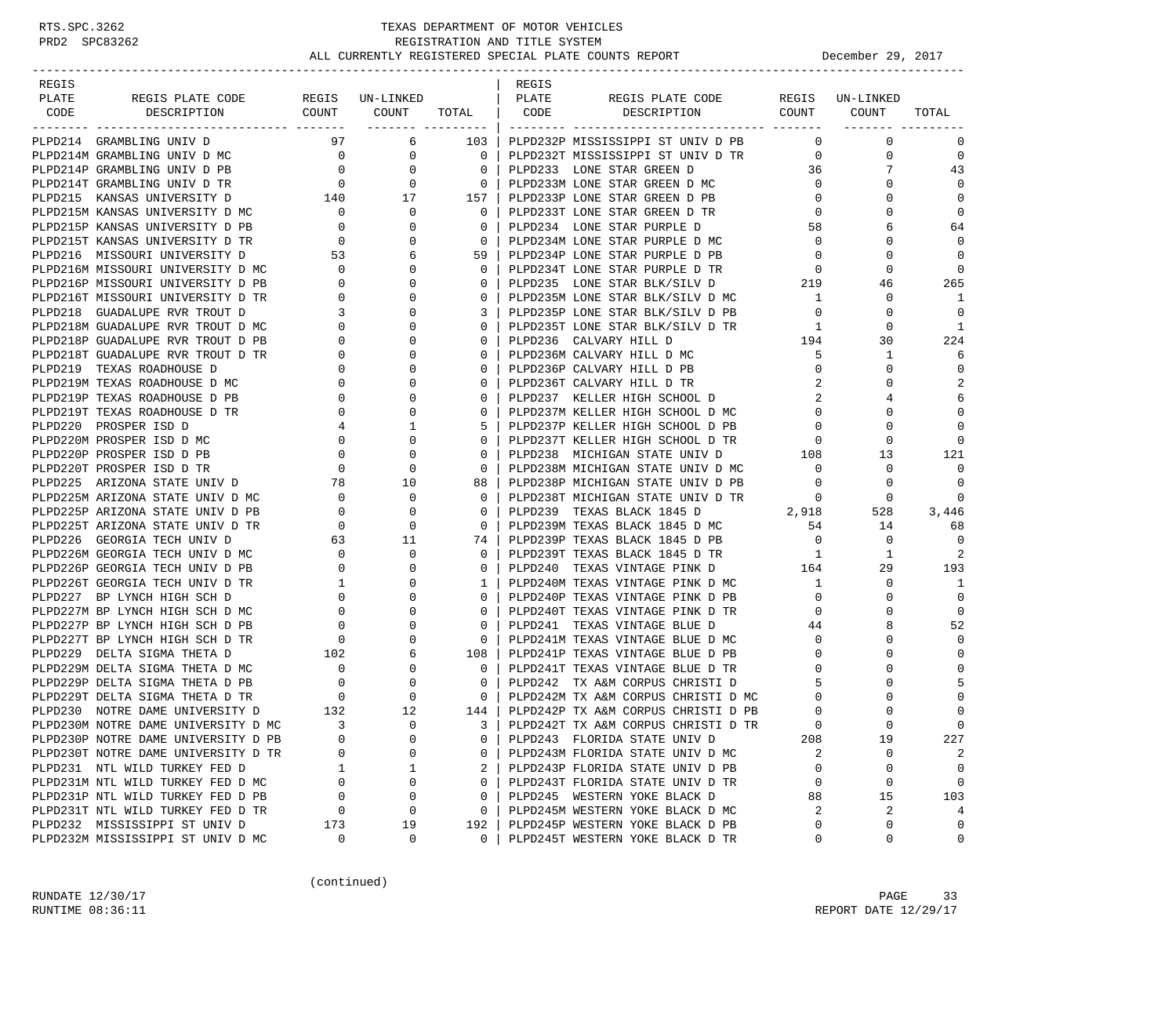| REGIS |                                                                  |                                                                   |                                                                                               |                                                     | REGIS |                                                                  |                                     |                 |                |
|-------|------------------------------------------------------------------|-------------------------------------------------------------------|-----------------------------------------------------------------------------------------------|-----------------------------------------------------|-------|------------------------------------------------------------------|-------------------------------------|-----------------|----------------|
| PLATE | REGIS PLATE CODE                                                 |                                                                   | REGIS UN-LINKED                                                                               |                                                     | PLATE | REGIS PLATE CODE                                                 |                                     | REGIS UN-LINKED |                |
| CODE  | DESCRIPTION                                                      |                                                                   | COUNT COUNT TOTAL   CODE                                                                      |                                                     |       | DESCRIPTION COUNT COUNT                                          |                                     |                 | TOTAL          |
|       | PLPD214 GRAMBLING UNIV D                                         |                                                                   | 97 — 10<br>6 —                                                                                | 103                                                 |       | PLPD232P MISSISSIPPI ST UNIV D PB                                | $\circ$                             | 0               | 0              |
|       | PLPD214M GRAMBLING UNIV D MC                                     | $\overline{0}$                                                    | $\overline{0}$                                                                                | $\overline{\phantom{0}}$ 0 $\overline{\phantom{0}}$ |       | PLPD232T MISSISSIPPI ST UNIV D TR                                | $\overline{0}$                      | $\mathbf 0$     | $\mathbf 0$    |
|       |                                                                  |                                                                   | $\mathbf{0}$                                                                                  | 0                                                   |       | PLPD233 LONE STAR GREEN D                                        | 36                                  |                 | 43             |
|       | PLPD214P GRAMBLING UNIV D PB 0<br>PLPD214T GRAMBLING UNIV D TR 0 |                                                                   | $\mathbf{0}$                                                                                  | $\overline{\phantom{0}}$                            |       | PLPD233M LONE STAR GREEN D MC                                    | $\overline{0}$                      | $\Omega$        | $\Omega$       |
|       | PLPD215 KANSAS UNIVERSITY D                                      |                                                                   | $\begin{array}{ccccc}\n & & 140 & & 17 \\  & & & & & \\ \hline\n & 17 & & & & \\ \end{array}$ | 157                                                 |       | PLPD233P LONE STAR GREEN D PB                                    | $\mathbf 0$                         | 0               | $\mathbf 0$    |
|       | PLPD215M KANSAS UNIVERSITY D MC                                  | $\overline{\phantom{0}}$                                          | $\mathbf{0}$                                                                                  | $\circ$                                             |       | PLPD233T LONE STAR GREEN D TR                                    | $\mathbf 0$                         |                 | $\mathbf 0$    |
|       | PLPD215P KANSAS UNIVERSITY D PB                                  | $\overline{\phantom{a}}$                                          | $\mathbf{0}$                                                                                  | $\mathbf{0}$                                        |       | PLPD234 LONE STAR PURPLE D                                       | 58                                  | 6               | 64             |
|       | PLPD215T KANSAS UNIVERSITY D TR                                  | $\overline{0}$                                                    | 0                                                                                             | $\mathbf{0}$                                        |       | PLPD234M LONE STAR PURPLE D MC                                   | $\overline{0}$                      | $\Omega$        | $\Omega$       |
|       | PLPD216 MISSOURI UNIVERSITY D                                    | 53                                                                | 6                                                                                             | 59                                                  |       | PLPD234P LONE STAR PURPLE D PB                                   | $\overline{\mathbf{0}}$             | $\Omega$        | $\Omega$       |
|       | PLPD216M MISSOURI UNIVERSITY D MC                                |                                                                   | $\mathbf{0}$                                                                                  | $\mathbf{0}$                                        |       | PLPD234T LONE STAR PURPLE D TR                                   |                                     | 0               | $\mathbf 0$    |
|       | PLPD216P MISSOURI UNIVERSITY D PB                                | $\begin{array}{c} 0 \\ 0 \end{array}$                             | $\Omega$                                                                                      | $\mathbf 0$                                         |       | PLPD235 LONE STAR BLK/SILV D                                     | $\begin{array}{c}0\\219\end{array}$ | 46              | 265            |
|       | PLPD216T MISSOURI UNIVERSITY D TR                                | $\overline{0}$                                                    | 0                                                                                             | 0                                                   |       | PLPD235M LONE STAR BLK/SILV D MC                                 | $\mathbf{1}$                        | 0               | 1              |
|       | PLPD218 GUADALUPE RVR TROUT D                                    | $\overline{3}$                                                    | 0                                                                                             | 3                                                   |       | PLPD235P LONE STAR BLK/SILV D PB                                 | $\overline{0}$                      | $\Omega$        | $\Omega$       |
|       | PLPD218M GUADALUPE RVR TROUT D MC                                | $\begin{array}{c} 3 \\ 0 \end{array}$                             | $\Omega$                                                                                      | $\Omega$                                            |       | PLPD235T LONE STAR BLK/SILV D TR                                 | 1                                   | $\Omega$        | 1              |
|       | PLPD218P GUADALUPE RVR TROUT D PB                                | $\mathbf{0}$                                                      | 0                                                                                             | 0                                                   |       | PLPD236 CALVARY HILL D                                           | 194                                 | 30              | 224            |
|       | PLPD218T GUADALUPE RVR TROUT D TR                                | $\overline{\mathbf{0}}$                                           | $\Omega$                                                                                      | 0                                                   |       | PLPD236M CALVARY HILL D MC                                       | 5                                   | 1               | 6              |
|       | PLPD219 TEXAS ROADHOUSE D                                        | $\overline{0}$                                                    | 0                                                                                             | 0                                                   |       | PLPD236P CALVARY HILL D PB                                       | $\mathbf{0}$                        | 0               | $\mathbf 0$    |
|       | PLPD219M TEXAS ROADHOUSE D MC                                    | $\mathbf{0}$                                                      | $\Omega$                                                                                      | 0                                                   |       | PLPD236T CALVARY HILL D TR                                       | 2                                   | $\Omega$        | $\overline{2}$ |
|       | PLPD219P TEXAS ROADHOUSE D PB                                    | $\circ$                                                           | $\Omega$                                                                                      | $\Omega$                                            |       | PLPD237 KELLER HIGH SCHOOL D                                     | 2                                   |                 | 6              |
|       | PLPD219T TEXAS ROADHOUSE D TR                                    | $\overline{0}$                                                    | 0                                                                                             | 0                                                   |       | PLPD237M KELLER HIGH SCHOOL D MC                                 | $\mathbf{0}$                        | 0               | $\Omega$       |
|       | PLPD220 PROSPER ISD D                                            | 4                                                                 | 1                                                                                             | 5                                                   |       | PLPD237P KELLER HIGH SCHOOL D PB                                 | $\mathbf{0}$                        | $\Omega$        | $\mathbf 0$    |
|       | PLPD220M PROSPER ISD D MC                                        | $\overline{0}$                                                    | $\mathbf{0}$                                                                                  | 0                                                   |       | PLPD237T KELLER HIGH SCHOOL D TR                                 | $\mathbf 0$                         | 0               | $\mathbf 0$    |
|       | PLPD220P PROSPER ISD D PB                                        | $\overline{0}$                                                    | 0                                                                                             | 0                                                   |       | PLPD238 MICHIGAN STATE UNIV D                                    | 108                                 | 13              | 121            |
|       | PLPD220T PROSPER ISD D TR                                        | $\overline{0}$                                                    | $\mathbf 0$                                                                                   | $\Omega$                                            |       | PLPD238M MICHIGAN STATE UNIV D MC                                | $\overline{0}$                      | 0               | $\Omega$       |
|       | PLPD225 ARIZONA STATE UNIV D                                     |                                                                   | 10                                                                                            | 88                                                  |       | PLPD238P MICHIGAN STATE UNIV D PB                                | $\overline{0}$                      | 0               | $\mathbf 0$    |
|       | PLPD225M ARIZONA STATE UNIV D MC                                 | $\begin{array}{c} 78 \\ 0 \end{array}$                            | $\mathbf 0$                                                                                   | 0                                                   |       | PLPD238T MICHIGAN STATE UNIV D TR                                | $\overline{0}$                      | $\mathbf 0$     | 0              |
|       | PLPD225P ARIZONA STATE UNIV D PB                                 | $\overline{0}$                                                    | 0                                                                                             | $\mathbf 0$                                         |       | 2,918<br>PLPD239 TEXAS BLACK 1845 D                              |                                     | 528             | 3,446          |
|       | PLPD225T ARIZONA STATE UNIV D TR                                 | $\overline{0}$                                                    | $\mathbf 0$                                                                                   | $\mathbf 0$                                         |       |                                                                  | 54                                  | 14              | 68             |
|       | PLPD226 GEORGIA TECH UNIV D                                      | 63                                                                | 11                                                                                            | 74 I                                                |       | PLPD239M TEXAS BLACK 1845 D MC<br>PLPD239P TEXAS BLACK 1845 D PB | $\overline{0}$                      | $\mathbf 0$     | $\Omega$       |
|       | PLPD226M GEORGIA TECH UNIV D MC                                  |                                                                   | 0                                                                                             | $\mathbf{0}$                                        |       |                                                                  | $\overline{1}$                      | 1               | 2              |
|       | PLPD226P GEORGIA TECH UNIV D PB                                  | $\begin{matrix} 0 \\ 0 \end{matrix}$                              | $\Omega$                                                                                      | 0                                                   |       |                                                                  |                                     | 29              | 193            |
|       | PLPD226T GEORGIA TECH UNIV D TR                                  | $\overline{1}$                                                    | 0                                                                                             | $\mathbf{1}$                                        |       | PLPD240M TEXAS VINTAGE PINK D MC                                 | $\mathbf{1}$                        | $\mathbf 0$     | 1              |
|       | PLPD227 BP LYNCH HIGH SCH D                                      | $\overline{0}$                                                    | 0                                                                                             | 0                                                   |       | PLPD240P TEXAS VINTAGE PINK D PB                                 | $\mathbf 0$                         | $\Omega$        | $\mathbf 0$    |
|       | PLPD227M BP LYNCH HIGH SCH D MC                                  | $\overline{0}$                                                    | $\Omega$                                                                                      | $\Omega$                                            |       | PLPD240T TEXAS VINTAGE PINK D TR                                 | $\mathbf 0$                         | $\Omega$        | $\mathbf 0$    |
|       | PLPD227P BP LYNCH HIGH SCH D PB                                  | $\begin{bmatrix} 0 \\ 0 \\ 102 \\ 0 \\ 0 \\ 0 \\ 0 \end{bmatrix}$ | 0                                                                                             | 0                                                   |       | PLPD241 TEXAS VINTAGE BLUE D                                     | 44                                  | 8               | 52             |
|       | PLPD227T BP LYNCH HIGH SCH D TR                                  |                                                                   | $\Omega$                                                                                      | $\Omega$                                            |       | PLPD241M TEXAS VINTAGE BLUE D MC                                 | $\mathbf{0}$                        | $\Omega$        | $\mathbf 0$    |
|       | PLPD229 DELTA SIGMA THETA D                                      |                                                                   | 6                                                                                             | 108                                                 |       | PLPD241P TEXAS VINTAGE BLUE D PB                                 | $\mathbf{0}$                        | $\Omega$        | $\Omega$       |
|       | PLPD229M DELTA SIGMA THETA D MC                                  |                                                                   | $\mathbf{0}$                                                                                  | $\mathbf{0}$                                        |       | PLPD241T TEXAS VINTAGE BLUE D TR                                 | $\mathbf{0}$                        |                 | $\Omega$       |
|       | PLPD229P DELTA SIGMA THETA D PB                                  |                                                                   | $\mathbf 0$                                                                                   | $\mathbf 0$                                         |       | PLPD242 TX A&M CORPUS CHRISTI D                                  | 5                                   | ∩               | 5              |
|       | PLPD229T DELTA SIGMA THETA D TR                                  | $\begin{array}{c}0\\132\end{array}$                               | $\overline{0}$                                                                                | $\circ$                                             |       | PLPD242M TX A&M CORPUS CHRISTI D MC                              | 0                                   | 0               | $\Omega$       |
|       | PLPD230 NOTRE DAME UNIVERSITY D                                  |                                                                   | 12                                                                                            | 144                                                 |       | PLPD242P TX A&M CORPUS CHRISTI D PB                              | $\Omega$                            |                 | $\mathbf 0$    |
|       | PLPD230M NOTRE DAME UNIVERSITY D MC                              | $\overline{\phantom{a}}$                                          | $\Omega$                                                                                      | $3-1$                                               |       | PLPD242T TX A&M CORPUS CHRISTI D TR                              | $\cap$                              |                 | $\Omega$       |
|       | PLPD230P NOTRE DAME UNIVERSITY D PB                              | 0                                                                 | 0                                                                                             | 0                                                   |       | PLPD243 FLORIDA STATE UNIV D                                     | 208                                 | 19              | 227            |
|       | PLPD230T NOTRE DAME UNIVERSITY D TR                              | U                                                                 | 0                                                                                             | 0                                                   |       | PLPD243M FLORIDA STATE UNIV D MC                                 | 2                                   | 0               | 2              |
|       | PLPD231 NTL WILD TURKEY FED D                                    | 1                                                                 | 1                                                                                             | 2                                                   |       | PLPD243P FLORIDA STATE UNIV D PB                                 | 0                                   | 0               | $\mathbf 0$    |
|       | PLPD231M NTL WILD TURKEY FED D MC                                | $\Omega$                                                          | 0                                                                                             | 0                                                   |       | PLPD243T FLORIDA STATE UNIV D TR                                 | $\mathbf 0$                         | 0               | 0              |
|       | PLPD231P NTL WILD TURKEY FED D PB                                | 0                                                                 | 0                                                                                             | 0                                                   |       | PLPD245 WESTERN YOKE BLACK D                                     | 88                                  | 15              | 103            |
|       | PLPD231T NTL WILD TURKEY FED D TR                                | 0                                                                 | 0                                                                                             | 0                                                   |       | PLPD245M WESTERN YOKE BLACK D MC                                 | 2                                   | 2               | 4              |
|       | PLPD232 MISSISSIPPI ST UNIV D                                    | 173                                                               | 19                                                                                            | 192                                                 |       | PLPD245P WESTERN YOKE BLACK D PB                                 | 0                                   | 0               | 0              |
|       | PLPD232M MISSISSIPPI ST UNIV D MC                                | 0                                                                 | 0                                                                                             | 0                                                   |       | PLPD245T WESTERN YOKE BLACK D TR                                 | 0                                   | 0               | 0              |

(continued)

RUNDATE  $12/30/17$  PAGE 33 RUNTIME 08:36:11 REPORT DATE 12/29/17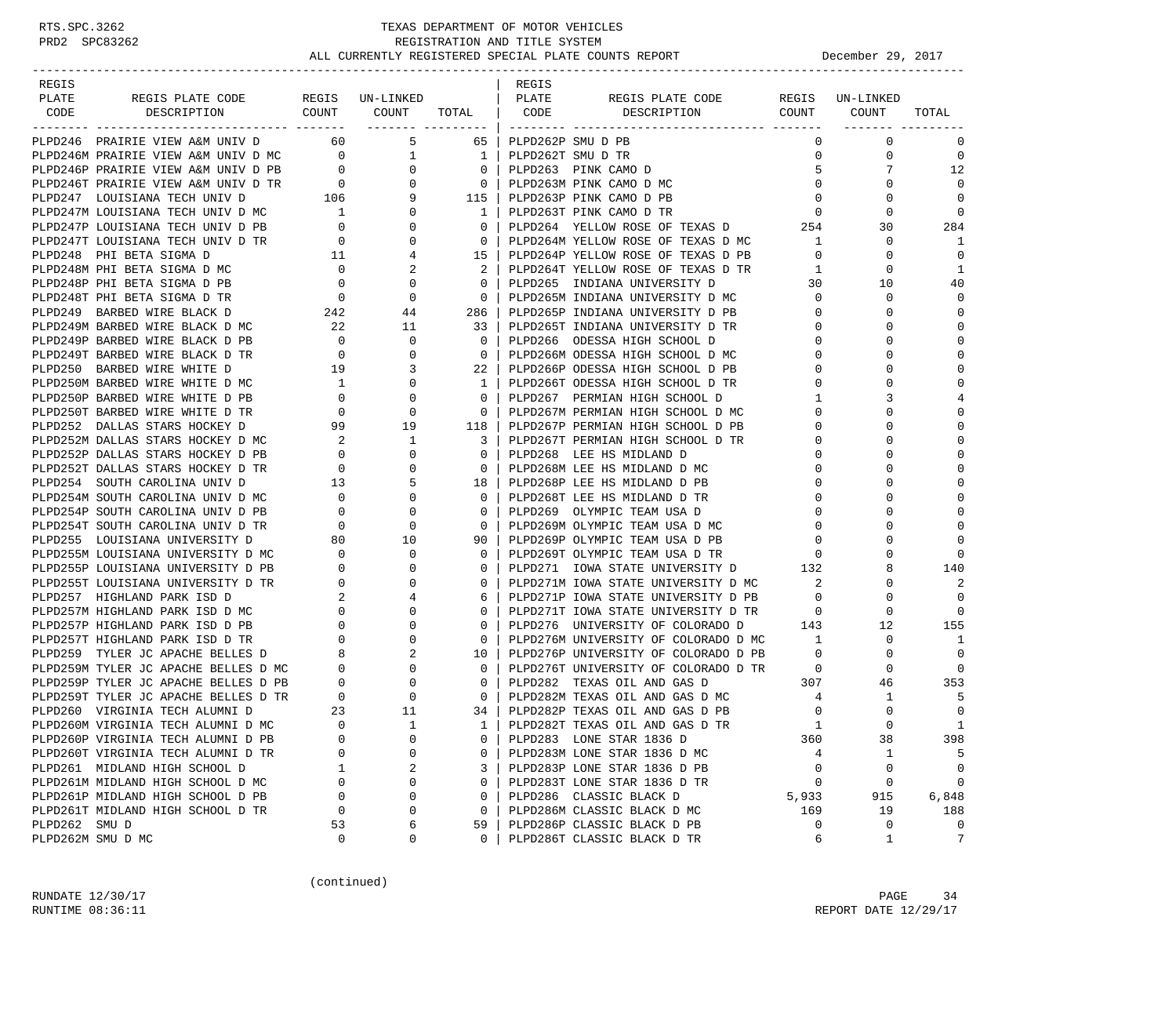| REGIS                                                                                                                                                                                                                                        |             |              |                                                     | REGIS                  |                                                                                                                     |                |              |                |
|----------------------------------------------------------------------------------------------------------------------------------------------------------------------------------------------------------------------------------------------|-------------|--------------|-----------------------------------------------------|------------------------|---------------------------------------------------------------------------------------------------------------------|----------------|--------------|----------------|
| REGIS PLATE CODE REGIS UN-LINKED   PLATE<br>PLATE                                                                                                                                                                                            |             |              |                                                     |                        | REGIS PLATE CODE REGIS UN-LINKED                                                                                    |                |              |                |
| DESCRIPTION<br>CODE                                                                                                                                                                                                                          |             |              |                                                     |                        | COUNT COUNT TOTAL   CODE DESCRIPTION                                                                                |                | COUNT COUNT  | TOTAL          |
| PLPD246 PRAIRIE VIEW A&M UNIV D 60 5                                                                                                                                                                                                         |             |              |                                                     | 65   PLPD262P SMU D PB |                                                                                                                     | $\Omega$       | $\mathbf 0$  | 0              |
|                                                                                                                                                                                                                                              |             |              |                                                     |                        |                                                                                                                     |                | $\mathbf 0$  | $\overline{0}$ |
|                                                                                                                                                                                                                                              |             |              |                                                     |                        |                                                                                                                     |                |              | 12             |
|                                                                                                                                                                                                                                              |             |              |                                                     |                        |                                                                                                                     |                | $\Omega$     | $\Omega$       |
|                                                                                                                                                                                                                                              |             |              |                                                     |                        |                                                                                                                     | $\overline{0}$ | 0            | $\mathbf 0$    |
|                                                                                                                                                                                                                                              |             |              |                                                     |                        |                                                                                                                     |                | 0            | $\mathbf 0$    |
|                                                                                                                                                                                                                                              |             |              |                                                     |                        |                                                                                                                     |                | 30           | 284            |
|                                                                                                                                                                                                                                              |             |              |                                                     |                        |                                                                                                                     | 1              | $\mathbf 0$  | 1              |
|                                                                                                                                                                                                                                              |             |              |                                                     |                        |                                                                                                                     |                | 0            | $\mathbf 0$    |
|                                                                                                                                                                                                                                              |             |              |                                                     |                        |                                                                                                                     | $\mathbf{1}$   | 0            | 1              |
|                                                                                                                                                                                                                                              |             |              |                                                     |                        |                                                                                                                     |                | 10           | 40             |
|                                                                                                                                                                                                                                              |             |              |                                                     |                        |                                                                                                                     |                | $\mathbf 0$  | $\mathbf 0$    |
|                                                                                                                                                                                                                                              |             |              |                                                     |                        |                                                                                                                     |                | $\Omega$     | $\mathbf 0$    |
|                                                                                                                                                                                                                                              |             |              |                                                     |                        |                                                                                                                     |                | $\Omega$     | $\mathbf 0$    |
|                                                                                                                                                                                                                                              |             |              |                                                     |                        | 0   PLPD266 ODESSA HIGH SCHOOL D                                                                                    | $\mathbf{0}$   | 0            | $\mathbf 0$    |
|                                                                                                                                                                                                                                              |             |              |                                                     |                        | 0   PLPD266M ODESSA HIGH SCHOOL D MC                                                                                | 0              | $\Omega$     | $\mathbf 0$    |
|                                                                                                                                                                                                                                              |             |              | $22 \mid$                                           |                        | PLPD266P ODESSA HIGH SCHOOL D PB                                                                                    | $\mathbf{0}$   | 0            | 0              |
|                                                                                                                                                                                                                                              |             |              |                                                     |                        | 1   PLPD266T ODESSA HIGH SCHOOL D TR                                                                                | 0              | $\Omega$     | $\mathbf 0$    |
| PLPD249M BARBED WIRE BLACK D PB<br>PLPD249P BARBED WIRE BLACK D PB<br>PLPD249T BARBED WIRE BLACK D TR<br>PLPD250 BARBED WIRE WHITE D<br>PLPD250M BARBED WIRE WHITE D DB<br>PLPD250P BARBED WIRE WHITE D PB<br>PLPD250P BARBED WIRE WHITE D   |             |              | 0 <sup>1</sup>                                      |                        | PLPD267 PERMIAN HIGH SCHOOL D                                                                                       | $\mathbf{1}$   | 3            | 4              |
|                                                                                                                                                                                                                                              |             |              |                                                     |                        |                                                                                                                     | $\mathbf{0}$   | 0            | 0              |
|                                                                                                                                                                                                                                              |             |              |                                                     |                        | 0   PLPD267M PERMIAN HIGH SCHOOL D MC<br>118   PLPD267P PERMIAN HIGH SCHOOL D PB                                    | 0              | $\Omega$     | $\mathbf 0$    |
| PLPD252M DALLAS STARS HOCKEY D MC                                                                                                                                                                                                            |             |              |                                                     |                        | 3   PLPD267T PERMIAN HIGH SCHOOL D TR                                                                               | $\mathbf{0}$   | $\Omega$     | 0              |
| PLPD252P DALLAS STARS HOCKEY D PB                                                                                                                                                                                                            |             |              |                                                     |                        | 0   PLPD268 LEE HS MIDLAND D                                                                                        | 0              | $\Omega$     | $\mathbf 0$    |
| PLPD252T DALLAS STARS HOCKEY D TR                                                                                                                                                                                                            |             |              | $\overline{\phantom{0}}$ 0 $\overline{\phantom{0}}$ |                        | PLPD268 LEE HS MIDLAND D<br>PLPD268M LEE HS MIDLAND D MC                                                            | $\mathbf{0}$   | $\Omega$     | 0              |
| PLPD254 SOUTH CAROLINA UNIV D                                                                                                                                                                                                                |             |              |                                                     |                        | 18 PLPD268P LEE HS MIDLAND D PB                                                                                     | $\mathbf{0}$   | 0            | 0              |
| PLPD254M SOUTH CAROLINA UNIV D MC                                                                                                                                                                                                            |             |              |                                                     |                        | 0   PLPD268T LEE HS MIDLAND D TR                                                                                    | $\mathbf{0}$   | $\Omega$     | $\mathbf 0$    |
| PLPD254P SOUTH CAROLINA UNIV D PB                                                                                                                                                                                                            |             |              | $0-1$                                               |                        | PLPD269 OLYMPIC TEAM USA D                                                                                          | $\overline{0}$ | $\Omega$     | 0              |
| PLPD254T SOUTH CAROLINA UNIV D TR                                                                                                                                                                                                            |             |              |                                                     |                        | 0   PLPD269M OLYMPIC TEAM USA D MC                                                                                  | $\overline{0}$ | $\Omega$     | $\mathbf 0$    |
| PLPD255 LOUISIANA UNIVERSITY D                                                                                                                                                                                                               |             |              |                                                     |                        | 90   PLPD269P OLYMPIC TEAM USA D PB                                                                                 | $\mathbf 0$    | $\Omega$     | $\mathbf 0$    |
|                                                                                                                                                                                                                                              |             |              |                                                     |                        | 0   PLPD269T OLYMPIC TEAM USA D TR                                                                                  |                | 0            | $\Omega$       |
|                                                                                                                                                                                                                                              |             |              | $0-1$                                               |                        | PLPD269T OLYMPIC TEAM USA D TR<br>PLPD271 IOWA STATE UNIVERSITY D 132                                               |                | 8            | 140            |
|                                                                                                                                                                                                                                              |             |              | $0-1$                                               |                        | PLPD271M IOWA STATE UNIVERSITY D MC                                                                                 | 2              | 0            | 2              |
|                                                                                                                                                                                                                                              |             |              |                                                     |                        |                                                                                                                     | $\mathbf{0}$   | $\Omega$     | $\Omega$       |
|                                                                                                                                                                                                                                              |             |              |                                                     |                        | 6   PLPD271P IOWA STATE UNIVERSITY D PB<br>0   PLPD271T IOWA STATE UNIVERSITY D TR                                  | $\overline{0}$ | $\Omega$     | $\Omega$       |
|                                                                                                                                                                                                                                              |             |              | $0-1$                                               |                        | PLPD276 UNIVERSITY OF COLORADO D 143                                                                                |                | 12           | 155            |
| PLPD255 LOUISIANA UNIVERSITY D<br>PLPD255M LOUISIANA UNIVERSITY D MC<br>PLPD255M LOUISIANA UNIVERSITY D MC<br>PLPD255T LOUISIANA UNIVERSITY D PB<br>0 0 0<br>PLPD257 HIGHLAND PARK ISD D MC<br>PLPD257M HIGHLAND PARK ISD D MC<br>PLPD257P H |             |              |                                                     |                        | 0   PLPD276M UNIVERSITY OF COLORADO D MC                                                                            | 1              | $\mathbf 0$  | 1              |
|                                                                                                                                                                                                                                              |             |              | 10 <sup>1</sup>                                     |                        | PLPD276P UNIVERSITY OF COLORADO D PB                                                                                | $\overline{0}$ | $\mathbf 0$  | $\mathbf 0$    |
|                                                                                                                                                                                                                                              |             |              |                                                     |                        | 0 PLPD276T UNIVERSITY OF COLORADO D TR                                                                              | $\overline{0}$ | $\mathbf 0$  | $\mathbf 0$    |
|                                                                                                                                                                                                                                              |             |              |                                                     |                        | 0   PLPD282 TEXAS OIL AND GAS D                                                                                     | 307            | 46           | 353            |
|                                                                                                                                                                                                                                              |             |              |                                                     |                        |                                                                                                                     | $\overline{4}$ | $\mathbf{1}$ | 5              |
|                                                                                                                                                                                                                                              |             |              |                                                     |                        | 0   PLPD282M TEXAS OIL AND GAS D MC<br>34   PLPD282P TEXAS OIL AND GAS D PB<br>34   PLPD282P TEXAS OIL AND GAS D PB | 0              | $\Omega$     | $\mathbf 0$    |
| PLPD260M VIRGINIA TECH ALUMNI D MC                                                                                                                                                                                                           | $\Omega$    | $\mathbf{1}$ |                                                     |                        | 1   PLPD282T TEXAS OIL AND GAS D TR                                                                                 | $\overline{1}$ | $\Omega$     | $\mathbf{1}$   |
| PLPD260P VIRGINIA TECH ALUMNI D PB                                                                                                                                                                                                           | 0           | $\mathbf 0$  | 0                                                   |                        | PLPD283 LONE STAR 1836 D                                                                                            | 360            | 38           | 398            |
| PLPD260T VIRGINIA TECH ALUMNI D TR                                                                                                                                                                                                           | 0           | $\Omega$     | 0                                                   |                        | PLPD283M LONE STAR 1836 D MC                                                                                        | 4              | 1            | 5              |
| PLPD261 MIDLAND HIGH SCHOOL D                                                                                                                                                                                                                | 1           | 2            | 3                                                   |                        | PLPD283P LONE STAR 1836 D PB                                                                                        | 0              | 0            | $\mathbf 0$    |
| PLPD261M MIDLAND HIGH SCHOOL D MC                                                                                                                                                                                                            | $\mathbf 0$ | $\mathbf 0$  | $\mathbf 0$                                         |                        | PLPD283T LONE STAR 1836 D TR                                                                                        | 0              | 0            | 0              |
| PLPD261P MIDLAND HIGH SCHOOL D PB                                                                                                                                                                                                            | 0           | 0            | 0                                                   |                        | PLPD286 CLASSIC BLACK D                                                                                             | 5,933          | 915          | 6,848          |
| PLPD261T MIDLAND HIGH SCHOOL D TR                                                                                                                                                                                                            | $\mathbf 0$ | $\mathbf 0$  | 0                                                   |                        | PLPD286M CLASSIC BLACK D MC                                                                                         | 169            | 19           | 188            |
| PLPD262 SMU D                                                                                                                                                                                                                                | 53          | 6            | 59                                                  |                        | PLPD286P CLASSIC BLACK D PB                                                                                         | 0              | 0            | 0              |
| PLPD262M SMU D MC                                                                                                                                                                                                                            | 0           | 0            | 0                                                   |                        | PLPD286T CLASSIC BLACK D TR                                                                                         | 6              | $\mathbf{1}$ | 7              |

(continued)

RUNDATE  $12/30/17$  PAGE 34 RUNTIME 08:36:11 REPORT DATE 12/29/17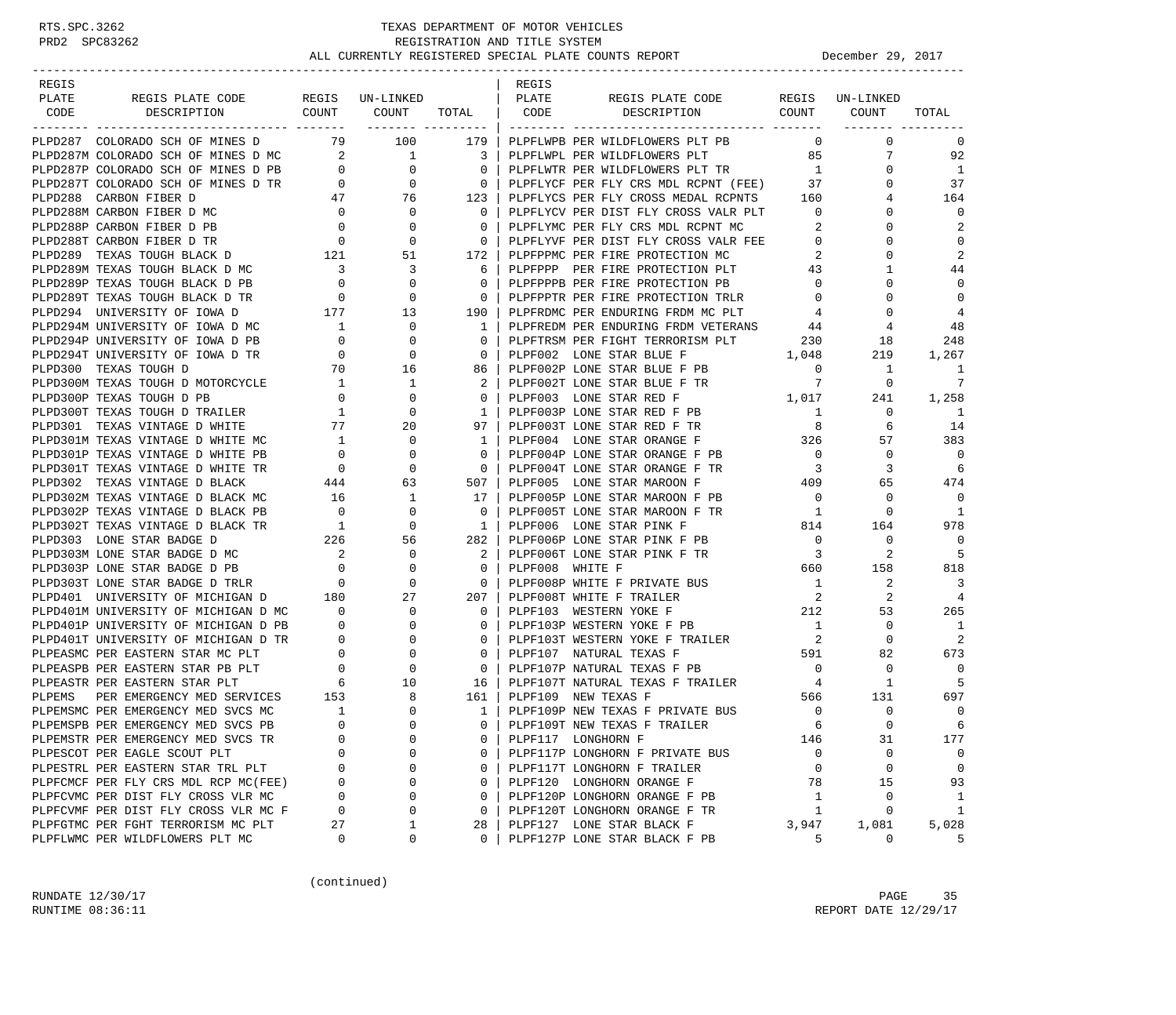| REGIS                                                                                                                                                                                                                                                                               |                                          |                                                                                                                                                                                                                                 |                                            | REGIS           |                                                                     |                                                                 |                     |                |
|-------------------------------------------------------------------------------------------------------------------------------------------------------------------------------------------------------------------------------------------------------------------------------------|------------------------------------------|---------------------------------------------------------------------------------------------------------------------------------------------------------------------------------------------------------------------------------|--------------------------------------------|-----------------|---------------------------------------------------------------------|-----------------------------------------------------------------|---------------------|----------------|
| REGIS PLATE CODE REGIS UN-LINKED<br>PLATE                                                                                                                                                                                                                                           |                                          |                                                                                                                                                                                                                                 |                                            | PLATE           | REGIS PLATE CODE REGIS UN-LINKED                                    |                                                                 |                     |                |
| DESCRIPTION COUNT COUNT<br>CODE                                                                                                                                                                                                                                                     |                                          |                                                                                                                                                                                                                                 |                                            |                 | TOTAL CODE DESCRIPTION COUNT COUNT                                  |                                                                 |                     | TOTAL          |
| PLPD287 COLORADO SCH OF MINES D 79 100                                                                                                                                                                                                                                              |                                          |                                                                                                                                                                                                                                 | ------- --------  <br>  179                |                 | PLPFLWPB PER WILDFLOWERS PLT PB                                     | $\overline{0}$                                                  | $\mathbf 0$         | $\mathbf 0$    |
| PLPD287M COLORADO SCH OF MINES D MC 2 1                                                                                                                                                                                                                                             |                                          |                                                                                                                                                                                                                                 | $\overline{\phantom{a}3}$                  |                 | PLPFLWPL PER WILDFLOWERS PLT                                        | 85                                                              | $7\overline{ }$     | 92             |
|                                                                                                                                                                                                                                                                                     |                                          |                                                                                                                                                                                                                                 | $\begin{array}{c} 3 \\ 0 \\ 0 \end{array}$ |                 | PLPFLWTR PER WILDFLOWERS PLT TR                                     | 1                                                               | $\Omega$            | <sup>1</sup>   |
| PLPD287P COLORADO SCH OF MINES D PB $\begin{array}{ccc} 0 & 0 \\ 0 & 0 \end{array}$<br>PLPD287T COLORADO SCH OF MINES D TR $\begin{array}{ccc} 0 & 0 \\ 0 & 0 \end{array}$                                                                                                          |                                          |                                                                                                                                                                                                                                 |                                            |                 | PLPFLYCF PER FLY CRS MDL RCPNT (FEE) 37                             |                                                                 | $\Omega$            | 37             |
| PLPD288 CARBON FIBER D                                                                                                                                                                                                                                                              |                                          | $\frac{1}{47}$ 76                                                                                                                                                                                                               |                                            |                 | PLPFLYCS PER FLY CROSS MEDAL RCPNTS 160                             |                                                                 |                     | 164            |
| PLPD288M CARBON FIBER D MC                                                                                                                                                                                                                                                          | $\overline{0}$                           |                                                                                                                                                                                                                                 | 123<br>$\overline{0}$                      |                 | PLPFLYCV PER DIST FLY CROSS VALR PLT                                | $\overline{0}$                                                  | $\Omega$            | $\mathbf 0$    |
|                                                                                                                                                                                                                                                                                     |                                          |                                                                                                                                                                                                                                 | $\Omega$                                   |                 | PLPFLYMC PER FLY CRS MDL RCPNT MC                                   | 2                                                               | $\Omega$            | 2              |
| $\begin{tabular}{lllllllllllllllllllll} \texttt{PLPD288P} & \texttt{CARBON FIBER} & \texttt{P-B} & 0 & 0 \\ \texttt{PLPD288T} & \texttt{CARBON FIBER} & \texttt{D TR} & 0 & 0 \\ \texttt{PLPD289} & \texttt{TEXAS TOUGH} & \texttt{BLACK} & \texttt{D} & 121 & 51 \\ \end{tabular}$ |                                          |                                                                                                                                                                                                                                 | $\overline{0}$                             |                 | PLPFLYVF PER DIST FLY CROSS VALR FEE                                | $\mathbf{0}$                                                    | $\Omega$            | $\Omega$       |
|                                                                                                                                                                                                                                                                                     |                                          |                                                                                                                                                                                                                                 | 172                                        |                 | PLPFPPMC PER FIRE PROTECTION MC                                     | 2                                                               | $\Omega$            | 2              |
| PLPD289M TEXAS TOUGH BLACK D MC                                                                                                                                                                                                                                                     |                                          | $\overline{\mathbf{3}}$                                                                                                                                                                                                         | 6                                          |                 | PLPFPPP PER FIRE PROTECTION PLT                                     | 43                                                              | 1                   | 44             |
| PLPD289P TEXAS TOUGH BLACK D PB                                                                                                                                                                                                                                                     | $\begin{array}{c} 3 \\ 0 \end{array}$    |                                                                                                                                                                                                                                 | $\mathbf{0}$                               |                 | PLPFPPPB PER FIRE PROTECTION PB                                     | $\mathbf 0$                                                     | $\Omega$            | $\mathbf 0$    |
| PLPD289T TEXAS TOUGH BLACK D TR                                                                                                                                                                                                                                                     |                                          |                                                                                                                                                                                                                                 | $\overline{\mathbf{0}}$                    |                 | PLPFPPTR PER FIRE PROTECTION TRLR                                   | $\mathbf 0$                                                     | $\Omega$            | $\mathbf 0$    |
| PLPD294 UNIVERSITY OF IOWA D                                                                                                                                                                                                                                                        |                                          |                                                                                                                                                                                                                                 | 190                                        |                 | PLPFRDMC PER ENDURING FRDM MC PLT                                   | $\overline{4}$                                                  | $\Omega$            | $\overline{4}$ |
| PLPD294M UNIVERSITY OF IOWA D MC                                                                                                                                                                                                                                                    |                                          | $\begin{array}{cccc} & \text{\bf 0} & & & \text{\bf 0} \\ & \text{\bf 0} & & & \text{\bf 0} \\ & \text{\bf 177} & & & \text{\bf 13} \\ & \text{\bf 1} & & & \text{\bf 0} \\ & & \text{\bf 1} & & & \text{\bf 0} \\ \end{array}$ | 1                                          |                 | PLPFREDM PER ENDURING FRDM VETERANS 44                              |                                                                 | 4                   | 48             |
| PLPD294P UNIVERSITY OF IOWA D PB                                                                                                                                                                                                                                                    |                                          | 0                                                                                                                                                                                                                               | $\mathbf{0}$                               |                 |                                                                     |                                                                 | 18                  | 248            |
| PLPD294T UNIVERSITY OF IOWA D TR                                                                                                                                                                                                                                                    |                                          | $\begin{array}{c} 0 \\ 0 \end{array}$<br>$\overline{0}$                                                                                                                                                                         | $\mathbf{0}$                               |                 |                                                                     |                                                                 | 219                 | 1,267          |
| PLPD300 TEXAS TOUGH D                                                                                                                                                                                                                                                               |                                          | 70   16                                                                                                                                                                                                                         | 86                                         |                 |                                                                     | $\overline{0}$                                                  | 1                   | 1              |
| PLPD300M TEXAS TOUGH D MOTORCYCLE                                                                                                                                                                                                                                                   |                                          | $\overline{1}$                                                                                                                                                                                                                  |                                            |                 | PLPF002P LONE STAR BLUE F PB                                        |                                                                 | $\overline{0}$      | 7              |
| PLPD300P TEXAS TOUGH D PB                                                                                                                                                                                                                                                           |                                          | $\begin{array}{c} 1 \\ 0 \end{array}$<br>0                                                                                                                                                                                      | 0                                          |                 | PLPF002T LONE STAR BLUE F TR $7$<br>PLPF003 LONE STAR RED F $1,017$ |                                                                 |                     | 1,258          |
| PLPD300T TEXAS TOUGH D TRAILER                                                                                                                                                                                                                                                      |                                          | $\mathbf 0$                                                                                                                                                                                                                     | $\mathbf{1}$                               |                 | PLPF003P LONE STAR RED F PB                                         | $\overline{1}$                                                  | 241<br>$\mathbf{0}$ | -1             |
| PLPD301 TEXAS VINTAGE D WHITE                                                                                                                                                                                                                                                       | $\frac{1}{77}$                           | 20                                                                                                                                                                                                                              | 97                                         |                 |                                                                     | 8                                                               | 6                   | 14             |
| PLPD301M TEXAS VINTAGE D WHITE MC                                                                                                                                                                                                                                                   |                                          | $\mathbf 0$                                                                                                                                                                                                                     |                                            |                 | PLPF003T LONE STAR RED F TR                                         |                                                                 |                     | 383            |
| PLPD301P TEXAS VINTAGE D WHITE PB                                                                                                                                                                                                                                                   | $\mathbf{1}$<br>$\overline{0}$           | 0                                                                                                                                                                                                                               | 1<br>$\Omega$                              |                 | PLPF004 LONE STAR ORANGE F 326<br>PLPF004P LONE STAR ORANGE F PB    | $\overline{0}$                                                  | 57<br>$\mathbf 0$   | $\Omega$       |
| PLPD301T TEXAS VINTAGE D WHITE TR                                                                                                                                                                                                                                                   | $\overline{0}$                           | $\mathbf 0$                                                                                                                                                                                                                     | $\overline{\phantom{0}}$                   |                 | PLPF004T LONE STAR ORANGE F TR                                      | $\overline{\mathbf{3}}$                                         | 3                   | 6              |
| PLPD302 TEXAS VINTAGE D BLACK                                                                                                                                                                                                                                                       |                                          | 63                                                                                                                                                                                                                              | 507                                        |                 | PLPF005 LONE STAR MAROON F                                          |                                                                 | 65                  | 474            |
| PLPD302M TEXAS VINTAGE D BLACK MC                                                                                                                                                                                                                                                   | $\begin{array}{c} 444 \\ 16 \end{array}$ | 1                                                                                                                                                                                                                               | 17                                         |                 | PLPF005P LONE STAR MAROON F PB                                      | $\begin{array}{c}\n409 \\ \circ\n\end{array}$<br>$\overline{0}$ | $\mathbf 0$         | $\mathbf 0$    |
|                                                                                                                                                                                                                                                                                     | $\overline{0}$                           | $\mathbf 0$                                                                                                                                                                                                                     | $\Omega$                                   |                 | PLPF005T LONE STAR MAROON F TR                                      | $\overline{1}$                                                  | $\circ$             | 1              |
|                                                                                                                                                                                                                                                                                     |                                          | $\mathbf 0$                                                                                                                                                                                                                     | 1                                          |                 | PLPF006 LONE STAR PINK F                                            | 814                                                             | 164                 | 978            |
| PLPD302P TEXAS VINTAGE D BLACK TR<br>PLPD302T TEXAS VINTAGE D BLACK TR<br>PLPD303 LONE STAR BADGE D MC<br>PLPD303M LONE STAR BADGE D MC<br>PLPD303M LONE STAR BADGE D MC<br>PLPD303M LONE STAR BADGE D PB                                                                           |                                          |                                                                                                                                                                                                                                 |                                            |                 | PLPF006P LONE STAR PINK F PB                                        |                                                                 | 0                   | $\overline{0}$ |
|                                                                                                                                                                                                                                                                                     |                                          | 56<br>$\overline{0}$                                                                                                                                                                                                            | 282<br>2                                   |                 | PLPF006T LONE STAR PINK F TR                                        | $\overline{0}$<br>$\overline{\mathbf{3}}$                       | 2                   | 5              |
|                                                                                                                                                                                                                                                                                     |                                          | $\overline{0}$                                                                                                                                                                                                                  | $\mathbf{0}$                               | PLPF008 WHITE F |                                                                     | 660                                                             | 158                 | 818            |
|                                                                                                                                                                                                                                                                                     |                                          | $\overline{0}$                                                                                                                                                                                                                  |                                            |                 | PLPF008P WHITE F PRIVATE BUS                                        |                                                                 |                     | 3              |
| PLPD303T LONE STAR BADGE D TRLR 0<br>PLPD401 UNIVERSITY OF MICHIGAN D 180                                                                                                                                                                                                           |                                          | 27                                                                                                                                                                                                                              | $\overline{0}$<br>207                      |                 | PLPF008T WHITE F TRAILER                                            | $\mathbf{1}$<br>$\overline{\mathbf{2}}$                         | 2<br>2              | $\overline{4}$ |
|                                                                                                                                                                                                                                                                                     |                                          |                                                                                                                                                                                                                                 | $\Omega$                                   |                 | PLPF103 WESTERN YOKE F 212                                          |                                                                 |                     | 265            |
|                                                                                                                                                                                                                                                                                     |                                          |                                                                                                                                                                                                                                 | $\mathbf{0}$                               |                 | PLPF103P WESTERN YOKE F PB                                          | 1                                                               | 53<br>0             | -1             |
| PLPD401M UNIVERSITY OF MICHIGAN D PL<br>PLPD401P UNIVERSITY OF MICHIGAN D PB 0 0 0<br>PLPD401T UNIVERSITY OF MICHIGAN D TR 0 0 0<br>PLPEASMC PER EASTERN STAR MC PLT 0 0 0<br>PLPEASPB PER EASTERN STAR PB PLT 0 0 0<br>----------------                                            |                                          |                                                                                                                                                                                                                                 | $\mathbf{0}$                               |                 |                                                                     | $\overline{\mathbf{c}}$                                         | $\mathbf 0$         | 2              |
|                                                                                                                                                                                                                                                                                     |                                          |                                                                                                                                                                                                                                 | $\mathbf{0}$                               |                 | PLPF103T WESTERN YOKE F TRAILER<br>PLPF107 NATURAL TEXAS F          |                                                                 | 82                  | 673            |
|                                                                                                                                                                                                                                                                                     |                                          |                                                                                                                                                                                                                                 | $\mathbf{0}$                               |                 | 591<br>PLPF107P NATURAL TEXAS F PB                                  | $\overline{0}$                                                  | $\mathbf 0$         | 0              |
|                                                                                                                                                                                                                                                                                     |                                          |                                                                                                                                                                                                                                 |                                            |                 | PLPF107T NATURAL TEXAS F TRAILER 4                                  |                                                                 |                     | 5              |
| PLPEMS                                                                                                                                                                                                                                                                              |                                          | 8                                                                                                                                                                                                                               | 16  <br>161                                |                 | PLPF109 NEW TEXAS F                                                 | 566                                                             | 1<br>131            | 697            |
| PER EMERGENCY MED SERVICES 153<br>PLPEMSMC PER EMERGENCY MED SVCS MC                                                                                                                                                                                                                | $\sim$ 1                                 | $\mathbf 0$                                                                                                                                                                                                                     | $\frac{1}{2}$                              |                 | PLPF109P NEW TEXAS F PRIVATE BUS                                    | $\overline{0}$                                                  | $\mathbf{0}$        | $\mathbf 0$    |
|                                                                                                                                                                                                                                                                                     | $\Omega$                                 | $\Omega$                                                                                                                                                                                                                        | $\Omega$                                   |                 |                                                                     | 6                                                               | $\Omega$            | 6              |
| PLPEMSPB PER EMERGENCY MED SVCS PB                                                                                                                                                                                                                                                  | 0                                        | 0                                                                                                                                                                                                                               | 0                                          |                 | PLPF109T NEW TEXAS F TRAILER<br>PLPF117 LONGHORN F                  | 146                                                             | 31                  | 177            |
| PLPEMSTR PER EMERGENCY MED SVCS TR                                                                                                                                                                                                                                                  |                                          | 0                                                                                                                                                                                                                               | 0                                          |                 |                                                                     |                                                                 | 0                   | 0              |
| PLPESCOT PER EAGLE SCOUT PLT                                                                                                                                                                                                                                                        | 0                                        | 0                                                                                                                                                                                                                               | 0                                          |                 | PLPF117P LONGHORN F PRIVATE BUS                                     | 0                                                               | 0                   | 0              |
| PLPESTRL PER EASTERN STAR TRL PLT<br>PLPFCMCF PER FLY CRS MDL RCP MC(FEE)                                                                                                                                                                                                           | 0                                        | 0                                                                                                                                                                                                                               | $\mathbf 0$                                |                 | PLPF117T LONGHORN F TRAILER<br>PLPF120 LONGHORN ORANGE F            | 0<br>78                                                         | 15                  | 93             |
| PLPFCVMC PER DIST FLY CROSS VLR MC                                                                                                                                                                                                                                                  | 0                                        | 0                                                                                                                                                                                                                               | $\mathbf 0$                                |                 | PLPF120P LONGHORN ORANGE F PB                                       |                                                                 | 0                   |                |
| PLPFCVMF PER DIST FLY CROSS VLR MC F                                                                                                                                                                                                                                                | 0                                        | 0                                                                                                                                                                                                                               | 0                                          |                 | PLPF120T LONGHORN ORANGE F TR                                       | 1<br>1                                                          | 0                   | 1<br>$1\,$     |
| PLPFGTMC PER FGHT TERRORISM MC PLT                                                                                                                                                                                                                                                  | 27                                       | 1                                                                                                                                                                                                                               | 28                                         |                 | PLPF127 LONE STAR BLACK F                                           | 3,947                                                           | 1,081               | 5,028          |
| PLPFLWMC PER WILDFLOWERS PLT MC                                                                                                                                                                                                                                                     | 0                                        | 0                                                                                                                                                                                                                               | 0                                          |                 | PLPF127P LONE STAR BLACK F PB                                       | 5                                                               | 0                   | 5              |
|                                                                                                                                                                                                                                                                                     |                                          |                                                                                                                                                                                                                                 |                                            |                 |                                                                     |                                                                 |                     |                |

(continued)

RUNDATE  $12/30/17$  PAGE 35 RUNTIME 08:36:11 REPORT DATE 12/29/17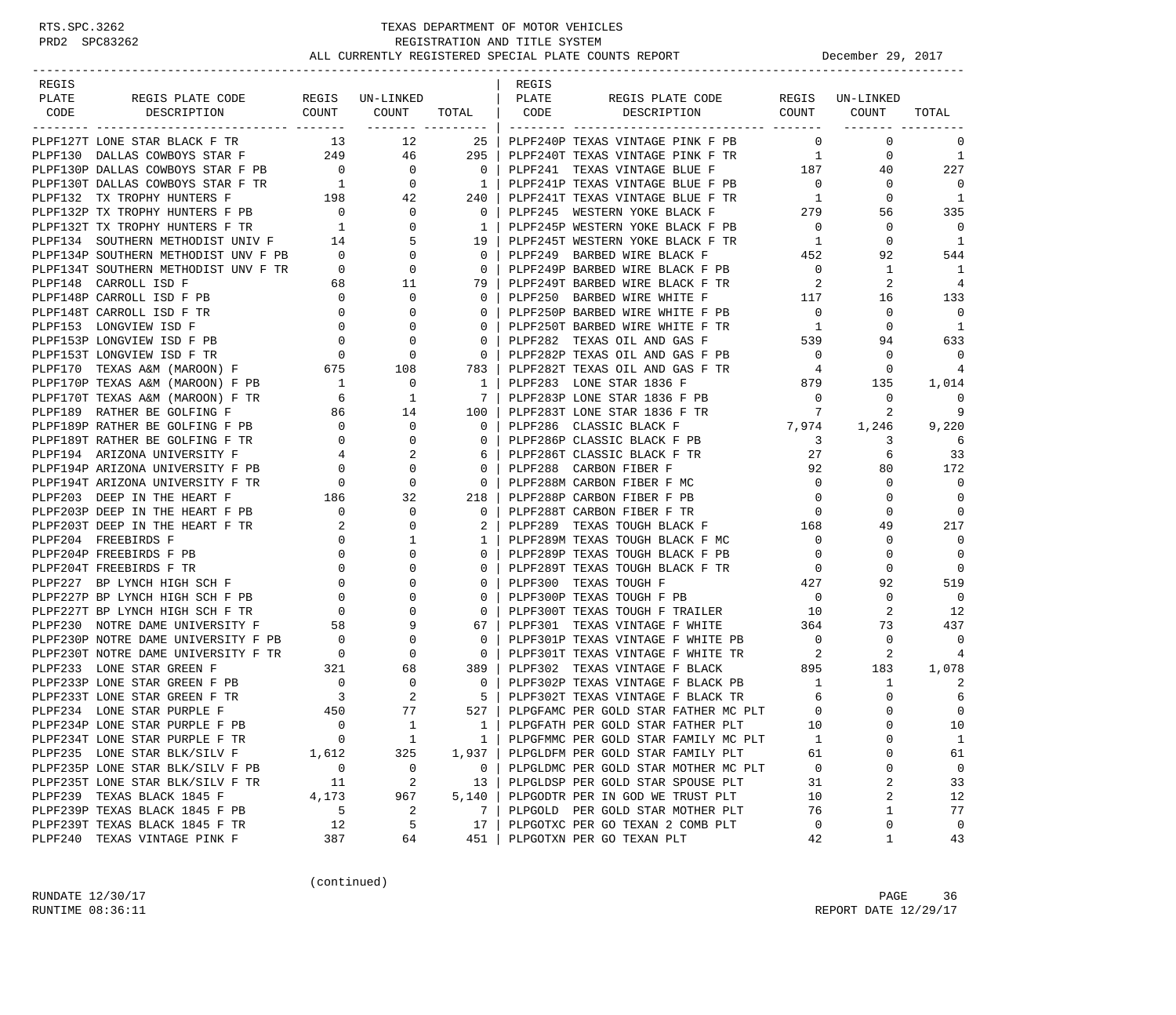### RTS.SPC.3262 TEXAS DEPARTMENT OF MOTOR VEHICLES<br>PRD2 SPC83262 REGISTRATION AND TITLE SYSTEM REGISTRATION AND TITLE SYSTEM ALL CURRENTLY REGISTERED SPECIAL PLATE COUNTS REPORT **DECEMBER 29, 2017**

-----------------------------------------------------------------------------------------------------------------------------------

| <b>REGIS</b> |  |  | REGIS |                                                                                                                                                                                                                               |  |                          |
|--------------|--|--|-------|-------------------------------------------------------------------------------------------------------------------------------------------------------------------------------------------------------------------------------|--|--------------------------|
| PLATE        |  |  |       |                                                                                                                                                                                                                               |  |                          |
|              |  |  |       |                                                                                                                                                                                                                               |  | TOTAL                    |
|              |  |  |       |                                                                                                                                                                                                                               |  |                          |
|              |  |  |       |                                                                                                                                                                                                                               |  | $\Omega$                 |
|              |  |  |       |                                                                                                                                                                                                                               |  | $\overline{1}$           |
|              |  |  |       |                                                                                                                                                                                                                               |  | 227                      |
|              |  |  |       |                                                                                                                                                                                                                               |  | $\bigcirc$               |
|              |  |  |       |                                                                                                                                                                                                                               |  | $\overline{1}$           |
|              |  |  |       |                                                                                                                                                                                                                               |  | 335                      |
|              |  |  |       |                                                                                                                                                                                                                               |  | $\overline{0}$           |
|              |  |  |       |                                                                                                                                                                                                                               |  | $\overline{1}$           |
|              |  |  |       |                                                                                                                                                                                                                               |  | 544                      |
|              |  |  |       |                                                                                                                                                                                                                               |  | $\overline{\phantom{0}}$ |
|              |  |  |       |                                                                                                                                                                                                                               |  | - 4                      |
|              |  |  |       |                                                                                                                                                                                                                               |  | 133                      |
|              |  |  |       |                                                                                                                                                                                                                               |  | $\Omega$                 |
|              |  |  |       |                                                                                                                                                                                                                               |  |                          |
|              |  |  |       |                                                                                                                                                                                                                               |  | $\overline{\phantom{0}}$ |
|              |  |  |       |                                                                                                                                                                                                                               |  | 633                      |
|              |  |  |       |                                                                                                                                                                                                                               |  | $\Omega$                 |
|              |  |  |       |                                                                                                                                                                                                                               |  | $\overline{4}$           |
|              |  |  |       |                                                                                                                                                                                                                               |  | 1,014                    |
|              |  |  |       |                                                                                                                                                                                                                               |  | $\Omega$                 |
|              |  |  |       |                                                                                                                                                                                                                               |  | 9                        |
|              |  |  |       |                                                                                                                                                                                                                               |  | 9,220                    |
|              |  |  |       |                                                                                                                                                                                                                               |  | - 6                      |
|              |  |  |       |                                                                                                                                                                                                                               |  | 33                       |
|              |  |  |       |                                                                                                                                                                                                                               |  | 172                      |
|              |  |  |       |                                                                                                                                                                                                                               |  | $\bigcap$                |
|              |  |  |       |                                                                                                                                                                                                                               |  | $\Omega$                 |
|              |  |  |       |                                                                                                                                                                                                                               |  | $\bigcirc$               |
|              |  |  |       |                                                                                                                                                                                                                               |  | 217                      |
|              |  |  |       |                                                                                                                                                                                                                               |  | $\bigcirc$               |
|              |  |  |       |                                                                                                                                                                                                                               |  | $\bigcirc$               |
|              |  |  |       |                                                                                                                                                                                                                               |  | $\overline{0}$           |
|              |  |  |       |                                                                                                                                                                                                                               |  | 519                      |
|              |  |  |       |                                                                                                                                                                                                                               |  | $\overline{\phantom{0}}$ |
|              |  |  |       |                                                                                                                                                                                                                               |  | 12                       |
|              |  |  |       |                                                                                                                                                                                                                               |  | 437                      |
|              |  |  |       |                                                                                                                                                                                                                               |  | $\overline{0}$           |
|              |  |  |       |                                                                                                                                                                                                                               |  | 4                        |
|              |  |  |       |                                                                                                                                                                                                                               |  | 1,078                    |
|              |  |  |       |                                                                                                                                                                                                                               |  |                          |
|              |  |  |       |                                                                                                                                                                                                                               |  | 6                        |
|              |  |  |       |                                                                                                                                                                                                                               |  | $\overline{0}$           |
|              |  |  |       |                                                                                                                                                                                                                               |  | 10                       |
|              |  |  |       |                                                                                                                                                                                                                               |  | $\overline{1}$           |
|              |  |  |       |                                                                                                                                                                                                                               |  | 61                       |
|              |  |  |       |                                                                                                                                                                                                                               |  | $\overline{0}$           |
|              |  |  |       |                                                                                                                                                                                                                               |  | 33                       |
|              |  |  |       |                                                                                                                                                                                                                               |  | 12                       |
|              |  |  |       | PLPP1337 LOMOVID HE DO TRANSPORT TRANSPORT TRANSPORT DRAG OLL AND AGE PER PROPERTIES (1992) 2012 12:20 12:20 12:20 12:20 12:20 12:20 12:20 12:20 12:20 12:20 12:20 12:20 12:20 12:20 12:20 12:20 12:20 12:20 12:20 12:20 12:2 |  | 77                       |
|              |  |  |       |                                                                                                                                                                                                                               |  |                          |
|              |  |  |       |                                                                                                                                                                                                                               |  | $\overline{0}$           |
|              |  |  |       |                                                                                                                                                                                                                               |  | 43                       |

(continued)

RUNDATE  $12/30/17$  PAGE 36 RUNTIME 08:36:11 REPORT DATE 12/29/17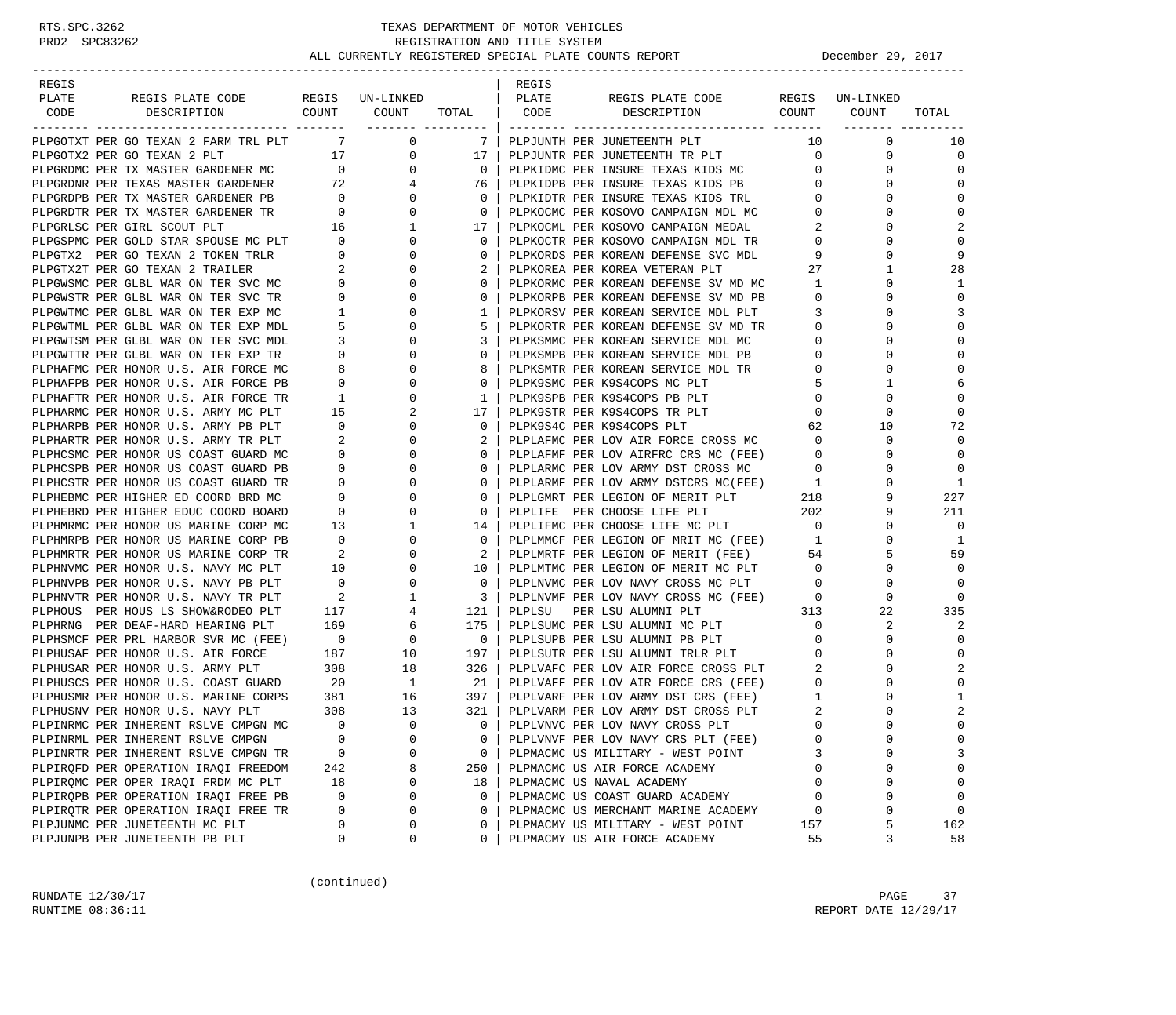| REGIS |                                                                                                                     |                                             |                                                       |                          | REGIS  |                                                                              |                          |                    |                            |
|-------|---------------------------------------------------------------------------------------------------------------------|---------------------------------------------|-------------------------------------------------------|--------------------------|--------|------------------------------------------------------------------------------|--------------------------|--------------------|----------------------------|
| PLATE | REGIS PLATE CODE                                                                                                    |                                             | REGIS UN-LINKED<br>COUNT COUNT                        |                          | PLATE  | REGIS PLATE CODE<br>DESCRIPTION COUNT COUNT                                  |                          | REGIS UN-LINKED    |                            |
| CODE  | DESCRIPTION                                                                                                         |                                             | __________________                                    | TOTAL                    | CODE   |                                                                              |                          |                    | TOTAL                      |
|       | PLPGOTXT PER GO TEXAN 2 FARM TRL PLT                                                                                |                                             | $7\overline{ }$<br>$\overline{0}$                     | - 7 - I                  |        | PLPJUNTH PER JUNETEENTH PLT                                                  | 10                       | $\mathbf 0$        | 10                         |
|       | PLPGOTX2 PER GO TEXAN 2 PLT                                                                                         |                                             | 17<br>0                                               | 17                       |        | PLPJUNTR PER JUNETEENTH TR PLT                                               | $\mathbf{0}$             | $\mathbf 0$        | 0                          |
|       | PLPGRDMC PER TX MASTER GARDENER MC                                                                                  | $\overline{0}$                              | $\mathbf{0}$                                          | $\overline{0}$           |        | PLPKIDMC PER INSURE TEXAS KIDS MC                                            | $\mathbf{0}$             | 0                  | $\mathbf 0$                |
|       | PLPGRDNR PER TEXAS MASTER GARDENER 72                                                                               |                                             | 4                                                     | 76                       |        | PLPKIDPB PER INSURE TEXAS KIDS PB                                            | $\mathbf{0}$             | $\Omega$           | $\Omega$                   |
|       |                                                                                                                     |                                             | $\mathbf 0$                                           | $\overline{0}$           |        | PLPKIDTR PER INSURE TEXAS KIDS TRL                                           | $\mathbf{0}$             | 0                  | $\mathbf 0$                |
|       | PLPGRDPB PER TX MASTER GARDENER PB 0<br>PLPGRDTR PER TX MASTER GARDENER TR 0                                        |                                             | $\begin{array}{c} 0 \\ 0 \end{array}$<br>$\mathbf{0}$ | $\overline{0}$           |        | PLPKOCMC PER KOSOVO CAMPAIGN MDL MC                                          | $\mathbf{0}$             | 0                  | $\mathbf 0$                |
|       | PLPGRLSC PER GIRL SCOUT PLT                                                                                         | 16                                          | 1                                                     | 17                       |        | PLPKOCML PER KOSOVO CAMPAIGN MEDAL                                           | 2                        | $\Omega$           | 2                          |
|       | PLPGSPMC PER GOLD STAR SPOUSE MC PLT<br>PLPGSPMC PER GOLD STAR SPOUSE MC PLT<br>PLPGTX2 PER GO TEXAN 2 TOKEN TRLR 0 |                                             | 0                                                     | $\mathbf 0$              |        | PLPKOCTR PER KOSOVO CAMPAIGN MDL TR                                          | $\mathbf 0$              | 0                  | $\Omega$                   |
|       |                                                                                                                     |                                             | $\mathbf{0}$                                          | 0                        |        | PLPKORDS PER KOREAN DEFENSE SVC MDL                                          | 9                        | 0                  | 9                          |
|       | PLPGTX2T PER GO TEXAN 2 TRAILER 2<br>PLPGWSMC PER GLBL WAR ON TER SVC MC 0                                          |                                             | $\mathbf{0}$                                          | 2                        |        | PLPKOREA PER KOREA VETERAN PLT                                               | 27                       | 1                  | 28                         |
|       |                                                                                                                     |                                             | 0                                                     | $\circ$                  |        | PLPKORMC PER KOREAN DEFENSE SV MD MC                                         | 1                        | 0                  | 1                          |
|       | PLPGWSTR PER GLBL WAR ON TER SVC TR                                                                                 | $\overline{0}$                              | 0                                                     | $\mathbf 0$              |        | PLPKORPB PER KOREAN DEFENSE SV MD PB                                         | $\mathbf{0}$             | 0                  | $\mathbf 0$                |
|       | PLPGWTMC PER GLBL WAR ON TER EXP MC                                                                                 | $\mathbf{1}$                                | 0                                                     | $\mathbf{1}$             |        | PLPKORSV PER KOREAN SERVICE MDL PLT                                          | 3                        | 0                  | 3                          |
|       | PLPGWTML PER GLBL WAR ON TER EXP MDL                                                                                | $\frac{1}{5}$                               | 0                                                     | 5                        |        | PLPKORTR PER KOREAN DEFENSE SV MD TR                                         | $\mathbf{0}$             | 0                  | $\Omega$                   |
|       | PLPGWTSM PER GLBL WAR ON TER SVC MDL                                                                                | $\begin{array}{c} 3 \\ 0 \end{array}$       | 0                                                     | 3                        |        | PLPKSMMC PER KOREAN SERVICE MDL MC                                           | $\mathbf{0}$             | 0                  | $\mathbf 0$                |
|       | PLPGWTTR PER GLBL WAR ON TER EXP TR                                                                                 |                                             | 0                                                     | $\mathbf 0$              |        | PLPKSMPB PER KOREAN SERVICE MDL PB                                           | $\mathbf{0}$             | $\Omega$           | $\mathbf 0$                |
|       | PLPHAFMC PER HONOR U.S. AIR FORCE MC                                                                                | 8 <sup>8</sup>                              | 0                                                     | 8                        |        | PLPKSMTR PER KOREAN SERVICE MDL TR                                           | 0                        | 0                  | $\Omega$                   |
|       | PLPHAFPB PER HONOR U.S. AIR FORCE PB                                                                                | $\begin{matrix}0\\1\end{matrix}$            | 0                                                     | $\mathbf 0$              |        | PLPK9SMC PER K9S4COPS MC PLT                                                 | 5                        | 1                  | 6                          |
|       | PLPHAFTR PER HONOR U.S. AIR FORCE TR                                                                                |                                             | 0                                                     | 1                        |        | PLPK9SPB PER K9S4COPS PB PLT                                                 | 0                        | 0                  | $\Omega$                   |
|       | PLPHARMC PER HONOR U.S. ARMY MC PLT                                                                                 | $\begin{array}{c} 15 \\ 0 \end{array}$      | 2                                                     | 17                       |        | PLPK9STR PER K9S4COPS TR PLT                                                 | 0                        | 0                  | 0                          |
|       | PLPHARPB PER HONOR U.S. ARMY PB PLT                                                                                 |                                             | $\mathbf{0}$                                          | $\mathbf{0}$             |        | PLPK9S4C PER K9S4COPS PLT                                                    | 62                       | 10                 | 72                         |
|       | PLPHARTR PER HONOR U.S. ARMY TR PLT                                                                                 | $\overline{\phantom{a}}$                    | $\mathbf{0}$                                          |                          |        | PLPLAFMC PER LOV AIR FORCE CROSS MC                                          | $\mathbf 0$              | 0                  | 0                          |
|       | PLPHCSMC PER HONOR US COAST GUARD MC                                                                                | $\begin{matrix}0\\0\end{matrix}$            | 0                                                     | $\mathbf 0$              |        | PLPLAFMF PER LOV AIRFRC CRS MC (FEE)                                         | $\mathbf{0}$             | 0                  | $\Omega$                   |
|       | PLPHCSPB PER HONOR US COAST GUARD PB                                                                                |                                             | 0                                                     | 0                        |        | PLPLARMC PER LOV ARMY DST CROSS MC                                           | $\circ$                  | 0                  | $\Omega$                   |
|       | PLPHCSTR PER HONOR US COAST GUARD TR                                                                                | $\overline{0}$                              | 0                                                     | $\mathbf 0$              |        | PLPLARMF PER LOV ARMY DSTCRS MC(FEE)<br>PLPLGMRT PER LEGION OF MERIT PLT     | $\overline{1}$           | 0                  | 1                          |
|       | PLPHEBMC PER HIGHER ED COORD BRD MC                                                                                 | $\overline{\phantom{0}}$                    | $\Omega$                                              | 0                        |        |                                                                              | 218                      | 9                  | 227                        |
|       | PLPHEBRD PER HIGHER EDUC COORD BOARD                                                                                | $\overline{0}$                              | 0                                                     | $\overline{0}$           |        | PLPLIFE PER CHOOSE LIFE PLT                                                  | 202                      | 9                  | 211                        |
|       | PLPHMRMC PER HONOR US MARINE CORP MC                                                                                | 13                                          | 1                                                     | 14                       |        | PLPLIFMC PER CHOOSE LIFE MC PLT                                              | $\overline{0}$           | 0                  | $\Omega$                   |
|       | PLPHMRPB PER HONOR US MARINE CORP PB                                                                                | $\overline{0}$                              | 0                                                     | $\overline{0}$           |        | PLPLMMCF PER LEGION OF MRIT MC (FEE)                                         | $\overline{\phantom{a}}$ | 0                  | -1                         |
|       | PLPHMRTR PER HONOR US MARINE CORP TR                                                                                | $\begin{array}{c}\n 2 \\  10\n \end{array}$ | $\begin{array}{c} 2 \\ 10 \end{array}$<br>0           | -2                       |        | PLPLMRTF PER LEGION OF MERIT (FEE)                                           | 54                       | 5                  | 59                         |
|       | PLPHNVMC PER HONOR U.S. NAVY MC PLT                                                                                 |                                             | $\mathbf{0}$                                          | 10                       |        | PLPLMTMC PER LEGION OF MERIT MC PLT                                          | $\overline{0}$           | $\Omega$           | $\Omega$                   |
|       | PLPHNVPB PER HONOR U.S. NAVY PB PLT                                                                                 | $\overline{0}$                              | $\mathbf{0}$                                          | $\overline{0}$           |        | PLPLNVMC PER LOV NAVY CROSS MC PLT                                           | $\overline{0}$           | 0                  | $\Omega$                   |
|       | PLPHNVTR PER HONOR U.S. NAVY TR PLT                                                                                 | $\overline{\phantom{a}}^2$                  | 1                                                     | $\overline{\mathbf{3}}$  |        | PLPLNVMF PER LOV NAVY CROSS MC (FEE)                                         | $\overline{0}$           | 0                  | $\Omega$                   |
|       | PLPHOUS PER HOUS LS SHOW&RODEO PLT                                                                                  | 117                                         | 4                                                     | 121                      | PLPLSU | PER LSU ALUMNI PLT                                                           | 313                      | 22                 | 335                        |
|       | PLPHRNG PER DEAF-HARD HEARING PLT                                                                                   | 169                                         | 6                                                     | 175                      |        | PLPLSUMC PER LSU ALUMNI MC PLT                                               | 0                        | 2                  | 2                          |
|       | PLPHSMCF PER PRL HARBOR SVR MC (FEE)                                                                                | $\overline{0}$                              | $\mathbf 0$                                           | $\overline{\phantom{0}}$ |        | PLPLSUPB PER LSU ALUMNI PB PLT                                               | 0                        | $\Omega$           | $\mathbf 0$                |
|       | PLPHUSAF PER HONOR U.S. AIR FORCE                                                                                   | 187                                         | 10                                                    | 197                      |        | PLPLSUTR PER LSU ALUMNI TRLR PLT                                             | $\mathbf{0}$             | 0                  | $\mathbf 0$                |
|       | PLPHUSAR PER HONOR U.S. ARMY PLT                                                                                    | 308                                         | 18                                                    | 326                      |        | PLPLVAFC PER LOV AIR FORCE CROSS PLT<br>PLPLVAFF PER LOV AIR FORCE CRS (FEE) | 2                        | 0                  | 2                          |
|       | PLPHUSCS PER HONOR U.S. COAST GUARD 20                                                                              |                                             | $\overline{1}$                                        | - 21                     |        |                                                                              | $\mathbf{0}$             | 0                  | $\Omega$                   |
|       | PLPHUSMR PER HONOR U.S. MARINE CORPS 381<br>PLPHUSNV PER HONOR U.S. NAVY PLT 308                                    |                                             | 16                                                    | 397                      |        | PLPLVARF PER LOV ARMY DST CRS (FEE)                                          | $\mathbf{1}$             | 0                  | 1                          |
|       | PLPHUSNV PER HONOR U.S. NAVY PLT                                                                                    | $\overline{0}$                              | 13<br>$\Omega$                                        | 321                      |        | PLPLVARM PER LOV ARMY DST CROSS PLT                                          | 2<br>$\Omega$            | $\Omega$<br>$\cap$ | $\overline{a}$<br>$\Omega$ |
|       | PLPINRMC PER INHERENT RSLVE CMPGN MC                                                                                | 0                                           |                                                       | $\Omega$                 |        | PLPLVNVC PER LOV NAVY CROSS PLT                                              |                          |                    |                            |
|       | PLPINRML PER INHERENT RSLVE CMPGN                                                                                   |                                             | 0                                                     | 0                        |        | PLPLVNVF PER LOV NAVY CRS PLT (FEE)                                          | 0                        | 0                  | 0                          |
|       | PLPINRTR PER INHERENT RSLVE CMPGN TR<br>PLPIRQFD PER OPERATION IRAQI FREEDOM                                        | 0                                           | 0                                                     | 0                        |        | PLPMACMC US MILITARY - WEST POINT                                            | 3<br>0                   | 0<br>0             | 3<br>$\mathbf 0$           |
|       |                                                                                                                     | 242                                         | 8<br>0                                                | 250                      |        | PLPMACMC US AIR FORCE ACADEMY                                                | 0                        | 0                  | $\mathbf 0$                |
|       | PLPIRQMC PER OPER IRAQI FRDM MC PLT                                                                                 | 18<br>0                                     |                                                       | 18<br>0                  |        | PLPMACMC US NAVAL ACADEMY                                                    | 0                        | 0                  |                            |
|       | PLPIRQPB PER OPERATION IRAQI FREE PB<br>PLPIRQTR PER OPERATION IRAQI FREE TR                                        | 0                                           | 0<br>0                                                | 0                        |        | PLPMACMC US COAST GUARD ACADEMY<br>PLPMACMC US MERCHANT MARINE ACADEMY       | 0                        | 0                  | 0<br>$\mathbf 0$           |
|       | PLPJUNMC PER JUNETEENTH MC PLT                                                                                      | 0                                           | 0                                                     | $\Omega$                 |        | PLPMACMY US MILITARY - WEST POINT                                            | 157                      | 5                  | 162                        |
|       | PLPJUNPB PER JUNETEENTH PB PLT                                                                                      | 0                                           | 0                                                     | 0                        |        | PLPMACMY US AIR FORCE ACADEMY                                                | 55                       | 3                  | 58                         |
|       |                                                                                                                     |                                             |                                                       |                          |        |                                                                              |                          |                    |                            |

(continued)

RUNDATE  $12/30/17$  PAGE 37 RUNTIME 08:36:11 REPORT DATE 12/29/17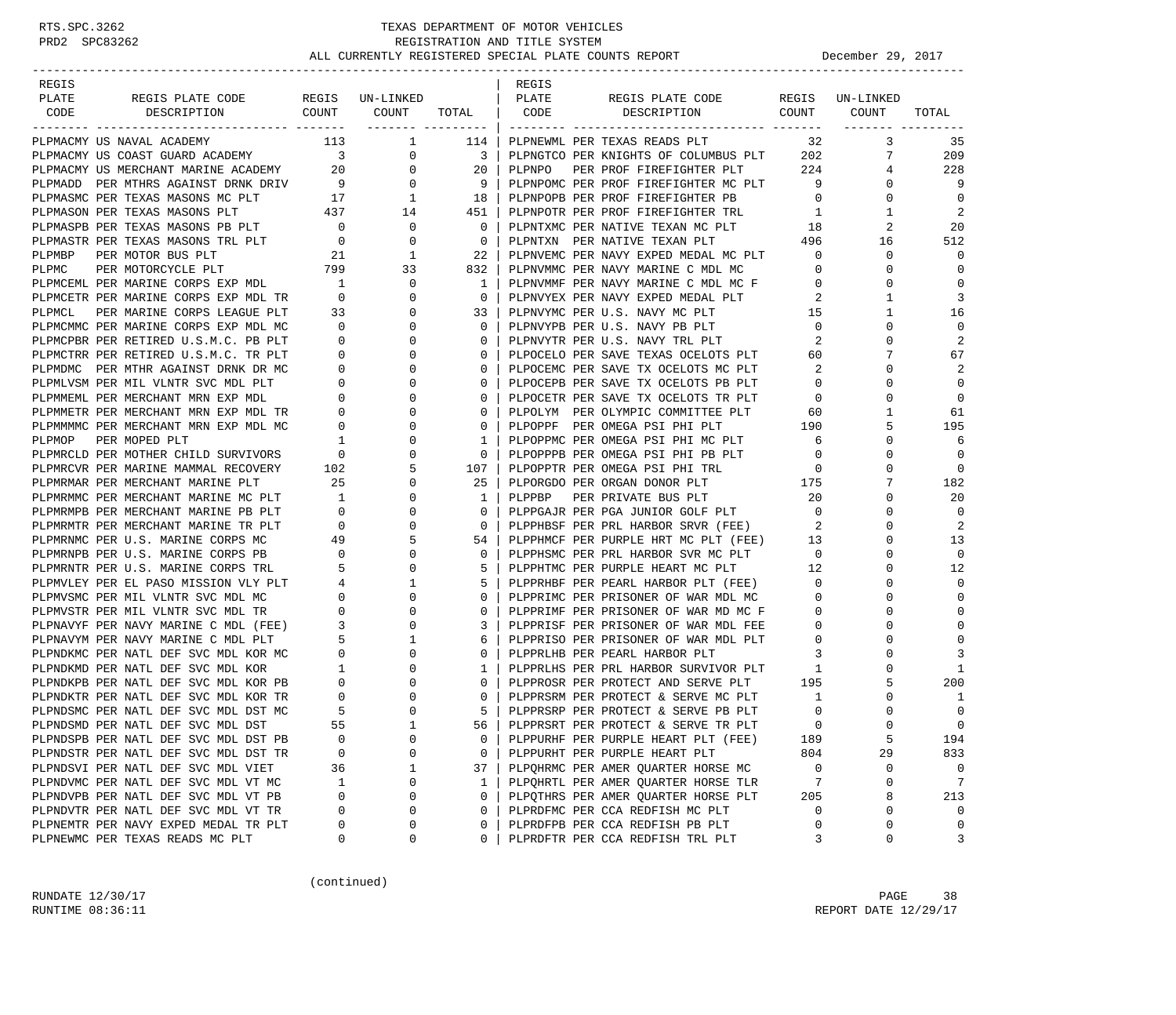### RTS.SPC.3262 TEXAS DEPARTMENT OF MOTOR VEHICLES<br>PRD2 SPC83262 REGISTRATION AND TITLE SYSTEM REGISTRATION AND TITLE SYSTEM ALL CURRENTLY REGISTERED SPECIAL PLATE COUNTS REPORT **DECEMBER 29, 2017**

-----------------------------------------------------------------------------------------------------------------------------------

| REGIS<br>PLATE |  |  | REGIS |                                                                                                                                                                                                                                     |              |                  |                 |
|----------------|--|--|-------|-------------------------------------------------------------------------------------------------------------------------------------------------------------------------------------------------------------------------------------|--------------|------------------|-----------------|
| CODE           |  |  |       | <b>PLACES FOR DESCRIPTION CONTINUOUS CONFIDENTIAL CONTINUOUS CONTINUOUS CONTINUOUS CONTINUOUS CONTINUOUS CONTINUOUS CONTINUOUS CONTINUOUS CONTINUOUS CONTINUOUS CONTINUOUS CONTINUOUS CONTINUOUS CONTINUOUS CONTINUOUS CONTINUO</b> |              |                  | TOTAL           |
|                |  |  |       |                                                                                                                                                                                                                                     |              |                  | 35              |
|                |  |  |       | 114   PLPNEWML PER TEXAS READS PLT 32 3<br>3   PLPNGTCO PER KNIGHTS OF COLUMBUS PLT 202 7                                                                                                                                           |              |                  | 209             |
|                |  |  |       |                                                                                                                                                                                                                                     |              | 4                | 228             |
|                |  |  |       |                                                                                                                                                                                                                                     |              | $\Omega$         | 9               |
|                |  |  |       |                                                                                                                                                                                                                                     |              | 0                | $\Omega$        |
|                |  |  |       |                                                                                                                                                                                                                                     |              | 1                | -2              |
|                |  |  |       |                                                                                                                                                                                                                                     |              | 2                | 20              |
|                |  |  |       |                                                                                                                                                                                                                                     |              | 16               | 512             |
|                |  |  |       |                                                                                                                                                                                                                                     |              | $\mathbf 0$      |                 |
|                |  |  |       |                                                                                                                                                                                                                                     |              | $\mathbf 0$      | $\Omega$        |
|                |  |  |       |                                                                                                                                                                                                                                     |              | $\mathbf 0$      |                 |
|                |  |  |       |                                                                                                                                                                                                                                     |              | $\mathbf{1}$     | 3               |
|                |  |  |       |                                                                                                                                                                                                                                     |              | $\mathbf{1}$     | 16              |
|                |  |  |       |                                                                                                                                                                                                                                     |              | $\mathbf 0$      | $\Omega$        |
|                |  |  |       |                                                                                                                                                                                                                                     |              | $\Omega$         | $\overline{2}$  |
|                |  |  |       |                                                                                                                                                                                                                                     |              | 7                | 67              |
|                |  |  |       |                                                                                                                                                                                                                                     |              | $\Omega$         | 2               |
|                |  |  |       |                                                                                                                                                                                                                                     |              | $\Omega$         | $\Omega$        |
|                |  |  |       |                                                                                                                                                                                                                                     |              | $\mathbf 0$      | $\bigcirc$      |
|                |  |  |       |                                                                                                                                                                                                                                     |              | $\mathbf{1}$     | 61              |
|                |  |  |       |                                                                                                                                                                                                                                     |              | 5                | 195             |
|                |  |  |       |                                                                                                                                                                                                                                     |              | $\Omega$         | 6               |
|                |  |  |       |                                                                                                                                                                                                                                     |              | 0                | $\Omega$        |
|                |  |  |       |                                                                                                                                                                                                                                     |              | $\mathbf 0$      | $\Omega$        |
|                |  |  |       |                                                                                                                                                                                                                                     |              | $7\phantom{.0}$  | 182             |
|                |  |  |       |                                                                                                                                                                                                                                     |              | $\Omega$         | 20              |
|                |  |  |       |                                                                                                                                                                                                                                     |              | $\mathbf 0$      | $\Omega$        |
|                |  |  |       |                                                                                                                                                                                                                                     |              | $\Omega$         | 2               |
|                |  |  |       |                                                                                                                                                                                                                                     |              | $\mathbf 0$      | 13              |
|                |  |  |       |                                                                                                                                                                                                                                     |              | $\Omega$         | $\Omega$        |
|                |  |  |       |                                                                                                                                                                                                                                     |              | $\mathbf 0$      | 12              |
|                |  |  |       |                                                                                                                                                                                                                                     |              | $\mathbf 0$      | $\Omega$        |
|                |  |  |       |                                                                                                                                                                                                                                     |              | $\Omega$         | $\Omega$        |
|                |  |  |       |                                                                                                                                                                                                                                     |              | $\mathbf 0$      |                 |
|                |  |  |       |                                                                                                                                                                                                                                     |              | $\Omega$         | $\Omega$        |
|                |  |  |       |                                                                                                                                                                                                                                     |              | $\Omega$         |                 |
|                |  |  |       |                                                                                                                                                                                                                                     |              | $\mathbf 0$      | 3               |
|                |  |  |       |                                                                                                                                                                                                                                     |              | $\Omega$         | -1              |
|                |  |  |       |                                                                                                                                                                                                                                     |              | 5                | 200             |
|                |  |  |       |                                                                                                                                                                                                                                     |              | $\mathbf 0$      | 1               |
|                |  |  |       |                                                                                                                                                                                                                                     |              | 0                | $\Omega$        |
|                |  |  |       |                                                                                                                                                                                                                                     |              | $\mathbf 0$<br>5 | $\Omega$<br>194 |
|                |  |  |       | 0   FLEPRSRM PER PROTECT & SERVE FUL FILM<br>5   PLEPRSRP PER PROTECT & SERVE PB PLT<br>56   PLEPRSRT PER PROTECT & SERVE TR PLT<br>0   PLEPURHF PER PURPLE HEART PLT (FEE) 189<br>189<br>189<br>1804                               |              | 29               | 833             |
|                |  |  |       |                                                                                                                                                                                                                                     |              | $\mathbf 0$      |                 |
|                |  |  |       | 37   PLPQHRMC PER AMER QUARTER HORSE MC 0                                                                                                                                                                                           |              | $\mathbf 0$      | $\overline{7}$  |
|                |  |  |       | 1   PLPQHRTL PER AMER QUARTER HORSE TLR                                                                                                                                                                                             |              | 8                | 213             |
|                |  |  |       |                                                                                                                                                                                                                                     |              | $\Omega$         | $\Omega$        |
|                |  |  |       | 1   PLPQHRTL PER AMER QUARTER HORSE PLT 205<br>0   PLPQTHRS PER AMER QUARTER HORSE PLT 205<br>0   PLPRDFMC PER CCA REDFISH MC PLT 0                                                                                                 |              | $\mathbf 0$      | $\mathbf 0$     |
|                |  |  |       | 0   PLPRDFTR PER CCA REDFISH TRL PLT                                                                                                                                                                                                | $\mathbf{3}$ | $\Omega$         | 3               |
|                |  |  |       |                                                                                                                                                                                                                                     |              |                  |                 |

(continued)

RUNDATE  $12/30/17$  PAGE 38 RUNTIME 08:36:11 REPORT DATE 12/29/17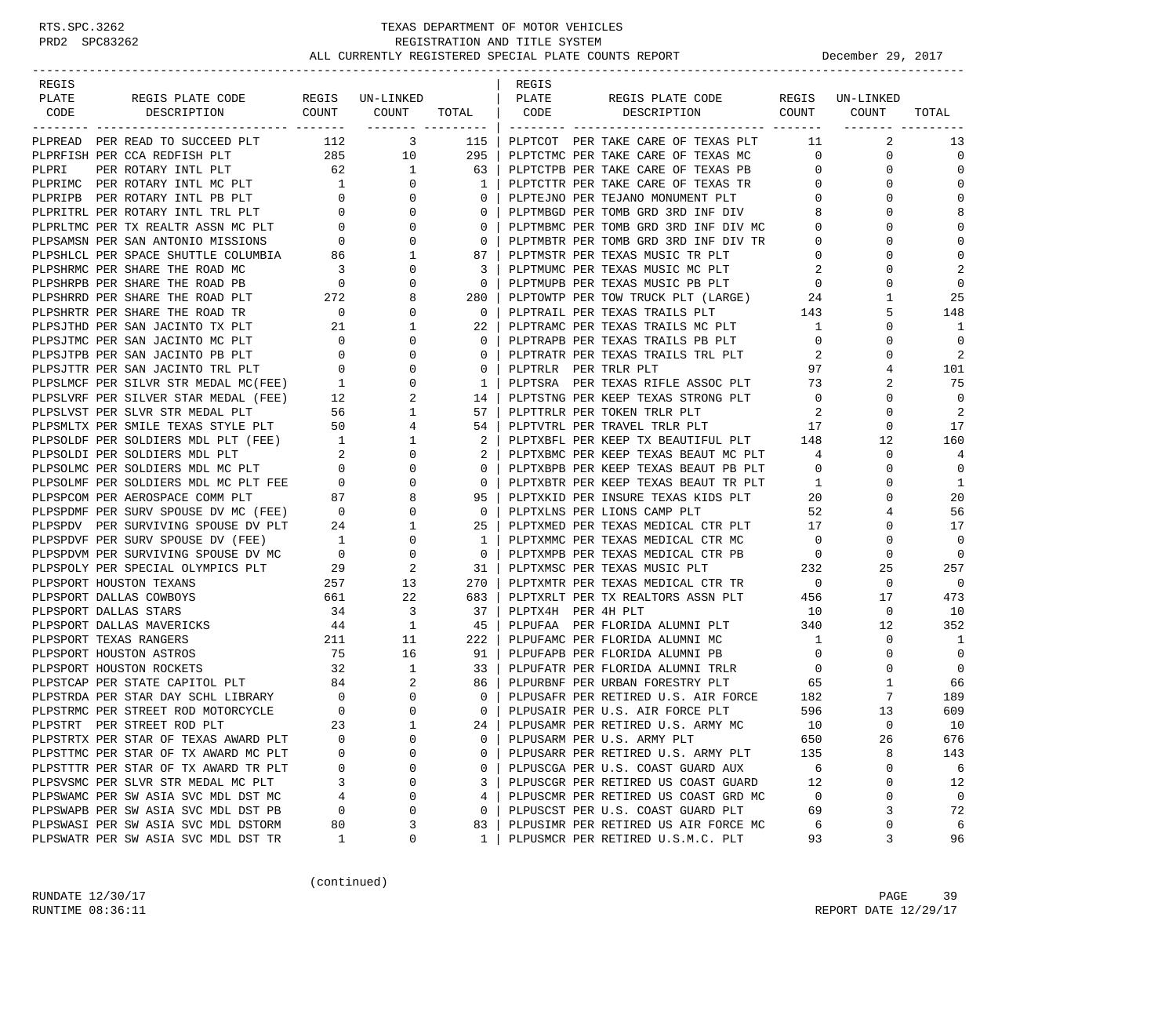| REGIS |                                                                                                                                                                                                                                           |                                        |                                                         |                | REGIS              |                                                                                |                            |                 |                |
|-------|-------------------------------------------------------------------------------------------------------------------------------------------------------------------------------------------------------------------------------------------|----------------------------------------|---------------------------------------------------------|----------------|--------------------|--------------------------------------------------------------------------------|----------------------------|-----------------|----------------|
| PLATE | REGIS PLATE CODE                                                                                                                                                                                                                          |                                        | REGIS UN-LINKED                                         |                | PLATE              | REGIS PLATE CODE<br>COUNT COUNT TOTAL   CODE DESCRIPTION COUNT COUNT           |                            | REGIS UN-LINKED |                |
| CODE  | DESCRIPTION                                                                                                                                                                                                                               |                                        |                                                         |                |                    |                                                                                |                            |                 | TOTAL          |
|       | PLPREAD PER READ TO SUCCEED PLT 112 3                                                                                                                                                                                                     |                                        |                                                         | 115            |                    | PLPTCOT PER TAKE CARE OF TEXAS PLT                                             | 11                         | 2               | 13             |
|       | PLPRFISH PER CCA REDFISH PLT                                                                                                                                                                                                              |                                        | 285 10                                                  | 295            |                    | PLPTCTMC PER TAKE CARE OF TEXAS MC                                             | $\overline{0}$             | 0               | $\mathbf 0$    |
| PLPRI | PER ROTARY INTL PLT                                                                                                                                                                                                                       | 62                                     | $\overline{1}$                                          | 63             |                    | PLPTCTPB PER TAKE CARE OF TEXAS PB                                             | $\overline{0}$             | 0               | $\mathbf 0$    |
|       |                                                                                                                                                                                                                                           |                                        | $\overline{0}$                                          | 1              |                    | PLPTCTTR PER TAKE CARE OF TEXAS TR                                             | $\overline{0}$             | $\Omega$        | $\mathbf 0$    |
|       |                                                                                                                                                                                                                                           |                                        | $\mathbf{0}$                                            | 0              |                    | PLPTEJNO PER TEJANO MONUMENT PLT                                               | $\mathbf{0}$               | 0               | $\mathbf 0$    |
|       |                                                                                                                                                                                                                                           |                                        | $\mathbf 0$                                             | 0              |                    | PLPTMBGD PER TOMB GRD 3RD INF DIV                                              | 8                          | $\Omega$        | 8              |
|       |                                                                                                                                                                                                                                           |                                        | $\mathbf{0}$                                            | $\mathbf 0$    |                    | PLPTMBMC PER TOMB GRD 3RD INF DIV MC                                           | $\circ$                    | $\Omega$        | $\Omega$       |
|       |                                                                                                                                                                                                                                           |                                        | $\mathbf{0}$                                            | $\overline{0}$ |                    |                                                                                | $\overline{0}$             | $\Omega$        | 0              |
|       | PLPRIMC PER ROTARY INTL PLT 62<br>PLPRIMC PER ROTARY INTL PB PLT 1<br>PLPRIPB PER ROTARY INTL PB PLT 0<br>PLPRITRL PER ROTARY INTL TRL PLT 0<br>PLPRIMC PER TX REALTR ASSN MC PLT 0<br>PLPSHICL PER SPACE SHUTTLE COLUMBIA 86<br>PLPSHICL |                                        | 1                                                       | 87             |                    | PLPTMBTR PER TOMB GRD 3RD INF DIV TR<br>PLPTMSTR PER TEXAS MUSIC TR PLT        | $\overline{0}$             | $\Omega$        | $\mathbf 0$    |
|       | PLPSHRMC PER SHARE THE ROAD MC                                                                                                                                                                                                            |                                        | $\begin{array}{c}\n 3 \\  0 \\  272\n \end{array}$<br>0 | -3             |                    | PLPTMUMC PER TEXAS MUSIC MC PLT<br>plptmudr per texas music PB PLT             | $\overline{\phantom{a}}^2$ | 0               | 2              |
|       | PLPSHRPB PER SHARE THE ROAD PB                                                                                                                                                                                                            |                                        | $\mathbf{0}$                                            | $\mathbf 0$    |                    | PLPTMUPB PER TEXAS MUSIC PB PLT                                                | $\overline{0}$             | $\Omega$        | $\overline{0}$ |
|       | PLPSHRRD PER SHARE THE ROAD PLT                                                                                                                                                                                                           |                                        | 8                                                       | 280            |                    | PLPTOWTP PER TOW TRUCK PLT (LARGE) 24                                          |                            | 1               | 25             |
|       | PLPSHRTR PER SHARE THE ROAD TR                                                                                                                                                                                                            |                                        | $\mathbf{0}$                                            | $\mathbf{0}$   |                    | PLPTRAIL PER TEXAS TRAILS PLT 143                                              |                            | 5               | 148            |
|       | PLPSJTHD PER SAN JACINTO TX PLT                                                                                                                                                                                                           | $\begin{array}{c} 0 \\ 21 \end{array}$ | 1                                                       | 22             |                    | PLPTRAMC PER TEXAS TRAILS MC PLT                                               | -1                         | $\Omega$        | 1              |
|       |                                                                                                                                                                                                                                           |                                        | $\mathbf{0}$                                            | $\mathbf{0}$   |                    | PLPTRAPB PER TEXAS TRAILS PB PLT                                               | $\mathbf 0$                | 0               | $\mathbf 0$    |
|       |                                                                                                                                                                                                                                           |                                        | $\Omega$                                                | $\mathbf 0$    |                    | PLPTRATR PER TEXAS TRAILS TRL PLT                                              | 2                          | $\Omega$        | 2              |
|       | PLPSJTMC PER SAN JACINTO MC PLT 0<br>PLPSJTPB PER SAN JACINTO PB PLT 0<br>PLPSJTTR PER SAN JACINTO TRL PLT 0<br>PLPSLMCF PER SILVR STR MEDAL MC(FEE) 1                                                                                    |                                        | $\mathbf{0}$                                            | $\mathbf{0}$   |                    | PLPTRLR PER TRLR PLT                                                           | 97                         | 4               | 101            |
|       | PLPSLMCF PER SILVR STR MEDAL MC(FEE) 1<br>PLPSLVRF PER SILVER STAR MEDAL (FEE) 12                                                                                                                                                         |                                        | 0                                                       | $\mathbf{1}$   |                    | PLPIRLE PER IRLE PLI<br>PLPTSRA PER TEXAS RIFLE ASSOC PLT 73                   |                            |                 | 75             |
|       |                                                                                                                                                                                                                                           |                                        | 2                                                       | 14 l           |                    | PLPTSTNG PER KEEP TEXAS STRONG PLT 0                                           |                            | $\Omega$        | $\mathbf 0$    |
|       | PLPSLVST PER SLVR STR MEDAL PLT 56<br>PLPSMLTX PER SMILE TEXAS STYLE PLT 50                                                                                                                                                               |                                        | $\mathbf{1}$                                            | 57             |                    | PLPTTRLR PER TOKEN TRLR PLT                                                    | $\overline{\phantom{a}}^2$ | 0               | 2              |
|       |                                                                                                                                                                                                                                           |                                        | $\overline{4}$                                          | 54             |                    | PLPTVTRL PER TRAVEL TRLR PLT                                                   | $\frac{1}{17}$             | 0               | 17             |
|       |                                                                                                                                                                                                                                           |                                        | $\mathbf{1}$                                            | 2              |                    | PLPTXBFL PER KEEP TX BEAUTIFUL PLT 148                                         |                            | 12              | 160            |
|       |                                                                                                                                                                                                                                           |                                        | $\mathbf{0}$                                            |                |                    | PLPTXBMC PER KEEP TEXAS BEAUT MC PLT 4                                         |                            | $\mathbf 0$     | 4              |
|       | PLPSOLDF PER SOLDIERS MDL PLT (FEE)<br>PLPSOLDI PER SOLDIERS MDL PLT 2<br>PLPSOLMC PER SOLDIERS MDL MC PLT 0<br>0                                                                                                                         |                                        | $\mathbf{0}$                                            | $\Omega$       |                    | PLPTXBPB PER KEEP TEXAS BEAUT PB PLT                                           | $\overline{0}$             | 0               | $\mathbf 0$    |
|       | PLPSOLMF PER SOLDIERS MDL MC PLT FEE 0<br>PLPSPCOM PER AEROSPACE COMM PLT 87                                                                                                                                                              |                                        | $\mathbf{0}$                                            | $\mathbf{0}$   |                    |                                                                                | $\mathbf{1}$               | 0               | 1              |
|       |                                                                                                                                                                                                                                           |                                        | 8                                                       | 95             |                    | PLPTXBTR PER KEEP TEXAS BEAUT TR PLT<br>PLPTXKID PER INSURE TEXAS KIDS PLT     | 20                         | $\Omega$        | 20             |
|       | PLPSPDMF PER SURV SPOUSE DV MC (FEE) 0                                                                                                                                                                                                    |                                        | $\mathbf{0}$                                            | $\overline{0}$ |                    | PLPTXLNS PER LIONS CAMP PLT                                                    | 52                         | 4               | 56             |
|       | PLPSPDV PER SURVIVING SPOUSE DV PLT 24<br>PLPSPDVF PER SURV SPOUSE DV (FEE) 1                                                                                                                                                             |                                        | $\mathbf{1}$                                            | $25 \mid$      |                    | PLPTXMED PER TEXAS MEDICAL CTR PLT 17                                          |                            | $\Omega$        | 17             |
|       |                                                                                                                                                                                                                                           |                                        | $\mathbf{0}$                                            | 1              |                    | PLPTXMMC PER TEXAS MEDICAL CTR MC                                              | $\overline{0}$             | 0               | $\mathbf 0$    |
|       | PLPSPDVM PER SURVIVING SPOUSE DV MC 0<br>PLPSPOLY PER SPECIAL OLYMPICS PLT 29                                                                                                                                                             |                                        | $\overline{0}$                                          | $\circ$        |                    | PLPTXMPB PER TEXAS MEDICAL CTR PB 0<br>PLPTXMSC PER TEXAS MUSIC PLT 0 232      | $\overline{0}$             | 0               | $\mathbf 0$    |
|       |                                                                                                                                                                                                                                           |                                        | 2                                                       | 31             |                    |                                                                                |                            | 25              | 257            |
|       | PLPSPORT HOUSTON TEXANS                                                                                                                                                                                                                   | 257                                    | $\frac{13}{2}$                                          | 270            |                    | PLPTXMTR PER TEXAS MEDICAL CTR TR 0                                            |                            | $\mathbf 0$     | $\overline{0}$ |
|       | PLPSPORT DALLAS COWBOYS                                                                                                                                                                                                                   | 661                                    | 22                                                      | 683            |                    | PLPTXRLT PER TX REALTORS ASSN PLT                                              | 456                        | 17              | 473            |
|       | PLPSPORT DALLAS STARS                                                                                                                                                                                                                     | 34                                     | 3                                                       | 37             | PLPTX4H PER 4H PLT |                                                                                | 10                         | $\mathbf 0$     | 10             |
|       | PLPSPORT DALLAS MAVERICKS                                                                                                                                                                                                                 | 44                                     | $\mathbf{1}$                                            | 45             |                    | PLPUFAA PER FLORIDA ALUMNI PLT 340                                             |                            | 12              | 352            |
|       | PLPSPORT TEXAS RANGERS                                                                                                                                                                                                                    | 211                                    | 11                                                      | 222            |                    | PLPUFAMC PER FLORIDA ALUMNI MC                                                 | $\overline{1}$             | $\mathbf 0$     | 1              |
|       | PLPSPORT HOUSTON ASTROS                                                                                                                                                                                                                   |                                        | 75<br>16                                                | 91             |                    | PLPUFAPB PER FLORIDA ALUMNI PB                                                 | $\overline{0}$             | 0               | $\mathbf 0$    |
|       |                                                                                                                                                                                                                                           |                                        |                                                         | 33             |                    | PLPUFATR PER FLORIDA ALUMNI TRLR                                               | $\overline{0}$             | 0               | $\overline{0}$ |
|       |                                                                                                                                                                                                                                           |                                        |                                                         | 86             |                    | PLPURBNF PER URBAN FORESTRY PLT 65                                             |                            | 1               | 66             |
|       |                                                                                                                                                                                                                                           |                                        | $\overline{0}$                                          | $\circ$        |                    | PLPUSAFR PER RETIRED U.S. AIR FORCE 182<br>PLPUSAIR PER U.S. AIR FORCE PLT 596 |                            | 7               | 189            |
|       | PLPSTRMC PER STREET ROD MOTORCYCLE                                                                                                                                                                                                        |                                        | $\mathbf{0}$                                            | $\overline{0}$ |                    | PLPUSAIR PER U.S. AIR FORCE PLT                                                | 596                        | 13              | 609            |
|       | PLPSTRT PER STREET ROD PLT                                                                                                                                                                                                                | 23                                     | $\sim$ 1                                                | $24$           |                    | PLPUSAMR PER RETIRED U.S. ARMY MC                                              | 10                         | $\Omega$        | 10             |
|       | PLPSTRTX PER STAR OF TEXAS AWARD PLT                                                                                                                                                                                                      | 0                                      | 0                                                       | 0              |                    | PLPUSARM PER U.S. ARMY PLT                                                     | 650                        | 26              | 676            |
|       | PLPSTTMC PER STAR OF TX AWARD MC PLT                                                                                                                                                                                                      | 0                                      | $\Omega$                                                | 0              |                    | PLPUSARR PER RETIRED U.S. ARMY PLT                                             | 135                        | 8               | 143            |
|       | PLPSTTTR PER STAR OF TX AWARD TR PLT                                                                                                                                                                                                      | 0                                      | 0                                                       | 0              |                    | PLPUSCGA PER U.S. COAST GUARD AUX                                              | 6                          | 0               | 6              |
|       | PLPSVSMC PER SLVR STR MEDAL MC PLT                                                                                                                                                                                                        | 3                                      | 0                                                       | 3              |                    | PLPUSCGR PER RETIRED US COAST GUARD                                            | 12                         | $\Omega$        | 12             |
|       | PLPSWAMC PER SW ASIA SVC MDL DST MC                                                                                                                                                                                                       | 4                                      | 0                                                       | 4              |                    | PLPUSCMR PER RETIRED US COAST GRD MC                                           | 0                          | 0               | 0              |
|       | PLPSWAPB PER SW ASIA SVC MDL DST PB                                                                                                                                                                                                       | 0                                      | 0                                                       | 0              |                    | PLPUSCST PER U.S. COAST GUARD PLT                                              | 69                         | 3               | 72             |
|       | PLPSWASI PER SW ASIA SVC MDL DSTORM                                                                                                                                                                                                       | 80                                     | 3                                                       | 83             |                    | PLPUSIMR PER RETIRED US AIR FORCE MC                                           | 6                          | 0               | 6              |
|       | PLPSWATR PER SW ASIA SVC MDL DST TR                                                                                                                                                                                                       | 1                                      | 0                                                       | 1              |                    | PLPUSMCR PER RETIRED U.S.M.C. PLT                                              | 93                         | 3               | 96             |

(continued)

RUNDATE 12/30/17 PAGE 39 RUNTIME 08:36:11 REPORT DATE 12/29/17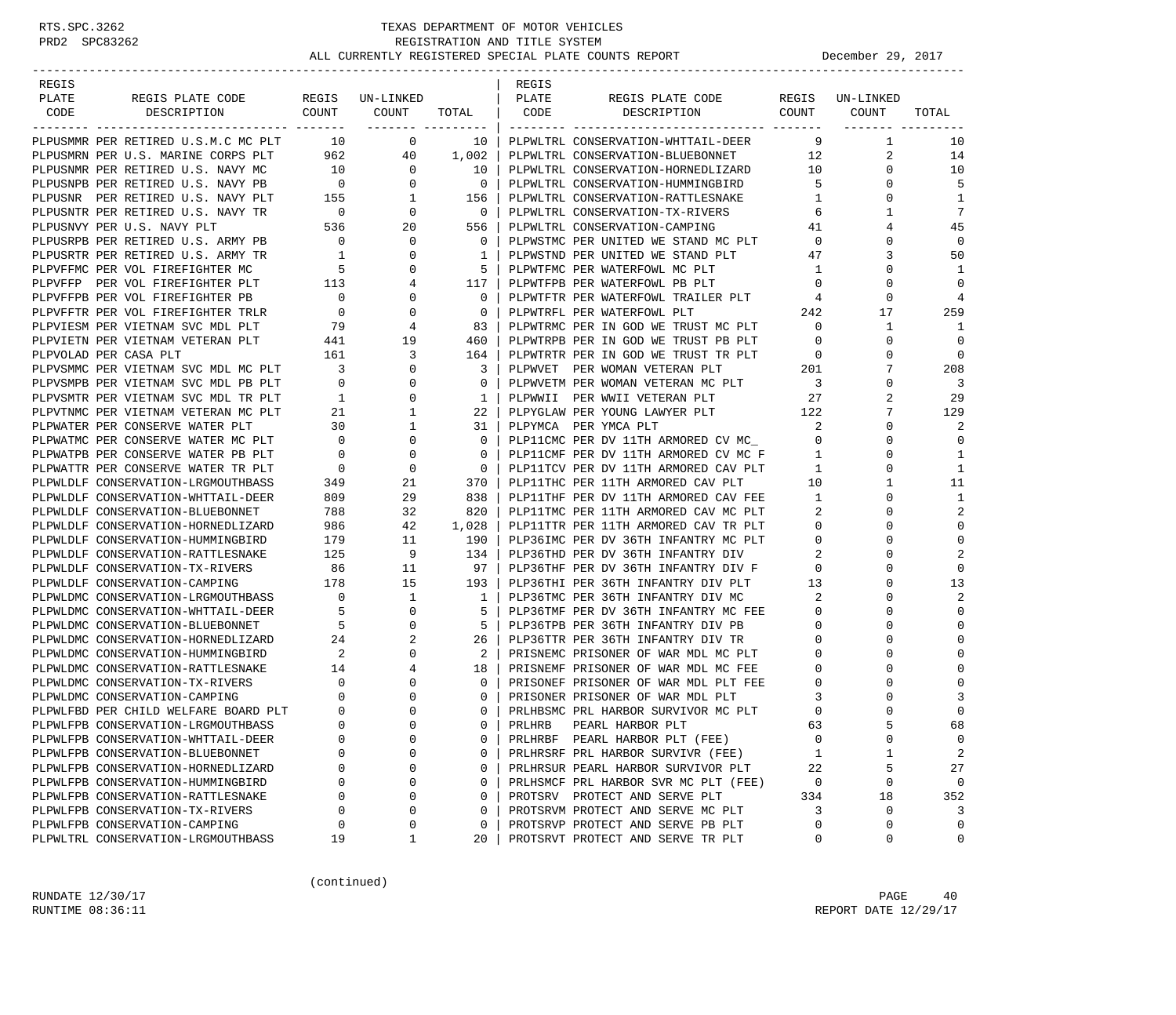| REGIS |                                                                        |                            |                 |                                 | REGIS  |                                                                       |                          |                         |                |
|-------|------------------------------------------------------------------------|----------------------------|-----------------|---------------------------------|--------|-----------------------------------------------------------------------|--------------------------|-------------------------|----------------|
| PLATE | REGIS PLATE CODE                                                       |                            | REGIS UN-LINKED |                                 | PLATE  | REGIS PLATE CODE                                                      |                          | REGIS UN-LINKED         |                |
| CODE  | DESCRIPTION                                                            | COUNT                      | COUNT           | TOTAL CODE<br>------- --------- |        | COUNT<br>DESCRIPTION                                                  |                          | COUNT<br>-------- ----- | TOTAL          |
|       | PLPUSMMR PER RETIRED U.S.M.C MC PLT                                    | <b>10</b>                  | $\overline{0}$  | 10                              |        | PLPWLTRL CONSERVATION-WHTTAIL-DEER                                    | 9                        | 1                       | 10             |
|       | PLPUSMRN PER U.S. MARINE CORPS PLT                                     |                            | 962 000<br>40   | 1,002                           |        | PLPWLTRL CONSERVATION-BLUEBONNET                                      | 12                       | 2                       | 14             |
|       | PLPUSNMR PER RETIRED U.S. NAVY MC                                      | 10                         | $\mathbf{0}$    | 10                              |        | PLPWLTRL CONSERVATION-HORNEDLIZARD                                    | 10                       | $\Omega$                | 10             |
|       | PLPUSNPB PER RETIRED U.S. NAVY PB                                      | $\overline{0}$             | $\mathbf{0}$    | $\Omega$                        |        | PLPWLTRL CONSERVATION-HUMMINGBIRD                                     | 5                        | $\Omega$                | 5              |
|       | PLPUSNR PER RETIRED U.S. NAVY PLT 155                                  |                            | 1               | 156                             |        | PLPWLTRL CONSERVATION-RATTLESNAKE                                     | 1                        | 0                       | 1              |
|       | PLPUSNTR PER RETIRED U.S. NAVY TR                                      | $\overline{0}$             | $\mathbf{0}$    | $\overline{0}$                  |        | PLPWLTRL CONSERVATION-TX-RIVERS                                       | 6                        |                         | 7              |
|       | PLPUSNVY PER U.S. NAVY PLT                                             | 536                        | 20              | 556                             |        | PLPWLTRL CONSERVATION-CAMPING                                         | 41                       | 4                       | 45             |
|       | PLPUSRPB PER RETIRED U.S. ARMY PB                                      | $\overline{0}$             | $\mathbf 0$     | $\mathbf{0}$                    |        | PLPWSTMC PER UNITED WE STAND MC PLT                                   | $\mathbf{0}$             | $\Omega$                | $\mathbf 0$    |
|       | PLPUSRTR PER RETIRED U.S. ARMY TR                                      |                            | 0               | 1                               |        | PLPWSTND PER UNITED WE STAND PLT                                      | 47                       | 3                       | 50             |
|       | PLPVFFMC PER VOL FIREFIGHTER MC                                        | $5^{\circ}$                | 0               | 5                               |        | PLPWTFMC PER WATERFOWL MC PLT                                         | $\mathbf{1}$             | 0                       | -1             |
|       | PLPVFFP PER VOL FIREFIGHTER PLT                                        | 113                        | 4               | 117 I                           |        | PLPWTFPB PER WATERFOWL PB PLT                                         | $\mathbf 0$              | $\Omega$                | $\mathbf 0$    |
|       | PLPVFFPB PER VOL FIREFIGHTER PB                                        | $\overline{\phantom{0}}$   | 0               | $\Omega$                        |        | PLPWTFTR PER WATERFOWL TRAILER PLT                                    | 4                        | 0                       | 4              |
|       | PLPVFFTR PER VOL FIREFIGHTER TRLR                                      | $\overline{0}$             | $\mathbf 0$     | 0                               |        | PLPWTRFL PER WATERFOWL PLT                                            | 242                      | 17                      | 259            |
|       | PLPVIESM PER VIETNAM SVC MDL PLT                                       | 79                         | 4               | 83                              |        | PLPWTRMC PER IN GOD WE TRUST MC PLT                                   | $\mathbf 0$              | 1                       | 1              |
|       | PLPVIETN PER VIETNAM VETERAN PLT                                       | 441                        | 19              | 460                             |        | PLPWTRPB PER IN GOD WE TRUST PB PLT                                   | $\mathbf{0}$             | 0                       | $\Omega$       |
|       | PLPVOLAD PER CASA PLT                                                  | 161                        | 3               | 164                             |        | PLPWTRTR PER IN GOD WE TRUST TR PLT                                   | $\overline{\phantom{0}}$ | $\Omega$                | $\mathbf 0$    |
|       | PLPVSMMC PER VIETNAM SVC MDL MC PLT                                    | $\sim$ 3                   | 0               | 3                               |        | PLPWVET PER WOMAN VETERAN PLT                                         | 201                      |                         | 208            |
|       | PLPVSMPB PER VIETNAM SVC MDL PB PLT                                    | $\overline{0}$             | $\mathbf 0$     | $\mathbf 0$                     |        | PLPWVETM PER WOMAN VETERAN MC PLT                                     | 3                        | $\Omega$                | 3              |
|       | PLPVSMTR PER VIETNAM SVC MDL TR PLT                                    | $\mathbf{1}$               | 0               | 1                               |        | PLPWWII PER WWII VETERAN PLT                                          | 27                       | 2                       | 29             |
|       | PLPVTNMC PER VIETNAM VETERAN MC PLT                                    | 21                         | 1               | 22                              |        | PLPYGLAW PER YOUNG LAWYER PLT                                         | 122                      | 7                       | 129            |
|       | PLPWATER PER CONSERVE WATER PLT                                        | 30                         | 1               | 31                              |        | PLPYMCA PER YMCA PLT                                                  | 2                        | $\Omega$                | 2              |
|       | PLPWATMC PER CONSERVE WATER MC PLT                                     | $\overline{\phantom{0}}$   | $\mathbf{0}$    | $\Omega$                        |        | PLP11CMC PER DV 11TH ARMORED CV MC                                    | $\mathbf{0}$             | $\Omega$                | $\Omega$       |
|       | PLPWATPB PER CONSERVE WATER PB PLT                                     | $\mathbf{0}$               | $\mathbf 0$     | $\mathbf 0$                     |        | PLP11CMF PER DV 11TH ARMORED CV MC F                                  | 1                        |                         | 1              |
|       | PLPWATTR PER CONSERVE WATER TR PLT                                     | $\overline{\mathbf{0}}$    | $\mathbf{0}$    | $\Omega$                        |        | PLP11TCV PER DV 11TH ARMORED CAV PLT                                  | 1                        | $\Omega$                | 1              |
|       | PLPWLDLF CONSERVATION-LRGMOUTHBASS                                     | 349                        | 21              | 370                             |        | PLP11THC PER 11TH ARMORED CAV PLT                                     | 10                       | 1                       | 11             |
|       | PLPWLDLF CONSERVATION-WHTTAIL-DEER                                     | 809                        | 29              | 838                             |        | PLP11THF PER DV 11TH ARMORED CAV FEE                                  | 1                        | $\Omega$                | 1              |
|       | PLPWLDLF CONSERVATION-BLUEBONNET                                       | 788                        | 32              | 820                             |        | PLP11TMC PER 11TH ARMORED CAV MC PLT                                  | 2                        | 0                       | 2              |
|       | PLPWLDLF CONSERVATION-HORNEDLIZARD                                     | 986                        | 42              | 1,028                           |        | PLP11TTR PER 11TH ARMORED CAV TR PLT                                  | $\mathbf 0$              | $\Omega$                | $\mathbf 0$    |
|       | PLPWLDLF CONSERVATION-HUMMINGBIRD                                      | 179                        | 11              | 190                             |        | PLP36IMC PER DV 36TH INFANTRY MC PLT                                  | $\circ$                  | $\Omega$                | $\mathbf 0$    |
|       | PLPWLDLF CONSERVATION-RATTLESNAKE                                      | 125                        | 9               | 134                             |        | PLP36THD PER DV 36TH INFANTRY DIV                                     | 2                        | 0                       | $\overline{2}$ |
|       | PLPWLDLF CONSERVATION-TX-RIVERS                                        | 86                         | 11              | 97                              |        | PLP36THF PER DV 36TH INFANTRY DIV F                                   | $\circ$                  |                         | $\mathbf 0$    |
|       | PLPWLDLF CONSERVATION-CAMPING                                          | 178                        | 15              | 193                             |        | PLP36THI PER 36TH INFANTRY DIV PLT                                    | 13                       | $\Omega$                | 13             |
|       | PLPWLDMC CONSERVATION-LRGMOUTHBASS                                     | $\overline{0}$             | 1               | $\mathbf{1}$                    |        | PLP36TMC PER 36TH INFANTRY DIV MC                                     | 2                        |                         | 2              |
|       | PLPWLDMC CONSERVATION-WHTTAIL-DEER                                     | $5^{\circ}$                | $\mathbf{0}$    | 5                               |        | PLP36TMF PER DV 36TH INFANTRY MC FEE                                  | 0                        | $\Omega$                | $\mathbf 0$    |
|       | PLPWLDMC CONSERVATION-BLUEBONNET                                       | 5                          | 0               | 5                               |        | PLP36TPB PER 36TH INFANTRY DIV PB                                     | 0                        | 0                       | $\Omega$       |
|       | PLPWLDMC CONSERVATION-HORNEDLIZARD                                     | 24                         | 2               | 26                              |        | PLP36TTR PER 36TH INFANTRY DIV TR                                     | $\mathbf 0$              | $\Omega$                | $\mathbf 0$    |
|       | PLPWLDMC CONSERVATION-HUMMINGBIRD                                      | $\overline{\phantom{0}}^2$ | 0               | 2                               |        | PRISNEMC PRISONER OF WAR MDL MC PLT                                   | 0                        | $\Omega$                | $\Omega$       |
|       | PLPWLDMC CONSERVATION-RATTLESNAKE                                      | 14                         | 4               | 18                              |        | PRISNEMF PRISONER OF WAR MDL MC FEE                                   | 0                        |                         | $\Omega$       |
|       | PLPWLDMC CONSERVATION-TX-RIVERS                                        | $\mathbf{0}$               | 0               | $\Omega$                        |        | PRISONEF PRISONER OF WAR MDL PLT FEE                                  | 0                        |                         | $\Omega$       |
|       | PLPWLDMC CONSERVATION-CAMPING                                          | 0                          | $\mathbf 0$     | 0                               |        | PRISONER PRISONER OF WAR MDL PLT                                      | 3                        | 0                       | 3              |
|       | PLPWLFBD PER CHILD WELFARE BOARD PLT                                   | $\Omega$                   | $\Omega$        | $\Omega$                        |        | PRLHBSMC PRL HARBOR SURVIVOR MC PLT                                   | $\mathbf 0$              |                         | $\mathbf 0$    |
|       | PLPWLFPB CONSERVATION-LRGMOUTHBASS                                     | $\Omega$                   | $\Omega$        | $\Omega$                        | PRLHRB | PEARL HARBOR PLT                                                      | 63                       |                         | 68             |
|       | PLPWLFPB CONSERVATION-WHTTAIL-DEER                                     | $\Omega$                   | 0               | 0                               |        | PRLHRBF PEARL HARBOR PLT (FEE)                                        | 0                        | 0                       | $\mathsf{O}$   |
|       | PLPWLFPB CONSERVATION-BLUEBONNET                                       | O                          | 0               | 0                               |        | PRLHRSRF PRL HARBOR SURVIVR (FEE)                                     | 1                        | 1                       | 2              |
|       | PLPWLFPB CONSERVATION-HORNEDLIZARD                                     | 0<br>0                     | 0               | 0                               |        | PRLHRSUR PEARL HARBOR SURVIVOR PLT                                    | 22                       | 5                       | 27             |
|       | PLPWLFPB CONSERVATION-HUMMINGBIRD<br>PLPWLFPB CONSERVATION-RATTLESNAKE | 0                          | 0               | 0                               |        | PRLHSMCF PRL HARBOR SVR MC PLT (FEE)<br>PROTSRV PROTECT AND SERVE PLT | 0                        | 0                       | 0              |
|       | PLPWLFPB CONSERVATION-TX-RIVERS                                        | 0                          | 0<br>0          | 0<br>0                          |        | PROTSRVM PROTECT AND SERVE MC PLT                                     | 334<br>3                 | 18<br>0                 | 352<br>3       |
|       | PLPWLFPB CONSERVATION-CAMPING                                          | 0                          | 0               | 0                               |        | PROTSRVP PROTECT AND SERVE PB PLT                                     | 0                        | 0                       | 0              |
|       | PLPWLTRL CONSERVATION-LRGMOUTHBASS                                     | 19                         | 1               | 20                              |        | PROTSRVT PROTECT AND SERVE TR PLT                                     | 0                        | 0                       | 0              |
|       |                                                                        |                            |                 |                                 |        |                                                                       |                          |                         |                |

(continued)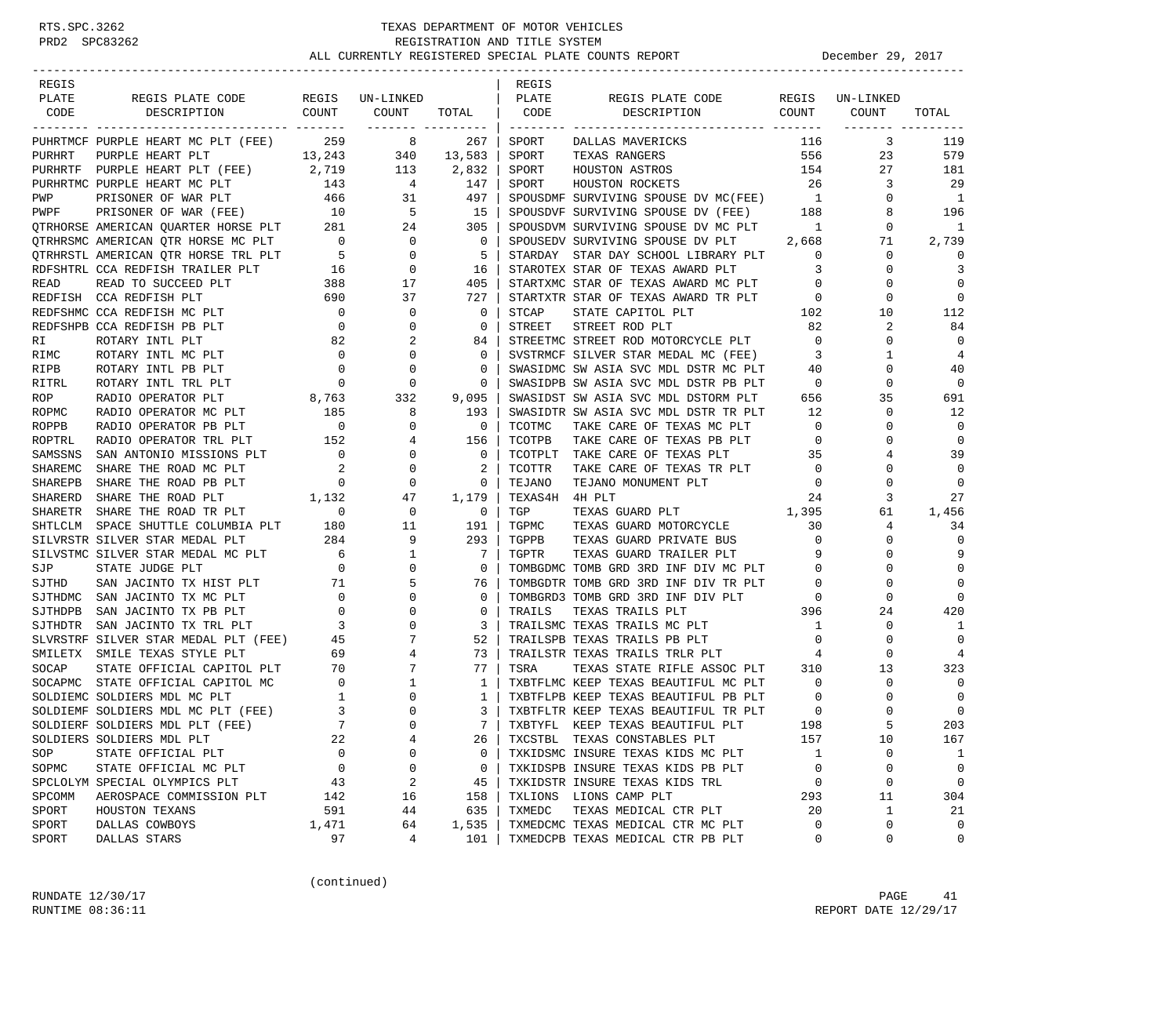| REGIS          |                                                                                                                                                                                                                                             |                                           |                                                                             |                | REGIS          |                                                                                  |                                                              |                          |                          |
|----------------|---------------------------------------------------------------------------------------------------------------------------------------------------------------------------------------------------------------------------------------------|-------------------------------------------|-----------------------------------------------------------------------------|----------------|----------------|----------------------------------------------------------------------------------|--------------------------------------------------------------|--------------------------|--------------------------|
| PLATE          | REGIS PLATE CODE REGIS UN-LINKED<br>DESCRIPTION COUNT COUNT                                                                                                                                                                                 |                                           |                                                                             |                | PLATE          | REGIS PLATE CODE<br>COUNT<br>DESCRIPTION                                         |                                                              | REGIS UN-LINKED<br>COUNT | TOTAL                    |
| CODE           |                                                                                                                                                                                                                                             |                                           |                                                                             | TOTAL   CODE   |                |                                                                                  |                                                              | -------- ----            |                          |
|                | PUHRTMCF PURPLE HEART MC PLT (FEE) 259 8                                                                                                                                                                                                    |                                           |                                                                             | 267            | SPORT          | DALLAS MAVERICKS                                                                 | 116                                                          | 3                        | 119                      |
|                |                                                                                                                                                                                                                                             |                                           |                                                                             |                | SPORT          | TEXAS RANGERS                                                                    |                                                              | 556<br>23                | 579                      |
|                |                                                                                                                                                                                                                                             |                                           |                                                                             |                | SPORT          | HOUSTON ASTROS                                                                   | 154                                                          | 27                       | 181                      |
|                |                                                                                                                                                                                                                                             |                                           |                                                                             |                | SPORT          | HOUSTON ROCKETS                                                                  | 26                                                           | 3                        | -29                      |
|                |                                                                                                                                                                                                                                             |                                           |                                                                             |                |                | SPOUSDMF SURVIVING SPOUSE DV MC(FEE) 1<br>SPOUSDVF SURVIVING SPOUSE DV (FEE) 188 |                                                              | $\mathbf{0}$             | $\overline{\phantom{0}}$ |
|                | PURHRT PURPLE HEART PLT (FLE) 13,243 340 13,583<br>PURHRT PURPLE HEART PLT (FEE) 2,719 113 2,832<br>PURHRTMC PURPLE HEART PLT (FEE) 2,719 113 2,832<br>PURHRTMC PURPLE HEART MC PLT 143 4 147<br>PWP PRISONER OF WAR PLT 466 31 497<br>P    |                                           |                                                                             |                |                |                                                                                  |                                                              | 8                        | 196                      |
|                |                                                                                                                                                                                                                                             |                                           |                                                                             |                |                | SPOUSDVM SURVIVING SPOUSE DV MC PLT 1                                            |                                                              | $\mathbf{0}$             | 1                        |
|                |                                                                                                                                                                                                                                             |                                           |                                                                             | $\mathbf{0}$   |                | SPOUSEDV SURVIVING SPOUSE DV PLT 2,668                                           |                                                              | 71                       | 2,739                    |
|                | PIRIRE AMERICAN QUALIFICATIONS FILE 2013<br>21 OTRIRISMO AMERICAN QTR HORSE TRL PLT 5 0<br>RDFSHTRL CCA REDFISH TRAILER PLT 5 0<br>READ READ TO SUCCEED PLT 388 17<br>REDFISH CCA REDFISH PLT 690 37<br>REDFSHMC CCA REDFISH MC PLT 0 0<br> |                                           |                                                                             | 5              |                | STARDAY STAR DAY SCHOOL LIBRARY PLT 0                                            |                                                              | $\mathbf{0}$             | $\Omega$                 |
|                |                                                                                                                                                                                                                                             |                                           |                                                                             | 16             |                | STAROTEX STAR OF TEXAS AWARD PLT<br>STARTXMC STAR OF TEXAS AWARD MC PLT          | $\overline{\mathbf{3}}$                                      | $\mathbf{0}$             | 3                        |
|                |                                                                                                                                                                                                                                             |                                           |                                                                             | 405            |                |                                                                                  | $\overline{0}$                                               | $\mathbf 0$              | $\mathbf 0$              |
|                |                                                                                                                                                                                                                                             |                                           |                                                                             | 727            |                |                                                                                  |                                                              | 0                        | $\mathbf 0$              |
|                |                                                                                                                                                                                                                                             |                                           |                                                                             | $\mathbf 0$    |                |                                                                                  |                                                              | 10                       | 112                      |
|                |                                                                                                                                                                                                                                             |                                           |                                                                             | 0              |                |                                                                                  |                                                              | 2                        | 84                       |
| RI             | ROTARY INTL PLT                                                                                                                                                                                                                             |                                           | 2                                                                           | 84             |                | SIREET CIRCLE INTO MOTORCYCLE PLT<br>STREETMC STREET ROD MOTORCYCLE PLT          | $\overline{0}$                                               | 0                        | $\mathbf 0$              |
| RIMC           | ROTARY INTL MC PLT                                                                                                                                                                                                                          | $\begin{array}{c} 82 \\ 0 \end{array}$    | $\mathbf 0$                                                                 | $\mathbf{0}$   |                | SVSTRMCF SILVER STAR MEDAL MC (FEE)                                              | $\overline{\mathbf{3}}$                                      | $\mathbf{1}$             | 4                        |
| RIPB           | $\begin{array}{c}0\\0\\8\,,763\end{array}$<br>ROTARY INTL PB PLT                                                                                                                                                                            |                                           | $\overline{0}$                                                              | 0              |                | SWASIDMC SW ASIA SVC MDL DSTR MC PLT                                             | 40                                                           | 0                        | 40                       |
| RITRL          | ROTARY INTL TRL PLT                                                                                                                                                                                                                         |                                           | $\overline{0}$                                                              | 0              |                | SWASIDPB SW ASIA SVC MDL DSTR PB PLT                                             | $\overline{0}$                                               | $\mathbf 0$              | $\mathbf 0$              |
| ROP            | RADIO OPERATOR PLT                                                                                                                                                                                                                          |                                           | 332                                                                         | 9,095          |                | SWASIDST SW ASIA SVC MDL DSTORM PLT                                              | 656                                                          | 35                       | 691                      |
| ROPMC          |                                                                                                                                                                                                                                             |                                           | 8                                                                           | 193            |                | SWASIDTR SW ASIA SVC MDL DSTR TR PLT                                             | 12                                                           | 0                        | 12                       |
| ROPPB          | RADIO OPERATOR MC PLT 185<br>RADIO OPERATOR PB PLT 0                                                                                                                                                                                        |                                           | $\overline{0}$                                                              | $\mathbf 0$    | TCOTMC         | TAKE CARE OF TEXAS MC PLT                                                        | $\overline{0}$                                               | $\Omega$                 | $\mathbf 0$              |
| ROPTRL         | RADIO OPERATOR TRL PLT                                                                                                                                                                                                                      | 152                                       |                                                                             | 156            | TCOTPB         | TAKE CARE OF TEXAS PB PLT                                                        | $\overline{0}$                                               | $\mathbf 0$              | $\mathbf 0$              |
| SAMSSNS        | SAN ANTONIO MISSIONS PLT                                                                                                                                                                                                                    |                                           |                                                                             | $\mathbf 0$    | TCOTPLT        | TAKE CARE OF TEXAS PLT                                                           | 35                                                           | 4                        | 39                       |
| SHAREMC        | SHARE THE ROAD MC PLT                                                                                                                                                                                                                       |                                           | $\begin{array}{ccc} & 0 & 4 \\ 152 & & 4 \\ 0 & & 0 \\ 2 & & 0 \end{array}$ | 2              | <b>TCOTTR</b>  | TAKE CARE OF TEXAS TR PLT                                                        | $\overline{0}$                                               | $\mathbf 0$              | $\mathbf 0$              |
| <b>SHAREPB</b> | SHARE THE ROAD PB PLT                                                                                                                                                                                                                       |                                           | $\overline{0}$                                                              | $\mathbf{0}$   | TEJANO         | TEJANO MONUMENT PLT                                                              | $\overline{0}$                                               | $\mathbf 0$              | $\mathbf 0$              |
| SHARERD        | SHARE THE ROAD PLT                                                                                                                                                                                                                          | $\begin{array}{c} 0 \\ 1,132 \end{array}$ | 47                                                                          | 1,179          | TEXAS4H 4H PLT |                                                                                  | 24                                                           | 3                        | 27                       |
| <b>SHARETR</b> |                                                                                                                                                                                                                                             |                                           | $\begin{array}{c} 0 \\ 11 \end{array}$                                      | $\overline{0}$ | TGP            | TEXAS GUARD PLT                                                                  |                                                              | 61                       | 1,456                    |
| SHTLCLM        | SHARE THE ROAD TR PLT 0<br>SPACE SHUTTLE COLUMBIA PLT 180                                                                                                                                                                                   |                                           | 11                                                                          | 191            | TGPMC          | $\frac{1}{3}$ , 395<br>30<br>TEXAS GUARD MOTORCYCLE                              |                                                              | 4                        | 34                       |
|                | SILVRSTR SILVER STAR MEDAL PLT                                                                                                                                                                                                              | 284                                       | 9                                                                           | 293            | TGPPB          | TEXAS GUARD PRIVATE BUS                                                          | $\overline{\phantom{0}}$                                     | $\mathbf 0$              | $\mathbf 0$              |
|                |                                                                                                                                                                                                                                             |                                           |                                                                             | $\overline{7}$ |                |                                                                                  | 9                                                            | 0                        | 9                        |
|                |                                                                                                                                                                                                                                             |                                           |                                                                             | $\mathbf 0$    |                | TGPTR TEXAS GUARD TRAILER PLT 9<br>TOMBGDMC TOMB GRD 3RD INF DIV MC PLT 0        |                                                              | $\mathbf 0$              | $\mathbf 0$              |
|                |                                                                                                                                                                                                                                             |                                           |                                                                             | 76             |                | TOMBGDTR TOMB GRD 3RD INF DIV TR PLT                                             | $\overline{0}$                                               | 0                        | $\mathbf 0$              |
|                |                                                                                                                                                                                                                                             |                                           |                                                                             | 0              |                | TOMBGRD3 TOMB GRD 3RD INF DIV PLT                                                | $\overline{0}$                                               | $\mathbf 0$              | $\Omega$                 |
|                |                                                                                                                                                                                                                                             |                                           |                                                                             | 0              | TRAILS         | TEXAS TRAILS PLT                                                                 | $\begin{array}{ccc}\n\text{T} & & 0 \\ & & 396\n\end{array}$ | 24                       | 420                      |
|                |                                                                                                                                                                                                                                             |                                           |                                                                             | 3              |                | TRAILSMC TEXAS TRAILS MC PLT<br>TRAILSPB TEXAS TRAILS PB PLT                     | $\overline{1}$                                               | 0                        | 1                        |
|                | SILVSTMC SILVER SIRE TUDGE PLT 0<br>SJTHD SAN JACINTO TX HIST PLT 71 5<br>SJTHDMC SAN JACINTO TX MC PLT 0<br>SJTHDPB SAN JACINTO TX MC PLT 0<br>SJTHDPB SAN JACINTO TX TRL PLT 0<br>SJTHDTR SAN JACINTO TX TRL PLT 3<br>SLVRSTRF SILVER ST  |                                           |                                                                             | 52             |                | TRAILSPB TEXAS TRAILS PB PLT                                                     | $\overline{0}$                                               | $\mathbf 0$              | $\mathbf 0$              |
|                |                                                                                                                                                                                                                                             |                                           |                                                                             | 73             |                | TRAILSTR TEXAS TRAILS TRLR PLT                                                   | $\overline{4}$                                               | $\mathbf 0$              | 4                        |
|                |                                                                                                                                                                                                                                             |                                           |                                                                             | 77             | TSRA           | TEXAS STATE RIFLE ASSOC PLT 310                                                  |                                                              | 13                       | 323                      |
|                |                                                                                                                                                                                                                                             |                                           |                                                                             | 1              |                | TXBTFLMC KEEP TEXAS BEAUTIFUL MC PLT                                             | $\overline{0}$                                               | 0                        | $\mathbf 0$              |
|                |                                                                                                                                                                                                                                             |                                           |                                                                             | 1              |                | TXBTFLPB KEEP TEXAS BEAUTIFUL PB PLT                                             | $\overline{0}$                                               | 0                        | 0                        |
|                |                                                                                                                                                                                                                                             |                                           |                                                                             | $\mathbf{3}$   |                | TXBTFLTR KEEP TEXAS BEAUTIFUL TR PLT                                             | $\overline{0}$                                               | $\Omega$                 | $\mathbf 0$              |
|                |                                                                                                                                                                                                                                             |                                           |                                                                             | $7^{\circ}$    |                | TXBTYFL KEEP TEXAS BEAUTIFUL PLT                                                 | 198                                                          |                          | 203                      |
|                | SOLDIERS SOLDIERS MDL PLT                                                                                                                                                                                                                   | 22                                        | 4                                                                           | 26             |                | TXCSTBL TEXAS CONSTABLES PLT                                                     | 157                                                          | 10                       | 167                      |
| SOP            | STATE OFFICIAL PLT                                                                                                                                                                                                                          | 0                                         | $\Omega$                                                                    | 0              |                | TXKIDSMC INSURE TEXAS KIDS MC PLT                                                | 1                                                            | $\mathbf 0$              | 1                        |
| SOPMC          | STATE OFFICIAL MC PLT                                                                                                                                                                                                                       | 0                                         | 0                                                                           | 0              |                | TXKIDSPB INSURE TEXAS KIDS PB PLT                                                | 0                                                            | 0                        | 0                        |
|                | SPCLOLYM SPECIAL OLYMPICS PLT                                                                                                                                                                                                               | 43                                        | 2                                                                           | 45             |                | TXKIDSTR INSURE TEXAS KIDS TRL                                                   | 0                                                            | $\mathbf 0$              | $\mathbf 0$              |
| SPCOMM         | AEROSPACE COMMISSION PLT                                                                                                                                                                                                                    | 142                                       | 16                                                                          | 158            |                | TXLIONS LIONS CAMP PLT                                                           | 293                                                          | 11                       | 304                      |
| SPORT          | HOUSTON TEXANS                                                                                                                                                                                                                              | 591                                       | 44                                                                          | 635            | TXMEDC         | TEXAS MEDICAL CTR PLT                                                            | 20                                                           | $\mathbf{1}$             | 21                       |
| SPORT          | DALLAS COWBOYS                                                                                                                                                                                                                              | 1,471                                     | 64                                                                          | 1,535          |                | TXMEDCMC TEXAS MEDICAL CTR MC PLT                                                | 0                                                            | $\mathbf 0$              | $\mathbf 0$              |
| SPORT          | DALLAS STARS                                                                                                                                                                                                                                | 97                                        | 4                                                                           | 101            |                | TXMEDCPB TEXAS MEDICAL CTR PB PLT                                                | 0                                                            | 0                        | $\mathsf 0$              |

(continued)

RUNDATE  $12/30/17$  PAGE 41 RUNTIME 08:36:11 REPORT DATE 12/29/17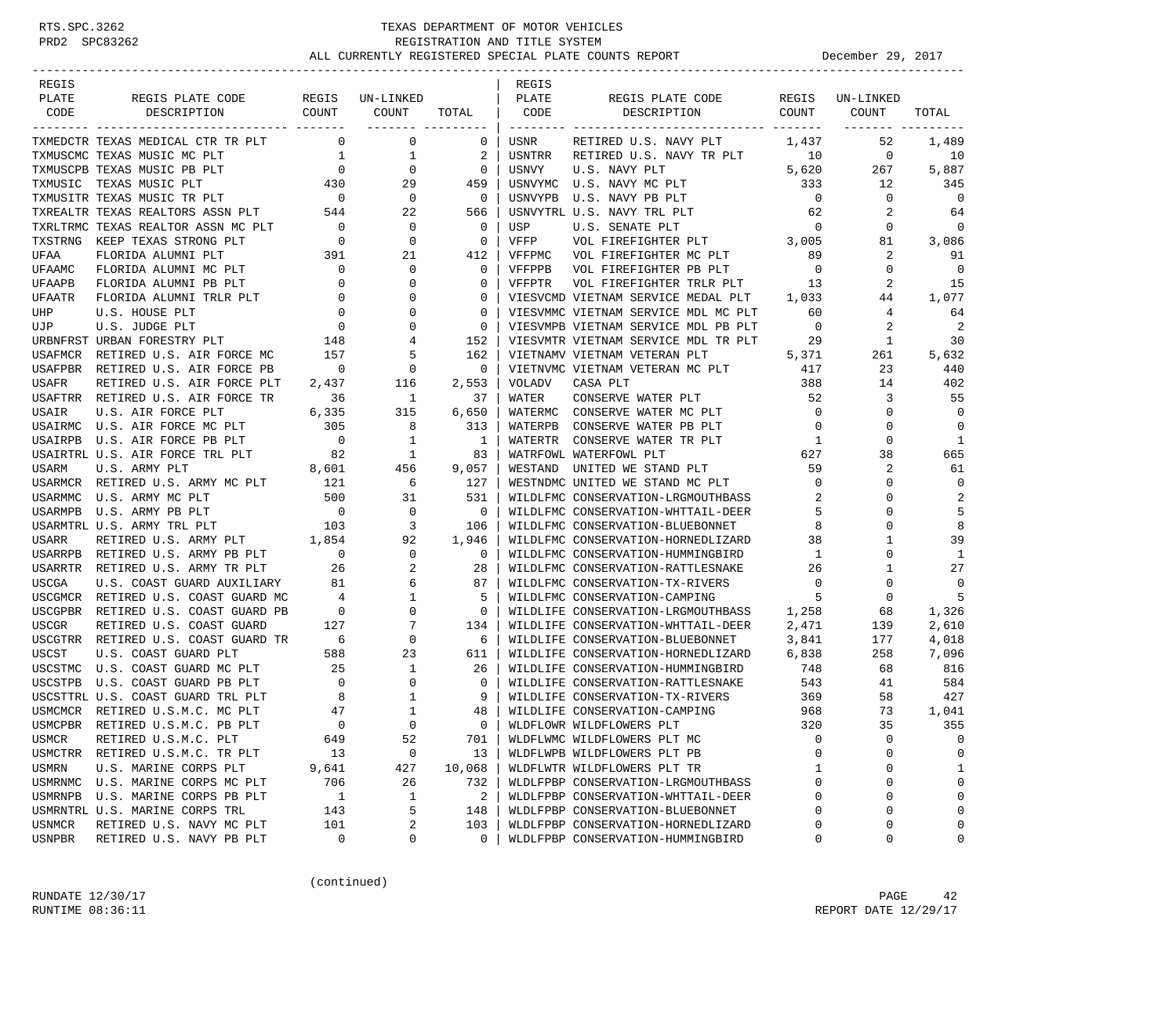| REGIS          |                                                                                                                                                                                                                                                                                                                                                                                               |                                       |                             |                | REGIS   |                                              |                          |                |                |
|----------------|-----------------------------------------------------------------------------------------------------------------------------------------------------------------------------------------------------------------------------------------------------------------------------------------------------------------------------------------------------------------------------------------------|---------------------------------------|-----------------------------|----------------|---------|----------------------------------------------|--------------------------|----------------|----------------|
| PLATE          | REGIS PLATE CODE<br>COUNT                                                                                                                                                                                                                                                                                                                                                                     | REGIS                                 | UN-LINKED                   |                | PLATE   | REGIS PLATE CODE                             | REGIS                    | UN-LINKED      |                |
| CODE           | DESCRIPTION                                                                                                                                                                                                                                                                                                                                                                                   |                                       | COUNT<br>-------- --------- | TOTAL          | CODE    | DESCRIPTION                                  | COUNT                    | COUNT          | TOTAL          |
|                | TXMEDCTR TEXAS MEDICAL CTR TR PLT                                                                                                                                                                                                                                                                                                                                                             | $\overline{0}$                        | $\mathbf 0$                 | 0              | USNR    | RETIRED U.S. NAVY PLT                        | 1,437                    | 52             | 1,489          |
|                | TXMUSCMC TEXAS MUSIC MC PLT                                                                                                                                                                                                                                                                                                                                                                   | $\mathbf{1}$                          | 1                           | 2              | USNTRR  | RETIRED U.S. NAVY TR PLT                     | 10                       | $\overline{0}$ | 10             |
|                | TXMUSCPB TEXAS MUSIC PB PLT                                                                                                                                                                                                                                                                                                                                                                   | $\overline{0}$                        | $\mathbf 0$                 | 0              | USNVY   | U.S. NAVY PLT                                | 5,620                    | 267            | 5,887          |
|                | TXMUSIC TEXAS MUSIC PLT                                                                                                                                                                                                                                                                                                                                                                       | 430                                   | 29                          | 459            |         | USNVYMC U.S. NAVY MC PLT                     | 333                      | 12             | 345            |
|                | $\begin{tabular}{lllllllll} {\bf TXMUSITR} & {\bf TEXAS} & {\bf MUSIC} & {\bf TR} & {\bf PLT} & \hspace*{2.5cm} & \hspace*{2.5cm} & \hspace*{2.5cm} & \hspace*{2.5cm} & \hspace*{2.5cm} & \hspace*{2.5cm} & \hspace*{2.5cm} & \hspace*{2.5cm} & \hspace*{2.5cm} & \hspace*{2.5cm} & \hspace*{2.5cm} & \hspace*{2.5cm} & \hspace*{2.5cm} & \hspace*{2.5cm} & \hspace*{2.5cm} & \hspace*{2.5cm$ |                                       | $\overline{0}$              | $\overline{0}$ | USNVYPB | U.S. NAVY PB PLT                             | $\overline{0}$           | $\mathbf 0$    | 0              |
|                |                                                                                                                                                                                                                                                                                                                                                                                               |                                       | 22                          | 566            |         | USNVYTRL U.S. NAVY TRL PLT                   | 62                       | 2              | 64             |
|                | TXRLTRMC TEXAS REALTOR ASSN MC PLT                                                                                                                                                                                                                                                                                                                                                            | $\overline{0}$                        | $\overline{0}$              | $\mathbf{0}$   | USP     | U.S. SENATE PLT                              | $\overline{\phantom{0}}$ | $\mathbf{0}$   | $\mathbf 0$    |
|                | TXSTRNG KEEP TEXAS STRONG PLT                                                                                                                                                                                                                                                                                                                                                                 | $\overline{0}$                        | $\mathbf 0$                 | $\mathbf 0$    | VFFP    | U.S. SENATE PLT<br>VOL FIREFIGHTER PLT 3,005 |                          | 81             | 3,086          |
| UFAA           | FLORIDA ALUMNI PLT                                                                                                                                                                                                                                                                                                                                                                            | 391                                   | 21                          | 412            | VFFPMC  | VOL FIREFIGHTER MC PLT                       | 89                       | 2              | 91             |
| UFAAMC         | FLORIDA ALUMNI MC PLT                                                                                                                                                                                                                                                                                                                                                                         | 0                                     | 0                           | 0              | VFFPPB  | VOL FIREFIGHTER PB PLT                       | $\overline{0}$           | $\mathbf{0}$   | 0              |
| UFAAPB         | FLORIDA ALUMNI PB PLT                                                                                                                                                                                                                                                                                                                                                                         | $\overline{0}$                        | $\mathbf 0$                 | 0              | VFFPTR  | VOL FIREFIGHTER TRLR PLT                     | 13                       | 2              | 15             |
| UFAATR         | FLORIDA ALUMNI TRLR PLT                                                                                                                                                                                                                                                                                                                                                                       | $\overline{\phantom{0}}$              | $\mathbf 0$                 | 0              |         | VIESVCMD VIETNAM SERVICE MEDAL PLT           | 1,033                    | 44             | 1,077          |
| UHP            | U.S. HOUSE PLT                                                                                                                                                                                                                                                                                                                                                                                | $\overline{0}$                        | $\mathbf 0$                 | $\mathbf 0$    |         | VIESVMMC VIETNAM SERVICE MDL MC PLT          | 60                       | 4              | 64             |
| UJP            | U.S. JUDGE PLT                                                                                                                                                                                                                                                                                                                                                                                | $\begin{array}{c} 0 \\ 0 \end{array}$ | $\mathbf 0$                 | $\Omega$       |         | VIESVMPB VIETNAM SERVICE MDL PB PLT          | $\overline{0}$           | 2              | $\overline{2}$ |
|                | URBNFRST URBAN FORESTRY PLT                                                                                                                                                                                                                                                                                                                                                                   | 148                                   | 4                           | 152            |         | VIESVMTR VIETNAM SERVICE MDL TR PLT          | 29                       | 1              | 30             |
|                | USAFMCR RETIRED U.S. AIR FORCE MC                                                                                                                                                                                                                                                                                                                                                             | 157                                   | 5                           | 162            |         | VIETNAMV VIETNAM VETERAN PLT                 | 5,371                    | 261            | 5,632          |
| USAFPBR        | RETIRED U.S. AIR FORCE PB                                                                                                                                                                                                                                                                                                                                                                     | $\sim$ 0                              | $\overline{0}$              | $\mathbf{0}$   |         | VIETNVMC VIETNAM VETERAN MC PLT              | 417                      | 23             | 440            |
| USAFR          | RETIRED U.S. AIR FORCE PLT                                                                                                                                                                                                                                                                                                                                                                    | 2,437                                 | 116                         | 2,553          | VOLADV  | CASA PLT                                     | 388                      | 14             | 402            |
|                | USAFTRR RETIRED U.S. AIR FORCE TR                                                                                                                                                                                                                                                                                                                                                             | 36                                    | $\overline{\phantom{1}}$    | 37             | WATER   | CONSERVE WATER PLT                           | 52                       | 3              | 55             |
| USAIR          | U.S. AIR FORCE PLT                                                                                                                                                                                                                                                                                                                                                                            | 6,335                                 | 315                         | 6,650          |         | WATERMC CONSERVE WATER MC PLT                | $\overline{0}$           | 0              | $\mathbf 0$    |
|                | USAIRMC U.S. AIR FORCE MC PLT                                                                                                                                                                                                                                                                                                                                                                 | 305                                   | 8                           | 313            |         | WATERPB CONSERVE WATER PB PLT                | $\overline{0}$           | $\mathbf{0}$   | $\mathbf 0$    |
| USAIRPB        | U.S. AIR FORCE PB PLT                                                                                                                                                                                                                                                                                                                                                                         | $\overline{\phantom{0}}$              | 1                           | $\mathbf{1}$   | WATERTR | CONSERVE WATER TR PLT                        | $\overline{1}$           | $\mathbf 0$    | 1              |
|                | USAIRTRL U.S. AIR FORCE TRL PLT                                                                                                                                                                                                                                                                                                                                                               | 82                                    | $\mathbf{1}$                | 83             |         | WATRFOWL WATERFOWL PLT                       | 627                      | 38             | 665            |
| USARM          | U.S. ARMY PLT                                                                                                                                                                                                                                                                                                                                                                                 | 8,601                                 | 456                         | 9,057          | WESTAND | UNITED WE STAND PLT                          | 59                       | 2              | 61             |
|                | USARMCR RETIRED U.S. ARMY MC PLT                                                                                                                                                                                                                                                                                                                                                              | 121                                   | 6                           | 127            |         | WESTNDMC UNITED WE STAND MC PLT              | $\overline{0}$           | 0              | $\mathbf 0$    |
| USARMMC        | U.S. ARMY MC PLT                                                                                                                                                                                                                                                                                                                                                                              | 500                                   | 31                          | 531            |         | WILDLFMC CONSERVATION-LRGMOUTHBASS           | 2                        | $\Omega$       | 2              |
| <b>USARMPB</b> | U.S. ARMY PB PLT                                                                                                                                                                                                                                                                                                                                                                              | $\overline{0}$                        | $\overline{0}$              | $\mathbf{0}$   |         | WILDLFMC CONSERVATION-WHTTAIL-DEER           | - 5                      | 0              | 5              |
|                | USARMTRL U.S. ARMY TRL PLT                                                                                                                                                                                                                                                                                                                                                                    | 103                                   | 3                           | 106            |         | WILDLFMC CONSERVATION-BLUEBONNET             | 8                        | 0              | 8              |
| USARR          | RETIRED U.S. ARMY PLT                                                                                                                                                                                                                                                                                                                                                                         | 1,854                                 | 92                          | 1,946          |         | WILDLFMC CONSERVATION-HORNEDLIZARD           | 38                       | 1              | 39             |
|                | USARRPB RETIRED U.S. ARMY PB PLT                                                                                                                                                                                                                                                                                                                                                              | $\overline{\phantom{0}}$              | 0                           | 0              |         | WILDLFMC CONSERVATION-HUMMINGBIRD            | $\mathbf{1}$             | 0              | 1              |
|                | USARRTR RETIRED U.S. ARMY TR PLT                                                                                                                                                                                                                                                                                                                                                              | 26                                    | 2                           | 28             |         | WILDLFMC CONSERVATION-RATTLESNAKE            | 26                       | $\mathbf{1}$   | 27             |
| USCGA          | U.S. COAST GUARD AUXILIARY 81                                                                                                                                                                                                                                                                                                                                                                 |                                       | 6                           | 87             |         | WILDLFMC CONSERVATION-TX-RIVERS              | $\overline{0}$           | $\mathbf 0$    | $\mathbf 0$    |
|                | USCGMCR RETIRED U.S. COAST GUARD MC                                                                                                                                                                                                                                                                                                                                                           | $\overline{4}$                        | $\mathbf{1}$                | 5              |         | WILDLFMC CONSERVATION-CAMPING                | -5                       | $\mathbf 0$    | 5              |
| USCGPBR        | RETIRED U.S. COAST GUARD PB                                                                                                                                                                                                                                                                                                                                                                   | $\overline{\phantom{0}}$              | $\mathbf 0$                 | $\mathbf 0$    |         | WILDLIFE CONSERVATION-LRGMOUTHBASS 1,258     |                          | 68             | 1,326          |
| <b>USCGR</b>   | RETIRED U.S. COAST GUARD                                                                                                                                                                                                                                                                                                                                                                      | 127                                   | 7                           | 134            |         | WILDLIFE CONSERVATION-WHTTAIL-DEER           | 2,471                    | 139            | 2,610          |
|                | USCGTRR RETIRED U.S. COAST GUARD TR                                                                                                                                                                                                                                                                                                                                                           | $6\overline{6}$                       | 0                           | 6              |         | WILDLIFE CONSERVATION-BLUEBONNET             | 3,841                    | 177            | 4,018          |
| USCST          | U.S. COAST GUARD PLT                                                                                                                                                                                                                                                                                                                                                                          | 588                                   | 23                          | 611            |         | WILDLIFE CONSERVATION-HORNEDLIZARD           | 6,838                    | 258            | 7,096          |
| USCSTMC        | U.S. COAST GUARD MC PLT                                                                                                                                                                                                                                                                                                                                                                       | 25                                    | 1                           | 26             |         | WILDLIFE CONSERVATION-HUMMINGBIRD            | 748                      | 68             | 816            |
|                | USCSTPB U.S. COAST GUARD PB PLT                                                                                                                                                                                                                                                                                                                                                               | $\overline{0}$                        | 0                           | 0              |         | WILDLIFE CONSERVATION-RATTLESNAKE            | 543                      | 41             | 584            |
|                | USCSTTRL U.S. COAST GUARD TRL PLT                                                                                                                                                                                                                                                                                                                                                             | 8 <sup>8</sup>                        | 1                           | 9              |         | WILDLIFE CONSERVATION-TX-RIVERS              | 369                      | 58             | 427            |
| USMCMCR        | RETIRED U.S.M.C. MC PLT                                                                                                                                                                                                                                                                                                                                                                       | 47                                    | $\mathbf{1}$                | 48             |         | WILDLIFE CONSERVATION-CAMPING                | 968                      | 73             | 1,041          |
| <b>USMCPBR</b> | RETIRED U.S.M.C. PB PLT                                                                                                                                                                                                                                                                                                                                                                       | $\Omega$                              | $\Omega$                    | $\Omega$       |         | WLDFLOWR WILDFLOWERS PLT                     | 320                      | 35             | 355            |
| USMCR          | RETIRED U.S.M.C. PLT                                                                                                                                                                                                                                                                                                                                                                          | 649                                   | 52                          | 701            |         | WLDFLWMC WILDFLOWERS PLT MC                  | 0                        | 0              | $\Omega$       |
| USMCTRR        | RETIRED U.S.M.C. TR PLT                                                                                                                                                                                                                                                                                                                                                                       | 13                                    | 0                           | 13             |         | WLDFLWPB WILDFLOWERS PLT PB                  | U                        | $\mathsf 0$    | 0              |
| USMRN          | U.S. MARINE CORPS PLT                                                                                                                                                                                                                                                                                                                                                                         | 9,641                                 | 427                         | 10,068         |         | WLDFLWTR WILDFLOWERS PLT TR                  | 1                        | 0              | 1              |
| USMRNMC        | U.S. MARINE CORPS MC PLT                                                                                                                                                                                                                                                                                                                                                                      | 706                                   | 26                          | 732            |         | WLDLFPBP CONSERVATION-LRGMOUTHBASS           | 0                        | 0              | $\mathbf 0$    |
| USMRNPB        | U.S. MARINE CORPS PB PLT                                                                                                                                                                                                                                                                                                                                                                      | $\mathbf 1$                           | 1                           | 2              |         | WLDLFPBP CONSERVATION-WHTTAIL-DEER           | $\Omega$                 | 0              | $\Omega$       |
|                | USMRNTRL U.S. MARINE CORPS TRL                                                                                                                                                                                                                                                                                                                                                                | 143                                   | 5                           | 148            |         | WLDLFPBP CONSERVATION-BLUEBONNET             | 0                        | 0              | $\Omega$       |
| <b>USNMCR</b>  | RETIRED U.S. NAVY MC PLT                                                                                                                                                                                                                                                                                                                                                                      | 101                                   | 2                           | 103            |         | WLDLFPBP CONSERVATION-HORNEDLIZARD           | 0                        | 0              | 0              |
| USNPBR         | RETIRED U.S. NAVY PB PLT                                                                                                                                                                                                                                                                                                                                                                      | 0                                     | 0                           | 0              |         | WLDLFPBP CONSERVATION-HUMMINGBIRD            | 0                        | 0              | 0              |

(continued)

RUNDATE  $12/30/17$  PAGE 42 RUNTIME 08:36:11 REPORT DATE 12/29/17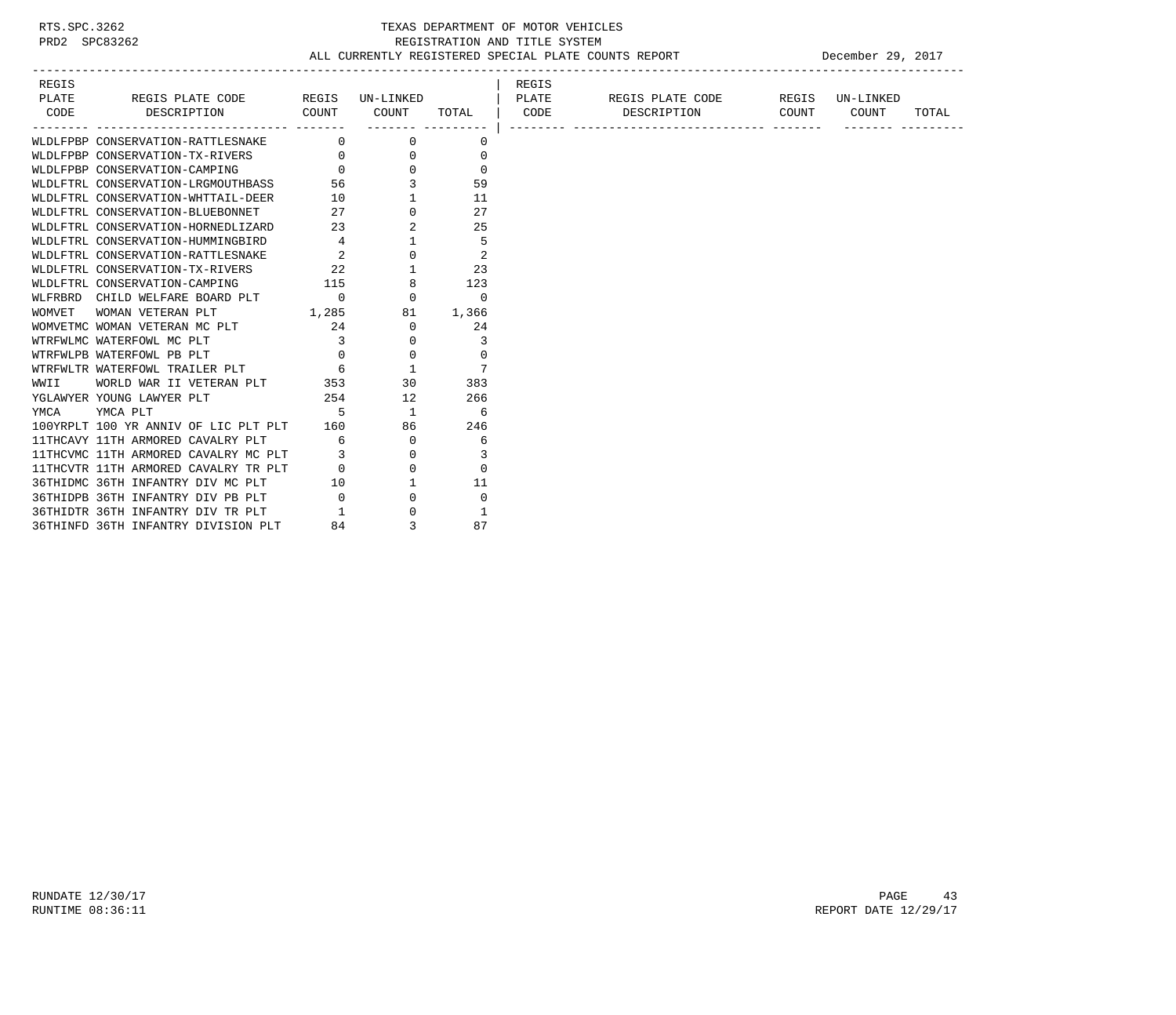| REGIS |                                                                                                                                                                                                                                                       |                                |                      | REGIS |                                      |       |       |
|-------|-------------------------------------------------------------------------------------------------------------------------------------------------------------------------------------------------------------------------------------------------------|--------------------------------|----------------------|-------|--------------------------------------|-------|-------|
|       | PLATE REGIS PLATE CODE REGIS UN-LINKED   PLATE REGIS PLATE CODE REGIS UN-LINKED                                                                                                                                                                       |                                |                      |       |                                      |       |       |
|       | CODE DESCRIPTION COUNT                                                                                                                                                                                                                                |                                |                      |       | COUNT TOTAL   CODE DESCRIPTION COUNT | COUNT | TOTAL |
|       | WLDLFPBP CONSERVATION-RATTLESNAKE 0                                                                                                                                                                                                                   | -------- ---------<br>$\Omega$ |                      |       |                                      |       |       |
|       |                                                                                                                                                                                                                                                       |                                | 0                    |       |                                      |       |       |
|       | WLDLFPBP CONSERVATION-TX-RIVERS 0 0 0                                                                                                                                                                                                                 |                                | $\Omega$<br>$\Omega$ |       |                                      |       |       |
|       | WIDDIFFER CONSERVATION IN NITHING<br>WIDDIFFER CONSERVATION-CAMPING 0 0<br>WIDDIFTRL CONSERVATION-LRGMOUTHBASS 56 3<br>WIDDIFTRL CONSERVATION-WHTTAIL-DEER 10 1                                                                                       |                                |                      |       |                                      |       |       |
|       |                                                                                                                                                                                                                                                       |                                | 59                   |       |                                      |       |       |
|       |                                                                                                                                                                                                                                                       |                                | 11                   |       |                                      |       |       |
|       | WIDLFTRL CONSERVATION-BLUEBONNET<br>WIDLFTRL CONSERVATION-HORNEDLIZARD 23<br>WIDLFTRL CONSERVATION-HUMMINGBIRD 23<br>WIDLFTRL CONSERVATION-RATTLESNAKE 2 0                                                                                            |                                | 27                   |       |                                      |       |       |
|       |                                                                                                                                                                                                                                                       |                                | 25                   |       |                                      |       |       |
|       |                                                                                                                                                                                                                                                       |                                | 5                    |       |                                      |       |       |
|       |                                                                                                                                                                                                                                                       |                                | $\overline{0}$<br>2  |       |                                      |       |       |
|       |                                                                                                                                                                                                                                                       |                                |                      |       |                                      |       |       |
|       |                                                                                                                                                                                                                                                       |                                |                      |       |                                      |       |       |
|       | WLFRBRD CHILD WELFARE BOARD PLT 0 0 0 0 0                                                                                                                                                                                                             |                                |                      |       |                                      |       |       |
|       | WOMVET WOMAN VETERAN PLT $1,285$ 81 1,366                                                                                                                                                                                                             |                                |                      |       |                                      |       |       |
|       |                                                                                                                                                                                                                                                       |                                | $\overline{0}$<br>24 |       |                                      |       |       |
|       |                                                                                                                                                                                                                                                       | $0 \qquad \qquad$              | 3                    |       |                                      |       |       |
|       | $\sim$ 0<br>WTRFWLPB WATERFOWL PB PLT                                                                                                                                                                                                                 | $\overline{0}$                 | $\Omega$             |       |                                      |       |       |
|       | WTRFWLTR WATERFOWL TRAILER PLT 6 6 1                                                                                                                                                                                                                  |                                | $\overline{7}$       |       |                                      |       |       |
| WWII  | WORLD WAR II VETERAN PLT 353                                                                                                                                                                                                                          | 30                             | 383                  |       |                                      |       |       |
|       | 254 12<br>YGLAWYER YOUNG LAWYER PLT                                                                                                                                                                                                                   |                                | 266                  |       |                                      |       |       |
|       |                                                                                                                                                                                                                                                       |                                |                      |       |                                      |       |       |
|       | $\begin{tabular}{lllllllllllll} \texttt{YMCA} & \texttt{YMCA} & \texttt{PLT} & \texttt{5} & \texttt{1} & \texttt{6} \\ \texttt{100YRPLT} & \texttt{100 YR} & \texttt{ANNIV OF LIC PLT PLT} & \texttt{160} & \texttt{86} & \texttt{246} \end{tabular}$ |                                |                      |       |                                      |       |       |
|       | 11THCAVY 11TH ARMORED CAVALRY PLT 6                                                                                                                                                                                                                   | $\overline{0}$                 | 6                    |       |                                      |       |       |
|       | 11THCVMC 11TH ARMORED CAVALRY MC PLT 3                                                                                                                                                                                                                | $\mathbf{0}$                   | 3                    |       |                                      |       |       |
|       |                                                                                                                                                                                                                                                       |                                | $\Omega$             |       |                                      |       |       |
|       | 11THCVTR 11TH ARMORED CAVALRY TR PLT 0 0 0<br>36THIDMC 36TH INFANTRY DIV MC PLT 10 1<br>36THIDPB 36TH INFANTRY DIV PB PLT 0 0 0                                                                                                                       |                                | 11                   |       |                                      |       |       |
|       |                                                                                                                                                                                                                                                       |                                | $\Omega$             |       |                                      |       |       |
|       | 36THIDTR 36TH INFANTRY DIV TR PLT      1<br>36THINFD 36TH INFANTRY DIVISION PLT     84                                                                                                                                                                | $\overline{0}$                 | $\mathbf{1}$         |       |                                      |       |       |
|       | 36THINFD 36TH INFANTRY DIVISION PLT                                                                                                                                                                                                                   | 3                              | 87                   |       |                                      |       |       |

RUNDATE  $12/30/17$  PAGE 43 RUNTIME 08:36:11 REPORT DATE 12/29/17